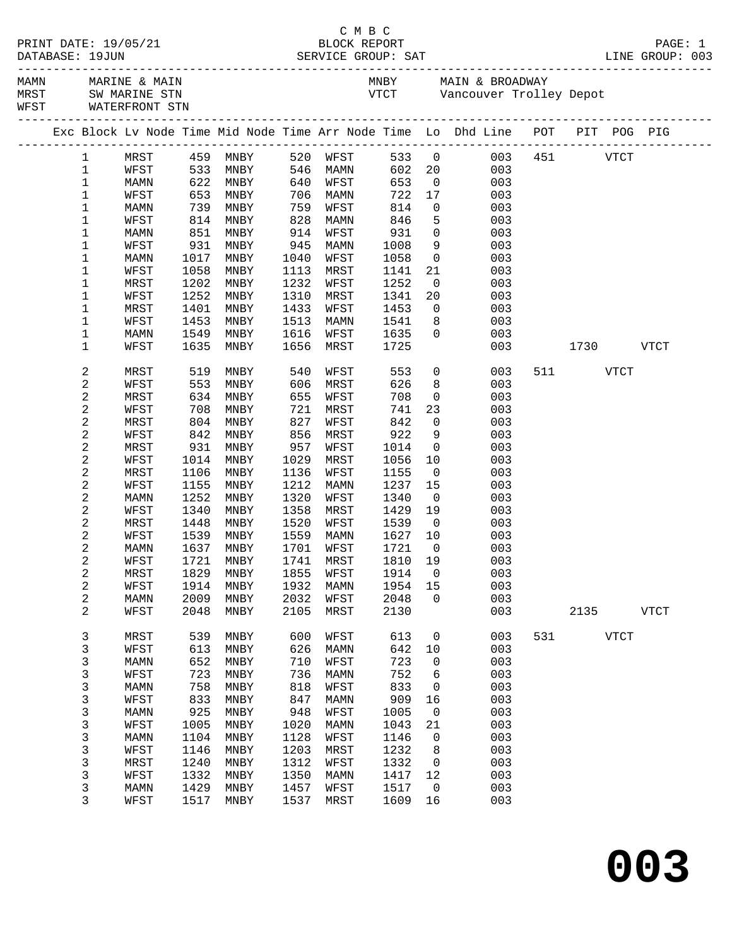|  |                            |                     |              |                                  |              |              |                    |                                            | C M B C<br>PRINT DATE: 19/05/21 BLOCK REPORT<br>DATABASE: 19JUN SERVICE GROUP: SAT LINE GROUP: 003 |     |          |             |             |
|--|----------------------------|---------------------|--------------|----------------------------------|--------------|--------------|--------------------|--------------------------------------------|----------------------------------------------------------------------------------------------------|-----|----------|-------------|-------------|
|  |                            | WFST WATERFRONT STN |              |                                  |              |              |                    |                                            | MAMN MARINE & MAIN<br>MRST SW MARINE STN<br>INEST SW MARINE STN<br>INEST Vancouver Trolley Depot   |     |          |             |             |
|  |                            |                     |              |                                  |              |              |                    |                                            | Exc Block Lv Node Time Mid Node Time Arr Node Time Lo Dhd Line POT PIT POG PIG                     |     |          |             |             |
|  | $\mathbf{1}$               |                     |              |                                  |              |              |                    |                                            | MRST 459 MNBY 520 WFST 533 0 003 451 VTCT                                                          |     |          |             |             |
|  | $\mathbf{1}$               | WFST                |              | 533 MNBY 546 MAMN                |              |              |                    |                                            | 602 20<br>003                                                                                      |     |          |             |             |
|  | $\mathbf 1$                | MAMN                |              | 622 MNBY<br>653 MNBY<br>739 MNBY | 640          | WFST         | 653<br>722<br>814  |                                            | 003<br>$\frac{0}{1}$                                                                               |     |          |             |             |
|  | 1                          | WFST                |              |                                  | 706          | MAMN         |                    | 17                                         | 003                                                                                                |     |          |             |             |
|  | 1                          | MAMN                |              |                                  | 759          | WFST         |                    |                                            | $\overline{0}$<br>003                                                                              |     |          |             |             |
|  | $\mathbf 1$                | WFST                | 814          | MNBY                             | 828          | MAMN         | 846                | $5^{\circ}$                                | 003                                                                                                |     |          |             |             |
|  | 1                          | MAMN                | 851          | MNBY                             | 914          | WFST         | 931<br>931<br>1008 | $\overline{0}$                             | 003                                                                                                |     |          |             |             |
|  | $\mathbf 1$                | WFST                | 931          | MNBY                             | 945          | MAMN         |                    |                                            | $\frac{9}{0}$<br>003                                                                               |     |          |             |             |
|  | 1                          | MAMN                | 1017         | MNBY                             | 1040         | WFST         | 1058               |                                            | 003                                                                                                |     |          |             |             |
|  | $\mathbf 1$                | WFST                | 1058<br>1202 | MNBY<br>MNBY                     | 1113<br>1232 | MRST         | 1141<br>1252       | 21                                         | 003                                                                                                |     |          |             |             |
|  | 1<br>$\mathbf 1$           | MRST                | 1252         | MNBY                             | 1310         | WFST         |                    | $\overline{\mathbf{0}}$<br>20 <sub>o</sub> | 003<br>003                                                                                         |     |          |             |             |
|  | 1                          | WFST<br>MRST        | 1401         | MNBY                             | 1433         | MRST<br>WFST | 1341<br>1453       | $\overline{0}$                             | 003                                                                                                |     |          |             |             |
|  | 1                          | WFST                | 1453         | MNBY                             | 1513         | MAMN         | 1541               | 8 <sup>8</sup>                             | 003                                                                                                |     |          |             |             |
|  | 1                          | MAMN                | 1549         | MNBY                             | 1616         | WFST         | 1635               | $\Omega$                                   | 003                                                                                                |     |          |             |             |
|  | 1                          | WFST                | 1635         | MNBY                             | 1656         | MRST         | 1725               |                                            | 003                                                                                                |     |          | 1730 VTCT   |             |
|  | 2                          | MRST                | 519          | MNBY                             | 540          | WFST         | 553                |                                            | $\overline{0}$<br>003                                                                              |     | 511 VTCT |             |             |
|  | $\sqrt{2}$                 | WFST                | 553          | MNBY                             | 606          | MRST         | 626                | 8                                          | 003                                                                                                |     |          |             |             |
|  | $\overline{c}$             | MRST                | 634          | MNBY                             | 655          | WFST         | 708                | $\overline{0}$                             | 003                                                                                                |     |          |             |             |
|  | $\sqrt{2}$                 | WFST                | 708          | MNBY                             | 721          | MRST         | 741                | 23                                         | 003                                                                                                |     |          |             |             |
|  | $\mathbf 2$                | MRST                | 804          | MNBY                             | 827          | WFST         | 842                | $\overline{0}$                             | 003                                                                                                |     |          |             |             |
|  | $\mathbf 2$<br>$\mathbf 2$ | WFST                | 842          | MNBY                             | 856<br>957   | MRST         | 922<br>1014        | 9<br>$\overline{0}$                        | 003<br>003                                                                                         |     |          |             |             |
|  | $\overline{\mathbf{c}}$    | MRST<br>WFST        | 931<br>1014  | MNBY<br>MNBY                     | 1029         | WFST<br>MRST | 1056               | 10                                         | 003                                                                                                |     |          |             |             |
|  | $\mathbf 2$                | MRST                | 1106         | MNBY                             | 1136         | WFST         | 1155               | $\overline{0}$                             | 003                                                                                                |     |          |             |             |
|  | $\mathbf 2$                | WFST                | 1155         | MNBY                             | 1212         | MAMN         | 1237               | 15                                         | 003                                                                                                |     |          |             |             |
|  | $\mathbf 2$                | MAMN                | 1252         | MNBY                             | 1320         | WFST         | 1340               | $\overline{0}$                             | 003                                                                                                |     |          |             |             |
|  | $\mathbf 2$                | WFST                | 1340         | MNBY                             | 1358         | MRST         | 1429               | 19                                         | 003                                                                                                |     |          |             |             |
|  | $\mathbf 2$                | MRST                | 1448         | MNBY                             | 1520         | WFST         | 1539               | $\overline{0}$                             | 003                                                                                                |     |          |             |             |
|  | $\mathbf 2$                | WFST                | 1539         | MNBY                             |              | 1559 MAMN    | 1627 10            |                                            | 003                                                                                                |     |          |             |             |
|  | $\mathbf{2}$               | MAMN                | 1637         | MNBY                             | 1701         | WFST         | 1721               | $\overline{0}$                             | 003                                                                                                |     |          |             |             |
|  | 2                          | WFST                |              | 1721 MNBY 1741 MRST 1810 19      |              |              |                    |                                            | 003                                                                                                |     |          |             |             |
|  | 2                          | MRST                | 1829         | MNBY                             | 1855         | WFST         | 1914               | 0                                          | 003                                                                                                |     |          |             |             |
|  | $\boldsymbol{2}$           | WFST                | 1914         | MNBY                             | 1932         | MAMN         | 1954               | 15                                         | 003                                                                                                |     |          |             |             |
|  | $\overline{\mathbf{c}}$    | MAMN                | 2009         | MNBY                             | 2032         | WFST         | 2048               | $\Omega$                                   | 003                                                                                                |     |          |             |             |
|  | $\overline{2}$             | WFST                | 2048         | MNBY                             | 2105         | MRST         | 2130               |                                            | 003                                                                                                |     | 2135     |             | <b>VTCT</b> |
|  | 3<br>3                     | MRST<br>WFST        | 539<br>613   | <b>MNBY</b><br>MNBY              | 600<br>626   | WFST<br>MAMN | 613<br>642         | 0<br>10                                    | 003<br>003                                                                                         | 531 |          | <b>VTCT</b> |             |
|  | 3                          | MAMN                | 652          | MNBY                             | 710          | WFST         | 723                | 0                                          | 003                                                                                                |     |          |             |             |
|  | 3                          | WFST                | 723          | MNBY                             | 736          | MAMN         | 752                | 6                                          | 003                                                                                                |     |          |             |             |
|  | 3                          | <b>MAMN</b>         | 758          | MNBY                             | 818          | WFST         | 833                | 0                                          | 003                                                                                                |     |          |             |             |
|  | 3                          | WFST                | 833          | MNBY                             | 847          | MAMN         | 909                | 16                                         | 003                                                                                                |     |          |             |             |
|  | 3                          | MAMN                | 925          | MNBY                             | 948          | WFST         | 1005               | 0                                          | 003                                                                                                |     |          |             |             |
|  | 3                          | WFST                | 1005         | MNBY                             | 1020         | MAMN         | 1043               | 21                                         | 003                                                                                                |     |          |             |             |
|  | 3                          | MAMN                | 1104         | MNBY                             | 1128         | WFST         | 1146               | 0                                          | 003                                                                                                |     |          |             |             |
|  | 3                          | WFST                | 1146         | MNBY                             | 1203         | MRST         | 1232               | 8                                          | 003                                                                                                |     |          |             |             |
|  | 3                          | MRST                | 1240         | MNBY                             | 1312         | WFST         | 1332               | 0                                          | 003                                                                                                |     |          |             |             |
|  | 3                          | WFST                | 1332         | MNBY                             | 1350         | MAMN         | 1417               | 12                                         | 003                                                                                                |     |          |             |             |
|  | 3                          | MAMN                | 1429         | MNBY                             | 1457         | WFST         | 1517               | 0                                          | 003                                                                                                |     |          |             |             |
|  | 3                          | WFST                | 1517         | MNBY                             | 1537         | MRST         | 1609               | 16                                         | 003                                                                                                |     |          |             |             |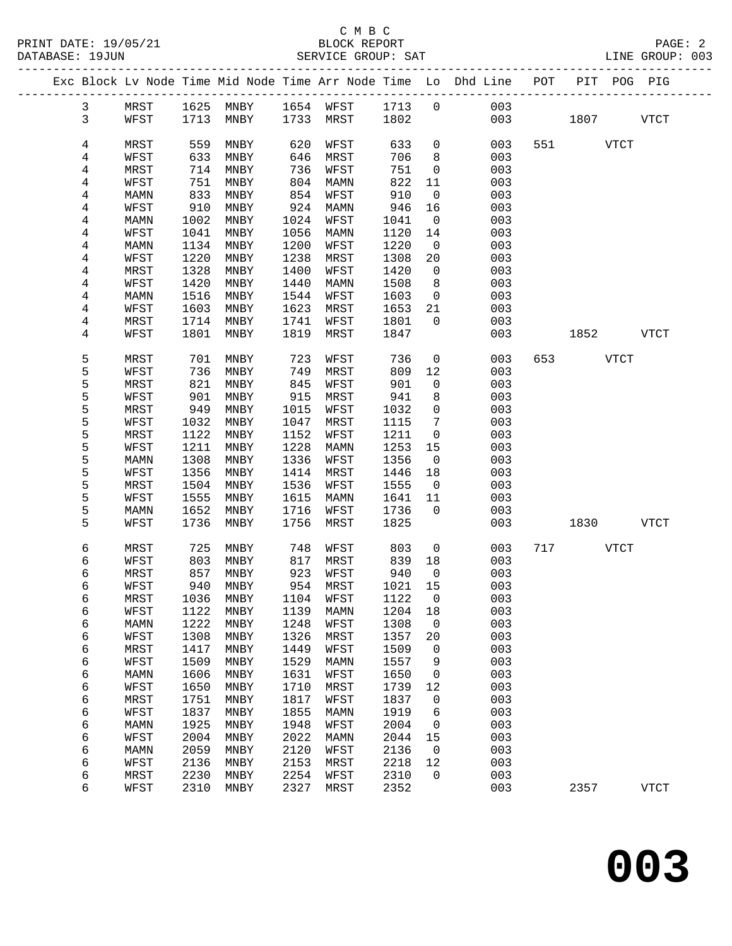#### C M B C<br>BLOCK REPORT DATABASE: 19JUN SERVICE GROUP: SAT LINE GROUP: 003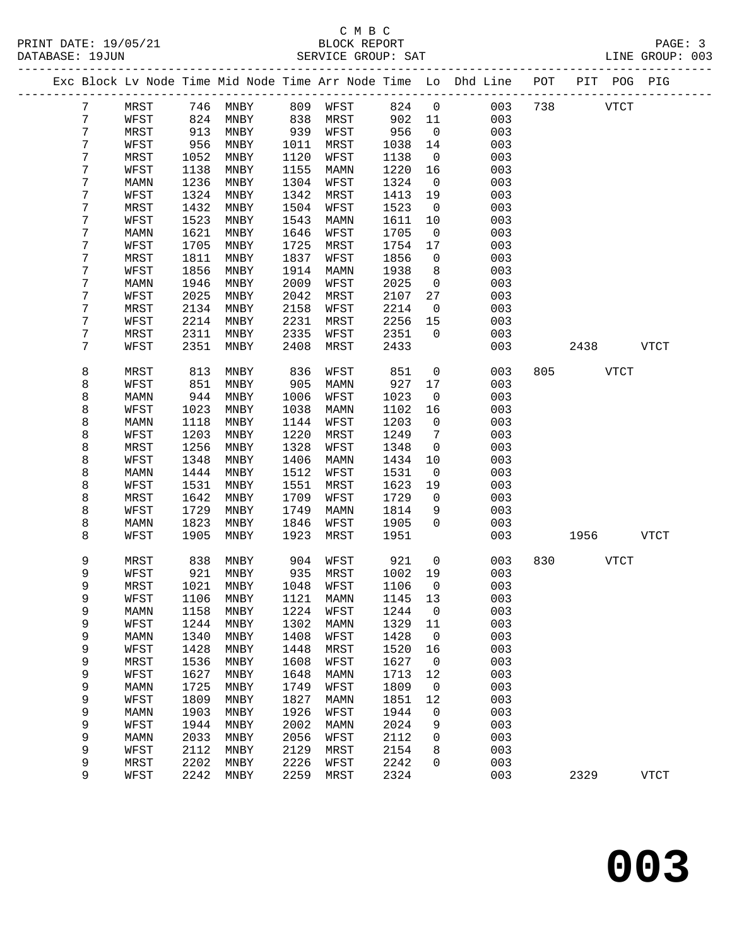#### C M B C<br>BLOCK REPORT PRINT DATE: 19/05/21 BLOCK REPORT PAGE: 3 SERVICE GROUP: SAT

|   |      |      |      |      |             |      | ----------   | Exc Block Lv Node Time Mid Node Time Arr Node Time Lo Dhd Line POT<br>___________ |     | PIT POG PIG |             |             |
|---|------|------|------|------|-------------|------|--------------|-----------------------------------------------------------------------------------|-----|-------------|-------------|-------------|
| 7 | MRST | 746  | MNBY | 809  | WFST        | 824  | $\mathsf 0$  | 003                                                                               | 738 |             | <b>VTCT</b> |             |
| 7 | WFST | 824  | MNBY | 838  | MRST        | 902  | 11           | 003                                                                               |     |             |             |             |
| 7 | MRST | 913  | MNBY | 939  | WFST        | 956  | $\mathsf{O}$ | 003                                                                               |     |             |             |             |
| 7 | WFST | 956  | MNBY | 1011 | MRST        | 1038 | 14           | 003                                                                               |     |             |             |             |
| 7 | MRST | 1052 | MNBY | 1120 | WFST        | 1138 | $\mathbf 0$  | 003                                                                               |     |             |             |             |
| 7 | WFST | 1138 | MNBY | 1155 | MAMN        | 1220 | 16           | 003                                                                               |     |             |             |             |
| 7 | MAMN | 1236 | MNBY | 1304 | WFST        | 1324 | $\mathbf 0$  | 003                                                                               |     |             |             |             |
| 7 | WFST | 1324 | MNBY | 1342 | MRST        | 1413 | 19           | 003                                                                               |     |             |             |             |
| 7 | MRST | 1432 | MNBY | 1504 | WFST        | 1523 | $\mathbf 0$  | 003                                                                               |     |             |             |             |
| 7 | WFST | 1523 | MNBY | 1543 | MAMN        | 1611 | 10           | 003                                                                               |     |             |             |             |
| 7 | MAMN | 1621 | MNBY | 1646 | WFST        | 1705 | 0            | 003                                                                               |     |             |             |             |
| 7 | WFST | 1705 | MNBY | 1725 | MRST        | 1754 | 17           | 003                                                                               |     |             |             |             |
| 7 | MRST | 1811 | MNBY | 1837 | WFST        | 1856 | $\mathsf{O}$ | 003                                                                               |     |             |             |             |
| 7 | WFST | 1856 | MNBY | 1914 | MAMN        | 1938 | 8            | 003                                                                               |     |             |             |             |
| 7 | MAMN | 1946 | MNBY | 2009 | WFST        | 2025 | $\mathsf{O}$ | 003                                                                               |     |             |             |             |
| 7 | WFST | 2025 | MNBY | 2042 | MRST        | 2107 | 27           | 003                                                                               |     |             |             |             |
| 7 | MRST | 2134 | MNBY | 2158 | WFST        | 2214 | $\mathsf{O}$ | 003                                                                               |     |             |             |             |
| 7 | WFST | 2214 | MNBY | 2231 | MRST        | 2256 | 15           | 003                                                                               |     |             |             |             |
| 7 | MRST | 2311 | MNBY | 2335 | WFST        | 2351 | $\Omega$     | 003                                                                               |     |             |             |             |
| 7 | WFST | 2351 | MNBY | 2408 | MRST        | 2433 |              | 003                                                                               |     | 2438        |             | <b>VTCT</b> |
| 8 | MRST | 813  | MNBY | 836  | WFST        | 851  | $\mathbf 0$  | 003                                                                               | 805 |             | <b>VTCT</b> |             |
| 8 | WFST | 851  | MNBY | 905  | MAMN        | 927  | 17           | 003                                                                               |     |             |             |             |
| 8 | MAMN | 944  | MNBY | 1006 | WFST        | 1023 | $\mathsf{O}$ | 003                                                                               |     |             |             |             |
| 8 | WFST | 1023 | MNBY | 1038 | MAMN        | 1102 | 16           | 003                                                                               |     |             |             |             |
| 8 | MAMN | 1118 | MNBY | 1144 | WFST        | 1203 | $\mathsf{O}$ | 003                                                                               |     |             |             |             |
| 8 | WFST | 1203 | MNBY | 1220 | MRST        | 1249 | 7            | 003                                                                               |     |             |             |             |
| 8 | MRST | 1256 | MNBY | 1328 | WFST        | 1348 | $\mathsf{O}$ | 003                                                                               |     |             |             |             |
| 8 | WFST | 1348 | MNBY | 1406 | MAMN        | 1434 | 10           | 003                                                                               |     |             |             |             |
| 8 | MAMN | 1444 | MNBY | 1512 | WFST        | 1531 | $\mathsf{O}$ | 003                                                                               |     |             |             |             |
| 8 | WFST | 1531 | MNBY | 1551 | MRST        | 1623 | 19           | 003                                                                               |     |             |             |             |
| 8 | MRST | 1642 | MNBY | 1709 | WFST        | 1729 | $\mathsf{O}$ | 003                                                                               |     |             |             |             |
| 8 | WFST | 1729 | MNBY | 1749 | MAMN        | 1814 | 9            | 003                                                                               |     |             |             |             |
| 8 | MAMN | 1823 | MNBY | 1846 | WFST        | 1905 | $\Omega$     | 003                                                                               |     |             |             |             |
| 8 | WFST | 1905 | MNBY | 1923 | MRST        | 1951 |              | 003                                                                               |     | 1956        |             | <b>VTCT</b> |
| 9 | MRST | 838  | MNBY | 904  | WFST        | 921  | $\mathsf{O}$ | 003                                                                               | 830 |             | <b>VTCT</b> |             |
| 9 | WFST | 921  | MNBY | 935  | MRST        | 1002 | 19           | 003                                                                               |     |             |             |             |
| 9 | MRST | 1021 | MNBY | 1048 | WFST        | 1106 | 0            | 003                                                                               |     |             |             |             |
| 9 | WFST | 1106 | MNBY | 1121 | MAMN        | 1145 | 13           | 003                                                                               |     |             |             |             |
| 9 | MAMN | 1158 | MNBY | 1224 | WFST        | 1244 | 0            | 003                                                                               |     |             |             |             |
| 9 | WFST | 1244 | MNBY | 1302 | MAMN        | 1329 | 11           | 003                                                                               |     |             |             |             |
| 9 | MAMN | 1340 | MNBY | 1408 | WFST        | 1428 | 0            | 003                                                                               |     |             |             |             |
| 9 | WFST | 1428 | MNBY | 1448 | MRST        | 1520 | 16           | 003                                                                               |     |             |             |             |
| 9 | MRST | 1536 | MNBY | 1608 | WFST        | 1627 | 0            | 003                                                                               |     |             |             |             |
| 9 | WFST | 1627 | MNBY | 1648 | <b>MAMN</b> | 1713 | 12           | 003                                                                               |     |             |             |             |
| 9 | MAMN | 1725 | MNBY | 1749 | WFST        | 1809 | 0            | 003                                                                               |     |             |             |             |
| 9 | WFST | 1809 | MNBY | 1827 | MAMN        | 1851 | 12           | 003                                                                               |     |             |             |             |
| 9 | MAMN | 1903 | MNBY | 1926 | WFST        | 1944 | 0            | 003                                                                               |     |             |             |             |
| 9 | WFST | 1944 | MNBY | 2002 | MAMN        | 2024 | 9            | 003                                                                               |     |             |             |             |
| 9 | MAMN | 2033 | MNBY | 2056 | WFST        | 2112 | 0            | 003                                                                               |     |             |             |             |
| 9 | WFST | 2112 | MNBY | 2129 | MRST        | 2154 | 8            | 003                                                                               |     |             |             |             |
| 9 | MRST | 2202 | MNBY | 2226 | WFST        | 2242 | 0            | 003                                                                               |     |             |             |             |
| 9 | WFST | 2242 | MNBY | 2259 | MRST        | 2324 |              | 003                                                                               |     | 2329        |             | <b>VTCT</b> |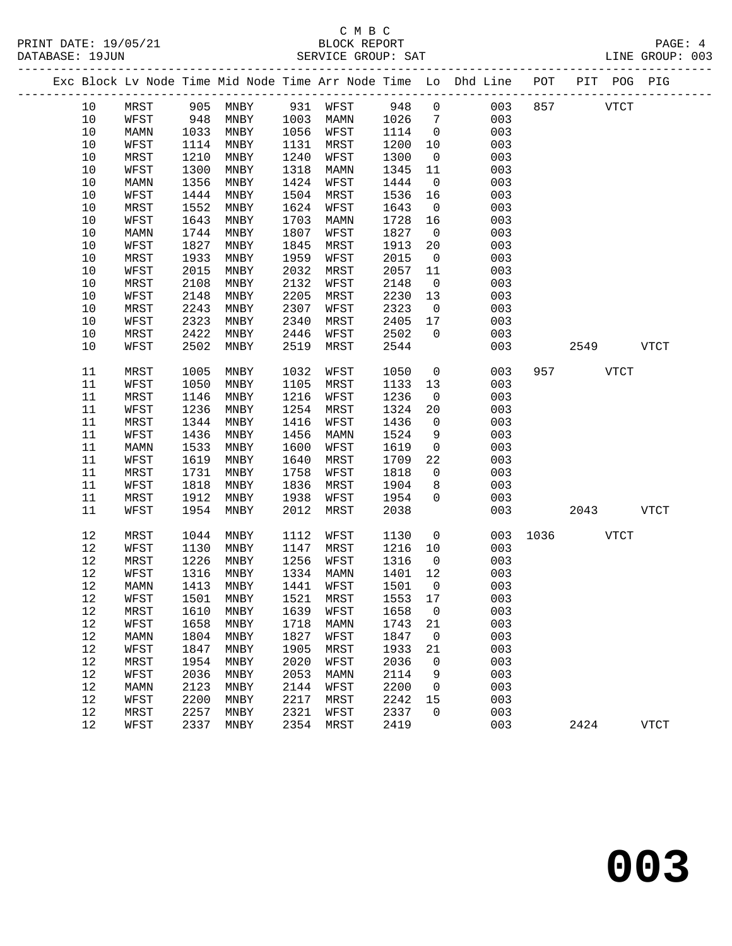#### C M B C<br>BLOCK REPORT PRINT DATE: 19/05/21 BLOCK REPORT PAGE: 4 SERVICE GROUP: SAT

|  |        |      |      |                     |      |                       |         |                         | Exc Block Lv Node Time Mid Node Time Arr Node Time Lo Dhd Line POT PIT POG PIG |               |             |             |
|--|--------|------|------|---------------------|------|-----------------------|---------|-------------------------|--------------------------------------------------------------------------------|---------------|-------------|-------------|
|  | 10     | MRST |      |                     |      | 905 MNBY 931 WFST 948 |         | $\overline{0}$          | 003                                                                            | 857           | <b>VTCT</b> |             |
|  | 10     | WFST | 948  | MNBY                |      | 1003 MAMN             | 1026    | $7\overline{ }$         | 003                                                                            |               |             |             |
|  | $10$   | MAMN | 1033 | MNBY                | 1056 | WFST                  | 1114    | $\overline{0}$          | 003                                                                            |               |             |             |
|  | $10$   | WFST | 1114 | MNBY                | 1131 | MRST                  | 1200    | 10                      | 003                                                                            |               |             |             |
|  | 10     | MRST | 1210 | MNBY                | 1240 | WFST                  | 1300    | $\overline{0}$          | 003                                                                            |               |             |             |
|  | $10$   | WFST | 1300 | MNBY                | 1318 | MAMN                  | 1345    | 11                      | 003                                                                            |               |             |             |
|  | $10$   | MAMN | 1356 | MNBY                | 1424 | WFST                  | 1444    | $\overline{0}$          | 003                                                                            |               |             |             |
|  | 10     | WFST | 1444 | MNBY                | 1504 | MRST                  | 1536    | 16                      | 003                                                                            |               |             |             |
|  | 10     | MRST | 1552 | MNBY                | 1624 | WFST                  | 1643    | $\overline{\mathbf{0}}$ | 003                                                                            |               |             |             |
|  | 10     | WFST | 1643 | MNBY                | 1703 | MAMN                  | 1728    | 16                      | 003                                                                            |               |             |             |
|  | $10$   | MAMN | 1744 | MNBY                | 1807 | WFST                  | 1827    | $\overline{\mathbf{0}}$ | 003                                                                            |               |             |             |
|  | 10     | WFST | 1827 | MNBY                | 1845 | MRST                  | 1913    | 20                      | 003                                                                            |               |             |             |
|  | 10     | MRST | 1933 | MNBY                | 1959 | WFST                  | 2015    | $\overline{0}$          | 003                                                                            |               |             |             |
|  | $10$   | WFST | 2015 | MNBY                | 2032 | MRST                  | 2057    | 11                      | 003                                                                            |               |             |             |
|  | 10     | MRST | 2108 | MNBY                | 2132 | WFST                  | 2148    | $\overline{0}$          | 003                                                                            |               |             |             |
|  | 10     | WFST | 2148 | MNBY                | 2205 | MRST                  | 2230    | 13                      | 003                                                                            |               |             |             |
|  | 10     | MRST | 2243 | MNBY                | 2307 | WFST                  | 2323    | $\overline{0}$          | 003                                                                            |               |             |             |
|  | 10     | WFST | 2323 | MNBY                | 2340 | MRST                  | 2405    | 17                      | 003                                                                            |               |             |             |
|  | 10     | MRST | 2422 | MNBY                | 2446 | WFST                  | 2502    | $\overline{0}$          | 003                                                                            |               |             |             |
|  | 10     | WFST | 2502 | MNBY                | 2519 | MRST                  | 2544    |                         | 003                                                                            |               | 2549 VTCT   |             |
|  |        |      |      |                     |      |                       |         |                         |                                                                                |               |             |             |
|  | 11     | MRST | 1005 | MNBY                | 1032 | WFST                  | 1050    | $\overline{0}$          | 003                                                                            |               | 957 VTCT    |             |
|  | 11     | WFST | 1050 | MNBY                | 1105 | MRST                  | 1133    | 13                      | 003                                                                            |               |             |             |
|  | $11\,$ | MRST | 1146 | MNBY                | 1216 | WFST                  | 1236    | $\overline{0}$          | 003                                                                            |               |             |             |
|  | 11     | WFST | 1236 | MNBY                | 1254 | MRST                  | 1324    | 20                      | 003                                                                            |               |             |             |
|  | 11     | MRST | 1344 | MNBY                | 1416 | WFST                  | 1436    | $\overline{0}$          | 003                                                                            |               |             |             |
|  | 11     | WFST | 1436 | MNBY                | 1456 | MAMN                  | 1524    | 9                       | 003                                                                            |               |             |             |
|  | 11     | MAMN | 1533 | MNBY                | 1600 | WFST                  | 1619    | $\overline{0}$          | 003                                                                            |               |             |             |
|  | 11     | WFST | 1619 | MNBY                | 1640 | MRST                  | 1709    | 22                      | 003                                                                            |               |             |             |
|  | 11     | MRST | 1731 | MNBY                | 1758 | WFST                  | 1818    | $\overline{0}$          | 003                                                                            |               |             |             |
|  | 11     | WFST | 1818 | MNBY                | 1836 | MRST                  | 1904    | 8                       | 003                                                                            |               |             |             |
|  | 11     | MRST | 1912 | MNBY                | 1938 | WFST                  | 1954    | $\mathsf{O}$            | 003                                                                            |               |             |             |
|  | 11     | WFST | 1954 | MNBY                | 2012 | MRST                  | 2038    |                         | 003                                                                            |               | 2043        | <b>VTCT</b> |
|  |        |      |      |                     |      |                       |         |                         |                                                                                |               |             |             |
|  | 12     | MRST | 1044 | MNBY                | 1112 | WFST                  | 1130    | $\overline{0}$          |                                                                                | 003 1036 VTCT |             |             |
|  | 12     | WFST | 1130 | MNBY                | 1147 | MRST                  | 1216    | 10                      | 003                                                                            |               |             |             |
|  | $12$   | MRST | 1226 | MNBY                | 1256 | WFST                  | 1316    | $\overline{0}$          | 003                                                                            |               |             |             |
|  | $12$   | WFST | 1316 | MNBY                |      | 1334 MAMN             | 1401    | 12                      | 003                                                                            |               |             |             |
|  | 12     | MAMN | 1413 | MNBY                | 1441 | WFST                  | 1501    | $\overline{0}$          | 003                                                                            |               |             |             |
|  | 12     | WFST |      | 1501 MNBY 1521 MRST |      |                       | 1553 17 |                         | 003                                                                            |               |             |             |
|  | 12     | MRST | 1610 | MNBY                | 1639 | WFST                  | 1658    | 0                       | 003                                                                            |               |             |             |
|  | $12$   | WFST | 1658 | MNBY                | 1718 | MAMN                  | 1743    | 21                      | 003                                                                            |               |             |             |
|  | 12     | MAMN | 1804 | MNBY                | 1827 | WFST                  | 1847    | $\overline{0}$          | 003                                                                            |               |             |             |
|  | 12     | WFST | 1847 | MNBY                | 1905 | MRST                  | 1933    | 21                      | 003                                                                            |               |             |             |
|  | $12$   | MRST | 1954 | MNBY                | 2020 | WFST                  | 2036    | 0                       | 003                                                                            |               |             |             |
|  | $1\,2$ | WFST | 2036 | MNBY                | 2053 | MAMN                  | 2114    | 9                       | 003                                                                            |               |             |             |
|  | 12     | MAMN | 2123 | MNBY                | 2144 | WFST                  | 2200    | $\overline{0}$          | 003                                                                            |               |             |             |
|  | 12     | WFST | 2200 | $\texttt{MNBY}$     | 2217 | MRST                  | 2242    | 15                      | 003                                                                            |               |             |             |
|  | 12     | MRST | 2257 | MNBY                | 2321 | WFST                  | 2337    | $\mathbf 0$             | 003                                                                            |               |             |             |
|  | 12     | WFST | 2337 | MNBY                | 2354 | MRST                  | 2419    |                         | 003                                                                            |               | 2424        | <b>VTCT</b> |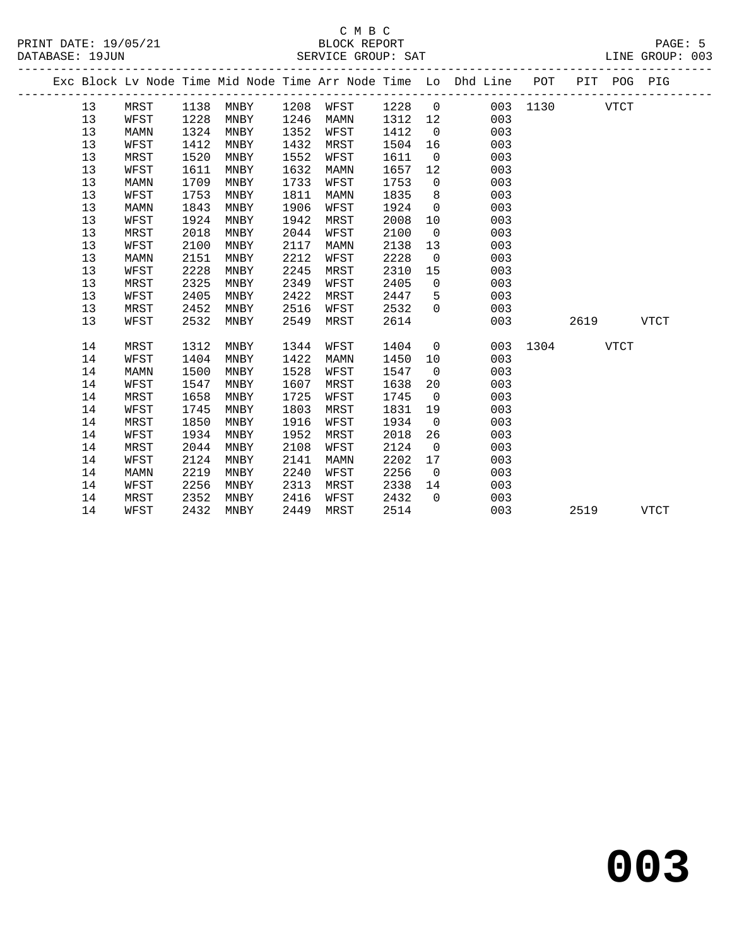|  |    |      |      |      |      |      |      |                | Exc Block Lv Node Time Mid Node Time Arr Node Time Lo Dhd Line POT |          |      | PIT POG PIG |             |
|--|----|------|------|------|------|------|------|----------------|--------------------------------------------------------------------|----------|------|-------------|-------------|
|  | 13 | MRST | 1138 | MNBY | 1208 | WFST | 1228 | $\overline{0}$ |                                                                    | 003 1130 |      | <b>VTCT</b> |             |
|  | 13 | WFST | 1228 | MNBY | 1246 | MAMN | 1312 | 12             | 003                                                                |          |      |             |             |
|  | 13 | MAMN | 1324 | MNBY | 1352 | WFST | 1412 | $\overline{0}$ | 003                                                                |          |      |             |             |
|  | 13 | WFST | 1412 | MNBY | 1432 | MRST | 1504 | 16             | 003                                                                |          |      |             |             |
|  | 13 | MRST | 1520 | MNBY | 1552 | WFST | 1611 | $\mathbf 0$    | 003                                                                |          |      |             |             |
|  | 13 | WFST | 1611 | MNBY | 1632 | MAMN | 1657 | 12             | 003                                                                |          |      |             |             |
|  | 13 | MAMN | 1709 | MNBY | 1733 | WFST | 1753 | $\mathsf{O}$   | 003                                                                |          |      |             |             |
|  | 13 | WFST | 1753 | MNBY | 1811 | MAMN | 1835 | 8              | 003                                                                |          |      |             |             |
|  | 13 | MAMN | 1843 | MNBY | 1906 | WFST | 1924 | $\overline{0}$ | 003                                                                |          |      |             |             |
|  | 13 | WFST | 1924 | MNBY | 1942 | MRST | 2008 | 10             | 003                                                                |          |      |             |             |
|  | 13 | MRST | 2018 | MNBY | 2044 | WFST | 2100 | $\mathbf 0$    | 003                                                                |          |      |             |             |
|  | 13 | WFST | 2100 | MNBY | 2117 | MAMN | 2138 | 13             | 003                                                                |          |      |             |             |
|  | 13 | MAMN | 2151 | MNBY | 2212 | WFST | 2228 | $\mathbf 0$    | 003                                                                |          |      |             |             |
|  | 13 | WFST | 2228 | MNBY | 2245 | MRST | 2310 | 15             | 003                                                                |          |      |             |             |
|  | 13 | MRST | 2325 | MNBY | 2349 | WFST | 2405 | $\mathbf 0$    | 003                                                                |          |      |             |             |
|  | 13 | WFST | 2405 | MNBY | 2422 | MRST | 2447 | 5              | 003                                                                |          |      |             |             |
|  | 13 | MRST | 2452 | MNBY | 2516 | WFST | 2532 | $\Omega$       | 003                                                                |          |      |             |             |
|  | 13 | WFST | 2532 | MNBY | 2549 | MRST | 2614 |                | 003                                                                |          | 2619 |             | <b>VTCT</b> |
|  | 14 | MRST | 1312 | MNBY | 1344 | WFST | 1404 | 0              | 003                                                                | 1304     |      | <b>VTCT</b> |             |
|  | 14 | WFST | 1404 | MNBY | 1422 | MAMN | 1450 | 10             | 003                                                                |          |      |             |             |
|  | 14 | MAMN | 1500 | MNBY | 1528 | WFST | 1547 | $\overline{0}$ | 003                                                                |          |      |             |             |
|  | 14 | WFST | 1547 | MNBY | 1607 | MRST | 1638 | 20             | 003                                                                |          |      |             |             |
|  | 14 | MRST | 1658 | MNBY | 1725 | WFST | 1745 | $\overline{0}$ | 003                                                                |          |      |             |             |
|  | 14 | WFST | 1745 | MNBY | 1803 | MRST | 1831 | 19             | 003                                                                |          |      |             |             |
|  | 14 | MRST | 1850 | MNBY | 1916 | WFST | 1934 | $\mathbf 0$    | 003                                                                |          |      |             |             |
|  | 14 | WFST | 1934 | MNBY | 1952 | MRST | 2018 | 26             | 003                                                                |          |      |             |             |
|  | 14 | MRST | 2044 | MNBY | 2108 | WFST | 2124 | 0              | 003                                                                |          |      |             |             |
|  | 14 | WFST | 2124 | MNBY | 2141 | MAMN | 2202 | 17             | 003                                                                |          |      |             |             |
|  | 14 | MAMN | 2219 | MNBY | 2240 | WFST | 2256 | $\mathbf 0$    | 003                                                                |          |      |             |             |
|  | 14 | WFST | 2256 | MNBY | 2313 | MRST | 2338 | 14             | 003                                                                |          |      |             |             |
|  | 14 | MRST | 2352 | MNBY | 2416 | WFST | 2432 | $\Omega$       | 003                                                                |          |      |             |             |
|  | 14 | WFST | 2432 | MNBY | 2449 | MRST | 2514 |                | 003                                                                |          | 2519 |             | <b>VTCT</b> |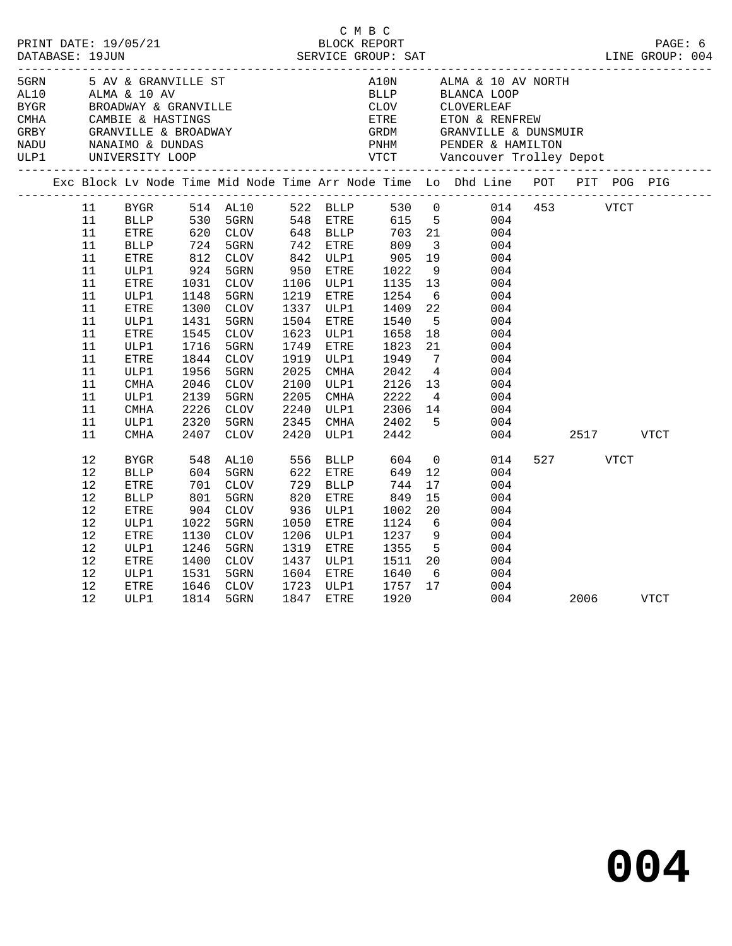| PRINT DATE: 19/05/21 |    |                     |            |                                                                              |                 | C M B C<br>BLOCK REPORT |                              |                                                                                                                                                                                                                                                                                                                                                                                     |                                                                                                            |     |          |      | PAGE: 6     |
|----------------------|----|---------------------|------------|------------------------------------------------------------------------------|-----------------|-------------------------|------------------------------|-------------------------------------------------------------------------------------------------------------------------------------------------------------------------------------------------------------------------------------------------------------------------------------------------------------------------------------------------------------------------------------|------------------------------------------------------------------------------------------------------------|-----|----------|------|-------------|
| DATABASE: 19JUN      |    |                     |            |                                                                              |                 |                         |                              |                                                                                                                                                                                                                                                                                                                                                                                     |                                                                                                            |     |          |      |             |
| 5GRN                 |    | 5 AV & GRANVILLE ST |            |                                                                              |                 |                         |                              |                                                                                                                                                                                                                                                                                                                                                                                     | A10N $\qquad$ ALMA & 10 AV NORTH                                                                           |     |          |      |             |
|                      |    |                     |            |                                                                              |                 |                         |                              |                                                                                                                                                                                                                                                                                                                                                                                     |                                                                                                            |     |          |      |             |
|                      |    |                     |            |                                                                              |                 |                         |                              |                                                                                                                                                                                                                                                                                                                                                                                     |                                                                                                            |     |          |      |             |
|                      |    |                     |            |                                                                              |                 |                         |                              |                                                                                                                                                                                                                                                                                                                                                                                     |                                                                                                            |     |          |      |             |
|                      |    |                     |            | CMHA CAMBIE & HASTINGS<br>GRBY GRANVILLE & BROADWAY<br>NADU NANAIMO & DUNDAS |                 |                         |                              |                                                                                                                                                                                                                                                                                                                                                                                     |                                                                                                            |     |          |      |             |
|                      |    |                     |            |                                                                              |                 |                         |                              |                                                                                                                                                                                                                                                                                                                                                                                     |                                                                                                            |     |          |      |             |
| ULP1                 |    | UNIVERSITY LOOP     |            |                                                                              |                 |                         |                              |                                                                                                                                                                                                                                                                                                                                                                                     | ETRE ETON & RENFREW<br>GRDM GRANVILLE & DUNSMUIR<br>PNHM PENDER & HAMILTON<br>VTCT Vancouver Trolley Depot |     |          |      |             |
|                      |    |                     |            |                                                                              |                 |                         |                              |                                                                                                                                                                                                                                                                                                                                                                                     | Exc Block Lv Node Time Mid Node Time Arr Node Time Lo Dhd Line POT PIT POG PIG                             |     |          |      |             |
|                      | 11 |                     |            |                                                                              |                 |                         |                              |                                                                                                                                                                                                                                                                                                                                                                                     | BYGR 514 AL10 522 BLLP 530 0 014 453 VTCT                                                                  |     |          |      |             |
|                      | 11 |                     |            |                                                                              |                 |                         |                              |                                                                                                                                                                                                                                                                                                                                                                                     | BLLP 530 5GRN 548 ETRE 615 5 004<br>ETRE 620 CLOV 648 BLLP 703 21 004                                      |     |          |      |             |
|                      | 11 |                     |            |                                                                              |                 |                         |                              |                                                                                                                                                                                                                                                                                                                                                                                     |                                                                                                            |     |          |      |             |
|                      | 11 | BLLP                |            | 724 5GRN<br>812 CLOV<br>924 5GRN                                             |                 | 742 ETRE                | 809                          | $\overline{\mathbf{3}}$                                                                                                                                                                                                                                                                                                                                                             | 004                                                                                                        |     |          |      |             |
|                      | 11 | ETRE                |            |                                                                              |                 | 842 ULP1                | 905<br>1022                  | 19                                                                                                                                                                                                                                                                                                                                                                                  | 004                                                                                                        |     |          |      |             |
|                      | 11 | ULP1                |            |                                                                              |                 | 950 ETRE                |                              |                                                                                                                                                                                                                                                                                                                                                                                     | 9<br>004                                                                                                   |     |          |      |             |
|                      | 11 | ETRE                | 1031       | <b>CLOV</b>                                                                  |                 | 1106 ULP1               | 1135                         | 13                                                                                                                                                                                                                                                                                                                                                                                  | 004                                                                                                        |     |          |      |             |
|                      | 11 | ULP1                | 1148       | 5GRN                                                                         |                 | 1219 ETRE               | 1254                         | $6\overline{6}$                                                                                                                                                                                                                                                                                                                                                                     | 004                                                                                                        |     |          |      |             |
|                      | 11 | ETRE                | 1300       | CLOV                                                                         |                 | 1337 ULP1               | 1409                         | 22                                                                                                                                                                                                                                                                                                                                                                                  | 004                                                                                                        |     |          |      |             |
|                      | 11 | ULP1                | 1431       | 5GRN                                                                         | 1504            | ETRE                    | 1540                         | 5 <sup>5</sup>                                                                                                                                                                                                                                                                                                                                                                      | 004                                                                                                        |     |          |      |             |
|                      | 11 | ETRE                | 1545       | CLOV                                                                         | 1623            | ULP1                    | 1658                         | 18                                                                                                                                                                                                                                                                                                                                                                                  | 004                                                                                                        |     |          |      |             |
|                      | 11 | ULP1                | 1716       | 5GRN                                                                         | 1749            | ETRE                    | 1823                         | 21                                                                                                                                                                                                                                                                                                                                                                                  | 004                                                                                                        |     |          |      |             |
|                      | 11 | ETRE                | 1844       | CLOV                                                                         | 1919            | ULP1                    | 1949                         | $\overline{7}$                                                                                                                                                                                                                                                                                                                                                                      | 004                                                                                                        |     |          |      |             |
|                      | 11 | ULP1                | 1956       | 5GRN                                                                         | 2025            | CMHA                    | 2042                         | $4\phantom{.0000}\phantom{.0000}\phantom{.0000}\phantom{.0000}\phantom{.0000}\phantom{.0000}\phantom{.0000}\phantom{.0000}\phantom{.0000}\phantom{.0000}\phantom{.0000}\phantom{.0000}\phantom{.0000}\phantom{.0000}\phantom{.0000}\phantom{.0000}\phantom{.0000}\phantom{.0000}\phantom{.0000}\phantom{.0000}\phantom{.0000}\phantom{.0000}\phantom{.0000}\phantom{.0000}\phantom$ | 004                                                                                                        |     |          |      |             |
|                      | 11 | CMHA                | 2046       | CLOV                                                                         | 2100            | ULP1                    | 2126                         | 13                                                                                                                                                                                                                                                                                                                                                                                  | 004                                                                                                        |     |          |      |             |
|                      | 11 | ULP1                | 2139       | 5GRN                                                                         | 2205            | CMHA                    | 2222                         | $4\overline{4}$                                                                                                                                                                                                                                                                                                                                                                     | 004                                                                                                        |     |          |      |             |
|                      | 11 | <b>CMHA</b>         | 2226       | CLOV                                                                         | 2240            | ULP1                    | 2306 14                      |                                                                                                                                                                                                                                                                                                                                                                                     | 004                                                                                                        |     |          |      |             |
|                      | 11 | ULP1                | 2320       | 5GRN                                                                         | 2345            | CMHA                    | 2402<br>2442                 | $5^{\circ}$                                                                                                                                                                                                                                                                                                                                                                         | 004                                                                                                        |     |          |      |             |
|                      | 11 | <b>CMHA</b>         |            | 2407 CLOV                                                                    |                 | 2420 ULP1               |                              |                                                                                                                                                                                                                                                                                                                                                                                     | 004                                                                                                        |     |          | 2517 | VTCT        |
|                      | 12 | BYGR                |            | 548 AL10<br>604 5GRN                                                         |                 |                         | 556 BLLP 604<br>622 ETRE 649 | $\overline{0}$                                                                                                                                                                                                                                                                                                                                                                      | 014                                                                                                        |     | 527 VTCT |      |             |
|                      | 12 | <b>BLLP</b>         |            |                                                                              |                 |                         | 649                          | 12                                                                                                                                                                                                                                                                                                                                                                                  | 004                                                                                                        |     |          |      |             |
|                      | 12 | ETRE                | 701<br>801 | CLOV                                                                         | $\frac{1}{820}$ | BLLP                    | 744                          | 17                                                                                                                                                                                                                                                                                                                                                                                  | 004                                                                                                        |     |          |      |             |
|                      | 12 | BLLP                |            | 5GRN                                                                         |                 | ETRE                    | 849                          | 15                                                                                                                                                                                                                                                                                                                                                                                  | 004                                                                                                        |     |          |      |             |
|                      | 12 | ETRE                | 904        | CLOV                                                                         |                 | 936 ULP1                | 1002                         | 20                                                                                                                                                                                                                                                                                                                                                                                  | 004                                                                                                        |     |          |      |             |
|                      | 12 | ULP1                | 1022       | 5GRN                                                                         | 1050            | ETRE                    | 1124                         | 6                                                                                                                                                                                                                                                                                                                                                                                   | 004                                                                                                        |     |          |      |             |
|                      | 12 | ETRE                | 1130       | CLOV                                                                         |                 | 1206 ULP1               | 1237                         | 9                                                                                                                                                                                                                                                                                                                                                                                   | 004                                                                                                        |     |          |      |             |
|                      | 12 | ULP1                | 1246       | 5GRN                                                                         | 1319            | ETRE                    | 1355                         | $5^{\circ}$                                                                                                                                                                                                                                                                                                                                                                         | 004                                                                                                        |     |          |      |             |
|                      | 12 | ETRE                | 1400       | CLOV                                                                         |                 | 1437 ULP1               | 1511 20                      |                                                                                                                                                                                                                                                                                                                                                                                     | 004                                                                                                        |     |          |      |             |
|                      | 12 | ULP1                | 1531       | 5GRN                                                                         |                 | 1604 ETRE               | 1640                         | 6                                                                                                                                                                                                                                                                                                                                                                                   | 004                                                                                                        |     |          |      |             |
|                      | 12 | ETRE                | 1646       | CLOV                                                                         |                 | 1723 ULP1               | 1757                         | 17                                                                                                                                                                                                                                                                                                                                                                                  | 004                                                                                                        |     |          |      |             |
|                      | 12 | ULP1                | 1814       | 5GRN                                                                         |                 | 1847 ETRE               | 1920                         |                                                                                                                                                                                                                                                                                                                                                                                     |                                                                                                            | 004 |          | 2006 | <b>VTCT</b> |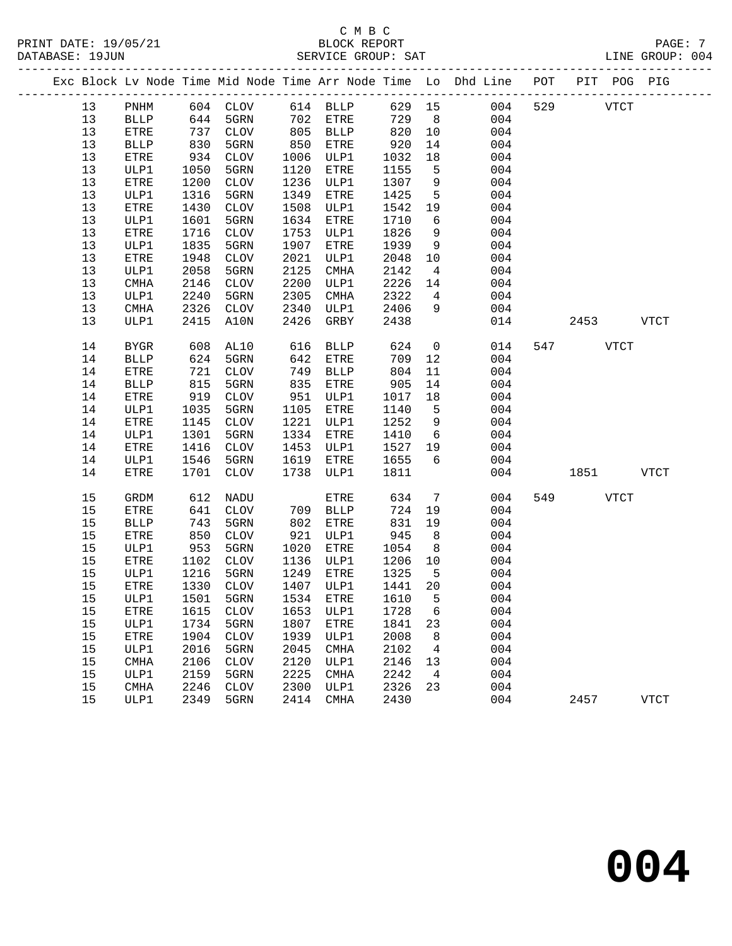|  |    |             |      |                   |      |                  |         |                | Exc Block Lv Node Time Mid Node Time Arr Node Time Lo Dhd Line POT PIT POG PIG |     |             |             |             |
|--|----|-------------|------|-------------------|------|------------------|---------|----------------|--------------------------------------------------------------------------------|-----|-------------|-------------|-------------|
|  | 13 | PNHM        |      | 604 CLOV 614 BLLP |      |                  | 629 15  |                | 004                                                                            | 529 | <b>VTCT</b> |             |             |
|  | 13 | BLLP        | 644  | 5GRN              |      | 702 ETRE         | 729     | 8 <sup>8</sup> | 004                                                                            |     |             |             |             |
|  | 13 | ETRE        | 737  | CLOV              |      | 805 BLLP         | 820     | 10             | 004                                                                            |     |             |             |             |
|  | 13 | <b>BLLP</b> | 830  | 5GRN              | 850  | ETRE             | 920     | 14             | 004                                                                            |     |             |             |             |
|  | 13 | ETRE        | 934  | CLOV              | 1006 | ULP1             | 1032    | 18             | 004                                                                            |     |             |             |             |
|  | 13 | ULP1        | 1050 | 5GRN              | 1120 | ETRE             | 1155    | 5              | 004                                                                            |     |             |             |             |
|  | 13 | ETRE        | 1200 | CLOV              | 1236 | ULP1             | 1307    | $\overline{9}$ | 004                                                                            |     |             |             |             |
|  | 13 | ULP1        | 1316 | 5GRN              | 1349 | ${\tt ETRE}$     | 1425    | $5^{\circ}$    | 004                                                                            |     |             |             |             |
|  | 13 | ETRE        | 1430 | CLOV              | 1508 | ULP1             | 1542    | 19             | 004                                                                            |     |             |             |             |
|  | 13 | ULP1        | 1601 | 5GRN              | 1634 | ETRE             | 1710    | 6              | 004                                                                            |     |             |             |             |
|  | 13 | ETRE        | 1716 | CLOV              | 1753 | ULP1             | 1826    | 9              | 004                                                                            |     |             |             |             |
|  | 13 | ULP1        | 1835 | 5GRN              | 1907 | ETRE             | 1939    | 9              | 004                                                                            |     |             |             |             |
|  | 13 | ETRE        | 1948 | CLOV              | 2021 | ULP1             | 2048    | 10             | 004                                                                            |     |             |             |             |
|  | 13 | ULP1        | 2058 | 5GRN              | 2125 | CMHA             | 2142    | $\overline{4}$ | 004                                                                            |     |             |             |             |
|  | 13 | CMHA        | 2146 | CLOV              | 2200 | ULP1             | 2226    | 14             | 004                                                                            |     |             |             |             |
|  | 13 | ULP1        | 2240 | 5GRN              | 2305 | CMHA             | 2322    | $\overline{4}$ | 004                                                                            |     |             |             |             |
|  | 13 | CMHA        | 2326 | <b>CLOV</b>       | 2340 | ULP1             | 2406    | 9              | 004                                                                            |     |             |             |             |
|  | 13 | ULP1        | 2415 | A10N              | 2426 | GRBY             | 2438    |                | 014                                                                            |     | 2453        |             | VTCT        |
|  | 14 | BYGR        | 608  | AL10              | 616  | <b>BLLP</b>      | 624     | $\overline{0}$ | 014                                                                            |     | 547 VTCT    |             |             |
|  | 14 | BLLP        | 624  | 5GRN              | 642  | ETRE             | 709     | 12             | 004                                                                            |     |             |             |             |
|  | 14 | ETRE        | 721  | CLOV              | 749  | BLLP             | 804     | 11             | 004                                                                            |     |             |             |             |
|  | 14 | <b>BLLP</b> | 815  | 5GRN              | 835  | ETRE             | 905     | 14             | 004                                                                            |     |             |             |             |
|  | 14 | ETRE        | 919  | CLOV              | 951  | ULP1             | 1017    | 18             | 004                                                                            |     |             |             |             |
|  | 14 | ULP1        | 1035 | 5GRN              | 1105 | ETRE             | 1140    | 5              | 004                                                                            |     |             |             |             |
|  | 14 | ETRE        | 1145 | CLOV              | 1221 | ULP1             | 1252    | 9              | 004                                                                            |     |             |             |             |
|  | 14 | ULP1        | 1301 | 5GRN              | 1334 | ETRE             | 1410    | 6              | 004                                                                            |     |             |             |             |
|  | 14 | ETRE        | 1416 | CLOV              | 1453 | ULP1             | 1527    | 19             | 004                                                                            |     |             |             |             |
|  | 14 | ULP1        | 1546 | 5GRN              | 1619 | ETRE             | 1655    | 6              | 004                                                                            |     |             |             |             |
|  | 14 | ETRE        |      | 1701 CLOV         | 1738 | ULP1             | 1811    |                | 004                                                                            |     | 1851 18     |             | VTCT        |
|  | 15 | GRDM        | 612  | NADU              |      | ETRE             | 634     | $\overline{7}$ | 004                                                                            |     | 549         | <b>VTCT</b> |             |
|  | 15 | ETRE        | 641  | CLOV              |      | 709 BLLP         | 724     | 19             | 004                                                                            |     |             |             |             |
|  | 15 | <b>BLLP</b> | 743  | 5GRN              | 802  | ETRE             | 831     | 19             | 004                                                                            |     |             |             |             |
|  | 15 | ETRE        | 850  | CLOV              | 921  | ULP1             | 945     | 8 <sup>8</sup> | 004                                                                            |     |             |             |             |
|  | 15 | ULP1        | 953  | 5GRN              | 1020 | ETRE             | 1054    | 8 <sup>8</sup> | 004                                                                            |     |             |             |             |
|  | 15 | ETRE        | 1102 | CLOV              | 1136 | ULP1             | 1206    | 10             | 004                                                                            |     |             |             |             |
|  | 15 | ULP1        | 1216 | 5GRN              | 1249 | ETRE             | 1325    | $-5$           | 004                                                                            |     |             |             |             |
|  | 15 | ETRE        | 1330 | CLOV              | 1407 | ULP1             | 1441 20 |                | 004                                                                            |     |             |             |             |
|  | 15 | ULP1 1501   |      | 5GRN              |      | 1534 ETRE 1610 5 |         |                | 004                                                                            |     |             |             |             |
|  | 15 | ETRE        | 1615 | <b>CLOV</b>       | 1653 | ULP1             | 1728    | 6              | 004                                                                            |     |             |             |             |
|  | 15 | ULP1        | 1734 | 5GRN              | 1807 | ETRE             | 1841    | 23             | 004                                                                            |     |             |             |             |
|  | 15 | ETRE        | 1904 | CLOV              | 1939 | ULP1             | 2008    | 8              | 004                                                                            |     |             |             |             |
|  | 15 | ULP1        | 2016 | 5GRN              | 2045 | CMHA             | 2102    | 4              | 004                                                                            |     |             |             |             |
|  | 15 | CMHA        | 2106 | <b>CLOV</b>       | 2120 | ULP1             | 2146    | 13             | 004                                                                            |     |             |             |             |
|  | 15 | ULP1        | 2159 | 5GRN              | 2225 | CMHA             | 2242    | $\overline{4}$ | 004                                                                            |     |             |             |             |
|  | 15 | CMHA        | 2246 | <b>CLOV</b>       | 2300 | ULP1             | 2326    | 23             | 004                                                                            |     |             |             |             |
|  | 15 | ULP1        | 2349 | 5GRN              | 2414 | CMHA             | 2430    |                | 004                                                                            |     | 2457        |             | <b>VTCT</b> |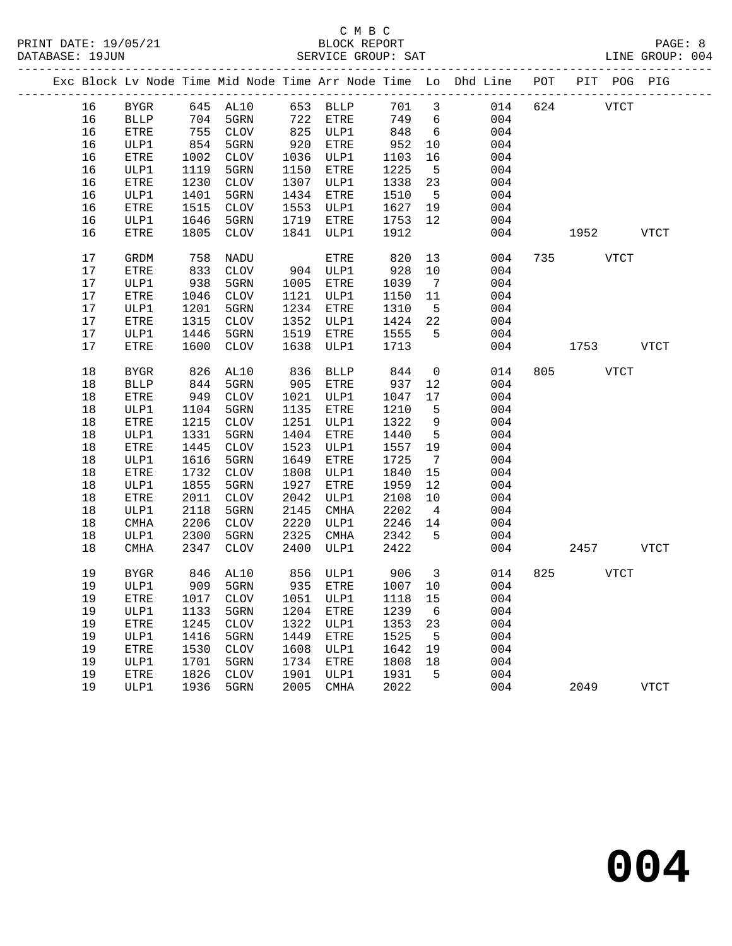# C M B C<br>BLOCK REPORT

LINE GROUP: 004

|  |    |              |      |                                     |      |             |         |                         | Exc Block Lv Node Time Mid Node Time Arr Node Time Lo Dhd Line POT |     | PIT POG PIG |             |
|--|----|--------------|------|-------------------------------------|------|-------------|---------|-------------------------|--------------------------------------------------------------------|-----|-------------|-------------|
|  | 16 | <b>BYGR</b>  |      | 645 AL10                            |      | 653 BLLP    | 701 3   |                         | 014                                                                | 624 | <b>VTCT</b> |             |
|  | 16 | <b>BLLP</b>  | 704  | 5GRN                                | 722  | ETRE        | 749     | $6\overline{6}$         | 004                                                                |     |             |             |
|  | 16 | ETRE         | 755  | CLOV                                | 825  | ULP1        | 848     | 6                       | 004                                                                |     |             |             |
|  | 16 | ULP1         | 854  | 5GRN                                | 920  | ETRE        | 952     | 10                      | 004                                                                |     |             |             |
|  | 16 | ETRE         | 1002 | CLOV                                | 1036 | ULP1        | 1103    | 16                      | 004                                                                |     |             |             |
|  | 16 | ULP1         | 1119 | 5GRN                                | 1150 | ETRE        | 1225    | $5^{\circ}$             | 004                                                                |     |             |             |
|  | 16 | ${\tt ETRE}$ | 1230 | CLOV                                | 1307 | ULP1        | 1338    | 23                      | 004                                                                |     |             |             |
|  | 16 | ULP1         | 1401 | 5GRN                                | 1434 | ETRE        | 1510    | $-5$                    | 004                                                                |     |             |             |
|  | 16 | ETRE         | 1515 | CLOV                                | 1553 | ULP1        | 1627    | 19                      | 004                                                                |     |             |             |
|  | 16 | ULP1         | 1646 | 5GRN                                | 1719 | ETRE        | 1753    | 12                      | 004                                                                |     |             |             |
|  | 16 | ETRE         | 1805 | CLOV                                | 1841 | ULP1        | 1912    |                         | 004                                                                |     | 1952        | VTCT        |
|  | 17 | GRDM         | 758  | NADU                                |      | ETRE        | 820     | 13                      | 004                                                                |     | 735 VTCT    |             |
|  | 17 | ETRE         | 833  | CLOV                                |      | 904 ULP1    | 928     | 10                      | 004                                                                |     |             |             |
|  | 17 | ULP1         | 938  | 5GRN                                | 1005 | ETRE        | 1039    | $\overline{7}$          | 004                                                                |     |             |             |
|  | 17 | ${\tt ETRE}$ | 1046 | CLOV                                | 1121 | ULP1        | 1150    | 11                      | 004                                                                |     |             |             |
|  | 17 | ULP1         | 1201 | 5GRN                                | 1234 | ETRE        | 1310    | $5^{\circ}$             | 004                                                                |     |             |             |
|  | 17 | ETRE         | 1315 | CLOV                                | 1352 | ULP1        | 1424    | 22                      | 004                                                                |     |             |             |
|  | 17 | ULP1         | 1446 | 5GRN                                | 1519 | ETRE        | 1555    | $5^{\circ}$             | 004                                                                |     |             |             |
|  | 17 | ETRE         | 1600 | CLOV                                | 1638 | ULP1        | 1713    |                         | 004                                                                |     | 1753        | <b>VTCT</b> |
|  | 18 | <b>BYGR</b>  | 826  | AL10                                | 836  | BLLP        | 844     | $\overline{0}$          | 014                                                                |     | 805 VTCT    |             |
|  | 18 | <b>BLLP</b>  | 844  | 5GRN                                | 905  | ETRE        | 937     | 12                      | 004                                                                |     |             |             |
|  | 18 | ${\tt ETRE}$ | 949  | CLOV                                | 1021 | ULP1        | 1047    | 17                      | 004                                                                |     |             |             |
|  | 18 | ULP1         | 1104 | 5GRN                                | 1135 | ETRE        | 1210    | $5^{\circ}$             | 004                                                                |     |             |             |
|  | 18 | ${\tt ETRE}$ | 1215 | CLOV                                | 1251 | ULP1        | 1322    | 9                       | 004                                                                |     |             |             |
|  | 18 | ULP1         | 1331 | 5GRN                                | 1404 | ETRE        | 1440    | $5^{\circ}$             | 004                                                                |     |             |             |
|  | 18 | ${\tt ETRE}$ | 1445 | CLOV                                | 1523 | ULP1        | 1557    | 19                      | 004                                                                |     |             |             |
|  | 18 | ULP1         | 1616 | 5GRN                                | 1649 | ETRE        | 1725    | $\overline{7}$          | 004                                                                |     |             |             |
|  | 18 | ETRE         | 1732 | CLOV                                | 1808 | ULP1        | 1840    | 15                      | 004                                                                |     |             |             |
|  | 18 | ULP1         | 1855 | 5GRN                                | 1927 | ETRE        | 1959    | 12                      | 004                                                                |     |             |             |
|  | 18 | ${\tt ETRE}$ | 2011 | CLOV                                | 2042 | ULP1        | 2108    | 10                      | 004                                                                |     |             |             |
|  | 18 | ULP1         | 2118 | 5GRN                                | 2145 | CMHA        | 2202    | $\overline{4}$          | 004                                                                |     |             |             |
|  | 18 | CMHA         | 2206 | CLOV                                | 2220 | ULP1        | 2246    | 14                      | 004                                                                |     |             |             |
|  | 18 | ULP1         | 2300 | 5GRN                                | 2325 | CMHA        | 2342    | $-5$                    | 004                                                                |     |             |             |
|  | 18 | CMHA         | 2347 | CLOV                                | 2400 | ULP1        | 2422    |                         | 004                                                                |     | 2457        | <b>VTCT</b> |
|  | 19 | <b>BYGR</b>  | 846  | AL10                                |      | 856 ULP1    | 906     | $\overline{\mathbf{3}}$ | 014                                                                |     | 825 VTCT    |             |
|  | 19 | ULP1         |      | 909 5GRN                            |      | 935 ETRE    | 1007 10 |                         | 004                                                                |     |             |             |
|  |    |              |      | 19 ETRE 1017 CLOV 1051 ULP1 1118 15 |      |             |         |                         | 004                                                                |     |             |             |
|  | 19 | ULP1         | 1133 | 5GRN                                | 1204 | ETRE        | 1239    | 6                       | 004                                                                |     |             |             |
|  | 19 | ETRE         | 1245 | <b>CLOV</b>                         | 1322 | ULP1        | 1353    | 23                      | 004                                                                |     |             |             |
|  | 19 | ULP1         | 1416 | 5GRN                                | 1449 | ETRE        | 1525    | 5                       | 004                                                                |     |             |             |
|  | 19 | ETRE         | 1530 | <b>CLOV</b>                         | 1608 | ULP1        | 1642    | 19                      | 004                                                                |     |             |             |
|  | 19 | ULP1         | 1701 | 5GRN                                | 1734 | ETRE        | 1808    | 18                      | 004                                                                |     |             |             |
|  | 19 | ETRE         | 1826 | <b>CLOV</b>                         | 1901 | ULP1        | 1931    | 5                       | 004                                                                |     |             |             |
|  | 19 | ULP1         | 1936 | 5GRN                                | 2005 | <b>CMHA</b> | 2022    |                         | 004                                                                |     | 2049        | <b>VTCT</b> |
|  |    |              |      |                                     |      |             |         |                         |                                                                    |     |             |             |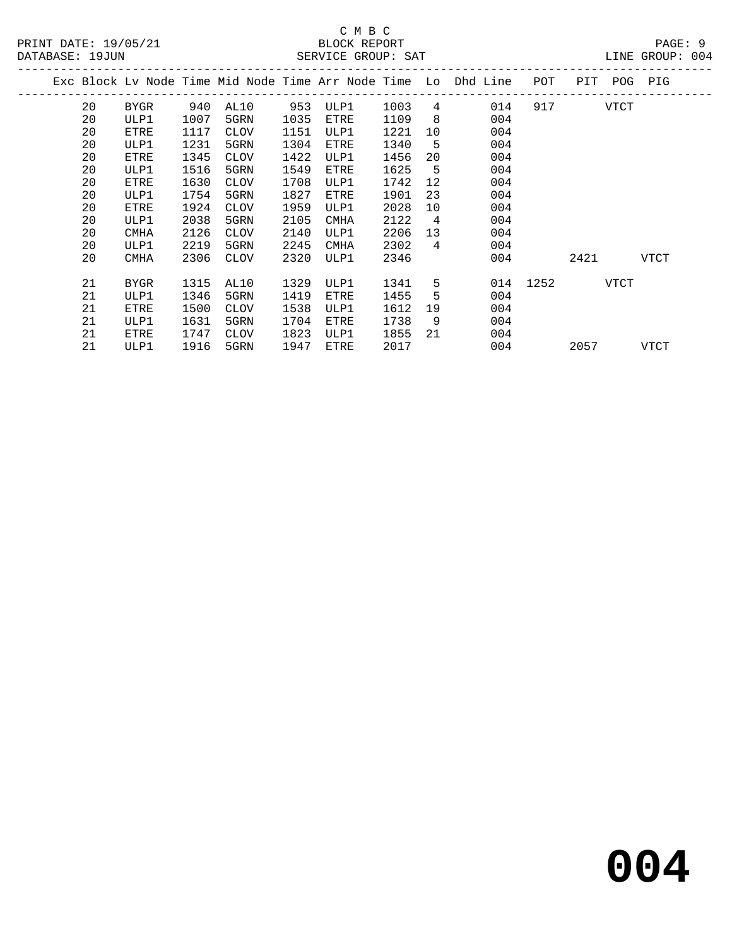|  |    |             |      |             |      |             |      |                | Exc Block Lv Node Time Mid Node Time Arr Node Time Lo Dhd Line | POT      | PIT  | POG  | PIG         |  |
|--|----|-------------|------|-------------|------|-------------|------|----------------|----------------------------------------------------------------|----------|------|------|-------------|--|
|  | 20 | BYGR        | 940  | AL10        | 953  | ULP1        | 1003 | 4              | 014                                                            | 917      |      | VTCT |             |  |
|  | 20 | ULP1        | 1007 | 5GRN        | 1035 | ETRE        | 1109 | 8              | 004                                                            |          |      |      |             |  |
|  | 20 | ETRE        | 1117 | <b>CLOV</b> | 1151 | ULP1        | 1221 | 10             | 004                                                            |          |      |      |             |  |
|  | 20 | ULP1        | 1231 | 5GRN        | 1304 | ETRE        | 1340 | -5             | 004                                                            |          |      |      |             |  |
|  | 20 | ETRE        | 1345 | <b>CLOV</b> | 1422 | ULP1        | 1456 | 20             | 004                                                            |          |      |      |             |  |
|  | 20 | ULP1        | 1516 | 5GRN        | 1549 | ETRE        | 1625 | 5              | 004                                                            |          |      |      |             |  |
|  | 20 | ETRE        | 1630 | <b>CLOV</b> | 1708 | ULP1        | 1742 | 12             | 004                                                            |          |      |      |             |  |
|  | 20 | ULP1        | 1754 | 5GRN        | 1827 | ETRE        | 1901 | 23             | 004                                                            |          |      |      |             |  |
|  | 20 | ETRE        | 1924 | <b>CLOV</b> | 1959 | ULP1        | 2028 | 10             | 004                                                            |          |      |      |             |  |
|  | 20 | ULP1        | 2038 | 5GRN        | 2105 | <b>CMHA</b> | 2122 | $\overline{4}$ | 004                                                            |          |      |      |             |  |
|  | 20 | <b>CMHA</b> | 2126 | <b>CLOV</b> | 2140 | ULP1        | 2206 | 13             | 004                                                            |          |      |      |             |  |
|  | 20 | ULP1        | 2219 | 5GRN        | 2245 | <b>CMHA</b> | 2302 | 4              | 004                                                            |          |      |      |             |  |
|  | 20 | <b>CMHA</b> | 2306 | CLOV        | 2320 | ULP1        | 2346 |                | 004                                                            |          | 2421 |      | VTCT        |  |
|  |    |             |      |             |      |             |      |                |                                                                |          |      |      |             |  |
|  | 21 | <b>BYGR</b> | 1315 | AL10        | 1329 | ULP1        | 1341 | 5              |                                                                | 014 1252 |      | VTCT |             |  |
|  | 21 | ULP1        | 1346 | 5GRN        | 1419 | ETRE        | 1455 | 5              | 004                                                            |          |      |      |             |  |
|  | 21 | ETRE        | 1500 | <b>CLOV</b> | 1538 | ULP1        | 1612 | 19             | 004                                                            |          |      |      |             |  |
|  | 21 | ULP1        | 1631 | 5GRN        | 1704 | ETRE        | 1738 | 9              | 004                                                            |          |      |      |             |  |
|  | 21 | ETRE        | 1747 | <b>CLOV</b> | 1823 | ULP1        | 1855 | 21             | 004                                                            |          |      |      |             |  |
|  | 21 | ULP1        | 1916 | 5GRN        | 1947 | ETRE        | 2017 |                | 004                                                            |          | 2057 |      | <b>VTCT</b> |  |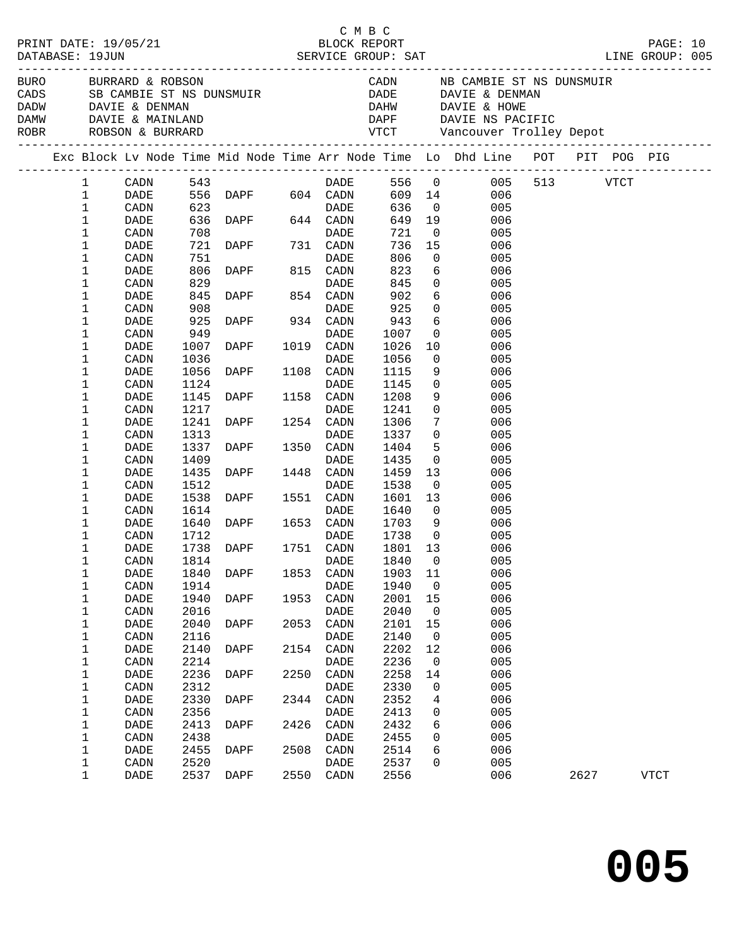| BURO |                                 | BURRARD & ROBSON<br>CADS SB CAMBIE ST NS<br>DADW DAVIE & DENMAN<br>ROBR ROBSON & BURRARD |                      | BURRARD & ROBSON<br>SB CAMBIE ST NS DUNSMUIR<br>DAMW DAVIE & MAINLAND |      |                                 |                                   |                                        | CADN NB CAMBIE ST NS DUNSMUIR<br>DADE DAVIE & DENMAN<br>DAHW DAVIE & HOWE<br>DAPF DAVIE NS PACIFIC |      |      |  |
|------|---------------------------------|------------------------------------------------------------------------------------------|----------------------|-----------------------------------------------------------------------|------|---------------------------------|-----------------------------------|----------------------------------------|----------------------------------------------------------------------------------------------------|------|------|--|
|      |                                 |                                                                                          |                      |                                                                       |      |                                 |                                   |                                        | Exc Block Lv Node Time Mid Node Time Arr Node Time Lo Dhd Line POT PIT POG PIG                     |      |      |  |
|      | $\mathbf{1}$<br>1               | CADN<br>DADE                                                                             |                      | دء ب<br>556 DAPF 604 CADN<br>623                                      |      | <b>DADE</b>                     | 609 14                            |                                        | 556 0 005 513 VTCT<br>006                                                                          |      |      |  |
|      | $\mathbf 1$<br>1                | CADN<br>DADE                                                                             |                      |                                                                       |      |                                 | 636<br>649                        | $\overline{0}$<br>19                   | 005<br>006                                                                                         |      |      |  |
|      | 1<br>1                          | CADN<br>DADE                                                                             | 708<br>721           | DADE<br>DAPF 731 CADN                                                 |      | DADE                            | 721<br>736<br>806                 | $\overline{0}$<br>15<br>$\overline{0}$ | 005<br>006                                                                                         |      |      |  |
|      | $\mathbf 1$<br>1<br>$\mathbf 1$ | CADN<br>DADE<br>CADN                                                                     | 751<br>806<br>829    | <b>DAPF</b>                                                           |      | DADE<br>815 CADN<br><b>DADE</b> | 823<br>845                        | 6<br>$\overline{0}$                    | 005<br>006<br>005                                                                                  |      |      |  |
|      | 1<br>$\mathbf 1$                | DADE<br>CADN                                                                             | 845<br>908           | DAPF 854 CADN                                                         |      | DADE                            | 902<br>925                        | 6<br>$\mathsf{O}$                      | 006<br>005                                                                                         |      |      |  |
|      | 1<br>$\mathbf 1$                | DADE<br>CADN                                                                             | 925<br>949           | DAPF 934 CADN                                                         |      | DADE                            | 943<br>1007                       | 6<br>$\mathbf 0$                       | 006<br>005                                                                                         |      |      |  |
|      | 1<br>1                          | DADE<br>CADN                                                                             | 1007<br>1036<br>1056 | DAPF                                                                  |      | 1019 CADN<br><b>DADE</b>        | 1026<br>1056                      | 10<br>$\overline{0}$                   | 006<br>005<br>006                                                                                  |      |      |  |
|      | 1<br>$\mathbf 1$<br>1           | DADE<br>CADN<br>DADE                                                                     | 1124<br>1145         | DAPF<br><b>DAPF</b>                                                   |      | 1108 CADN<br>DADE<br>1158 CADN  | 1115<br>1145<br>1208              | 9<br>$\overline{0}$<br>9               | 005<br>006                                                                                         |      |      |  |
|      | 1<br>1                          | CADN<br>DADE                                                                             | 1217<br>1241         | DAPF                                                                  |      | DADE<br>1254 CADN               | 1241<br>1306                      | $\mathsf{O}$<br>$7\phantom{.0}$        | 005<br>006                                                                                         |      |      |  |
|      | 1<br>1                          | CADN<br>DADE                                                                             | 1313<br>1337         | DAPF                                                                  |      | DADE<br>1350 CADN               | 1337<br>1404                      | $\overline{0}$<br>5                    | 005<br>006                                                                                         |      |      |  |
|      | 1<br>1<br>1                     | CADN<br>DADE<br>CADN                                                                     | 1409<br>1435<br>1512 | DAPF                                                                  |      | DADE<br>1448 CADN<br>DADE       | 1435<br>1459<br>1538              | $\overline{0}$<br>13<br>$\overline{0}$ | 005<br>006<br>005                                                                                  |      |      |  |
|      | 1<br>1                          | DADE<br>CADN                                                                             | 1538<br>1614         | DAPF                                                                  |      | 1551 CADN<br>DADE               | 1601<br>1640                      | 13<br>$\mathbf{0}$                     | 006<br>005                                                                                         |      |      |  |
|      | $\mathbf 1$<br>1                | DADE<br>CADN                                                                             | 1640<br>1712         | <b>DAPF</b>                                                           |      | 1653 CADN<br>DADE               | 1703<br>1738                      | 9<br>$\overline{0}$                    | 006<br>005                                                                                         |      |      |  |
|      | 1<br>1                          | DADE<br>CADN                                                                             | 1738<br>1814         | DAPF 1751 CADN                                                        |      | DADE                            | 1801<br>1840                      | 13<br>$\overline{0}$                   | 006<br>005                                                                                         |      |      |  |
|      | 1<br>1<br>$\mathbf 1$           | DADE<br>CADN<br>DADE                                                                     | 1914<br>1940         | 1840 DAPF<br>DAPF                                                     | 1953 | DADE<br>CADN                    | 1853 CADN 1903 11<br>1940<br>2001 | 0<br>15                                | 006<br>005<br>006                                                                                  |      |      |  |
|      | 1<br>1                          | CADN<br>DADE                                                                             | 2016<br>2040         | DAPF                                                                  | 2053 | DADE<br>CADN                    | 2040<br>2101                      | 0<br>15                                | 005<br>006                                                                                         |      |      |  |
|      | 1<br>$\mathbf 1$                | CADN<br>DADE                                                                             | 2116<br>2140         | <b>DAPF</b>                                                           | 2154 | DADE<br>CADN                    | 2140<br>2202                      | 0<br>12                                | 005<br>006                                                                                         |      |      |  |
|      | 1<br>1                          | CADN<br>DADE                                                                             | 2214<br>2236         | DAPF                                                                  | 2250 | DADE<br>CADN                    | 2236<br>2258                      | 0<br>14                                | 005<br>006                                                                                         |      |      |  |
|      | 1<br>1<br>1                     | CADN<br>DADE<br>CADN                                                                     | 2312<br>2330<br>2356 | DAPF                                                                  | 2344 | DADE<br>CADN<br>DADE            | 2330<br>2352<br>2413              | 0<br>4<br>0                            | 005<br>006<br>005                                                                                  |      |      |  |
|      | 1<br>1                          | DADE<br>CADN                                                                             | 2413<br>2438         | DAPF                                                                  | 2426 | CADN<br>DADE                    | 2432<br>2455                      | 6<br>0                                 | 006<br>005                                                                                         |      |      |  |
|      | $\mathbf 1$<br>1                | DADE<br>CADN                                                                             | 2455<br>2520         | DAPF                                                                  | 2508 | CADN<br>DADE                    | 2514<br>2537                      | 6<br>0                                 | 006<br>005                                                                                         |      |      |  |
|      | $\mathbf 1$                     | DADE                                                                                     | 2537                 | DAPF                                                                  | 2550 | CADN                            | 2556                              |                                        | 006                                                                                                | 2627 | VTCT |  |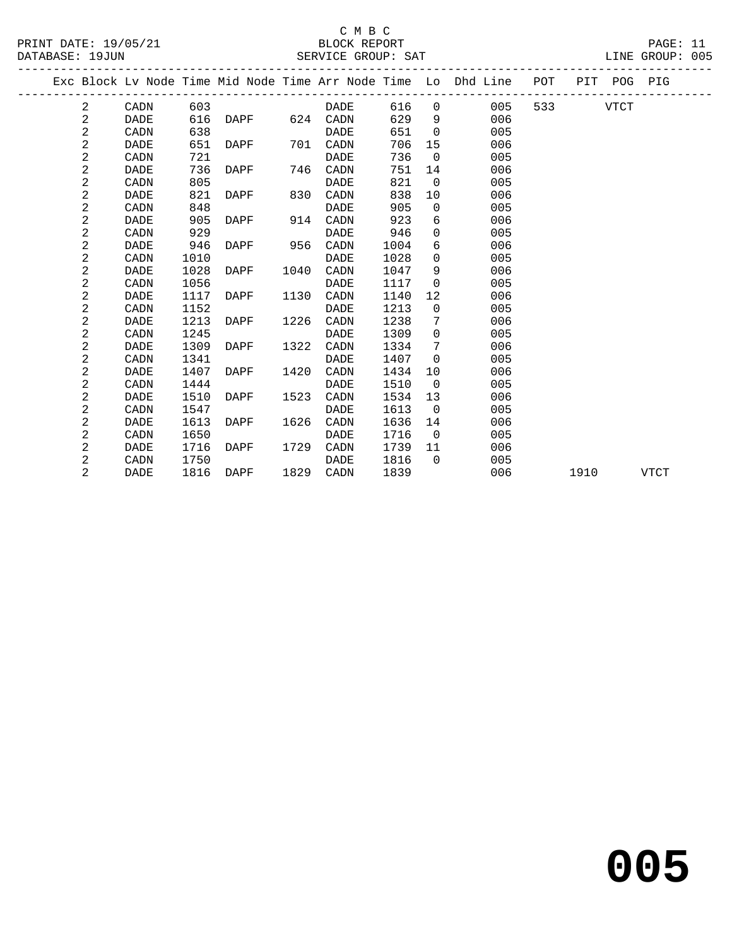PRINT DATE: 19/05/21 BLOCK REPORT<br>DATABASE: 19JUN BATABASE: 19JUN

## C M B C<br>BLOCK REPORT

PAGE: 11<br>LINE GROUP: 005

|                |             |      |      |      |             |      |                | Exc Block Lv Node Time Mid Node Time Arr Node Time Lo Dhd Line POT |                          |      | PIT POG PIG |             |  |
|----------------|-------------|------|------|------|-------------|------|----------------|--------------------------------------------------------------------|--------------------------|------|-------------|-------------|--|
| 2              | CADN        | 603  |      |      | DADE        | 616  | $\overline{0}$ | 005                                                                | 533 and $\overline{533}$ |      | VTCT        |             |  |
| 2              | <b>DADE</b> | 616  | DAPF |      | 624 CADN    | 629  | - 9            | 006                                                                |                          |      |             |             |  |
| 2              | CADN        | 638  |      |      | DADE        | 651  | $\overline{0}$ | 005                                                                |                          |      |             |             |  |
| $\overline{2}$ | <b>DADE</b> | 651  | DAPF | 701  | CADN        | 706  | 15             | 006                                                                |                          |      |             |             |  |
| $\overline{2}$ | CADN        | 721  |      |      | <b>DADE</b> | 736  | $\overline{0}$ | 005                                                                |                          |      |             |             |  |
| $\mathbf{2}$   | DADE        | 736  | DAPF | 746  | CADN        | 751  | 14             | 006                                                                |                          |      |             |             |  |
| 2              | CADN        | 805  |      |      | DADE        | 821  | $\overline{0}$ | 005                                                                |                          |      |             |             |  |
| 2              | DADE        | 821  | DAPF | 830  | CADN        | 838  | 10             | 006                                                                |                          |      |             |             |  |
| $\overline{a}$ | CADN        | 848  |      |      | <b>DADE</b> | 905  | $\overline{0}$ | 005                                                                |                          |      |             |             |  |
| 2              | <b>DADE</b> | 905  | DAPF | 914  | CADN        | 923  | 6              | 006                                                                |                          |      |             |             |  |
| $\sqrt{2}$     | CADN        | 929  |      |      | DADE        | 946  | $\mathbf 0$    | 005                                                                |                          |      |             |             |  |
| 2              | DADE        | 946  | DAPF | 956  | CADN        | 1004 | 6              | 006                                                                |                          |      |             |             |  |
| 2              | CADN        | 1010 |      |      | <b>DADE</b> | 1028 | $\Omega$       | 005                                                                |                          |      |             |             |  |
| 2              | DADE        | 1028 | DAPF | 1040 | CADN        | 1047 | 9              | 006                                                                |                          |      |             |             |  |
| $\sqrt{2}$     | CADN        | 1056 |      |      | DADE        | 1117 | $\Omega$       | 005                                                                |                          |      |             |             |  |
| $\sqrt{2}$     | <b>DADE</b> | 1117 | DAPF | 1130 | CADN        | 1140 | 12             | 006                                                                |                          |      |             |             |  |
| 2              | CADN        | 1152 |      |      | <b>DADE</b> | 1213 | $\Omega$       | 005                                                                |                          |      |             |             |  |
| $\mathbf{2}$   | <b>DADE</b> | 1213 | DAPF | 1226 | CADN        | 1238 | 7              | 006                                                                |                          |      |             |             |  |
| $\sqrt{2}$     | CADN        | 1245 |      |      | DADE        | 1309 | $\mathbf 0$    | 005                                                                |                          |      |             |             |  |
| 2              | <b>DADE</b> | 1309 | DAPF | 1322 | CADN        | 1334 | 7              | 006                                                                |                          |      |             |             |  |
| 2              | CADN        | 1341 |      |      | DADE        | 1407 | $\Omega$       | 005                                                                |                          |      |             |             |  |
| 2              | <b>DADE</b> | 1407 | DAPF | 1420 | CADN        | 1434 | 10             | 006                                                                |                          |      |             |             |  |
| 2              | CADN        | 1444 |      |      | DADE        | 1510 | $\overline{0}$ | 005                                                                |                          |      |             |             |  |
| 2              | DADE        | 1510 | DAPF | 1523 | CADN        | 1534 | 13             | 006                                                                |                          |      |             |             |  |
| $\overline{c}$ | CADN        | 1547 |      |      | DADE        | 1613 | $\overline{0}$ | 005                                                                |                          |      |             |             |  |
| 2              | DADE        | 1613 | DAPF | 1626 | CADN        | 1636 | 14             | 006                                                                |                          |      |             |             |  |
| 2              | CADN        | 1650 |      |      | DADE        | 1716 | $\overline{0}$ | 005                                                                |                          |      |             |             |  |
| 2              | DADE        | 1716 | DAPF | 1729 | CADN        | 1739 | 11             | 006                                                                |                          |      |             |             |  |
| 2              | CADN        | 1750 |      |      | DADE        | 1816 | $\Omega$       | 005                                                                |                          |      |             |             |  |
| $\overline{2}$ | DADE        | 1816 | DAPF |      | 1829 CADN   | 1839 |                | 006                                                                |                          | 1910 |             | <b>VTCT</b> |  |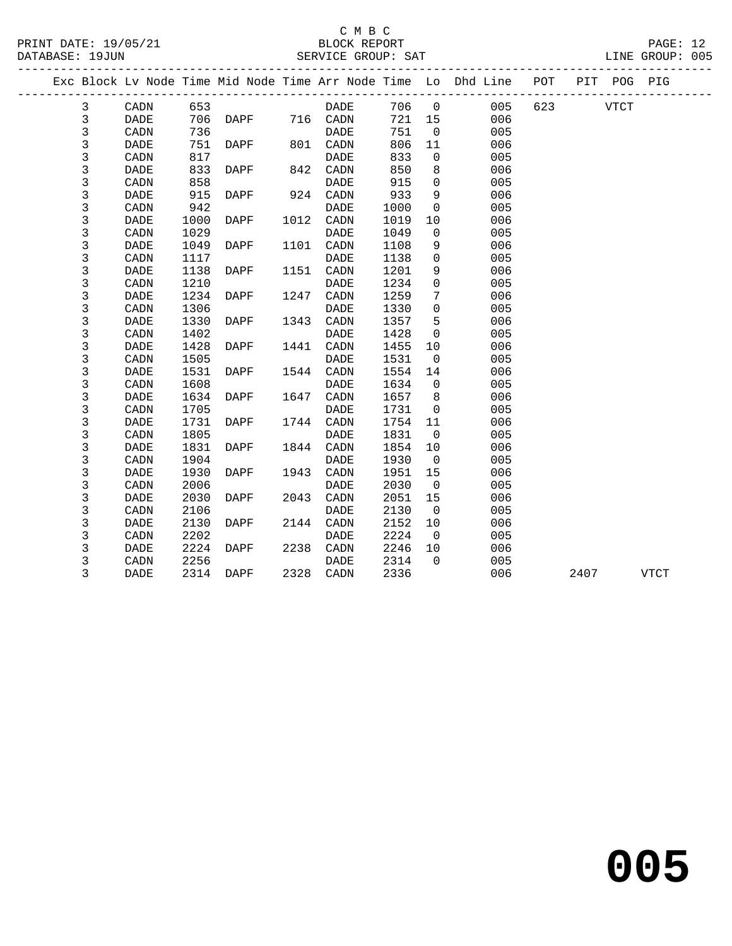| PRINT DATE: 19/05/21<br>DATABASE: 19JUN |                |             |      |             |      | C M B C<br>BLOCK REPORT<br>SERVICE GROUP: SAT |       |                |                                                                                                                      |          | PAGE: 12<br>LINE GROUP: 005 |  |
|-----------------------------------------|----------------|-------------|------|-------------|------|-----------------------------------------------|-------|----------------|----------------------------------------------------------------------------------------------------------------------|----------|-----------------------------|--|
|                                         |                |             |      |             |      |                                               |       |                | ----------------------------------<br>Exc Block Lv Node Time Mid Node Time Arr Node Time Lo Dhd Line POT PIT POG PIG |          |                             |  |
|                                         | 3              | CADN        | 653  |             |      | DADE                                          | 706 0 |                | 005                                                                                                                  | 623 VTCT |                             |  |
|                                         | 3              | DADE        |      | 706 DAPF    |      | 716 CADN                                      | 721   | 15             | 006                                                                                                                  |          |                             |  |
|                                         | $\mathsf{3}$   | CADN        | 736  |             |      | DADE                                          | 751   | $\overline{0}$ | 005                                                                                                                  |          |                             |  |
|                                         | 3              | <b>DADE</b> |      | 751 DAPF    |      | 801 CADN                                      | 806   | 11             | 006                                                                                                                  |          |                             |  |
|                                         | 3              | CADN        | 817  |             |      | <b>DADE</b>                                   | 833   | $\overline{0}$ | 005                                                                                                                  |          |                             |  |
|                                         | $\mathsf{3}$   | DADE        | 833  | <b>DAPF</b> | 842  | $\mathtt{CADN}$                               | 850   | 8              | 006                                                                                                                  |          |                             |  |
|                                         | 3              | CADN        | 858  |             |      | DADE                                          | 915   | $\mathsf{O}$   | 005                                                                                                                  |          |                             |  |
|                                         | 3              | DADE        | 915  | <b>DAPF</b> |      | 924 CADN                                      | 933   | 9              | 006                                                                                                                  |          |                             |  |
|                                         | 3              | CADN        | 942  |             |      | DADE                                          | 1000  | $\overline{0}$ | 005                                                                                                                  |          |                             |  |
|                                         | $\mathsf{3}$   | <b>DADE</b> | 1000 | DAPF        |      | 1012 CADN                                     | 1019  | 10             | 006                                                                                                                  |          |                             |  |
|                                         | $\mathsf{3}$   | CADN        | 1029 |             |      | <b>DADE</b>                                   | 1049  | $\mathbf 0$    | 005                                                                                                                  |          |                             |  |
|                                         | $\overline{3}$ | DADE        | 1049 | DAPF        |      | 1101 CADN                                     | 1108  | 9              | 006                                                                                                                  |          |                             |  |
|                                         | 3              | CADN        | 1117 |             |      | <b>DADE</b>                                   | 1138  | $\mathbf 0$    | 005                                                                                                                  |          |                             |  |
|                                         | 3              | <b>DADE</b> | 1138 | DAPF        |      | 1151 CADN                                     | 1201  | 9              | 006                                                                                                                  |          |                             |  |
|                                         | $\mathsf{3}$   | CADN        | 1210 |             |      | <b>DADE</b>                                   | 1234  | $\mathsf{O}$   | 005                                                                                                                  |          |                             |  |
|                                         | $\mathsf{3}$   | <b>DADE</b> | 1234 | DAPF        | 1247 | CADN                                          | 1259  | 7              | 006                                                                                                                  |          |                             |  |
|                                         | $\overline{3}$ | CADN        | 1306 |             |      | DADE                                          | 1330  | $\mathbf 0$    | 005                                                                                                                  |          |                             |  |
|                                         | 3              | <b>DADE</b> | 1330 | DAPF        | 1343 | CADN                                          | 1357  | 5              | 006                                                                                                                  |          |                             |  |
|                                         | 3              | CADN        | 1402 |             |      | DADE                                          | 1428  | $\mathsf 0$    | 005                                                                                                                  |          |                             |  |
|                                         | 3              | DADE        | 1428 | DAPF        |      | 1441 CADN                                     | 1455  | 10             | 006                                                                                                                  |          |                             |  |
|                                         | 3              | CADN        | 1505 |             |      | <b>DADE</b>                                   | 1531  | $\mathbf 0$    | 005                                                                                                                  |          |                             |  |
|                                         | $\mathsf{3}$   | DADE        | 1531 | DAPF        | 1544 | CADN                                          | 1554  | 14             | 006                                                                                                                  |          |                             |  |
|                                         | $\overline{3}$ | CADN        | 1608 |             |      | DADE                                          | 1634  | $\mathbf{0}$   | 005                                                                                                                  |          |                             |  |
|                                         | 3              | <b>DADE</b> | 1634 | DAPF        |      | 1647 CADN                                     | 1657  | 8              | 006                                                                                                                  |          |                             |  |
|                                         | 3              | CADN        | 1705 |             |      | <b>DADE</b>                                   | 1731  | $\mathsf{O}$   | 005                                                                                                                  |          |                             |  |
|                                         | $\mathsf{3}$   | <b>DADE</b> | 1731 | DAPF        | 1744 | CADN                                          | 1754  | 11             | 006                                                                                                                  |          |                             |  |
|                                         | 3              | CADN        | 1805 |             |      | DADE                                          | 1831  | $\mathbf 0$    | 005                                                                                                                  |          |                             |  |
|                                         | 3              | <b>DADE</b> | 1831 | DAPF        | 1844 | CADN                                          | 1854  | 10             | 006                                                                                                                  |          |                             |  |
|                                         | 3              | CADN        | 1904 |             |      | DADE                                          | 1930  | $\overline{0}$ | 005                                                                                                                  |          |                             |  |
|                                         | 3              | DADE        | 1930 | DAPF        | 1943 | CADN                                          | 1951  | 15             | 006                                                                                                                  |          |                             |  |
|                                         | $\mathsf 3$    | CADN        | 2006 |             |      | DADE                                          | 2030  | $\overline{0}$ | 005                                                                                                                  |          |                             |  |
|                                         | 3              | <b>DADE</b> | 2030 | DAPF        | 2043 | CADN                                          | 2051  | 15             | 006                                                                                                                  |          |                             |  |
|                                         | 3              | CADN        | 2106 |             |      | <b>DADE</b>                                   | 2130  | $\overline{0}$ | 005                                                                                                                  |          |                             |  |
|                                         | 3              | <b>DADE</b> | 2130 | DAPF        |      | 2144 CADN                                     | 2152  | 10             | 006                                                                                                                  |          |                             |  |
|                                         | 3              | CADN        | 2202 |             |      | DADE                                          | 2224  | $\Omega$       | 005                                                                                                                  |          |                             |  |

3 DADE 2314 DAPF 2328 CADN 2336 006 2407 VTCT

 3 DADE 2224 DAPF 2238 CADN 2246 10 006 3 CADN 2256 DADE 2314 0 005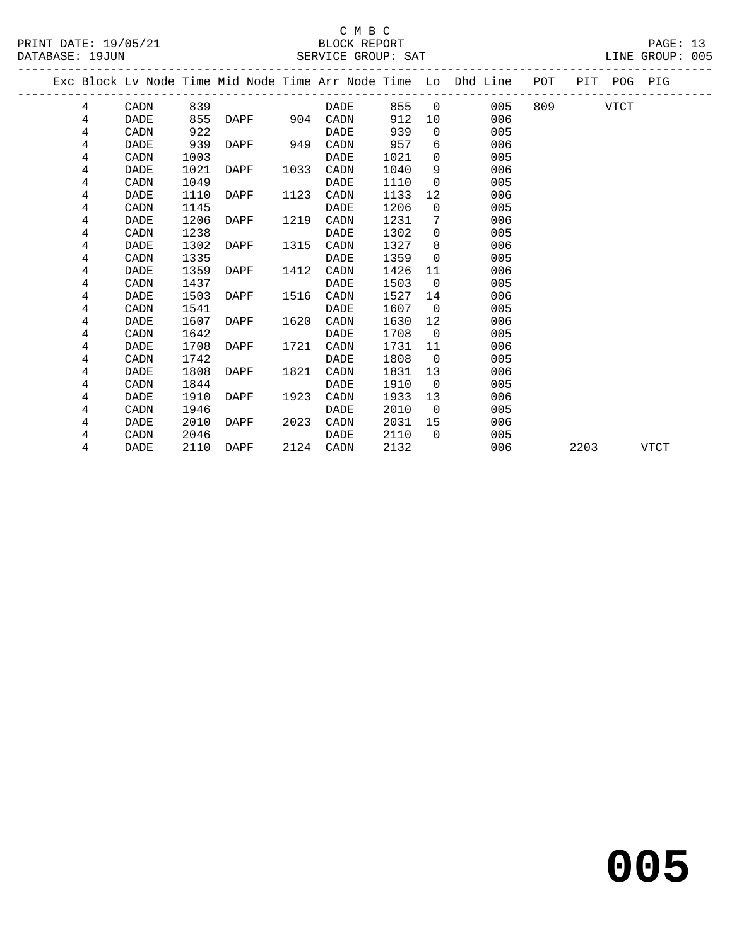#### C M B C<br>BLOCK REPORT SERVICE GROUP: SAT

|  |   |             |      |     |               |      |             |      |                | Exc Block Lv Node Time Mid Node Time Arr Node Time Lo Dhd Line POT |        |      | PIT POG PIG |             |  |
|--|---|-------------|------|-----|---------------|------|-------------|------|----------------|--------------------------------------------------------------------|--------|------|-------------|-------------|--|
|  | 4 | CADN        |      | 839 |               |      | DADE        |      |                | 855 0<br>005                                                       | 809 30 |      | VTCT        |             |  |
|  | 4 | DADE        | 855  |     | DAPF 904 CADN |      |             | 912  | 10             | 006                                                                |        |      |             |             |  |
|  | 4 | CADN        |      | 922 |               |      | DADE        | 939  | $\Omega$       | 005                                                                |        |      |             |             |  |
|  | 4 | DADE        |      | 939 | DAPF          | 949  | CADN        | 957  | 6              | 006                                                                |        |      |             |             |  |
|  | 4 | CADN        | 1003 |     |               |      | DADE        | 1021 | $\Omega$       | 005                                                                |        |      |             |             |  |
|  | 4 | DADE        | 1021 |     | DAPF          | 1033 | CADN        | 1040 | 9              | 006                                                                |        |      |             |             |  |
|  | 4 | CADN        | 1049 |     |               |      | DADE        | 1110 | $\Omega$       | 005                                                                |        |      |             |             |  |
|  | 4 | <b>DADE</b> | 1110 |     | DAPF          | 1123 | CADN        | 1133 | 12             | 006                                                                |        |      |             |             |  |
|  | 4 | CADN        | 1145 |     |               |      | <b>DADE</b> | 1206 | $\Omega$       | 005                                                                |        |      |             |             |  |
|  | 4 | DADE        | 1206 |     | DAPF          | 1219 | CADN        | 1231 | 7              | 006                                                                |        |      |             |             |  |
|  | 4 | CADN        | 1238 |     |               |      | <b>DADE</b> | 1302 | $\Omega$       | 005                                                                |        |      |             |             |  |
|  | 4 | DADE        | 1302 |     | DAPF          | 1315 | CADN        | 1327 | 8              | 006                                                                |        |      |             |             |  |
|  | 4 | CADN        | 1335 |     |               |      | DADE        | 1359 | $\Omega$       | 005                                                                |        |      |             |             |  |
|  | 4 | DADE        | 1359 |     | DAPF          | 1412 | CADN        | 1426 | 11             | 006                                                                |        |      |             |             |  |
|  | 4 | CADN        | 1437 |     |               |      | DADE        | 1503 | $\Omega$       | 005                                                                |        |      |             |             |  |
|  | 4 | <b>DADE</b> | 1503 |     | DAPF          | 1516 | CADN        | 1527 | 14             | 006                                                                |        |      |             |             |  |
|  | 4 | CADN        | 1541 |     |               |      | DADE        | 1607 | $\overline{0}$ | 005                                                                |        |      |             |             |  |
|  | 4 | DADE        | 1607 |     | DAPF          | 1620 | CADN        | 1630 | 12             | 006                                                                |        |      |             |             |  |
|  | 4 | CADN        | 1642 |     |               |      | DADE        | 1708 | $\overline{0}$ | 005                                                                |        |      |             |             |  |
|  | 4 | DADE        | 1708 |     | DAPF          | 1721 | CADN        | 1731 | 11             | 006                                                                |        |      |             |             |  |
|  | 4 | CADN        | 1742 |     |               |      | DADE        | 1808 | $\overline{0}$ | 005                                                                |        |      |             |             |  |
|  | 4 | <b>DADE</b> | 1808 |     | DAPF          | 1821 | CADN        | 1831 | 13             | 006                                                                |        |      |             |             |  |
|  | 4 | CADN        | 1844 |     |               |      | DADE        | 1910 | $\overline{0}$ | 005                                                                |        |      |             |             |  |
|  | 4 | DADE        | 1910 |     | DAPF          | 1923 | CADN        | 1933 | 13             | 006                                                                |        |      |             |             |  |
|  | 4 | CADN        | 1946 |     |               |      | DADE        | 2010 | $\overline{0}$ | 005                                                                |        |      |             |             |  |
|  | 4 | DADE        | 2010 |     | DAPF          | 2023 | CADN        | 2031 | 15             | 006                                                                |        |      |             |             |  |
|  | 4 | CADN        | 2046 |     |               |      | DADE        | 2110 | $\cap$         | 005                                                                |        |      |             |             |  |
|  | 4 | <b>DADE</b> | 2110 |     | DAPF          |      | 2124 CADN   | 2132 |                | 006                                                                |        | 2203 |             | <b>VTCT</b> |  |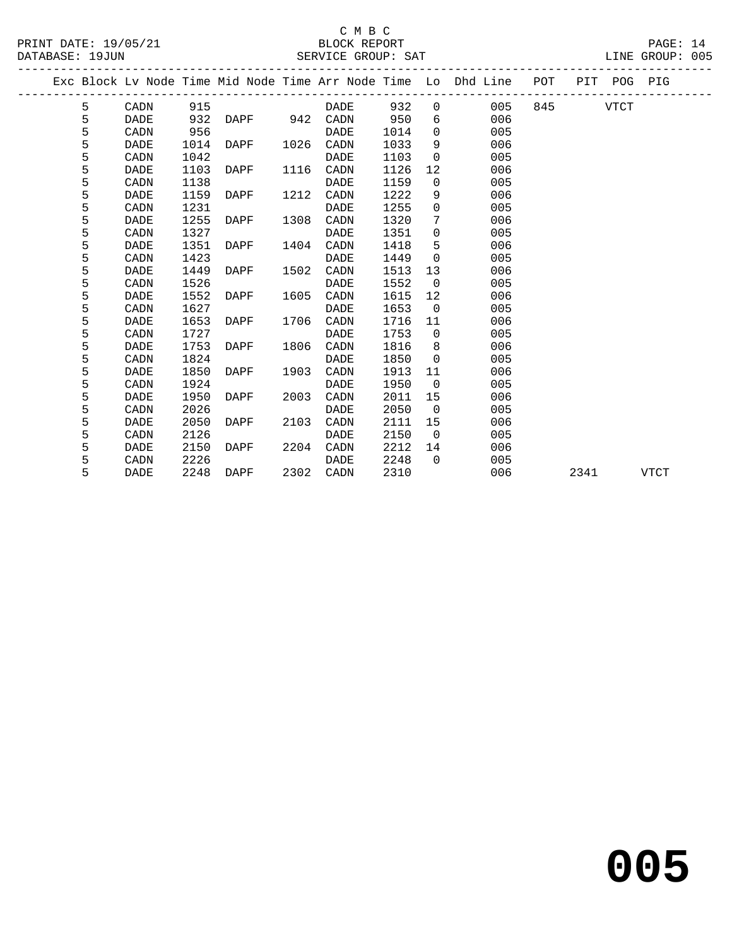### C M B C<br>BLOCK REPORT SERVICE GROUP: SAT

PRINT DATE: 19/05/21 BLOCK REPORT PAGE: 14 -------------------------------------------------------------------------------------------------

|  |   |             |      |               |      |           |      |                | Exc Block Lv Node Time Mid Node Time Arr Node Time Lo Dhd Line | POT |      | PIT POG PIG |      |
|--|---|-------------|------|---------------|------|-----------|------|----------------|----------------------------------------------------------------|-----|------|-------------|------|
|  | 5 | CADN        | 915  |               |      | DADE      | 932  | $\overline{0}$ | 005                                                            | 845 |      | VTCT        |      |
|  | 5 | <b>DADE</b> | 932  | DAPF 942 CADN |      |           | 950  | 6              | 006                                                            |     |      |             |      |
|  | 5 | CADN        | 956  |               |      | DADE      | 1014 | $\Omega$       | 005                                                            |     |      |             |      |
|  | 5 | DADE        | 1014 | DAPF          |      | 1026 CADN | 1033 | 9              | 006                                                            |     |      |             |      |
|  | 5 | CADN        | 1042 |               |      | DADE      | 1103 | $\Omega$       | 005                                                            |     |      |             |      |
|  | 5 | DADE        | 1103 | DAPF          | 1116 | CADN      | 1126 | 12             | 006                                                            |     |      |             |      |
|  | 5 | CADN        | 1138 |               |      | DADE      | 1159 | $\mathbf 0$    | 005                                                            |     |      |             |      |
|  | 5 | DADE        | 1159 | DAPF          | 1212 | CADN      | 1222 | 9              | 006                                                            |     |      |             |      |
|  | 5 | CADN        | 1231 |               |      | DADE      | 1255 | $\Omega$       | 005                                                            |     |      |             |      |
|  | 5 | DADE        | 1255 | DAPF          | 1308 | CADN      | 1320 | 7              | 006                                                            |     |      |             |      |
|  | 5 | CADN        | 1327 |               |      | DADE      | 1351 | $\mathbf{0}$   | 005                                                            |     |      |             |      |
|  | 5 | DADE        | 1351 | DAPF          | 1404 | CADN      | 1418 | 5              | 006                                                            |     |      |             |      |
|  | 5 | CADN        | 1423 |               |      | DADE      | 1449 | $\mathbf 0$    | 005                                                            |     |      |             |      |
|  | 5 | DADE        | 1449 | DAPF          | 1502 | CADN      | 1513 | 13             | 006                                                            |     |      |             |      |
|  | 5 | CADN        | 1526 |               |      | DADE      | 1552 | $\overline{0}$ | 005                                                            |     |      |             |      |
|  | 5 | <b>DADE</b> | 1552 | DAPF          | 1605 | CADN      | 1615 | 12             | 006                                                            |     |      |             |      |
|  | 5 | CADN        | 1627 |               |      | DADE      | 1653 | $\overline{0}$ | 005                                                            |     |      |             |      |
|  | 5 | DADE        | 1653 | DAPF          | 1706 | CADN      | 1716 | 11             | 006                                                            |     |      |             |      |
|  | 5 | CADN        | 1727 |               |      | DADE      | 1753 | $\overline{0}$ | 005                                                            |     |      |             |      |
|  | 5 | DADE        | 1753 | DAPF          | 1806 | CADN      | 1816 | 8              | 006                                                            |     |      |             |      |
|  | 5 | CADN        | 1824 |               |      | DADE      | 1850 | $\Omega$       | 005                                                            |     |      |             |      |
|  | 5 | DADE        | 1850 | DAPF          | 1903 | CADN      | 1913 | 11             | 006                                                            |     |      |             |      |
|  | 5 | CADN        | 1924 |               |      | DADE      | 1950 | $\overline{0}$ | 005                                                            |     |      |             |      |
|  | 5 | DADE        | 1950 | DAPF          | 2003 | CADN      | 2011 | 15             | 006                                                            |     |      |             |      |
|  | 5 | CADN        | 2026 |               |      | DADE      | 2050 | $\overline{0}$ | 005                                                            |     |      |             |      |
|  | 5 | DADE        | 2050 | DAPF          | 2103 | CADN      | 2111 | 15             | 006                                                            |     |      |             |      |
|  | 5 | CADN        | 2126 |               |      | DADE      | 2150 | $\Omega$       | 005                                                            |     |      |             |      |
|  | 5 | DADE        | 2150 | DAPF          | 2204 | CADN      | 2212 | 14             | 006                                                            |     |      |             |      |
|  | 5 | CADN        | 2226 |               |      | DADE      | 2248 | $\Omega$       | 005                                                            |     |      |             |      |
|  | 5 | DADE        | 2248 | DAPF          |      | 2302 CADN | 2310 |                | 006                                                            |     | 2341 |             | VTCT |
|  |   |             |      |               |      |           |      |                |                                                                |     |      |             |      |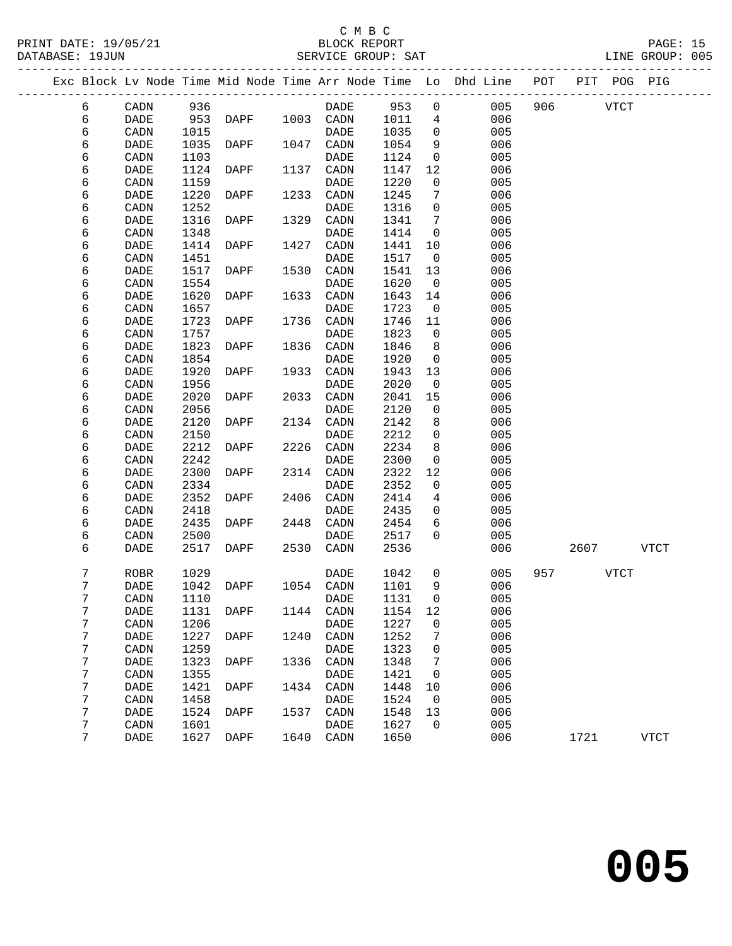#### C M B C<br>BLOCK REPORT SERVICE GROUP: SAT

|   |             |      |          |      |             |      |                 | Exc Block Lv Node Time Mid Node Time Arr Node Time Lo Dhd Line POT |          | PIT POG PIG |  |
|---|-------------|------|----------|------|-------------|------|-----------------|--------------------------------------------------------------------|----------|-------------|--|
| 6 | CADN        | 936  |          |      | DADE        | 953  |                 | $0 \qquad 005$                                                     | 906 VTCT |             |  |
| 6 | DADE        |      | 953 DAPF | 1003 | CADN        | 1011 |                 | $4\degree$<br>006                                                  |          |             |  |
| 6 | CADN        | 1015 |          |      | DADE        | 1035 | $\Omega$        | 005                                                                |          |             |  |
| 6 | DADE        | 1035 | DAPF     | 1047 | CADN        | 1054 | 9               | 006                                                                |          |             |  |
| 6 | CADN        | 1103 |          |      | DADE        | 1124 | $\overline{0}$  | 005                                                                |          |             |  |
| 6 | DADE        | 1124 | DAPF     | 1137 | CADN        | 1147 | 12              | 006                                                                |          |             |  |
| 6 | CADN        | 1159 |          |      | DADE        | 1220 | $\mathbf 0$     | 005                                                                |          |             |  |
| 6 | DADE        | 1220 | DAPF     | 1233 | CADN        | 1245 | 7               | 006                                                                |          |             |  |
| 6 | CADN        | 1252 |          |      | DADE        | 1316 | $\Omega$        | 005                                                                |          |             |  |
| 6 | DADE        | 1316 | DAPF     | 1329 | CADN        | 1341 | $7\overline{ }$ | 006                                                                |          |             |  |
| 6 | CADN        | 1348 |          |      | DADE        | 1414 | $\overline{0}$  | 005                                                                |          |             |  |
| 6 | DADE        | 1414 | DAPF     | 1427 | CADN        | 1441 | 10              | 006                                                                |          |             |  |
| 6 | CADN        | 1451 |          |      | <b>DADE</b> | 1517 | $\overline{0}$  | 005                                                                |          |             |  |
| 6 | DADE        | 1517 | DAPF     | 1530 | CADN        | 1541 | 13              | 006                                                                |          |             |  |
| 6 | CADN        | 1554 |          |      | DADE        | 1620 | $\overline{0}$  | 005                                                                |          |             |  |
| 6 | <b>DADE</b> | 1620 | DAPF     | 1633 | CADN        | 1643 | 14              | 006                                                                |          |             |  |
| 6 | CADN        | 1657 |          |      | DADE        | 1723 | $\overline{0}$  | 005                                                                |          |             |  |
| 6 | DADE        | 1723 | DAPF     | 1736 | CADN        | 1746 | 11              | 006                                                                |          |             |  |
| 6 | CADN        | 1757 |          |      | DADE        | 1823 | $\overline{0}$  | 005                                                                |          |             |  |
| 6 | <b>DADE</b> | 1823 | DAPF     | 1836 | CADN        | 1846 | 8               | 006                                                                |          |             |  |
| 6 | CADN        | 1854 |          |      | DADE        | 1920 | $\mathbf 0$     | 005                                                                |          |             |  |
| 6 | DADE        | 1920 | DAPF     | 1933 | CADN        | 1943 | 13              | 006                                                                |          |             |  |
| 6 | CADN        | 1956 |          |      | DADE        | 2020 | $\overline{0}$  | 005                                                                |          |             |  |
| 6 | <b>DADE</b> | 2020 | DAPF     | 2033 | CADN        | 2041 | 15              | 006                                                                |          |             |  |
| 6 | CADN        | 2056 |          |      | DADE        | 2120 | $\overline{0}$  | 005                                                                |          |             |  |
| 6 | DADE        | 2120 | DAPF     | 2134 | CADN        | 2142 | 8               | 006                                                                |          |             |  |
| 6 | CADN        | 2150 |          |      | DADE        | 2212 | $\Omega$        | 005                                                                |          |             |  |

| 6 | CADN | 2242 |      |      | DADE | 2300 | $\mathbf 0$    | 005 |     |      |      |  |
|---|------|------|------|------|------|------|----------------|-----|-----|------|------|--|
| 6 | DADE | 2300 | DAPF | 2314 | CADN | 2322 | 12             | 006 |     |      |      |  |
| 6 | CADN | 2334 |      |      | DADE | 2352 | 0              | 005 |     |      |      |  |
| 6 | DADE | 2352 | DAPF | 2406 | CADN | 2414 | 4              | 006 |     |      |      |  |
| 6 | CADN | 2418 |      |      | DADE | 2435 | 0              | 005 |     |      |      |  |
| 6 | DADE | 2435 | DAPF | 2448 | CADN | 2454 | 6              | 006 |     |      |      |  |
| 6 | CADN | 2500 |      |      | DADE | 2517 | $\Omega$       | 005 |     |      |      |  |
| 6 | DADE | 2517 | DAPF | 2530 | CADN | 2536 |                | 006 |     | 2607 | VTCT |  |
|   |      |      |      |      |      |      |                |     |     |      |      |  |
| 7 | ROBR | 1029 |      |      | DADE | 1042 | $\Omega$       | 005 | 957 |      | VTCT |  |
| 7 | DADE | 1042 | DAPF | 1054 | CADN | 1101 | 9              | 006 |     |      |      |  |
| 7 | CADN | 1110 |      |      | DADE | 1131 | 0              | 005 |     |      |      |  |
| 7 | DADE | 1131 | DAPF | 1144 | CADN | 1154 | 12             | 006 |     |      |      |  |
| 7 | CADN | 1206 |      |      | DADE | 1227 | $\Omega$       | 005 |     |      |      |  |
| 7 | DADE | 1227 | DAPF | 1240 | CADN | 1252 | 7              | 006 |     |      |      |  |
| 7 | CADN | 1259 |      |      | DADE | 1323 | $\Omega$       | 005 |     |      |      |  |
| 7 | DADE | 1323 | DAPF | 1336 | CADN | 1348 | 7              | 006 |     |      |      |  |
| 7 | CADN | 1355 |      |      | DADE | 1421 | $\Omega$       | 005 |     |      |      |  |
| 7 | DADE | 1421 | DAPF | 1434 | CADN | 1448 | 10             | 006 |     |      |      |  |
| 7 | CADN | 1458 |      |      | DADE | 1524 | $\Omega$       | 005 |     |      |      |  |
| 7 | DADE | 1524 | DAPF | 1537 | CADN | 1548 | 13             | 006 |     |      |      |  |
| 7 | CADN | 1601 |      |      | DADE | 1627 | $\overline{0}$ | 005 |     |      |      |  |
| 7 | DADE | 1627 | DAPF | 1640 | CADN | 1650 |                | 006 |     | 1721 | VTCT |  |
|   |      |      |      |      |      |      |                |     |     |      |      |  |

6 DADE 2212 DAPF 2226 CADN 2234 8 006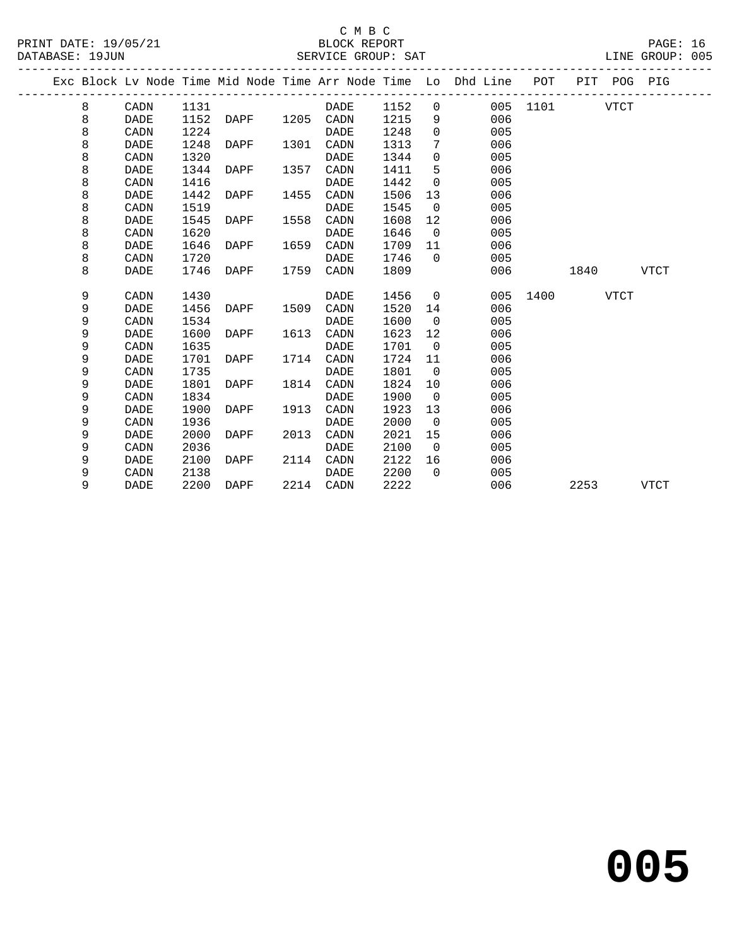| PRINT DATE: 19/05/21<br>DATABASE: 19JUN |   |             |      | 21 BLOCK REPORT<br>SERVICE GROUP: SAT |      |             |        |                 |                                                                                |               |      |           | PAGE: 16<br>LINE GROUP: 005 |  |
|-----------------------------------------|---|-------------|------|---------------------------------------|------|-------------|--------|-----------------|--------------------------------------------------------------------------------|---------------|------|-----------|-----------------------------|--|
|                                         |   |             |      |                                       |      |             |        |                 | Exc Block Lv Node Time Mid Node Time Arr Node Time Lo Dhd Line POT PIT POG PIG |               |      |           |                             |  |
|                                         | 8 | CADN        | 1131 |                                       |      | DADE        | 1152 0 |                 |                                                                                | 005 1101 VTCT |      |           |                             |  |
|                                         | 8 | <b>DADE</b> |      | 1152 DAPF 1205 CADN                   |      |             | 1215   |                 | 006<br>$9 \left( \frac{1}{2} \right)$                                          |               |      |           |                             |  |
|                                         | 8 | CADN        | 1224 |                                       |      | DADE        | 1248   | $\overline{0}$  | 005                                                                            |               |      |           |                             |  |
|                                         | 8 | <b>DADE</b> | 1248 | <b>DAPF</b>                           |      | 1301 CADN   | 1313   | $7\phantom{.0}$ | 006                                                                            |               |      |           |                             |  |
|                                         | 8 | CADN        | 1320 |                                       |      | DADE        | 1344   | $\mathbf 0$     | 005                                                                            |               |      |           |                             |  |
|                                         | 8 | <b>DADE</b> | 1344 | DAPF                                  |      | 1357 CADN   | 1411   | 5               | 006                                                                            |               |      |           |                             |  |
|                                         | 8 | CADN        | 1416 |                                       |      | <b>DADE</b> | 1442   | $\mathsf{O}$    | 005                                                                            |               |      |           |                             |  |
|                                         | 8 | <b>DADE</b> | 1442 | DAPF                                  | 1455 | CADN        | 1506   | 13              | 006                                                                            |               |      |           |                             |  |
|                                         | 8 | CADN        | 1519 |                                       |      | <b>DADE</b> | 1545   | $\overline{0}$  | 005                                                                            |               |      |           |                             |  |
|                                         | 8 | <b>DADE</b> | 1545 | DAPF                                  | 1558 | CADN        | 1608   | 12              | 006                                                                            |               |      |           |                             |  |
|                                         | 8 | CADN        | 1620 |                                       |      | DADE        | 1646   | $\overline{0}$  | 005                                                                            |               |      |           |                             |  |
|                                         | 8 | DADE        | 1646 | DAPF                                  | 1659 | CADN        | 1709   | 11              | 006                                                                            |               |      |           |                             |  |
|                                         | 8 | CADN        | 1720 |                                       |      | DADE        | 1746   | $\overline{0}$  | 005                                                                            |               |      |           |                             |  |
|                                         | 8 | <b>DADE</b> | 1746 | DAPF                                  | 1759 | CADN        | 1809   |                 | 006                                                                            |               | 1840 |           | <b>VTCT</b>                 |  |
|                                         | 9 | CADN        | 1430 |                                       |      | DADE        | 1456   |                 | $\overline{0}$<br>005                                                          | 1400 VTCT     |      |           |                             |  |
|                                         | 9 | <b>DADE</b> | 1456 | DAPF                                  | 1509 | CADN        | 1520   | 14              | 006                                                                            |               |      |           |                             |  |
|                                         | 9 | CADN        | 1534 |                                       |      | DADE        | 1600   | $\overline{0}$  | 005                                                                            |               |      |           |                             |  |
|                                         | 9 | <b>DADE</b> | 1600 | DAPF                                  |      | 1613 CADN   | 1623   | 12              | 006                                                                            |               |      |           |                             |  |
|                                         | 9 | CADN        | 1635 |                                       |      | <b>DADE</b> | 1701   | $\overline{0}$  | 005                                                                            |               |      |           |                             |  |
|                                         | 9 | <b>DADE</b> | 1701 | DAPF                                  |      | 1714 CADN   | 1724   | 11              | 006                                                                            |               |      |           |                             |  |
|                                         | 9 | CADN        | 1735 |                                       |      | <b>DADE</b> | 1801   | $\overline{0}$  | 005                                                                            |               |      |           |                             |  |
|                                         | 9 | <b>DADE</b> | 1801 | DAPF                                  |      | 1814 CADN   | 1824   | 10              | 006                                                                            |               |      |           |                             |  |
|                                         | 9 | CADN        | 1834 |                                       |      | <b>DADE</b> | 1900   | $\overline{0}$  | 005                                                                            |               |      |           |                             |  |
|                                         | 9 | <b>DADE</b> | 1900 | DAPF                                  | 1913 | CADN        | 1923   | 13              | 006                                                                            |               |      |           |                             |  |
|                                         | 9 | CADN        | 1936 |                                       |      | DADE        | 2000   | $\overline{0}$  | 005                                                                            |               |      |           |                             |  |
|                                         | 9 | DADE        | 2000 | DAPF                                  | 2013 | CADN        | 2021   | 15              | 006                                                                            |               |      |           |                             |  |
|                                         | 9 | CADN        | 2036 |                                       |      | DADE        | 2100   | $\overline{0}$  | 005                                                                            |               |      |           |                             |  |
|                                         | 9 | <b>DADE</b> | 2100 | DAPF                                  | 2114 | CADN        | 2122   | 16              | 006                                                                            |               |      |           |                             |  |
|                                         | 9 | CADN        | 2138 |                                       |      | DADE        | 2200   | $\Omega$        | 005                                                                            |               |      |           |                             |  |
|                                         | 9 | <b>DADE</b> |      | 2200 DAPF 2214 CADN                   |      |             | 2222   |                 | 006                                                                            |               |      | 2253 VTCT |                             |  |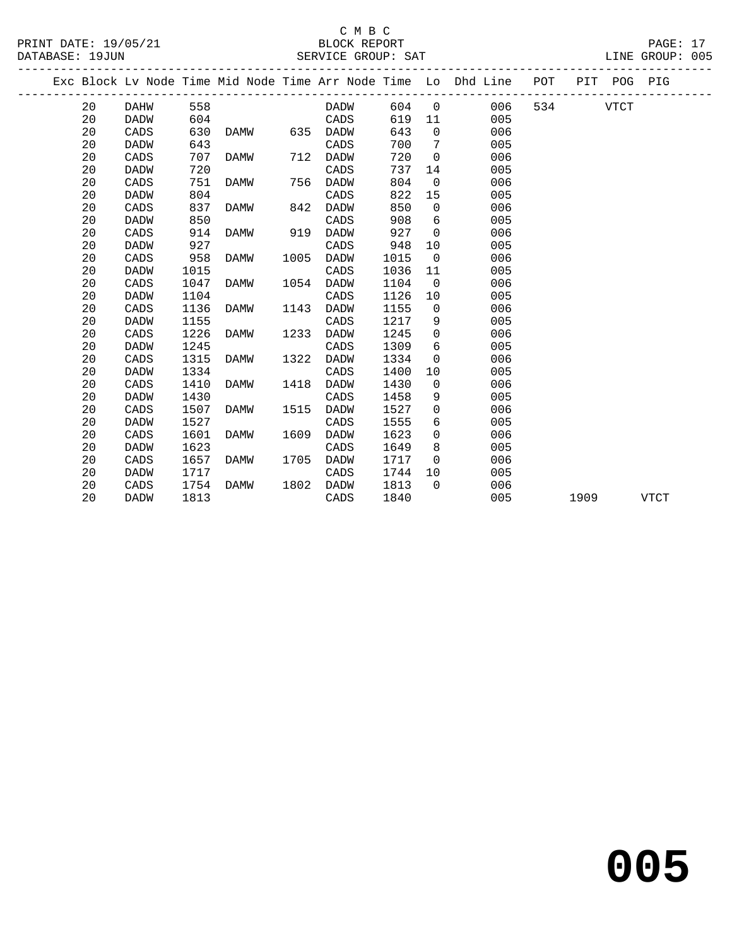PRINT DATE: 19/05/21 BLOCK REPORT PAGE: 17 DATABASE: 19JUN

## C M B C<br>BLOCK REPORT

20 CADS 751 DAMW 756 DADW 804 0 006

20 DADW 804 CADS 822 15 005

|  | PAIADADE 170 UN |      |     |             |     | DERVICE GROUP PAI |     |     |                                                                |     |            | ALITE CITOLI . OUJ |  |
|--|-----------------|------|-----|-------------|-----|-------------------|-----|-----|----------------------------------------------------------------|-----|------------|--------------------|--|
|  |                 |      |     |             |     |                   |     |     | Exc Block Ly Node Time Mid Node Time Arr Node Time Lo Dhd Line | POT | PIT<br>POG | PIG                |  |
|  | 20              | DAHW | 558 |             |     | DADW              | 604 | - 0 | 006                                                            | 534 | VTCT       |                    |  |
|  | 20              | DADW | 604 |             |     | CADS              | 619 | -11 | 005                                                            |     |            |                    |  |
|  | 20              | CADS | 630 | DAMW        | 635 | DADW              | 643 |     | 006                                                            |     |            |                    |  |
|  | 20              | DADW | 643 |             |     | CADS              | 700 |     | 005                                                            |     |            |                    |  |
|  | 20              | CADS | 707 | <b>DAMW</b> | 712 | DADW              | 720 |     | 006                                                            |     |            |                    |  |
|  | 20              | DADW | 720 |             |     | CADS              | 737 | 14  | 005                                                            |     |            |                    |  |
|  | 20              | CADS | 751 | <b>DAMW</b> | 756 | DADW              | 804 |     | 006                                                            |     |            |                    |  |

| 20 | CADS | 837  | DAMW | 842  | DADW        | 850  | $\Omega$       | 006 |      |             |
|----|------|------|------|------|-------------|------|----------------|-----|------|-------------|
| 20 | DADW | 850  |      |      | CADS        | 908  | 6              | 005 |      |             |
| 20 | CADS | 914  | DAMW | 919  | <b>DADW</b> | 927  | $\Omega$       | 006 |      |             |
| 20 | DADW | 927  |      |      | CADS        | 948  | 10             | 005 |      |             |
| 20 | CADS | 958  | DAMW | 1005 | DADW        | 1015 | $\Omega$       | 006 |      |             |
| 20 | DADW | 1015 |      |      | CADS        | 1036 | 11             | 005 |      |             |
| 20 | CADS | 1047 | DAMW | 1054 | DADW        | 1104 | $\overline{0}$ | 006 |      |             |
| 20 | DADW | 1104 |      |      | CADS        | 1126 | 10             | 005 |      |             |
| 20 | CADS | 1136 | DAMW | 1143 | <b>DADW</b> | 1155 | $\mathbf 0$    | 006 |      |             |
| 20 | DADW | 1155 |      |      | CADS        | 1217 | 9              | 005 |      |             |
| 20 | CADS | 1226 | DAMW | 1233 | <b>DADW</b> | 1245 | $\mathbf 0$    | 006 |      |             |
| 20 | DADW | 1245 |      |      | CADS        | 1309 | 6              | 005 |      |             |
| 20 | CADS | 1315 | DAMW | 1322 | DADW        | 1334 | $\mathbf 0$    | 006 |      |             |
| 20 | DADW | 1334 |      |      | CADS        | 1400 | 10             | 005 |      |             |
| 20 | CADS | 1410 | DAMW | 1418 | DADW        | 1430 | $\mathbf 0$    | 006 |      |             |
| 20 | DADW | 1430 |      |      | CADS        | 1458 | 9              | 005 |      |             |
| 20 | CADS | 1507 | DAMW | 1515 | DADW        | 1527 | $\mathbf 0$    | 006 |      |             |
| 20 | DADW | 1527 |      |      | CADS        | 1555 | 6              | 005 |      |             |
| 20 | CADS | 1601 | DAMW | 1609 | DADW        | 1623 | $\Omega$       | 006 |      |             |
| 20 | DADW | 1623 |      |      | CADS        | 1649 | 8              | 005 |      |             |
| 20 | CADS | 1657 | DAMW | 1705 | <b>DADW</b> | 1717 | $\Omega$       | 006 |      |             |
| 20 | DADW | 1717 |      |      | CADS        | 1744 | 10             | 005 |      |             |
| 20 | CADS | 1754 | DAMW | 1802 | DADW        | 1813 | $\Omega$       | 006 |      |             |
| 20 | DADW | 1813 |      |      | CADS        | 1840 |                | 005 | 1909 | <b>VTCT</b> |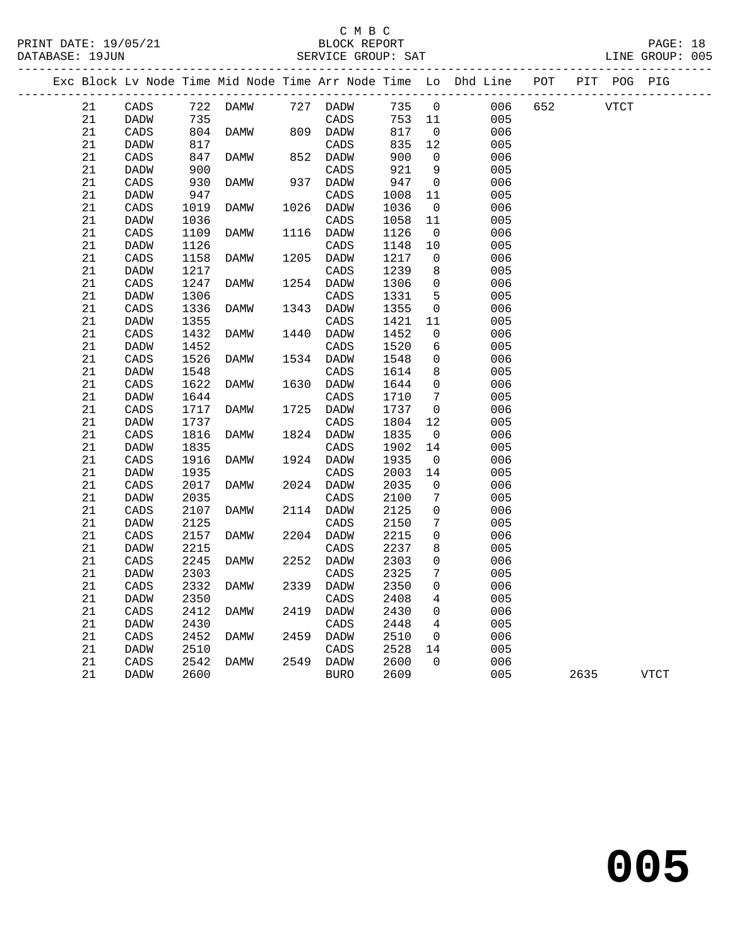|  |             |             |      |      |      |                 |      |                 | Exc Block Lv Node Time Mid Node Time Arr Node Time Lo Dhd Line |     | POT PIT POG PIG |      |             |
|--|-------------|-------------|------|------|------|-----------------|------|-----------------|----------------------------------------------------------------|-----|-----------------|------|-------------|
|  | 21          | CADS        | 722  | DAMW |      | 727 DADW        | 735  | $\overline{0}$  | 006                                                            | 652 |                 | VTCT |             |
|  | 21          | <b>DADW</b> | 735  |      |      | CADS            | 753  | 11              | 005                                                            |     |                 |      |             |
|  | 21          | CADS        | 804  | DAMW |      | 809 DADW        | 817  | $\overline{0}$  | 006                                                            |     |                 |      |             |
|  | 21          | <b>DADW</b> | 817  |      |      | CADS            | 835  | 12              | 005                                                            |     |                 |      |             |
|  | 21          | CADS        | 847  | DAMW | 852  | DADW            | 900  | $\overline{0}$  | 006                                                            |     |                 |      |             |
|  | 21          | <b>DADW</b> | 900  |      |      | CADS            | 921  | 9               | 005                                                            |     |                 |      |             |
|  | 21          | CADS        | 930  | DAMW |      | 937 DADW        | 947  | $\overline{0}$  | 006                                                            |     |                 |      |             |
|  | 21          | DADW        | 947  |      |      | CADS            | 1008 | 11              | 005                                                            |     |                 |      |             |
|  | 21          | CADS        | 1019 | DAMW | 1026 | DADW            | 1036 | $\overline{0}$  | 006                                                            |     |                 |      |             |
|  | 21          | DADW        | 1036 |      |      | CADS            | 1058 | 11              | 005                                                            |     |                 |      |             |
|  | 21          | CADS        | 1109 | DAMW | 1116 | DADW            | 1126 | $\overline{0}$  | 006                                                            |     |                 |      |             |
|  | 21          | DADW        | 1126 |      |      | CADS            | 1148 | 10              | 005                                                            |     |                 |      |             |
|  | 21          | CADS        | 1158 | DAMW | 1205 | DADW            | 1217 | $\mathsf{O}$    | 006                                                            |     |                 |      |             |
|  | 21          | DADW        | 1217 |      |      | CADS            | 1239 | 8               | 005                                                            |     |                 |      |             |
|  | 21          | CADS        | 1247 | DAMW |      | 1254 DADW       | 1306 | $\mathbf 0$     | 006                                                            |     |                 |      |             |
|  | 21          | DADW        | 1306 |      |      | CADS            | 1331 | 5               | 005                                                            |     |                 |      |             |
|  | 21          | CADS        | 1336 | DAMW | 1343 | DADW            | 1355 | $\overline{0}$  | 006                                                            |     |                 |      |             |
|  | 21          | DADW        | 1355 |      |      | CADS            | 1421 | 11              | 005                                                            |     |                 |      |             |
|  | 21          | CADS        | 1432 | DAMW | 1440 | DADW            | 1452 | $\mathbf 0$     | 006                                                            |     |                 |      |             |
|  | 21          | <b>DADW</b> | 1452 |      |      | CADS            | 1520 | 6               | 005                                                            |     |                 |      |             |
|  | $21\,$      | CADS        | 1526 | DAMW | 1534 | DADW            | 1548 | $\mathbf 0$     | 006                                                            |     |                 |      |             |
|  | 21          | DADW        | 1548 |      |      | CADS            | 1614 | 8               | 005                                                            |     |                 |      |             |
|  | $21\,$      | CADS        | 1622 | DAMW | 1630 | DADW            | 1644 | $\Omega$        | 006                                                            |     |                 |      |             |
|  | $2\sqrt{1}$ | <b>DADW</b> | 1644 |      |      | CADS            | 1710 | 7               | 005                                                            |     |                 |      |             |
|  | 21          | CADS        | 1717 | DAMW | 1725 | DADW            | 1737 | $\mathbf 0$     | 006                                                            |     |                 |      |             |
|  | 21          | <b>DADW</b> | 1737 |      |      | CADS            | 1804 | 12              | 005                                                            |     |                 |      |             |
|  | 21          | CADS        | 1816 | DAMW |      | 1824 DADW       | 1835 | $\overline{0}$  | 006                                                            |     |                 |      |             |
|  | 21          | DADW        | 1835 |      |      | CADS            | 1902 | 14              | 005                                                            |     |                 |      |             |
|  | 21          | CADS        | 1916 | DAMW | 1924 | DADW            | 1935 | $\overline{0}$  | 006                                                            |     |                 |      |             |
|  | 21          | <b>DADW</b> | 1935 |      |      | CADS            | 2003 | 14              | 005                                                            |     |                 |      |             |
|  | 21          | CADS        | 2017 | DAMW |      | 2024 DADW       | 2035 | 0               | 006                                                            |     |                 |      |             |
|  | 21          | <b>DADW</b> | 2035 |      |      | CADS            | 2100 | 7               | 005                                                            |     |                 |      |             |
|  | 21          | CADS        | 2107 | DAMW |      | 2114 DADW       | 2125 | 0               | 006                                                            |     |                 |      |             |
|  | 21          | <b>DADW</b> | 2125 |      |      | CADS            | 2150 | 7               | 005                                                            |     |                 |      |             |
|  | 21          | CADS        | 2157 | DAMW |      | 2204 DADW       | 2215 | $\mathbf 0$     | 006                                                            |     |                 |      |             |
|  | 21          | <b>DADW</b> | 2215 |      |      | $\mathtt{CADS}$ | 2237 | 8               | 005                                                            |     |                 |      |             |
|  | 21          | CADS        | 2245 | DAMW | 2252 | <b>DADW</b>     | 2303 | 0               | 006                                                            |     |                 |      |             |
|  | 21          | DADW        | 2303 |      |      | CADS            | 2325 | 7               | 005                                                            |     |                 |      |             |
|  | 21          | CADS        | 2332 | DAMW | 2339 | DADW            | 2350 | $\mathbf 0$     | 006                                                            |     |                 |      |             |
|  | 21          | <b>DADW</b> | 2350 |      |      | CADS            | 2408 | 4               | 005                                                            |     |                 |      |             |
|  | 21          | CADS        | 2412 | DAMW | 2419 | DADW            | 2430 | $\mathbf 0$     | 006                                                            |     |                 |      |             |
|  | 21          | DADW        | 2430 |      |      | CADS            | 2448 | $4\overline{ }$ | 005                                                            |     |                 |      |             |
|  | 21          | CADS        | 2452 | DAMW | 2459 | DADW            | 2510 | $\overline{0}$  | 006                                                            |     |                 |      |             |
|  | $21\,$      | DADW        | 2510 |      |      | CADS            | 2528 | 14              | 005                                                            |     |                 |      |             |
|  | 21          | CADS        | 2542 | DAMW | 2549 | DADW            | 2600 | $\Omega$        | 006                                                            |     |                 |      |             |
|  | 21          | DADW        | 2600 |      |      | <b>BURO</b>     | 2609 |                 | 005                                                            |     | 2635            |      | <b>VTCT</b> |
|  |             |             |      |      |      |                 |      |                 |                                                                |     |                 |      |             |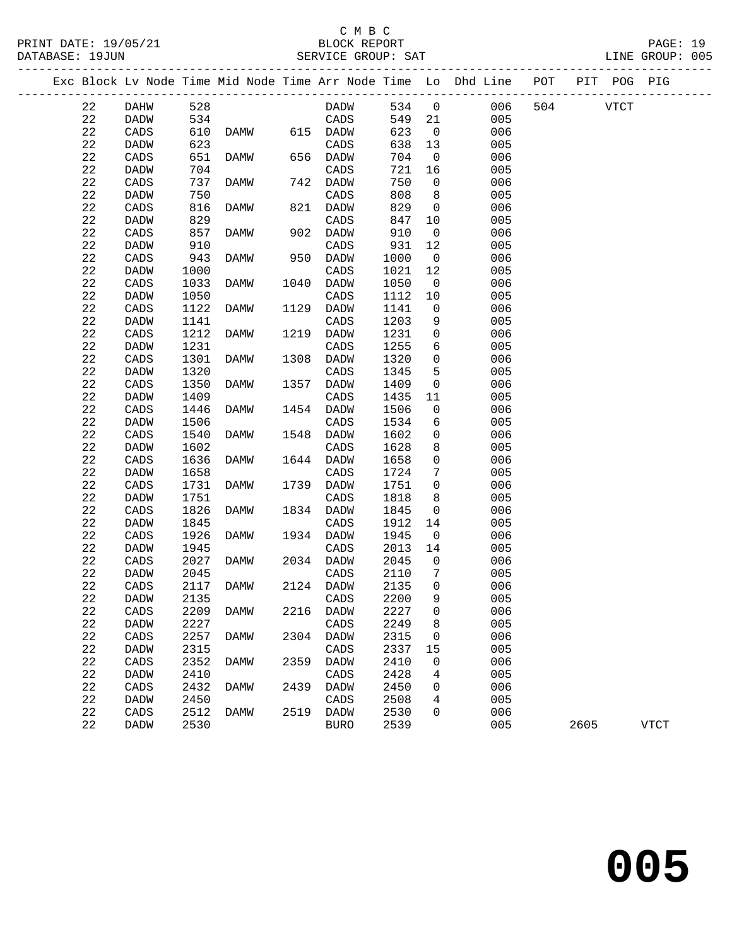| PRINT DATE: 19/05/21<br>DATABASE: 19JUN |             |                 |              | 5/21 BLOCK REPORT<br>SERVICE GROUP: SAT |      |                   |              |                      |                                                                                |              |      | PAGE: 19<br>LINE GROUP: 005 |  |
|-----------------------------------------|-------------|-----------------|--------------|-----------------------------------------|------|-------------------|--------------|----------------------|--------------------------------------------------------------------------------|--------------|------|-----------------------------|--|
|                                         |             |                 |              |                                         |      |                   |              |                      | Exc Block Lv Node Time Mid Node Time Arr Node Time Lo Dhd Line POT PIT POG PIG |              |      |                             |  |
|                                         | 22          | DAHW            | 528          |                                         |      | <b>DADW</b>       |              |                      | 534 0                                                                          | 006 504 VTCT |      |                             |  |
|                                         | 22          | <b>DADW</b>     | 534          |                                         |      | CADS              | 549 21       |                      | 005                                                                            |              |      |                             |  |
|                                         | 22          | CADS            |              | 610 DAMW 615 DADW                       |      |                   | 623          | $\overline{0}$       | 006                                                                            |              |      |                             |  |
|                                         | 22          | DADW            | 623          |                                         |      | CADS              | 638          | 13                   | 005                                                                            |              |      |                             |  |
|                                         | 22          | CADS            | 651          | DAMW                                    |      | $656$ DADW        | 704          | $\overline{0}$       | 006                                                                            |              |      |                             |  |
|                                         | 22          | DADW            | 704          |                                         |      | CADS              | 721          | 16                   | 005                                                                            |              |      |                             |  |
|                                         | 22          | CADS            | 737          | DAMW                                    |      | 742 DADW          | 750          | $\overline{0}$       | 006                                                                            |              |      |                             |  |
|                                         | 22          | DADW            | 750          |                                         |      | CADS              | 808          | 8 <sup>8</sup>       | 005                                                                            |              |      |                             |  |
|                                         | 22          | CADS            | 816          | DAMW                                    |      | 821 DADW          | 829          | $\overline{0}$       | 006                                                                            |              |      |                             |  |
|                                         | 22          | DADW            | 829          |                                         |      | CADS              | 847          | 10                   | 005                                                                            |              |      |                             |  |
|                                         | 22          | CADS            | 857          | DAMW                                    |      | 902 DADW          | 910          | $\overline{0}$       | 006                                                                            |              |      |                             |  |
|                                         | 22          | <b>DADW</b>     | 910          |                                         |      | CADS              | 931          | 12                   | 005                                                                            |              |      |                             |  |
|                                         | 22          | CADS            | 943          | DAMW                                    |      | 950 DADW          | 1000         | $\overline{0}$       | 006                                                                            |              |      |                             |  |
|                                         | 22          | DADW            | 1000         |                                         |      | CADS              | 1021         | 12                   | 005                                                                            |              |      |                             |  |
|                                         | 22          | CADS            | 1033         | DAMW                                    | 1040 | DADW              | 1050         | $\overline{0}$       | 006                                                                            |              |      |                             |  |
|                                         | 22          | DADW            | 1050         |                                         |      | CADS              | 1112         | 10                   | 005                                                                            |              |      |                             |  |
|                                         | 22          | CADS            | 1122         | DAMW                                    | 1129 | DADW              | 1141         | $\overline{0}$       | 006                                                                            |              |      |                             |  |
|                                         | 22          | DADW            | 1141         |                                         |      | CADS              | 1203         | 9                    | 005                                                                            |              |      |                             |  |
|                                         | 22          | CADS            | 1212         | DAMW                                    | 1219 | DADW              | 1231         | $\overline{0}$       | 006                                                                            |              |      |                             |  |
|                                         | 22          | DADW            | 1231         |                                         |      | CADS              | 1255         | 6                    | 005                                                                            |              |      |                             |  |
|                                         | 22          | $\mathtt{CADS}$ | 1301         | DAMW                                    | 1308 | DADW              | 1320         | $\overline{0}$       | 006                                                                            |              |      |                             |  |
|                                         | 22          | DADW            | 1320         |                                         |      | CADS              | 1345         | 5                    | 005                                                                            |              |      |                             |  |
|                                         | 22          | CADS            | 1350         | DAMW                                    | 1357 | DADW              | 1409         | $\mathbf 0$          | 006                                                                            |              |      |                             |  |
|                                         | 22          | <b>DADW</b>     | 1409         |                                         |      | CADS              | 1435         | 11                   | 005                                                                            |              |      |                             |  |
|                                         | 22          | CADS            | 1446         | DAMW                                    |      | 1454 DADW         | 1506         | $\overline{0}$       | 006                                                                            |              |      |                             |  |
|                                         | 22          | DADW            | 1506         |                                         |      | CADS              | 1534         | 6                    | 005                                                                            |              |      |                             |  |
|                                         | 22          | CADS            | 1540         | DAMW                                    | 1548 | DADW              | 1602         | $\overline{0}$       | 006                                                                            |              |      |                             |  |
|                                         | 22          | <b>DADW</b>     | 1602         |                                         |      | CADS              | 1628         | 8                    | 005                                                                            |              |      |                             |  |
|                                         | 22          | $\mathtt{CADS}$ | 1636         | DAMW                                    |      | 1644 DADW         | 1658         | $\mathbf 0$          | 006                                                                            |              |      |                             |  |
|                                         | 22          | <b>DADW</b>     | 1658         |                                         |      | CADS              | 1724         | $7\phantom{.0}$      | 005                                                                            |              |      |                             |  |
|                                         | 22          | CADS            | 1731         | DAMW                                    |      | 1739 DADW         | 1751         | $\overline{0}$       | 006                                                                            |              |      |                             |  |
|                                         | 22          | <b>DADW</b>     | 1751         |                                         |      | CADS              | 1818         | 8                    | 005                                                                            |              |      |                             |  |
|                                         | 22          | CADS            | 1826         | DAMW                                    |      | 1834 DADW         | 1845         | $\overline{0}$       | 006                                                                            |              |      |                             |  |
|                                         | 22<br>22    | <b>DADW</b>     | 1845<br>1926 |                                         |      | CADS<br>1934 DADW | 1912<br>1945 | 14<br>$\overline{0}$ | 005<br>006                                                                     |              |      |                             |  |
|                                         | 22          | CADS<br>DADW    | 1945         | DAMW                                    |      | CADS              | 2013         | 14                   | 005                                                                            |              |      |                             |  |
|                                         | 22          | CADS            | 2027         | DAMW                                    |      | 2034 DADW         | 2045         | $\overline{0}$       | 006                                                                            |              |      |                             |  |
|                                         | 22          | <b>DADW</b>     | 2045         |                                         |      | CADS              | 2110 7       |                      | 005                                                                            |              |      |                             |  |
|                                         | 22          | CADS            | 2117         | DAMW                                    | 2124 | DADW              | 2135         | 0                    | 006                                                                            |              |      |                             |  |
|                                         | 22          | <b>DADW</b>     | 2135         |                                         |      | CADS              | 2200         | 9                    | 005                                                                            |              |      |                             |  |
|                                         | 22          | CADS            | 2209         | DAMW                                    | 2216 | DADW              | 2227         | 0                    | 006                                                                            |              |      |                             |  |
|                                         | 22          | DADW            | 2227         |                                         |      | CADS              | 2249         | 8                    | 005                                                                            |              |      |                             |  |
|                                         | 22          | CADS            | 2257         | DAMW                                    | 2304 | DADW              | 2315         | 0                    | 006                                                                            |              |      |                             |  |
|                                         | 22          | DADW            | 2315         |                                         |      | CADS              | 2337         | 15                   | 005                                                                            |              |      |                             |  |
|                                         | 22          | CADS            | 2352         | DAMW                                    | 2359 | DADW              | 2410         | 0                    | 006                                                                            |              |      |                             |  |
|                                         | $2\sqrt{2}$ | DADW            | 2410         |                                         |      | CADS              | 2428         | 4                    | 005                                                                            |              |      |                             |  |
|                                         | 22          | CADS            | 2432         | DAMW                                    | 2439 | DADW              | 2450         | 0                    | 006                                                                            |              |      |                             |  |
|                                         | 22          | DADW            | 2450         |                                         |      | CADS              | 2508         | 4                    | 005                                                                            |              |      |                             |  |
|                                         | 22          | CADS            | 2512         | <b>DAMW</b>                             | 2519 | DADW              | 2530         | $\Omega$             | 006                                                                            |              |      |                             |  |
|                                         | 22          | DADW            | 2530         |                                         |      | <b>BURO</b>       | 2539         |                      | 005                                                                            |              | 2605 | <b>VTCT</b>                 |  |
|                                         |             |                 |              |                                         |      |                   |              |                      |                                                                                |              |      |                             |  |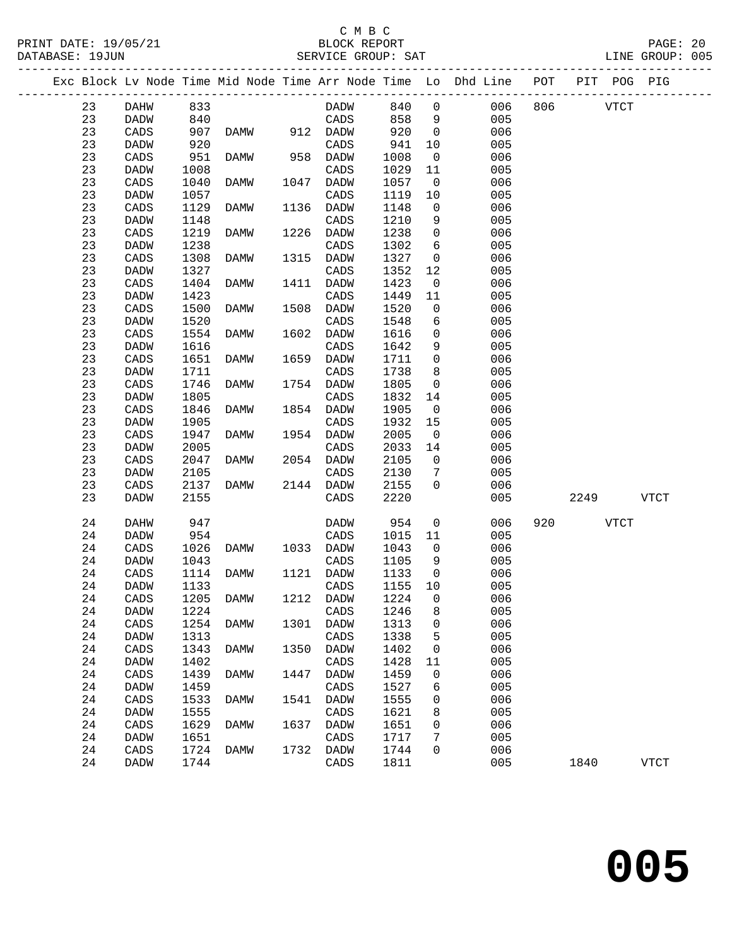PRINT DATE: 19/05/21 BLOCK REPORT PAGE: 20 DATABASE: 19JUN

### C M B C<br>BLOCK REPORT<br>PHICE CROUD: CAT

|  | DATABASE: 19JUN |             |                      |        |  |                 | SERVICE GROUP: SAT |                             |                                                                                |         |      | LINE GROUP: 005 |  |
|--|-----------------|-------------|----------------------|--------|--|-----------------|--------------------|-----------------------------|--------------------------------------------------------------------------------|---------|------|-----------------|--|
|  |                 |             |                      |        |  |                 |                    |                             | Exc Block Lv Node Time Mid Node Time Arr Node Time Lo Dhd Line POT PIT POG PIG |         |      |                 |  |
|  | 23              | DAHW        | 833                  |        |  | <b>DADW</b>     | 840                | $\overline{0}$              |                                                                                | 006 806 | VTCT |                 |  |
|  | 23              | <b>DADW</b> | 840                  |        |  | CADS            | 858                |                             | 005                                                                            |         |      |                 |  |
|  | $\sim$ $\sim$   | -----       | $\sim$ $\sim$ $\sim$ | ______ |  | $- - - - - - -$ |                    | $\sim$ $\sim$ $\sim$ $\sim$ | $\sim$ $\sim$ $\sim$                                                           |         |      |                 |  |

| 23          | DADW            | 840  |             |      | CADS            | 858  | 9                   | 005        |     |      |      |             |  |
|-------------|-----------------|------|-------------|------|-----------------|------|---------------------|------------|-----|------|------|-------------|--|
| 23          | $\mathtt{CADS}$ | 907  | <b>DAMW</b> | 912  | DADW            | 920  | $\mathsf{O}\xspace$ | 006        |     |      |      |             |  |
| 23          | DADW            | 920  |             |      | $\mathtt{CADS}$ | 941  | 10                  | 005        |     |      |      |             |  |
| 23          | $\mathtt{CADS}$ | 951  | <b>DAMW</b> | 958  | <b>DADW</b>     | 1008 | $\mathsf 0$         | 006        |     |      |      |             |  |
| 23          | DADW            | 1008 |             |      | $\mathtt{CADS}$ | 1029 | 11                  | 005        |     |      |      |             |  |
| 23          | CADS            | 1040 | DAMW        | 1047 | DADW            | 1057 | $\mathsf{O}$        | 006        |     |      |      |             |  |
| 23          | DADW            | 1057 |             |      | $\mathtt{CADS}$ | 1119 | 10                  | 005        |     |      |      |             |  |
| 23          | $\mathtt{CADS}$ | 1129 | <b>DAMW</b> | 1136 | <b>DADW</b>     | 1148 | $\mathsf{O}\xspace$ | 006        |     |      |      |             |  |
| 23          | DADW            | 1148 |             |      | $\mathtt{CADS}$ | 1210 | 9                   | 005        |     |      |      |             |  |
| 23          | $\mathtt{CADS}$ |      | <b>DAMW</b> | 1226 | DADW            | 1238 |                     | 006        |     |      |      |             |  |
|             |                 | 1219 |             |      |                 |      | $\mathsf{O}\xspace$ |            |     |      |      |             |  |
| 23          | DADW            | 1238 |             |      | $\mathtt{CADS}$ | 1302 | $\epsilon$          | 005        |     |      |      |             |  |
| 23          | $\mathtt{CADS}$ | 1308 | <b>DAMW</b> | 1315 | DADW            | 1327 | $\mathsf{O}$        | 006        |     |      |      |             |  |
| 23          | DADW            | 1327 |             |      | $\mathtt{CADS}$ | 1352 | 12                  | 005        |     |      |      |             |  |
| 23          | $\mathtt{CADS}$ | 1404 | <b>DAMW</b> | 1411 | DADW            | 1423 | $\mathsf{O}\xspace$ | 006        |     |      |      |             |  |
| 23          | DADW            | 1423 |             |      | $\mathtt{CADS}$ | 1449 | 11                  | 005        |     |      |      |             |  |
| 23          | $\mathtt{CADS}$ | 1500 | <b>DAMW</b> | 1508 | DADW            | 1520 | $\mathsf{O}\xspace$ | 006        |     |      |      |             |  |
| 23          | <b>DADW</b>     | 1520 |             |      | CADS            | 1548 | 6                   | 005        |     |      |      |             |  |
| 23          | $\mathtt{CADS}$ | 1554 | <b>DAMW</b> | 1602 | DADW            | 1616 | 0                   | 006        |     |      |      |             |  |
| 23          | DADW            | 1616 |             |      | $\mathtt{CADS}$ | 1642 | 9                   | 005        |     |      |      |             |  |
| 23          | $\mathtt{CADS}$ | 1651 | <b>DAMW</b> | 1659 | <b>DADW</b>     | 1711 | $\mathsf{O}\xspace$ | 006        |     |      |      |             |  |
| 23          | <b>DADW</b>     | 1711 |             |      | CADS            | 1738 | 8                   | 005        |     |      |      |             |  |
| 23          | CADS            | 1746 | <b>DAMW</b> | 1754 | <b>DADW</b>     | 1805 | $\mathsf{O}\xspace$ | 006        |     |      |      |             |  |
| 23          | DADW            | 1805 |             |      | CADS            | 1832 | 14                  | 005        |     |      |      |             |  |
| 23          | $\mathtt{CADS}$ | 1846 | DAMW        | 1854 | <b>DADW</b>     | 1905 | $\mathsf 0$         | 006        |     |      |      |             |  |
| 23          | <b>DADW</b>     | 1905 |             |      | CADS            | 1932 | 15                  | 005        |     |      |      |             |  |
| 23          | $\mathtt{CADS}$ | 1947 | <b>DAMW</b> | 1954 | <b>DADW</b>     | 2005 | $\mathsf{O}$        | 006        |     |      |      |             |  |
| 23          | DADW            | 2005 |             |      | $\mathtt{CADS}$ | 2033 | 14                  | 005        |     |      |      |             |  |
| 23          | $\mathtt{CADS}$ | 2047 | <b>DAMW</b> | 2054 | DADW            | 2105 | $\mathsf{O}\xspace$ | 006        |     |      |      |             |  |
| 23          | DADW            | 2105 |             |      | CADS            | 2130 | $\overline{7}$      | 005        |     |      |      |             |  |
| 23          | CADS            | 2137 | <b>DAMW</b> | 2144 | DADW            | 2155 | $\mathbf 0$         | 006        |     |      |      |             |  |
| 23          | DADW            | 2155 |             |      | CADS            | 2220 |                     | 005        |     | 2249 |      | VTCT        |  |
|             |                 |      |             |      |                 |      |                     |            |     |      |      |             |  |
| 24          | DAHW            | 947  |             |      | DADW            | 954  | $\mathsf{O}\xspace$ | 006        | 920 |      | VTCT |             |  |
| 24          | DADW            | 954  |             |      | $\mathtt{CADS}$ | 1015 | 11                  | 005        |     |      |      |             |  |
| $2\sqrt{4}$ | $\mathtt{CADS}$ | 1026 | <b>DAMW</b> | 1033 | DADW            | 1043 | 0                   | 006        |     |      |      |             |  |
| 24          | DADW            | 1043 |             |      | $\mathtt{CADS}$ | 1105 | 9                   | 005        |     |      |      |             |  |
| 24          | $\mathtt{CADS}$ | 1114 | <b>DAMW</b> | 1121 | DADW            | 1133 | 0                   | 006        |     |      |      |             |  |
| 24          | DADW            | 1133 |             |      | $\mathtt{CADS}$ | 1155 | 10                  | 005        |     |      |      |             |  |
| $2\sqrt{4}$ | $\mathtt{CADS}$ | 1205 | <b>DAMW</b> | 1212 | <b>DADW</b>     | 1224 | $\mathsf 0$         | 006        |     |      |      |             |  |
| 24          | DADW            | 1224 |             |      | $\mathtt{CADS}$ | 1246 | 8                   | 005        |     |      |      |             |  |
| 24          | $\mathtt{CADS}$ | 1254 | <b>DAMW</b> | 1301 | <b>DADW</b>     | 1313 | 0                   | 006        |     |      |      |             |  |
| 24          | <b>DADW</b>     | 1313 |             |      | CADS            | 1338 | 5                   | 005        |     |      |      |             |  |
| 24          |                 | 1343 | DAMW        | 1350 |                 | 1402 | $\mathsf{O}\xspace$ |            |     |      |      |             |  |
|             | CADS            |      |             |      | DADW            |      |                     | 006<br>005 |     |      |      |             |  |
| 24          | DADW            | 1402 |             |      | CADS            | 1428 | 11                  |            |     |      |      |             |  |
| 24          | $\mathtt{CADS}$ | 1439 | DAMW        | 1447 | DADW            | 1459 | $\mathsf{O}\xspace$ | 006        |     |      |      |             |  |
| 24          | <b>DADW</b>     | 1459 |             |      | CADS            | 1527 | 6                   | 005        |     |      |      |             |  |
| 24          | CADS            | 1533 | <b>DAMW</b> | 1541 | DADW            | 1555 | 0                   | 006        |     |      |      |             |  |
| 24          | DADW            | 1555 |             |      | CADS            | 1621 | 8                   | 005        |     |      |      |             |  |
| 24          | $\mathtt{CADS}$ | 1629 | DAMW        | 1637 | DADW            | 1651 | $\mathsf{O}\xspace$ | 006        |     |      |      |             |  |
| 24          | DADW            | 1651 |             |      | CADS            | 1717 | 7                   | 005        |     |      |      |             |  |
| 24          | CADS            | 1724 | DAMW        | 1732 | DADW            | 1744 | $\mathbf 0$         | 006        |     |      |      |             |  |
| 24          | DADW            | 1744 |             |      | CADS            | 1811 |                     | 005        |     | 1840 |      | <b>VTCT</b> |  |
|             |                 |      |             |      |                 |      |                     |            |     |      |      |             |  |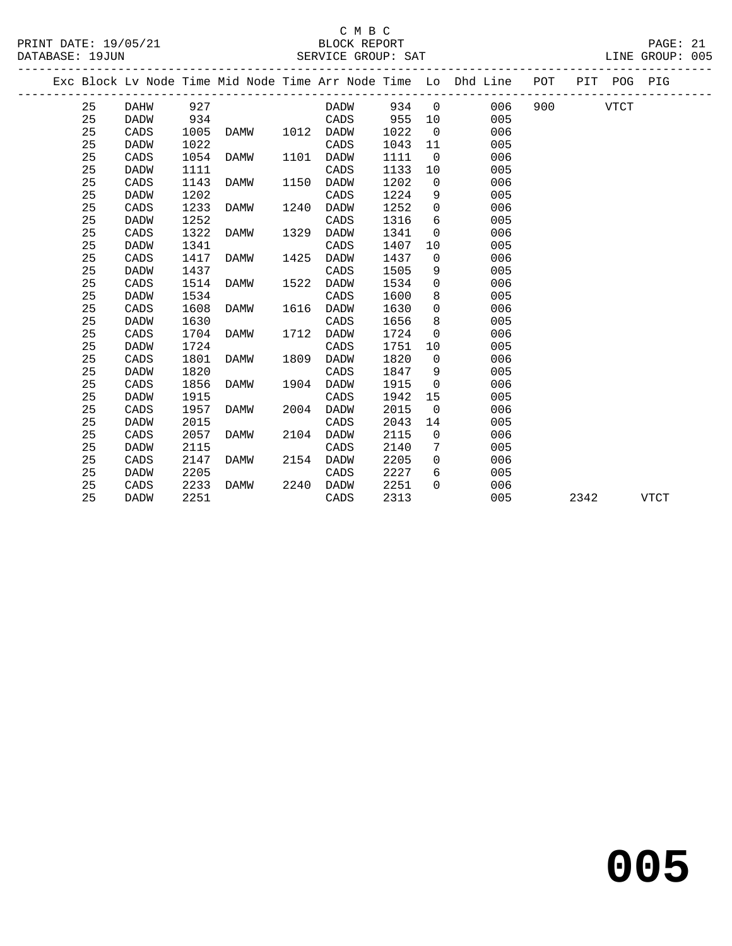#### C M B C SERVICE GROUP: SAT

|  |    |                                        |      |           |      |      |      |                | Exc Block Lv Node Time Mid Node Time Arr Node Time Lo Dhd Line | POT       | PIT POG PIG |  |
|--|----|----------------------------------------|------|-----------|------|------|------|----------------|----------------------------------------------------------------|-----------|-------------|--|
|  | 25 | ------------------------------<br>DAHW | 927  |           |      | DADW | 934  | $\overline{0}$ | 006                                                            | 900 — 100 | VTCT        |  |
|  | 25 | DADW                                   | 934  |           |      | CADS | 955  | 10             | 005                                                            |           |             |  |
|  | 25 | CADS                                   | 1005 | DAMW      | 1012 | DADW | 1022 | $\overline{0}$ | 006                                                            |           |             |  |
|  | 25 | DADW                                   | 1022 |           |      | CADS | 1043 | 11             | 005                                                            |           |             |  |
|  | 25 | CADS                                   | 1054 | DAMW      | 1101 | DADW | 1111 | $\overline{0}$ | 006                                                            |           |             |  |
|  | 25 | DADW                                   | 1111 |           |      | CADS | 1133 | 10             | 005                                                            |           |             |  |
|  | 25 | CADS                                   | 1143 | DAMW      | 1150 | DADW | 1202 | $\mathbf 0$    | 006                                                            |           |             |  |
|  | 25 | DADW                                   | 1202 |           |      | CADS | 1224 | 9              | 005                                                            |           |             |  |
|  | 25 | CADS                                   | 1233 | DAMW      | 1240 | DADW | 1252 | $\mathbf 0$    | 006                                                            |           |             |  |
|  | 25 | DADW                                   | 1252 |           |      | CADS | 1316 | 6              | 005                                                            |           |             |  |
|  | 25 | CADS                                   | 1322 | DAMW      | 1329 | DADW | 1341 | $\overline{0}$ | 006                                                            |           |             |  |
|  | 25 | DADW                                   | 1341 |           |      | CADS | 1407 | 10             | 005                                                            |           |             |  |
|  | 25 | CADS                                   | 1417 | DAMW      | 1425 | DADW | 1437 | $\overline{0}$ | 006                                                            |           |             |  |
|  | 25 | DADW                                   | 1437 |           |      | CADS | 1505 | 9              | 005                                                            |           |             |  |
|  | 25 | CADS                                   | 1514 | DAMW      | 1522 | DADW | 1534 | $\mathbf 0$    | 006                                                            |           |             |  |
|  | 25 | DADW                                   | 1534 |           |      | CADS | 1600 | 8              | 005                                                            |           |             |  |
|  | 25 | CADS                                   | 1608 | DAMW      | 1616 | DADW | 1630 | 0              | 006                                                            |           |             |  |
|  | 25 | DADW                                   | 1630 |           |      | CADS | 1656 | 8              | 005                                                            |           |             |  |
|  | 25 | CADS                                   | 1704 | DAMW      | 1712 | DADW | 1724 | $\overline{0}$ | 006                                                            |           |             |  |
|  | 25 | DADW                                   | 1724 |           |      | CADS | 1751 | 10             | 005                                                            |           |             |  |
|  | 25 | CADS                                   |      | 1801 DAMW | 1809 | DADW | 1820 | $\overline{0}$ | 006                                                            |           |             |  |

25 CADS 1801 DAMW 1809 DADW 1820 0 006

25 CADS 1856 DAMW 1904 DADW 1915 0 006

25 CADS 1957 DAMW 2004 DADW 2015 0 006

25 CADS 2057 DAMW 2104 DADW 2115 0 006

25 CADS 2147 DAMW 2154 DADW 2205 0 006

25 CADS 2233 DAMW 2240 DADW 2251 0 006

25 DADW 1820 CADS 1847 9 005

25 DADW 1915 CADS 1942 15 005

25 DADW 2015 CADS 2043 14 005

25 DADW 2115 CADS 2140 7 005

25 DADW 2205 CADS 2227 6 005

25 DADW 2251 CADS 2313 005 2342 VTCT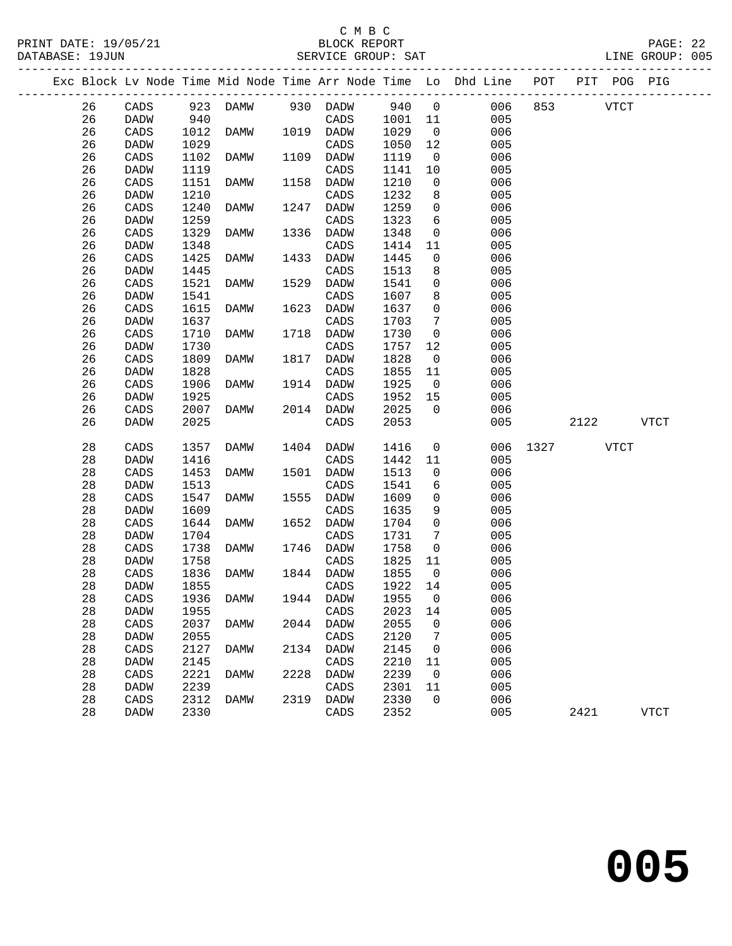# C M B C<br>BLOCK REPORT

|  | DATABASE: 19JUN |                 |      |          |      | SERVICE GROUP: SAT |         |                 |                                                                    |      |      |             | LINE GROUP: 005 |  |
|--|-----------------|-----------------|------|----------|------|--------------------|---------|-----------------|--------------------------------------------------------------------|------|------|-------------|-----------------|--|
|  |                 |                 |      |          |      |                    |         |                 | Exc Block Lv Node Time Mid Node Time Arr Node Time Lo Dhd Line POT |      |      | PIT POG PIG |                 |  |
|  | 26              | CADS            |      | 923 DAMW |      | 930 DADW           | 940 0   |                 | 006                                                                | 853  |      | <b>VTCT</b> |                 |  |
|  | 26              | DADW            | 940  |          |      | CADS               | 1001 11 |                 | 005                                                                |      |      |             |                 |  |
|  | 26              | $\mathtt{CADS}$ | 1012 | DAMW     |      | 1019 DADW          | 1029    | $\overline{0}$  | 006                                                                |      |      |             |                 |  |
|  | 26              | DADW            | 1029 |          |      | CADS               | 1050    | 12              | 005                                                                |      |      |             |                 |  |
|  | 26              | $\mathtt{CADS}$ | 1102 | DAMW     | 1109 | DADW               | 1119    | $\overline{0}$  | 006                                                                |      |      |             |                 |  |
|  | 26              | DADW            | 1119 |          |      | CADS               | 1141    | 10              | 005                                                                |      |      |             |                 |  |
|  | 26              | CADS            | 1151 | DAMW     | 1158 | DADW               | 1210    | $\overline{0}$  | 006                                                                |      |      |             |                 |  |
|  | 26              | DADW            | 1210 |          |      | $\mathtt{CADS}$    | 1232    | 8               | 005                                                                |      |      |             |                 |  |
|  | 26              | CADS            | 1240 | DAMW     | 1247 | DADW               | 1259    | $\overline{0}$  | 006                                                                |      |      |             |                 |  |
|  | 26              | DADW            | 1259 |          |      | CADS               | 1323    | 6               | 005                                                                |      |      |             |                 |  |
|  | 26              | $\mathtt{CADS}$ | 1329 | DAMW     | 1336 | DADW               | 1348    | $\overline{0}$  | 006                                                                |      |      |             |                 |  |
|  | 26              | DADW            | 1348 |          |      | CADS               | 1414    | 11              | 005                                                                |      |      |             |                 |  |
|  | 26              | $\mathtt{CADS}$ | 1425 | DAMW     | 1433 | <b>DADW</b>        | 1445    | $\mathsf 0$     | 006                                                                |      |      |             |                 |  |
|  | 26              | DADW            | 1445 |          |      | CADS               | 1513    | 8               | 005                                                                |      |      |             |                 |  |
|  | 26              | CADS            | 1521 | DAMW     | 1529 | DADW               | 1541    | $\mathsf 0$     | 006                                                                |      |      |             |                 |  |
|  | 26              | DADW            | 1541 |          |      | CADS               | 1607    | 8               | 005                                                                |      |      |             |                 |  |
|  | 26              | CADS            | 1615 | DAMW     | 1623 | DADW               | 1637    | $\overline{0}$  | 006                                                                |      |      |             |                 |  |
|  | 26              | DADW            | 1637 |          |      | CADS               | 1703    | $7\phantom{.0}$ | 005                                                                |      |      |             |                 |  |
|  | 26              | $\mathtt{CADS}$ | 1710 | DAMW     | 1718 | DADW               | 1730    | $\overline{0}$  | 006                                                                |      |      |             |                 |  |
|  | 26              | DADW            | 1730 |          |      | $\mathtt{CADS}$    | 1757    | 12              | 005                                                                |      |      |             |                 |  |
|  | 26              | CADS            | 1809 | DAMW     | 1817 | DADW               | 1828    | $\overline{0}$  | 006                                                                |      |      |             |                 |  |
|  | 26              | DADW            | 1828 |          |      | CADS               | 1855    | 11              | 005                                                                |      |      |             |                 |  |
|  | 26              | CADS            | 1906 | DAMW     | 1914 | DADW               | 1925    | $\overline{0}$  | 006                                                                |      |      |             |                 |  |
|  | 26              | DADW            | 1925 |          |      | $\mathtt{CADS}$    | 1952    | 15              | 005                                                                |      |      |             |                 |  |
|  | 26              | CADS            | 2007 | DAMW     |      | 2014 DADW          | 2025    | $\overline{0}$  | 006                                                                |      |      |             |                 |  |
|  | 26              | DADW            | 2025 |          |      | CADS               | 2053    |                 | 005                                                                |      | 2122 |             | VTCT            |  |
|  | $2\,8$          | CADS            | 1357 | DAMW     | 1404 | DADW               | 1416    | $\overline{0}$  | 006                                                                | 1327 | VTCT |             |                 |  |
|  | 28              | <b>DADW</b>     | 1416 |          |      | CADS               | 1442    | 11              | 005                                                                |      |      |             |                 |  |
|  | 28              | CADS            | 1453 | DAMW     |      | 1501 DADW          | 1513    | $\overline{0}$  | 006                                                                |      |      |             |                 |  |
|  | 28              | DADW            | 1513 |          |      | CADS               | 1541    | 6               | 005                                                                |      |      |             |                 |  |
|  | 28              | $\mathtt{CADS}$ | 1547 | DAMW     | 1555 | DADW               | 1609    | $\overline{0}$  | 006                                                                |      |      |             |                 |  |
|  | 28              | DADW            | 1609 |          |      | CADS               | 1635    | 9               | 005                                                                |      |      |             |                 |  |
|  | 28              | CADS            | 1644 | DAMW     | 1652 | <b>DADW</b>        | 1704    | $\overline{0}$  | 006                                                                |      |      |             |                 |  |
|  | 28              | DADW            | 1704 |          |      | CADS               | 1731    | $7\phantom{.0}$ | 005                                                                |      |      |             |                 |  |
|  | 28              | $\mathtt{CADS}$ | 1738 | DAMW     | 1746 | DADW               | 1758    | 0               | 006                                                                |      |      |             |                 |  |
|  | 28              | DADW            | 1758 |          |      | CADS               | 1825    | 11              | 005                                                                |      |      |             |                 |  |
|  | 28              | CADS            | 1836 | DAMW     | 1844 | DADW               | 1855    | $\overline{0}$  | 006                                                                |      |      |             |                 |  |
|  | 28              | DADW            | 1855 |          |      | CADS               | 1922    | 14              | 005                                                                |      |      |             |                 |  |
|  | $2\,8$          | $\mathtt{CADS}$ | 1936 | DAMW     |      | 1944 DADW          | 1955    | $\overline{0}$  | 006                                                                |      |      |             |                 |  |
|  | 28              | DADW            | 1955 |          |      | CADS               | 2023    | 14              | 005                                                                |      |      |             |                 |  |
|  | 28              | CADS            | 2037 | DAMW     |      | 2044 DADW          | 2055    | $\Omega$        | 006                                                                |      |      |             |                 |  |
|  |                 |                 |      |          |      |                    |         |                 |                                                                    |      |      |             |                 |  |

28 DADW 2055 CADS 2120 7 005

28 CADS 2312 DAMW 2319 DADW<br>28 DADW 2330 0 CADS

 28 CADS 2127 DAMW 2134 DADW 2145 0 006 28 DADW 2145 CADS 2210 11 005 28 CADS 2221 DAMW 2228 DADW 2239 0 006 28 DADW 2239 CADS 2301 11 005

28 DADW 2330 CADS 2352 005 2421 VTCT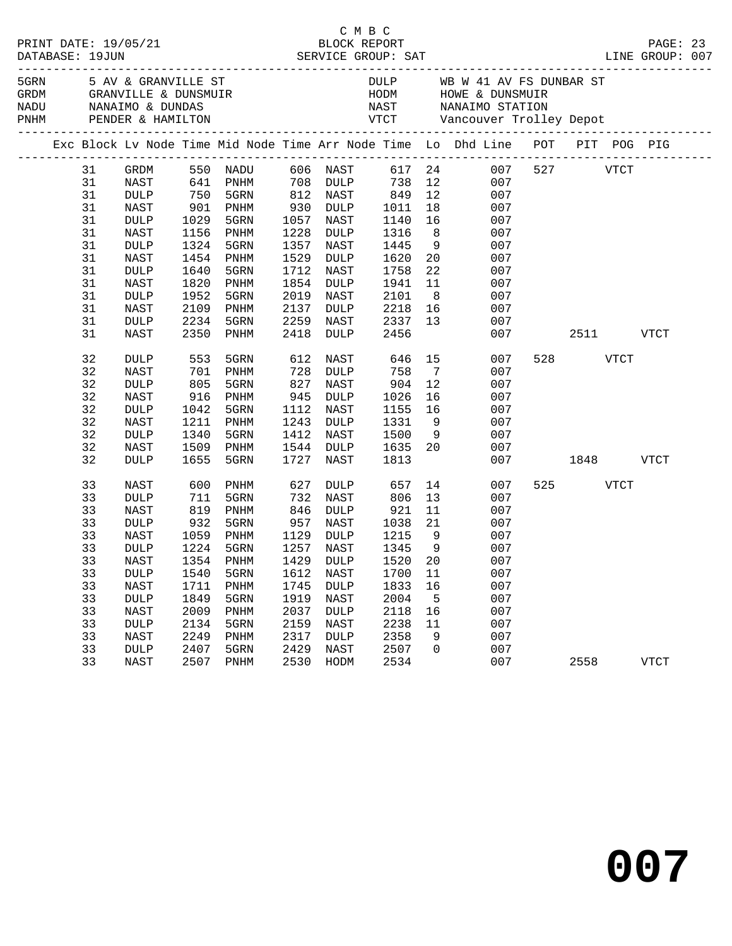|      |    |                 |             |                                            |      |             |         |                 | PRINT DATE: 19/05/21 BLOCK REPORT PAGE: 23<br>DATABASE: 19JUN SERVICE GROUP: SAT LINE GROUP: 007 |     |             |             |  |
|------|----|-----------------|-------------|--------------------------------------------|------|-------------|---------|-----------------|--------------------------------------------------------------------------------------------------|-----|-------------|-------------|--|
| 5GRN |    |                 |             | 5 AV & GRANVILLE ST                        |      |             |         |                 | DULP WB W 41 AV FS DUNBAR ST                                                                     |     |             |             |  |
|      |    |                 |             |                                            |      |             |         |                 | Exc Block Lv Node Time Mid Node Time Arr Node Time Lo Dhd Line POT PIT POG PIG                   |     |             |             |  |
|      | 31 | GRDM            |             | 550 NADU                                   |      | 606 NAST    |         |                 | 617 24 007 527 VTCT                                                                              |     |             |             |  |
|      | 31 | NAST            |             | 641 PNHM                                   |      | 708 DULP    | 738     |                 | 12<br>007                                                                                        |     |             |             |  |
|      | 31 | DULP            | 750         | 5GRN                                       | 812  | NAST        | 849     |                 | 12<br>007                                                                                        |     |             |             |  |
|      | 31 | NAST            | 901<br>1029 | PNHM                                       | 930  | DULP        | 1011    |                 | 007                                                                                              |     |             |             |  |
|      | 31 | DULP            | 1029        | 5GRN                                       | 1057 | NAST        | 1140    |                 | $\begin{array}{c} 18 \\ 16 \end{array}$<br>007                                                   |     |             |             |  |
|      | 31 | NAST            | 1156        | PNHM                                       | 1228 | DULP        | 1316    |                 | 8 <sup>1</sup><br>007                                                                            |     |             |             |  |
|      | 31 | DULP            | 1324        | 5GRN                                       | 1357 | NAST        | 1445    | 9               | 007                                                                                              |     |             |             |  |
|      | 31 | NAST            | 1454        | PNHM                                       | 1529 | DULP        | 1620    | 20              | 007                                                                                              |     |             |             |  |
|      | 31 | <b>DULP</b>     | 1640        | 5GRN                                       | 1712 | NAST        | 1758    | 22              | 007                                                                                              |     |             |             |  |
|      | 31 | NAST            | 1820        | PNHM                                       | 1854 | DULP        | 1941    | 11              | 007                                                                                              |     |             |             |  |
|      | 31 | $\texttt{DULP}$ | 1952        | 5GRN                                       | 2019 | NAST        | 2101    | 8 <sup>8</sup>  | 007                                                                                              |     |             |             |  |
|      | 31 | NAST            | 2109        | PNHM                                       | 2137 | DULP        | 2218    | 16              | 007                                                                                              |     |             |             |  |
|      | 31 | DULP            | 2234        | 5GRN                                       | 2259 | NAST        | 2337 13 |                 | 007                                                                                              |     |             |             |  |
|      | 31 | NAST            | 2350        | PNHM                                       | 2418 | DULP        | 2456    |                 | 007                                                                                              |     | 2511 VTCT   |             |  |
|      | 32 | <b>DULP</b>     | 553         | 5GRN                                       | 612  | NAST        | 646     | 15              | 007                                                                                              | 528 | <b>VTCT</b> |             |  |
|      | 32 | NAST            | 701         | PNHM                                       | 728  | DULP        | 758     | $7\overline{ }$ | 007                                                                                              |     |             |             |  |
|      | 32 | <b>DULP</b>     | 805         | 5GRN                                       | 827  | NAST        | 904     | 12              | 007                                                                                              |     |             |             |  |
|      | 32 | NAST            | 916         | PNHM                                       | 945  | DULP        | 1026    | 16              | 007                                                                                              |     |             |             |  |
|      | 32 | <b>DULP</b>     | 1042        | 5GRN                                       | 1112 | NAST        | 1155    | 16              | 007                                                                                              |     |             |             |  |
|      | 32 | NAST            | 1211        | PNHM                                       | 1243 | DULP        | 1331    | 9               | 007                                                                                              |     |             |             |  |
|      | 32 | DULP            | 1340        | 5GRN                                       | 1412 | NAST        | 1500    | 9               | 007                                                                                              |     |             |             |  |
|      | 32 | NAST            | 1509        | PNHM                                       | 1544 | DULP        | 1635 20 |                 | 007                                                                                              |     |             |             |  |
|      | 32 | <b>DULP</b>     | 1655        | 5GRN                                       | 1727 | NAST        | 1813    |                 | 007                                                                                              |     | 1848 VTCT   |             |  |
|      | 33 | NAST            | 600         | PNHM                                       | 627  | DULP        | 657     |                 | 14<br>007                                                                                        | 525 | <b>VTCT</b> |             |  |
|      | 33 | <b>DULP</b>     | 711         | 5GRN                                       | 732  | NAST        | 806     | 13              | 007                                                                                              |     |             |             |  |
|      | 33 | NAST            | 819         | PNHM                                       | 846  | DULP        | 921     | 11              | 007                                                                                              |     |             |             |  |
|      | 33 | <b>DULP</b>     | 932         | 5GRN                                       | 957  | NAST        | 1038    | 21              | 007                                                                                              |     |             |             |  |
|      | 33 | NAST            | 1059        | PNHM                                       | 1129 | DULP        | 1215    | 9               | 007                                                                                              |     |             |             |  |
|      | 33 | DULP            | 1224        | 5GRN                                       | 1257 | NAST        | 1345 9  |                 | 007                                                                                              |     |             |             |  |
|      | 33 | NAST            |             | 1354 PNHM                                  |      | 1429 DULP   | 1520 20 |                 | 007                                                                                              |     |             |             |  |
|      | 33 | <b>DULP</b>     |             | 1540    5GRN    1612    NAST    1700    11 |      |             |         |                 | 007                                                                                              |     |             |             |  |
|      | 33 | NAST            | 1711        | PNHM                                       | 1745 | <b>DULP</b> | 1833    | 16              | 007                                                                                              |     |             |             |  |
|      | 33 | $\texttt{DULP}$ | 1849        | 5GRN                                       | 1919 | NAST        | 2004    | 5               | 007                                                                                              |     |             |             |  |
|      | 33 | NAST            | 2009        | PNHM                                       | 2037 | <b>DULP</b> | 2118    | 16              | 007                                                                                              |     |             |             |  |
|      | 33 | <b>DULP</b>     | 2134        | 5GRN                                       | 2159 | NAST        | 2238    | 11              | 007                                                                                              |     |             |             |  |
|      | 33 | NAST            | 2249        | PNHM                                       | 2317 | <b>DULP</b> | 2358    | 9               | 007                                                                                              |     |             |             |  |
|      | 33 | $\texttt{DULP}$ | 2407        | 5GRN                                       | 2429 | NAST        | 2507    | 0               | 007                                                                                              |     |             |             |  |
|      | 33 | NAST            | 2507        | PNHM                                       | 2530 | HODM        | 2534    |                 | 007                                                                                              |     | 2558        | <b>VTCT</b> |  |

**007**

C M B C<br>BLOCK REPORT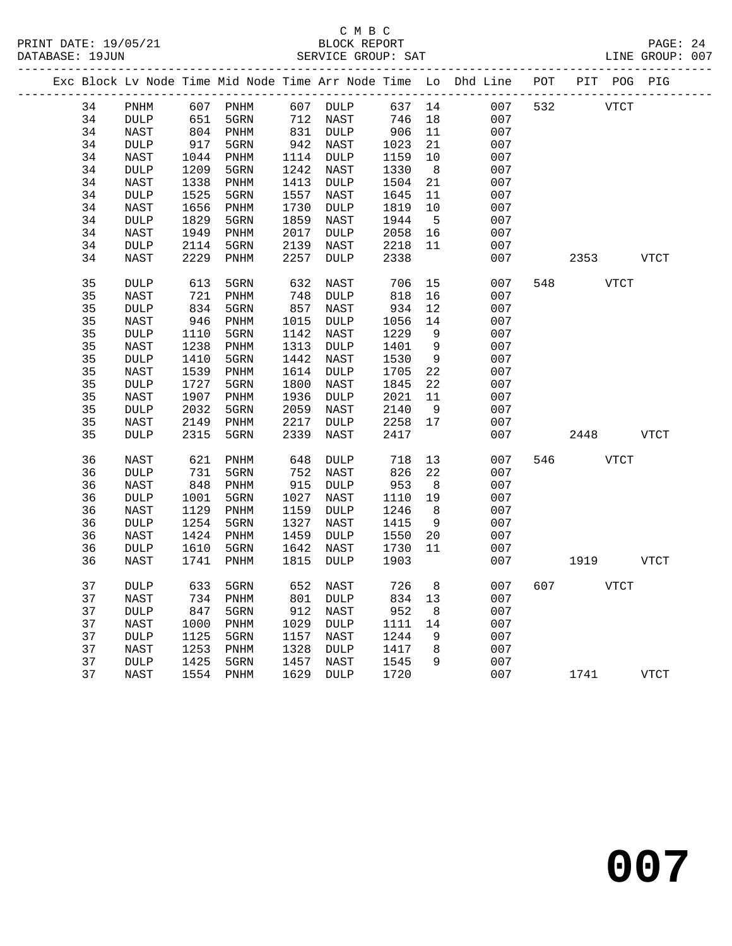|    |                 |      |                              |      |                 |        |                 | Exc Block Lv Node Time Mid Node Time Arr Node Time Lo Dhd Line POT PIT POG PIG |     |             |             |
|----|-----------------|------|------------------------------|------|-----------------|--------|-----------------|--------------------------------------------------------------------------------|-----|-------------|-------------|
| 34 | PNHM            |      | 607 PNHM                     |      | 607 DULP        | 637 14 |                 | 007                                                                            | 532 | <b>VTCT</b> |             |
| 34 | <b>DULP</b>     | 651  | 5GRN                         | 712  | NAST            | 746    | 18              | 007                                                                            |     |             |             |
| 34 | <b>NAST</b>     | 804  | PNHM                         |      | 831 DULP        | 906    | 11              | 007                                                                            |     |             |             |
| 34 | <b>DULP</b>     | 917  | 5GRN                         |      | 942 NAST        | 1023   | 21              | 007                                                                            |     |             |             |
| 34 | NAST            | 1044 | PNHM                         |      | 1114 DULP       | 1159   | 10              | 007                                                                            |     |             |             |
| 34 | DULP            | 1209 | 5GRN                         | 1242 | NAST            | 1330   | 8               | 007                                                                            |     |             |             |
| 34 | NAST            | 1338 | PNHM                         | 1413 | DULP            | 1504   | 21              | 007                                                                            |     |             |             |
| 34 | <b>DULP</b>     | 1525 | 5GRN                         | 1557 | NAST            | 1645   | 11              | 007                                                                            |     |             |             |
| 34 | NAST            | 1656 | PNHM                         | 1730 | DULP            | 1819   | 10              | 007                                                                            |     |             |             |
| 34 | DULP            | 1829 | 5GRN                         | 1859 | NAST            | 1944   | $5\overline{5}$ | 007                                                                            |     |             |             |
| 34 | NAST            | 1949 | PNHM                         | 2017 | DULP            | 2058   | 16              | 007                                                                            |     |             |             |
| 34 | <b>DULP</b>     | 2114 | 5GRN                         | 2139 | NAST            | 2218   | 11              | 007                                                                            |     |             |             |
| 34 | NAST            | 2229 | PNHM                         | 2257 | DULP            | 2338   |                 | 007                                                                            |     | 2353        | VTCT        |
| 35 | <b>DULP</b>     | 613  | 5GRN                         | 632  | NAST            | 706    | 15              | 007                                                                            | 548 | <b>VTCT</b> |             |
| 35 | NAST            | 721  | PNHM                         | 748  | <b>DULP</b>     | 818    | 16              | 007                                                                            |     |             |             |
| 35 | <b>DULP</b>     | 834  | 5GRN                         | 857  | NAST            | 934    | 12              | 007                                                                            |     |             |             |
| 35 | NAST            | 946  | PNHM                         | 1015 | $\texttt{DULP}$ | 1056   | 14              | 007                                                                            |     |             |             |
| 35 | <b>DULP</b>     | 1110 | 5GRN                         | 1142 | NAST            | 1229   | 9               | 007                                                                            |     |             |             |
| 35 | NAST            | 1238 | PNHM                         | 1313 | DULP            | 1401   | 9               | 007                                                                            |     |             |             |
| 35 | <b>DULP</b>     | 1410 | 5GRN                         | 1442 | NAST            | 1530   | 9               | 007                                                                            |     |             |             |
| 35 | <b>NAST</b>     | 1539 | $\mathop{\rm PNHM}\nolimits$ | 1614 | $\texttt{DULP}$ | 1705   | 22              | 007                                                                            |     |             |             |
| 35 | DULP            | 1727 | 5GRN                         | 1800 | NAST            | 1845   | 22              | 007                                                                            |     |             |             |
| 35 | NAST            | 1907 | $\mathop{\rm PNHM}\nolimits$ | 1936 | DULP            | 2021   | 11              | 007                                                                            |     |             |             |
| 35 | <b>DULP</b>     | 2032 | 5GRN                         | 2059 | NAST            | 2140   | 9               | 007                                                                            |     |             |             |
| 35 | NAST            | 2149 | PNHM                         | 2217 | <b>DULP</b>     | 2258   | 17              | 007                                                                            |     |             |             |
| 35 | DULP            | 2315 | 5GRN                         | 2339 | NAST            | 2417   |                 | 007                                                                            |     | 2448        | <b>VTCT</b> |
| 36 | NAST            | 621  | PNHM                         | 648  | DULP            | 718    | 13              | 007                                                                            | 546 | <b>VTCT</b> |             |
| 36 | $\texttt{DULP}$ | 731  | 5GRN                         | 752  | NAST            | 826    | 22              | 007                                                                            |     |             |             |
| 36 | NAST            | 848  | PNHM                         | 915  | DULP            | 953    | 8 <sup>8</sup>  | 007                                                                            |     |             |             |
| 36 | <b>DULP</b>     | 1001 | 5GRN                         | 1027 | NAST            | 1110   | 19              | 007                                                                            |     |             |             |
| 36 | NAST            | 1129 | PNHM                         | 1159 | DULP            | 1246   | 8               | 007                                                                            |     |             |             |
| 36 | <b>DULP</b>     | 1254 | 5GRN                         | 1327 | NAST            | 1415   | 9               | 007                                                                            |     |             |             |
| 36 | NAST            | 1424 | PNHM                         | 1459 | <b>DULP</b>     | 1550   | 20              | 007                                                                            |     |             |             |
| 36 | DULP            | 1610 | 5GRN                         | 1642 | NAST            | 1730   | 11              | 007                                                                            |     |             |             |
| 36 | <b>NAST</b>     | 1741 | PNHM                         | 1815 | <b>DULP</b>     | 1903   |                 | 007                                                                            |     | 1919        | <b>VTCT</b> |
| 37 | <b>DULP</b>     | 633  | 5GRN                         | 652  | NAST            | 726    | 8               | 007                                                                            | 607 | <b>VTCT</b> |             |
| 37 | NAST            | 734  | PNHM                         | 801  | DULP            | 834    | 13              | 007                                                                            |     |             |             |
| 37 | DULP            | 847  | 5GRN                         | 912  | NAST            | 952    | 8               | 007                                                                            |     |             |             |
| 37 | NAST            | 1000 | PNHM                         | 1029 | DULP            | 1111   | 14              | 007                                                                            |     |             |             |
| 37 | DULP            | 1125 | 5GRN                         | 1157 | NAST            | 1244   | 9               | 007                                                                            |     |             |             |
| 37 | NAST            | 1253 | PNHM                         | 1328 | DULP            | 1417   | 8               | 007                                                                            |     |             |             |
| 37 | <b>DULP</b>     | 1425 | 5GRN                         | 1457 | NAST            | 1545   | 9               | 007                                                                            |     |             |             |
| 37 | NAST            | 1554 | PNHM                         | 1629 | DULP            | 1720   |                 | 007                                                                            |     | 1741        | <b>VTCT</b> |
|    |                 |      |                              |      |                 |        |                 |                                                                                |     |             |             |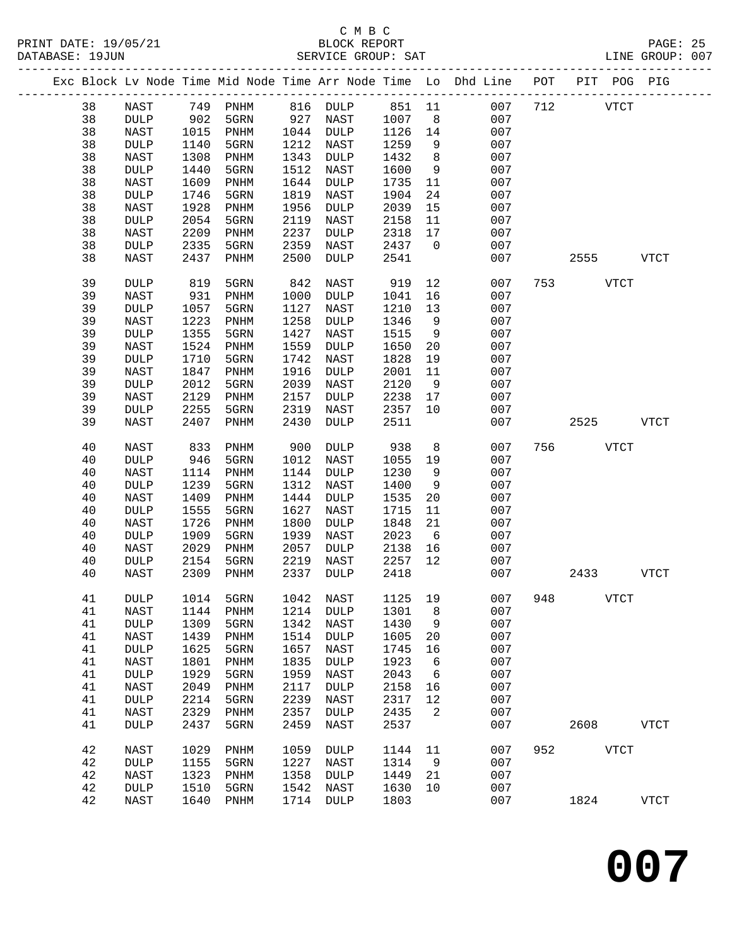#### C M B C<br>BLOCK REPORT SERVICE GROUP: SAT

|  |          |                     |              | Exc Block Lv Node Time Mid Node Time Arr Node Time Lo Dhd Line POT PIT POG PIG |              |                     |              |                |                 |     |          |             |             |
|--|----------|---------------------|--------------|--------------------------------------------------------------------------------|--------------|---------------------|--------------|----------------|-----------------|-----|----------|-------------|-------------|
|  | 38       | NAST                |              | 749 PNHM                                                                       |              | 816 DULP            | 851 11       |                | 007             | 712 |          | <b>VTCT</b> |             |
|  | 38       | <b>DULP</b>         | 902          | 5GRN                                                                           | 927          | NAST                | 1007         | 8 <sup>8</sup> | 007             |     |          |             |             |
|  | 38       | NAST                | 1015         | PNHM                                                                           | 1044         | DULP                | 1126         | 14             | 007             |     |          |             |             |
|  | 38       | <b>DULP</b>         | 1140         | 5GRN                                                                           | 1212         | NAST                | 1259         | 9              | 007             |     |          |             |             |
|  | 38       | NAST                | 1308         | PNHM                                                                           | 1343         | DULP                | 1432         | 8              | 007             |     |          |             |             |
|  | 38       | DULP                | 1440         | 5GRN                                                                           | 1512         | NAST                | 1600         | 9              | 007             |     |          |             |             |
|  | 38       | NAST                | 1609         | PNHM                                                                           | 1644         | <b>DULP</b>         | 1735         | 11             | 007             |     |          |             |             |
|  | 38       | DULP                | 1746         | 5GRN                                                                           | 1819         | NAST                | 1904         | 24             | 007             |     |          |             |             |
|  | 38       | NAST                | 1928         | PNHM                                                                           | 1956         | <b>DULP</b>         | 2039         | 15             | 007             |     |          |             |             |
|  | 38       | <b>DULP</b>         | 2054         | 5GRN                                                                           | 2119         | NAST                | 2158         | 11             | 007             |     |          |             |             |
|  | 38       | NAST                | 2209         | PNHM                                                                           | 2237         | <b>DULP</b>         | 2318         | 17             | 007             |     |          |             |             |
|  | 38       | <b>DULP</b>         | 2335         | 5GRN                                                                           | 2359         | NAST                | 2437         | $\overline{0}$ | 007             |     |          |             |             |
|  | 38       | NAST                | 2437         | PNHM                                                                           | 2500         | <b>DULP</b>         | 2541         |                | 007             |     | 2555     |             | VTCT        |
|  | 39       | <b>DULP</b>         | 819          | 5GRN                                                                           | 842          | NAST                | 919          | 12             | 007             |     | 753 VTCT |             |             |
|  | 39       | NAST                | 931          | PNHM                                                                           | 1000         | DULP                | 1041         | 16             | 007             |     |          |             |             |
|  | 39       | $\texttt{DULP}$     | 1057         | 5GRN                                                                           | 1127         | <b>NAST</b>         | 1210         | 13             | 007             |     |          |             |             |
|  | 39       | NAST                | 1223         | PNHM                                                                           | 1258         | <b>DULP</b>         | 1346         | 9              | 007             |     |          |             |             |
|  | 39       | <b>DULP</b>         | 1355         | 5GRN                                                                           | 1427         | NAST                | 1515         | 9              | 007             |     |          |             |             |
|  | 39       | NAST                | 1524         | PNHM                                                                           | 1559         | <b>DULP</b>         | 1650         | 20             | 007             |     |          |             |             |
|  | 39       | <b>DULP</b>         | 1710         | 5GRN                                                                           | 1742         | NAST                | 1828         | 19             | 007             |     |          |             |             |
|  | 39       | NAST                | 1847         | PNHM                                                                           | 1916         | <b>DULP</b>         | 2001         | 11             | 007             |     |          |             |             |
|  | 39       | DULP                | 2012         | 5GRN                                                                           | 2039         | NAST                | 2120         | 9              | 007             |     |          |             |             |
|  | 39<br>39 | NAST<br><b>DULP</b> | 2129<br>2255 | PNHM<br>5GRN                                                                   | 2157<br>2319 | <b>DULP</b><br>NAST | 2238<br>2357 | 17<br>10       | 007<br>007      |     |          |             |             |
|  | 39       | NAST                | 2407         | PNHM                                                                           | 2430         | DULP                | 2511         |                | 007             |     | 2525     |             | <b>VTCT</b> |
|  |          |                     |              |                                                                                |              |                     |              |                |                 |     |          |             |             |
|  | 40       | NAST                | 833          | PNHM                                                                           | 900          | DULP                | 938          | 8              | 007             | 756 |          | <b>VTCT</b> |             |
|  | 40       | <b>DULP</b>         | 946          | 5GRN                                                                           | 1012         | NAST                | 1055         | 19             | 007             |     |          |             |             |
|  | 40       | NAST                | 1114         | PNHM                                                                           | 1144         | DULP                | 1230         | 9              | 007             |     |          |             |             |
|  | 40       | <b>DULP</b>         | 1239         | 5GRN                                                                           | 1312         | NAST                | 1400         | 9              | 007             |     |          |             |             |
|  | 40       | NAST                | 1409         | PNHM                                                                           | 1444         | <b>DULP</b>         | 1535         | 20             | 007             |     |          |             |             |
|  | 40       | <b>DULP</b>         | 1555         | 5GRN                                                                           | 1627         | NAST                | 1715         | 11             | 007             |     |          |             |             |
|  | 40       | NAST                | 1726         | PNHM                                                                           | 1800         | <b>DULP</b>         | 1848         | 21             | 007             |     |          |             |             |
|  | 40       | <b>DULP</b>         | 1909         | 5GRN                                                                           | 1939         | NAST                | 2023         | 6              | 007             |     |          |             |             |
|  | 40<br>40 | NAST                | 2029<br>2154 | PNHM                                                                           | 2057<br>2219 | DULP                | 2138<br>2257 | 16<br>12       | 007<br>007      |     |          |             |             |
|  | 40       | <b>DULP</b><br>NAST | 2309         | 5GRN<br>PNHM                                                                   | 2337         | NAST<br><b>DULP</b> | 2418         |                | 007             |     | 2433     |             | <b>VTCT</b> |
|  |          |                     |              |                                                                                |              |                     |              |                |                 |     |          |             |             |
|  | 41       | DULP                |              | 1014 5GRN                                                                      |              | 1042 NAST           |              |                | 1125 19 007 948 |     |          | <b>VTCT</b> |             |
|  | 41       | NAST                | 1144         | PNHM                                                                           | 1214         | <b>DULP</b>         | 1301         | 8              | 007             |     |          |             |             |
|  | 41       | $\texttt{DULP}$     | 1309         | 5GRN                                                                           | 1342         | NAST                | 1430         | 9              | 007             |     |          |             |             |
|  | 41       | NAST                | 1439         | PNHM                                                                           | 1514         | <b>DULP</b>         | 1605         | 20             | 007             |     |          |             |             |
|  | 41       | <b>DULP</b>         | 1625         | 5GRN                                                                           | 1657         | <b>NAST</b>         | 1745         | 16             | 007             |     |          |             |             |
|  | 41       | NAST                | 1801         | PNHM                                                                           | 1835         | <b>DULP</b>         | 1923         | 6              | 007             |     |          |             |             |
|  | 41       | <b>DULP</b>         | 1929         | 5GRN                                                                           | 1959         | <b>NAST</b>         | 2043         | 6              | 007             |     |          |             |             |
|  | 41<br>41 | NAST                | 2049<br>2214 | PNHM                                                                           | 2117<br>2239 | <b>DULP</b>         | 2158         | 16<br>12       | 007<br>007      |     |          |             |             |
|  | 41       | DULP<br>NAST        | 2329         | 5GRN<br>PNHM                                                                   | 2357         | NAST<br>DULP        | 2317<br>2435 | 2              | 007             |     |          |             |             |
|  | 41       | <b>DULP</b>         | 2437         | 5GRN                                                                           | 2459         | NAST                | 2537         |                | 007             |     | 2608     |             | <b>VTCT</b> |
|  |          |                     |              |                                                                                |              |                     |              |                |                 |     |          |             |             |
|  | 42       | NAST                | 1029         | PNHM                                                                           | 1059         | <b>DULP</b>         | 1144         | 11             | 007             | 952 |          | <b>VTCT</b> |             |
|  | 42       | <b>DULP</b>         | 1155         | 5GRN                                                                           | 1227         | NAST                | 1314         | 9              | 007             |     |          |             |             |
|  | 42       | NAST                | 1323         | PNHM                                                                           | 1358         | <b>DULP</b>         | 1449         | 21             | 007             |     |          |             |             |
|  | 42       | DULP                | 1510         | 5GRN                                                                           | 1542         | NAST                | 1630         | 10             | 007             |     |          |             |             |
|  | 42       | NAST                | 1640         | PNHM                                                                           | 1714         | <b>DULP</b>         | 1803         |                | 007             |     | 1824     |             | <b>VTCT</b> |
|  |          |                     |              |                                                                                |              |                     |              |                |                 |     |          |             |             |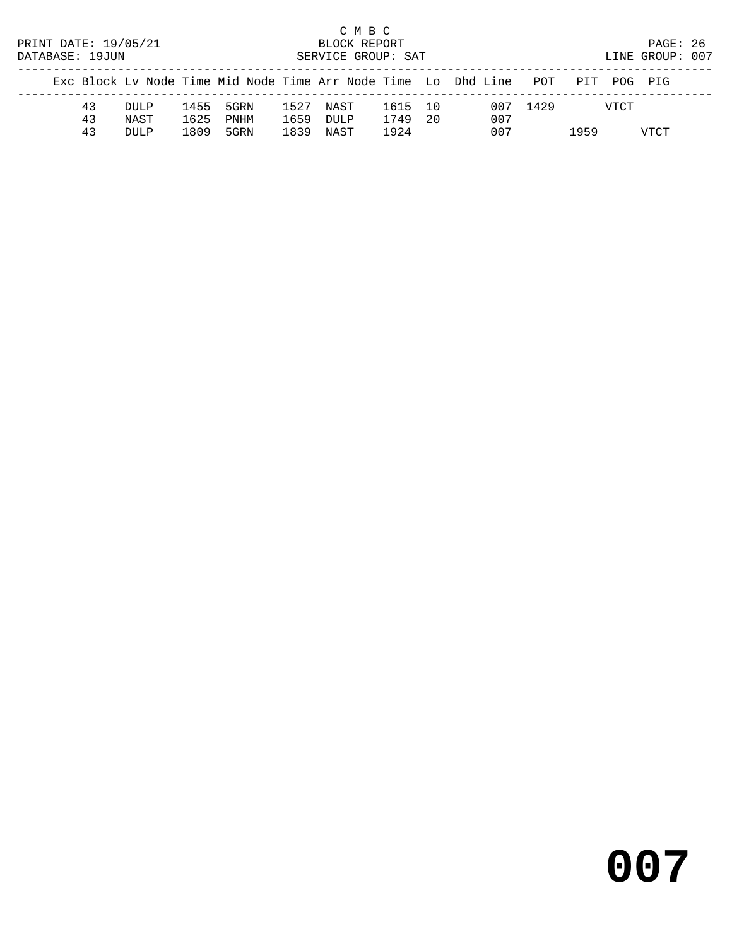C M B C<br>BLOCK REPORT PRINT DATE: 19/05/21 BLOCK REPORT PAGE: 26 SERVICE GROUP: SAT ------------------------------------------------------------------------------------------------- Exc Block Lv Node Time Mid Node Time Arr Node Time Lo Dhd Line POT PIT POG PIG

|  |    |      |      |           |                             |         | AND DIVON HY NOUT IIME MIN NOUT IIME AIL NOUT IIME THO THIN HINT |          | LUI FII FUG FIG |      |
|--|----|------|------|-----------|-----------------------------|---------|------------------------------------------------------------------|----------|-----------------|------|
|  | 43 | DULP |      |           | 1455 5GRN 1527 NAST 1615 10 |         |                                                                  | 007 1429 | VTCT            |      |
|  | 43 | NAST |      | 1625 PNHM | 1659 DULP                   | 1749 20 | 007                                                              |          |                 |      |
|  | 43 | DULP | 1809 | 5GRN      | 1839 NAST                   | 1924    | 007                                                              |          | 1959            | VTCT |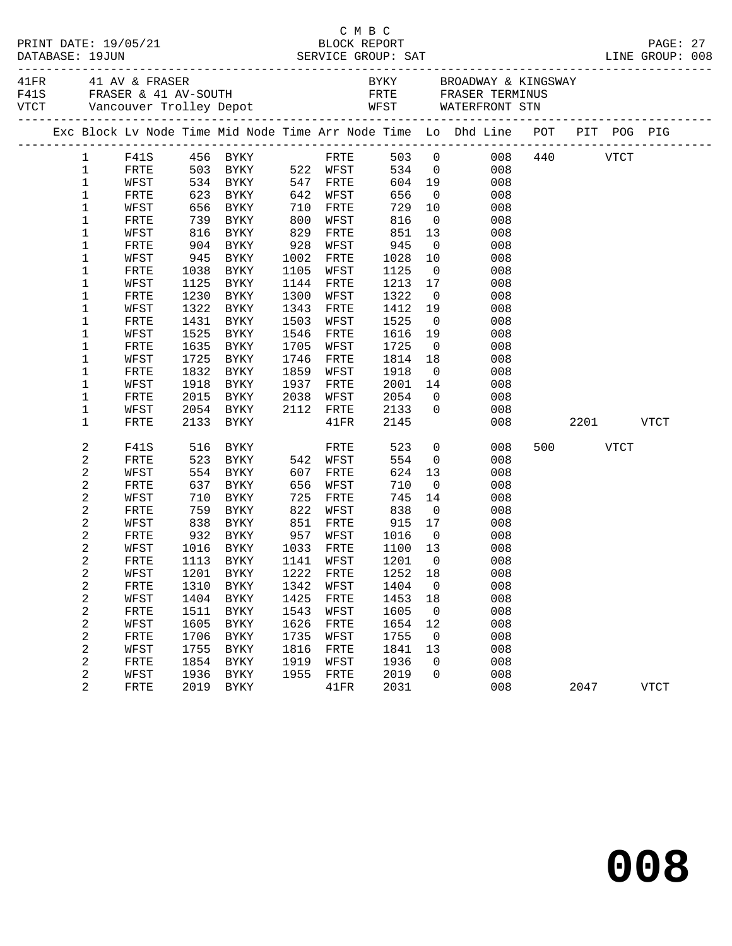|                                  |              |              |                                  |              |              |              |                      | Exc Block Lv Node Time Mid Node Time Arr Node Time Lo Dhd Line POT PIT POG PIG |          |      |             |  |
|----------------------------------|--------------|--------------|----------------------------------|--------------|--------------|--------------|----------------------|--------------------------------------------------------------------------------|----------|------|-------------|--|
| $\mathbf{1}$                     |              |              | F41S 456 BYKY                    |              |              |              |                      | FRTE 503 0 008 440 VTCT                                                        |          |      |             |  |
| $\mathbf 1$                      | FRTE         |              | 503 BYKY                         |              | 522 WFST     |              |                      | 534 0<br>008                                                                   |          |      |             |  |
| $\mathbf 1$                      | WFST         |              | 534 BYKY                         |              | 547 FRTE     |              |                      | 604 19<br>008                                                                  |          |      |             |  |
| $\mathbf 1$                      | FRTE         |              | 623 BYKY                         | 642          | WFST         | 656          | $\overline{0}$       | 008                                                                            |          |      |             |  |
| $1\,$                            | WFST         |              | 656 BYKY<br>739 BYKY             | 710          | FRTE         | 729          | 10                   | 008                                                                            |          |      |             |  |
| $\mathbf 1$                      | FRTE         |              |                                  | 800          | WFST         | 816          |                      | $\overline{0}$<br>008                                                          |          |      |             |  |
| $\mathbf 1$                      | WFST         |              | 816 BYKY                         | 829          | FRTE         | 851          | 13                   | 008                                                                            |          |      |             |  |
| 1                                | FRTE         |              | 904 BYKY                         | 928          | WFST         | 945          | $\overline{0}$       | 008                                                                            |          |      |             |  |
| 1                                | WFST         | 945          | BYKY                             | 1002         | FRTE         | 1028         | 10                   | 008                                                                            |          |      |             |  |
| 1                                | FRTE         | 1038         | BYKY                             | 1105         | WFST         | 1125         | $\overline{0}$       | 008                                                                            |          |      |             |  |
| 1                                | WFST         | 1125<br>1230 | BYKY                             | 1144<br>1300 | FRTE         | 1213<br>1322 | 17<br>$\overline{0}$ | 008<br>008                                                                     |          |      |             |  |
| 1<br>1                           | FRTE<br>WFST | 1322         | BYKY<br>BYKY                     | 1343         | WFST<br>FRTE | 1412         | 19                   | 008                                                                            |          |      |             |  |
| 1                                | FRTE         |              | 1431 BYKY                        | 1503         | WFST         | 1525         | $\overline{0}$       | 008                                                                            |          |      |             |  |
| 1                                | WFST         | 1525         | BYKY                             | 1546         | FRTE         | 1616         | 19                   | 008                                                                            |          |      |             |  |
| 1                                | FRTE         | 1635         | BYKY                             | 1705         | WFST         | 1725         | $\overline{0}$       | 008                                                                            |          |      |             |  |
| 1                                | WFST         | 1725         | BYKY                             | 1746         | FRTE         | 1814         | 18                   | 008                                                                            |          |      |             |  |
| 1                                | FRTE         | 1832         | BYKY                             | 1859         | WFST         | 1918         | $\overline{0}$       | 008                                                                            |          |      |             |  |
| $\mathbf 1$                      | WFST         | 1918         | BYKY                             | 1937         | FRTE         | 2001         | 14                   | 008                                                                            |          |      |             |  |
| 1                                | FRTE         | 2015         | BYKY                             | 2038         | WFST         | 2054         | $\overline{0}$       | 008                                                                            |          |      |             |  |
| 1                                | WFST         |              | 2054 BYKY                        |              | 2112 FRTE    | 2133         | $\overline{0}$       | 008                                                                            |          |      |             |  |
| 1                                | FRTE         | 2133         | BYKY                             |              | 41FR         | 2145         |                      | 008                                                                            |          | 2201 | VTCT        |  |
| 2                                | F41S         | 516          | <b>BYKY</b>                      |              | FRTE         | 523          | $\overline{0}$       | 008                                                                            | 500 VTCT |      |             |  |
| 2                                | FRTE         | 523          | BYKY 542 WFST                    |              |              | 554          | $\overline{0}$       | 008                                                                            |          |      |             |  |
| $\overline{\mathbf{c}}$          | WFST         | 554          | BYKY                             | 607          | FRTE         | 624          | 13                   | 008                                                                            |          |      |             |  |
| $\mathbf 2$                      | FRTE         | 637          | BYKY                             | 656          | WFST         | 710          | $\overline{0}$       | 008                                                                            |          |      |             |  |
| $\boldsymbol{2}$                 | WFST         | 710          | BYKY                             | 725          | FRTE         | 745          | 14                   | 008                                                                            |          |      |             |  |
| $\overline{c}$                   | FRTE         |              | 759 BYKY                         | 822          | WFST         | 838          | $\overline{0}$       | 008                                                                            |          |      |             |  |
| $\overline{\mathbf{c}}$          | WFST         | 838          | BYKY                             | 851          | FRTE         | 915          | 17                   | 008                                                                            |          |      |             |  |
| $\mathbf 2$                      | FRTE         |              | 932 BYKY 957 WFST                |              |              | 1016         | $\overline{0}$       | 008                                                                            |          |      |             |  |
| $\overline{c}$                   | WFST         |              | 1016 BYKY 1033 FRTE              |              |              | 1100 13      |                      | 008                                                                            |          |      |             |  |
| 2                                | FRTE         |              | 1113 BYKY                        |              | 1141 WFST    | 1201         | $\overline{0}$       | 008                                                                            |          |      |             |  |
| $\sqrt{2}$                       |              |              | WFST 1201 BYKY 1222 FRTE 1252 18 |              |              |              |                      | 008                                                                            |          |      |             |  |
| 2                                | FRTE         | 1310         | <b>BYKY</b>                      | 1342         | WFST         | 1404         | 0                    | 008                                                                            |          |      |             |  |
| $\sqrt{2}$                       | WFST         | 1404         | <b>BYKY</b>                      | 1425         | FRTE         | 1453         | 18                   | 008                                                                            |          |      |             |  |
| 2                                | FRTE         | 1511         | <b>BYKY</b>                      | 1543         | WFST         | 1605         | 0                    | 008                                                                            |          |      |             |  |
| $\overline{\mathbf{c}}$          | WFST         | 1605         | <b>BYKY</b>                      | 1626         | FRTE         | 1654         | 12                   | 008                                                                            |          |      |             |  |
| $\overline{\mathbf{c}}$          | FRTE         | 1706         | <b>BYKY</b>                      | 1735         | WFST         | 1755         | $\mathsf 0$          | 008                                                                            |          |      |             |  |
| $\boldsymbol{2}$                 | WFST         | 1755         | <b>BYKY</b>                      | 1816         | <b>FRTE</b>  | 1841         | 13                   | 008                                                                            |          |      |             |  |
| $\sqrt{2}$                       | FRTE         | 1854         | BYKY                             | 1919         | WFST         | 1936         | 0                    | 008                                                                            |          |      |             |  |
| $\overline{c}$<br>$\overline{a}$ | WFST         | 1936<br>2019 | ${\tt BYKY}$                     | 1955         | FRTE         | 2019         | 0                    | 008<br>008                                                                     |          |      |             |  |
|                                  | FRTE         |              | <b>BYKY</b>                      |              | 41FR         | 2031         |                      |                                                                                | 2047     |      | <b>VTCT</b> |  |

# C M B C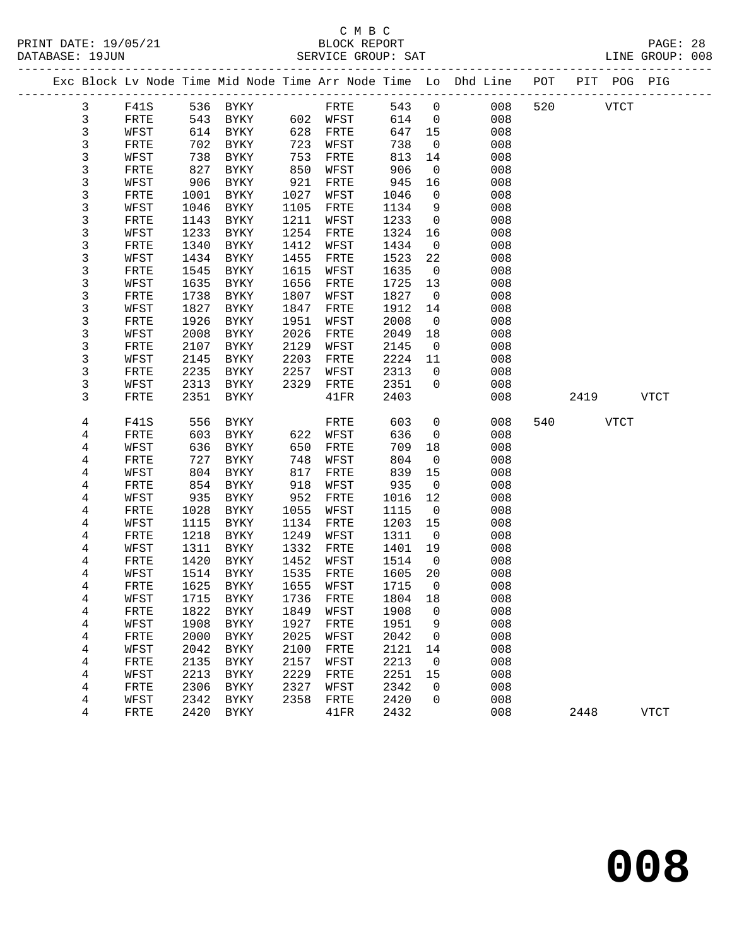#### C M B C<br>BLOCK REPORT PRINT DATE: 19/05/21 BLOCK REPORT PAGE: 28 SERVICE GROUP: SAT

|              |              |      |                     |      |              |         |                          | Exc Block Lv Node Time Mid Node Time Arr Node Time Lo Dhd Line POT PIT POG PIG |     |             |      |             |
|--------------|--------------|------|---------------------|------|--------------|---------|--------------------------|--------------------------------------------------------------------------------|-----|-------------|------|-------------|
| $\mathbf{3}$ | F41S         |      | 536 BYKY            |      | FRTE         | 543     | $\overline{0}$           | 008                                                                            | 520 | <b>VTCT</b> |      |             |
| $\mathbf{3}$ | FRTE         | 543  | BYKY                |      | 602 WFST     | 614     | $\overline{0}$           | 008                                                                            |     |             |      |             |
| 3            | WFST         | 614  | BYKY                | 628  | FRTE         | 647     | 15                       | 008                                                                            |     |             |      |             |
| 3            | FRTE         | 702  | BYKY                | 723  | WFST         | 738     | $\overline{0}$           | 008                                                                            |     |             |      |             |
| 3            | WFST         | 738  | BYKY                | 753  | FRTE         | 813     | 14                       | 008                                                                            |     |             |      |             |
| 3            | FRTE         | 827  | BYKY                | 850  | WFST         | 906     | $\overline{0}$           | 008                                                                            |     |             |      |             |
| 3            | WFST         | 906  | BYKY                | 921  | FRTE         | 945     | 16                       | 008                                                                            |     |             |      |             |
| 3            | FRTE         | 1001 | BYKY                | 1027 | WFST         | 1046    | $\mathsf{O}$             | 008                                                                            |     |             |      |             |
| 3            | WFST         | 1046 | BYKY                | 1105 | FRTE         | 1134    | 9                        | 008                                                                            |     |             |      |             |
| 3            | FRTE         | 1143 | BYKY                | 1211 | WFST         | 1233    | $\overline{0}$           | 008                                                                            |     |             |      |             |
| 3            | WFST         | 1233 | BYKY                | 1254 | FRTE         | 1324    | 16                       | 008                                                                            |     |             |      |             |
| 3            | FRTE         | 1340 | BYKY                | 1412 | WFST         | 1434    | $\overline{0}$           | 008                                                                            |     |             |      |             |
| 3            | WFST         | 1434 | BYKY                | 1455 | FRTE         | 1523    | 22                       | 008                                                                            |     |             |      |             |
| 3            | FRTE         | 1545 | BYKY                | 1615 | WFST         | 1635    | $\overline{0}$           | 008                                                                            |     |             |      |             |
| 3            | WFST         | 1635 | BYKY                | 1656 | FRTE         | 1725    | 13                       | 008                                                                            |     |             |      |             |
| 3            | FRTE         | 1738 | BYKY                | 1807 | WFST         | 1827    | $\overline{0}$           | 008                                                                            |     |             |      |             |
| 3            | WFST         | 1827 | BYKY                | 1847 | FRTE         | 1912    | 14                       | 008                                                                            |     |             |      |             |
| 3            | FRTE         | 1926 | BYKY                | 1951 | WFST         | 2008    | $\overline{0}$           | 008                                                                            |     |             |      |             |
| 3            | WFST         | 2008 | BYKY                | 2026 | FRTE         | 2049    | 18                       | 008                                                                            |     |             |      |             |
| 3            | FRTE         | 2107 | BYKY                | 2129 | WFST         | 2145    | $\overline{0}$           | 008                                                                            |     |             |      |             |
| 3            | WFST         | 2145 | BYKY                | 2203 | FRTE         | 2224    | 11                       | 008                                                                            |     |             |      |             |
| 3            | ${\tt FRTE}$ | 2235 | BYKY                | 2257 | WFST         | 2313    | $\mathbf 0$              | 008                                                                            |     |             |      |             |
| 3            | WFST         | 2313 | BYKY                | 2329 | FRTE         | 2351    | $\mathbf 0$              | 008                                                                            |     |             |      |             |
| 3            | FRTE         | 2351 | BYKY                |      | 41FR         | 2403    |                          | 008                                                                            |     | 2419        |      | <b>VTCT</b> |
|              |              |      |                     |      |              |         |                          |                                                                                |     |             |      |             |
| 4            | F41S         | 556  | BYKY                |      | FRTE         | 603     | $\mathsf{O}$             | 008                                                                            | 540 |             | VTCT |             |
| 4            | FRTE         | 603  | BYKY                | 622  | WFST         | 636     | $\overline{0}$           | 008                                                                            |     |             |      |             |
| 4            | WFST         | 636  | BYKY                | 650  | FRTE         | 709     | 18                       | 008                                                                            |     |             |      |             |
| 4            | FRTE         | 727  | BYKY                | 748  | WFST         | 804     | $\overline{0}$           | 008                                                                            |     |             |      |             |
| 4            | WFST         | 804  | BYKY                | 817  | FRTE         | 839     | 15                       | 008                                                                            |     |             |      |             |
| 4            | ${\tt FRTE}$ | 854  | BYKY                | 918  | WFST         | 935     | $\overline{0}$           | 008                                                                            |     |             |      |             |
| 4            | WFST         | 935  | BYKY                | 952  | FRTE         | 1016    | 12                       | 008                                                                            |     |             |      |             |
| 4            | FRTE         | 1028 | BYKY                | 1055 | WFST         | 1115    | $\overline{\phantom{0}}$ | 008                                                                            |     |             |      |             |
| 4            | WFST         | 1115 | BYKY                | 1134 | FRTE         | 1203    | 15                       | 008                                                                            |     |             |      |             |
| 4            | FRTE         | 1218 | BYKY                | 1249 | WFST         | 1311    | $\overline{0}$           | 008                                                                            |     |             |      |             |
| 4            | WFST         | 1311 | BYKY                | 1332 | FRTE         | 1401    | 19                       | 008                                                                            |     |             |      |             |
| 4            | FRTE         | 1420 | BYKY                | 1452 | WFST         | 1514    | $\overline{\phantom{0}}$ | 008                                                                            |     |             |      |             |
| 4            | WFST         | 1514 | BYKY                | 1535 | FRTE         | 1605    | 20                       | 008                                                                            |     |             |      |             |
| 4            | FRTE         | 1625 | BYKY                | 1655 | WFST         | 1715    | $\overline{0}$           | 008                                                                            |     |             |      |             |
| 4            | WFST         |      | 1715 BYKY 1736 FRTE |      |              | 1804 18 |                          | 008                                                                            |     |             |      |             |
| 4            | FRTE         | 1822 | BYKY                | 1849 | WFST         | 1908    | $\mathbf 0$              | 008                                                                            |     |             |      |             |
| 4            | WFST         | 1908 | BYKY                | 1927 | FRTE         | 1951    | 9                        | 008                                                                            |     |             |      |             |
| 4            | FRTE         | 2000 | BYKY                | 2025 | WFST         | 2042    | $\mathbf 0$              | 008                                                                            |     |             |      |             |
| 4            | WFST         | 2042 | BYKY                | 2100 | FRTE         | 2121    | 14                       | 008                                                                            |     |             |      |             |
| 4            | FRTE         | 2135 | BYKY                | 2157 | WFST         | 2213    | 0                        | 008                                                                            |     |             |      |             |
| 4            | WFST         | 2213 | <b>BYKY</b>         | 2229 | ${\tt FRTE}$ | 2251    | 15                       | 008                                                                            |     |             |      |             |
| 4            | FRTE         | 2306 | BYKY                | 2327 | WFST         | 2342    | $\mathbf 0$              | 008                                                                            |     |             |      |             |
| 4            | WFST         | 2342 | BYKY                | 2358 | FRTE         | 2420    | 0                        | 008                                                                            |     |             |      |             |
| 4            | FRTE         | 2420 | BYKY                |      | 41FR         | 2432    |                          | 008                                                                            |     | 2448        |      | <b>VTCT</b> |
|              |              |      |                     |      |              |         |                          |                                                                                |     |             |      |             |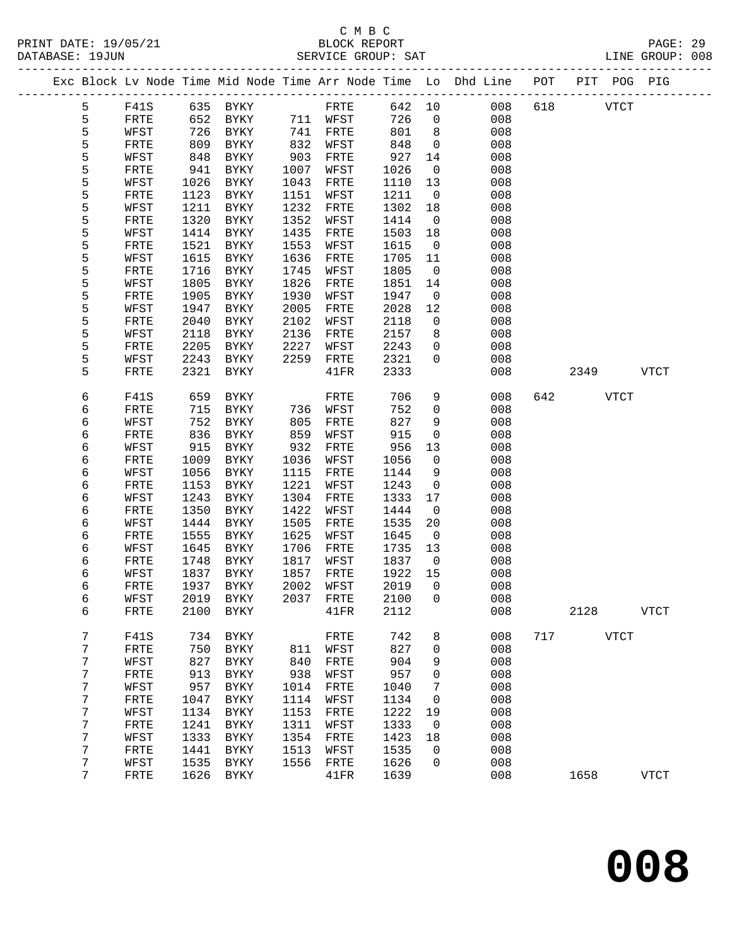### C M B C<br>BLOCK REPORT SERVICE GROUP: SAT

PRINT DATE: 19/05/21 BLOCK REPORT PAGE: 29

|  |        |              |              |                     |              |              |              |                                | Exc Block Lv Node Time Mid Node Time Arr Node Time Lo Dhd Line POT PIT POG PIG |     |      |             |              |
|--|--------|--------------|--------------|---------------------|--------------|--------------|--------------|--------------------------------|--------------------------------------------------------------------------------|-----|------|-------------|--------------|
|  | 5      | F41S         |              | 635 BYKY            |              | FRTE         | 642 10       |                                | 008                                                                            | 618 |      | <b>VTCT</b> |              |
|  | 5      | FRTE         | 652          | BYKY                |              | 711 WFST     | 726          | $\overline{0}$                 | 008                                                                            |     |      |             |              |
|  | 5      | WFST         | 726          | BYKY                | 741          | FRTE         | 801          | 8                              | 008                                                                            |     |      |             |              |
|  | 5      | FRTE         | 809          | BYKY                | 832          | WFST         | 848          | $\overline{0}$                 | 008                                                                            |     |      |             |              |
|  | 5      | WFST         | 848          | BYKY                | 903          | FRTE         | 927          | 14                             | 008                                                                            |     |      |             |              |
|  | 5      | FRTE         | 941          | BYKY                | 1007         | WFST         | 1026         | $\overline{0}$                 | 008                                                                            |     |      |             |              |
|  | 5      | WFST         | 1026         | BYKY                | 1043         | FRTE         | 1110         | 13                             | 008                                                                            |     |      |             |              |
|  | 5      | FRTE         | 1123         | BYKY                | 1151         | WFST         | 1211         | $\overline{0}$                 | 008                                                                            |     |      |             |              |
|  | 5      | WFST         | 1211         | BYKY                | 1232         | FRTE         | 1302         | 18                             | 008                                                                            |     |      |             |              |
|  | 5<br>5 | FRTE<br>WFST | 1320<br>1414 | BYKY<br>BYKY        | 1352<br>1435 | WFST<br>FRTE | 1414<br>1503 | $\overline{\phantom{0}}$<br>18 | 008<br>008                                                                     |     |      |             |              |
|  | 5      | FRTE         | 1521         | BYKY                | 1553         | WFST         | 1615         | $\overline{0}$                 | 008                                                                            |     |      |             |              |
|  | 5      | WFST         | 1615         | BYKY                | 1636         | FRTE         | 1705         | 11                             | 008                                                                            |     |      |             |              |
|  | 5      | FRTE         | 1716         | BYKY                | 1745         | WFST         | 1805         | $\overline{0}$                 | 008                                                                            |     |      |             |              |
|  | 5      | WFST         | 1805         | BYKY                | 1826         | FRTE         | 1851         | 14                             | 008                                                                            |     |      |             |              |
|  | 5      | FRTE         | 1905         | BYKY                | 1930         | WFST         | 1947         | $\mathsf{O}$                   | 008                                                                            |     |      |             |              |
|  | 5      | WFST         | 1947         | BYKY                | 2005         | FRTE         | 2028         | 12                             | 008                                                                            |     |      |             |              |
|  | 5      | FRTE         | 2040         | BYKY                | 2102         | WFST         | 2118         | $\overline{0}$                 | 008                                                                            |     |      |             |              |
|  | 5      | WFST         | 2118         | BYKY                | 2136         | FRTE         | 2157         | 8                              | 008                                                                            |     |      |             |              |
|  | 5      | FRTE         | 2205         | BYKY                | 2227         | WFST         | 2243         | $\mathbf 0$                    | 008                                                                            |     |      |             |              |
|  | 5      | WFST         | 2243         | BYKY                | 2259         | FRTE         | 2321         | $\mathbf 0$                    | 008                                                                            |     |      |             |              |
|  | 5      | FRTE         | 2321         | BYKY                |              | 41FR         | 2333         |                                | 008                                                                            |     | 2349 |             | <b>VTCT</b>  |
|  |        |              |              |                     |              |              |              |                                |                                                                                |     |      |             |              |
|  | 6      | F41S         | 659          | BYKY                |              | FRTE         | 706          | 9                              | 008                                                                            | 642 |      | VTCT        |              |
|  | 6      | FRTE         | 715          | BYKY                | 736          | WFST         | 752          | $\mathbf 0$                    | 008                                                                            |     |      |             |              |
|  | 6      | WFST         | 752          | BYKY                | 805          | FRTE         | 827          | 9                              | 008                                                                            |     |      |             |              |
|  | 6      | FRTE         | 836          | BYKY                | 859          | WFST         | 915          | $\mathbf 0$                    | 008                                                                            |     |      |             |              |
|  | 6      | WFST         | 915          | BYKY                | 932          | FRTE         | 956          | 13                             | 008                                                                            |     |      |             |              |
|  | 6      | FRTE         | 1009         | BYKY                | 1036         | WFST         | 1056         | $\overline{0}$                 | 008                                                                            |     |      |             |              |
|  | 6      | WFST         | 1056         | BYKY                | 1115         | FRTE         | 1144         | 9                              | 008                                                                            |     |      |             |              |
|  | 6      | FRTE         | 1153         | BYKY                | 1221         | WFST         | 1243         | $\mathsf{O}$                   | 008                                                                            |     |      |             |              |
|  | 6      | WFST         | 1243         | BYKY                | 1304<br>1422 | FRTE         | 1333         | 17<br>$\mathsf{O}$             | 008                                                                            |     |      |             |              |
|  | 6      | FRTE         | 1350         | BYKY                | 1505         | WFST         | 1444         |                                | 008<br>008                                                                     |     |      |             |              |
|  | 6<br>6 | WFST<br>FRTE | 1444<br>1555 | BYKY<br>BYKY        | 1625         | FRTE<br>WFST | 1535<br>1645 | 20<br>$\overline{\phantom{0}}$ | 008                                                                            |     |      |             |              |
|  | 6      | WFST         | 1645         | BYKY                | 1706         | FRTE         | 1735         | 13                             | 008                                                                            |     |      |             |              |
|  | 6      | FRTE         | 1748         | BYKY                | 1817         | WFST         | 1837         | $\overline{0}$                 | 008                                                                            |     |      |             |              |
|  | 6      | WFST         | 1837         | BYKY                | 1857         | FRTE         | 1922         | 15                             | 008                                                                            |     |      |             |              |
|  | 6      | FRTE         | 1937         | BYKY                | 2002         | WFST         | 2019         | $\overline{0}$                 | 008                                                                            |     |      |             |              |
|  | 6      | WFST         |              | 2019 BYKY 2037 FRTE |              |              | 2100 0       |                                | 008                                                                            |     |      |             |              |
|  | 6      | FRTE         | 2100         | <b>BYKY</b>         |              | 41FR         | 2112         |                                | 008                                                                            |     | 2128 |             | <b>VTCT</b>  |
|  |        |              |              |                     |              |              |              |                                |                                                                                |     |      |             |              |
|  | 7      | F41S         | 734          | BYKY                |              | FRTE         | 742          | 8                              | 008                                                                            | 717 |      | <b>VTCT</b> |              |
|  | 7      | FRTE         | 750          | <b>BYKY</b>         | 811          | WFST         | 827          | 0                              | 008                                                                            |     |      |             |              |
|  | 7      | WFST         | 827          | ${\tt BYKY}$        | 840          | FRTE         | 904          | 9                              | 008                                                                            |     |      |             |              |
|  | 7      | FRTE         | 913          | <b>BYKY</b>         | 938          | WFST         | 957          | 0                              | 008                                                                            |     |      |             |              |
|  | 7      | WFST         | 957          | <b>BYKY</b>         | 1014         | FRTE         | 1040         | 7                              | 008                                                                            |     |      |             |              |
|  | 7      | FRTE         | 1047         | <b>BYKY</b>         | 1114         | WFST         | 1134         | 0                              | 008                                                                            |     |      |             |              |
|  | 7      | WFST         | 1134         | <b>BYKY</b>         | 1153         | FRTE         | 1222         | 19                             | 008                                                                            |     |      |             |              |
|  | 7      | FRTE         | 1241         | <b>BYKY</b>         | 1311         | WFST         | 1333         | 0                              | 008                                                                            |     |      |             |              |
|  | 7      | WFST         | 1333         | BYKY                | 1354         | FRTE         | 1423         | 18                             | 008                                                                            |     |      |             |              |
|  | 7      | FRTE         | 1441         | <b>BYKY</b>         | 1513         | WFST         | 1535         | 0                              | 008                                                                            |     |      |             |              |
|  | 7      | WFST         | 1535         | <b>BYKY</b>         | 1556         | FRTE         | 1626         | 0                              | 008                                                                            |     |      |             |              |
|  | 7      | FRTE         | 1626         | BYKY                |              | 41FR         | 1639         |                                | 008                                                                            |     | 1658 |             | ${\tt VTCT}$ |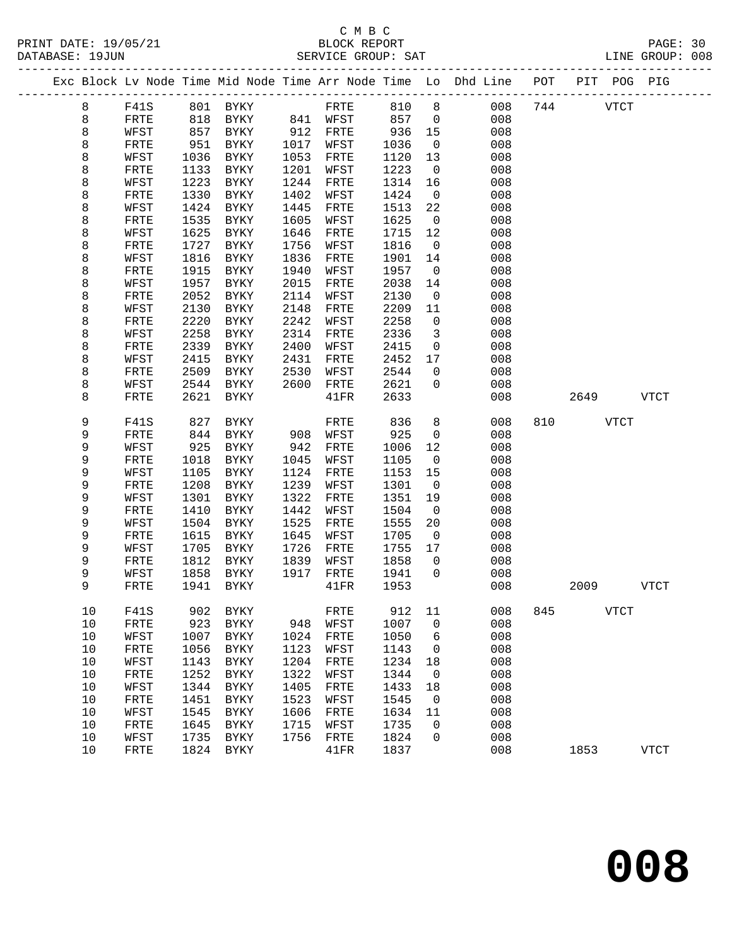|      |              |      |              |      |              |      |                          | Exc Block Lv Node Time Mid Node Time Arr Node Time Lo Dhd Line | POT | PIT  |             | POG PIG     |
|------|--------------|------|--------------|------|--------------|------|--------------------------|----------------------------------------------------------------|-----|------|-------------|-------------|
| 8    | F41S         |      | 801 BYKY     |      | FRTE         | 810  | 8                        | 008                                                            | 744 |      | <b>VTCT</b> |             |
| 8    | FRTE         | 818  | BYKY         |      | 841 WFST     | 857  | $\overline{0}$           | 008                                                            |     |      |             |             |
| 8    | WFST         | 857  | BYKY         | 912  | FRTE         | 936  | 15                       | 008                                                            |     |      |             |             |
| 8    | FRTE         | 951  | BYKY         | 1017 | WFST         | 1036 | $\mathsf{O}$             | 008                                                            |     |      |             |             |
| 8    | WFST         | 1036 | BYKY         | 1053 | FRTE         | 1120 | 13                       | 008                                                            |     |      |             |             |
| 8    | FRTE         | 1133 | BYKY         | 1201 | WFST         | 1223 | $\overline{0}$           | 008                                                            |     |      |             |             |
| 8    | WFST         | 1223 | BYKY         | 1244 | FRTE         | 1314 | 16                       | 008                                                            |     |      |             |             |
| 8    | FRTE         | 1330 | BYKY         | 1402 | WFST         | 1424 | $\overline{0}$           | 008                                                            |     |      |             |             |
| 8    | WFST         | 1424 | BYKY         | 1445 | FRTE         | 1513 | 22                       | 008                                                            |     |      |             |             |
| 8    | FRTE         | 1535 | BYKY         | 1605 | WFST         | 1625 | $\overline{0}$           | 008                                                            |     |      |             |             |
| 8    | WFST         | 1625 | BYKY         | 1646 | FRTE         | 1715 | 12                       | 008                                                            |     |      |             |             |
| 8    | FRTE         | 1727 | BYKY         | 1756 | WFST         | 1816 | $\mathsf{O}$             | 008                                                            |     |      |             |             |
| 8    | WFST         | 1816 | BYKY         | 1836 | FRTE         | 1901 | 14                       | 008                                                            |     |      |             |             |
| 8    | FRTE         | 1915 | BYKY         | 1940 | WFST         | 1957 | $\overline{0}$           | 008                                                            |     |      |             |             |
| 8    | WFST         | 1957 | BYKY         | 2015 | FRTE         | 2038 | 14                       | 008                                                            |     |      |             |             |
| 8    | FRTE         | 2052 | BYKY         | 2114 | WFST         | 2130 | $\mathsf{O}$             | 008                                                            |     |      |             |             |
| 8    | WFST         | 2130 | <b>BYKY</b>  | 2148 | FRTE         | 2209 | 11                       | 008                                                            |     |      |             |             |
| 8    | FRTE         | 2220 | BYKY         | 2242 | WFST         | 2258 | $\mathsf{O}$             | 008                                                            |     |      |             |             |
| 8    | WFST         | 2258 | BYKY         | 2314 | ${\tt FRTE}$ | 2336 | 3                        | 008                                                            |     |      |             |             |
| 8    | FRTE         | 2339 | BYKY         | 2400 | WFST         | 2415 | $\mathsf{O}$             | 008                                                            |     |      |             |             |
| 8    | WFST         | 2415 | BYKY         | 2431 | FRTE         | 2452 | 17                       | 008                                                            |     |      |             |             |
| 8    | FRTE         | 2509 | BYKY         | 2530 | WFST         | 2544 | $\overline{0}$           | 008                                                            |     |      |             |             |
| 8    | WFST         | 2544 | <b>BYKY</b>  | 2600 | FRTE         | 2621 | $\mathbf 0$              | 008                                                            |     | 2649 |             |             |
| 8    | FRTE         | 2621 | BYKY         |      | 41FR         | 2633 |                          | 008                                                            |     |      |             | <b>VTCT</b> |
| 9    | F41S         | 827  | BYKY         |      | FRTE         | 836  | 8                        | 008                                                            | 810 |      | <b>VTCT</b> |             |
| 9    | FRTE         | 844  | BYKY         | 908  | WFST         | 925  | $\mathbf 0$              | 008                                                            |     |      |             |             |
| 9    | WFST         | 925  | BYKY         | 942  | FRTE         | 1006 | 12                       | 008                                                            |     |      |             |             |
| 9    | FRTE         | 1018 | BYKY         | 1045 | WFST         | 1105 | $\mathsf{O}$             | 008                                                            |     |      |             |             |
| 9    | WFST         | 1105 | BYKY         | 1124 | FRTE         | 1153 | 15                       | 008                                                            |     |      |             |             |
| 9    | FRTE         | 1208 | BYKY         | 1239 | WFST         | 1301 | $\overline{0}$           | 008                                                            |     |      |             |             |
| 9    | WFST         | 1301 | BYKY         | 1322 | ${\tt FRTE}$ | 1351 | 19                       | 008                                                            |     |      |             |             |
| 9    | FRTE         | 1410 | BYKY         | 1442 | WFST         | 1504 | $\overline{0}$           | 008                                                            |     |      |             |             |
| 9    | WFST         | 1504 | BYKY         | 1525 | FRTE         | 1555 | 20                       | 008                                                            |     |      |             |             |
| 9    | FRTE         | 1615 | BYKY         | 1645 | WFST         | 1705 | $\overline{\phantom{0}}$ | 008                                                            |     |      |             |             |
| 9    | WFST         | 1705 | BYKY         | 1726 | FRTE         | 1755 | 17                       | 008                                                            |     |      |             |             |
| 9    | FRTE         | 1812 | BYKY         | 1839 | WFST         | 1858 | $\overline{0}$           | 008                                                            |     |      |             |             |
| 9    | WFST         | 1858 | BYKY         | 1917 | FRTE         | 1941 | $\Omega$                 | 008                                                            |     |      |             |             |
| 9    | FRTE         | 1941 | BYKY         |      | 41FR         | 1953 |                          | 008                                                            |     | 2009 |             | VTCT        |
| 10   | F41S         | 902  | <b>BYKY</b>  |      | FRTE         | 912  | 11                       | 008                                                            | 845 |      | <b>VTCT</b> |             |
| 10   | FRTE         | 923  | <b>BYKY</b>  | 948  | WFST         | 1007 | 0                        | 008                                                            |     |      |             |             |
| $10$ | WFST         | 1007 | <b>BYKY</b>  | 1024 | FRTE         | 1050 | 6                        | 008                                                            |     |      |             |             |
| 10   | ${\tt FRTE}$ | 1056 | <b>BYKY</b>  | 1123 | WFST         | 1143 | 0                        | 008                                                            |     |      |             |             |
| $10$ | WFST         | 1143 | <b>BYKY</b>  | 1204 | FRTE         | 1234 | 18                       | 008                                                            |     |      |             |             |
| 10   | FRTE         | 1252 | <b>BYKY</b>  | 1322 | WFST         | 1344 | 0                        | 008                                                            |     |      |             |             |
| 10   | WFST         | 1344 | <b>BYKY</b>  | 1405 | ${\tt FRTE}$ | 1433 | 18                       | 008                                                            |     |      |             |             |
| 10   | FRTE         | 1451 | <b>BYKY</b>  | 1523 | WFST         | 1545 | 0                        | 008                                                            |     |      |             |             |
| 10   | WFST         | 1545 | <b>BYKY</b>  | 1606 | ${\tt FRTE}$ | 1634 | 11                       | 008                                                            |     |      |             |             |
| 10   | FRTE         | 1645 | ${\tt BYKY}$ | 1715 | WFST         | 1735 | 0                        | 008                                                            |     |      |             |             |
| 10   | WFST         | 1735 | <b>BYKY</b>  | 1756 | ${\tt FRTE}$ | 1824 | 0                        | 008                                                            |     |      |             |             |
| 10   | FRTE         | 1824 | <b>BYKY</b>  |      | 41FR         | 1837 |                          | 008                                                            |     | 1853 |             | <b>VTCT</b> |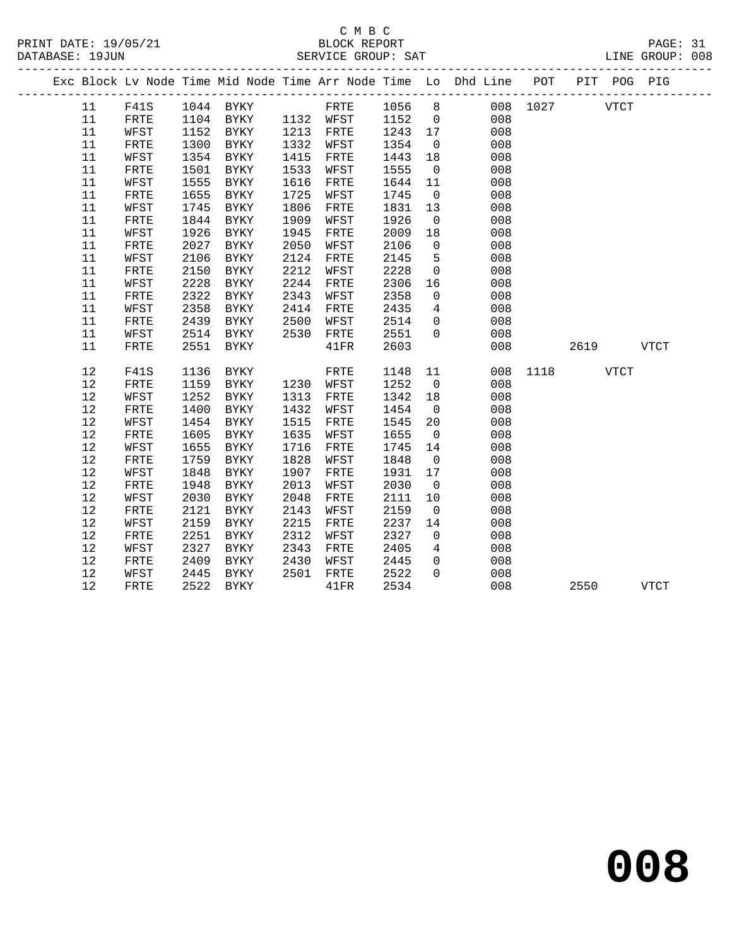#### C M B C<br>BLOCK REPORT SERVICE GROUP: SAT

|  |      |              |      |                     |      |                            |         |                 | Exc Block Lv Node Time Mid Node Time Arr Node Time Lo Dhd Line POT PIT POG PIG |               |             |             |  |
|--|------|--------------|------|---------------------|------|----------------------------|---------|-----------------|--------------------------------------------------------------------------------|---------------|-------------|-------------|--|
|  | 11   | F41S         |      | 1044 BYKY           |      | FRTE 1056 8<br>WFST 1152 0 |         |                 |                                                                                | 008 1027      | <b>VTCT</b> |             |  |
|  | 11   | FRTE         |      | 1104 BYKY 1132 WFST |      |                            |         |                 | 008                                                                            |               |             |             |  |
|  | 11   | WFST         | 1152 | BYKY                |      | 1213 FRTE                  | 1243 17 |                 | 008                                                                            |               |             |             |  |
|  | 11   | FRTE         | 1300 | BYKY                | 1332 | WFST                       | 1354    | $\overline{0}$  | 008                                                                            |               |             |             |  |
|  | 11   | WFST         | 1354 | BYKY                | 1415 | FRTE                       | 1443    | 18              | 008                                                                            |               |             |             |  |
|  | 11   | ${\tt FRTE}$ | 1501 | BYKY                | 1533 | WFST                       | 1555    | $\overline{0}$  | 008                                                                            |               |             |             |  |
|  | 11   | WFST         | 1555 | BYKY                | 1616 | FRTE                       | 1644    | 11              | 008                                                                            |               |             |             |  |
|  | 11   | FRTE         | 1655 | BYKY                | 1725 | WFST                       | 1745    | $\overline{0}$  | 008                                                                            |               |             |             |  |
|  | 11   | WFST         | 1745 | BYKY                | 1806 | FRTE                       | 1831    | 13              | 008                                                                            |               |             |             |  |
|  | 11   | FRTE         | 1844 | BYKY                | 1909 | WFST                       | 1926    | $\overline{0}$  | 008                                                                            |               |             |             |  |
|  | 11   | WFST         | 1926 | BYKY                | 1945 | FRTE                       | 2009    | 18              | 008                                                                            |               |             |             |  |
|  | 11   | ${\tt FRTE}$ | 2027 | BYKY                | 2050 | WFST                       | 2106    | $\overline{0}$  | 008                                                                            |               |             |             |  |
|  | 11   | WFST         | 2106 | BYKY                | 2124 | FRTE                       | 2145    | $5^{\circ}$     | 008                                                                            |               |             |             |  |
|  | 11   | FRTE         | 2150 | BYKY                | 2212 | WFST                       | 2228    | $\overline{0}$  | 008                                                                            |               |             |             |  |
|  | 11   | WFST         | 2228 | BYKY                | 2244 | FRTE                       | 2306    | 16              | 008                                                                            |               |             |             |  |
|  | 11   | ${\tt FRTE}$ | 2322 | BYKY                | 2343 | WFST                       | 2358    | $\overline{0}$  | 008                                                                            |               |             |             |  |
|  | 11   | WFST         | 2358 | BYKY                | 2414 | FRTE                       | 2435    | $4\overline{ }$ | 008                                                                            |               |             |             |  |
|  | 11   | FRTE         | 2439 | BYKY                | 2500 | WFST                       | 2514    | $\overline{0}$  | 008                                                                            |               |             |             |  |
|  | 11   | WFST         | 2514 | BYKY                | 2530 | FRTE                       | 2551    | $\Omega$        | 008                                                                            |               |             |             |  |
|  | 11   | FRTE         | 2551 | BYKY                |      | 41FR                       | 2603    |                 | 008                                                                            |               | 2619        | VTCT        |  |
|  | 12   | F41S         | 1136 | BYKY                |      | FRTE                       | 1148    | 11              |                                                                                | 008 1118 VTCT |             |             |  |
|  | 12   | FRTE         | 1159 | BYKY                |      | 1230 WFST                  | 1252    | $\overline{0}$  | 008                                                                            |               |             |             |  |
|  | 12   | WFST         | 1252 | BYKY                | 1313 | FRTE                       | 1342    | 18              | 008                                                                            |               |             |             |  |
|  | 12   | ${\tt FRTE}$ | 1400 | BYKY                | 1432 | WFST                       | 1454    | $\overline{0}$  | 008                                                                            |               |             |             |  |
|  | 12   | WFST         | 1454 | BYKY                | 1515 | FRTE                       | 1545    | 20              | 008                                                                            |               |             |             |  |
|  | 12   | FRTE         | 1605 | BYKY                | 1635 | WFST                       | 1655    | $\overline{0}$  | 008                                                                            |               |             |             |  |
|  | $12$ | WFST         | 1655 | BYKY                | 1716 | FRTE                       | 1745    | 14              | 008                                                                            |               |             |             |  |
|  | 12   | FRTE         | 1759 | BYKY                | 1828 | WFST                       | 1848    | $\overline{0}$  | 008                                                                            |               |             |             |  |
|  | 12   | WFST         | 1848 | BYKY                | 1907 | FRTE                       | 1931    | 17              | 008                                                                            |               |             |             |  |
|  | 12   | FRTE         | 1948 | BYKY                | 2013 | WFST                       | 2030    | $\overline{0}$  | 008                                                                            |               |             |             |  |
|  | 12   | WFST         | 2030 | BYKY                | 2048 | FRTE                       | 2111    | 10              | 008                                                                            |               |             |             |  |
|  | 12   | FRTE         | 2121 | BYKY                | 2143 | WFST                       | 2159    | $\overline{0}$  | 008                                                                            |               |             |             |  |
|  | 12   | WFST         | 2159 | BYKY                | 2215 | FRTE                       | 2237    | 14              | 008                                                                            |               |             |             |  |
|  | 12   | FRTE         | 2251 | BYKY                | 2312 | WFST                       | 2327    | $\overline{0}$  | 008                                                                            |               |             |             |  |
|  | 12   | WFST         | 2327 | BYKY                | 2343 | FRTE                       | 2405    | $4\overline{ }$ | 008                                                                            |               |             |             |  |
|  | 12   | FRTE         | 2409 | BYKY                | 2430 | WFST                       | 2445    | $\overline{0}$  | 008                                                                            |               |             |             |  |
|  | 12   | WFST         | 2445 | BYKY                | 2501 | FRTE                       | 2522    | $\Omega$        | 008                                                                            |               |             |             |  |
|  | 12   | FRTE         | 2522 | BYKY                |      | 41FR                       | 2534    |                 | 008                                                                            |               | 2550        | <b>VTCT</b> |  |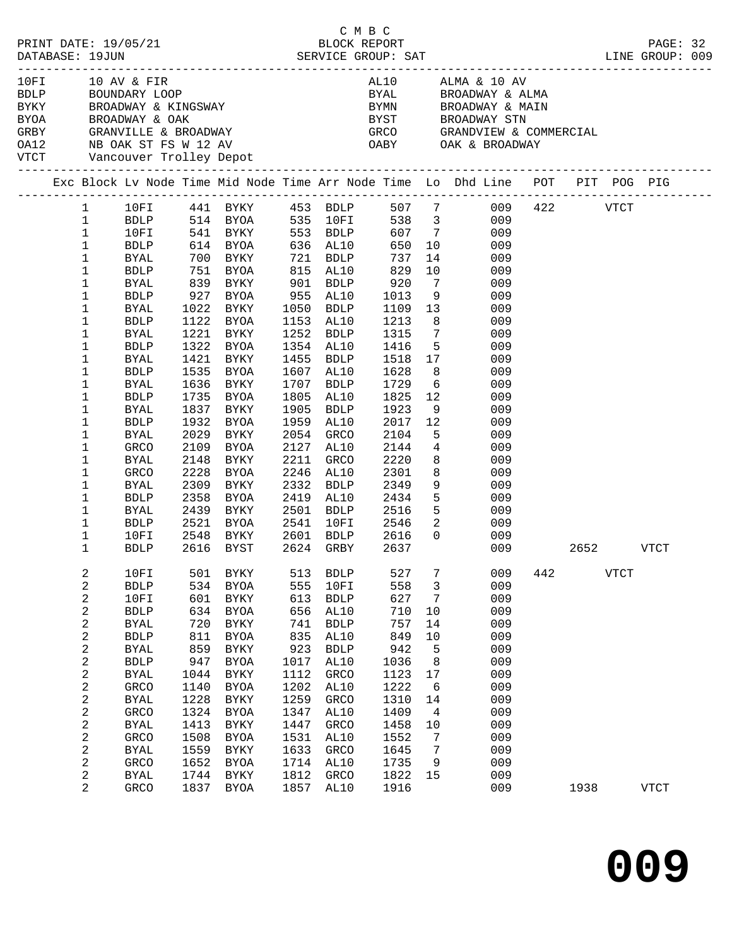|      |                                                                                                                                                                                                                                                                                                                                                                                                                                                                          |                                                                                                                              |                                                                                                                                                                                                                                                                                                           |                                                                                                                               |                                                                                                                                                                                                     | C M B C                                                                                                                                                                   |                                                                                                         |                                                                                                                                                                                                                                                                                                                                                                                                                                                           |     |      |             |             |  |
|------|--------------------------------------------------------------------------------------------------------------------------------------------------------------------------------------------------------------------------------------------------------------------------------------------------------------------------------------------------------------------------------------------------------------------------------------------------------------------------|------------------------------------------------------------------------------------------------------------------------------|-----------------------------------------------------------------------------------------------------------------------------------------------------------------------------------------------------------------------------------------------------------------------------------------------------------|-------------------------------------------------------------------------------------------------------------------------------|-----------------------------------------------------------------------------------------------------------------------------------------------------------------------------------------------------|---------------------------------------------------------------------------------------------------------------------------------------------------------------------------|---------------------------------------------------------------------------------------------------------|-----------------------------------------------------------------------------------------------------------------------------------------------------------------------------------------------------------------------------------------------------------------------------------------------------------------------------------------------------------------------------------------------------------------------------------------------------------|-----|------|-------------|-------------|--|
| 10FI | 10 AV & FIR<br>VTCT Vancouver Trolley Depot                                                                                                                                                                                                                                                                                                                                                                                                                              |                                                                                                                              |                                                                                                                                                                                                                                                                                                           |                                                                                                                               |                                                                                                                                                                                                     |                                                                                                                                                                           |                                                                                                         | AL10 ALMA & 10 AV<br>TUFI TURY & FIRM ALLO ALLO ALLO ALLO AND BE ALLO AND BE ALLO AND BE ALLO AND BE ALLO AND BE ALLO AND BE ALLO AN<br>BYAN BE ALLO BE BE ALLO BYAN BE ALLO AND BE ALLO AND BE ALLO AND BE ALLO AND BE ALLO BY STUDY ON BE ALLO AND<br>BYAL BROADWAY & ALMA<br>BYMN      BROADWAY & MAIN<br>BYST     BROADWAY STN<br>GRCO     GRANDVIEW & COMMERCIAL                                                                                     |     |      |             |             |  |
|      |                                                                                                                                                                                                                                                                                                                                                                                                                                                                          |                                                                                                                              |                                                                                                                                                                                                                                                                                                           |                                                                                                                               |                                                                                                                                                                                                     |                                                                                                                                                                           |                                                                                                         | Exc Block Lv Node Time Mid Node Time Arr Node Time Lo Dhd Line POT PIT POG PIG                                                                                                                                                                                                                                                                                                                                                                            |     |      |             |             |  |
|      | $\mathbf{1}$<br>$\mathbf{1}$<br>$\mathbf{1}$<br>$\mathbf{1}$<br>1<br>BYAL<br>1<br><b>BDLP</b><br>1<br>BYAL<br>1<br><b>BDLP</b><br>1<br>BYAL<br>1<br><b>BDLP</b><br>1<br>BYAL<br>1<br><b>BDLP</b><br>1<br>BYAL<br>1<br><b>BDLP</b><br>1<br><b>BYAL</b><br>$\mathbf 1$<br><b>BDLP</b><br>$\mathbf 1$<br>BYAL<br>1<br><b>BDLP</b><br>1<br><b>BYAL</b><br>$\mathbf 1$<br>GRCO<br>1<br>BYAL<br>1<br>GRCO<br>1<br><b>BYAL</b><br>$\mathbf 1$<br>BDLP<br>1<br>BYAL<br>1<br>BDLP | 1932<br>2029<br>2109<br>2148<br>2228<br>2309<br>2521                                                                         | 700 BYKY 721 BDLP<br>751 BYOA       815  AL10<br>839   BYKY        901   BDLP<br>927 BYOA 955 AL10<br>1022 BYKY<br>1122 BYOA<br>1221 BYKY<br>1322 BYOA<br>1421 BYKY<br>1535 BYOA<br>1636 BYKY<br>1735 BYOA<br>1837 BYKY<br>BYOA<br>BYKY<br>BYOA<br>BYKY<br>BYOA<br>BYKY<br>2358 BYOA<br>2439 BYKY<br>BYOA | 1805<br>1905<br>1959<br>2054<br>2211<br>2246<br>2332                                                                          | 1050 BDLP<br>1153 AL10<br>1252 BDLP<br>1354 AL10<br>1455 BDLP<br>1607 AL10<br>1707 BDLP<br>AL10<br>BDLP<br>AL10<br>GRCO<br>2127 AL10<br>GRCO<br>AL10<br>BDLP<br>2419 AL10<br>2501 BDLP<br>2541 10FI | 737<br>829<br>920<br>1013<br>1109<br>1213<br>1315<br>1416<br>1518<br>1628<br>1729<br>1825<br>1923<br>2017<br>2104<br>2144<br>2220<br>2301<br>2349<br>2434<br>2516<br>2546 | $7\overline{ }$<br>$7\overline{ }$<br>8<br>$6\overline{6}$<br>12<br>12<br>8<br>$\overline{\phantom{a}}$ | 10FI 441 BYKY 453 BDLP 507 7 009 422 VTCT<br>BDLP 514 BYOA 535 10FI 538 3 009<br>10FI 541 BYKY 553 BDLP 607 7 009<br>BDLP 614 BYOA 636 AL10 650 10 009<br>14<br>009<br>10<br>009<br>009<br>9<br>009<br>13<br>009<br>8<br>009<br>009<br>$5^{\circ}$<br>009<br>17<br>009<br>009<br>009<br>009<br>9<br>009<br>009<br>5 <sub>5</sub><br>009<br>$4\overline{ }$<br>009<br>8<br>009<br>009<br>9<br>009<br>5 <sup>1</sup><br>009<br>5 <sub>1</sub><br>009<br>009 |     |      |             |             |  |
|      | 1<br>10FI<br>1<br><b>BDLP</b>                                                                                                                                                                                                                                                                                                                                                                                                                                            | 2548                                                                                                                         | BYKY<br>2616 BYST 2624 GRBY                                                                                                                                                                                                                                                                               |                                                                                                                               | 2601 BDLP                                                                                                                                                                                           | 2616<br>2637                                                                                                                                                              | $\overline{0}$                                                                                          | 009<br>009                                                                                                                                                                                                                                                                                                                                                                                                                                                |     | 2652 |             | VTCT        |  |
|      | 2<br>10FI<br>2<br>${\tt BDLP}$<br>2<br>10FI<br>2<br>${\tt BDLP}$<br>2<br><b>BYAL</b><br>2<br>${\tt BDLP}$<br>2<br><b>BYAL</b><br>2<br>${\tt BDLP}$<br>2<br><b>BYAL</b><br>2<br>GRCO<br>2<br><b>BYAL</b><br>2<br>GRCO<br>2<br><b>BYAL</b><br>2<br>GRCO<br>2<br><b>BYAL</b><br>2<br>GRCO<br>2<br><b>BYAL</b>                                                                                                                                                               | 501<br>534<br>601<br>634<br>720<br>811<br>859<br>947<br>1044<br>1140<br>1228<br>1324<br>1413<br>1508<br>1559<br>1652<br>1744 | <b>BYKY</b><br><b>BYOA</b><br><b>BYKY</b><br><b>BYOA</b><br><b>BYKY</b><br><b>BYOA</b><br>${\tt BYKY}$<br><b>BYOA</b><br><b>BYKY</b><br><b>BYOA</b><br><b>BYKY</b><br><b>BYOA</b><br>BYKY<br>BYOA<br>BYKY<br><b>BYOA</b><br>BYKY                                                                          | 513<br>555<br>613<br>656<br>741<br>835<br>923<br>1017<br>1112<br>1202<br>1259<br>1347<br>1447<br>1531<br>1633<br>1714<br>1812 | <b>BDLP</b><br>10FI<br>${\tt BDLP}$<br>AL10<br><b>BDLP</b><br>AL10<br><b>BDLP</b><br>AL10<br>GRCO<br>AL10<br>GRCO<br>AL10<br>GRCO<br>AL10<br>GRCO<br>AL10<br>GRCO                                   | 527<br>558<br>627<br>710<br>757<br>849<br>942<br>1036<br>1123<br>1222<br>1310<br>1409<br>1458<br>1552<br>1645<br>1735<br>1822                                             | 7<br>3<br>7<br>$10$<br>14<br>10<br>5<br>8<br>17<br>6<br>14<br>4<br>10<br>7<br>7<br>9<br>15              | 009<br>009<br>009<br>009<br>009<br>009<br>009<br>009<br>009<br>009<br>009<br>009<br>009<br>009<br>009<br>009<br>009                                                                                                                                                                                                                                                                                                                                       | 442 |      | <b>VTCT</b> |             |  |
|      | 2<br>GRCO                                                                                                                                                                                                                                                                                                                                                                                                                                                                | 1837                                                                                                                         | BYOA                                                                                                                                                                                                                                                                                                      | 1857                                                                                                                          | AL10                                                                                                                                                                                                | 1916                                                                                                                                                                      |                                                                                                         | 009                                                                                                                                                                                                                                                                                                                                                                                                                                                       |     | 1938 |             | <b>VTCT</b> |  |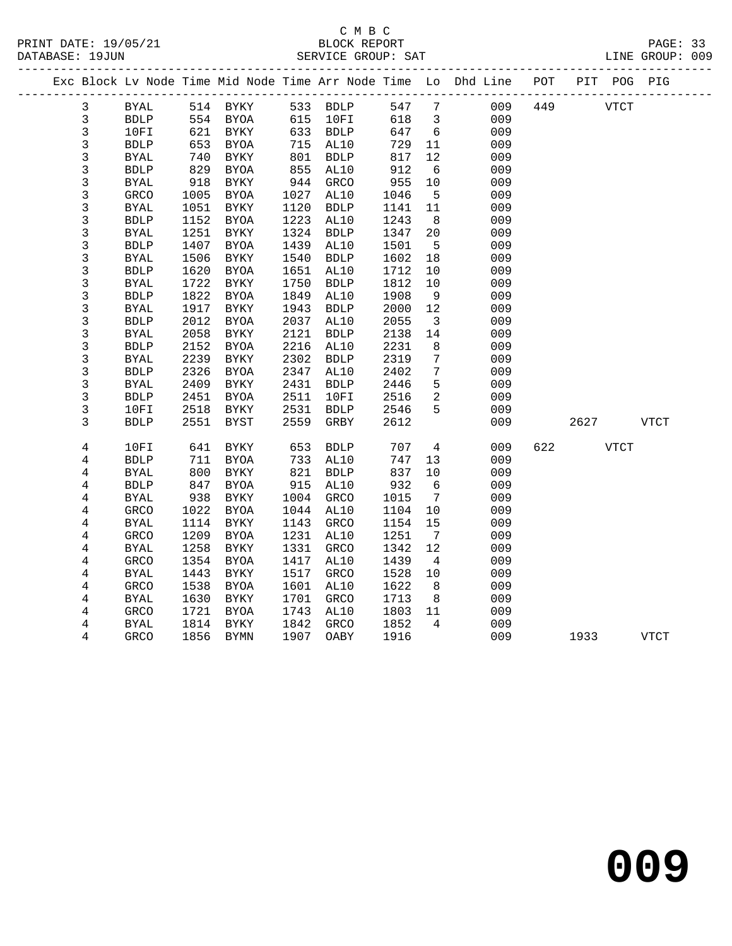### C M B C<br>BLOCK REPORT SERVICE GROUP: SAT

|              |                       |      |             |      |             |         |                         | Exc Block Lv Node Time Mid Node Time Arr Node Time Lo Dhd Line POT |     |      | PIT POG PIG |             |
|--------------|-----------------------|------|-------------|------|-------------|---------|-------------------------|--------------------------------------------------------------------|-----|------|-------------|-------------|
| 3            | BYAL                  |      | 514 BYKY    |      | 533 BDLP    | 547 7   |                         | 009                                                                | 449 | VTCT |             |             |
| $\mathbf{3}$ | <b>BDLP</b>           |      | 554 BYOA    |      | 615 10FI    | 618     | $\overline{\mathbf{3}}$ | 009                                                                |     |      |             |             |
| 3            | 10FI                  | 621  | BYKY        |      | 633 BDLP    | 647     | 6                       | 009                                                                |     |      |             |             |
| 3            | <b>BDLP</b>           | 653  | BYOA        |      | 715 AL10    | 729     | 11                      | 009                                                                |     |      |             |             |
| 3            | <b>BYAL</b>           | 740  | BYKY        | 801  | <b>BDLP</b> | 817     | 12                      | 009                                                                |     |      |             |             |
| 3            | <b>BDLP</b>           | 829  | <b>BYOA</b> | 855  | AL10        | 912     | 6                       | 009                                                                |     |      |             |             |
| 3            | <b>BYAL</b>           | 918  | BYKY        | 944  | GRCO        | 955     | 10                      | 009                                                                |     |      |             |             |
| 3            | GRCO                  | 1005 | BYOA        | 1027 | AL10        | 1046    | $5^{\circ}$             | 009                                                                |     |      |             |             |
| 3            | <b>BYAL</b>           | 1051 | BYKY        | 1120 | <b>BDLP</b> | 1141 11 |                         | 009                                                                |     |      |             |             |
| 3            | <b>BDLP</b>           | 1152 | BYOA        | 1223 | AL10        | 1243    | 8 <sup>8</sup>          | 009                                                                |     |      |             |             |
| 3            | <b>BYAL</b>           | 1251 | BYKY        | 1324 | <b>BDLP</b> | 1347    | 20                      | 009                                                                |     |      |             |             |
| 3            | ${\tt BDLP}$          | 1407 | <b>BYOA</b> | 1439 | AL10        | 1501    | 5                       | 009                                                                |     |      |             |             |
| 3            | <b>BYAL</b>           | 1506 | BYKY        | 1540 | BDLP        | 1602    | 18                      | 009                                                                |     |      |             |             |
| 3            | <b>BDLP</b>           | 1620 | BYOA        | 1651 | AL10        | 1712    | 10                      | 009                                                                |     |      |             |             |
| 3            | <b>BYAL</b>           | 1722 | BYKY        | 1750 | <b>BDLP</b> | 1812    | 10                      | 009                                                                |     |      |             |             |
| 3            | <b>BDLP</b>           | 1822 | BYOA        | 1849 | AL10        | 1908    | 9                       | 009                                                                |     |      |             |             |
| 3            | $\operatorname{BYAL}$ | 1917 | BYKY        | 1943 | <b>BDLP</b> | 2000    | 12                      | 009                                                                |     |      |             |             |
| 3            | <b>BDLP</b>           | 2012 | BYOA        | 2037 | AL10        | 2055    | $\overline{\mathbf{3}}$ | 009                                                                |     |      |             |             |
| 3            | <b>BYAL</b>           | 2058 | BYKY        | 2121 | <b>BDLP</b> | 2138    | 14                      | 009                                                                |     |      |             |             |
| 3            | <b>BDLP</b>           | 2152 | BYOA        | 2216 | AL10        | 2231    | 8                       | 009                                                                |     |      |             |             |
| 3            | <b>BYAL</b>           | 2239 | BYKY        | 2302 | <b>BDLP</b> | 2319    | $7\phantom{.0}$         | 009                                                                |     |      |             |             |
| 3            | <b>BDLP</b>           | 2326 | BYOA        | 2347 | AL10        | 2402    | 7                       | 009                                                                |     |      |             |             |
| 3            | <b>BYAL</b>           | 2409 | BYKY        | 2431 | <b>BDLP</b> | 2446    | 5                       | 009                                                                |     |      |             |             |
| 3            | <b>BDLP</b>           | 2451 | BYOA        | 2511 | 10FI        | 2516    | 2                       | 009                                                                |     |      |             |             |
| 3            | 10FI                  | 2518 | BYKY        | 2531 | BDLP        | 2546    | 5                       | 009                                                                |     |      |             |             |
| 3            | <b>BDLP</b>           | 2551 | BYST        | 2559 | GRBY        | 2612    |                         | 009                                                                |     | 2627 |             | <b>VTCT</b> |
| 4            | 10FI                  | 641  | BYKY        | 653  | <b>BDLP</b> | 707     | 4                       | 009                                                                | 622 | VTCT |             |             |
| 4            | <b>BDLP</b>           | 711  | BYOA        | 733  | AL10        | 747     | 13                      | 009                                                                |     |      |             |             |
| 4            | BYAL                  | 800  | BYKY        | 821  | <b>BDLP</b> | 837     | 10                      | 009                                                                |     |      |             |             |
| 4            | <b>BDLP</b>           | 847  | BYOA        | 915  | AL10        | 932     | $6\overline{6}$         | 009                                                                |     |      |             |             |
| 4            | <b>BYAL</b>           | 938  | BYKY        | 1004 | GRCO        | 1015    | $\overline{7}$          | 009                                                                |     |      |             |             |
| 4            | GRCO                  | 1022 | BYOA        | 1044 | AL10        | 1104    | 10                      | 009                                                                |     |      |             |             |
| 4            | BYAL                  | 1114 | BYKY        | 1143 | GRCO        | 1154    | 15                      | 009                                                                |     |      |             |             |
| 4            | <b>GRCO</b>           | 1209 | <b>BYOA</b> | 1231 | AL10        | 1251    | $\overline{7}$          | 009                                                                |     |      |             |             |
| 4            | <b>BYAL</b>           | 1258 | BYKY        | 1331 | GRCO        | 1342    | 12                      | 009                                                                |     |      |             |             |
| 4            | GRCO                  | 1354 | BYOA        | 1417 | AL10        | 1439    | $\overline{4}$          | 009                                                                |     |      |             |             |
| 4            | BYAL                  | 1443 | BYKY        | 1517 | GRCO        | 1528    | 10                      | 009                                                                |     |      |             |             |
| 4            | <b>GRCO</b>           | 1538 | BYOA        | 1601 | AL10        | 1622    | 8                       | 009                                                                |     |      |             |             |
| 4            | <b>BYAL</b>           | 1630 | BYKY        | 1701 | <b>GRCO</b> | 1713    | 8                       | 009                                                                |     |      |             |             |

 4 GRCO 1721 BYOA 1743 AL10 1803 11 009 4 BYAL 1814 BYKY 1842 GRCO 1852 4 009

4 GRCO 1856 BYMN 1907 OABY 1916 009 1933 VTCT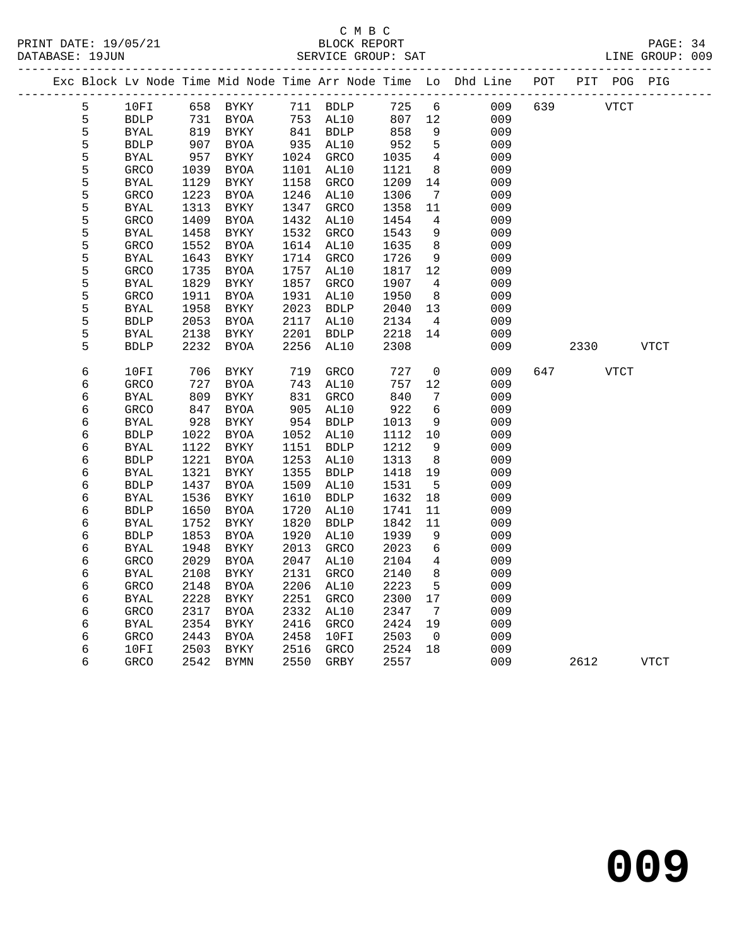|  |        |                            |              |                     |              |                     |              |                              | Exc Block Lv Node Time Mid Node Time Arr Node Time Lo Dhd Line POT |     |      | PIT POG PIG |             |
|--|--------|----------------------------|--------------|---------------------|--------------|---------------------|--------------|------------------------------|--------------------------------------------------------------------|-----|------|-------------|-------------|
|  | 5      | 10FI                       |              | 658 BYKY            |              | 711 BDLP            | 725          | 6                            | 009                                                                | 639 |      | <b>VTCT</b> |             |
|  | 5      | <b>BDLP</b>                | 731          | BYOA                |              |                     | 807          | 12                           | 009                                                                |     |      |             |             |
|  | 5      | <b>BYAL</b>                | 819          | BYKY                |              | $753$<br>841 BDLP   | 858          | 9                            | 009                                                                |     |      |             |             |
|  | 5      | <b>BDLP</b>                | 907          | BYOA                |              | 935 AL10            | 952          | 5                            | 009                                                                |     |      |             |             |
|  | 5      | BYAL                       | 957          | BYKY                |              | 1024 GRCO           | 1035         | $4\overline{4}$              | 009                                                                |     |      |             |             |
|  | 5      | GRCO                       | 1039         | <b>BYOA</b>         | 1101         | AL10                | 1121         | 8                            | 009                                                                |     |      |             |             |
|  | 5      | <b>BYAL</b>                | 1129         | BYKY                | 1158         | GRCO                | 1209         | 14                           | 009                                                                |     |      |             |             |
|  | 5      | <b>GRCO</b>                | 1223         | BYOA                | 1246         | AL10                | 1306         | 7                            | 009                                                                |     |      |             |             |
|  | 5      | <b>BYAL</b>                | 1313         | BYKY                | 1347         | <b>GRCO</b>         | 1358         | 11                           | 009                                                                |     |      |             |             |
|  | 5      | <b>GRCO</b>                | 1409         | BYOA                | 1432         | AL10                | 1454         | $\overline{4}$               | 009                                                                |     |      |             |             |
|  | 5      | <b>BYAL</b>                | 1458         | <b>BYKY</b>         | 1532         | GRCO                | 1543         | 9                            | 009                                                                |     |      |             |             |
|  | 5      | <b>GRCO</b>                | 1552         | BYOA                | 1614         | AL10                | 1635         | 8                            | 009                                                                |     |      |             |             |
|  | 5      | <b>BYAL</b>                | 1643         | BYKY                | 1714         | GRCO                | 1726         | 9                            | 009                                                                |     |      |             |             |
|  | 5      | <b>GRCO</b>                | 1735         | BYOA                | 1757         | AL10                | 1817         | 12                           | 009                                                                |     |      |             |             |
|  | 5      | <b>BYAL</b>                | 1829         | BYKY                | 1857         | GRCO                | 1907         | $\overline{4}$               | 009                                                                |     |      |             |             |
|  | 5      | GRCO                       | 1911         | <b>BYOA</b>         | 1931         | AL10                | 1950         | 8                            | 009                                                                |     |      |             |             |
|  | 5<br>5 | <b>BYAL</b>                | 1958         | BYKY                | 2023         | <b>BDLP</b>         | 2040         | 13                           | 009                                                                |     |      |             |             |
|  | 5      | <b>BDLP</b><br><b>BYAL</b> | 2053<br>2138 | <b>BYOA</b><br>BYKY | 2117<br>2201 | AL10<br><b>BDLP</b> | 2134<br>2218 | $\overline{4}$<br>14         | 009<br>009                                                         |     |      |             |             |
|  | 5      | <b>BDLP</b>                | 2232         | BYOA                | 2256         | AL10                | 2308         |                              | 009                                                                |     | 2330 |             | VTCT        |
|  |        |                            |              |                     |              |                     |              |                              |                                                                    |     |      |             |             |
|  | 6      | 10FI                       | 706          | BYKY                | 719          | <b>GRCO</b>         | 727          | $\mathsf{O}$                 | 009                                                                | 647 |      | <b>VTCT</b> |             |
|  | 6      | <b>GRCO</b>                | 727          | BYOA                | 743          | AL10                | 757          | 12                           | 009                                                                |     |      |             |             |
|  | 6      | <b>BYAL</b>                | 809          | BYKY                | 831          | GRCO                | 840          | 7                            | 009                                                                |     |      |             |             |
|  | 6      | GRCO                       | 847          | BYOA                | 905          | AL10                | 922          | 6                            | 009                                                                |     |      |             |             |
|  | 6      | BYAL                       | 928          | BYKY                | 954          | ${\tt BDLP}$        | 1013         | 9                            | 009                                                                |     |      |             |             |
|  | 6      | <b>BDLP</b>                | 1022         | BYOA                | 1052         | AL10                | 1112         | 10                           | 009                                                                |     |      |             |             |
|  | 6      | <b>BYAL</b>                | 1122         | BYKY                | 1151         | <b>BDLP</b>         | 1212         | 9                            | 009                                                                |     |      |             |             |
|  | 6      | <b>BDLP</b>                | 1221         | <b>BYOA</b>         | 1253         | AL10                | 1313         | 8                            | 009                                                                |     |      |             |             |
|  | 6      | <b>BYAL</b>                | 1321         | BYKY                | 1355         | <b>BDLP</b>         | 1418         | 19                           | 009                                                                |     |      |             |             |
|  | 6      | <b>BDLP</b>                | 1437         | BYOA                | 1509         | AL10                | 1531         | 5                            | 009                                                                |     |      |             |             |
|  | 6      | <b>BYAL</b>                | 1536         | BYKY                | 1610         | <b>BDLP</b>         | 1632         | 18                           | 009                                                                |     |      |             |             |
|  | 6      | <b>BDLP</b>                | 1650         | <b>BYOA</b>         | 1720         | AL10                | 1741         | 11                           | 009                                                                |     |      |             |             |
|  | 6      | <b>BYAL</b>                | 1752         | BYKY                | 1820         | <b>BDLP</b>         | 1842         | 11                           | 009                                                                |     |      |             |             |
|  | 6      | <b>BDLP</b>                | 1853         | <b>BYOA</b>         | 1920         | AL10                | 1939         | 9                            | 009                                                                |     |      |             |             |
|  | б      | <b>BYAL</b>                | 1948         | BYKY                | 2013         | GRCO                | 2023         | 6                            | 009                                                                |     |      |             |             |
|  | 6      | <b>GRCO</b>                | 2029         | BYOA                | 2047         | AL10                | 2104         | 4                            | 009                                                                |     |      |             |             |
|  | 6      | <b>BYAL</b>                | 2108         | $\rm BYKY$          | 2131         | <b>GRCO</b>         | 2140         | 8                            | 009                                                                |     |      |             |             |
|  | 6      | <b>GRCO</b>                | 2148         | <b>BYOA</b>         | 2206         | AL10                | 2223         | 5                            | 009                                                                |     |      |             |             |
|  | 6      | <b>BYAL</b>                | 2228         | BYKY                | 2251         | GRCO                | 2300         | 17                           | 009                                                                |     |      |             |             |
|  | 6      | <b>GRCO</b>                | 2317         | BYOA                | 2332         | AL10                | 2347         | $7\phantom{.0}\phantom{.0}7$ | 009                                                                |     |      |             |             |
|  | 6<br>6 | BYAL                       | 2354<br>2443 | BYKY                | 2416<br>2458 | GRCO                | 2424<br>2503 | 19<br>$\overline{0}$         | 009<br>009                                                         |     |      |             |             |
|  | 6      | <b>GRCO</b><br>10FI        | 2503         | BYOA<br>BYKY        | 2516         | 10FI<br>GRCO        | 2524         | 18                           | 009                                                                |     |      |             |             |
|  | 6      | GRCO                       | 2542         | BYMN                | 2550         | GRBY                | 2557         |                              | 009                                                                |     | 2612 |             | <b>VTCT</b> |
|  |        |                            |              |                     |              |                     |              |                              |                                                                    |     |      |             |             |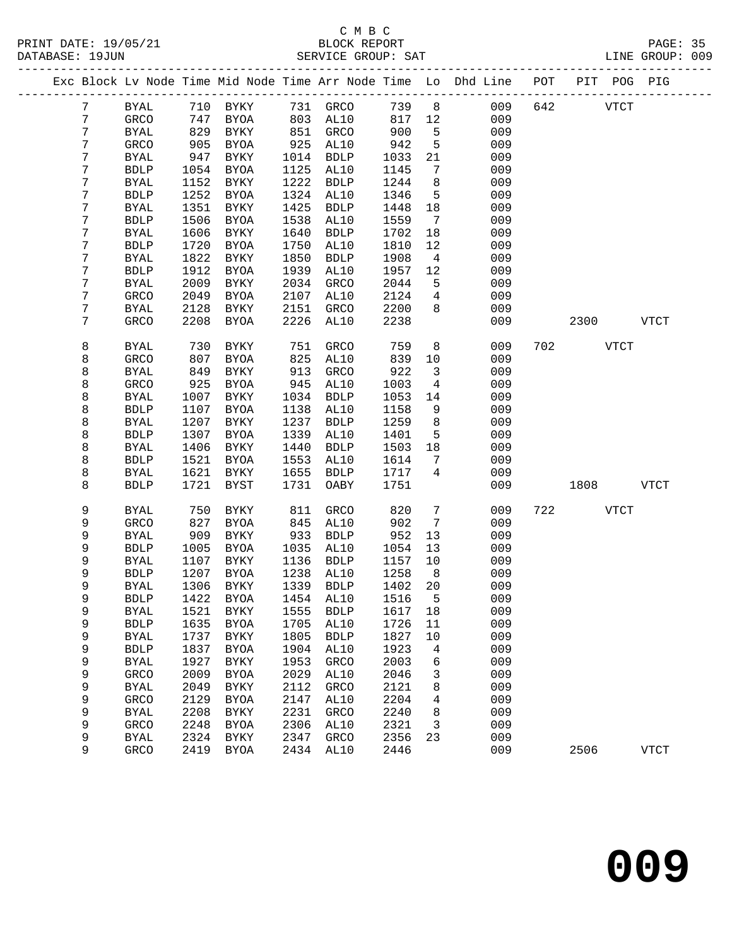|                  |              |      |                |      |             |        |                 | Exc Block Lv Node Time Mid Node Time Arr Node Time Lo Dhd Line | POT | PIT  | POG PIG     |             |  |
|------------------|--------------|------|----------------|------|-------------|--------|-----------------|----------------------------------------------------------------|-----|------|-------------|-------------|--|
| 7                | <b>BYAL</b>  | 710  | BYKY           |      | 731 GRCO    | 739    | 8 <sup>8</sup>  | 009                                                            | 642 |      | <b>VTCT</b> |             |  |
| $\boldsymbol{7}$ | GRCO         | 747  | BYOA           | 803  | AL10        | 817    | 12              | 009                                                            |     |      |             |             |  |
| $\boldsymbol{7}$ | <b>BYAL</b>  | 829  | BYKY           | 851  | GRCO        | 900    | $5^{\circ}$     | 009                                                            |     |      |             |             |  |
| 7                | GRCO         | 905  | BYOA           | 925  | AL10        | 942    | 5               | 009                                                            |     |      |             |             |  |
| 7                | <b>BYAL</b>  | 947  | BYKY           | 1014 | <b>BDLP</b> | 1033   | 21              | 009                                                            |     |      |             |             |  |
| 7                | ${\tt BDLP}$ | 1054 | BYOA           | 1125 | AL10        | 1145   | $7\phantom{.0}$ | 009                                                            |     |      |             |             |  |
| 7                | <b>BYAL</b>  | 1152 | BYKY           | 1222 | <b>BDLP</b> | 1244   | 8               | 009                                                            |     |      |             |             |  |
| 7                | <b>BDLP</b>  | 1252 | <b>BYOA</b>    | 1324 | AL10        | 1346   | 5               | 009                                                            |     |      |             |             |  |
| 7                | <b>BYAL</b>  | 1351 | BYKY           | 1425 | <b>BDLP</b> | 1448   | 18              | 009                                                            |     |      |             |             |  |
| 7                | <b>BDLP</b>  | 1506 | <b>BYOA</b>    | 1538 | AL10        | 1559   | $\overline{7}$  | 009                                                            |     |      |             |             |  |
| $\boldsymbol{7}$ | <b>BYAL</b>  | 1606 | BYKY           | 1640 | <b>BDLP</b> | 1702   | 18              | 009                                                            |     |      |             |             |  |
| 7                | <b>BDLP</b>  | 1720 | <b>BYOA</b>    | 1750 | AL10        | 1810   | 12              | 009                                                            |     |      |             |             |  |
| 7                | <b>BYAL</b>  | 1822 | BYKY           | 1850 | <b>BDLP</b> | 1908   | $\overline{4}$  | 009                                                            |     |      |             |             |  |
| 7                | <b>BDLP</b>  | 1912 | <b>BYOA</b>    | 1939 | AL10        | 1957   | 12              | 009                                                            |     |      |             |             |  |
| 7                | <b>BYAL</b>  | 2009 | BYKY           | 2034 | GRCO        | 2044   | 5               | 009                                                            |     |      |             |             |  |
| 7                | GRCO         | 2049 | <b>BYOA</b>    | 2107 | AL10        | 2124   | $\overline{4}$  | 009                                                            |     |      |             |             |  |
| 7                | <b>BYAL</b>  | 2128 | <b>BYKY</b>    | 2151 | GRCO        | 2200   | 8               | 009                                                            |     |      |             |             |  |
| 7                | GRCO         | 2208 | <b>BYOA</b>    | 2226 | AL10        | 2238   |                 | 009                                                            |     | 2300 |             | <b>VTCT</b> |  |
|                  |              |      |                |      |             |        |                 |                                                                |     |      |             |             |  |
| 8                | <b>BYAL</b>  | 730  | BYKY           | 751  | GRCO        | 759    | 8               | 009                                                            | 702 |      | VTCT        |             |  |
| 8                | GRCO         | 807  | <b>BYOA</b>    | 825  | AL10        | 839    | 10              | 009                                                            |     |      |             |             |  |
| 8                | <b>BYAL</b>  | 849  | BYKY           | 913  | GRCO        | 922    | $\mathbf{3}$    | 009                                                            |     |      |             |             |  |
| 8                | GRCO         | 925  | <b>BYOA</b>    | 945  | AL10        | 1003   | $\overline{4}$  | 009                                                            |     |      |             |             |  |
| 8                | <b>BYAL</b>  | 1007 | BYKY           | 1034 | <b>BDLP</b> | 1053   | 14              | 009                                                            |     |      |             |             |  |
| 8                | <b>BDLP</b>  | 1107 | <b>BYOA</b>    | 1138 | AL10        | 1158   | 9               | 009                                                            |     |      |             |             |  |
| 8                | <b>BYAL</b>  | 1207 | BYKY           | 1237 | <b>BDLP</b> | 1259   | 8               | 009                                                            |     |      |             |             |  |
| 8                | <b>BDLP</b>  | 1307 | <b>BYOA</b>    | 1339 | AL10        | 1401   | 5               | 009                                                            |     |      |             |             |  |
| 8                | <b>BYAL</b>  | 1406 | BYKY           | 1440 | <b>BDLP</b> | 1503   | 18              | 009                                                            |     |      |             |             |  |
| 8                | <b>BDLP</b>  | 1521 | <b>BYOA</b>    | 1553 | AL10        | 1614   | $7\phantom{.0}$ | 009                                                            |     |      |             |             |  |
| 8                | <b>BYAL</b>  | 1621 | BYKY           | 1655 | <b>BDLP</b> | 1717   | $\overline{4}$  | 009                                                            |     |      |             |             |  |
| 8                | <b>BDLP</b>  | 1721 | <b>BYST</b>    | 1731 | OABY        | 1751   |                 | 009                                                            |     | 1808 |             | <b>VTCT</b> |  |
| 9                | <b>BYAL</b>  | 750  | BYKY           | 811  | GRCO        | 820    | $7\phantom{.0}$ | 009                                                            |     | 722  | VTCT        |             |  |
| 9                | GRCO         | 827  | <b>BYOA</b>    | 845  | AL10        | 902    | $7\phantom{.0}$ | 009                                                            |     |      |             |             |  |
| 9                | <b>BYAL</b>  | 909  | BYKY           | 933  | <b>BDLP</b> | 952    | 13              | 009                                                            |     |      |             |             |  |
| 9                | <b>BDLP</b>  | 1005 | BYOA           | 1035 | AL10        | 1054   | 13              | 009                                                            |     |      |             |             |  |
| 9                | <b>BYAL</b>  | 1107 | BYKY           | 1136 | <b>BDLP</b> | 1157   | 10              | 009                                                            |     |      |             |             |  |
| 9                | <b>BDLP</b>  | 1207 | <b>BYOA</b>    | 1238 | AL10        | 1258   | 8 <sup>8</sup>  | 009                                                            |     |      |             |             |  |
| 9                | <b>BYAL</b>  | 1306 | BYKY           | 1339 | <b>BDLP</b> | 1402   | 20              | 009                                                            |     |      |             |             |  |
| 9                | <b>BDLP</b>  | 1422 | BYOA 1454 AL10 |      |             | 1516 5 |                 | 009                                                            |     |      |             |             |  |
| 9                | <b>BYAL</b>  | 1521 | BYKY           | 1555 | <b>BDLP</b> | 1617   | 18              | 009                                                            |     |      |             |             |  |
| 9                | <b>BDLP</b>  | 1635 | <b>BYOA</b>    | 1705 | AL10        | 1726   | 11              | 009                                                            |     |      |             |             |  |
| 9                | <b>BYAL</b>  | 1737 | BYKY           | 1805 | <b>BDLP</b> | 1827   | $10$            | 009                                                            |     |      |             |             |  |
| 9                | <b>BDLP</b>  | 1837 | <b>BYOA</b>    | 1904 | AL10        | 1923   | 4               | 009                                                            |     |      |             |             |  |
| 9                | <b>BYAL</b>  | 1927 | BYKY           | 1953 | GRCO        | 2003   | 6               | 009                                                            |     |      |             |             |  |
| 9                | GRCO         | 2009 | <b>BYOA</b>    | 2029 | AL10        | 2046   | 3               | 009                                                            |     |      |             |             |  |
| 9                | <b>BYAL</b>  | 2049 | ${\tt BYKY}$   | 2112 | GRCO        | 2121   | 8               | 009                                                            |     |      |             |             |  |
| 9                | GRCO         | 2129 | <b>BYOA</b>    | 2147 | AL10        | 2204   | 4               | 009                                                            |     |      |             |             |  |
| 9                | <b>BYAL</b>  | 2208 | BYKY           | 2231 | GRCO        | 2240   | 8               | 009                                                            |     |      |             |             |  |
| 9                | GRCO         | 2248 | <b>BYOA</b>    | 2306 | AL10        | 2321   | 3               | 009                                                            |     |      |             |             |  |
| 9                | <b>BYAL</b>  | 2324 | BYKY           | 2347 | GRCO        | 2356   | 23              | 009                                                            |     |      |             |             |  |
| 9                | GRCO         | 2419 | <b>BYOA</b>    | 2434 | AL10        | 2446   |                 | 009                                                            |     | 2506 |             | <b>VTCT</b> |  |
|                  |              |      |                |      |             |        |                 |                                                                |     |      |             |             |  |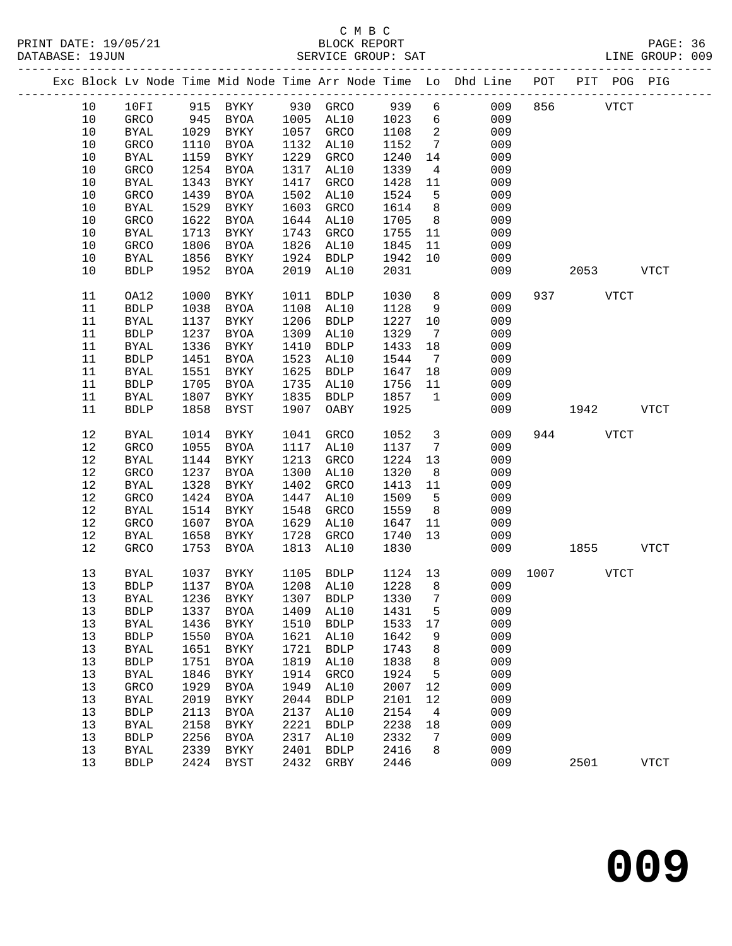|                  |                            |              |                                 |              |                     |              |                    | Exc Block Lv Node Time Mid Node Time Arr Node Time Lo Dhd Line POT PIT POG PIG |      |      |             |             |
|------------------|----------------------------|--------------|---------------------------------|--------------|---------------------|--------------|--------------------|--------------------------------------------------------------------------------|------|------|-------------|-------------|
| 10               | 10FI                       | 915          | BYKY                            |              | 930 GRCO            | 939          | $6\overline{}$     | 009                                                                            | 856  |      | <b>VTCT</b> |             |
| 10               | GRCO                       | 945          | BYOA                            | 1005         | AL10                | 1023         | 6                  | 009                                                                            |      |      |             |             |
| 10               | <b>BYAL</b>                | 1029         | BYKY                            | 1057         | GRCO                | 1108         | 2                  | 009                                                                            |      |      |             |             |
| 10               | GRCO                       | 1110         | BYOA                            | 1132         | AL10                | 1152         | $7\phantom{.0}$    | 009                                                                            |      |      |             |             |
| 10               | <b>BYAL</b>                | 1159         | BYKY                            | 1229         | GRCO                | 1240         | 14                 | 009                                                                            |      |      |             |             |
| 10               | GRCO                       | 1254         | <b>BYOA</b>                     | 1317         | AL10                | 1339         | 4                  | 009                                                                            |      |      |             |             |
| 10               | <b>BYAL</b>                | 1343         | BYKY                            | 1417         | GRCO                | 1428         | 11                 | 009                                                                            |      |      |             |             |
| $10$             | GRCO                       | 1439         | <b>BYOA</b>                     | 1502         | AL10                | 1524         | 5                  | 009                                                                            |      |      |             |             |
| $10$             | <b>BYAL</b>                | 1529         | BYKY                            | 1603         | GRCO                | 1614         | 8                  | 009                                                                            |      |      |             |             |
| 10               | GRCO                       | 1622         | <b>BYOA</b>                     | 1644         | AL10                | 1705         | 8 <sup>8</sup>     | 009                                                                            |      |      |             |             |
| 10               | <b>BYAL</b>                | 1713         | BYKY                            | 1743         | GRCO                | 1755         | 11                 | 009                                                                            |      |      |             |             |
| 10               | GRCO                       | 1806         | <b>BYOA</b>                     | 1826         | AL10                | 1845         | 11                 | 009                                                                            |      |      |             |             |
| 10               | <b>BYAL</b>                | 1856         | BYKY                            | 1924         | <b>BDLP</b>         | 1942         | 10                 | 009                                                                            |      |      |             |             |
| 10               | <b>BDLP</b>                | 1952         | <b>BYOA</b>                     | 2019         | AL10                | 2031         |                    | 009                                                                            |      | 2053 |             | <b>VTCT</b> |
|                  |                            |              |                                 |              |                     |              |                    |                                                                                |      |      |             |             |
| $11\,$           | OA12                       | 1000         | BYKY                            | 1011         | ${\tt BDLP}$        | 1030         | 8                  | 009                                                                            |      | 937  | <b>VTCT</b> |             |
| $11\,$           | <b>BDLP</b>                | 1038         | <b>BYOA</b>                     | 1108         | AL10                | 1128         | 9                  | 009                                                                            |      |      |             |             |
| $11\,$           | <b>BYAL</b>                | 1137         | BYKY                            | 1206         | <b>BDLP</b>         | 1227         | 10                 | 009                                                                            |      |      |             |             |
| 11               | <b>BDLP</b>                | 1237         | <b>BYOA</b>                     | 1309         | AL10                | 1329         | $\overline{7}$     | 009                                                                            |      |      |             |             |
| $11\,$           | <b>BYAL</b>                | 1336         | BYKY                            | 1410         | <b>BDLP</b>         | 1433         | 18                 | 009                                                                            |      |      |             |             |
| $11\,$           | ${\tt BDLP}$               | 1451         | <b>BYOA</b>                     | 1523         | AL10                | 1544         | $7\overline{ }$    | 009                                                                            |      |      |             |             |
| $11\,$<br>$11\,$ | <b>BYAL</b>                | 1551<br>1705 | BYKY<br><b>BYOA</b>             | 1625<br>1735 | <b>BDLP</b>         | 1647         | 18                 | 009<br>009                                                                     |      |      |             |             |
| 11               | <b>BDLP</b>                | 1807         |                                 | 1835         | AL10                | 1756<br>1857 | 11<br>$\mathbf{1}$ | 009                                                                            |      |      |             |             |
| 11               | <b>BYAL</b><br><b>BDLP</b> | 1858         | BYKY<br>BYST                    | 1907         | <b>BDLP</b><br>OABY | 1925         |                    | 009                                                                            |      | 1942 |             | <b>VTCT</b> |
|                  |                            |              |                                 |              |                     |              |                    |                                                                                |      |      |             |             |
| $12$             | <b>BYAL</b>                | 1014         | BYKY                            | 1041         | GRCO                | 1052         | $\mathbf{3}$       | 009                                                                            | 944  |      | <b>VTCT</b> |             |
| 12               | GRCO                       | 1055         | BYOA                            | 1117         | AL10                | 1137         | $7\phantom{.0}$    | 009                                                                            |      |      |             |             |
| $12\,$           | <b>BYAL</b>                | 1144         | BYKY                            | 1213         | GRCO                | 1224         | 13                 | 009                                                                            |      |      |             |             |
| 12               | GRCO                       | 1237         | <b>BYOA</b>                     | 1300         | AL10                | 1320         | 8                  | 009                                                                            |      |      |             |             |
| $12$             | <b>BYAL</b>                | 1328         | BYKY                            | 1402         | GRCO                | 1413         | 11                 | 009                                                                            |      |      |             |             |
| $12\,$           | GRCO                       | 1424         | <b>BYOA</b>                     | 1447         | AL10                | 1509         | 5                  | 009                                                                            |      |      |             |             |
| $12\,$           | <b>BYAL</b>                | 1514         | BYKY                            | 1548         | GRCO                | 1559         | 8                  | 009                                                                            |      |      |             |             |
| $12\,$           | GRCO                       | 1607         | <b>BYOA</b>                     | 1629         | AL10                | 1647         | 11                 | 009                                                                            |      |      |             |             |
| 12               | <b>BYAL</b>                | 1658         | BYKY                            | 1728         | GRCO                | 1740         | 13                 | 009                                                                            |      |      |             |             |
| $12\,$           | GRCO                       | 1753         | <b>BYOA</b>                     | 1813         | AL10                | 1830         |                    | 009                                                                            |      | 1855 |             | <b>VTCT</b> |
| 13               | BYAL                       | 1037         | BYKY                            | 1105         | <b>BDLP</b>         | 1124 13      |                    | 009                                                                            | 1007 |      | <b>VTCT</b> |             |
| 13               | <b>BDLP</b>                | 1137         | BYOA                            |              | 1208 AL10           | 1228         | 8                  | 009                                                                            |      |      |             |             |
| 13               |                            |              | BYAL 1236 BYKY 1307 BDLP 1330 7 |              |                     |              |                    | 009                                                                            |      |      |             |             |
| 13               | <b>BDLP</b>                | 1337         | <b>BYOA</b>                     | 1409         | AL10                | 1431         | 5                  | 009                                                                            |      |      |             |             |
| 13               | <b>BYAL</b>                | 1436         | BYKY                            | 1510         | <b>BDLP</b>         | 1533         | 17                 | 009                                                                            |      |      |             |             |
| 13               | <b>BDLP</b>                | 1550         | <b>BYOA</b>                     | 1621         | AL10                | 1642         | 9                  | 009                                                                            |      |      |             |             |
| 13               | <b>BYAL</b>                | 1651         | <b>BYKY</b>                     | 1721         | <b>BDLP</b>         | 1743         | 8                  | 009                                                                            |      |      |             |             |
| 13               | <b>BDLP</b>                | 1751         | <b>BYOA</b>                     | 1819         | AL10                | 1838         | 8                  | 009                                                                            |      |      |             |             |
| 13               | <b>BYAL</b>                | 1846         | <b>BYKY</b>                     | 1914         | GRCO                | 1924         | 5                  | 009                                                                            |      |      |             |             |
| $13$             | GRCO                       | 1929         | <b>BYOA</b>                     | 1949         | AL10                | 2007         | 12                 | 009                                                                            |      |      |             |             |
| 13               | <b>BYAL</b>                | 2019         | ${\tt BYKY}$                    | 2044         | <b>BDLP</b>         | 2101         | 12                 | 009                                                                            |      |      |             |             |
| 13               | <b>BDLP</b>                | 2113         | <b>BYOA</b>                     | 2137         | AL10                | 2154         | 4                  | 009                                                                            |      |      |             |             |
| 13               | <b>BYAL</b>                | 2158         | <b>BYKY</b>                     | 2221         | <b>BDLP</b>         | 2238         | 18                 | 009                                                                            |      |      |             |             |
| 13               | <b>BDLP</b>                | 2256         | <b>BYOA</b>                     | 2317         | AL10                | 2332         | 7                  | 009                                                                            |      |      |             |             |
| 13               | <b>BYAL</b>                | 2339         | ${\tt BYKY}$                    | 2401         | <b>BDLP</b>         | 2416         | 8                  | 009                                                                            |      |      |             |             |
| 13               | <b>BDLP</b>                | 2424         | <b>BYST</b>                     | 2432         | GRBY                | 2446         |                    | 009                                                                            |      | 2501 |             | <b>VTCT</b> |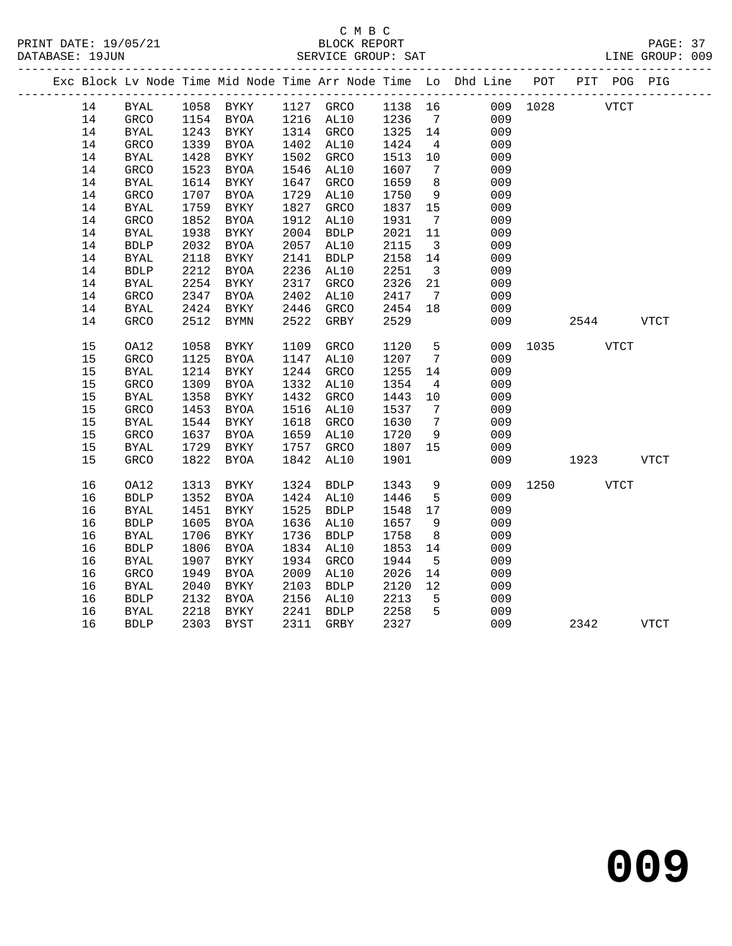|    |              |      |                     |      |             |         |                              | Exc Block Lv Node Time Mid Node Time Arr Node Time Lo Dhd Line POT |          |             | PIT POG PIG |
|----|--------------|------|---------------------|------|-------------|---------|------------------------------|--------------------------------------------------------------------|----------|-------------|-------------|
| 14 | BYAL         |      | 1058 BYKY 1127 GRCO |      |             | 1138 16 |                              |                                                                    | 009 1028 | <b>VTCT</b> |             |
| 14 | GRCO         | 1154 | <b>BYOA</b>         |      | 1216 AL10   | 1236    | $7\overline{ }$              | 009                                                                |          |             |             |
| 14 | <b>BYAL</b>  | 1243 | BYKY                |      | 1314 GRCO   | 1325    | 14                           | 009                                                                |          |             |             |
| 14 | GRCO         | 1339 | BYOA                |      | 1402 AL10   | 1424    | $\overline{4}$               | 009                                                                |          |             |             |
| 14 | BYAL         | 1428 | BYKY                | 1502 | GRCO        | 1513    | 10                           | 009                                                                |          |             |             |
| 14 | GRCO         | 1523 | BYOA                | 1546 | AL10        | 1607    | $7\overline{ }$              | 009                                                                |          |             |             |
| 14 | BYAL         | 1614 | BYKY                | 1647 | <b>GRCO</b> | 1659    | 8                            | 009                                                                |          |             |             |
| 14 | GRCO         | 1707 | <b>BYOA</b>         | 1729 | AL10        | 1750    | 9                            | 009                                                                |          |             |             |
| 14 | <b>BYAL</b>  | 1759 | BYKY                | 1827 | GRCO        | 1837    | 15                           | 009                                                                |          |             |             |
| 14 | GRCO         | 1852 | BYOA                | 1912 | AL10        | 1931    | $7\overline{ }$              | 009                                                                |          |             |             |
| 14 | <b>BYAL</b>  | 1938 | <b>BYKY</b>         | 2004 | <b>BDLP</b> | 2021    | 11                           | 009                                                                |          |             |             |
| 14 | <b>BDLP</b>  | 2032 | BYOA                | 2057 | AL10        | 2115    | $\overline{\mathbf{3}}$      | 009                                                                |          |             |             |
| 14 | BYAL         | 2118 | BYKY                | 2141 | <b>BDLP</b> | 2158    | 14                           | 009                                                                |          |             |             |
| 14 | ${\tt BDLP}$ | 2212 | BYOA                | 2236 | AL10        | 2251    | $\overline{\mathbf{3}}$      | 009                                                                |          |             |             |
| 14 | <b>BYAL</b>  | 2254 | BYKY                | 2317 | GRCO        | 2326    | 21                           | 009                                                                |          |             |             |
| 14 | GRCO         | 2347 | BYOA                | 2402 | AL10        | 2417    | $7\overline{ }$              | 009                                                                |          |             |             |
| 14 | <b>BYAL</b>  | 2424 | BYKY                | 2446 | GRCO        | 2454    | 18                           | 009                                                                |          |             |             |
| 14 | GRCO         | 2512 | BYMN                | 2522 | GRBY        | 2529    |                              | 009                                                                |          | 2544        | <b>VTCT</b> |
| 15 | OA12         | 1058 | BYKY                | 1109 | <b>GRCO</b> | 1120    | 5                            | 009                                                                |          | 1035 VTCT   |             |
| 15 | GRCO         | 1125 | BYOA                | 1147 | AL10        | 1207    | $7\phantom{.0}\phantom{.0}7$ | 009                                                                |          |             |             |
| 15 | BYAL         | 1214 | BYKY                | 1244 | GRCO        | 1255    | 14                           | 009                                                                |          |             |             |
| 15 | GRCO         | 1309 | BYOA                | 1332 | AL10        | 1354    | $\overline{4}$               | 009                                                                |          |             |             |
| 15 | <b>BYAL</b>  | 1358 | BYKY                | 1432 | GRCO        | 1443    | 10                           | 009                                                                |          |             |             |
| 15 | GRCO         | 1453 | BYOA                | 1516 | AL10        | 1537    | $\overline{7}$               | 009                                                                |          |             |             |
| 15 | <b>BYAL</b>  | 1544 | <b>BYKY</b>         | 1618 | GRCO        | 1630    | $7\overline{ }$              | 009                                                                |          |             |             |
| 15 | GRCO         | 1637 | BYOA                | 1659 | AL10        | 1720    | 9                            | 009                                                                |          |             |             |
| 15 | BYAL         | 1729 | BYKY                | 1757 | GRCO        | 1807    | 15                           | 009                                                                |          |             |             |
| 15 | GRCO         | 1822 | BYOA                | 1842 | AL10        | 1901    |                              | 009                                                                |          | 1923        | VTCT        |
|    |              |      |                     |      |             |         |                              |                                                                    |          |             |             |
| 16 | OA12         | 1313 | BYKY                | 1324 | <b>BDLP</b> | 1343    | 9                            | 009                                                                | 1250     | <b>VTCT</b> |             |
| 16 | ${\tt BDLP}$ | 1352 | BYOA                |      | 1424 AL10   | 1446    | 5                            | 009                                                                |          |             |             |
| 16 | <b>BYAL</b>  | 1451 | BYKY                |      | 1525 BDLP   | 1548    | 17                           | 009                                                                |          |             |             |
| 16 | <b>BDLP</b>  | 1605 | BYOA                | 1636 | AL10        | 1657    | 9                            | 009                                                                |          |             |             |
| 16 | <b>BYAL</b>  | 1706 | BYKY                | 1736 | <b>BDLP</b> | 1758    | 8                            | 009                                                                |          |             |             |
| 16 | <b>BDLP</b>  | 1806 | BYOA                |      | 1834 AL10   | 1853    | 14                           | 009                                                                |          |             |             |
| 16 | BYAL         | 1907 | BYKY                | 1934 | GRCO        | 1944    | 5                            | 009                                                                |          |             |             |
| 16 | GRCO         | 1949 | BYOA                | 2009 | AL10        | 2026    | 14                           | 009                                                                |          |             |             |
| 16 | <b>BYAL</b>  | 2040 | BYKY                | 2103 | <b>BDLP</b> | 2120    | 12                           | 009                                                                |          |             |             |
| 16 | <b>BDLP</b>  | 2132 | BYOA                | 2156 | AL10        | 2213    | 5                            | 009                                                                |          |             |             |
| 16 | BYAL         | 2218 | BYKY                | 2241 | BDLP        | 2258    | 5                            | 009                                                                |          |             |             |
| 16 | <b>BDLP</b>  |      | 2303 BYST           |      | 2311 GRBY   | 2327    |                              | 009                                                                |          | 2342        | <b>VTCT</b> |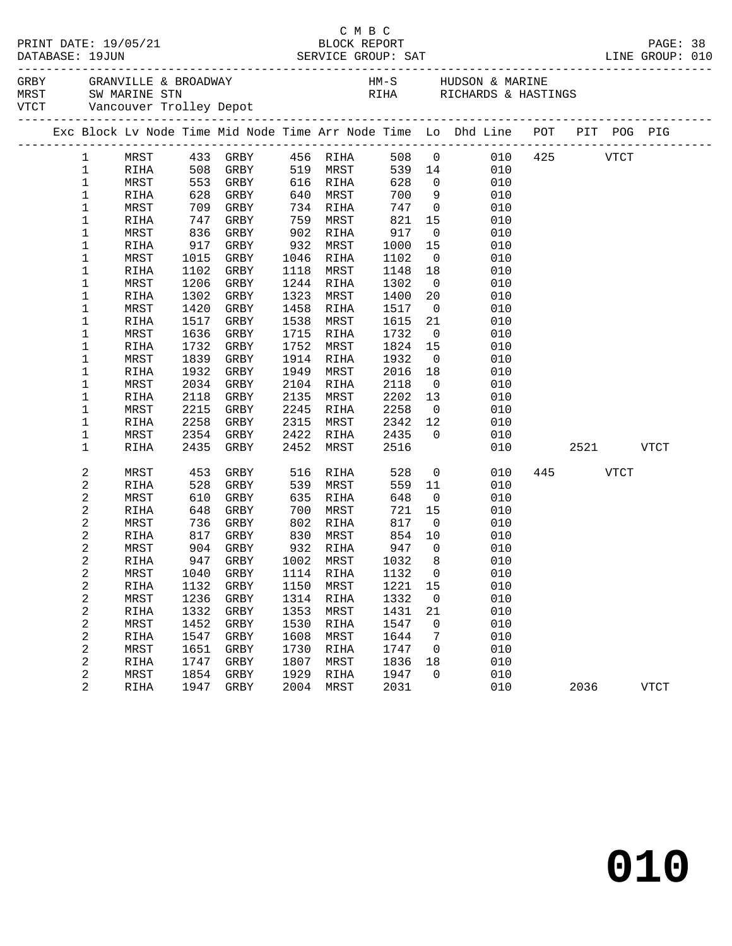|                     |              |                    |              |              |                       |                    |                                  | PAGE: 38<br>LINE GROUP: 010                                                    |           |      |             |  |
|---------------------|--------------|--------------------|--------------|--------------|-----------------------|--------------------|----------------------------------|--------------------------------------------------------------------------------|-----------|------|-------------|--|
|                     |              |                    |              |              |                       |                    |                                  |                                                                                |           |      |             |  |
|                     |              |                    |              |              |                       |                    |                                  | Exc Block Lv Node Time Mid Node Time Arr Node Time Lo Dhd Line POT PIT POG PIG |           |      |             |  |
|                     |              |                    |              |              |                       |                    |                                  |                                                                                |           |      |             |  |
|                     |              |                    |              |              |                       |                    |                                  | 1 MRST 433 GRBY 456 RIHA 508 0 010 425 VTCT                                    |           |      |             |  |
| $\mathbf{1}$        | RIHA         | 508 GRBY           |              |              | 519 MRST              |                    |                                  | 539 14<br>010                                                                  |           |      |             |  |
| $\mathbf 1$         | MRST         | $553$ $628$ $GRPV$ |              |              | 616 RIHA              | 628                | $\overline{0}$                   | 010                                                                            |           |      |             |  |
| $\mathbf 1$         | RIHA         |                    |              | 640          | MRST                  | 700                | 9                                | 010                                                                            |           |      |             |  |
| $\mathbf 1$         | MRST         |                    | 709 GRBY     |              | 734 RIHA              |                    |                                  | 747 0<br>010                                                                   |           |      |             |  |
| $\mathbf 1$         | RIHA         | 747                | GRBY         | 759          | MRST                  | 821                | 15                               | 010                                                                            |           |      |             |  |
| 1                   | MRST         | 836                | GRBY         | 902          | RIHA                  | 917<br>917<br>1000 | $\overline{0}$                   | 010                                                                            |           |      |             |  |
| 1                   | RIHA         | 917                | GRBY         | 932          | MRST                  |                    | 15                               | 010                                                                            |           |      |             |  |
| 1                   | MRST         | 1015               | GRBY         | 1046         | RIHA                  | 1102               | $\overline{0}$                   | 010                                                                            |           |      |             |  |
| 1                   | RIHA         | 1102               | GRBY         | 1118         | MRST                  | 1148               | 18                               | 010                                                                            |           |      |             |  |
| 1                   | MRST         | 1206               | GRBY         | 1244         | RIHA                  | 1302               | $\overline{0}$                   | 010                                                                            |           |      |             |  |
| 1                   | RIHA         | 1302               | GRBY         | 1323         | MRST                  | 1400               | 20                               | 010                                                                            |           |      |             |  |
| 1<br>1              | MRST<br>RIHA | 1420<br>1517       | GRBY<br>GRBY | 1458<br>1538 | RIHA<br>MRST          | 1517<br>1615       | $\overline{0}$<br>21             | 010<br>010                                                                     |           |      |             |  |
| 1                   | MRST         | 1636               | GRBY         | 1715         | RIHA                  | 1732               | $\overline{0}$                   | 010                                                                            |           |      |             |  |
| 1                   | RIHA         | 1732               | GRBY         | 1752         | MRST                  | 1824               | 15                               | 010                                                                            |           |      |             |  |
| 1                   | MRST         | 1839               | GRBY         |              | 1914 RIHA             | 1932               | $\overline{0}$                   | 010                                                                            |           |      |             |  |
| 1                   | RIHA         | 1932               | GRBY         | 1949         | MRST                  | 2016               | 18                               | 010                                                                            |           |      |             |  |
| 1                   | MRST         | 2034               | GRBY         | 2104         | RIHA                  | 2118               | $\overline{0}$                   | 010                                                                            |           |      |             |  |
| 1                   | RIHA         | 2118               | GRBY         | 2135         | MRST                  | 2202               | 13                               | 010                                                                            |           |      |             |  |
| 1                   | MRST         | 2215               | GRBY         | 2245         | RIHA                  | 2258               | $\overline{0}$                   | 010                                                                            |           |      |             |  |
| 1                   | RIHA         | 2258               | GRBY         | 2315         | MRST                  | 2342               | 12                               | 010                                                                            |           |      |             |  |
| 1                   | MRST         | 2354               | GRBY         | 2422         | RIHA                  | 2435               | $\overline{0}$                   | 010                                                                            |           |      |             |  |
| 1                   | RIHA         | 2435               | GRBY         | 2452         | MRST                  | 2516               |                                  | 010                                                                            | 2521 VTCT |      |             |  |
| 2                   | MRST         | 453                | GRBY         | 516          | RIHA                  | 528                |                                  | $\overline{0}$<br>010                                                          | 445       | VTCT |             |  |
| $\sqrt{2}$          | <b>RIHA</b>  | 528                | GRBY         | 539          | MRST                  | 559                | 11                               | 010                                                                            |           |      |             |  |
| 2                   | MRST         | 610                | GRBY         | 635          | RIHA                  | 648                | $\overline{0}$                   | 010                                                                            |           |      |             |  |
| 2                   | RIHA         | 648                | GRBY         | 700          | MRST                  | 721                | 15                               | 010                                                                            |           |      |             |  |
| 2                   | MRST         | 736                | GRBY         | 802          | RIHA                  | 817                | $\overline{0}$                   | 010                                                                            |           |      |             |  |
| 2                   | RIHA         | 817 GRBY           |              |              | 830 MRST              | 854                | 10                               | 010                                                                            |           |      |             |  |
| 2<br>$\overline{c}$ | MRST<br>RIHA | 904 GRBY           | 947 GRBY     |              | 932 RIHA<br>1002 MRST | 947<br>1032        | $\overline{0}$<br>8 <sup>8</sup> | 010<br>010                                                                     |           |      |             |  |
| 2                   |              |                    |              |              |                       |                    |                                  | MRST 1040 GRBY 1114 RIHA 1132 0 010                                            |           |      |             |  |
| 2                   | RIHA         | 1132               | GRBY         | 1150         | MRST                  | 1221               | 15                               | 010                                                                            |           |      |             |  |
| 2                   | MRST         | 1236               | GRBY         | 1314         | RIHA                  | 1332               | $\overline{0}$                   | 010                                                                            |           |      |             |  |
| $\sqrt{2}$          | RIHA         | 1332               | GRBY         | 1353         | MRST                  | 1431               | 21                               | 010                                                                            |           |      |             |  |
| 2                   | MRST         | 1452               | GRBY         | 1530         | RIHA                  | 1547               | $\overline{0}$                   | 010                                                                            |           |      |             |  |
| 2                   | RIHA         | 1547               | GRBY         | 1608         | MRST                  | 1644               | 7                                | 010                                                                            |           |      |             |  |
| 2                   | MRST         | 1651               | GRBY         | 1730         | RIHA                  | 1747               | 0                                | 010                                                                            |           |      |             |  |
| $\sqrt{2}$          | RIHA         | 1747               | GRBY         | 1807         | MRST                  | 1836               | 18                               | 010                                                                            |           |      |             |  |
| 2                   | MRST         | 1854               | GRBY         | 1929         | RIHA                  | 1947               | $\mathbf 0$                      | 010                                                                            |           |      |             |  |
| 2                   | RIHA         | 1947               | GRBY         | 2004         | MRST                  | 2031               |                                  | 010                                                                            | 2036      |      | <b>VTCT</b> |  |

C M B C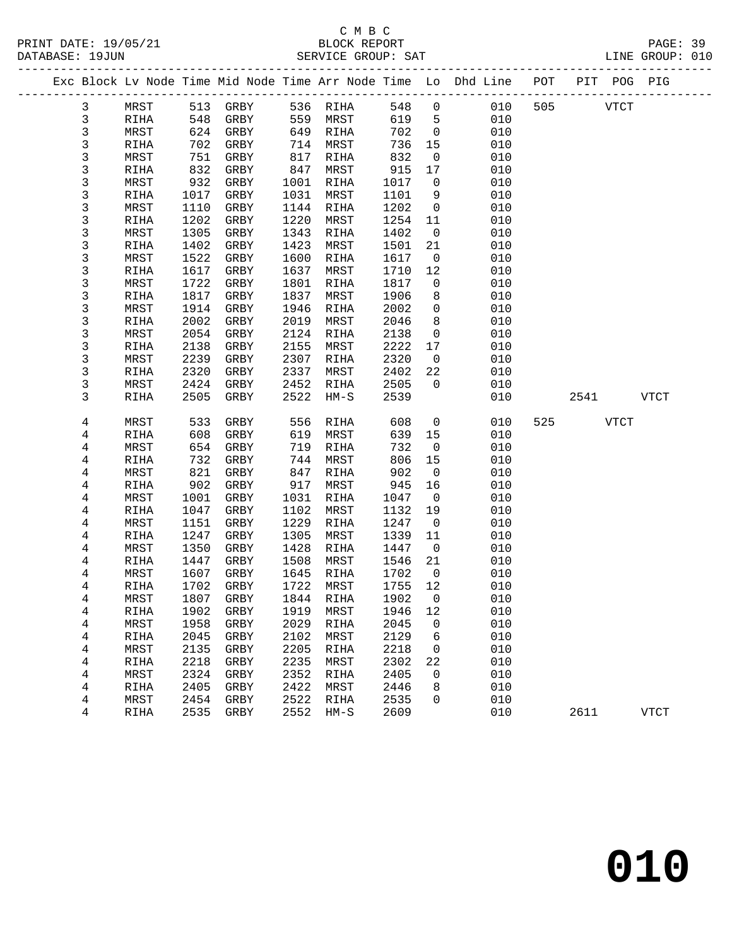|              |              |              |              |              |              |              |                               | Exc Block Lv Node Time Mid Node Time Arr Node Time Lo Dhd Line POT PIT POG PIG |     |             |      |             |
|--------------|--------------|--------------|--------------|--------------|--------------|--------------|-------------------------------|--------------------------------------------------------------------------------|-----|-------------|------|-------------|
| 3            | MRST         |              | 513 GRBY     |              | 536 RIHA     | 548          | $\overline{0}$                | 010                                                                            | 505 | <b>VTCT</b> |      |             |
| $\mathbf{3}$ | RIHA         | 548          | GRBY         | 559          | MRST         | 619          | 5                             | 010                                                                            |     |             |      |             |
| $\mathsf{3}$ | MRST         |              | 624 GRBY     | 649          | RIHA         | 702          | $\overline{0}$                | 010                                                                            |     |             |      |             |
| $\mathsf{3}$ | RIHA         | 702          | GRBY         | 714          | MRST         | 736          | 15                            | 010                                                                            |     |             |      |             |
| 3            | MRST         | 751          | GRBY         | 817          | RIHA         | 832          | $\overline{0}$                | 010                                                                            |     |             |      |             |
| 3            | RIHA         | 832          | GRBY         | 847          | MRST         | 915          | 17                            | 010                                                                            |     |             |      |             |
| 3            | MRST         | 932          | GRBY         | 1001         | RIHA         | 1017         | $\overline{0}$                | 010                                                                            |     |             |      |             |
| 3            | RIHA         | 1017         | GRBY         | 1031         | MRST         | 1101         | 9                             | 010                                                                            |     |             |      |             |
| $\mathsf 3$  | MRST         | 1110         | GRBY         | 1144         | RIHA         | 1202         | $\overline{0}$                | 010                                                                            |     |             |      |             |
| 3            | RIHA         | 1202         | GRBY         | 1220         | MRST         | 1254         | 11                            | 010                                                                            |     |             |      |             |
| 3            | MRST         | 1305         | GRBY         | 1343         | RIHA         | 1402         | $\overline{0}$                | 010                                                                            |     |             |      |             |
| $\mathsf{3}$ | RIHA         | 1402         | GRBY         | 1423         | MRST         | 1501         | 21                            | 010                                                                            |     |             |      |             |
| $\mathsf 3$  | MRST         | 1522         | GRBY         | 1600<br>1637 | RIHA         | 1617         | $\overline{\mathbf{0}}$<br>12 | 010                                                                            |     |             |      |             |
| 3            | RIHA         | 1617         | GRBY         | 1801         | MRST         | 1710<br>1817 | $\overline{0}$                | 010<br>010                                                                     |     |             |      |             |
| 3<br>3       | MRST<br>RIHA | 1722<br>1817 | GRBY<br>GRBY | 1837         | RIHA<br>MRST | 1906         | 8                             | 010                                                                            |     |             |      |             |
| 3            | MRST         | 1914         | GRBY         | 1946         | RIHA         | 2002         | $\mathbf 0$                   | 010                                                                            |     |             |      |             |
| 3            | RIHA         | 2002         | GRBY         | 2019         | MRST         | 2046         | 8                             | 010                                                                            |     |             |      |             |
| 3            | MRST         | 2054         | GRBY         | 2124         | RIHA         | 2138         | $\mathbf 0$                   | 010                                                                            |     |             |      |             |
| 3            | RIHA         | 2138         | GRBY         | 2155         | MRST         | 2222         | 17                            | 010                                                                            |     |             |      |             |
| 3            | MRST         | 2239         | GRBY         | 2307         | RIHA         | 2320         | $\overline{0}$                | 010                                                                            |     |             |      |             |
| 3            | RIHA         | 2320         | GRBY         | 2337         | MRST         | 2402         | 22                            | 010                                                                            |     |             |      |             |
| 3            | MRST         | 2424         | GRBY         | 2452         | RIHA         | 2505         | $\overline{0}$                | 010                                                                            |     |             |      |             |
| 3            | RIHA         | 2505         | GRBY         | 2522         | $HM-S$       | 2539         |                               | 010                                                                            |     | 2541        |      | <b>VTCT</b> |
|              |              |              |              |              |              |              |                               |                                                                                |     |             |      |             |
| 4            | MRST         | 533          | GRBY         | 556          | RIHA         | 608          | $\overline{0}$                | 010                                                                            | 525 |             | VTCT |             |
| 4            | RIHA         | 608          | GRBY         | 619          | MRST         | 639          | 15                            | 010                                                                            |     |             |      |             |
| 4            | MRST         | 654          | GRBY         | 719          | RIHA         | 732          | $\overline{0}$                | 010                                                                            |     |             |      |             |
| 4            | RIHA         | 732          | GRBY         | 744          | MRST         | 806          | 15                            | 010                                                                            |     |             |      |             |
| 4            | MRST         | 821          | GRBY         | 847          | RIHA         | 902          | $\overline{0}$                | 010                                                                            |     |             |      |             |
| 4            | RIHA         | 902          | GRBY         | 917          | MRST         | 945          | 16                            | 010                                                                            |     |             |      |             |
| 4<br>4       | MRST<br>RIHA | 1001<br>1047 | GRBY<br>GRBY | 1031<br>1102 | RIHA<br>MRST | 1047<br>1132 | $\overline{\mathbf{0}}$<br>19 | 010<br>010                                                                     |     |             |      |             |
| 4            | MRST         | 1151         | GRBY         | 1229         | RIHA         | 1247         | $\overline{0}$                | 010                                                                            |     |             |      |             |
| 4            | RIHA         | 1247         | GRBY         | 1305         | MRST         | 1339         | 11                            | 010                                                                            |     |             |      |             |
| 4            | MRST         | 1350         | GRBY         | 1428         | RIHA         | 1447         | $\overline{\mathbf{0}}$       | 010                                                                            |     |             |      |             |
| 4            | RIHA         | 1447         | GRBY         | 1508         | MRST         | 1546         | 21                            | 010                                                                            |     |             |      |             |
| 4            | MRST         | 1607         | GRBY         | 1645         | RIHA         | 1702         | $\overline{0}$                | 010                                                                            |     |             |      |             |
| 4            | RIHA         | 1702         | GRBY         | 1722         | MRST         | 1755         | 12                            | 010                                                                            |     |             |      |             |
| 4            | MRST         |              | 1807 GRBY    |              | 1844 RIHA    | 1902 0       |                               | 010                                                                            |     |             |      |             |
| 4            | RIHA         | 1902         | GRBY         | 1919         | MRST         | 1946         | 12                            | 010                                                                            |     |             |      |             |
| 4            | MRST         | 1958         | GRBY         | 2029         | RIHA         | 2045         | 0                             | 010                                                                            |     |             |      |             |
| 4            | RIHA         | 2045         | GRBY         | 2102         | MRST         | 2129         | 6                             | 010                                                                            |     |             |      |             |
| 4            | MRST         | 2135         | GRBY         | 2205         | RIHA         | 2218         | 0                             | 010                                                                            |     |             |      |             |
| 4            | RIHA         | 2218         | GRBY         | 2235         | MRST         | 2302         | 22                            | 010                                                                            |     |             |      |             |
| 4            | MRST         | 2324         | GRBY         | 2352         | RIHA         | 2405         | 0                             | 010                                                                            |     |             |      |             |
| 4            | RIHA         | 2405         | GRBY         | 2422         | MRST         | 2446         | 8                             | 010                                                                            |     |             |      |             |
| 4            | MRST         | 2454         | GRBY         | 2522         | RIHA         | 2535         | 0                             | 010                                                                            |     |             |      |             |
| 4            | RIHA         | 2535         | ${\tt GRBY}$ | 2552         | $HM-S$       | 2609         |                               | 010                                                                            |     | 2611        |      | <b>VTCT</b> |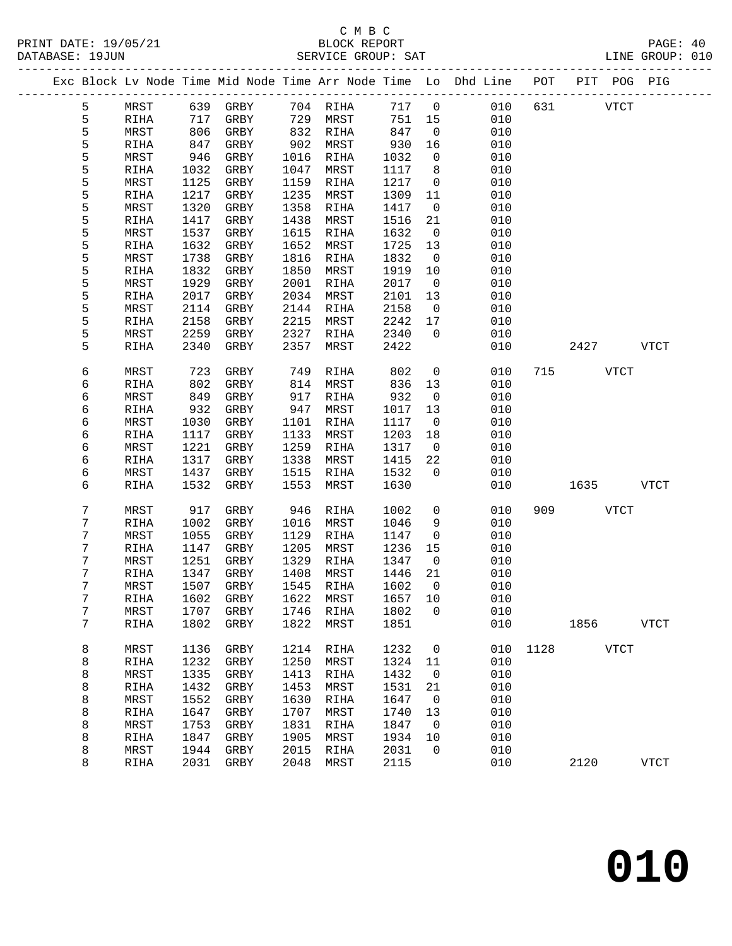## C M B C<br>BLOCK REPORT

| PRINT DATE: 19/05/21<br>DATABASE: 19JUN |    |      |  |          |  | BLOCK REPORT<br>SERVICE GROUP: SAT |  |  |                                                                                |  |  |      | PAGE: 40<br>LINE GROUP: 010 |  |
|-----------------------------------------|----|------|--|----------|--|------------------------------------|--|--|--------------------------------------------------------------------------------|--|--|------|-----------------------------|--|
|                                         |    |      |  |          |  |                                    |  |  | Exc Block Ly Node Time Mid Node Time Arr Node Time Lo Dhd Line POT PIT POG PIG |  |  |      |                             |  |
|                                         | ь. | MRST |  | 639 GRBY |  | 704 RIHA 717 0                     |  |  | 010 631                                                                        |  |  | VTCT |                             |  |

| 5 | MRST        | 639  | GRBY         | 704  | RIHA        | 717  | $\mathbf 0$         | 010 | 631  |      | ${\tt VTCT}$ |  |
|---|-------------|------|--------------|------|-------------|------|---------------------|-----|------|------|--------------|--|
| 5 | RIHA        | 717  | GRBY         | 729  | MRST        | 751  | 15                  | 010 |      |      |              |  |
| 5 | MRST        | 806  | GRBY         | 832  | RIHA        | 847  | 0                   | 010 |      |      |              |  |
| 5 | RIHA        | 847  | ${\tt GRBY}$ | 902  | MRST        | 930  | 16                  | 010 |      |      |              |  |
| 5 | MRST        | 946  | GRBY         | 1016 | RIHA        | 1032 | 0                   | 010 |      |      |              |  |
| 5 | RIHA        | 1032 | GRBY         | 1047 | MRST        | 1117 | 8                   | 010 |      |      |              |  |
| 5 | MRST        | 1125 | GRBY         | 1159 | RIHA        | 1217 | 0                   | 010 |      |      |              |  |
| 5 | RIHA        | 1217 | ${\tt GRBY}$ | 1235 | MRST        | 1309 | 11                  | 010 |      |      |              |  |
| 5 |             | 1320 |              | 1358 |             | 1417 |                     | 010 |      |      |              |  |
|   | MRST        |      | GRBY         |      | RIHA        |      | $\mathsf 0$         |     |      |      |              |  |
| 5 | RIHA        | 1417 | GRBY         | 1438 | MRST        | 1516 | 21                  | 010 |      |      |              |  |
| 5 | MRST        | 1537 | GRBY         | 1615 | RIHA        | 1632 | $\mathsf 0$         | 010 |      |      |              |  |
| 5 | RIHA        | 1632 | GRBY         | 1652 | MRST        | 1725 | 13                  | 010 |      |      |              |  |
| 5 | MRST        | 1738 | GRBY         | 1816 | <b>RIHA</b> | 1832 | $\mathsf{O}\xspace$ | 010 |      |      |              |  |
| 5 | <b>RIHA</b> | 1832 | ${\tt GRBY}$ | 1850 | MRST        | 1919 | $10$                | 010 |      |      |              |  |
| 5 | MRST        | 1929 | GRBY         | 2001 | RIHA        | 2017 | 0                   | 010 |      |      |              |  |
| 5 | RIHA        | 2017 | ${\tt GRBY}$ | 2034 | MRST        | 2101 | 13                  | 010 |      |      |              |  |
| 5 | MRST        | 2114 | ${\tt GRBY}$ | 2144 | RIHA        | 2158 | $\mathsf 0$         | 010 |      |      |              |  |
| 5 | RIHA        | 2158 | GRBY         | 2215 | MRST        | 2242 | $17\,$              | 010 |      |      |              |  |
| 5 | MRST        | 2259 | GRBY         | 2327 | RIHA        | 2340 | 0                   | 010 |      |      |              |  |
| 5 | RIHA        | 2340 | ${\tt GRBY}$ | 2357 | MRST        | 2422 |                     | 010 |      | 2427 | <b>VTCT</b>  |  |
|   |             |      |              |      |             |      |                     |     |      |      |              |  |
| б | MRST        | 723  | GRBY         | 749  | <b>RIHA</b> | 802  | $\mathbf 0$         | 010 | 715  |      | <b>VTCT</b>  |  |
| 6 | RIHA        | 802  | GRBY         | 814  | MRST        | 836  | $13$                | 010 |      |      |              |  |
| 6 | MRST        | 849  | GRBY         | 917  | RIHA        | 932  | 0                   | 010 |      |      |              |  |
| б | RIHA        | 932  | ${\tt GRBY}$ | 947  | MRST        | 1017 | 13                  | 010 |      |      |              |  |
| б | MRST        | 1030 | ${\tt GRBY}$ | 1101 | RIHA        | 1117 | $\mathsf 0$         | 010 |      |      |              |  |
| б | <b>RIHA</b> | 1117 | GRBY         | 1133 | MRST        | 1203 | 18                  | 010 |      |      |              |  |
| б | MRST        | 1221 | GRBY         | 1259 | RIHA        | 1317 | 0                   | 010 |      |      |              |  |
| б | RIHA        | 1317 | ${\tt GRBY}$ | 1338 | MRST        | 1415 | $2\sqrt{2}$         | 010 |      |      |              |  |
| б | MRST        | 1437 | GRBY         | 1515 | RIHA        | 1532 | 0                   | 010 |      |      |              |  |
| б | RIHA        | 1532 | GRBY         | 1553 | MRST        | 1630 |                     | 010 |      | 1635 | <b>VTCT</b>  |  |
|   |             |      |              |      |             |      |                     |     |      |      |              |  |
| 7 | MRST        | 917  | ${\tt GRBY}$ | 946  | RIHA        | 1002 | 0                   | 010 | 909  |      | <b>VTCT</b>  |  |
| 7 | RIHA        | 1002 | GRBY         | 1016 | MRST        | 1046 |                     | 010 |      |      |              |  |
| 7 | MRST        | 1055 | GRBY         | 1129 | RIHA        | 1147 | 9<br>$\mathsf 0$    | 010 |      |      |              |  |
| 7 |             |      |              | 1205 |             | 1236 | 15                  | 010 |      |      |              |  |
|   | RIHA        | 1147 | GRBY         |      | MRST        |      |                     |     |      |      |              |  |
| 7 | MRST        | 1251 | GRBY         | 1329 | RIHA        | 1347 | 0                   | 010 |      |      |              |  |
| 7 | RIHA        | 1347 | GRBY         | 1408 | MRST        | 1446 | 21                  | 010 |      |      |              |  |
| 7 | MRST        | 1507 | ${\tt GRBY}$ | 1545 | RIHA        | 1602 | 0                   | 010 |      |      |              |  |
| 7 | RIHA        | 1602 | GRBY         | 1622 | MRST        | 1657 | $10$                | 010 |      |      |              |  |
| 7 | MRST        | 1707 | GRBY         | 1746 | RIHA        | 1802 | 0                   | 010 |      |      |              |  |
| 7 | RIHA        | 1802 | ${\tt GRBY}$ | 1822 | MRST        | 1851 |                     | 010 |      | 1856 | <b>VTCT</b>  |  |
|   |             |      |              |      |             |      |                     |     |      |      |              |  |
| 8 | MRST        | 1136 | GRBY         | 1214 | RIHA        | 1232 | 0                   | 010 | 1128 |      | <b>VTCT</b>  |  |
| 8 | RIHA        | 1232 | ${\tt GRBY}$ | 1250 | MRST        | 1324 | 11                  | 010 |      |      |              |  |
| 8 | MRST        | 1335 | ${\tt GRBY}$ | 1413 | RIHA        | 1432 | 0                   | 010 |      |      |              |  |
| 8 | RIHA        | 1432 | GRBY         | 1453 | MRST        | 1531 | 21                  | 010 |      |      |              |  |
| 8 | MRST        | 1552 | GRBY         | 1630 | RIHA        | 1647 | 0                   | 010 |      |      |              |  |
| 8 | RIHA        | 1647 | GRBY         | 1707 | MRST        | 1740 | 13                  | 010 |      |      |              |  |
| 8 | MRST        | 1753 | ${\tt GRBY}$ | 1831 | RIHA        | 1847 | 0                   | 010 |      |      |              |  |
| 8 | RIHA        | 1847 | ${\tt GRBY}$ | 1905 | MRST        | 1934 | 10                  | 010 |      |      |              |  |
| 8 | MRST        | 1944 | GRBY         | 2015 | RIHA        | 2031 | 0                   | 010 |      |      |              |  |
| 8 | RIHA        | 2031 | ${\tt GRBY}$ | 2048 | MRST        | 2115 |                     | 010 |      | 2120 | <b>VTCT</b>  |  |
|   |             |      |              |      |             |      |                     |     |      |      |              |  |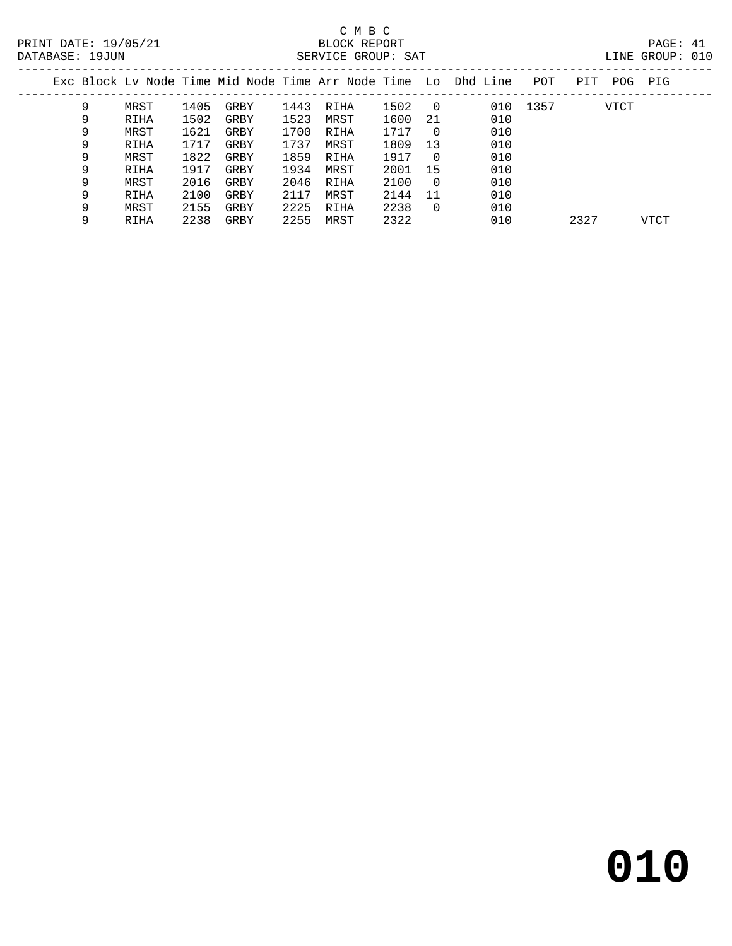### C M B C<br>BLOCK REPORT SERVICE GROUP: SAT

| LTNE. | GROUP: |  |
|-------|--------|--|
|       |        |  |

| Exc Block Ly Node Time Mid Node Time Arr Node Time Lo Dhd Line<br>POT<br>PIT<br>POG            | PIG  |
|------------------------------------------------------------------------------------------------|------|
|                                                                                                |      |
| 9<br>1502<br>010 1357<br>1405<br>1443<br><b>VTCT</b><br>MRST<br>GRBY<br>RIHA<br>$\overline{0}$ |      |
| 1523<br>1502<br>1600<br>010<br>MRST<br>21<br>RIHA<br>GRBY<br>9                                 |      |
| 1621<br>1700<br>010<br>1717<br>MRST<br>GRBY<br>9<br>RIHA<br>0                                  |      |
| 1737<br>1809<br>010<br>9<br>1717<br>13<br>MRST<br>RIHA<br>GRBY                                 |      |
| 1859<br>1822<br>010<br>1917<br>9<br>MRST<br>GRBY<br>RIHA<br>- 0                                |      |
| 1934<br>010<br>9<br>2001<br>1917<br>15<br>RIHA<br>MRST<br>GRBY                                 |      |
| 010<br>9<br>2016<br>2046<br>2100<br>MRST<br>GRBY<br>RIHA<br>$\overline{0}$                     |      |
| 010<br>2100<br>9<br>2117<br>2144<br>11<br>MRST<br>RIHA<br>GRBY                                 |      |
| 2225<br>2155<br>2238<br>010<br>9<br>MRST<br>GRBY<br>RIHA<br>$\Omega$                           |      |
| 2238<br>2255<br>2322<br>010<br>2327<br>GRBY<br>MRST<br>9<br>RIHA                               | VTCT |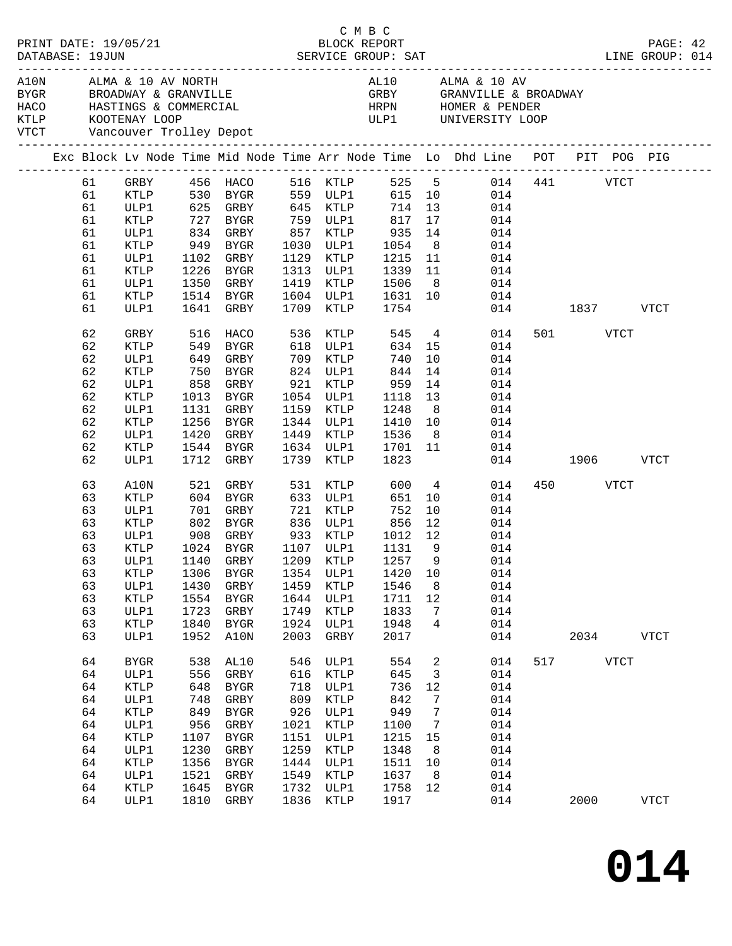|  | DATABASE: 19JUN | PRINT DATE: 19/05/21                               |                      |             |           |      |                               | CMBC                      |                |    |                                                                                                                     |               |          |             | PAGE: 42<br>LINE GROUP: 014 |  |
|--|-----------------|----------------------------------------------------|----------------------|-------------|-----------|------|-------------------------------|---------------------------|----------------|----|---------------------------------------------------------------------------------------------------------------------|---------------|----------|-------------|-----------------------------|--|
|  |                 | KTLP KOOTENAY LOOP<br>VTCT Vancouver Trolley Depot |                      |             |           |      |                               |                           |                |    | ULP1 UNIVERSITY LOOP                                                                                                |               |          |             |                             |  |
|  |                 |                                                    |                      |             |           |      |                               | -------------------       |                |    | Exc Block Lv Node Time Mid Node Time Arr Node Time Lo Dhd Line POT PIT POG PIG                                      |               |          |             |                             |  |
|  | 61              |                                                    |                      |             |           |      |                               |                           |                |    | GRBY 456 HACO 516 KTLP 525 5 014 441 VTCT<br>KTLP 530 BYGR 559 ULP1 615 10 014<br>ULP1 625 GRBY 645 KTLP 714 13 014 |               |          |             |                             |  |
|  | 61              |                                                    |                      |             |           |      |                               |                           |                |    |                                                                                                                     |               |          |             |                             |  |
|  | 61              |                                                    |                      |             |           |      |                               |                           |                |    |                                                                                                                     |               |          |             |                             |  |
|  | 61              | KTLP                                               |                      |             |           |      | 727 BYGR 759 ULP1             | 817 17                    |                |    | 014                                                                                                                 |               |          |             |                             |  |
|  | 61              | ULP1                                               | 834 GRBY             |             |           |      | 857 KTLP                      | $935$<br>$1054$<br>$1215$ | 14             |    | 014                                                                                                                 |               |          |             |                             |  |
|  | 61              | KTLP                                               | 949 BYGR             |             |           |      | 1030 ULP1                     |                           | 8 <sup>8</sup> |    | 014                                                                                                                 |               |          |             |                             |  |
|  | 61              | ULP1                                               | 1102 GRBY            |             |           |      | 1129 KTLP                     |                           |                |    | 11<br>014                                                                                                           |               |          |             |                             |  |
|  | 61              | KTLP                                               | 1226 BYGR            |             |           |      | 1313 ULP1                     | 1339                      |                |    | 11<br>014                                                                                                           |               |          |             |                             |  |
|  | 61              | ULP1                                               | 1350 GRBY            |             |           |      | 1419 KTLP                     | 1506                      |                |    | 8<br>014                                                                                                            |               |          |             |                             |  |
|  | 61              | KTLP                                               | 1514 BYGR            |             |           |      | 1604 ULP1                     | 1631 10<br>1754           |                |    | 014                                                                                                                 |               |          |             |                             |  |
|  | 61              | ULP1                                               | 1641 GRBY            |             |           |      | 1709 KTLP                     |                           |                |    |                                                                                                                     | 014 1837 VTCT |          |             |                             |  |
|  | 62              | GRBY                                               | 516                  | HACO        |           | 536  | KTLP                          | 545                       |                |    | $4\overline{ }$<br>014                                                                                              |               | 501 VTCT |             |                             |  |
|  | 62              | KTLP                                               |                      |             |           |      | KILP مار<br>618 ULP1<br>700 - |                           | $634$ 15       |    | 014                                                                                                                 |               |          |             |                             |  |
|  | 62              | ULP1                                               | 549 BYGR<br>649 GRBY |             |           |      |                               | 740                       |                | 10 | 014                                                                                                                 |               |          |             |                             |  |
|  | 62              | KTLP                                               | 750 BYGR             |             |           |      | 824 ULP1                      | 844                       | 14             |    | 014                                                                                                                 |               |          |             |                             |  |
|  | 62              | ULP1                                               |                      |             |           |      | 858 GRBY 921 KTLP             | 959                       | 14             |    | 014                                                                                                                 |               |          |             |                             |  |
|  | 62              | KTLP                                               | 1013 BYGR            |             |           |      | 1054 ULP1                     |                           | 13             |    | 014                                                                                                                 |               |          |             |                             |  |
|  | 62              | ULP1                                               | 1131 GRBY            |             |           |      | 1159 KTLP                     | 1118<br>1248              | 8 <sup>8</sup> |    | 014                                                                                                                 |               |          |             |                             |  |
|  | 62              | KTLP                                               | 1256 BYGR            |             |           |      | 1344 ULP1                     | 1410                      |                |    | 10<br>014                                                                                                           |               |          |             |                             |  |
|  | 62              | ULP1                                               | 1420 GRBY            |             |           |      | 1449 KTLP                     | 1536                      | 8 <sup>8</sup> |    | 014                                                                                                                 |               |          |             |                             |  |
|  | 62              | KTLP                                               | 1544 BYGR            |             |           |      | 1634 ULP1                     | 1701                      | 11             |    | 014                                                                                                                 |               |          |             |                             |  |
|  | 62              | ULP1                                               | 1712 GRBY            |             |           |      | 1739 KTLP                     | 1823                      |                |    |                                                                                                                     | 014 1906 VTCT |          |             |                             |  |
|  | 63              | A10N                                               | 521                  | GRBY        |           |      | 531 KTLP                      | 600                       |                |    | $4\overline{ }$<br>014                                                                                              |               | 450 VTCT |             |                             |  |
|  | 63              | <b>KTLP</b>                                        |                      |             |           |      | 633 ULP1                      | 651                       |                | 10 | 014                                                                                                                 |               |          |             |                             |  |
|  | 63              | ULP1                                               |                      |             |           |      |                               | 752                       |                | 10 | 014                                                                                                                 |               |          |             |                             |  |
|  | 63              | KTLP                                               |                      |             |           |      |                               | 856                       | 12             |    | 014                                                                                                                 |               |          |             |                             |  |
|  | 63              | ULP1                                               |                      |             |           |      | 908 GRBY 933 KTLP             | 1012 12                   |                |    | 014                                                                                                                 |               |          |             |                             |  |
|  | 63              | KTLP                                               |                      |             | 1024 BYGR |      | 1107 ULP1                     | 1131                      | - 9            |    | 014                                                                                                                 |               |          |             |                             |  |
|  |                 |                                                    |                      |             |           |      |                               |                           |                |    | 63 ULP1 1140 GRBY 1209 KTLP 1257 9 014                                                                              |               |          |             |                             |  |
|  | 63              | KTLP                                               | 1306                 | BYGR        |           | 1354 | ULP1                          | 1420                      | 10             |    | 014                                                                                                                 |               |          |             |                             |  |
|  | 63              | ULP1                                               | 1430                 | GRBY        |           | 1459 | KTLP                          | 1546                      |                | 8  | 014                                                                                                                 |               |          |             |                             |  |
|  | 63              | <b>KTLP</b>                                        | 1554                 | <b>BYGR</b> |           | 1644 | ULP1                          | 1711                      | 12             |    | 014                                                                                                                 |               |          |             |                             |  |
|  | 63              | ULP1                                               | 1723                 | GRBY        |           | 1749 | KTLP                          | 1833                      |                | 7  | 014                                                                                                                 |               |          |             |                             |  |
|  | 63              | KTLP                                               | 1840                 | <b>BYGR</b> |           | 1924 | ULP1                          | 1948                      |                | 4  | 014                                                                                                                 |               |          |             |                             |  |
|  | 63              | ULP1                                               | 1952                 | A10N        |           | 2003 | GRBY                          | 2017                      |                |    | 014                                                                                                                 |               | 2034     |             | <b>VTCT</b>                 |  |
|  | 64              | <b>BYGR</b>                                        | 538                  | AL10        |           | 546  | ULP1                          | 554                       |                | 2  | 014                                                                                                                 | 517           |          | <b>VTCT</b> |                             |  |
|  | 64              | ULP1                                               | 556                  | GRBY        |           | 616  | KTLP                          | 645                       |                | 3  | 014                                                                                                                 |               |          |             |                             |  |
|  | 64              | KTLP                                               | 648                  | BYGR        |           | 718  | ULP1                          | 736                       | 12             |    | 014                                                                                                                 |               |          |             |                             |  |
|  | 64              | ULP1                                               | 748                  | GRBY        |           | 809  | KTLP                          | 842                       |                | 7  | 014                                                                                                                 |               |          |             |                             |  |
|  | 64              | KTLP                                               | 849                  | <b>BYGR</b> |           | 926  | ULP1                          | 949                       |                | 7  | 014                                                                                                                 |               |          |             |                             |  |
|  | 64              | ULP1                                               | 956                  | GRBY        |           | 1021 | KTLP                          | 1100                      |                | 7  | 014                                                                                                                 |               |          |             |                             |  |
|  | 64              | KTLP                                               | 1107                 | <b>BYGR</b> |           | 1151 | ULP1                          | 1215                      | 15             |    | 014                                                                                                                 |               |          |             |                             |  |
|  | 64              | ULP1                                               | 1230                 | GRBY        |           | 1259 | $\texttt{KTLP}$               | 1348                      |                | 8  | 014                                                                                                                 |               |          |             |                             |  |
|  | 64              | KTLP                                               | 1356                 | <b>BYGR</b> |           | 1444 | ULP1                          | 1511                      | 10             |    | 014                                                                                                                 |               |          |             |                             |  |
|  | 64              | ULP1                                               | 1521                 | GRBY        |           | 1549 | KTLP                          | 1637                      | 8              |    | 014                                                                                                                 |               |          |             |                             |  |
|  | 64              | KTLP                                               | 1645                 | <b>BYGR</b> |           | 1732 | ULP1                          | 1758                      | 12             |    | 014                                                                                                                 |               |          |             |                             |  |
|  | 64              | ULP1                                               | 1810                 | GRBY        |           | 1836 | KTLP                          | 1917                      |                |    | 014                                                                                                                 |               | 2000     |             | <b>VTCT</b>                 |  |
|  |                 |                                                    |                      |             |           |      |                               |                           |                |    |                                                                                                                     |               |          |             |                             |  |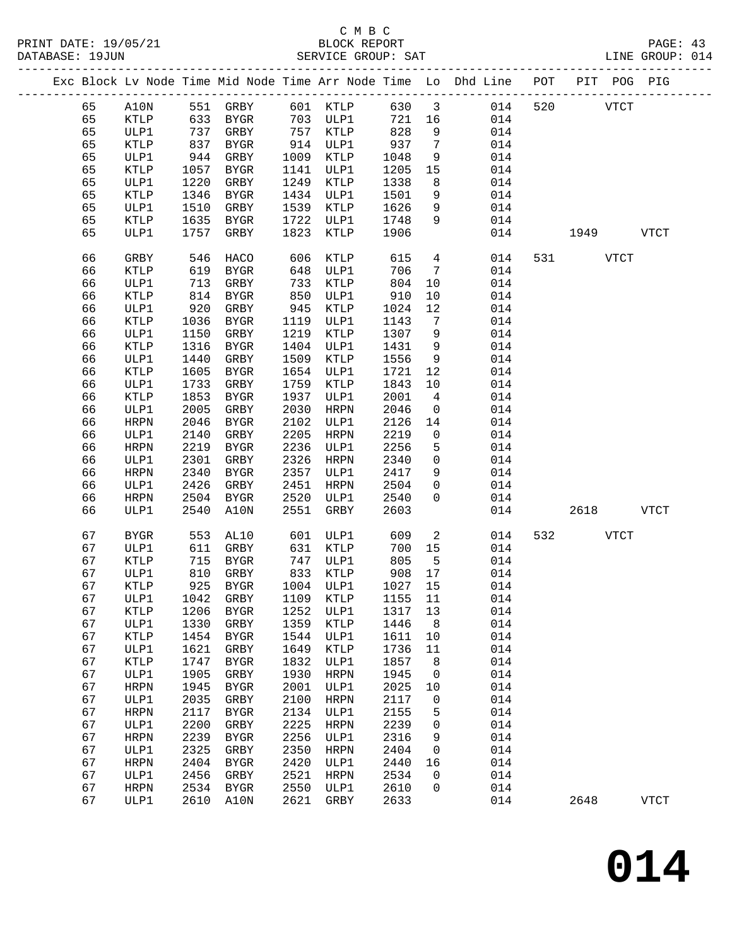|  |          |              |              |                     |              |              |              |                         | Exc Block Lv Node Time Mid Node Time Arr Node Time Lo Dhd Line POT PIT POG PIG |     |      |             |             |
|--|----------|--------------|--------------|---------------------|--------------|--------------|--------------|-------------------------|--------------------------------------------------------------------------------|-----|------|-------------|-------------|
|  | 65       | A10N         |              | 551 GRBY            |              | 601 KTLP     | 630          | $\overline{\mathbf{3}}$ | 014                                                                            | 520 |      | <b>VTCT</b> |             |
|  | 65       | KTLP         | 633          | BYGR                |              | 703 ULP1     | 721          | 16                      | 014                                                                            |     |      |             |             |
|  | 65       | ULP1         | 737          | GRBY                |              | 757 KTLP     | 828          | 9                       | 014                                                                            |     |      |             |             |
|  | 65       | KTLP         | 837          | BYGR                |              | 914 ULP1     | 937          | $7\phantom{.0}$         | 014                                                                            |     |      |             |             |
|  | 65       | ULP1         | 944          | GRBY                | 1009         | KTLP         | 1048         | 9                       | 014                                                                            |     |      |             |             |
|  | 65       | KTLP         | 1057         | BYGR                | 1141         | ULP1         | 1205         | 15                      | 014                                                                            |     |      |             |             |
|  | 65       | ULP1         | 1220         | GRBY                | 1249         | KTLP         | 1338         | 8                       | 014                                                                            |     |      |             |             |
|  | 65       | KTLP         | 1346         | BYGR                | 1434         | ULP1         | 1501         | 9                       | 014                                                                            |     |      |             |             |
|  | 65       | ULP1         | 1510         | GRBY                | 1539         | KTLP         | 1626         | 9                       | 014                                                                            |     |      |             |             |
|  | 65       | KTLP         | 1635         | BYGR                | 1722         | ULP1         | 1748         | 9                       | 014                                                                            |     |      |             |             |
|  | 65       | ULP1         | 1757         | GRBY                | 1823         | KTLP         | 1906         |                         | 014                                                                            |     | 1949 |             | VTCT        |
|  |          |              |              |                     |              |              |              |                         |                                                                                |     |      |             |             |
|  | 66       | GRBY         | 546          | HACO                | 606          | KTLP         | 615          | $4\overline{ }$         | 014                                                                            | 531 |      | VTCT        |             |
|  | 66       | KTLP         | 619          | BYGR                | 648          | ULP1         | 706          | 7                       | 014                                                                            |     |      |             |             |
|  | 66       | ULP1         | 713          | GRBY                | 733          | KTLP         | 804          | 10                      | 014                                                                            |     |      |             |             |
|  | 66       | KTLP         | 814          | <b>BYGR</b>         | 850          | ULP1         | 910          | 10                      | 014                                                                            |     |      |             |             |
|  | 66       | ULP1         | 920          | GRBY                | 945          | KTLP         | 1024         | 12                      | 014                                                                            |     |      |             |             |
|  | 66       | KTLP         | 1036         | BYGR                | 1119         | ULP1         | 1143         | $7\phantom{.0}$         | 014                                                                            |     |      |             |             |
|  | 66       | ULP1         | 1150         | GRBY                | 1219         | KTLP         | 1307         | 9                       | 014                                                                            |     |      |             |             |
|  | 66       | KTLP         | 1316         | BYGR                | 1404         | ULP1         | 1431         | 9                       | 014                                                                            |     |      |             |             |
|  | 66       | ULP1         | 1440         | GRBY                | 1509         | KTLP         | 1556         | 9                       | 014                                                                            |     |      |             |             |
|  | 66       | KTLP         | 1605         | BYGR                | 1654         | ULP1         | 1721         | 12                      | 014                                                                            |     |      |             |             |
|  | 66<br>66 | ULP1         | 1733<br>1853 | GRBY                | 1759<br>1937 | KTLP         | 1843<br>2001 | 10<br>$\overline{4}$    | 014<br>014                                                                     |     |      |             |             |
|  | 66       | KTLP<br>ULP1 | 2005         | BYGR<br>GRBY        | 2030         | ULP1<br>HRPN | 2046         | $\mathbf 0$             | 014                                                                            |     |      |             |             |
|  | 66       | <b>HRPN</b>  | 2046         | BYGR                | 2102         | ULP1         | 2126         | 14                      | 014                                                                            |     |      |             |             |
|  | 66       | ULP1         | 2140         | GRBY                | 2205         | HRPN         | 2219         | 0                       | 014                                                                            |     |      |             |             |
|  | 66       | <b>HRPN</b>  | 2219         | BYGR                | 2236         | ULP1         | 2256         | 5                       | 014                                                                            |     |      |             |             |
|  | 66       | ULP1         | 2301         | GRBY                | 2326         | HRPN         | 2340         | $\mathsf{O}$            | 014                                                                            |     |      |             |             |
|  | 66       | HRPN         | 2340         | BYGR                | 2357         | ULP1         | 2417         | 9                       | 014                                                                            |     |      |             |             |
|  | 66       | ULP1         | 2426         | GRBY                | 2451         | HRPN         | 2504         | $\mathbf{0}$            | 014                                                                            |     |      |             |             |
|  | 66       | <b>HRPN</b>  | 2504         | BYGR                | 2520         | ULP1         | 2540         | $\mathbf{0}$            | 014                                                                            |     |      |             |             |
|  | 66       | ULP1         | 2540         | A10N                | 2551         | GRBY         | 2603         |                         | 014                                                                            |     | 2618 |             | <b>VTCT</b> |
|  |          |              |              |                     |              |              |              |                         |                                                                                |     |      |             |             |
|  | 67       | <b>BYGR</b>  | 553          | AL10                | 601          | ULP1         | 609          | 2                       | 014                                                                            | 532 |      | <b>VTCT</b> |             |
|  | 67       | ULP1         | 611          | GRBY                | 631          | KTLP         | 700          | 15                      | 014                                                                            |     |      |             |             |
|  | 67       | KTLP         | 715          | BYGR                |              | 747 ULP1     | 805          | $5^{\circ}$             | 014                                                                            |     |      |             |             |
|  | 67       | ULP1         | 810          | GRBY                |              | 833 KTLP     | 908          | 17                      | 014                                                                            |     |      |             |             |
|  | 67       | <b>KTLP</b>  |              | 925 BYGR            |              | 1004 ULP1    | 1027 15      |                         | 014                                                                            |     |      |             |             |
|  | 67       | ULP1         |              | 1042 GRBY           |              | 1109 KTLP    | 1155 11      |                         | 014                                                                            |     |      |             |             |
|  | 67       | KTLP         | 1206         | <b>BYGR</b>         | 1252         | ULP1         | 1317         | 13                      | 014                                                                            |     |      |             |             |
|  | 67<br>67 | ULP1<br>KTLP | 1330<br>1454 | GRBY<br><b>BYGR</b> | 1359<br>1544 | KTLP<br>ULP1 | 1446<br>1611 | 8<br>10                 | 014<br>014                                                                     |     |      |             |             |
|  | 67       | ULP1         | 1621         | ${\tt GRBY}$        | 1649         | KTLP         | 1736         | 11                      | 014                                                                            |     |      |             |             |
|  | 67       | KTLP         | 1747         | <b>BYGR</b>         | 1832         | ULP1         | 1857         | 8                       | 014                                                                            |     |      |             |             |
|  | 67       | ULP1         | 1905         | GRBY                | 1930         | <b>HRPN</b>  | 1945         | 0                       | 014                                                                            |     |      |             |             |
|  | 67       | <b>HRPN</b>  | 1945         | <b>BYGR</b>         | 2001         | ULP1         | 2025         | 10                      | 014                                                                            |     |      |             |             |
|  | 67       | ULP1         | 2035         | ${\tt GRBY}$        | 2100         | <b>HRPN</b>  | 2117         | 0                       | 014                                                                            |     |      |             |             |
|  | 67       | <b>HRPN</b>  | 2117         | <b>BYGR</b>         | 2134         | ULP1         | 2155         | 5                       | 014                                                                            |     |      |             |             |
|  | 67       | ULP1         | 2200         | ${\tt GRBY}$        | 2225         | <b>HRPN</b>  | 2239         | 0                       | 014                                                                            |     |      |             |             |
|  | 67       | <b>HRPN</b>  | 2239         | <b>BYGR</b>         | 2256         | ULP1         | 2316         | 9                       | 014                                                                            |     |      |             |             |
|  | 67       | ULP1         | 2325         | GRBY                | 2350         | <b>HRPN</b>  | 2404         | 0                       | 014                                                                            |     |      |             |             |
|  | 67       | <b>HRPN</b>  | 2404         | BYGR                | 2420         | ULP1         | 2440         | 16                      | 014                                                                            |     |      |             |             |
|  | 67       | ULP1         | 2456         | GRBY                | 2521         | <b>HRPN</b>  | 2534         | 0                       | 014                                                                            |     |      |             |             |
|  | 67       | <b>HRPN</b>  | 2534         | <b>BYGR</b>         | 2550         | ULP1         | 2610         | 0                       | 014                                                                            |     |      |             |             |
|  | 67       | ULP1         | 2610         | A10N                | 2621         | GRBY         | 2633         |                         | 014                                                                            |     | 2648 |             | <b>VTCT</b> |
|  |          |              |              |                     |              |              |              |                         |                                                                                |     |      |             |             |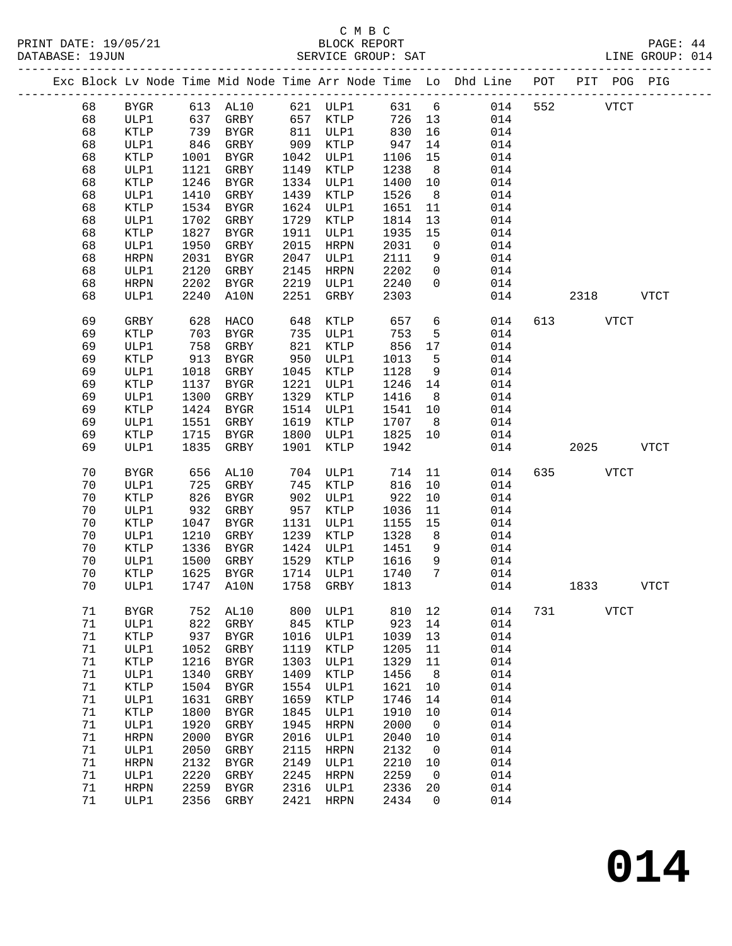#### C M B C<br>BLOCK REPORT SERVICE GROUP: SAT

|  |        |                 |      |                                                               |      |               |      |                 | Exc Block Lv Node Time Mid Node Time Arr Node Time Lo Dhd Line POT PIT POG PIG |     |             |             |             |
|--|--------|-----------------|------|---------------------------------------------------------------|------|---------------|------|-----------------|--------------------------------------------------------------------------------|-----|-------------|-------------|-------------|
|  | 68     |                 |      | BYGR 613 AL10 621 ULP1 631 6<br>ULP1 637 GRBY 657 KTLP 726 13 |      |               |      |                 | 014                                                                            | 552 | <b>VTCT</b> |             |             |
|  | 68     |                 |      |                                                               |      | -<br>657 KTLP |      |                 | 014                                                                            |     |             |             |             |
|  | 68     | KTLP            |      | 739 BYGR                                                      |      | 811 ULP1      | 830  | 16              | 014                                                                            |     |             |             |             |
|  | 68     | ULP1            | 846  | GRBY                                                          | 909  | KTLP          | 947  | 14              | 014                                                                            |     |             |             |             |
|  | 68     | KTLP            | 1001 | BYGR                                                          | 1042 | ULP1          | 1106 | 15              | 014                                                                            |     |             |             |             |
|  | 68     | ULP1            | 1121 | GRBY                                                          | 1149 | KTLP          | 1238 | 8 <sup>8</sup>  | 014                                                                            |     |             |             |             |
|  | 68     | KTLP            | 1246 | BYGR                                                          | 1334 | ULP1          | 1400 | 10              | 014                                                                            |     |             |             |             |
|  | 68     | ULP1            | 1410 | GRBY                                                          | 1439 | KTLP          | 1526 | 8 <sup>8</sup>  | 014                                                                            |     |             |             |             |
|  | 68     | KTLP            | 1534 | BYGR                                                          | 1624 | ULP1          | 1651 | 11              | 014                                                                            |     |             |             |             |
|  | 68     | ULP1            | 1702 | GRBY                                                          | 1729 | KTLP          | 1814 | 13              | 014                                                                            |     |             |             |             |
|  | 68     | KTLP            | 1827 | BYGR                                                          | 1911 | ULP1          | 1935 | 15              | 014                                                                            |     |             |             |             |
|  | 68     | ULP1            | 1950 | GRBY                                                          | 2015 | HRPN          | 2031 | $\overline{0}$  | 014                                                                            |     |             |             |             |
|  | 68     | <b>HRPN</b>     | 2031 | BYGR                                                          | 2047 | ULP1          | 2111 | 9               | 014                                                                            |     |             |             |             |
|  | 68     | ULP1            | 2120 | GRBY                                                          | 2145 | HRPN          | 2202 | $\overline{0}$  | 014                                                                            |     |             |             |             |
|  |        |                 |      |                                                               |      |               |      | $\overline{0}$  |                                                                                |     |             |             |             |
|  | 68     | HRPN            |      | 2202 BYGR                                                     | 2219 | ULP1          | 2240 |                 | 014                                                                            |     |             |             |             |
|  | 68     | ULP1            | 2240 | A10N                                                          | 2251 | GRBY          | 2303 |                 | 014                                                                            |     | 2318        |             | <b>VTCT</b> |
|  | 69     | GRBY            | 628  | HACO                                                          | 648  | KTLP          | 657  | $6\overline{6}$ | 014                                                                            | 613 | VTCT        |             |             |
|  | 69     | KTLP            |      | 703 BYGR                                                      | 735  | ULP1          | 753  | 5               | 014                                                                            |     |             |             |             |
|  | 69     | ULP1            | 758  | GRBY                                                          | 821  | KTLP          | 856  | 17              | 014                                                                            |     |             |             |             |
|  | 69     | KTLP            | 913  | BYGR                                                          | 950  | ULP1          | 1013 | 5               | 014                                                                            |     |             |             |             |
|  | 69     | ULP1            | 1018 | GRBY                                                          | 1045 | KTLP          | 1128 | 9               | 014                                                                            |     |             |             |             |
|  | 69     | KTLP            |      | 1137 BYGR                                                     | 1221 | ULP1          | 1246 | 14              | 014                                                                            |     |             |             |             |
|  | 69     | ULP1            | 1300 | GRBY                                                          | 1329 | KTLP          | 1416 | 8 <sup>8</sup>  | 014                                                                            |     |             |             |             |
|  | 69     | KTLP            | 1424 | BYGR                                                          | 1514 | ULP1          | 1541 | 10              | 014                                                                            |     |             |             |             |
|  | 69     | ULP1            | 1551 | GRBY                                                          | 1619 | KTLP          | 1707 | 8 <sup>8</sup>  | 014                                                                            |     |             |             |             |
|  | 69     | KTLP            |      | 1715 BYGR                                                     | 1800 | ULP1          | 1825 | 10              | 014                                                                            |     |             |             |             |
|  | 69     | ULP1            | 1835 | GRBY                                                          | 1901 | KTLP          | 1942 |                 | 014                                                                            |     | 2025        | <b>VTCT</b> |             |
|  |        |                 |      |                                                               |      |               |      |                 |                                                                                |     |             |             |             |
|  | 70     | <b>BYGR</b>     |      | 656 AL10                                                      |      | 704 ULP1      | 714  | 11              | 014                                                                            |     | 635 VTCT    |             |             |
|  | 70     | ULP1            | 725  | GRBY                                                          |      | 745 KTLP      | 816  | 10              | 014                                                                            |     |             |             |             |
|  | 70     | KTLP            | 826  | BYGR                                                          |      | 902 ULP1      | 922  | 10              | 014                                                                            |     |             |             |             |
|  | 70     | ULP1            | 932  | GRBY                                                          | 957  | KTLP          | 1036 | 11              | 014                                                                            |     |             |             |             |
|  | 70     | <b>KTLP</b>     | 1047 | BYGR                                                          | 1131 | ULP1          | 1155 | 15              | 014                                                                            |     |             |             |             |
|  | 70     | ULP1            | 1210 | GRBY                                                          | 1239 | KTLP          | 1328 | 8 <sup>8</sup>  | 014                                                                            |     |             |             |             |
|  | 70     | KTLP            | 1336 | BYGR                                                          | 1424 | ULP1          | 1451 | 9               | 014                                                                            |     |             |             |             |
|  | 70     | ULP1            | 1500 | GRBY                                                          | 1529 | KTLP          | 1616 | 9               | 014                                                                            |     |             |             |             |
|  | 70     | KTLP            | 1625 | BYGR                                                          | 1714 | ULP1          | 1740 | $\overline{7}$  | 014                                                                            |     |             |             |             |
|  | 70     | ULP1            |      | 1747 A10N                                                     |      | 1758 GRBY     | 1813 |                 | 014                                                                            |     | 1833        |             | <b>VTCT</b> |
|  | 71     | BYGR            | 752  | AL10                                                          | 800  | ULP1          | 810  | 12              | 014                                                                            | 731 |             | <b>VTCT</b> |             |
|  | 71     | ULP1            | 822  | ${\tt GRBY}$                                                  | 845  | KTLP          | 923  | 14              | 014                                                                            |     |             |             |             |
|  | 71     | KTLP            | 937  | <b>BYGR</b>                                                   | 1016 | ULP1          | 1039 | 13              | 014                                                                            |     |             |             |             |
|  | 71     | ULP1            | 1052 | GRBY                                                          | 1119 | KTLP          | 1205 | 11              | 014                                                                            |     |             |             |             |
|  | 71     | KTLP            | 1216 | <b>BYGR</b>                                                   | 1303 | ULP1          | 1329 | 11              | 014                                                                            |     |             |             |             |
|  | $7\,1$ | ULP1            | 1340 | GRBY                                                          | 1409 | KTLP          | 1456 | 8               | 014                                                                            |     |             |             |             |
|  | 71     | $\texttt{KTLP}$ | 1504 | <b>BYGR</b>                                                   | 1554 | ULP1          | 1621 | 10              | 014                                                                            |     |             |             |             |
|  | 71     | ULP1            | 1631 | GRBY                                                          | 1659 | <b>KTLP</b>   | 1746 | 14              | 014                                                                            |     |             |             |             |
|  | 71     | KTLP            | 1800 | <b>BYGR</b>                                                   | 1845 | ULP1          | 1910 | 10              | 014                                                                            |     |             |             |             |
|  | 71     | ULP1            | 1920 | GRBY                                                          | 1945 | HRPN          | 2000 | $\overline{0}$  | 014                                                                            |     |             |             |             |
|  | 71     | <b>HRPN</b>     | 2000 | <b>BYGR</b>                                                   | 2016 | ULP1          | 2040 | 10              | 014                                                                            |     |             |             |             |
|  | 71     | ULP1            | 2050 | GRBY                                                          | 2115 | HRPN          | 2132 | $\overline{0}$  | 014                                                                            |     |             |             |             |
|  | 71     | <b>HRPN</b>     | 2132 | <b>BYGR</b>                                                   | 2149 | ULP1          | 2210 | 10              | 014                                                                            |     |             |             |             |
|  | 71     | ULP1            | 2220 | ${\tt GRBY}$                                                  | 2245 | HRPN          | 2259 | $\overline{0}$  | 014                                                                            |     |             |             |             |
|  | 71     | ${\tt HRPN}$    | 2259 | <b>BYGR</b>                                                   | 2316 | ULP1          | 2336 | 20              | 014                                                                            |     |             |             |             |
|  | 71     | ULP1            | 2356 | GRBY                                                          | 2421 | HRPN          | 2434 | 0               | 014                                                                            |     |             |             |             |
|  |        |                 |      |                                                               |      |               |      |                 |                                                                                |     |             |             |             |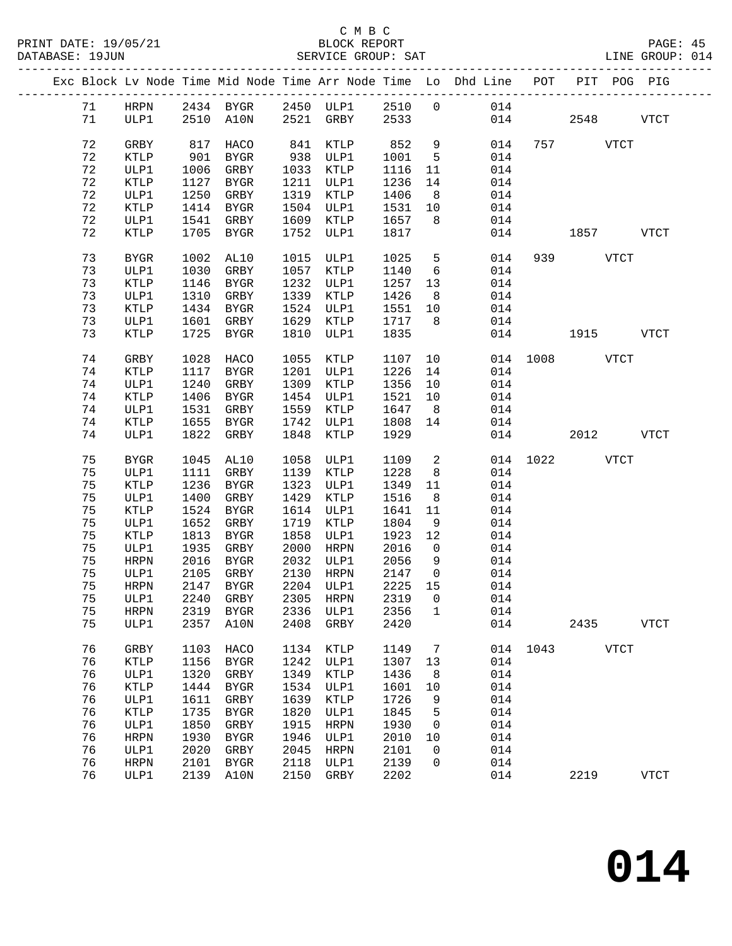|  |    |             |      |                                    |      |           |         |                         | Exc Block Lv Node Time Mid Node Time Arr Node Time Lo Dhd Line POT PIT POG PIG |          |               |              |
|--|----|-------------|------|------------------------------------|------|-----------|---------|-------------------------|--------------------------------------------------------------------------------|----------|---------------|--------------|
|  |    |             |      | 71 HRPN 2434 BYGR 2450 ULP1 2510 0 |      |           |         |                         | 014                                                                            |          |               |              |
|  | 71 | ULP1        |      | 2510 A10N 2521 GRBY 2533           |      |           |         |                         |                                                                                |          | 014 2548      | <b>VTCT</b>  |
|  |    |             |      |                                    |      |           |         |                         |                                                                                |          |               |              |
|  | 72 | GRBY        | 817  | HACO                               |      | 841 KTLP  | 852     | 9                       | 014                                                                            |          | 757 VTCT      |              |
|  | 72 | KTLP        | 901  | BYGR                               |      | 938 ULP1  | 1001    | $5^{\circ}$             | 014                                                                            |          |               |              |
|  | 72 | ULP1        | 1006 | GRBY                               |      | 1033 KTLP | 1116    | 11                      | 014                                                                            |          |               |              |
|  | 72 | KTLP        | 1127 | BYGR                               |      | 1211 ULP1 | 1236    | 14                      | 014                                                                            |          |               |              |
|  | 72 | ULP1        | 1250 | GRBY                               |      | 1319 KTLP | 1406    | 8 <sup>8</sup>          | 014                                                                            |          |               |              |
|  | 72 | KTLP        |      | 1414 BYGR                          |      | 1504 ULP1 | 1531    | 10                      | 014                                                                            |          |               |              |
|  | 72 |             |      | 1541 GRBY                          |      | 1609 KTLP | 1657    | 8 <sup>8</sup>          |                                                                                |          |               |              |
|  | 72 | ULP1        |      | 1705 BYGR                          |      |           |         |                         | 014                                                                            |          | 1857 VTCT     |              |
|  |    | KTLP        |      |                                    |      | 1752 ULP1 | 1817    |                         | 014                                                                            |          |               |              |
|  | 73 | BYGR        | 1002 | AL10                               |      | 1015 ULP1 | 1025    | $5^{\circ}$             | 014                                                                            |          | 939 VTCT      |              |
|  | 73 | ULP1        | 1030 | GRBY                               |      | 1057 KTLP | 1140    | 6                       | 014                                                                            |          |               |              |
|  | 73 | KTLP        | 1146 | BYGR                               |      | 1232 ULP1 | 1257    | 13                      | 014                                                                            |          |               |              |
|  | 73 | ULP1        | 1310 | GRBY                               |      | 1339 KTLP | 1426    | 8 <sup>8</sup>          | 014                                                                            |          |               |              |
|  | 73 | KTLP        | 1434 | BYGR                               |      | 1524 ULP1 | 1551    | 10                      | 014                                                                            |          |               |              |
|  | 73 | ULP1        |      | 1601 GRBY                          |      | 1629 KTLP | 1717    | 8 <sup>8</sup>          | 014                                                                            |          |               |              |
|  | 73 | KTLP        |      | 1725 BYGR                          | 1810 | ULP1      | 1835    |                         | 014                                                                            |          | 1915          | <b>VTCT</b>  |
|  |    |             |      |                                    |      |           |         |                         |                                                                                |          |               |              |
|  | 74 | GRBY        | 1028 | HACO                               | 1055 | KTLP      | 1107 10 |                         |                                                                                |          | 014 1008 VTCT |              |
|  | 74 | KTLP        | 1117 | <b>BYGR</b>                        |      | 1201 ULP1 | 1226    | 14                      | 014                                                                            |          |               |              |
|  | 74 | ULP1        | 1240 | GRBY                               |      | 1309 KTLP | 1356    | 10                      | 014                                                                            |          |               |              |
|  | 74 | KTLP        | 1406 | BYGR                               |      | 1454 ULP1 | 1521    | 10                      | 014                                                                            |          |               |              |
|  | 74 | ULP1        | 1531 | GRBY                               |      | 1559 KTLP | 1647    | 8 <sup>8</sup>          | 014                                                                            |          |               |              |
|  | 74 | KTLP        | 1655 | BYGR                               |      | 1742 ULP1 | 1808    | 14                      | 014                                                                            |          |               |              |
|  | 74 | ULP1        |      | 1822 GRBY                          | 1848 | KTLP      | 1929    |                         | 014                                                                            |          | 2012          | <b>VTCT</b>  |
|  |    |             |      |                                    |      |           |         |                         |                                                                                |          |               |              |
|  | 75 | <b>BYGR</b> | 1045 | AL10                               | 1058 | ULP1      | 1109    | $\overline{\mathbf{2}}$ |                                                                                | 014 1022 | <b>VTCT</b>   |              |
|  | 75 | ULP1        | 1111 | GRBY                               |      | 1139 KTLP | 1228    | 8 <sup>8</sup>          | 014                                                                            |          |               |              |
|  | 75 | KTLP        | 1236 | BYGR                               |      | 1323 ULP1 | 1349    | 11                      | 014                                                                            |          |               |              |
|  | 75 | ULP1        | 1400 | GRBY                               |      | 1429 KTLP | 1516    | 8 <sup>8</sup>          | 014                                                                            |          |               |              |
|  | 75 | KTLP        | 1524 | BYGR                               |      | 1614 ULP1 | 1641    | 11                      | 014                                                                            |          |               |              |
|  | 75 | ULP1        | 1652 | GRBY                               | 1719 | KTLP      | 1804    | 9                       | 014                                                                            |          |               |              |
|  | 75 | KTLP        | 1813 | BYGR                               | 1858 | ULP1      | 1923    | 12                      | 014                                                                            |          |               |              |
|  | 75 | ULP1        | 1935 | GRBY                               | 2000 | HRPN      | 2016    | $\overline{0}$          | 014                                                                            |          |               |              |
|  | 75 | HRPN        | 2016 | BYGR                               |      | 2032 ULP1 | 2056    | 9                       | 014                                                                            |          |               |              |
|  | 75 | ULP1        | 2105 | GRBY                               |      | 2130 HRPN | 2147    | $\overline{0}$          | 014                                                                            |          |               |              |
|  | 75 | HRPN        |      | 2147 BYGR                          |      | 2204 ULP1 | 2225 15 |                         | 014                                                                            |          |               |              |
|  |    |             |      |                                    |      |           |         |                         | 75 ULP1 2240 GRBY 2305 HRPN 2319 0 014                                         |          |               |              |
|  | 75 | <b>HRPN</b> | 2319 | BYGR                               | 2336 | ULP1      | 2356    | $\mathbf{1}$            | 014                                                                            |          |               |              |
|  | 75 | ULP1        | 2357 | A10N                               | 2408 | GRBY      | 2420    |                         | 014                                                                            |          | 2435          | VTCT         |
|  | 76 | GRBY        | 1103 | HACO                               | 1134 | KTLP      | 1149    | 7                       |                                                                                |          | 014 1043 VTCT |              |
|  | 76 | KTLP        | 1156 | BYGR                               | 1242 | ULP1      | 1307    | 13                      | 014                                                                            |          |               |              |
|  | 76 | ULP1        | 1320 | GRBY                               | 1349 | KTLP      | 1436    | 8                       | 014                                                                            |          |               |              |
|  | 76 | KTLP        | 1444 | BYGR                               | 1534 | ULP1      | 1601    | 10                      | 014                                                                            |          |               |              |
|  | 76 | ULP1        | 1611 | GRBY                               | 1639 | KTLP      | 1726    | 9                       | 014                                                                            |          |               |              |
|  | 76 | KTLP        | 1735 | BYGR                               | 1820 | ULP1      | 1845    | 5                       | 014                                                                            |          |               |              |
|  | 76 | ULP1        | 1850 |                                    | 1915 | HRPN      | 1930    | 0                       | 014                                                                            |          |               |              |
|  | 76 | <b>HRPN</b> | 1930 | GRBY<br>BYGR                       | 1946 | ULP1      | 2010    | 10                      | 014                                                                            |          |               |              |
|  | 76 |             | 2020 |                                    | 2045 |           | 2101    | $\mathbf 0$             | 014                                                                            |          |               |              |
|  |    | ULP1        |      | GRBY                               |      | HRPN      |         |                         |                                                                                |          |               |              |
|  | 76 | <b>HRPN</b> | 2101 | BYGR                               | 2118 | ULP1      | 2139    | $\mathbf 0$             | 014                                                                            |          |               |              |
|  | 76 | ULP1        | 2139 | A10N                               | 2150 | GRBY      | 2202    |                         | 014                                                                            |          | 2219          | ${\tt VTCT}$ |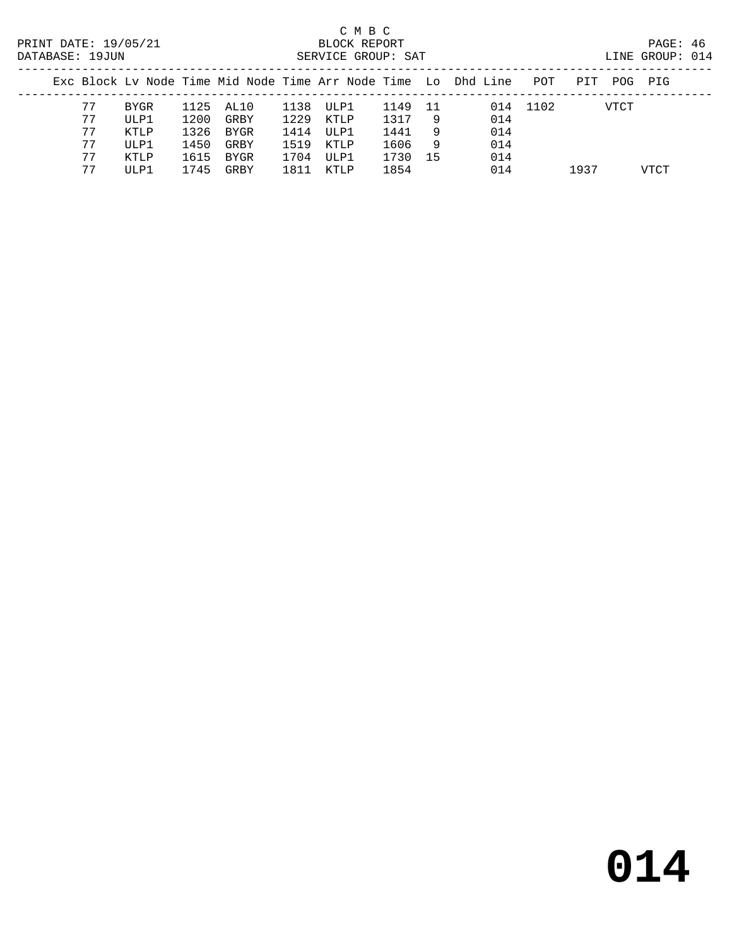#### C M B C<br>BLOCK REPORT SERVICE GROUP: SAT

| -----       |  |
|-------------|--|
| LINE GROUP: |  |

|    |        |      |           |      |       |      |     | Exc Block Ly Node Time Mid Node Time Arr Node Time Lo Dhd Line | POT      | PIT  | POG  | PIG  |
|----|--------|------|-----------|------|-------|------|-----|----------------------------------------------------------------|----------|------|------|------|
| 77 | BYGR   |      | 1125 AL10 | 1138 | ULP1  | 1149 | 11  |                                                                | 014 1102 |      | VTCT |      |
| 77 | ULP1   | 1200 | GRBY      | 1229 | KTLP  | 1317 | 9   | 014                                                            |          |      |      |      |
| 77 | KTLP   | 1326 | BYGR      | 1414 | ULP1  | 1441 | 9   | 014                                                            |          |      |      |      |
| 77 | ULP1   | 1450 | GRBY      | 1519 | KTLP  | 1606 | - 9 | 014                                                            |          |      |      |      |
| 77 | KTLP   | 1615 | BYGR      | 1704 | ULP1  | 1730 | 15  | 014                                                            |          |      |      |      |
| 77 | TJT.P1 | 1745 | GRBY      | 1811 | KTI P | 1854 |     | 014                                                            |          | 1937 |      | VTCT |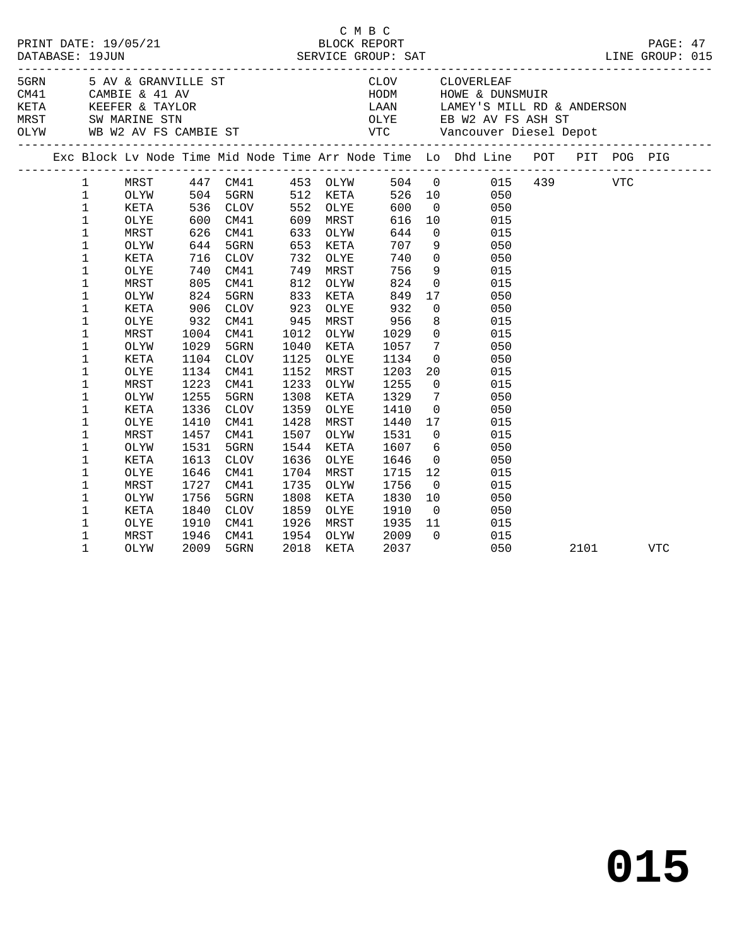|  |              |      |            |                      |      |          |      |                 | C M B C<br>PRINT DATE: 19/05/21 BLOCK REPORT PAGE: 47<br>DATABASE: 19JUN SERVICE GROUP: SAT LINE GROUP: 015 |      |     |            |  |
|--|--------------|------|------------|----------------------|------|----------|------|-----------------|-------------------------------------------------------------------------------------------------------------|------|-----|------------|--|
|  |              |      |            |                      |      |          |      |                 |                                                                                                             |      |     |            |  |
|  |              |      |            |                      |      |          |      |                 |                                                                                                             |      |     |            |  |
|  |              |      |            |                      |      |          |      |                 |                                                                                                             |      |     |            |  |
|  |              |      |            |                      |      |          |      |                 | Exc Block Lv Node Time Mid Node Time Arr Node Time Lo Dhd Line POT PIT POG PIG                              |      |     |            |  |
|  | $\mathbf{1}$ | MRST |            |                      |      |          |      |                 | 447 CM41 453 OLYW 504 0 015 439                                                                             |      | VTC |            |  |
|  | $\mathbf{1}$ | OLYW |            | 504 5GRN             |      | 512 KETA |      |                 | 526 10 050                                                                                                  |      |     |            |  |
|  | $\mathbf 1$  | KETA |            | 536 CLOV<br>600 CM41 | 552  | OLYE     | 600  |                 | $\begin{array}{c} 0 \\ 10 \end{array}$<br>050                                                               |      |     |            |  |
|  | $\mathbf 1$  | OLYE |            |                      | 609  | MRST     | 616  | 10              | 015                                                                                                         |      |     |            |  |
|  | $\mathbf 1$  | MRST | 626        | CM41                 | 633  | OLYW     | 644  | $\overline{0}$  | 015                                                                                                         |      |     |            |  |
|  | $\mathbf 1$  | OLYW | 644        | 5GRN                 | 653  | KETA     | 707  | 9               | 050                                                                                                         |      |     |            |  |
|  | $\mathbf 1$  | KETA | 716<br>740 | CLOV                 | 732  | OLYE     | 740  |                 | $\begin{array}{c} 0 \\ 9 \end{array}$<br>050                                                                |      |     |            |  |
|  | $\mathbf 1$  | OLYE | 740        | CM41                 | 749  | MRST     | 756  |                 | 015                                                                                                         |      |     |            |  |
|  | 1            | MRST | 805        | CM41                 | 812  | OLYW     | 824  | $\overline{0}$  | 015                                                                                                         |      |     |            |  |
|  | $\mathbf 1$  | OLYW | 824        | 5GRN                 | 833  | KETA     | 849  | 17              | 050                                                                                                         |      |     |            |  |
|  | $\mathbf 1$  | KETA | 906        | CLOV                 | 923  | OLYE     | 932  | $\overline{0}$  | 050                                                                                                         |      |     |            |  |
|  | 1            | OLYE | 932        | CM41                 | 945  | MRST     | 956  | 8               | 015                                                                                                         |      |     |            |  |
|  | $\mathbf 1$  | MRST | 1004       | CM41                 | 1012 | OLYW     | 1029 | $\overline{0}$  | 015                                                                                                         |      |     |            |  |
|  | $\mathbf 1$  | OLYW | 1029       | 5GRN                 | 1040 | KETA     | 1057 | $7\overline{ }$ | 050                                                                                                         |      |     |            |  |
|  | $\mathbf 1$  | KETA | 1104       | CLOV                 | 1125 | OLYE     | 1134 | $\overline{0}$  | 050                                                                                                         |      |     |            |  |
|  | 1            | OLYE | 1134       | CM41                 | 1152 | MRST     | 1203 | 20              | 015                                                                                                         |      |     |            |  |
|  | $\mathbf 1$  | MRST | 1223       | CM41                 | 1233 | OLYW     | 1255 | $\overline{0}$  | 015                                                                                                         |      |     |            |  |
|  | $\mathbf 1$  | OLYW | 1255       | 5GRN                 | 1308 | KETA     | 1329 | $7\overline{ }$ | 050                                                                                                         |      |     |            |  |
|  | 1            | KETA | 1336       | CLOV                 | 1359 | OLYE     | 1410 | $\overline{0}$  | 050                                                                                                         |      |     |            |  |
|  | 1            | OLYE | 1410       | CM41                 | 1428 | MRST     | 1440 | 17              | 015                                                                                                         |      |     |            |  |
|  | $\mathbf 1$  | MRST | 1457       | CM41                 | 1507 | OLYW     | 1531 | $\overline{0}$  | 015                                                                                                         |      |     |            |  |
|  | $\mathbf 1$  | OLYW | 1531       | 5GRN                 | 1544 | KETA     | 1607 |                 | $6\overline{6}$<br>050                                                                                      |      |     |            |  |
|  | 1            | KETA | 1613       | CLOV                 | 1636 | OLYE     | 1646 | $\overline{0}$  | 050                                                                                                         |      |     |            |  |
|  | $\mathbf 1$  | OLYE | 1646       | CM41                 | 1704 | MRST     | 1715 | 12              | 015                                                                                                         |      |     |            |  |
|  | 1            | MRST | 1727       | CM41                 | 1735 | OLYW     | 1756 | $\overline{0}$  | 015                                                                                                         |      |     |            |  |
|  | 1            | OLYW | 1756       | 5GRN                 | 1808 | KETA     | 1830 | 10              | 050                                                                                                         |      |     |            |  |
|  | 1            | KETA | 1840       | CLOV                 | 1859 | OLYE     | 1910 | $\overline{0}$  | 050                                                                                                         |      |     |            |  |
|  | $\mathbf 1$  | OLYE | 1910       | CM41                 | 1926 | MRST     | 1935 | 11              | 015                                                                                                         |      |     |            |  |
|  | 1            | MRST | 1946       | CM41                 | 1954 | OLYW     | 2009 | $\overline{0}$  | 015                                                                                                         |      |     |            |  |
|  | 1            | OLYW | 2009       | 5GRN                 | 2018 | KETA     | 2037 |                 | 050                                                                                                         | 2101 |     | <b>VTC</b> |  |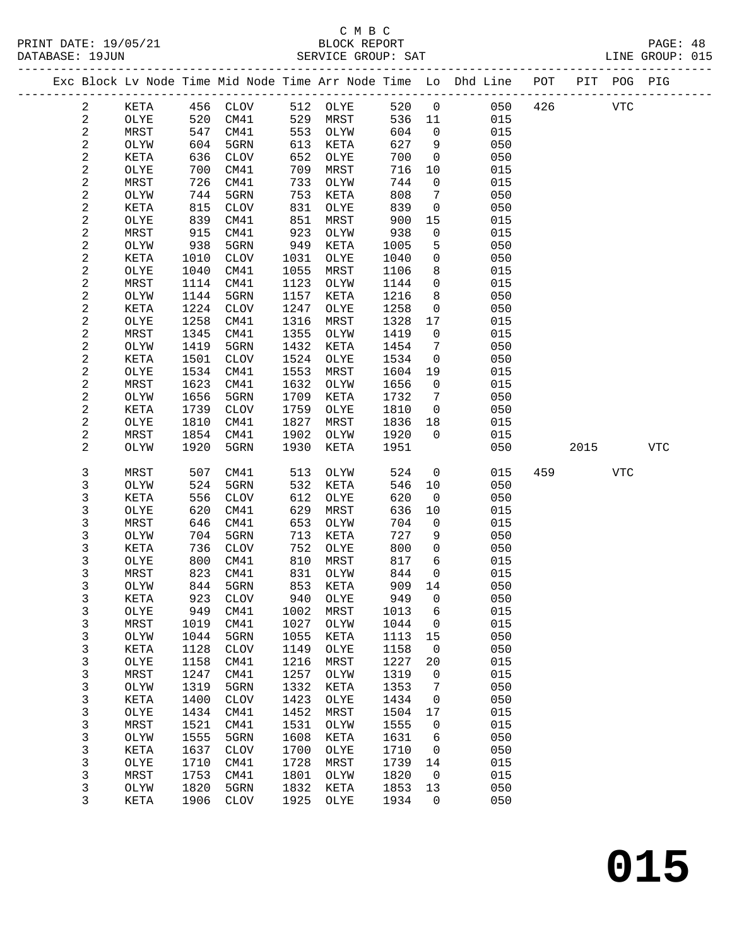|  |                |              |              |              |              |              |              |                 | Exc Block Lv Node Time Mid Node Time Arr Node Time Lo Dhd Line POT |     |      | PIT POG PIG |            |
|--|----------------|--------------|--------------|--------------|--------------|--------------|--------------|-----------------|--------------------------------------------------------------------|-----|------|-------------|------------|
|  | 2              | KETA         | 456          | CLOV         | 512          | OLYE         | 520          | $\mathbf 0$     | 050                                                                | 426 |      | <b>VTC</b>  |            |
|  | $\mathbf{2}$   | OLYE         | 520          | CM41         | 529          | MRST         | 536          | 11              | 015                                                                |     |      |             |            |
|  | $\overline{c}$ | MRST         | 547          | CM41         | 553          | OLYW         | 604          | $\mathbf 0$     | 015                                                                |     |      |             |            |
|  | $\sqrt{2}$     | OLYW         | 604          | 5GRN         | 613          | KETA         | 627          | 9               | 050                                                                |     |      |             |            |
|  | $\sqrt{2}$     | KETA         | 636          | <b>CLOV</b>  | 652          | OLYE         | 700          | $\mathbf 0$     | 050                                                                |     |      |             |            |
|  | 2              | OLYE         | 700          | CM41         | 709          | MRST         | 716          | 10              | 015                                                                |     |      |             |            |
|  | $\sqrt{2}$     | MRST         | 726          | CM41         | 733          | OLYW         | 744          | $\mathsf{O}$    | 015                                                                |     |      |             |            |
|  | $\sqrt{2}$     | OLYW         | 744          | 5GRN         | 753          | KETA         | 808          | $7\phantom{.0}$ | 050                                                                |     |      |             |            |
|  | $\sqrt{2}$     | KETA         | 815          | <b>CLOV</b>  | 831          | OLYE         | 839          | $\mathbf 0$     | 050                                                                |     |      |             |            |
|  | $\sqrt{2}$     | OLYE         | 839          | CM41         | 851          | MRST         | 900          | 15              | 015                                                                |     |      |             |            |
|  | $\sqrt{2}$     | MRST         | 915          | CM41         | 923          | OLYW         | 938          | $\mathbf 0$     | 015                                                                |     |      |             |            |
|  | $\sqrt{2}$     | OLYW         | 938          | 5GRN         | 949          | KETA         | 1005         | 5               | 050                                                                |     |      |             |            |
|  | 2              | KETA         | 1010         | CLOV         | 1031         | OLYE         | 1040         | $\mathbf 0$     | 050                                                                |     |      |             |            |
|  | $\sqrt{2}$     | OLYE         | 1040         | CM41         | 1055         | MRST         | 1106         | 8               | 015                                                                |     |      |             |            |
|  | $\sqrt{2}$     | MRST         | 1114         | CM41         | 1123         | OLYW         | 1144         | 0               | 015                                                                |     |      |             |            |
|  | $\sqrt{2}$     | OLYW         | 1144         | 5GRN         | 1157         | KETA         | 1216         | 8               | 050                                                                |     |      |             |            |
|  | $\sqrt{2}$     | KETA         | 1224         | <b>CLOV</b>  | 1247         | OLYE         | 1258         | $\mathbf 0$     | 050                                                                |     |      |             |            |
|  | $\sqrt{2}$     | OLYE         | 1258         | CM41         | 1316         | MRST         | 1328         | 17              | 015                                                                |     |      |             |            |
|  | $\sqrt{2}$     | MRST         | 1345         | CM41         | 1355         | OLYW         | 1419         | 0               | 015                                                                |     |      |             |            |
|  | $\sqrt{2}$     | OLYW         | 1419         | 5GRN         | 1432         | KETA         | 1454         | 7               | 050                                                                |     |      |             |            |
|  | $\sqrt{2}$     | KETA         | 1501         | <b>CLOV</b>  | 1524         | OLYE         | 1534         | $\mathbf 0$     | 050                                                                |     |      |             |            |
|  | $\sqrt{2}$     | OLYE         | 1534         | CM41         | 1553         | MRST         | 1604         | 19              | 015                                                                |     |      |             |            |
|  | $\sqrt{2}$     | MRST         | 1623         | CM41         | 1632         | OLYW         | 1656         | 0               | 015                                                                |     |      |             |            |
|  | $\sqrt{2}$     | OLYW         | 1656         | 5GRN         | 1709         | KETA         | 1732         | 7               | 050                                                                |     |      |             |            |
|  | $\sqrt{2}$     | KETA         | 1739         | <b>CLOV</b>  | 1759         | OLYE         | 1810         | $\mathbf{0}$    | 050                                                                |     |      |             |            |
|  | $\sqrt{2}$     | OLYE         | 1810         | CM41         | 1827         | MRST         | 1836         | 18              | 015                                                                |     |      |             |            |
|  | $\sqrt{2}$     | MRST         | 1854         | CM41         | 1902         | OLYW         | 1920         | $\Omega$        | 015                                                                |     |      |             |            |
|  | $\sqrt{2}$     | OLYW         | 1920         | 5GRN         | 1930         | KETA         | 1951         |                 | 050                                                                |     | 2015 |             | <b>VTC</b> |
|  | 3              | MRST         | 507          | CM41         | 513          | OLYW         | 524          | $\mathbf 0$     | 015                                                                | 459 |      | <b>VTC</b>  |            |
|  | 3              | OLYW         | 524          | 5GRN         | 532          | KETA         | 546          | 10              | 050                                                                |     |      |             |            |
|  | 3              | KETA         | 556          | <b>CLOV</b>  | 612          | OLYE         | 620          | $\mathbf 0$     | 050                                                                |     |      |             |            |
|  | 3              | OLYE         | 620          | CM41         | 629          | MRST         | 636          | 10              | 015                                                                |     |      |             |            |
|  | 3              | MRST         | 646          | CM41         | 653          | OLYW         | 704          | $\mathbf 0$     | 015                                                                |     |      |             |            |
|  | 3              | OLYW         | 704          | 5GRN         | 713          | KETA         | 727          | 9               | 050                                                                |     |      |             |            |
|  | 3              | KETA         | 736          | <b>CLOV</b>  | 752          | OLYE         | 800          | $\mathbf 0$     | 050                                                                |     |      |             |            |
|  | 3              | OLYE         | 800          | CM41         | 810          | MRST         | 817          | 6               | 015                                                                |     |      |             |            |
|  | 3              | MRST         | 823          | CM41         | 831          | OLYW         | 844          | $\mathbf 0$     | 015                                                                |     |      |             |            |
|  | 3              | OLYW         | 844          | 5GRN         | 853          | KETA         | 909          | 14              | 050                                                                |     |      |             |            |
|  | 3              | KETA         | 923          | <b>CLOV</b>  | 940          | OLXE         | 949          | 0               | 050                                                                |     |      |             |            |
|  | 3              | OLYE         | 949          | CM41         | 1002         | MRST         | 1013         | 6               | 015                                                                |     |      |             |            |
|  | 3<br>3         | MRST<br>OLYW | 1019<br>1044 | CM41<br>5GRN | 1027<br>1055 | OLYW<br>KETA | 1044<br>1113 | 0<br>15         | 015<br>050                                                         |     |      |             |            |
|  | 3              | KETA         | 1128         | <b>CLOV</b>  | 1149         | OLYE         | 1158         | 0               | 050                                                                |     |      |             |            |
|  | 3              | OLYE         | 1158         | CM41         | 1216         | MRST         | 1227         | 20              | 015                                                                |     |      |             |            |
|  | 3              | MRST         | 1247         | CM41         | 1257         | OLYW         | 1319         | 0               | 015                                                                |     |      |             |            |
|  | 3              | OLYW         | 1319         | 5GRN         | 1332         | KETA         | 1353         | 7               | 050                                                                |     |      |             |            |
|  | 3              | KETA         | 1400         | <b>CLOV</b>  | 1423         | OLYE         | 1434         | 0               | 050                                                                |     |      |             |            |
|  | 3              | OLYE         | 1434         | CM41         | 1452         | MRST         | 1504         | 17              | 015                                                                |     |      |             |            |
|  | 3              | MRST         | 1521         | CM41         | 1531         | OLYW         | 1555         | 0               | 015                                                                |     |      |             |            |
|  | 3              | OLYW         | 1555         | 5GRN         | 1608         | KETA         | 1631         | 6               | 050                                                                |     |      |             |            |
|  | 3              | KETA         | 1637         | <b>CLOV</b>  | 1700         | OLYE         | 1710         | 0               | 050                                                                |     |      |             |            |
|  | 3              | OLYE         | 1710         | CM41         | 1728         | MRST         | 1739         | 14              | 015                                                                |     |      |             |            |
|  | 3              | MRST         | 1753         | CM41         | 1801         | OLYW         | 1820         | $\mathbf 0$     | 015                                                                |     |      |             |            |
|  | 3              | OLYW         | 1820         | 5GRN         | 1832         | KETA         | 1853         | 13              | 050                                                                |     |      |             |            |
|  | 3              | KETA         | 1906         | <b>CLOV</b>  | 1925         | OLYE         | 1934         | 0               | 050                                                                |     |      |             |            |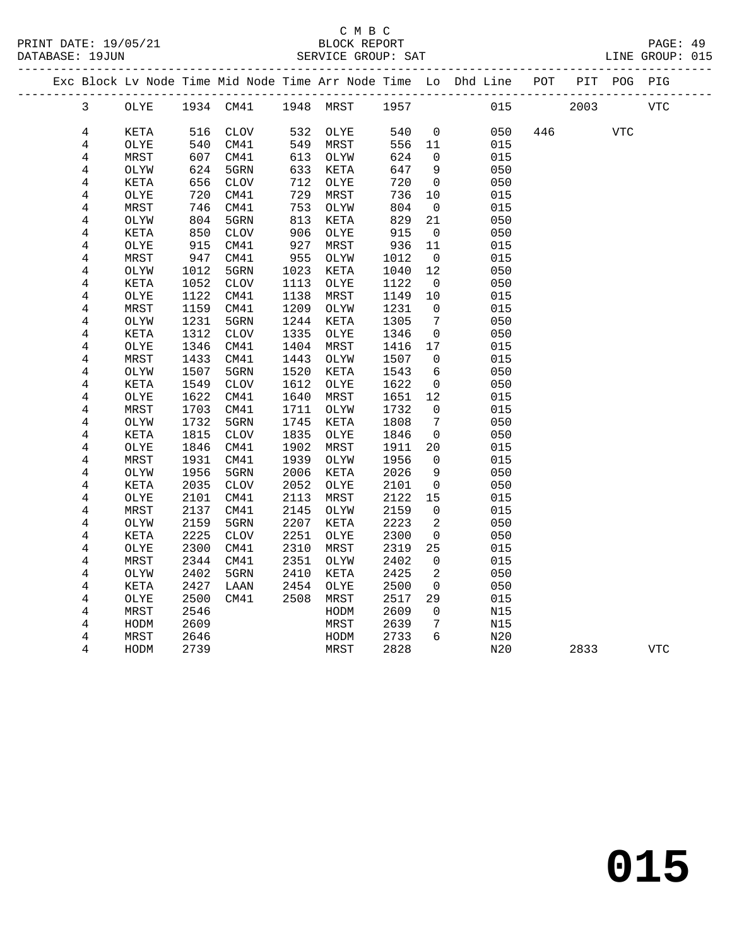#### C M B C<br>BLOCK REPORT SERVICE GROUP: SAT

|  |                |      |      |              |      |           |      |             | Exc Block Lv Node Time Mid Node Time Arr Node Time Lo Dhd Line POT |     |      | PIT POG PIG |            |
|--|----------------|------|------|--------------|------|-----------|------|-------------|--------------------------------------------------------------------|-----|------|-------------|------------|
|  | $\mathbf{3}$   | OLYE |      | 1934 CM41    |      | 1948 MRST | 1957 |             | 015                                                                |     | 2003 |             | <b>VTC</b> |
|  | 4              | KETA | 516  | <b>CLOV</b>  | 532  | OLYE      | 540  | $\mathbf 0$ | 050                                                                | 446 |      | <b>VTC</b>  |            |
|  | 4              | OLYE | 540  | CM41         | 549  | MRST      | 556  | 11          | 015                                                                |     |      |             |            |
|  | $\,4$          | MRST | 607  | CM41         | 613  | OLYW      | 624  | $\Omega$    | 015                                                                |     |      |             |            |
|  | 4              | OLYW | 624  | 5GRN         | 633  | KETA      | 647  | 9           | 050                                                                |     |      |             |            |
|  | 4              | KETA | 656  | ${\tt CLOV}$ | 712  | OLYE      | 720  | $\mathbf 0$ | 050                                                                |     |      |             |            |
|  | 4              | OLYE | 720  | CM41         | 729  | MRST      | 736  | 10          | 015                                                                |     |      |             |            |
|  | $\bf 4$        | MRST | 746  | CM41         | 753  | OLYW      | 804  | $\mathbf 0$ | 015                                                                |     |      |             |            |
|  | $\overline{4}$ | OLYW | 804  | 5GRN         | 813  | KETA      | 829  | 21          | 050                                                                |     |      |             |            |
|  | 4              | KETA | 850  | <b>CLOV</b>  | 906  | OLYE      | 915  | 0           | 050                                                                |     |      |             |            |
|  | 4              | OLYE | 915  | CM41         | 927  | MRST      | 936  | 11          | 015                                                                |     |      |             |            |
|  | 4              | MRST | 947  | CM41         | 955  | OLYW      | 1012 | $\mathbf 0$ | 015                                                                |     |      |             |            |
|  | 4              | OLYW | 1012 | 5GRN         | 1023 | KETA      | 1040 | 12          | 050                                                                |     |      |             |            |
|  | 4              | KETA | 1052 | ${\tt CLOV}$ | 1113 | OLYE      | 1122 | 0           | 050                                                                |     |      |             |            |
|  | 4              | OLYE | 1122 | CM41         | 1138 | MRST      | 1149 | 10          | 015                                                                |     |      |             |            |
|  | $\overline{4}$ | MRST | 1159 | CM41         | 1209 | OLYW      | 1231 | $\mathbf 0$ | 015                                                                |     |      |             |            |
|  | 4              | OLYW | 1231 | 5GRN         | 1244 | KETA      | 1305 | 7           | 050                                                                |     |      |             |            |
|  | 4              | KETA | 1312 | ${\tt CLOV}$ | 1335 | OLYE      | 1346 | $\mathbf 0$ | 050                                                                |     |      |             |            |
|  | 4              | OLYE | 1346 | CM41         | 1404 | MRST      | 1416 | 17          | 015                                                                |     |      |             |            |
|  | 4              | MRST | 1433 | CM41         | 1443 | OLYW      | 1507 | $\mathbf 0$ | 015                                                                |     |      |             |            |
|  | 4              | OLYW | 1507 | 5GRN         | 1520 | KETA      | 1543 | 6           | 050                                                                |     |      |             |            |
|  | 4              | KETA | 1549 | <b>CLOV</b>  | 1612 | OLYE      | 1622 | $\mathbf 0$ | 050                                                                |     |      |             |            |
|  | 4              | OLYE | 1622 | CM41         | 1640 | MRST      | 1651 | 12          | 015                                                                |     |      |             |            |
|  | 4              | MRST | 1703 | CM41         | 1711 | OLYW      | 1732 | 0           | 015                                                                |     |      |             |            |
|  | 4              | OLYW | 1732 | 5GRN         | 1745 | KETA      | 1808 | 7           | 050                                                                |     |      |             |            |
|  | $\overline{4}$ | KETA | 1815 | <b>CLOV</b>  | 1835 | OLYE      | 1846 | $\mathbf 0$ | 050                                                                |     |      |             |            |
|  | 4              | OLYE | 1846 | CM41         | 1902 | MRST      | 1911 | 20          | 015                                                                |     |      |             |            |
|  | 4              | MRST | 1931 | CM41         | 1939 | OLYW      | 1956 | $\mathbf 0$ | 015                                                                |     |      |             |            |
|  | 4              | OLYW | 1956 | 5GRN         | 2006 | KETA      | 2026 | 9           | 050                                                                |     |      |             |            |
|  | 4              | KETA | 2035 | <b>CLOV</b>  | 2052 | OLYE      | 2101 | $\mathbf 0$ | 050                                                                |     |      |             |            |
|  | 4              | OLYE | 2101 | CM41         | 2113 | MRST      | 2122 | 15          | 015                                                                |     |      |             |            |
|  | 4              | MRST | 2137 | CM41         | 2145 | OLYW      | 2159 | $\Omega$    | 015                                                                |     |      |             |            |
|  | $\overline{4}$ | OLYW | 2159 | 5GRN         | 2207 | KETA      | 2223 | 2           | 050                                                                |     |      |             |            |
|  | 4              | KETA | 2225 | ${\tt CLOV}$ | 2251 | OLYE      | 2300 | $\mathbf 0$ | 050                                                                |     |      |             |            |
|  | 4              | OLYE | 2300 | CM41         | 2310 | MRST      | 2319 | 25          | 015                                                                |     |      |             |            |
|  | 4              | MRST | 2344 | CM41         | 2351 | OLYW      | 2402 | $\mathbf 0$ | 015                                                                |     |      |             |            |
|  | 4              | OLYW | 2402 | 5GRN         | 2410 | KETA      | 2425 | 2           | 050                                                                |     |      |             |            |
|  | 4              | KETA | 2427 | LAAN         | 2454 | OLYE      | 2500 | $\mathbf 0$ | 050                                                                |     |      |             |            |
|  | 4              | OLYE | 2500 | CM41         | 2508 | MRST      | 2517 | 29          | 015                                                                |     |      |             |            |
|  | 4              | MRST | 2546 |              |      | HODM      | 2609 | 0           | N15                                                                |     |      |             |            |
|  | 4              | HODM | 2609 |              |      | MRST      | 2639 | 7           | N15                                                                |     |      |             |            |
|  | 4              | MRST | 2646 |              |      | HODM      | 2733 | 6           | N20                                                                |     |      |             |            |
|  | 4              | HODM | 2739 |              |      | MRST      | 2828 |             | N20                                                                |     | 2833 |             | <b>VTC</b> |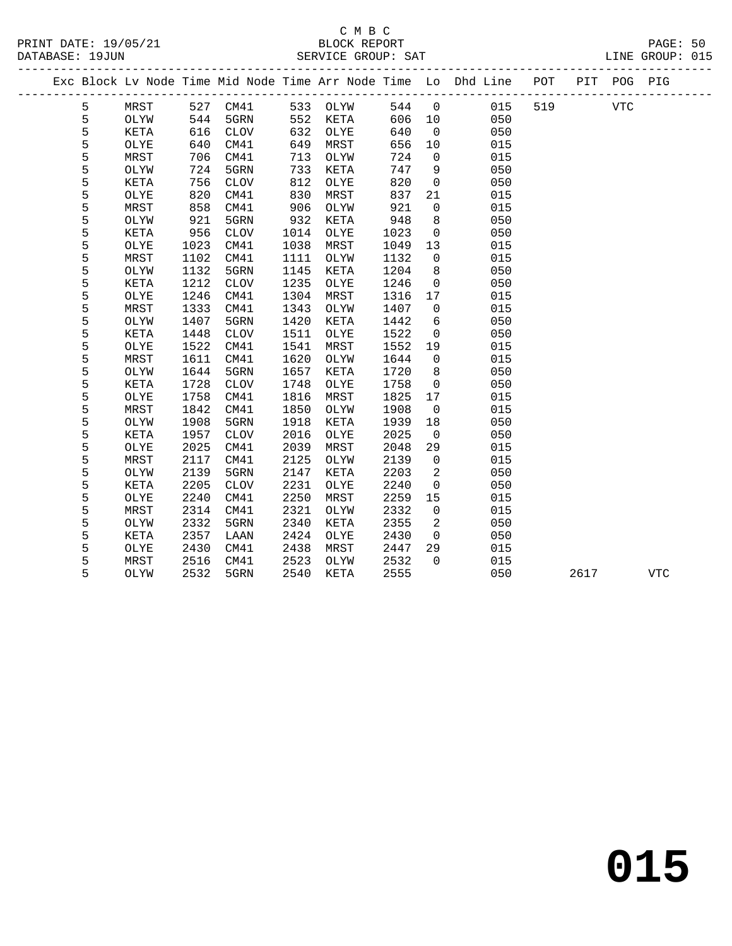|  |   |      |      |              |      |          |      |                | Exc Block Lv Node Time Mid Node Time Arr Node Time Lo Dhd Line POT |     |      | PIT POG PIG |            |
|--|---|------|------|--------------|------|----------|------|----------------|--------------------------------------------------------------------|-----|------|-------------|------------|
|  | 5 | MRST |      | 527 CM41     |      | 533 OLYW | 544  | $\overline{0}$ | 015                                                                | 519 |      | <b>VTC</b>  |            |
|  | 5 | OLYW | 544  | 5GRN         |      | 552 KETA | 606  | 10             | 050                                                                |     |      |             |            |
|  | 5 | KETA | 616  | CLOV         | 632  | OLYE     | 640  | $\overline{0}$ | 050                                                                |     |      |             |            |
|  | 5 | OLYE | 640  | CM41         | 649  | MRST     | 656  | 10             | 015                                                                |     |      |             |            |
|  | 5 | MRST | 706  | CM41         | 713  | OLYW     | 724  | $\overline{0}$ | 015                                                                |     |      |             |            |
|  | 5 | OLYW | 724  | 5GRN         | 733  | KETA     | 747  | 9              | 050                                                                |     |      |             |            |
|  | 5 | KETA | 756  | CLOV         | 812  | OLYE     | 820  | $\mathbf 0$    | 050                                                                |     |      |             |            |
|  | 5 | OLYE | 820  | CM41         | 830  | MRST     | 837  | 21             | 015                                                                |     |      |             |            |
|  | 5 | MRST | 858  | CM41         | 906  | OLYW     | 921  | $\overline{0}$ | 015                                                                |     |      |             |            |
|  | 5 | OLYW | 921  | 5GRN         | 932  | KETA     | 948  | 8              | 050                                                                |     |      |             |            |
|  | 5 | KETA | 956  | <b>CLOV</b>  | 1014 | OLYE     | 1023 | $\mathsf{O}$   | 050                                                                |     |      |             |            |
|  | 5 | OLYE | 1023 | CM41         | 1038 | MRST     | 1049 | 13             | 015                                                                |     |      |             |            |
|  | 5 | MRST | 1102 | CM41         | 1111 | OLYW     | 1132 | $\overline{0}$ | 015                                                                |     |      |             |            |
|  | 5 | OLYW | 1132 | 5GRN         | 1145 | KETA     | 1204 | 8              | 050                                                                |     |      |             |            |
|  | 5 | KETA | 1212 | <b>CLOV</b>  | 1235 | OLYE     | 1246 | $\overline{0}$ | 050                                                                |     |      |             |            |
|  | 5 | OLYE | 1246 | CM41         | 1304 | MRST     | 1316 | 17             | 015                                                                |     |      |             |            |
|  | 5 | MRST | 1333 | CM41         | 1343 | OLYW     | 1407 | $\Omega$       | 015                                                                |     |      |             |            |
|  | 5 | OLYW | 1407 | 5GRN         | 1420 | KETA     | 1442 | 6              | 050                                                                |     |      |             |            |
|  | 5 | KETA | 1448 | <b>CLOV</b>  | 1511 | OLYE     | 1522 | $\overline{0}$ | 050                                                                |     |      |             |            |
|  | 5 | OLYE | 1522 | CM41         | 1541 | MRST     | 1552 | 19             | 015                                                                |     |      |             |            |
|  | 5 | MRST | 1611 | CM41         | 1620 | OLYW     | 1644 | $\overline{0}$ | 015                                                                |     |      |             |            |
|  | 5 | OLYW | 1644 | 5GRN         | 1657 | KETA     | 1720 | 8              | 050                                                                |     |      |             |            |
|  | 5 | KETA | 1728 | <b>CLOV</b>  | 1748 | OLYE     | 1758 | $\overline{0}$ | 050                                                                |     |      |             |            |
|  | 5 | OLYE | 1758 | CM41         | 1816 | MRST     | 1825 | 17             | 015                                                                |     |      |             |            |
|  | 5 | MRST | 1842 | CM41         | 1850 | OLYW     | 1908 | $\overline{0}$ | 015                                                                |     |      |             |            |
|  | 5 | OLYW | 1908 | 5GRN         | 1918 | KETA     | 1939 | 18             | 050                                                                |     |      |             |            |
|  | 5 | KETA | 1957 | CLOV         | 2016 | OLYE     | 2025 | $\overline{0}$ | 050                                                                |     |      |             |            |
|  | 5 | OLYE | 2025 | CM41         | 2039 | MRST     | 2048 | 29             | 015                                                                |     |      |             |            |
|  | 5 | MRST | 2117 | CM41         | 2125 | OLYW     | 2139 | $\overline{0}$ | 015                                                                |     |      |             |            |
|  | 5 | OLYW | 2139 | 5GRN         | 2147 | KETA     | 2203 | $\overline{2}$ | 050                                                                |     |      |             |            |
|  | 5 | KETA | 2205 | ${\tt CLOV}$ | 2231 | OLYE     | 2240 | $\overline{0}$ | 050                                                                |     |      |             |            |
|  | 5 | OLYE | 2240 | CM41         | 2250 | MRST     | 2259 | 15             | 015                                                                |     |      |             |            |
|  | 5 | MRST | 2314 | CM41         | 2321 | OLYW     | 2332 | $\overline{0}$ | 015                                                                |     |      |             |            |
|  | 5 | OLYW | 2332 | 5GRN         | 2340 | KETA     | 2355 | 2              | 050                                                                |     |      |             |            |
|  | 5 | KETA | 2357 | LAAN         | 2424 | OLYE     | 2430 | $\overline{0}$ | 050                                                                |     |      |             |            |
|  | 5 | OLYE | 2430 | CM41         | 2438 | MRST     | 2447 | 29             | 015                                                                |     |      |             |            |
|  | 5 | MRST | 2516 | CM41         | 2523 | OLYW     | 2532 | $\Omega$       | 015                                                                |     |      |             |            |
|  | 5 | OLYW | 2532 | 5GRN         | 2540 | KETA     | 2555 |                | 050                                                                |     | 2617 |             | <b>VTC</b> |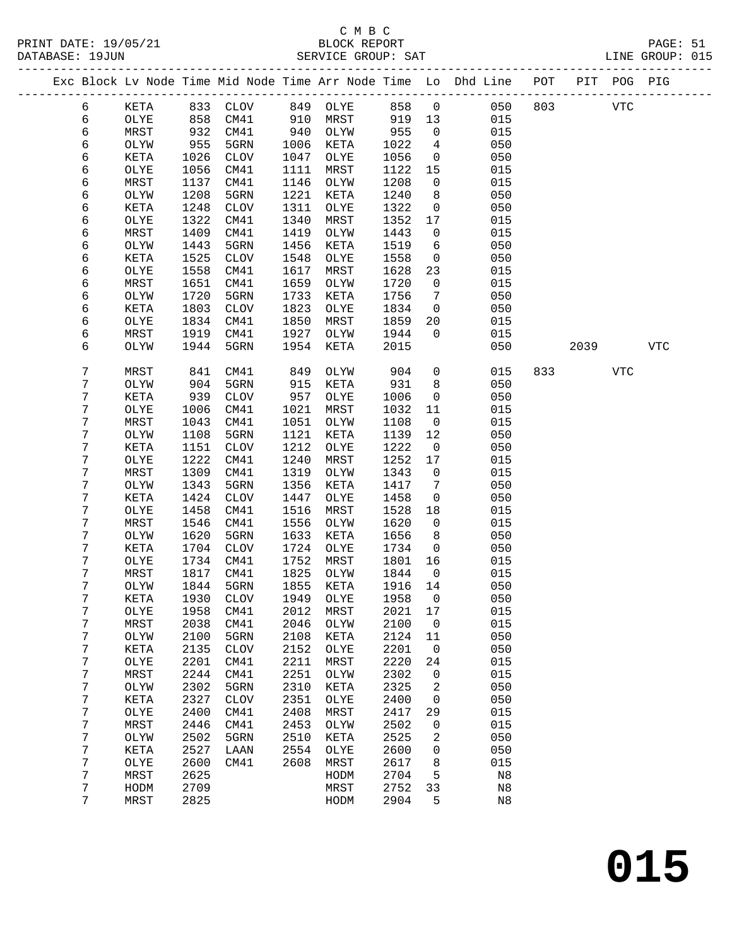## C M B C<br>BLOCK REPORT

| PRINT DATE: 19/05/21<br>DATABASE: 19JUN                                        |              |              | 1<br>BLOCK REPORT<br>SERVICE GROUP: SAT |              |              |              |                              |                       |     |      |            | PAGE: 51<br>LINE GROUP: 015 |  |
|--------------------------------------------------------------------------------|--------------|--------------|-----------------------------------------|--------------|--------------|--------------|------------------------------|-----------------------|-----|------|------------|-----------------------------|--|
| Exc Block Lv Node Time Mid Node Time Arr Node Time Lo Dhd Line POT PIT POG PIG |              |              |                                         |              |              |              |                              |                       |     |      |            |                             |  |
| 6                                                                              | KETA         |              | 833 CLOV                                |              | 849 OLYE     | 858 0        |                              | 050                   | 803 |      | <b>VTC</b> |                             |  |
| 6                                                                              | OLYE         | 858          | CM41                                    | 910          | MRST         |              | 919 13                       | 015                   |     |      |            |                             |  |
| б                                                                              | MRST         | $0 - 932$    | CM41                                    | 940          | OLYW         | 955          | $\overline{0}$               | 015                   |     |      |            |                             |  |
| 6                                                                              | OLYW         | 955          | 5GRN                                    | 1006         | KETA         | 1022         | $\overline{4}$               | 050                   |     |      |            |                             |  |
| 6                                                                              | KETA         | 1026         | CLOV                                    | 1047         | OLYE         | 1056         | $\overline{0}$               | 050                   |     |      |            |                             |  |
| 6                                                                              | OLYE         | 1056         | CM41                                    | 1111         | MRST         | 1122         | 15                           | 015                   |     |      |            |                             |  |
| 6                                                                              | MRST         | 1137         | CM41                                    | 1146         | OLYW         | 1208         | $\overline{0}$               | 015                   |     |      |            |                             |  |
| 6                                                                              | OLYW         | 1208         | 5GRN                                    | 1221         | KETA         | 1240         | 8 <sup>8</sup>               | 050                   |     |      |            |                             |  |
| 6                                                                              | KETA         | 1248         | <b>CLOV</b>                             | 1311         | OLYE         | 1322         | $\overline{0}$               | 050                   |     |      |            |                             |  |
| б                                                                              | OLYE         | 1322         | CM41                                    | 1340         | MRST         | 1352         | 17                           | 015                   |     |      |            |                             |  |
| б                                                                              | MRST         | 1409         | CM41                                    | 1419         | OLYW         | 1443         | $\overline{0}$               | 015                   |     |      |            |                             |  |
| 6                                                                              | OLYW         | 1443         | 5GRN                                    | 1456         | KETA         | 1519         | 6                            | 050                   |     |      |            |                             |  |
| 6                                                                              | KETA         | 1525         | CLOV                                    | 1548         | OLYE         | 1558         | $\overline{0}$               | 050                   |     |      |            |                             |  |
| 6                                                                              | OLYE         | 1558         | CM41                                    | 1617         | MRST         | 1628         | 23                           | 015                   |     |      |            |                             |  |
| б                                                                              | MRST         | 1651         | CM41                                    | 1659         | OLYW         | 1720         | $\overline{0}$               | 015                   |     |      |            |                             |  |
| 6                                                                              | OLYW         | 1720         | 5GRN                                    | 1733         | KETA         | 1756         | $7\phantom{.0}\phantom{.0}7$ | 050                   |     |      |            |                             |  |
| 6                                                                              | KETA         | 1803         | CLOV                                    | 1823         | OLYE         | 1834         | $\overline{0}$               | 050                   |     |      |            |                             |  |
| б                                                                              | OLYE         | 1834         | CM41                                    | 1850         | MRST         | 1859         | 20                           | 015                   |     |      |            |                             |  |
| б                                                                              | MRST         | 1919         | CM41                                    | 1927         | OLYW         | 1944         | $\overline{0}$               | 015                   |     |      |            |                             |  |
| 6                                                                              | OLYW         | 1944         | 5GRN                                    | 1954         | KETA         | 2015         |                              | 050                   |     | 2039 |            | VTC                         |  |
| 7                                                                              | MRST         | 841          | CM41                                    | 849          | OLYW         | 904          |                              | $\overline{0}$<br>015 | 833 |      | VTC        |                             |  |
| 7                                                                              | OLYW         | 904          | 5GRN                                    | 915          | KETA         | 931          | 8                            | 050                   |     |      |            |                             |  |
| 7                                                                              | KETA         | 939          | CLOV                                    | 957          | OLYE         | 1006         | $\overline{0}$               | 050                   |     |      |            |                             |  |
| 7                                                                              | OLYE         | 1006         | CM41                                    | 1021         | MRST         | 1032         | 11                           | 015                   |     |      |            |                             |  |
| 7                                                                              | MRST         | 1043         | CM41                                    | 1051         | OLYW         | 1108         | $\overline{0}$               | 015                   |     |      |            |                             |  |
| 7                                                                              | OLYW         | 1108         | 5GRN                                    | 1121         | KETA         | 1139         | 12                           | 050                   |     |      |            |                             |  |
| 7                                                                              | KETA         | 1151         | CLOV                                    | 1212         | OLYE         | 1222         | $\overline{0}$               | 050                   |     |      |            |                             |  |
| 7                                                                              | OLYE         | 1222         | CM41                                    | 1240         | MRST         | 1252         | 17                           | 015                   |     |      |            |                             |  |
| 7                                                                              | MRST         | 1309         | CM41                                    | 1319         | OLYW         | 1343         | $\overline{0}$               | 015                   |     |      |            |                             |  |
| 7                                                                              | OLYW         | 1343         | 5GRN                                    | 1356         | KETA         | 1417         | $\overline{7}$               | 050                   |     |      |            |                             |  |
| 7                                                                              | KETA         | 1424         | <b>CLOV</b>                             | 1447         | OLYE         | 1458         | $\overline{0}$               | 050                   |     |      |            |                             |  |
| 7                                                                              | OLYE         | 1458         | CM41                                    | 1516         | MRST         | 1528         | 18                           | 015                   |     |      |            |                             |  |
| 7                                                                              | MRST         | 1546         | CM41                                    | 1556         | OLYW         | 1620         | $\overline{0}$               | 015                   |     |      |            |                             |  |
| 7                                                                              | OLYW         | 1620         | 5GRN                                    | 1633         | KETA         | 1656         | 8 <sup>8</sup>               | 050                   |     |      |            |                             |  |
| 7                                                                              | KETA         | 1704         | CLOV                                    | 1724         | OLYE         | 1734         | $\overline{0}$               | 050                   |     |      |            |                             |  |
| 7                                                                              | OLYE         | 1734         | CM41                                    | 1752<br>1825 | MRST         | 1801 16      |                              | 015                   |     |      |            |                             |  |
| 7<br>7                                                                         | MRST         | 1817         | CM41                                    | 1855         | OLYW         | 1844<br>1916 | 0                            | 015<br>050            |     |      |            |                             |  |
|                                                                                | OLYW         | 1844         | 5GRN                                    |              | KETA         |              | 14                           |                       |     |      |            |                             |  |
| 7<br>7                                                                         | KETA         | 1930<br>1958 | <b>CLOV</b>                             | 1949         | OLYE         | 1958<br>2021 | 0                            | 050<br>015            |     |      |            |                             |  |
| 7                                                                              | OLYE         |              | CM41<br>CM41                            | 2012<br>2046 | MRST         | 2100         | 17                           | 015                   |     |      |            |                             |  |
|                                                                                | MRST         | 2038         |                                         |              | OLYW         |              | $\mathsf 0$                  | 050                   |     |      |            |                             |  |
| 7<br>7                                                                         | OLYW         | 2100<br>2135 | 5GRN                                    | 2108<br>2152 | KETA         | 2124<br>2201 | 11                           | 050                   |     |      |            |                             |  |
| 7                                                                              | KETA<br>OLYE | 2201         | $\rm CLOV$<br>CM41                      | 2211         | OLYE<br>MRST | 2220         | 0<br>24                      | 015                   |     |      |            |                             |  |
| 7                                                                              |              | 2244         | CM41                                    | 2251         |              | 2302         |                              | 015                   |     |      |            |                             |  |
|                                                                                | MRST         |              |                                         |              | OLYW         |              | 0                            |                       |     |      |            |                             |  |
| 7<br>7                                                                         | OLYW         | 2302<br>2327 | 5GRN                                    | 2310         | KETA         | 2325<br>2400 | 2<br>0                       | 050<br>050            |     |      |            |                             |  |
| 7                                                                              | KETA         |              | $\rm CLOV$                              | 2351         | OLYE         |              |                              | 015                   |     |      |            |                             |  |
| 7                                                                              | OLYE<br>MRST | 2400<br>2446 | CM41<br>CM41                            | 2408<br>2453 | MRST<br>OLYW | 2417<br>2502 | 29<br>0                      | 015                   |     |      |            |                             |  |
| 7                                                                              |              | 2502         | 5GRN                                    | 2510         | KETA         | 2525         |                              | 050                   |     |      |            |                             |  |
| 7                                                                              | OLYW         | 2527         |                                         | 2554         |              | 2600         | 2<br>0                       | 050                   |     |      |            |                             |  |
| 7                                                                              | KETA<br>OLYE | 2600         | LAAN<br>CM41                            | 2608         | OLYE<br>MRST | 2617         | 8                            | 015                   |     |      |            |                             |  |
| 7                                                                              | ${\tt MRST}$ | 2625         |                                         |              | HODM         | 2704         | 5                            | $_{\rm N8}$           |     |      |            |                             |  |
| 7                                                                              | HODM         | 2709         |                                         |              | MRST         | 2752         | 33                           | $_{\rm N8}$           |     |      |            |                             |  |
|                                                                                |              |              |                                         |              |              |              |                              |                       |     |      |            |                             |  |

7 MRST 2825 HODM 2904 5 N8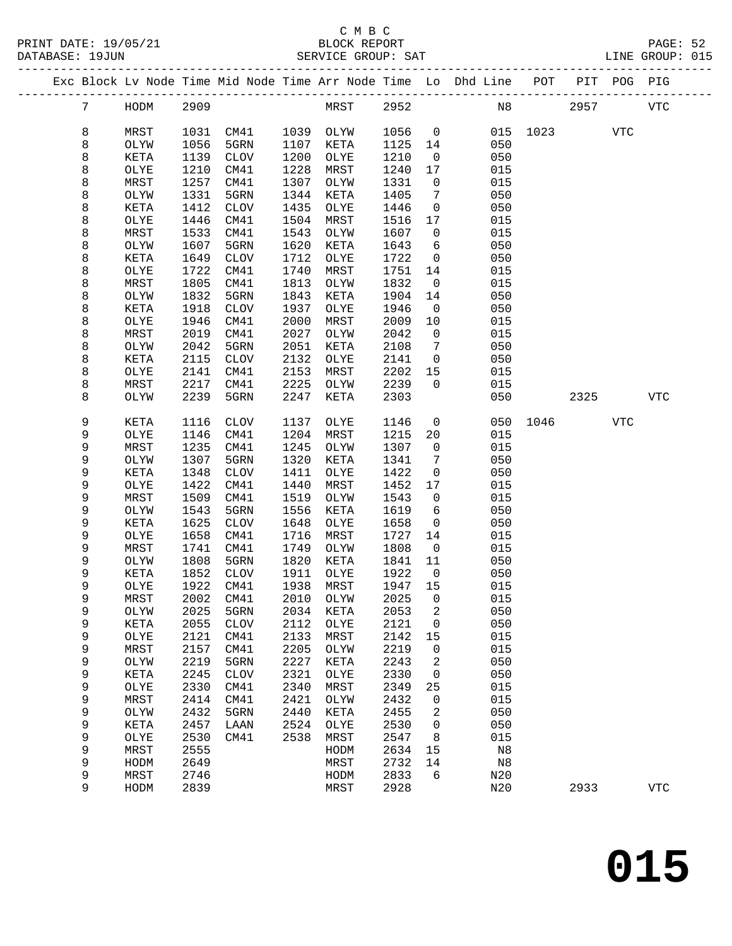|  |                 |              |              |              |              |              |              |                | Exc Block Lv Node Time Mid Node Time Arr Node Time Lo Dhd Line POT PIT POG PIG |                            |      |            |            |
|--|-----------------|--------------|--------------|--------------|--------------|--------------|--------------|----------------|--------------------------------------------------------------------------------|----------------------------|------|------------|------------|
|  | $7\overline{ }$ | HODM         | 2909         |              |              | MRST 2952    |              |                |                                                                                | N8 and the state of $\sim$ | 2957 |            | VTC        |
|  | 8               | MRST         | 1031         | CM41         |              | 1039 OLYW    | 1056         | $\overline{0}$ | 015                                                                            | 1023                       |      | <b>VTC</b> |            |
|  | 8               | OLYW         | 1056         | 5GRN         | 1107         | KETA         | 1125         | 14             | 050                                                                            |                            |      |            |            |
|  | 8               | KETA         | 1139         | CLOV         | 1200         | OLYE         | 1210         | $\overline{0}$ | 050                                                                            |                            |      |            |            |
|  | 8               | OLYE         | 1210         | CM41         | 1228         | MRST         | 1240         | 17             | 015                                                                            |                            |      |            |            |
|  | 8               | MRST         | 1257         | CM41         | 1307         | OLYW         | 1331         | $\overline{0}$ | 015                                                                            |                            |      |            |            |
|  | 8               | OLYW         | 1331         | 5GRN         | 1344         | KETA         | 1405         | 7              | 050                                                                            |                            |      |            |            |
|  | 8               | KETA         | 1412         | CLOV         | 1435         | OLYE         | 1446         | $\overline{0}$ | 050                                                                            |                            |      |            |            |
|  | 8               | OLYE         | 1446         | CM41         | 1504         | MRST         | 1516         | 17             | 015                                                                            |                            |      |            |            |
|  | 8               | MRST         | 1533         | CM41         | 1543         | OLYW         | 1607         | $\overline{0}$ | 015                                                                            |                            |      |            |            |
|  | 8               | OLYW         | 1607         | 5GRN         | 1620         | KETA         | 1643         | 6              | 050                                                                            |                            |      |            |            |
|  | 8               | KETA         | 1649         | CLOV         | 1712         | OLYE         | 1722         | $\overline{0}$ | 050                                                                            |                            |      |            |            |
|  | 8               | OLYE         | 1722         | CM41         | 1740         | MRST         | 1751         | 14             | 015                                                                            |                            |      |            |            |
|  | 8               | MRST         | 1805         | CM41         | 1813         | OLYW         | 1832         | $\overline{0}$ | 015                                                                            |                            |      |            |            |
|  | 8               | OLYW         | 1832         | 5GRN         | 1843         | KETA         | 1904         | 14             | 050                                                                            |                            |      |            |            |
|  | 8               | KETA         | 1918         | CLOV         | 1937         | OLYE         | 1946         | $\overline{0}$ | 050                                                                            |                            |      |            |            |
|  | 8               | OLYE         | 1946         | CM41         | 2000         | MRST         | 2009         | 10             | 015                                                                            |                            |      |            |            |
|  | 8               | MRST         | 2019         | CM41         | 2027         | OLYW         | 2042         | $\overline{0}$ | 015                                                                            |                            |      |            |            |
|  | 8               | OLYW         | 2042         | 5GRN         | 2051         | KETA         | 2108         | 7              | 050                                                                            |                            |      |            |            |
|  | 8               | KETA         | 2115         | CLOV         | 2132         | OLYE         | 2141         | $\overline{0}$ | 050                                                                            |                            |      |            |            |
|  | 8               | OLYE         | 2141         | CM41         | 2153         | MRST         | 2202         | 15             | 015                                                                            |                            |      |            |            |
|  | 8               | MRST         | 2217         | CM41         | 2225         | OLYW         | 2239         | $\Omega$       | 015                                                                            |                            |      |            |            |
|  | 8               | OLYW         | 2239         | 5GRN         | 2247         | KETA         | 2303         |                | 050                                                                            |                            | 2325 |            | <b>VTC</b> |
|  | 9               | KETA         | 1116         | CLOV         | 1137         | OLYE         | 1146         | $\overline{0}$ |                                                                                | 050 1046                   |      | VTC        |            |
|  | 9               | OLYE         | 1146         | CM41         | 1204         | MRST         | 1215         | 20             | 015                                                                            |                            |      |            |            |
|  | 9               | MRST         | 1235         | CM41         | 1245         | OLYW         | 1307         | $\overline{0}$ | 015                                                                            |                            |      |            |            |
|  | 9               | OLYW         | 1307         | 5GRN         | 1320         | KETA         | 1341         | 7              | 050                                                                            |                            |      |            |            |
|  | 9               | KETA         | 1348         | CLOV         | 1411         | OLYE         | 1422         | $\mathbf 0$    | 050                                                                            |                            |      |            |            |
|  | 9               | OLYE         | 1422         | CM41         | 1440         | MRST         | 1452         | 17             | 015                                                                            |                            |      |            |            |
|  | 9               | MRST         | 1509         | CM41         | 1519         | OLYW         | 1543         | $\overline{0}$ | 015                                                                            |                            |      |            |            |
|  | 9               | OLYW         | 1543         | 5GRN         | 1556         | KETA         | 1619         | 6              | 050                                                                            |                            |      |            |            |
|  | 9               | KETA         | 1625         | CLOV         | 1648         | OLYE         | 1658         | $\overline{0}$ | 050                                                                            |                            |      |            |            |
|  | 9               | OLYE         | 1658         | CM41         | 1716         | MRST         | 1727         | 14             | 015                                                                            |                            |      |            |            |
|  | 9               | MRST         | 1741         | CM41         | 1749         | OLYW         | 1808         | $\overline{0}$ | 015                                                                            |                            |      |            |            |
|  | 9               | OLYW         | 1808         | 5GRN         | 1820         | KETA         | 1841         | 11             | 050                                                                            |                            |      |            |            |
|  | 9               | KETA         | 1852         | CLOV<br>CM41 | 1911         | OLYE         | 1922         | $\overline{0}$ | 050                                                                            |                            |      |            |            |
|  | 9               | OLYE         | 1922         | 2002 CM41    | 1938         | MRST         | 1947 15      |                | 015                                                                            |                            |      |            |            |
|  | 9               | MRST         |              | 5GRN         |              | 2010 OLYW    | 2025 0       |                | 015<br>050                                                                     |                            |      |            |            |
|  | 9<br>9          | OLYW         | 2025<br>2055 |              | 2034<br>2112 | KETA<br>OLYE | 2053<br>2121 | 2<br>0         | 050                                                                            |                            |      |            |            |
|  | 9               | KETA<br>OLYE | 2121         | CLOV<br>CM41 | 2133         | MRST         | 2142         | 15             | 015                                                                            |                            |      |            |            |
|  | 9               | MRST         | 2157         | CM41         | 2205         | OLYW         | 2219         | 0              | 015                                                                            |                            |      |            |            |
|  | 9               | OLYW         | 2219         | 5GRN         | 2227         | KETA         | 2243         | 2              | 050                                                                            |                            |      |            |            |
|  | 9               | KETA         | 2245         | <b>CLOV</b>  | 2321         | OLYE         | 2330         | 0              | 050                                                                            |                            |      |            |            |
|  | 9               | OLYE         | 2330         | CM41         | 2340         | MRST         | 2349         | 25             | 015                                                                            |                            |      |            |            |
|  | 9               | MRST         | 2414         | CM41         | 2421         | OLYW         | 2432         | 0              | 015                                                                            |                            |      |            |            |
|  | 9               | OLYW         | 2432         | 5GRN         | 2440         | KETA         | 2455         | 2              | 050                                                                            |                            |      |            |            |
|  | 9               | KETA         | 2457         | LAAN         | 2524         | OLYE         | 2530         | 0              | 050                                                                            |                            |      |            |            |
|  | 9               | OLYE         | 2530         | CM41         | 2538         | MRST         | 2547         | 8              | 015                                                                            |                            |      |            |            |
|  | 9               | MRST         | 2555         |              |              | HODM         | 2634         | 15             | N8                                                                             |                            |      |            |            |
|  | 9               | HODM         | 2649         |              |              | MRST         | 2732         | 14             | N8                                                                             |                            |      |            |            |
|  | 9               | MRST         | 2746         |              |              | HODM         | 2833         | 6              | N20                                                                            |                            |      |            |            |
|  | 9               | HODM         | 2839         |              |              | MRST         | 2928         |                | N20                                                                            |                            | 2933 |            | <b>VTC</b> |
|  |                 |              |              |              |              |              |              |                |                                                                                |                            |      |            |            |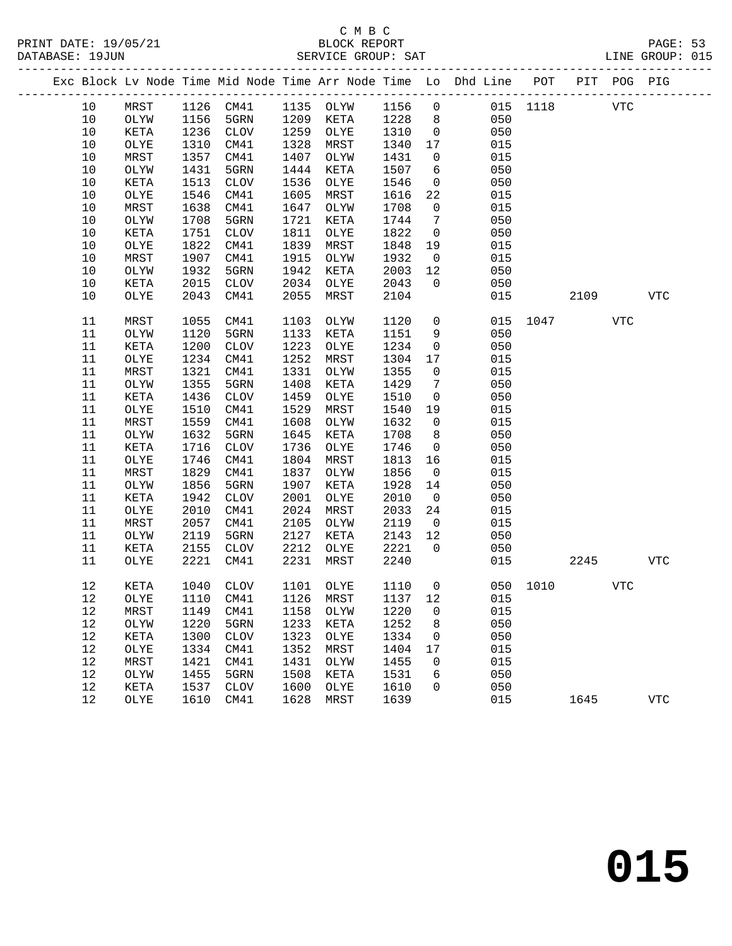|  |        |      |      |                 |      |                             |      |                 | Exc Block Lv Node Time Mid Node Time Arr Node Time Lo Dhd Line POT PIT POG PIG |          |      |            |             |
|--|--------|------|------|-----------------|------|-----------------------------|------|-----------------|--------------------------------------------------------------------------------|----------|------|------------|-------------|
|  | 10     | MRST |      | 1126 CM41       |      | 1135 OLYW                   | 1156 | $\overline{0}$  |                                                                                | 015 1118 |      | <b>VTC</b> |             |
|  | 10     | OLYW | 1156 | 5GRN            |      | 1209 KETA                   | 1228 | 8 <sup>8</sup>  | 050                                                                            |          |      |            |             |
|  | $10$   | KETA | 1236 | CLOV            | 1259 | OLYE                        | 1310 | $\overline{0}$  | 050                                                                            |          |      |            |             |
|  | $10$   | OLYE | 1310 | CM41            | 1328 | MRST                        | 1340 | 17              | 015                                                                            |          |      |            |             |
|  | 10     | MRST | 1357 | CM41            | 1407 | OLYW                        | 1431 | $\mathsf{O}$    | 015                                                                            |          |      |            |             |
|  | $10$   | OLYW | 1431 | 5GRN            | 1444 | KETA                        | 1507 | 6               | 050                                                                            |          |      |            |             |
|  | $10$   | KETA | 1513 | CLOV            | 1536 | OLYE                        | 1546 | $\overline{0}$  | 050                                                                            |          |      |            |             |
|  | $10$   | OLYE | 1546 | CM41            | 1605 | MRST                        | 1616 | 22              | 015                                                                            |          |      |            |             |
|  | $10$   | MRST | 1638 | CM41            | 1647 | OLYW                        | 1708 | $\mathsf{O}$    | 015                                                                            |          |      |            |             |
|  | $10$   | OLYW | 1708 | 5GRN            | 1721 | KETA                        | 1744 | 7               | 050                                                                            |          |      |            |             |
|  | $10$   | KETA | 1751 | <b>CLOV</b>     | 1811 | OLYE                        | 1822 | $\overline{0}$  | 050                                                                            |          |      |            |             |
|  | $10$   | OLYE | 1822 | CM41            | 1839 | MRST                        | 1848 | 19              | 015                                                                            |          |      |            |             |
|  | 10     | MRST | 1907 | CM41            | 1915 | OLYW                        | 1932 | $\overline{0}$  | 015                                                                            |          |      |            |             |
|  | 10     | OLYW | 1932 | 5GRN            | 1942 | KETA                        | 2003 | 12              | 050                                                                            |          |      |            |             |
|  | 10     | KETA | 2015 | CLOV            | 2034 | OLYE                        | 2043 | $\overline{0}$  | 050                                                                            |          |      |            |             |
|  | 10     | OLYE | 2043 | CM41            | 2055 | MRST                        | 2104 |                 | 015                                                                            |          | 2109 |            | <b>VTC</b>  |
|  | 11     | MRST | 1055 | CM41            | 1103 | OLYW                        | 1120 | $\mathsf{O}$    | 015                                                                            | 1047     |      | VTC        |             |
|  | 11     | OLYW | 1120 | 5GRN            | 1133 | KETA                        | 1151 | 9               | 050                                                                            |          |      |            |             |
|  | 11     | KETA | 1200 | $\mathtt{CLOV}$ | 1223 | OLYE                        | 1234 | $\mathsf{O}$    | 050                                                                            |          |      |            |             |
|  | 11     | OLYE | 1234 | CM41            | 1252 | MRST                        | 1304 | 17              | 015                                                                            |          |      |            |             |
|  | 11     | MRST | 1321 | CM41            | 1331 | OLYW                        | 1355 | 0               | 015                                                                            |          |      |            |             |
|  | 11     | OLYW | 1355 | 5GRN            | 1408 | KETA                        | 1429 | $7\phantom{.0}$ | 050                                                                            |          |      |            |             |
|  | 11     | KETA | 1436 | CLOV            | 1459 | OLYE                        | 1510 | $\mathsf{O}$    | 050                                                                            |          |      |            |             |
|  | 11     | OLYE | 1510 | CM41            | 1529 | MRST                        | 1540 | 19              | 015                                                                            |          |      |            |             |
|  | 11     | MRST | 1559 | CM41            | 1608 | OLYW                        | 1632 | $\overline{0}$  | 015                                                                            |          |      |            |             |
|  | 11     | OLYW | 1632 | 5GRN            | 1645 | KETA                        | 1708 | 8               | 050                                                                            |          |      |            |             |
|  | 11     | KETA | 1716 | CLOV            | 1736 | OLYE                        | 1746 | $\overline{0}$  | 050                                                                            |          |      |            |             |
|  | 11     | OLYE | 1746 | CM41            | 1804 | MRST                        | 1813 | 16              | 015                                                                            |          |      |            |             |
|  | 11     | MRST | 1829 | CM41            | 1837 | OLYW                        | 1856 | $\overline{0}$  | 015                                                                            |          |      |            |             |
|  | 11     | OLYW | 1856 | 5GRN            | 1907 | KETA                        | 1928 | 14              | 050                                                                            |          |      |            |             |
|  | 11     | KETA | 1942 | CLOV            | 2001 | OLYE                        | 2010 | $\overline{0}$  | 050                                                                            |          |      |            |             |
|  | 11     | OLYE | 2010 | CM41            | 2024 | MRST                        | 2033 | 24              | 015                                                                            |          |      |            |             |
|  | 11     | MRST | 2057 | CM41            | 2105 | OLYW                        | 2119 | $\overline{0}$  | 015                                                                            |          |      |            |             |
|  | 11     | OLYW | 2119 | 5GRN            | 2127 | KETA                        | 2143 | 12              | 050                                                                            |          |      |            |             |
|  | 11     | KETA | 2155 | CLOV            | 2212 | OLYE                        | 2221 | $\mathbf 0$     | 050                                                                            |          |      |            |             |
|  | 11     | OLYE | 2221 | CM41            | 2231 | MRST                        | 2240 |                 | 015                                                                            |          | 2245 |            | <b>VTC</b>  |
|  | 12     | KETA | 1040 | CLOV            |      | 1101 OLYE                   | 1110 | $\overline{0}$  |                                                                                | 050 1010 |      | <b>VTC</b> |             |
|  | $12\,$ | OLYE |      |                 |      | 1110 CM41 1126 MRST 1137 12 |      |                 | 015                                                                            |          |      |            |             |
|  | 12     | MRST | 1149 | CM41            | 1158 | OLYW                        | 1220 | 0               | 015                                                                            |          |      |            |             |
|  | 12     | OLYW | 1220 | 5GRN            | 1233 | KETA                        | 1252 | 8               | 050                                                                            |          |      |            |             |
|  | 12     | KETA | 1300 | <b>CLOV</b>     | 1323 | OLYE                        | 1334 | 0               | 050                                                                            |          |      |            |             |
|  | 12     | OLYE | 1334 | CM41            | 1352 | MRST                        | 1404 | 17              | 015                                                                            |          |      |            |             |
|  | 12     | MRST | 1421 | CM41            | 1431 | OLYW                        | 1455 | 0               | 015                                                                            |          |      |            |             |
|  | 12     | OLYW | 1455 | 5GRN            | 1508 | KETA                        | 1531 | 6               | 050                                                                            |          |      |            |             |
|  | 12     | KETA | 1537 | <b>CLOV</b>     | 1600 | OLYE                        | 1610 | 0               | 050                                                                            |          |      |            |             |
|  | 12     | OLYE | 1610 | CM41            | 1628 | MRST                        | 1639 |                 | 015                                                                            |          | 1645 |            | ${\tt VTC}$ |
|  |        |      |      |                 |      |                             |      |                 |                                                                                |          |      |            |             |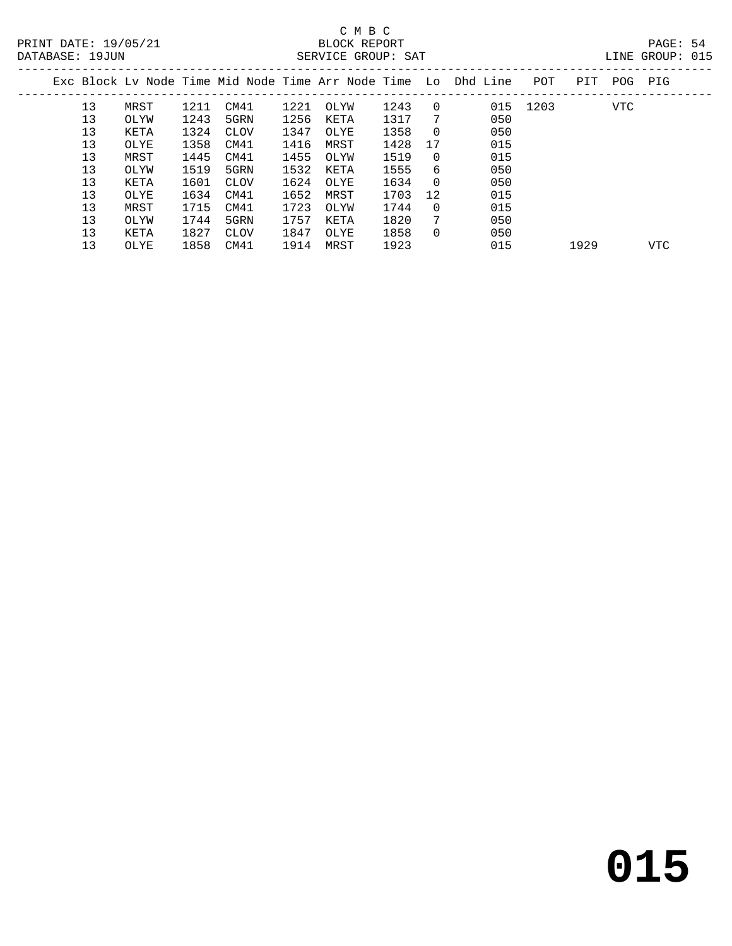|  |    |      |      |      |      | Exc Block Ly Node Time Mid Node Time Arr Node Time Lo Dhd Line |      |          |     | POT  | PIT  | POG | PIG        |  |
|--|----|------|------|------|------|----------------------------------------------------------------|------|----------|-----|------|------|-----|------------|--|
|  | 13 | MRST | 1211 | CM41 | 1221 | OLYW                                                           | 1243 | $\Omega$ | 015 | 1203 |      | VTC |            |  |
|  | 13 | OLYW | 1243 | 5GRN | 1256 | KETA                                                           | 1317 | 7        | 050 |      |      |     |            |  |
|  | 13 | KETA | 1324 | CLOV | 1347 | OLYE                                                           | 1358 | $\Omega$ | 050 |      |      |     |            |  |
|  | 13 | OLYE | 1358 | CM41 | 1416 | MRST                                                           | 1428 | 17       | 015 |      |      |     |            |  |
|  | 13 | MRST | 1445 | CM41 | 1455 | OLYW                                                           | 1519 | $\Omega$ | 015 |      |      |     |            |  |
|  | 13 | OLYW | 1519 | 5GRN | 1532 | KETA                                                           | 1555 | 6        | 050 |      |      |     |            |  |
|  | 13 | KETA | 1601 | CLOV | 1624 | OLYE                                                           | 1634 | $\Omega$ | 050 |      |      |     |            |  |
|  | 13 | OLYE | 1634 | CM41 | 1652 | MRST                                                           | 1703 | 12       | 015 |      |      |     |            |  |
|  | 13 | MRST | 1715 | CM41 | 1723 | OLYW                                                           | 1744 | $\Omega$ | 015 |      |      |     |            |  |
|  | 13 | OLYW | 1744 | 5GRN | 1757 | KETA                                                           | 1820 | 7        | 050 |      |      |     |            |  |
|  | 13 | KETA | 1827 | CLOV | 1847 | OLYE                                                           | 1858 | $\Omega$ | 050 |      |      |     |            |  |
|  | 13 | OLYE | 1858 | CM41 | 1914 | MRST                                                           | 1923 |          | 015 |      | 1929 |     | <b>VTC</b> |  |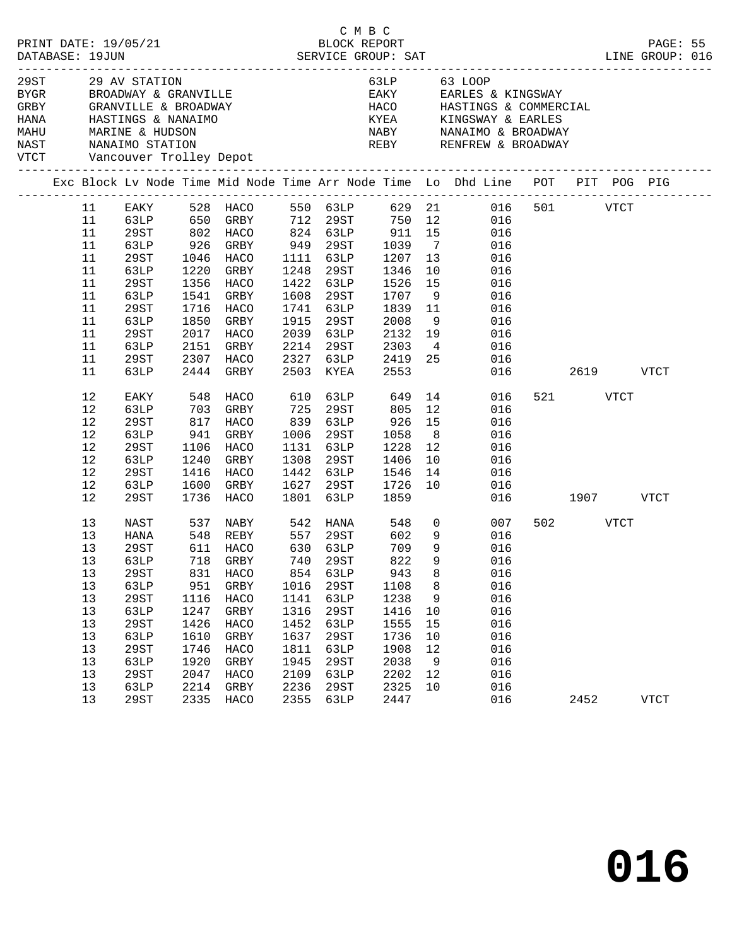| 29ST 29 AV STATION           |      |             |      | BYGR BROADWAY & GRANVILLE  |      |                       |              |                | 63LP 63 LOOP<br>EAKY EARLES & KINGSWAY                                                                      |               |      |          |             |  |
|------------------------------|------|-------------|------|----------------------------|------|-----------------------|--------------|----------------|-------------------------------------------------------------------------------------------------------------|---------------|------|----------|-------------|--|
|                              |      |             |      |                            |      |                       |              |                |                                                                                                             |               |      |          |             |  |
|                              |      |             |      | NAST NANAIMO STATION       |      |                       |              |                | REBY RENFREW & BROADWAY                                                                                     |               |      |          |             |  |
| VTCT Vancouver Trolley Depot |      |             |      |                            |      |                       |              |                |                                                                                                             |               |      |          |             |  |
|                              |      |             |      |                            |      |                       |              |                | Exc Block Lv Node Time Mid Node Time Arr Node Time Lo Dhd Line POT PIT POG PIG                              |               |      |          |             |  |
|                              | 11   |             |      |                            |      |                       |              |                | EAKY 528 HACO 550 63LP 629 21 016 501 VTCT                                                                  |               |      |          |             |  |
|                              | 11   |             |      |                            |      |                       |              |                | 63LP 650 GRBY 712 29ST 750 12 016<br>29ST 802 HACO 824 63LP 911 15 016<br>63LP 926 GRBY 949 29ST 1039 7 016 |               |      |          |             |  |
|                              | 11   |             |      |                            |      |                       |              |                |                                                                                                             |               |      |          |             |  |
|                              | 11   |             |      | 926 GRBY 949 29ST          |      |                       |              |                |                                                                                                             |               |      |          |             |  |
|                              | 11   | 29ST        |      | 1046 HACO                  |      | 1111 63LP             | 1207         | 13             | 016                                                                                                         |               |      |          |             |  |
|                              | 11   | 63LP        |      | 1220 GRBY                  |      | 1248 29ST             | 1346<br>1526 |                | 10<br>016                                                                                                   |               |      |          |             |  |
|                              | 11   | 29ST        |      | 1356 HACO                  |      | 1422 63LP             |              | 15             | 016                                                                                                         |               |      |          |             |  |
|                              | 11   | 63LP        |      | 1541 GRBY                  |      | 1608 29ST             | 1707         | 9              | 016                                                                                                         |               |      |          |             |  |
|                              | 11   | 29ST        |      | 1716 HACO                  |      | 1741 63LP             | 1839 11      |                | 016                                                                                                         |               |      |          |             |  |
|                              | 11   | 63LP        | 1850 | GRBY                       |      | 1915 29ST             | 2008         | 9              | 016                                                                                                         |               |      |          |             |  |
|                              | 11   | 29ST        |      | 2017 HACO                  |      | 2039 63LP             | 2132         | 19             | 016                                                                                                         |               |      |          |             |  |
|                              | 11   | 63LP        |      | 2151 GRBY                  |      | 2214 29ST             | 2303         |                | $4\overline{ }$<br>016                                                                                      |               |      |          |             |  |
|                              | 11   | 29ST        |      | 2307 HACO                  |      | 2327 63LP             | 2419 25      |                | 016                                                                                                         |               |      |          |             |  |
|                              | 11   | 63LP        |      | 2444 GRBY                  |      | 2503 KYEA             | 2553         |                |                                                                                                             | 016 01        |      | 2619     | <b>VTCT</b> |  |
|                              | 12   | EAKY        |      | 548 HACO                   |      | 610 63LP 649 14       |              |                | 016                                                                                                         |               |      | 521 VTCT |             |  |
|                              | 12   | 63LP        |      | 703 GRBY                   | 725  | 29ST                  | 805          |                | 12<br>016                                                                                                   |               |      |          |             |  |
|                              | 12   | 29ST        | 817  | HACO                       | 839  | 63LP                  | 926          | 15             | 016                                                                                                         |               |      |          |             |  |
|                              | $12$ | 63LP        | 941  | GRBY                       | 1006 | 29ST                  | 1058         | 8 <sup>8</sup> | 016                                                                                                         |               |      |          |             |  |
|                              | 12   | 29ST        |      | 1106 HACO                  |      | 1131 63LP             | 1228         | 12             | 016                                                                                                         |               |      |          |             |  |
|                              | $12$ | 63LP        |      | 1240 GRBY                  | 1308 | 29ST                  | 1406         | 10             | 016                                                                                                         |               |      |          |             |  |
|                              | $12$ | 29ST        |      | 1416 HACO                  |      | 1442 63LP             | 1546         | 14             | 016                                                                                                         |               |      |          |             |  |
|                              | 12   | 63LP        |      | 1600 GRBY                  |      | 1627 29ST             | 1726         | 10             | 016                                                                                                         |               |      |          |             |  |
|                              | 12   | 29ST        |      | 1736 HACO                  | 1801 | 63LP                  | 1859         |                |                                                                                                             | 016 1907 VTCT |      |          |             |  |
|                              | 13   | NAST        |      | 537 NABY 542 HANA 548 0    |      |                       |              |                | 007                                                                                                         |               |      | 502 VTCT |             |  |
|                              | 13   | HANA        |      | 548    REBY<br>611    HACO |      | 557 29ST<br>630 631.P | 602<br>709   | 9              | 016                                                                                                         |               |      |          |             |  |
|                              | 13   | 29ST        |      |                            |      | 630 63LP              | 709          | 9              | 016                                                                                                         |               |      |          |             |  |
|                              | 13   |             |      | 63LP 718 GRBY 740 29ST     |      |                       | 822          |                | 9 016                                                                                                       |               |      |          |             |  |
|                              | 13   | 29ST        | 831  | HACO                       | 854  | 63LP                  | 943          | 8              | 016                                                                                                         |               |      |          |             |  |
|                              | 13   | 63LP        | 951  | GRBY                       | 1016 | 29ST                  | 1108         | 8              | 016                                                                                                         |               |      |          |             |  |
|                              | 13   | <b>29ST</b> | 1116 | HACO                       | 1141 | 63LP                  | 1238         | 9              | 016                                                                                                         |               |      |          |             |  |
|                              | 13   | 63LP        | 1247 | GRBY                       | 1316 | 29ST                  | 1416         | 10             | 016                                                                                                         |               |      |          |             |  |
|                              | 13   | <b>29ST</b> | 1426 | HACO                       | 1452 | 63LP                  | 1555         | 15             | 016                                                                                                         |               |      |          |             |  |
|                              | 13   | 63LP        | 1610 | ${\tt GRBY}$               | 1637 | 29ST                  | 1736         | 10             | 016                                                                                                         |               |      |          |             |  |
|                              | 13   | 29ST        | 1746 | HACO                       | 1811 | 63LP                  | 1908         | 12             | 016                                                                                                         |               |      |          |             |  |
|                              | 13   | 63LP        | 1920 | GRBY                       | 1945 | 29ST                  | 2038         | 9              | 016                                                                                                         |               |      |          |             |  |
|                              | 13   | 29ST        | 2047 | <b>HACO</b>                | 2109 | 63LP                  | 2202         | 12             | 016                                                                                                         |               |      |          |             |  |
|                              | 13   | 63LP        | 2214 | GRBY                       | 2236 | 29ST                  | 2325         | 10             | 016                                                                                                         |               |      |          |             |  |
|                              | 13   | 29ST        | 2335 | HACO                       | 2355 | 63LP                  | 2447         |                | 016                                                                                                         |               | 2452 |          | VTCT        |  |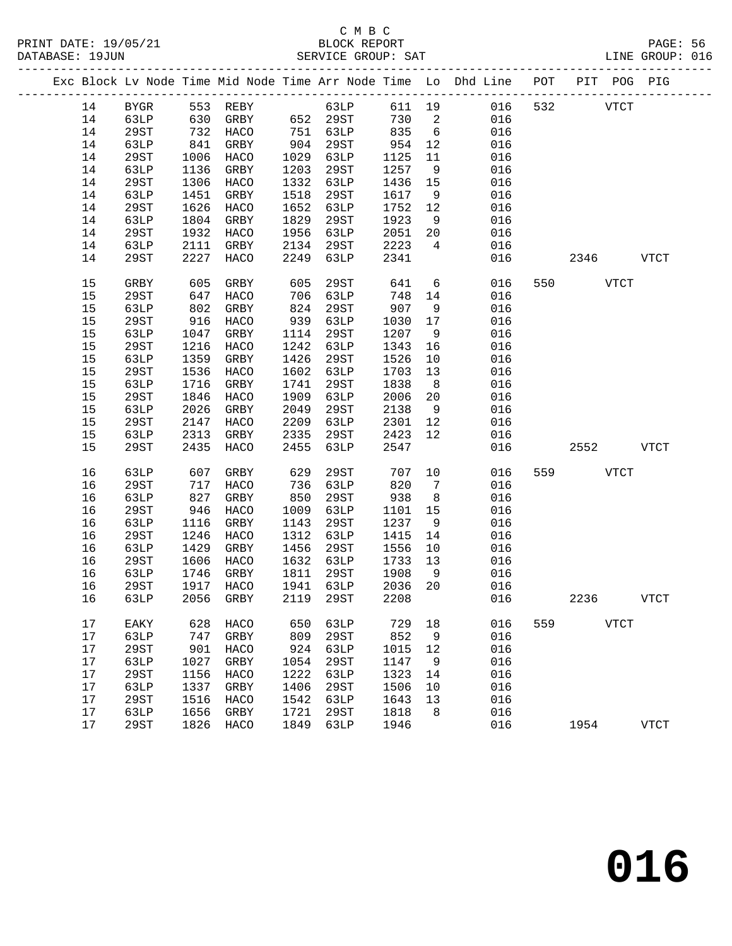|  |    |         |            |                     |      |           |      |                 | Exc Block Lv Node Time Mid Node Time Arr Node Time Lo Dhd Line POT PIT POG PIG |     |          |             |             |
|--|----|---------|------------|---------------------|------|-----------|------|-----------------|--------------------------------------------------------------------------------|-----|----------|-------------|-------------|
|  | 14 | BYGR    |            | 553 REBY 63LP       |      |           |      |                 | 611 19 016                                                                     | 532 |          | <b>VTCT</b> |             |
|  | 14 | 63LP    |            | 630 GRBY 652 29ST   |      |           | 730  | $\overline{2}$  | 016                                                                            |     |          |             |             |
|  | 14 | 29ST    |            | 732 HACO            |      | 751 63LP  | 835  | $6\overline{6}$ | 016                                                                            |     |          |             |             |
|  | 14 | 63LP    | 841        | GRBY                | 904  | 29ST      | 954  | 12              | 016                                                                            |     |          |             |             |
|  | 14 | 29ST    | 1006       | HACO                | 1029 | 63LP      | 1125 | 11              | 016                                                                            |     |          |             |             |
|  | 14 | 63LP    | 1136       | GRBY                | 1203 | 29ST      | 1257 | 9               | 016                                                                            |     |          |             |             |
|  |    | 29ST    | 1306       |                     | 1332 |           | 1436 | 15              | 016                                                                            |     |          |             |             |
|  | 14 |         |            | HACO                |      | 63LP      |      |                 |                                                                                |     |          |             |             |
|  | 14 | 63LP    | 1451       | GRBY                | 1518 | 29ST      | 1617 | 9               | 016                                                                            |     |          |             |             |
|  | 14 | 29ST    | 1626       | HACO                | 1652 | 63LP      | 1752 | 12              | 016                                                                            |     |          |             |             |
|  | 14 | 63LP    | 1804       | GRBY                | 1829 | 29ST      | 1923 | 9               | 016                                                                            |     |          |             |             |
|  | 14 | 29ST    | 1932       | HACO                | 1956 | 63LP      | 2051 | 20              | 016                                                                            |     |          |             |             |
|  | 14 | 63LP    | 2111       | GRBY                | 2134 | 29ST      | 2223 | $\overline{4}$  | 016                                                                            |     |          |             |             |
|  | 14 | 29ST    | 2227       | HACO                | 2249 | 63LP      | 2341 |                 | 016                                                                            |     | 2346     |             | VTCT        |
|  | 15 | GRBY    | 605        | GRBY                | 605  | 29ST      | 641  |                 | $6\overline{6}$<br>016                                                         |     | 550 35   | <b>VTCT</b> |             |
|  | 15 | 29ST    | 647        | HACO                | 706  | 63LP      | 748  | 14              | 016                                                                            |     |          |             |             |
|  | 15 | 63LP    | 802<br>916 | GRBY                | 824  | 29ST      | 907  | 9               | 016                                                                            |     |          |             |             |
|  | 15 | 29ST    |            | HACO                | 939  | 63LP      | 1030 | 17              | 016                                                                            |     |          |             |             |
|  | 15 | 63LP    | 1047       | GRBY                | 1114 | 29ST      | 1207 | 9               | 016                                                                            |     |          |             |             |
|  | 15 | 29ST    | 1216       | HACO                | 1242 | 63LP      | 1343 | 16              | 016                                                                            |     |          |             |             |
|  | 15 | 63LP    | 1359       | GRBY                | 1426 | 29ST      | 1526 | 10              | 016                                                                            |     |          |             |             |
|  | 15 | 29ST    | 1536       | HACO                | 1602 | 63LP      | 1703 | 13              | 016                                                                            |     |          |             |             |
|  | 15 | 63LP    | 1716       | GRBY                | 1741 | 29ST      | 1838 | 8 <sup>8</sup>  | 016                                                                            |     |          |             |             |
|  | 15 | 29ST    | 1846       | HACO                | 1909 | 63LP      | 2006 | 20              | 016                                                                            |     |          |             |             |
|  | 15 | 63LP    | 2026       | GRBY                | 2049 | 29ST      | 2138 | 9               | 016                                                                            |     |          |             |             |
|  | 15 | 29ST    | 2147       | HACO                | 2209 | 63LP      | 2301 | 12              | 016                                                                            |     |          |             |             |
|  | 15 | 63LP    | 2313       | GRBY                | 2335 | 29ST      | 2423 | 12              | 016                                                                            |     |          |             |             |
|  | 15 | 29ST    | 2435       | HACO                | 2455 | 63LP      | 2547 |                 | 016                                                                            |     | 2552     |             | <b>VTCT</b> |
|  |    |         |            |                     |      |           |      |                 |                                                                                |     |          |             |             |
|  | 16 | 63LP    | 607        | GRBY                | 629  | 29ST      | 707  | 10              | 016                                                                            |     | 559 VTCT |             |             |
|  | 16 | 29ST    | 717        | HACO                | 736  | 63LP      | 820  | $\overline{7}$  | 016                                                                            |     |          |             |             |
|  | 16 | 63LP    | 827        | GRBY                | 850  | 29ST      | 938  | 8 <sup>8</sup>  | 016                                                                            |     |          |             |             |
|  | 16 | 29ST    | 946        | HACO                | 1009 | 63LP      | 1101 | 15              | 016                                                                            |     |          |             |             |
|  | 16 | 63LP    | 1116       | GRBY                | 1143 | 29ST      | 1237 | 9               | 016                                                                            |     |          |             |             |
|  | 16 | 29ST    | 1246       | HACO                | 1312 | 63LP      | 1415 | 14              | 016                                                                            |     |          |             |             |
|  | 16 | 63LP    | 1429       | GRBY                | 1456 | 29ST      | 1556 | 10              | 016                                                                            |     |          |             |             |
|  | 16 | 29ST    | 1606       | HACO                | 1632 | 63LP      | 1733 | 13              | 016                                                                            |     |          |             |             |
|  | 16 | 63LP    | 1746       | GRBY                |      | 1811 29ST | 1908 | 9               | 016                                                                            |     |          |             |             |
|  | 16 | 29ST    |            | 1917 HACO           | 1941 | 63LP      | 2036 | 20              | 016                                                                            |     |          |             |             |
|  |    | 16 63LP |            | 2056 GRBY 2119 29ST |      |           |      |                 | 2208 016                                                                       |     | 2236     |             | <b>VTCT</b> |
|  |    |         |            |                     |      |           |      |                 |                                                                                |     |          |             |             |
|  | 17 | EAKY    | 628        | HACO                | 650  | 63LP      | 729  | 18              | 016                                                                            | 559 | VTCT     |             |             |
|  | 17 | 63LP    | 747        | GRBY                | 809  | 29ST      | 852  | 9               | 016                                                                            |     |          |             |             |
|  | 17 | 29ST    | 901        | HACO                | 924  | 63LP      | 1015 | 12              | 016                                                                            |     |          |             |             |
|  | 17 | 63LP    | 1027       | GRBY                | 1054 | 29ST      | 1147 | 9               | 016                                                                            |     |          |             |             |
|  | 17 | 29ST    | 1156       | HACO                | 1222 | 63LP      | 1323 | 14              | 016                                                                            |     |          |             |             |
|  | 17 | 63LP    | 1337       | GRBY                | 1406 | 29ST      | 1506 | 10              | 016                                                                            |     |          |             |             |
|  | 17 | 29ST    | 1516       | HACO                | 1542 | 63LP      | 1643 | 13              | 016                                                                            |     |          |             |             |
|  | 17 | 63LP    | 1656       | GRBY                | 1721 | 29ST      | 1818 | 8               | 016                                                                            |     |          |             |             |
|  | 17 | 29ST    | 1826       | HACO                | 1849 | 63LP      | 1946 |                 | 016                                                                            |     | 1954     |             | <b>VTCT</b> |
|  |    |         |            |                     |      |           |      |                 |                                                                                |     |          |             |             |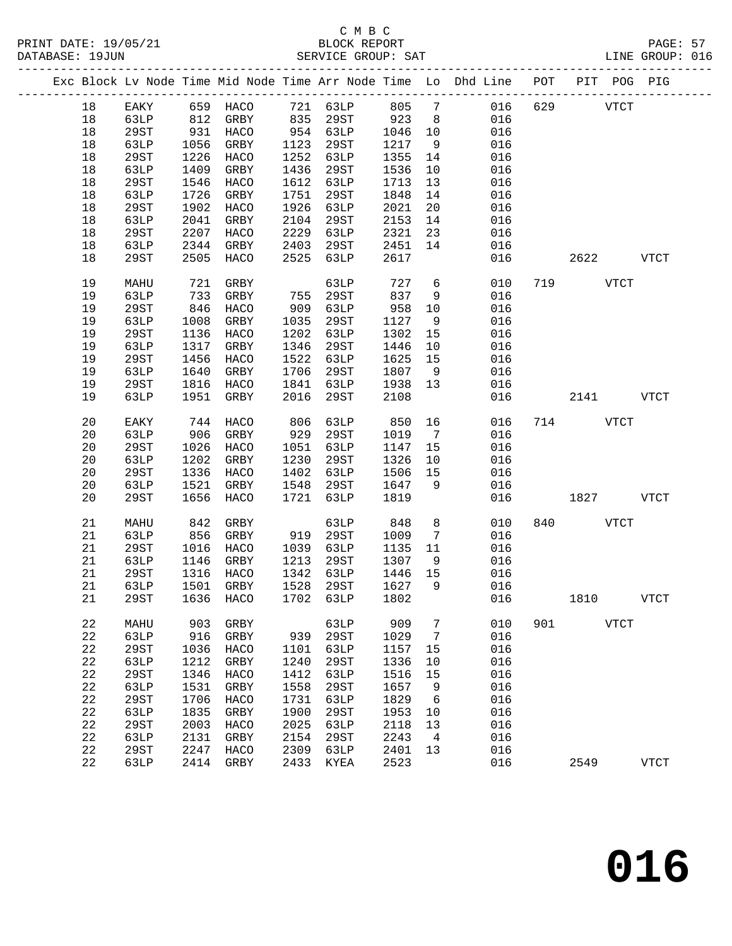|    |      |      |                       |      |          |      |                 | Exc Block Lv Node Time Mid Node Time Arr Node Time Lo Dhd Line POT PIT POG PIG |     |             |             |              |
|----|------|------|-----------------------|------|----------|------|-----------------|--------------------------------------------------------------------------------|-----|-------------|-------------|--------------|
| 18 | EAKY |      | 659 HACO 721 63LP 805 |      |          |      | $7\overline{ }$ | 016                                                                            |     | 629 VTCT    |             |              |
| 18 | 63LP | 812  | GRBY                  | 835  | 29ST     | 923  | 8 <sup>8</sup>  | 016                                                                            |     |             |             |              |
| 18 | 29ST | 931  | HACO                  |      | 954 63LP | 1046 | 10              | 016                                                                            |     |             |             |              |
| 18 | 63LP | 1056 | GRBY                  | 1123 | 29ST     | 1217 | 9               | 016                                                                            |     |             |             |              |
| 18 | 29ST | 1226 | HACO                  | 1252 |          | 1355 | 14              | 016                                                                            |     |             |             |              |
|    |      |      |                       |      | 63LP     |      |                 |                                                                                |     |             |             |              |
| 18 | 63LP | 1409 | GRBY                  | 1436 | 29ST     | 1536 | 10              | 016                                                                            |     |             |             |              |
| 18 | 29ST | 1546 | HACO                  | 1612 | 63LP     | 1713 | 13              | 016                                                                            |     |             |             |              |
| 18 | 63LP | 1726 | GRBY                  | 1751 | 29ST     | 1848 | 14              | 016                                                                            |     |             |             |              |
| 18 | 29ST | 1902 | HACO                  | 1926 | 63LP     | 2021 | 20              | 016                                                                            |     |             |             |              |
| 18 | 63LP | 2041 | GRBY                  | 2104 | 29ST     | 2153 | 14              | 016                                                                            |     |             |             |              |
| 18 | 29ST | 2207 | HACO                  | 2229 | 63LP     | 2321 | 23              | 016                                                                            |     |             |             |              |
| 18 | 63LP | 2344 | GRBY                  | 2403 | 29ST     | 2451 | 14              | 016                                                                            |     |             |             |              |
| 18 | 29ST | 2505 | HACO                  | 2525 | 63LP     | 2617 |                 | 016                                                                            |     | 2622        |             | VTCT         |
|    |      |      |                       |      |          |      |                 |                                                                                |     |             |             |              |
| 19 | MAHU | 721  | GRBY                  |      | 63LP     | 727  | 6               | 010                                                                            |     | 719         | <b>VTCT</b> |              |
| 19 | 63LP | 733  | GRBY                  | 755  | 29ST     | 837  | 9               | 016                                                                            |     |             |             |              |
| 19 | 29ST | 846  | HACO                  | 909  | 63LP     | 958  | 10              | 016                                                                            |     |             |             |              |
| 19 | 63LP | 1008 | GRBY                  | 1035 | 29ST     | 1127 | 9               | 016                                                                            |     |             |             |              |
|    |      |      |                       |      |          |      |                 |                                                                                |     |             |             |              |
| 19 | 29ST | 1136 | HACO                  | 1202 | 63LP     | 1302 | 15              | 016                                                                            |     |             |             |              |
| 19 | 63LP | 1317 | GRBY                  | 1346 | 29ST     | 1446 | 10              | 016                                                                            |     |             |             |              |
| 19 | 29ST | 1456 | HACO                  | 1522 | 63LP     | 1625 | 15              | 016                                                                            |     |             |             |              |
| 19 | 63LP | 1640 | GRBY                  | 1706 | 29ST     | 1807 | 9               | 016                                                                            |     |             |             |              |
| 19 | 29ST | 1816 | HACO                  | 1841 | 63LP     | 1938 | 13              | 016                                                                            |     |             |             |              |
| 19 | 63LP | 1951 | GRBY                  | 2016 | 29ST     | 2108 |                 | 016                                                                            |     | 2141        |             | <b>VTCT</b>  |
|    |      |      |                       |      |          |      |                 |                                                                                |     |             |             |              |
| 20 | EAKY | 744  | HACO                  | 806  | 63LP     | 850  | 16              | 016                                                                            |     | 714 VTCT    |             |              |
| 20 | 63LP | 906  | GRBY                  | 929  | 29ST     | 1019 | $\overline{7}$  | 016                                                                            |     |             |             |              |
| 20 | 29ST | 1026 | HACO                  | 1051 | 63LP     | 1147 | 15              | 016                                                                            |     |             |             |              |
| 20 | 63LP | 1202 | GRBY                  | 1230 | 29ST     | 1326 | 10              | 016                                                                            |     |             |             |              |
| 20 | 29ST | 1336 | HACO                  | 1402 | 63LP     | 1506 | 15              | 016                                                                            |     |             |             |              |
| 20 | 63LP | 1521 | GRBY                  | 1548 | 29ST     | 1647 | 9               | 016                                                                            |     |             |             |              |
| 20 | 29ST | 1656 | HACO                  | 1721 | 63LP     | 1819 |                 | 016                                                                            |     | 1827        |             | <b>VTCT</b>  |
|    |      |      |                       |      |          |      |                 |                                                                                |     |             |             |              |
| 21 | MAHU | 842  | GRBY                  |      | 63LP     | 848  | 8               | 010                                                                            |     | 840 VTCT    |             |              |
| 21 | 63LP | 856  | GRBY                  |      | 919 29ST | 1009 | $7\overline{ }$ | 016                                                                            |     |             |             |              |
| 21 | 29ST | 1016 | HACO                  | 1039 | 63LP     | 1135 | 11              | 016                                                                            |     |             |             |              |
| 21 | 63LP | 1146 | GRBY                  | 1213 | 29ST     | 1307 | 9               | 016                                                                            |     |             |             |              |
| 21 | 29ST | 1316 | HACO                  | 1342 | 63LP     | 1446 | 15              | 016                                                                            |     |             |             |              |
| 21 | 63LP |      | 1501 GRBY             | 1528 | 29ST     | 1627 | $\overline{9}$  | 016                                                                            |     |             |             |              |
| 21 | 29ST |      |                       |      |          |      |                 | 1636 HACO 1702 63LP 1802 016                                                   |     | 1810        |             | <b>VTCT</b>  |
|    |      |      |                       |      |          |      |                 |                                                                                |     |             |             |              |
| 22 | MAHU | 903  | GRBY                  |      | 63LP     | 909  | 7               | 010                                                                            | 901 | <b>VTCT</b> |             |              |
| 22 | 63LP | 916  | GRBY                  | 939  | 29ST     | 1029 | 7               | 016                                                                            |     |             |             |              |
| 22 | 29ST | 1036 | HACO                  | 1101 | 63LP     | 1157 | 15              | 016                                                                            |     |             |             |              |
|    |      |      |                       |      |          |      |                 |                                                                                |     |             |             |              |
| 22 | 63LP | 1212 | GRBY                  | 1240 | 29ST     | 1336 | 10              | 016                                                                            |     |             |             |              |
| 22 | 29ST | 1346 | HACO                  | 1412 | 63LP     | 1516 | 15              | 016                                                                            |     |             |             |              |
| 22 | 63LP | 1531 | GRBY                  | 1558 | 29ST     | 1657 | 9               | 016                                                                            |     |             |             |              |
| 22 | 29ST | 1706 | HACO                  | 1731 | 63LP     | 1829 | 6               | 016                                                                            |     |             |             |              |
| 22 | 63LP | 1835 | GRBY                  | 1900 | 29ST     | 1953 | 10              | 016                                                                            |     |             |             |              |
| 22 | 29ST | 2003 | HACO                  | 2025 | 63LP     | 2118 | 13              | 016                                                                            |     |             |             |              |
| 22 | 63LP | 2131 | GRBY                  | 2154 | 29ST     | 2243 | $\overline{4}$  | 016                                                                            |     |             |             |              |
| 22 | 29ST | 2247 | HACO                  | 2309 | 63LP     | 2401 | 13              | 016                                                                            |     |             |             |              |
| 22 | 63LP | 2414 | GRBY                  | 2433 | KYEA     | 2523 |                 | 016                                                                            |     | 2549        |             | ${\tt VTCT}$ |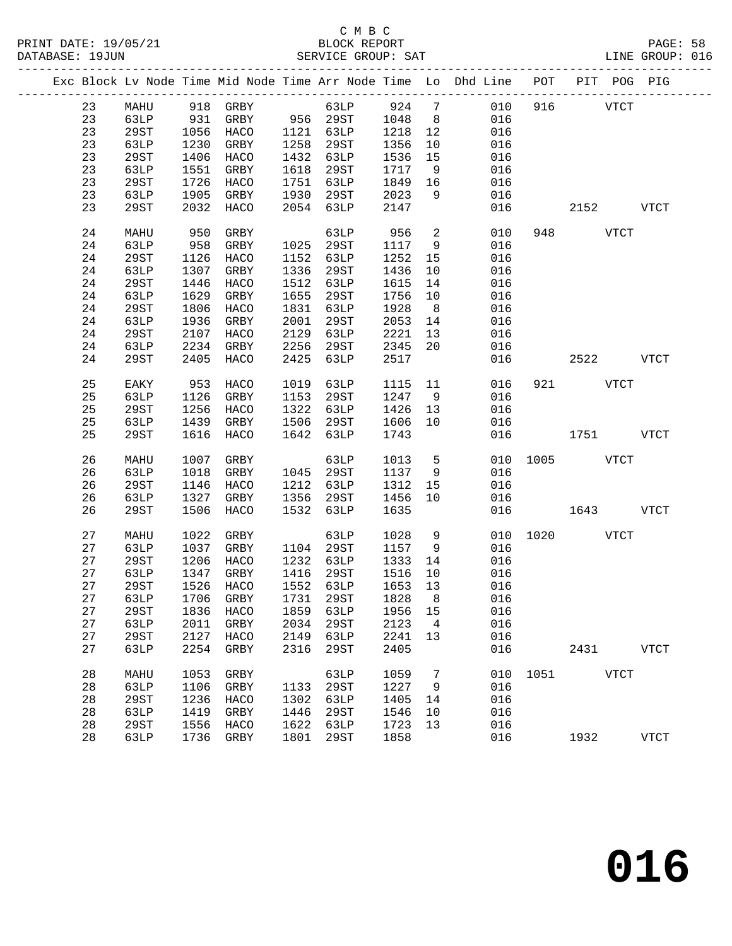|  |    |      |      |                          |      |           |      |                | Exc Block Lv Node Time Mid Node Time Arr Node Time Lo Dhd Line POT PIT POG PIG |               |           |             |
|--|----|------|------|--------------------------|------|-----------|------|----------------|--------------------------------------------------------------------------------|---------------|-----------|-------------|
|  | 23 |      |      | MAHU 918 GRBY 63LP 924 7 |      |           |      |                | 010 916 VTCT                                                                   |               |           |             |
|  | 23 | 63LP |      | 931 GRBY 956 29ST        |      |           | 1048 | 8 <sup>8</sup> | 016                                                                            |               |           |             |
|  | 23 | 29ST | 1056 | HACO 1121 63LP           |      |           | 1218 | 12             | 016                                                                            |               |           |             |
|  | 23 | 63LP | 1230 | GRBY                     |      | 1258 29ST | 1356 | 10             | 016                                                                            |               |           |             |
|  | 23 | 29ST | 1406 | HACO                     |      | 1432 63LP | 1536 | 15             | 016                                                                            |               |           |             |
|  | 23 | 63LP | 1551 | GRBY                     |      | 1618 29ST | 1717 | 9              | 016                                                                            |               |           |             |
|  | 23 | 29ST | 1726 | HACO                     |      | 1751 63LP | 1849 | 16             | 016                                                                            |               |           |             |
|  | 23 | 63LP | 1905 | GRBY                     |      | 1930 29ST | 2023 | 9              | 016                                                                            |               |           |             |
|  | 23 | 29ST | 2032 | HACO                     |      | 2054 63LP | 2147 |                | 016                                                                            |               | 2152      | VTCT        |
|  |    |      |      |                          |      |           |      |                |                                                                                |               |           |             |
|  | 24 | MAHU | 950  | GRBY                     |      | 63LP      | 956  | $\overline{a}$ | 010                                                                            |               | 948 VTCT  |             |
|  | 24 | 63LP | 958  | GRBY                     |      | 1025 29ST | 1117 | 9              | 016                                                                            |               |           |             |
|  | 24 | 29ST | 1126 | HACO                     |      | 1152 63LP | 1252 | 15             | 016                                                                            |               |           |             |
|  | 24 | 63LP | 1307 | GRBY                     | 1336 | 29ST      | 1436 | 10             | 016                                                                            |               |           |             |
|  | 24 | 29ST | 1446 | HACO                     |      | 1512 63LP | 1615 | 14             | 016                                                                            |               |           |             |
|  | 24 | 63LP | 1629 | GRBY                     |      | 1655 29ST | 1756 | 10             | 016                                                                            |               |           |             |
|  | 24 | 29ST | 1806 | HACO                     |      | 1831 63LP | 1928 | 8 <sup>8</sup> | 016                                                                            |               |           |             |
|  | 24 | 63LP | 1936 | GRBY                     | 2001 | 29ST      | 2053 | 14             | 016                                                                            |               |           |             |
|  | 24 | 29ST | 2107 | HACO                     | 2129 | 63LP      | 2221 | 13             | 016                                                                            |               |           |             |
|  | 24 | 63LP | 2234 | GRBY                     | 2256 | 29ST      | 2345 | 20             | 016                                                                            |               |           |             |
|  | 24 | 29ST | 2405 | HACO                     | 2425 | 63LP      | 2517 |                | 016                                                                            | 2522 VTCT     |           |             |
|  | 25 | EAKY | 953  | HACO                     | 1019 | 63LP      | 1115 | 11             | 016                                                                            |               | 921 VTCT  |             |
|  | 25 | 63LP | 1126 | GRBY                     |      | 1153 29ST | 1247 | 9              | 016                                                                            |               |           |             |
|  | 25 | 29ST | 1256 | HACO                     |      | 1322 63LP | 1426 | 13             | 016                                                                            |               |           |             |
|  | 25 | 63LP |      | 1439 GRBY                |      | 1506 29ST | 1606 | 10             | 016                                                                            |               |           |             |
|  | 25 | 29ST | 1616 | HACO                     |      | 1642 63LP | 1743 |                | 016                                                                            |               | 1751 VTCT |             |
|  |    |      |      |                          |      |           |      |                |                                                                                |               |           |             |
|  | 26 | MAHU | 1007 | GRBY                     |      | 63LP      | 1013 | $5^{\circ}$    |                                                                                | 010 1005 VTCT |           |             |
|  | 26 | 63LP | 1018 | GRBY                     |      | 1045 29ST | 1137 | 9              | 016                                                                            |               |           |             |
|  | 26 | 29ST | 1146 | HACO                     |      | 1212 63LP | 1312 | 15             | 016                                                                            |               |           |             |
|  | 26 | 63LP | 1327 | GRBY                     | 1356 | 29ST      | 1456 | 10             | 016                                                                            |               |           |             |
|  | 26 | 29ST | 1506 | HACO                     | 1532 | 63LP      | 1635 |                |                                                                                | 016 01        | 1643      | VTCT        |
|  | 27 | MAHU | 1022 | GRBY                     |      | 63LP      | 1028 | 9              |                                                                                | 010 1020 VTCT |           |             |
|  | 27 | 63LP | 1037 | GRBY                     |      | 1104 29ST | 1157 | 9              | 016                                                                            |               |           |             |
|  | 27 | 29ST | 1206 | HACO                     |      | 1232 63LP | 1333 | 14             | 016                                                                            |               |           |             |
|  | 27 | 63LP | 1347 | GRBY                     |      | 1416 29ST | 1516 | 10             | 016                                                                            |               |           |             |
|  | 27 | 29ST |      | 1526 HACO                |      | 1552 63LP | 1653 | 13             | 016                                                                            |               |           |             |
|  |    |      |      |                          |      |           |      |                | 27 63LP 1706 GRBY 1731 29ST 1828 8 016                                         |               |           |             |
|  | 27 | 29ST | 1836 | HACO                     | 1859 | 63LP      | 1956 | 15             | 016                                                                            |               |           |             |
|  | 27 | 63LP | 2011 | GRBY                     | 2034 | 29ST      | 2123 | $\overline{4}$ | 016                                                                            |               |           |             |
|  | 27 | 29ST | 2127 | HACO                     | 2149 | 63LP      | 2241 | 13             | 016                                                                            |               |           |             |
|  | 27 | 63LP | 2254 | GRBY                     | 2316 | 29ST      | 2405 |                | 016                                                                            |               | 2431      | <b>VTCT</b> |
|  |    |      |      |                          |      |           |      |                |                                                                                |               |           |             |
|  | 28 | MAHU | 1053 | GRBY                     |      | 63LP      | 1059 | $\overline{7}$ | 010                                                                            |               | 1051 VTCT |             |
|  | 28 | 63LP | 1106 | GRBY                     | 1133 | 29ST      | 1227 | $\overline{9}$ | 016                                                                            |               |           |             |
|  | 28 | 29ST | 1236 | HACO                     | 1302 | 63LP      | 1405 | 14             | 016                                                                            |               |           |             |
|  | 28 | 63LP | 1419 | GRBY                     | 1446 | 29ST      | 1546 | 10             | 016                                                                            |               |           |             |
|  | 28 | 29ST | 1556 | HACO                     | 1622 | 63LP      | 1723 | 13             | 016                                                                            |               |           |             |
|  | 28 | 63LP | 1736 | GRBY                     | 1801 | 29ST      | 1858 |                | 016                                                                            |               | 1932      | <b>VTCT</b> |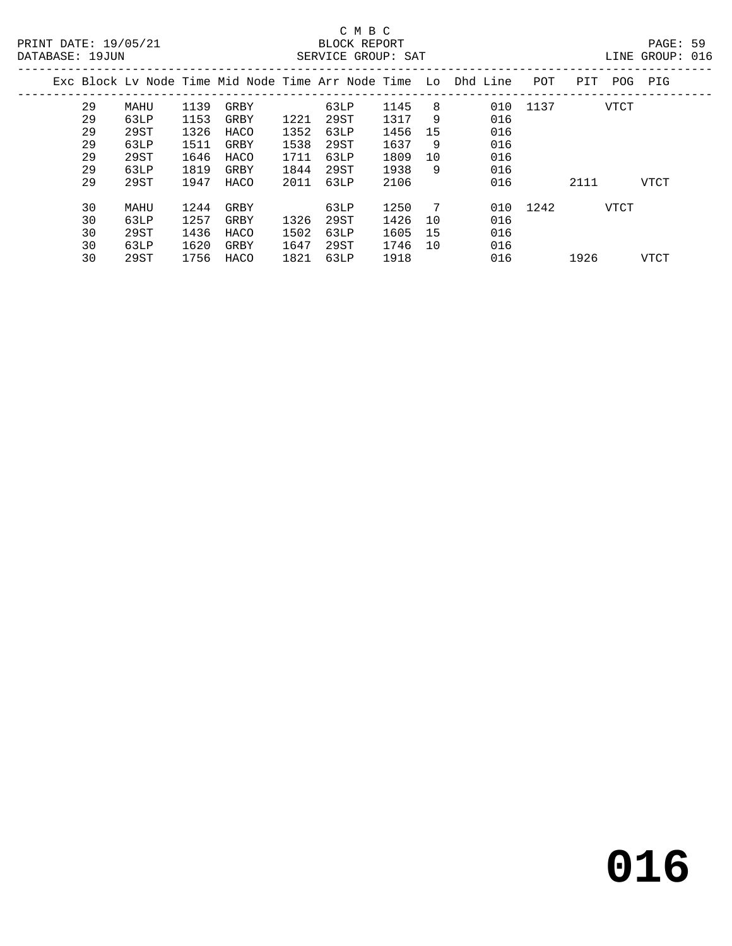## C M B C

| DATABASE: 19JUN |    |      |      |      |      | SERVICE GROUP: SAT |      |    |                                                                |          |      |             | LINE GROUP: 016 |  |
|-----------------|----|------|------|------|------|--------------------|------|----|----------------------------------------------------------------|----------|------|-------------|-----------------|--|
|                 |    |      |      |      |      |                    |      |    | Exc Block Lv Node Time Mid Node Time Arr Node Time Lo Dhd Line | POT      |      | PIT POG PIG |                 |  |
|                 | 29 | MAHU | 1139 | GRBY |      | 63LP               | 1145 | 8  |                                                                | 010 1137 |      | VTCT        |                 |  |
|                 | 29 | 63LP | 1153 | GRBY | 1221 | 29ST               | 1317 | 9  | 016                                                            |          |      |             |                 |  |
|                 | 29 | 29ST | 1326 | HACO | 1352 | 63LP               | 1456 | 15 | 016                                                            |          |      |             |                 |  |
|                 | 29 | 63LP | 1511 | GRBY | 1538 | 29ST               | 1637 | 9  | 016                                                            |          |      |             |                 |  |
|                 | 29 | 29ST | 1646 | HACO | 1711 | 63LP               | 1809 | 10 | 016                                                            |          |      |             |                 |  |
|                 | 29 | 63LP | 1819 | GRBY | 1844 | 29ST               | 1938 | 9  | 016                                                            |          |      |             |                 |  |
|                 | 29 | 29ST | 1947 | HACO | 2011 | 63LP               | 2106 |    | 016                                                            |          | 2111 |             | VTCT            |  |
|                 | 30 | MAHU | 1244 | GRBY |      | 63LP               | 1250 | 7  |                                                                | 010 1242 |      | VTCT        |                 |  |
|                 | 30 | 63LP | 1257 | GRBY | 1326 | 29ST               | 1426 | 10 | 016                                                            |          |      |             |                 |  |
|                 | 30 | 29ST | 1436 | HACO | 1502 | 63LP               | 1605 | 15 | 016                                                            |          |      |             |                 |  |
|                 | 30 | 63LP | 1620 | GRBY | 1647 | 29ST               | 1746 | 10 | 016                                                            |          |      |             |                 |  |
|                 | 30 | 29ST | 1756 | HACO | 1821 | 63LP               | 1918 |    | 016                                                            |          | 1926 |             | <b>VTCT</b>     |  |
|                 |    |      |      |      |      |                    |      |    |                                                                |          |      |             |                 |  |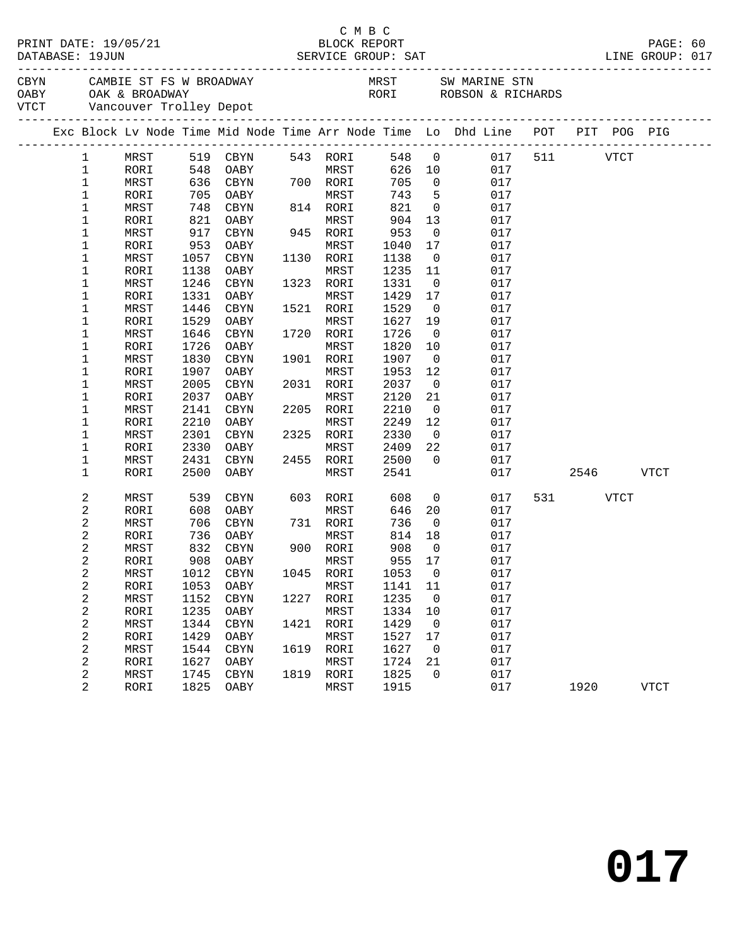|                            |              |              |                                      |      |                   |              |                          | CBYN CAMBIE ST FS W BROADWAY MRST SW MARINE STN OABY OAK & BROADWAY RORI ROBSON & RICHARDS VTCT Vancouver Trolley Depot |              |          |             |  |
|----------------------------|--------------|--------------|--------------------------------------|------|-------------------|--------------|--------------------------|-------------------------------------------------------------------------------------------------------------------------|--------------|----------|-------------|--|
|                            |              |              |                                      |      |                   |              |                          | Exc Block Lv Node Time Mid Node Time Arr Node Time Lo Dhd Line POT PIT POG PIG                                          |              |          |             |  |
| $\mathbf{1}$               |              |              | MRST 519 CBYN                        |      | 543 RORI          |              |                          | 548 0                                                                                                                   | 017 511 VTCT |          |             |  |
| $\mathbf{1}$               | RORI         |              |                                      |      | <b>MRST</b>       |              |                          | 626 10<br>017                                                                                                           |              |          |             |  |
| $\mathbf 1$                | MRST         |              | 548 OABY<br>636 CBYN 700<br>535 SABY |      | 700 RORI          | 705          | $\overline{0}$           | 017                                                                                                                     |              |          |             |  |
| $\mathbf 1$                | RORI         |              | 705 OABY                             |      | MRST              | 743          | $5^{\circ}$              | 017                                                                                                                     |              |          |             |  |
| $\mathbf 1$                | MRST         | 748          | CBYN                                 |      | 814 RORI          | 821          | $\overline{0}$           | 017                                                                                                                     |              |          |             |  |
| $\mathbf 1$                | RORI         | 821          | OABY                                 |      | MRST              | 904          | 13                       | 017                                                                                                                     |              |          |             |  |
| 1                          | MRST         | 917          | CBYN                                 |      | 945 RORI          | 953          | $\overline{\mathbf{0}}$  | 017                                                                                                                     |              |          |             |  |
| $\mathbf 1$                | RORI         | 953          | OABY                                 |      | MRST              | 1040         | 17                       | 017                                                                                                                     |              |          |             |  |
| 1                          | MRST         | 1057         | CBYN                                 |      | 1130 RORI         | 1138         | $\overline{\mathbf{0}}$  | 017                                                                                                                     |              |          |             |  |
| 1                          | RORI         | 1138         | OABY                                 |      | MRST              | 1235         | 11                       | 017                                                                                                                     |              |          |             |  |
| 1                          | MRST         | 1246         | CBYN                                 |      | 1323 RORI         | 1331         | $\overline{0}$           | 017                                                                                                                     |              |          |             |  |
| 1                          | RORI         | 1331         | OABY                                 |      | MRST              | 1429         | 17                       | 017                                                                                                                     |              |          |             |  |
| 1                          | MRST         | 1446         | CBYN                                 |      | 1521 RORI         | 1529         | $\overline{0}$           | 017                                                                                                                     |              |          |             |  |
| 1                          | RORI         | 1529         | OABY                                 |      | MRST              | 1627         | 19                       | 017                                                                                                                     |              |          |             |  |
| 1                          | MRST         | 1646         | CBYN                                 |      | 1720 RORI         | 1726         | $\overline{\mathbf{0}}$  | 017                                                                                                                     |              |          |             |  |
| 1                          | RORI         | 1726         | OABY                                 |      | MRST              | 1820         | 10                       | 017                                                                                                                     |              |          |             |  |
| 1                          | MRST         | 1830         | CBYN                                 |      | 1901 RORI         | 1907         | $\overline{0}$           | 017                                                                                                                     |              |          |             |  |
| 1                          | RORI         | 1907         | OABY                                 |      | MRST              | 1953         | 12                       | 017                                                                                                                     |              |          |             |  |
| $\mathbf 1$                | MRST         | 2005         | CBYN                                 |      | 2031 RORI         | 2037         | $\overline{\mathbf{0}}$  | 017                                                                                                                     |              |          |             |  |
| 1                          | RORI         | 2037         | OABY                                 |      | MRST<br>2205 RORI | 2120         | 21                       | 017                                                                                                                     |              |          |             |  |
| $\mathbf 1$<br>$\mathbf 1$ | MRST         | 2141         | CBYN<br>OABY                         |      | MRST              | 2210<br>2249 | $\overline{0}$<br>12     | 017<br>017                                                                                                              |              |          |             |  |
| $\mathbf 1$                | RORI         | 2210<br>2301 | CBYN                                 |      | 2325 RORI         | 2330         | $\overline{0}$           | 017                                                                                                                     |              |          |             |  |
| 1                          | MRST<br>RORI | 2330         | OABY                                 |      | MRST              | 2409         | 22                       | 017                                                                                                                     |              |          |             |  |
| 1                          | MRST         | 2431         | CBYN                                 |      | 2455 RORI         | 2500         | $\overline{0}$           | 017                                                                                                                     |              |          |             |  |
| $\mathbf 1$                | RORI         | 2500         | OABY                                 |      | MRST              | 2541         |                          | 017                                                                                                                     |              | 2546     | <b>VTCT</b> |  |
|                            |              |              |                                      |      |                   |              |                          |                                                                                                                         |              |          |             |  |
| 2                          | MRST         | 539          | CBYN                                 |      | 603 RORI          | 608          | $\overline{0}$           | 017                                                                                                                     |              | 531 VTCT |             |  |
| 2                          | RORI         | 608          | OABY                                 |      | MRST              | 646          | 20                       | 017                                                                                                                     |              |          |             |  |
| 2                          | MRST         | 706          | CBYN                                 |      | 731 RORI          | 736          | $\overline{0}$           | 017                                                                                                                     |              |          |             |  |
| 2                          | RORI         | 736<br>832   | OABY                                 |      | MRST<br>900 RORI  | 814<br>908   | 18<br>$\overline{0}$     | 017                                                                                                                     |              |          |             |  |
| 2<br>2                     | MRST<br>RORI | 908          | CBYN<br>OABY                         |      | MRST              | 955          | 17                       | 017<br>017                                                                                                              |              |          |             |  |
| 2                          | MRST         |              |                                      |      |                   |              |                          | 1012 CBYN 1045 RORI 1053 0 017                                                                                          |              |          |             |  |
| 2                          | RORI         | 1053         | OABY                                 |      | MRST              | 1141         | 11                       | 017                                                                                                                     |              |          |             |  |
| 2                          | MRST         | 1152         | CBYN                                 | 1227 | RORI              | 1235         | $\overline{0}$           | 017                                                                                                                     |              |          |             |  |
| 2                          | RORI         | 1235         | OABY                                 |      | MRST              | 1334         | 10                       | 017                                                                                                                     |              |          |             |  |
| 2                          | MRST         | 1344         | CBYN                                 | 1421 | RORI              | 1429         | $\overline{\phantom{0}}$ | 017                                                                                                                     |              |          |             |  |
| 2                          | RORI         | 1429         | OABY                                 |      | MRST              | 1527         | 17                       | 017                                                                                                                     |              |          |             |  |
| 2                          | MRST         | 1544         | CBYN                                 | 1619 | RORI              | 1627         | $\overline{\phantom{0}}$ | 017                                                                                                                     |              |          |             |  |
| 2                          | RORI         | 1627         | OABY                                 |      | MRST              | 1724         | 21                       | 017                                                                                                                     |              |          |             |  |
| 2                          | MRST         | 1745         | CBYN                                 |      | 1819 RORI         | 1825         | $\mathbf 0$              | 017                                                                                                                     |              |          |             |  |
| 2                          | RORI         | 1825         | OABY                                 |      | MRST              | 1915         |                          | 017                                                                                                                     |              | 1920     | <b>VTCT</b> |  |
|                            |              |              |                                      |      |                   |              |                          |                                                                                                                         |              |          |             |  |

C M B C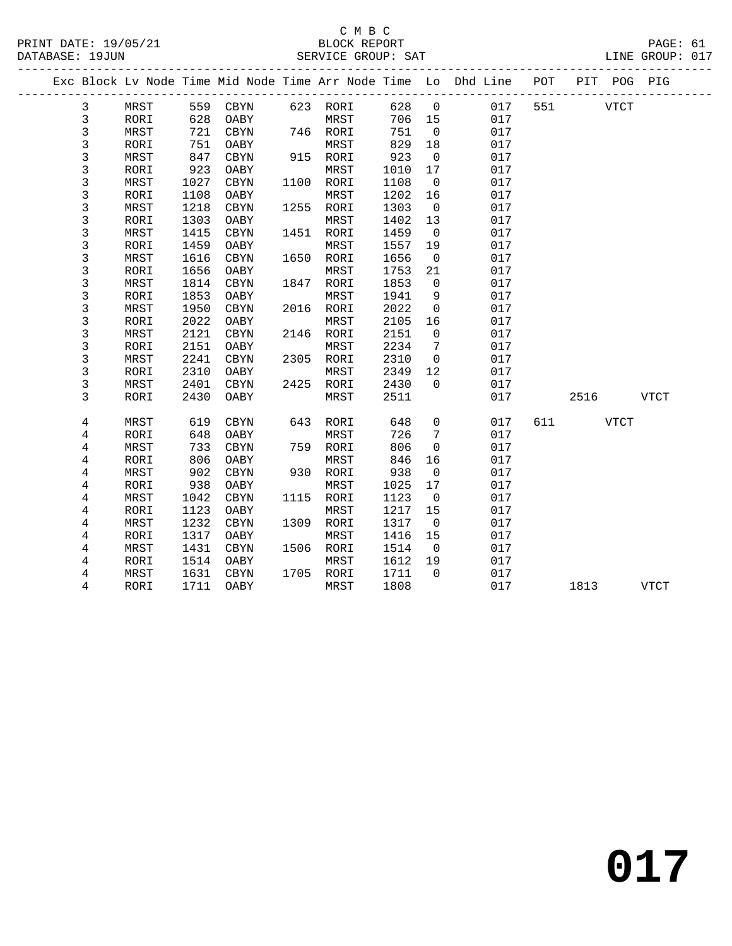#### C M B C<br>BLOCK REPORT PRINT DATE: 19/05/21 BLOCK REPORT PAGE: 61 SERVICE GROUP: SAT

|             |      |      |            |      |           |      |                | Exc Block Lv Node Time Mid Node Time Arr Node Time Lo Dhd Line POT |     |          | PIT POG PIG |             |  |
|-------------|------|------|------------|------|-----------|------|----------------|--------------------------------------------------------------------|-----|----------|-------------|-------------|--|
| 3           | MRST |      | 559 CBYN   |      | 623 RORI  | 628  | $\overline{0}$ | 017                                                                | 551 |          | VTCT        |             |  |
| 3           | RORI | 628  | OABY       |      | MRST      | 706  | 15             | 017                                                                |     |          |             |             |  |
| 3           | MRST | 721  | CBYN       |      | 746 RORI  | 751  | $\overline{0}$ | 017                                                                |     |          |             |             |  |
| 3           | RORI | 751  | OABY       |      | MRST      | 829  | 18             | 017                                                                |     |          |             |             |  |
| 3           | MRST | 847  | CBYN       |      | 915 RORI  | 923  | $\overline{0}$ | 017                                                                |     |          |             |             |  |
| 3           | RORI | 923  | OABY       |      | MRST      | 1010 | 17             | 017                                                                |     |          |             |             |  |
| $\mathsf 3$ | MRST | 1027 | $\tt CBYN$ |      | 1100 RORI | 1108 | $\overline{0}$ | 017                                                                |     |          |             |             |  |
| 3           | RORI | 1108 | OABY       |      | MRST      | 1202 | 16             | 017                                                                |     |          |             |             |  |
| 3           | MRST | 1218 | CBYN       | 1255 | RORI      | 1303 | $\overline{0}$ | 017                                                                |     |          |             |             |  |
| 3           | RORI | 1303 | OABY       |      | MRST      | 1402 | 13             | 017                                                                |     |          |             |             |  |
| 3           | MRST | 1415 | CBYN       |      | 1451 RORI | 1459 | $\overline{0}$ | 017                                                                |     |          |             |             |  |
| $\mathsf 3$ | RORI | 1459 | OABY       |      | MRST      | 1557 | 19             | 017                                                                |     |          |             |             |  |
| 3           | MRST | 1616 | CBYN       | 1650 | RORI      | 1656 | $\overline{0}$ | 017                                                                |     |          |             |             |  |
| 3           | RORI | 1656 | OABY       |      | MRST      | 1753 | 21             | 017                                                                |     |          |             |             |  |
| 3           | MRST | 1814 | CBYN       | 1847 | RORI      | 1853 | $\mathbf 0$    | 017                                                                |     |          |             |             |  |
| $\mathsf 3$ | RORI | 1853 | OABY       |      | MRST      | 1941 | 9              | 017                                                                |     |          |             |             |  |
| 3           | MRST | 1950 | CBYN       |      | 2016 RORI | 2022 | $\mathbf 0$    | 017                                                                |     |          |             |             |  |
| 3           | RORI | 2022 | OABY       |      | MRST      | 2105 | 16             | 017                                                                |     |          |             |             |  |
| 3           | MRST | 2121 | CBYN       | 2146 | RORI      | 2151 | $\mathbf 0$    | 017                                                                |     |          |             |             |  |
| 3           | RORI | 2151 | OABY       |      | MRST      | 2234 | 7              | 017                                                                |     |          |             |             |  |
| 3           | MRST | 2241 | CBYN       |      | 2305 RORI | 2310 | $\overline{0}$ | 017                                                                |     |          |             |             |  |
| 3           | RORI | 2310 | OABY       |      | MRST      | 2349 | 12             | 017                                                                |     |          |             |             |  |
| 3           | MRST | 2401 | CBYN       | 2425 | RORI      | 2430 | $\Omega$       | 017                                                                |     |          |             |             |  |
| 3           | RORI | 2430 | OABY       |      | MRST      | 2511 |                | 017                                                                |     | 2516     |             | VTCT        |  |
| 4           | MRST | 619  | CBYN       | 643  | RORI      | 648  | $\mathbf 0$    | 017                                                                |     | 611 VTCT |             |             |  |
| 4           | RORI | 648  | OABY       |      | MRST      | 726  | 7              | 017                                                                |     |          |             |             |  |
| 4           | MRST | 733  | CBYN       | 759  | RORI      | 806  | $\mathbf 0$    | 017                                                                |     |          |             |             |  |
| 4           | RORI | 806  | OABY       |      | MRST      | 846  | 16             | 017                                                                |     |          |             |             |  |
| 4           | MRST | 902  | CBYN       |      | 930 RORI  | 938  | $\overline{0}$ | 017                                                                |     |          |             |             |  |
| 4           | RORI | 938  | OABY       |      | MRST      | 1025 | 17             | 017                                                                |     |          |             |             |  |
| 4           | MRST | 1042 | CBYN       | 1115 | RORI      | 1123 | $\overline{0}$ | 017                                                                |     |          |             |             |  |
| 4           | RORI | 1123 | OABY       |      | MRST      | 1217 | 15             | 017                                                                |     |          |             |             |  |
| $\,4$       | MRST | 1232 | CBYN       |      | 1309 RORI | 1317 | $\overline{0}$ | 017                                                                |     |          |             |             |  |
| 4           | RORI | 1317 | OABY       |      | MRST      | 1416 | 15             | 017                                                                |     |          |             |             |  |
| 4           | MRST | 1431 | CBYN       |      | 1506 RORI | 1514 | $\overline{0}$ | 017                                                                |     |          |             |             |  |
| 4           | RORI | 1514 | OABY       |      | MRST      | 1612 | 19             | 017                                                                |     |          |             |             |  |
| 4           | MRST | 1631 | CBYN       |      | 1705 RORI | 1711 | $\Omega$       | 017                                                                |     |          |             |             |  |
| 4           | RORI | 1711 | OABY       |      | MRST      | 1808 |                | 017                                                                |     | 1813     |             | <b>VTCT</b> |  |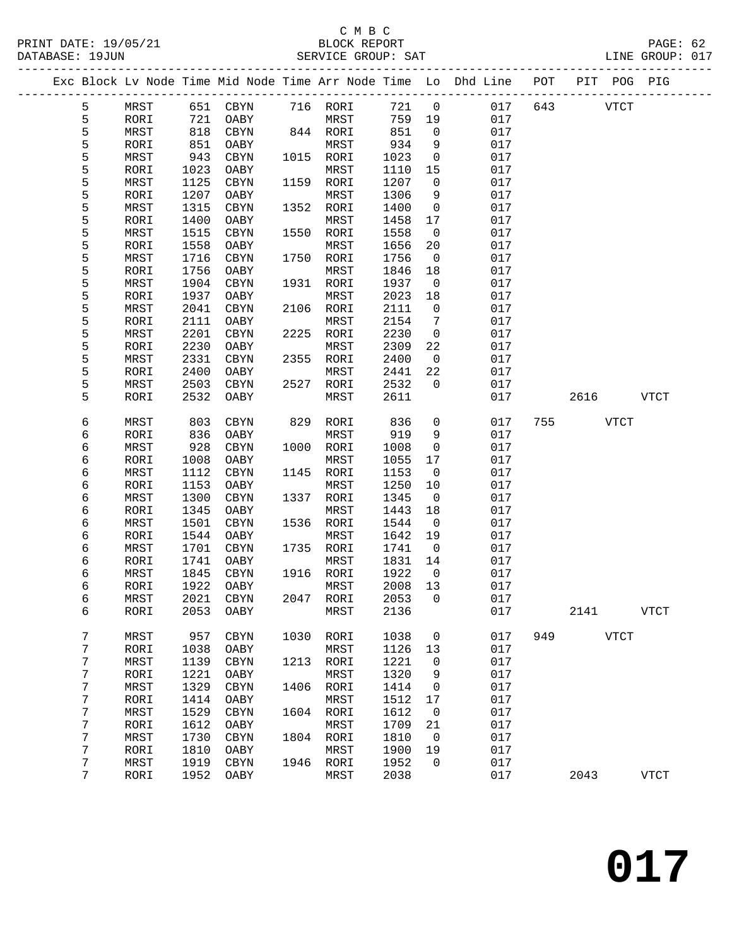|  |        |              |              |              |      |                   |              |                         | Exc Block Lv Node Time Mid Node Time Arr Node Time Lo Dhd Line POT PIT POG PIG |         |             |             |             |
|--|--------|--------------|--------------|--------------|------|-------------------|--------------|-------------------------|--------------------------------------------------------------------------------|---------|-------------|-------------|-------------|
|  | 5      | MRST         |              | 651 CBYN     |      | 716 RORI          | 721          | $\overline{0}$          |                                                                                | 017 643 | <b>VTCT</b> |             |             |
|  | 5      | RORI         | 721          | OABY         |      | MRST              | 759          | 19                      | 017                                                                            |         |             |             |             |
|  | 5      | MRST         | 818          | CBYN         |      | 844 RORI          | 851          | $\overline{0}$          | 017                                                                            |         |             |             |             |
|  | 5      | RORI         | 851          | OABY         |      | MRST              | 934          | 9                       | 017                                                                            |         |             |             |             |
|  | 5      | MRST         | 943          | CBYN         |      | 1015 RORI         | 1023         | $\overline{0}$          | 017                                                                            |         |             |             |             |
|  | 5      | RORI         | 1023         | OABY         |      | MRST              | 1110         | 15                      | 017                                                                            |         |             |             |             |
|  | 5      | MRST         | 1125         | CBYN         |      | 1159 RORI         | 1207         | $\overline{0}$          | 017                                                                            |         |             |             |             |
|  | 5      | RORI         | 1207         | OABY         |      | MRST              | 1306         | 9                       | 017                                                                            |         |             |             |             |
|  | 5      | MRST         | 1315         | CBYN         |      | 1352 RORI         | 1400         | $\overline{0}$          | 017                                                                            |         |             |             |             |
|  | 5      | RORI         | 1400         | OABY         |      | MRST              | 1458         | 17                      | 017                                                                            |         |             |             |             |
|  | 5      | MRST         | 1515         | CBYN         |      | 1550 RORI         | 1558         | $\overline{\mathbf{0}}$ | 017                                                                            |         |             |             |             |
|  | 5      | RORI         | 1558         | OABY         |      | MRST              | 1656         | 20                      | 017                                                                            |         |             |             |             |
|  | 5      | MRST         | 1716         | CBYN         |      | 1750 RORI         | 1756         | $\overline{0}$          | 017                                                                            |         |             |             |             |
|  | 5      | RORI         | 1756         | OABY         |      | MRST              | 1846         | 18                      | 017                                                                            |         |             |             |             |
|  | 5      | MRST         | 1904         | CBYN         |      | 1931 RORI         | 1937         | $\overline{0}$          | 017                                                                            |         |             |             |             |
|  | 5      | RORI         | 1937         | OABY         |      | MRST              | 2023         | 18                      | 017                                                                            |         |             |             |             |
|  | 5      | MRST         | 2041         | CBYN         |      | 2106 RORI         | 2111         | $\mathsf{O}$            | 017                                                                            |         |             |             |             |
|  | 5      | RORI         | 2111         | OABY         |      | MRST              | 2154         | $7\phantom{.0}$         | 017                                                                            |         |             |             |             |
|  | 5      | MRST         | 2201         | CBYN         |      | 2225 RORI         | 2230         | $\overline{0}$          | 017                                                                            |         |             |             |             |
|  | 5      | RORI         | 2230         | OABY         |      | MRST              | 2309         | 22                      | 017                                                                            |         |             |             |             |
|  | 5<br>5 | MRST         | 2331<br>2400 | CBYN         |      | 2355 RORI<br>MRST | 2400         | $\overline{0}$<br>22    | 017<br>017                                                                     |         |             |             |             |
|  |        | RORI         |              | OABY         |      |                   | 2441<br>2532 | $\overline{0}$          | 017                                                                            |         |             |             |             |
|  | 5<br>5 | MRST<br>RORI | 2503<br>2532 | CBYN<br>OABY |      | 2527 RORI<br>MRST | 2611         |                         | 017                                                                            |         | 2616        |             | <b>VTCT</b> |
|  |        |              |              |              |      |                   |              |                         |                                                                                |         |             |             |             |
|  | 6      | MRST         | 803          | CBYN         |      | 829 RORI          | 836          | 0                       | 017                                                                            | 755     |             | VTCT        |             |
|  | 6      | RORI         | 836          | OABY         |      | MRST              | 919          | 9                       | 017                                                                            |         |             |             |             |
|  | 6      | MRST         | 928          | CBYN         |      | 1000 RORI         | 1008         | $\overline{0}$          | 017                                                                            |         |             |             |             |
|  | 6      | RORI         | 1008         | OABY         |      | MRST              | 1055         | 17                      | 017                                                                            |         |             |             |             |
|  | 6      | MRST         | 1112         | CBYN         |      | 1145 RORI         | 1153         | $\overline{0}$          | 017                                                                            |         |             |             |             |
|  | 6      | RORI         | 1153         | OABY         |      | MRST              | 1250         | 10                      | 017                                                                            |         |             |             |             |
|  | 6      | MRST         | 1300         | CBYN         |      | 1337 RORI         | 1345         | $\overline{\mathbf{0}}$ | 017                                                                            |         |             |             |             |
|  | 6      | RORI         | 1345         | OABY         |      | MRST              | 1443         | 18                      | 017                                                                            |         |             |             |             |
|  | 6      | MRST         | 1501         | CBYN         |      | 1536 RORI         | 1544         | $\overline{0}$          | 017                                                                            |         |             |             |             |
|  | 6      | RORI         | 1544         | OABY         |      | MRST              | 1642         | 19                      | 017                                                                            |         |             |             |             |
|  | 6      | MRST         | 1701         | CBYN         |      | 1735 RORI         | 1741         | $\overline{\mathbf{0}}$ | 017                                                                            |         |             |             |             |
|  | 6      | RORI         | 1741         | OABY         |      | MRST              | 1831         | 14                      | 017                                                                            |         |             |             |             |
|  | 6      | MRST         | 1845         | CBYN         |      | 1916 RORI         | 1922         | $\overline{0}$          | 017                                                                            |         |             |             |             |
|  | 6      | RORI         | 1922         | OABY         |      | MRST              | 2008         | 13                      | 017                                                                            |         |             |             |             |
|  | 6      | MRST         |              | 2021 CBYN    |      | 2047 RORI         | 2053 0       |                         | 017                                                                            |         |             |             |             |
|  | 6      | RORI         | 2053         | OABY         |      | MRST              | 2136         |                         | 017                                                                            |         | 2141        |             | <b>VTCT</b> |
|  |        |              |              |              |      |                   |              |                         |                                                                                |         |             |             |             |
|  | 7      | MRST         | 957          | CBYN         | 1030 | RORI              | 1038         | $\mathsf{O}$            | 017                                                                            | 949     |             | <b>VTCT</b> |             |
|  | 7      | RORI         | 1038         | OABY         | 1213 | MRST              | 1126         | 13                      | 017<br>017                                                                     |         |             |             |             |
|  | 7<br>7 | MRST<br>RORI | 1139<br>1221 | CBYN         |      | RORI<br>MRST      | 1221<br>1320 | 0<br>9                  | 017                                                                            |         |             |             |             |
|  | 7      | MRST         | 1329         | OABY<br>CBYN | 1406 | RORI              | 1414         | 0                       | 017                                                                            |         |             |             |             |
|  | 7      | RORI         | 1414         | OABY         |      | MRST              | 1512         | 17                      | 017                                                                            |         |             |             |             |
|  | 7      | MRST         | 1529         | CBYN         | 1604 | RORI              | 1612         | 0                       | 017                                                                            |         |             |             |             |
|  | 7      | RORI         | 1612         | OABY         |      | MRST              | 1709         | 21                      | 017                                                                            |         |             |             |             |
|  | 7      | MRST         | 1730         | CBYN         |      | 1804 RORI         | 1810         | $\mathbf 0$             | 017                                                                            |         |             |             |             |
|  | 7      | RORI         | 1810         | OABY         |      | MRST              | 1900         | 19                      | 017                                                                            |         |             |             |             |
|  | 7      | MRST         | 1919         | CBYN         | 1946 | RORI              | 1952         | 0                       | 017                                                                            |         |             |             |             |
|  | 7      | RORI         | 1952         | OABY         |      | MRST              | 2038         |                         | 017                                                                            |         | 2043        |             | <b>VTCT</b> |
|  |        |              |              |              |      |                   |              |                         |                                                                                |         |             |             |             |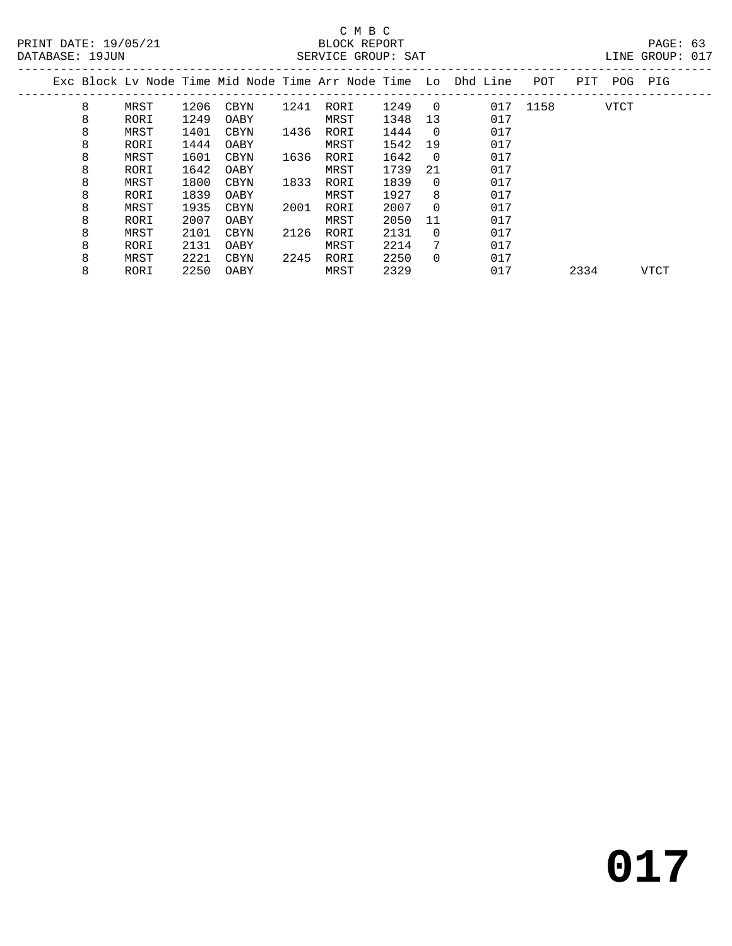### C M B C<br>BLOCK REPORT SERVICE GROUP: SAT

|   |      |      |      |      |      |      |          | Exc Block Lv Node Time Mid Node Time Arr Node Time  Lo  Dhd Line | POT  | PIT  | POG  | PIG  |  |
|---|------|------|------|------|------|------|----------|------------------------------------------------------------------|------|------|------|------|--|
| 8 | MRST | 1206 | CBYN | 1241 | RORI | 1249 | $\Omega$ | 017                                                              | 1158 |      | VTCT |      |  |
| 8 | RORI | 1249 | OABY |      | MRST | 1348 | 13       | 017                                                              |      |      |      |      |  |
| 8 | MRST | 1401 | CBYN | 1436 | RORI | 1444 | $\Omega$ | 017                                                              |      |      |      |      |  |
| 8 | RORI | 1444 | OABY |      | MRST | 1542 | 19       | 017                                                              |      |      |      |      |  |
| 8 | MRST | 1601 | CBYN | 1636 | RORI | 1642 | - 0      | 017                                                              |      |      |      |      |  |
| 8 | RORI | 1642 | OABY |      | MRST | 1739 | 21       | 017                                                              |      |      |      |      |  |
| 8 | MRST | 1800 | CBYN | 1833 | RORI | 1839 | $\Omega$ | 017                                                              |      |      |      |      |  |
| 8 | RORI | 1839 | OABY |      | MRST | 1927 | 8        | 017                                                              |      |      |      |      |  |
| 8 | MRST | 1935 | CBYN | 2001 | RORI | 2007 | $\Omega$ | 017                                                              |      |      |      |      |  |
| 8 | RORI | 2007 | OABY |      | MRST | 2050 | 11       | 017                                                              |      |      |      |      |  |
| 8 | MRST | 2101 | CBYN | 2126 | RORI | 2131 | $\Omega$ | 017                                                              |      |      |      |      |  |
| 8 | RORI | 2131 | OABY |      | MRST | 2214 | 7        | 017                                                              |      |      |      |      |  |
| 8 | MRST | 2221 | CBYN | 2245 | RORI | 2250 | $\Omega$ | 017                                                              |      |      |      |      |  |
| 8 | RORI | 2250 | OABY |      | MRST | 2329 |          | 017                                                              |      | 2334 |      | VTCT |  |
|   |      |      |      |      |      |      |          |                                                                  |      |      |      |      |  |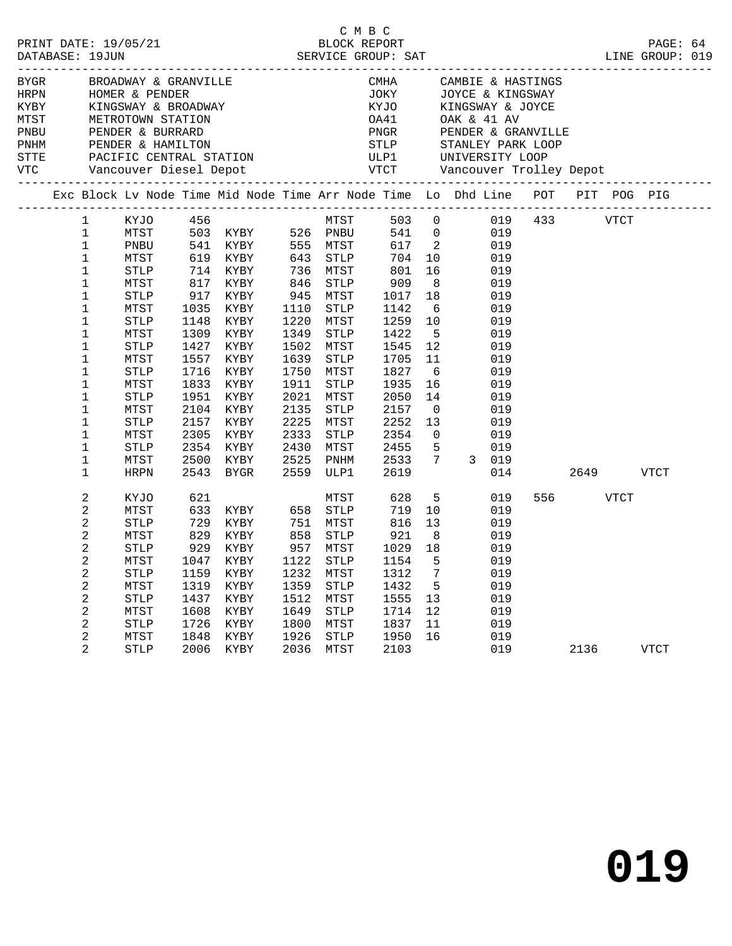| PRINT DATE: 19/05/21<br>DATABASE: 19JUN                                                                          |                             |              |      | י יש יש BLOCK REPORT<br>BLOCK REPORT SERVICE GROUP: SAT                 |              | C M B C               |              |                                     | LINE GROUP: 019                                                          |           | PAGE: 64    |  |
|------------------------------------------------------------------------------------------------------------------|-----------------------------|--------------|------|-------------------------------------------------------------------------|--------------|-----------------------|--------------|-------------------------------------|--------------------------------------------------------------------------|-----------|-------------|--|
| BYGR BROADWAY & GRANVILLE<br>HRPN HOMER & PENDER<br>KYBY KINGSWAY & BROADWAY                                     |                             |              |      |                                                                         |              |                       |              |                                     | CMHA CAMBIE & HASTINGS<br>JOKY JOYCE & KINGSWAY<br>KYJO KINGSWAY & JOYCE |           |             |  |
|                                                                                                                  |                             |              |      |                                                                         |              |                       |              |                                     |                                                                          |           |             |  |
|                                                                                                                  |                             |              |      |                                                                         |              |                       |              |                                     |                                                                          |           |             |  |
| MTST METROTOWN STATION<br>PRINCE READ PRINCE & BURRARD<br>PNHM PENDER & HAMILTON<br>STTE PACIFIC CENTRAL STATION |                             |              |      |                                                                         |              |                       |              |                                     | OA41 OAK & 41 AV                                                         |           |             |  |
|                                                                                                                  |                             |              |      |                                                                         |              |                       |              |                                     |                                                                          |           |             |  |
|                                                                                                                  |                             |              |      |                                                                         |              |                       |              |                                     |                                                                          |           |             |  |
| VTC Vancouver Diesel Depot                                                                                       |                             |              |      |                                                                         |              |                       |              |                                     |                                                                          |           |             |  |
|                                                                                                                  |                             |              |      |                                                                         |              |                       |              |                                     |                                                                          |           |             |  |
|                                                                                                                  |                             |              |      |                                                                         |              |                       |              |                                     |                                                                          |           |             |  |
|                                                                                                                  |                             |              |      | 1 KYJO 456                                                              |              |                       |              |                                     | MTST 503 0 019 433 VTCT                                                  |           |             |  |
|                                                                                                                  | $\mathbf{1}$                | MTST         |      |                                                                         |              |                       |              |                                     | 541 0 019                                                                |           |             |  |
|                                                                                                                  | $\mathbf{1}$                | PNBU         |      | 503 KYBY 526 PNBU 541<br>541 KYBY 555 MTST 617<br>619 KYBY 643 STLP 704 |              |                       |              |                                     | 617 2 019<br>704 10 019                                                  |           |             |  |
|                                                                                                                  | $\mathbf{1}$                | MTST         |      |                                                                         |              |                       |              |                                     |                                                                          |           |             |  |
|                                                                                                                  | $\mathbf{1}$                | STLP         |      | 714 KYBY 736 MTST                                                       |              |                       | 801          |                                     | 16 019                                                                   |           |             |  |
|                                                                                                                  | $\mathbf{1}$                | MTST         |      | 817 KYBY 846                                                            |              | STLP                  | 909          |                                     | 8 019                                                                    |           |             |  |
|                                                                                                                  | $\mathbf{1}$                | STLP         |      | ים ויידיא 1035<br>917 KYBY<br>1035 ביטו                                 |              | 945 MTST              | 1017<br>1142 | 18                                  | 019<br>$6\overline{6}$                                                   |           |             |  |
|                                                                                                                  | $\mathbf{1}$<br>$\mathbf 1$ | MTST         | 1148 | 1035 KYBY<br>KYBY                                                       | 1110<br>1220 | STLP<br>MTST          | 1142<br>1259 | 10                                  | 019<br>019                                                               |           |             |  |
|                                                                                                                  | 1                           | STLP<br>MTST | 1309 | KYBY                                                                    | 1349         | STLP                  | 1422         | 5 <sup>5</sup>                      | 019                                                                      |           |             |  |
|                                                                                                                  | $\mathbf 1$                 | STLP         | 1427 | KYBY                                                                    | 1502         | MTST                  | 1545         | 12                                  | 019                                                                      |           |             |  |
|                                                                                                                  | $\mathbf 1$                 | MTST         | 1557 | KYBY                                                                    | 1639         | STLP                  | 1705         | $\begin{array}{c}\n11\n\end{array}$ | 019                                                                      |           |             |  |
|                                                                                                                  | $\mathbf 1$                 | STLP         | 1716 | KYBY                                                                    | 1750         | MTST                  | 1827         | 6                                   | 019                                                                      |           |             |  |
|                                                                                                                  | $\mathbf 1$                 | MTST         | 1833 | KYBY                                                                    | 1911         | STLP                  | 1935         | 16                                  | 019                                                                      |           |             |  |
|                                                                                                                  | 1                           | STLP         | 1951 | KYBY                                                                    | 2021         | MTST                  | 2050         | 14                                  | 019                                                                      |           |             |  |
|                                                                                                                  | $\mathbf 1$                 | MTST         |      | 2104 KYBY                                                               | 2135         | STLP                  | 2157         | $\overline{0}$                      | 019                                                                      |           |             |  |
|                                                                                                                  | $\mathbf 1$                 | STLP         |      | 2157 KYBY                                                               |              | 2225 MTST             | 2252         | 13                                  | 019                                                                      |           |             |  |
|                                                                                                                  | $\mathbf{1}$                | MTST         | 2305 | KYBY                                                                    | 2333         | STLP                  | 2354         |                                     | $\overline{0}$<br>019                                                    |           |             |  |
|                                                                                                                  | $\mathbf 1$                 | STLP         | 2354 | KYBY                                                                    | 2430         | MTST                  | 2455         | 5 <sub>5</sub>                      | 019                                                                      |           |             |  |
|                                                                                                                  | $\mathbf{1}$                | MTST         | 2500 | KYBY                                                                    | 2525         | PNHM                  | 2533         | $7\overline{ }$                     | $\begin{array}{cc} & 019 \\ 3 & 019 \end{array}$                         |           |             |  |
|                                                                                                                  | $\mathbf{1}$                | HRPN         |      | 2543 BYGR                                                               |              | 2559 ULP1             | 2619         |                                     | 014                                                                      | 2649 VTCT |             |  |
|                                                                                                                  | 2                           | KYJO         |      |                                                                         |              |                       | 628          |                                     | $\frac{5}{10}$ 019                                                       | 556 VTCT  |             |  |
|                                                                                                                  | 2                           | MTST         |      |                                                                         |              |                       | 719          | 10                                  | 019                                                                      |           |             |  |
|                                                                                                                  | 2                           | STLP         |      |                                                                         |              |                       | 816          |                                     | 13 019                                                                   |           |             |  |
|                                                                                                                  | 2                           | MTST         |      | 829 KYBY 858 STLP                                                       |              |                       | 921          | 8 <sup>8</sup>                      | 019                                                                      |           |             |  |
|                                                                                                                  | 2                           | <b>STLP</b>  |      | 929 KYBY                                                                |              | 957 MTST              | 1029 18      |                                     | 019                                                                      |           |             |  |
|                                                                                                                  | 2                           |              |      | MTST 1047 KYBY 1122 STLP 1154 5                                         |              |                       |              |                                     | 019                                                                      |           |             |  |
|                                                                                                                  | 2                           | <b>STLP</b>  | 1159 | KYBY                                                                    | 1232         | MTST                  | 1312         | 7                                   | 019                                                                      |           |             |  |
|                                                                                                                  | 2                           | MTST         | 1319 | KYBY                                                                    | 1359         | $\operatorname{STLP}$ | 1432         | 5                                   | 019                                                                      |           |             |  |
|                                                                                                                  | 2                           | <b>STLP</b>  | 1437 | KYBY                                                                    | 1512         | MTST                  | 1555         | 13                                  | 019                                                                      |           |             |  |
|                                                                                                                  | 2                           | MTST         | 1608 | KYBY                                                                    | 1649         | <b>STLP</b>           | 1714         | 12                                  | 019                                                                      |           |             |  |
|                                                                                                                  | 2                           | <b>STLP</b>  | 1726 | KYBY                                                                    | 1800         | MTST                  | 1837         | 11                                  | 019                                                                      |           |             |  |
|                                                                                                                  | 2                           | MTST         | 1848 | KYBY                                                                    | 1926         | <b>STLP</b>           | 1950         | 16                                  | 019                                                                      |           |             |  |
|                                                                                                                  | $\overline{2}$              | <b>STLP</b>  | 2006 | KYBY                                                                    | 2036         | MTST                  | 2103         |                                     | 019                                                                      | 2136      | <b>VTCT</b> |  |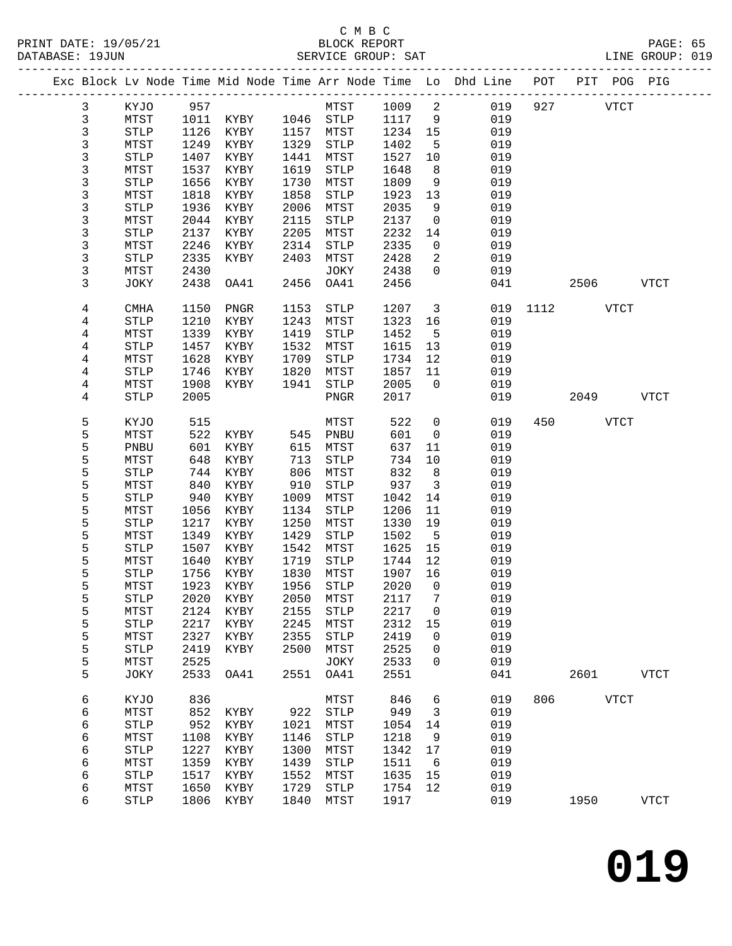## C M B C

| DATABASE: 19JUN |              |                       |              |               |      | SERVICE GROUP: SAT    |              |                         | LINE GROUP: 019                                                                |          |             |           |             |  |
|-----------------|--------------|-----------------------|--------------|---------------|------|-----------------------|--------------|-------------------------|--------------------------------------------------------------------------------|----------|-------------|-----------|-------------|--|
|                 |              |                       |              |               |      |                       |              |                         | Exc Block Lv Node Time Mid Node Time Arr Node Time Lo Dhd Line POT PIT POG PIG |          |             |           |             |  |
|                 | $\mathbf{3}$ | KYJO 957              |              |               |      | MTST 1009 2           |              |                         | 019                                                                            | 927      | <b>VTCT</b> |           |             |  |
|                 | 3            | MTST                  |              |               |      | 1011 KYBY 1046 STLP   | 1117         | 9                       | 019                                                                            |          |             |           |             |  |
|                 | 3            | STLP                  | 1126         | KYBY          |      | 1157 MTST             | 1234         | 15                      | 019                                                                            |          |             |           |             |  |
|                 | 3            | MTST                  | 1249         | KYBY          | 1329 | STLP                  | 1402         | $5^{\circ}$             | 019                                                                            |          |             |           |             |  |
|                 | 3            | $\operatorname{STLP}$ | 1407         | KYBY          | 1441 | MTST                  | 1527         | 10                      | 019                                                                            |          |             |           |             |  |
|                 | 3            | MTST                  | 1537         | KYBY          | 1619 | STLP                  | 1648         | 8 <sup>8</sup>          | 019                                                                            |          |             |           |             |  |
|                 | 3            | ${\tt STLP}$          | 1656         | KYBY          | 1730 | MTST                  | 1809         | 9                       | 019                                                                            |          |             |           |             |  |
|                 | 3            | MTST                  | 1818         | KYBY          | 1858 | STLP                  | 1923         | 13                      | 019                                                                            |          |             |           |             |  |
|                 | 3            | <b>STLP</b>           | 1936         | KYBY          | 2006 | MTST                  | 2035         | 9                       | 019                                                                            |          |             |           |             |  |
|                 | 3            | MTST                  | 2044         | KYBY          | 2115 | STLP                  | 2137         | $\overline{0}$          | 019                                                                            |          |             |           |             |  |
|                 | 3            | <b>STLP</b>           | 2137         | KYBY          | 2205 | MTST                  | 2232         | 14                      | 019                                                                            |          |             |           |             |  |
|                 | 3            | MTST                  | 2246         | KYBY          | 2314 | STLP                  | 2335         | $\overline{0}$          | 019                                                                            |          |             |           |             |  |
|                 | 3            | <b>STLP</b>           | 2335         | KYBY          | 2403 | MTST                  | 2428         | 2                       | 019                                                                            |          |             |           |             |  |
|                 | 3            | MTST                  | 2430         |               |      | JOKY                  | 2438         | $\overline{0}$          | 019                                                                            |          |             |           |             |  |
|                 | 3            | JOKY                  | 2438         | OA41          | 2456 | OA41                  | 2456         |                         | 041                                                                            |          |             | 2506 VTCT |             |  |
|                 |              |                       |              |               |      |                       |              |                         |                                                                                |          |             |           |             |  |
|                 | 4            | CMHA                  | 1150         | PNGR          | 1153 | STLP                  | 1207         | $\overline{\mathbf{3}}$ |                                                                                | 019 1112 |             | VTCT      |             |  |
|                 | 4            | <b>STLP</b>           | 1210         | KYBY          | 1243 | MTST                  | 1323         | 16                      | 019                                                                            |          |             |           |             |  |
|                 | 4            | MTST                  | 1339         | KYBY          | 1419 | STLP                  | 1452         | $5^{\circ}$             | 019                                                                            |          |             |           |             |  |
|                 | 4            | <b>STLP</b>           | 1457         | KYBY          | 1532 | MTST                  | 1615         | 13                      | 019                                                                            |          |             |           |             |  |
|                 | 4            | MTST                  | 1628         | KYBY          | 1709 | STLP                  | 1734         | 12                      | 019                                                                            |          |             |           |             |  |
|                 | 4            | STLP                  | 1746         | KYBY          | 1820 | MTST                  | 1857         | 11                      | 019                                                                            |          |             |           |             |  |
|                 | 4            | MTST                  | 1908         | KYBY          | 1941 | STLP                  | 2005         | $\overline{0}$          | 019                                                                            |          |             |           |             |  |
|                 | 4            | <b>STLP</b>           | 2005         |               |      | PNGR                  | 2017         |                         | 019                                                                            |          |             | 2049      | <b>VTCT</b> |  |
|                 | 5            | KYJO                  | 515          |               |      | MTST                  | 522          | $\mathsf{O}$            | 019                                                                            | 450      |             | VTCT      |             |  |
|                 | 5            | MTST                  | 522          | KYBY 545 PNBU |      |                       | 601          | $\overline{0}$          | 019                                                                            |          |             |           |             |  |
|                 | 5            | PNBU                  | 601          | KYBY          | 615  | MTST                  | 637          | 11                      | 019                                                                            |          |             |           |             |  |
|                 | 5            | MTST                  | 648          | KYBY          | 713  | STLP                  | 734          | 10                      | 019                                                                            |          |             |           |             |  |
|                 | 5            | <b>STLP</b>           | 744          | KYBY          | 806  | MTST                  | 832          | 8                       | 019                                                                            |          |             |           |             |  |
|                 | 5            | MTST                  | 840          | KYBY          | 910  | STLP                  | 937          | $\overline{\mathbf{3}}$ | 019                                                                            |          |             |           |             |  |
|                 | 5            | <b>STLP</b>           | 940          | KYBY          | 1009 | MTST                  | 1042         | 14                      | 019                                                                            |          |             |           |             |  |
|                 | 5            | MTST                  | 1056         | KYBY          | 1134 | STLP                  | 1206         | 11                      | 019                                                                            |          |             |           |             |  |
|                 | 5            | <b>STLP</b>           | 1217         | KYBY          | 1250 | MTST                  | 1330         | 19                      | 019                                                                            |          |             |           |             |  |
|                 | 5            | MTST                  | 1349         | KYBY          | 1429 | STLP                  | 1502         | $-5$                    | 019                                                                            |          |             |           |             |  |
|                 | 5            | STLP                  | 1507         | KYBY          | 1542 | MTST                  | 1625         | 15                      | 019                                                                            |          |             |           |             |  |
|                 | 5            | MTST                  | 1640         | KYBY          | 1719 | STLP                  | 1744         | 12                      | 019                                                                            |          |             |           |             |  |
|                 | 5            | <b>STLP</b>           |              | 1756 KYBY     | 1830 | MTST                  | 1907 16      |                         | 019                                                                            |          |             |           |             |  |
|                 | 5            |                       |              |               |      |                       |              |                         | 1923 KYBY 1956 STLP 2020 0 019                                                 |          |             |           |             |  |
|                 |              | MTST                  |              |               |      |                       |              |                         |                                                                                |          |             |           |             |  |
|                 | 5            | <b>STLP</b>           | 2020         | KYBY          | 2050 | MTST                  | 2117         | 7                       | 019                                                                            |          |             |           |             |  |
|                 | 5            | MTST                  | 2124         | KYBY          | 2155 | STLP                  | 2217         | $\overline{0}$          | 019                                                                            |          |             |           |             |  |
|                 | 5            | STLP                  | 2217         | KYBY          | 2245 | MTST                  | 2312         | 15                      | 019                                                                            |          |             |           |             |  |
|                 | 5            | MTST                  | 2327         | KYBY          | 2355 | ${\tt STLP}$          | 2419         | $\mathbf 0$             | 019                                                                            |          |             |           |             |  |
|                 | 5            | STLP                  | 2419         | KYBY          | 2500 | MTST                  | 2525         | $\mathbf 0$             | 019                                                                            |          |             |           |             |  |
|                 | 5<br>5       | MTST<br>JOKY          | 2525<br>2533 | OA41          | 2551 | JOKY<br>OA41          | 2533<br>2551 | $\mathbf{0}$            | 019<br>041                                                                     |          | 2601        |           | <b>VTCT</b> |  |
|                 |              |                       |              |               |      |                       |              |                         |                                                                                |          |             |           |             |  |
|                 | 6            | KYJO                  | 836          |               |      | MTST                  | 846          | 6                       | 019                                                                            | 806      | <b>VTCT</b> |           |             |  |
|                 | 6            | MTST                  | 852          | KYBY          | 922  | $\operatorname{STLP}$ | 949          | $\overline{3}$          | 019                                                                            |          |             |           |             |  |
|                 | 6            | $\operatorname{STLP}$ | 952          | KYBY          | 1021 | MTST                  | 1054         | 14                      | 019                                                                            |          |             |           |             |  |
|                 | 6            | MTST                  | 1108         | KYBY          | 1146 | STLP                  | 1218         | 9                       | 019                                                                            |          |             |           |             |  |
|                 | 6            | <b>STLP</b>           | 1227         | KYBY          | 1300 | MTST                  | 1342         | 17                      | 019                                                                            |          |             |           |             |  |
|                 | 6            | MTST                  | 1359         | KYBY          | 1439 | ${\tt STLP}$          | 1511         | 6                       | 019                                                                            |          |             |           |             |  |
|                 | 6            | <b>STLP</b>           | 1517         | KYBY          | 1552 | MTST                  | 1635         | 15                      | 019                                                                            |          |             |           |             |  |
|                 | 6            | MTST                  | 1650         | KYBY          | 1729 | STLP                  | 1754         | 12                      | 019                                                                            |          |             |           |             |  |
|                 | 6            | <b>STLP</b>           | 1806         | KYBY          | 1840 | MTST                  | 1917         |                         | 019                                                                            |          | 1950        |           | <b>VTCT</b> |  |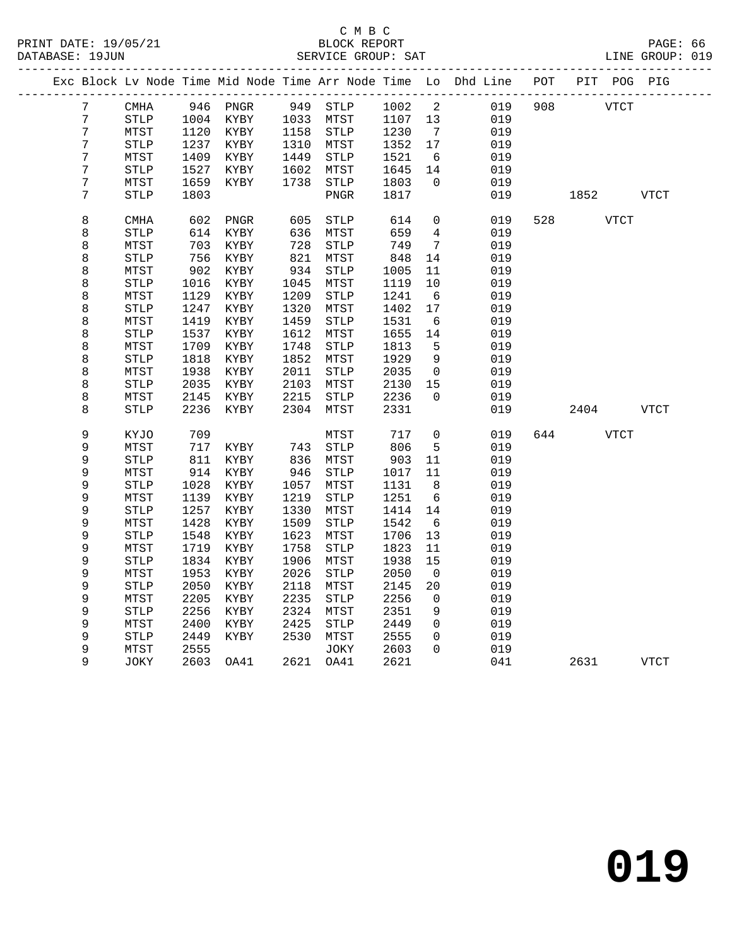|  |                  |                       |              |           |      |                       |              |                          | Exc Block Lv Node Time Mid Node Time Arr Node Time Lo Dhd Line |     | POT PIT POG PIG |             |             |
|--|------------------|-----------------------|--------------|-----------|------|-----------------------|--------------|--------------------------|----------------------------------------------------------------|-----|-----------------|-------------|-------------|
|  | 7                | <b>CMHA</b>           |              | 946 PNGR  |      | 949 STLP              | 1002         | $\overline{\phantom{a}}$ | 019                                                            | 908 |                 | <b>VTCT</b> |             |
|  | $\overline{7}$   | STLP                  |              | 1004 KYBY |      | 1033 MTST             | 1107         | 13                       | 019                                                            |     |                 |             |             |
|  | $\overline{7}$   | MTST                  | 1120         | KYBY      |      | 1158 STLP             | 1230         | $\overline{7}$           | 019                                                            |     |                 |             |             |
|  | $\boldsymbol{7}$ | $\operatorname{STLP}$ |              | 1237 KYBY |      | 1310 MTST             | 1352         | 17                       | 019                                                            |     |                 |             |             |
|  | $\boldsymbol{7}$ | MTST                  | 1409         | KYBY      | 1449 | STLP                  | 1521         | $6\overline{6}$          | 019                                                            |     |                 |             |             |
|  | $\boldsymbol{7}$ | $\operatorname{STLP}$ | 1527         | KYBY      |      | 1602 MTST             | 1645         | 14                       | 019                                                            |     |                 |             |             |
|  | $\overline{7}$   | MTST                  | 1659         | KYBY      | 1738 | STLP                  | 1803         | $\mathbf 0$              | 019                                                            |     |                 |             |             |
|  | 7                | STLP                  | 1803         |           |      | ${\tt PNGR}$          | 1817         |                          | 019                                                            |     | 1852            |             | <b>VTCT</b> |
|  |                  |                       |              |           |      |                       |              |                          |                                                                |     |                 |             |             |
|  | 8                | <b>CMHA</b>           | 602          | PNGR      | 605  | STLP                  | 614          | $\mathbf 0$              | 019                                                            | 528 |                 | <b>VTCT</b> |             |
|  | 8                | STLP                  | 614          | KYBY      | 636  | MTST                  | 659          | $4\overline{ }$          | 019                                                            |     |                 |             |             |
|  | 8                | MTST                  | 703          | KYBY      | 728  | STLP                  | 749          | $\overline{7}$           | 019                                                            |     |                 |             |             |
|  | 8                | STLP                  | 756          | KYBY      | 821  | MTST                  | 848          | 14                       | 019                                                            |     |                 |             |             |
|  | 8                | MTST                  | 902          | KYBY      | 934  | $\operatorname{STLP}$ | 1005         | 11                       | 019                                                            |     |                 |             |             |
|  | 8                | <b>STLP</b>           | 1016         | KYBY      | 1045 | MTST                  | 1119         | 10                       | 019                                                            |     |                 |             |             |
|  | 8                | MTST                  | 1129         | KYBY      | 1209 | STLP                  | 1241         | $6\overline{6}$          | 019                                                            |     |                 |             |             |
|  | 8                | STLP                  | 1247         | KYBY      | 1320 | MTST                  | 1402         | 17                       | 019                                                            |     |                 |             |             |
|  | 8                | MTST                  | 1419         | KYBY      | 1459 | STLP                  | 1531         | 6                        | 019                                                            |     |                 |             |             |
|  | 8                | STLP                  | 1537         | KYBY      | 1612 | MTST                  | 1655         | 14                       | 019                                                            |     |                 |             |             |
|  | 8                | MTST                  | 1709         | KYBY      | 1748 | <b>STLP</b>           | 1813         | 5                        | 019                                                            |     |                 |             |             |
|  | 8                | STLP                  | 1818         | KYBY      | 1852 | MTST                  | 1929         | 9                        | 019                                                            |     |                 |             |             |
|  | 8                | MTST                  | 1938         | KYBY      | 2011 | STLP                  | 2035         | $\overline{0}$           | 019                                                            |     |                 |             |             |
|  | 8                | $\operatorname{STLP}$ | 2035         | KYBY      | 2103 | MTST                  | 2130         | 15                       | 019                                                            |     |                 |             |             |
|  | 8                | MTST                  | 2145         | KYBY      | 2215 | STLP                  | 2236         | $\Omega$                 | 019                                                            |     |                 |             |             |
|  | 8                | STLP                  | 2236         | KYBY      | 2304 | MTST                  | 2331         |                          | 019                                                            |     | 2404            |             | <b>VTCT</b> |
|  | 9                | KYJO                  | 709          |           |      | MTST                  | 717          | $\mathsf{O}$             | 019                                                            | 644 |                 | VTCT        |             |
|  | 9                | MTST                  | 717          | KYBY      | 743  | <b>STLP</b>           | 806          | 5                        | 019                                                            |     |                 |             |             |
|  | 9                | STLP                  | 811          | KYBY      |      | 836 MTST              | 903          | 11                       | 019                                                            |     |                 |             |             |
|  | 9                | MTST                  | 914          | KYBY      | 946  | STLP                  | 1017         | 11                       | 019                                                            |     |                 |             |             |
|  | 9                | STLP                  | 1028         | KYBY      | 1057 | MTST                  | 1131         | 8 <sup>8</sup>           | 019                                                            |     |                 |             |             |
|  | 9                | MTST                  | 1139         | KYBY      | 1219 | STLP                  | 1251         | $6\overline{6}$          | 019                                                            |     |                 |             |             |
|  | 9                | STLP                  | 1257         | KYBY      | 1330 | MTST                  | 1414         | 14                       | 019                                                            |     |                 |             |             |
|  | 9                | MTST                  | 1428         | KYBY      | 1509 | <b>STLP</b>           | 1542         | 6                        | 019                                                            |     |                 |             |             |
|  | $\mathsf 9$      | $\operatorname{STLP}$ | 1548         | KYBY      | 1623 | MTST                  | 1706         | 13                       | 019                                                            |     |                 |             |             |
|  | 9                | MTST                  | 1719         | KYBY      | 1758 | $\operatorname{STLP}$ | 1823         | 11                       | 019                                                            |     |                 |             |             |
|  | 9                | <b>STLP</b>           | 1834         | KYBY      | 1906 | MTST                  | 1938         | 15                       | 019                                                            |     |                 |             |             |
|  | 9                | MTST                  | 1953         | KYBY      | 2026 | STLP                  | 2050         | $\overline{0}$           | 019                                                            |     |                 |             |             |
|  | 9                | <b>STLP</b>           | 2050         | KYBY      | 2118 | MTST                  | 2145         | 20                       | 019                                                            |     |                 |             |             |
|  | 9                | MTST                  | 2205         | KYBY      | 2235 | <b>STLP</b>           | 2256         | $\overline{0}$           | 019                                                            |     |                 |             |             |
|  | 9                | STLP                  | 2256         | KYBY      | 2324 | MTST                  | 2351         | 9                        | 019                                                            |     |                 |             |             |
|  | 9                | MTST                  | 2400         | KYBY      | 2425 | STLP                  | 2449         | $\mathbf 0$<br>$\Omega$  | 019                                                            |     |                 |             |             |
|  | 9<br>9           | STLP                  | 2449<br>2555 | KYBY      | 2530 | MTST                  | 2555<br>2603 | $\Omega$                 | 019                                                            |     |                 |             |             |
|  | 9                | MTST<br>JOKY          | 2603         | OA41      |      | JOKY<br>2621 OA41     | 2621         |                          | 019<br>041                                                     |     | 2631            |             | <b>VTCT</b> |
|  |                  |                       |              |           |      |                       |              |                          |                                                                |     |                 |             |             |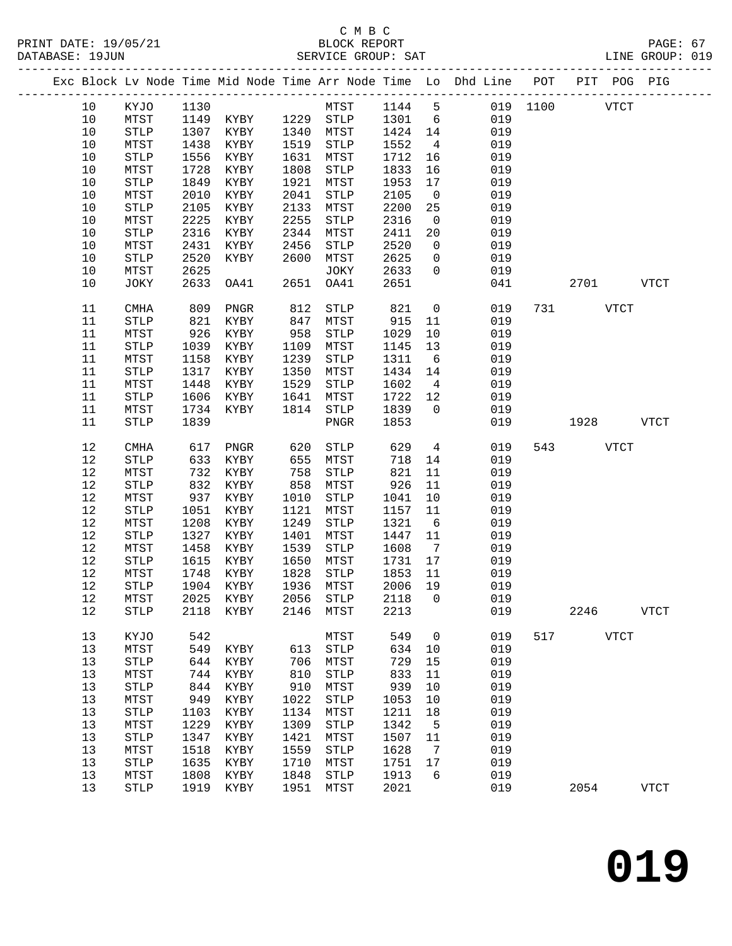#### C M B C PRINT DATE: 19/05/21 BLOCK REPORT BATE: 19/05/21

| PRINT DATE: 19/05/21<br>DATABASE: 19JUN |      |             |      | 5/21 BLOCK REPORT<br>SERVICE GROUP: SAT |            |                       |         |                 | PAGE: 67<br>LINE GROUP: 019                                                    |     |             |             |             |  |
|-----------------------------------------|------|-------------|------|-----------------------------------------|------------|-----------------------|---------|-----------------|--------------------------------------------------------------------------------|-----|-------------|-------------|-------------|--|
|                                         |      |             |      |                                         |            |                       |         |                 | Exc Block Lv Node Time Mid Node Time Arr Node Time Lo Dhd Line POT PIT POG PIG |     |             |             |             |  |
|                                         | 10   | KYJO 1130   |      |                                         |            |                       |         |                 | MTST 1144 5 019 1100                                                           |     | <b>VTCT</b> |             |             |  |
|                                         | 10   | MTST        |      | 1149 KYBY 1229 STLP                     |            |                       |         |                 | 1301 6 019                                                                     |     |             |             |             |  |
|                                         | $10$ | STLP        | 1307 | KYBY 1340 MTST                          |            |                       | 1424 14 |                 | 019                                                                            |     |             |             |             |  |
|                                         | 10   | MTST        | 1438 | KYBY                                    | 1519       | STLP                  | 1552    | $4\overline{4}$ | 019                                                                            |     |             |             |             |  |
|                                         | $10$ | STLP        | 1556 | KYBY                                    | 1631       | MTST                  | 1712    | 16              | 019                                                                            |     |             |             |             |  |
|                                         | $10$ | MTST        | 1728 | KYBY                                    | 1808       | STLP                  | 1833    | 16              | 019                                                                            |     |             |             |             |  |
|                                         | 10   | STLP        | 1849 | KYBY                                    | 1921       | MTST                  | 1953    | 17              | 019                                                                            |     |             |             |             |  |
|                                         | 10   | MTST        | 2010 | KYBY                                    | 2041       | ${\tt STLP}$          | 2105    | $\overline{0}$  | 019                                                                            |     |             |             |             |  |
|                                         | 10   | STLP        | 2105 | KYBY                                    | 2133       | MTST                  | 2200    | 25              | 019                                                                            |     |             |             |             |  |
|                                         | 10   | MTST        | 2225 | KYBY                                    | 2255       | STLP                  | 2316    | $\overline{0}$  | 019                                                                            |     |             |             |             |  |
|                                         | $10$ | STLP        | 2316 | KYBY                                    | 2344       | MTST                  | 2411    | 20              | 019                                                                            |     |             |             |             |  |
|                                         | 10   | MTST        | 2431 | KYBY                                    | 2456       | STLP                  | 2520    | $\overline{0}$  | 019                                                                            |     |             |             |             |  |
|                                         | 10   | STLP        | 2520 | KYBY                                    | 2600       | MTST                  | 2625    | $\overline{0}$  | 019                                                                            |     |             |             |             |  |
|                                         | 10   | MTST        | 2625 |                                         |            | JOKY                  | 2633    | $\overline{0}$  | 019                                                                            |     |             |             |             |  |
|                                         | 10   |             | 2633 |                                         | 2651       | OA41                  | 2651    |                 | 041                                                                            |     | 2701 VTCT   |             |             |  |
|                                         |      | JOKY        |      | OA41                                    |            |                       |         |                 |                                                                                |     |             |             |             |  |
|                                         | 11   | CMHA        | 809  | PNGR                                    | 812<br>847 | STLP                  | 821     | $\overline{0}$  | 019                                                                            |     | 731 VTCT    |             |             |  |
|                                         | 11   | STLP        | 821  | KYBY                                    |            | MTST                  | 915     | 11              | 019                                                                            |     |             |             |             |  |
|                                         | 11   | MTST        | 926  | KYBY                                    | 958        | STLP                  | 1029    | 10              | 019                                                                            |     |             |             |             |  |
|                                         | 11   | STLP        | 1039 | KYBY                                    | 1109       | MTST                  | 1145    | 13              | 019                                                                            |     |             |             |             |  |
|                                         | 11   | MTST        | 1158 | KYBY                                    | 1239       | STLP                  | 1311    | $6\overline{6}$ | 019                                                                            |     |             |             |             |  |
|                                         | 11   | STLP        | 1317 | KYBY                                    | 1350       | MTST                  | 1434 14 |                 | 019                                                                            |     |             |             |             |  |
|                                         | 11   | MTST        | 1448 | KYBY                                    | 1529       | STLP                  | 1602    | $\overline{4}$  | 019                                                                            |     |             |             |             |  |
|                                         | 11   | STLP        | 1606 | KYBY                                    | 1641       | MTST                  | 1722 12 |                 | 019                                                                            |     |             |             |             |  |
|                                         | 11   | MTST        | 1734 | KYBY                                    | 1814       | STLP                  | 1839 0  |                 | 019                                                                            |     |             |             |             |  |
|                                         | 11   | <b>STLP</b> | 1839 |                                         |            | PNGR                  | 1853    |                 | 019                                                                            |     | 1928 VTCT   |             |             |  |
|                                         | 12   | CMHA        | 617  | PNGR 620                                |            | STLP                  | 629     |                 | $4\overline{ }$<br>019                                                         |     | 543 VTCT    |             |             |  |
|                                         | 12   | STLP        | 633  | KYBY                                    | 655        | MTST                  | 718 14  |                 | 019                                                                            |     |             |             |             |  |
|                                         | 12   | MTST        |      | 732 KYBY                                | 758        | ${\tt STLP}$          | 821     | 11              | 019                                                                            |     |             |             |             |  |
|                                         | 12   | STLP        | 832  | KYBY                                    | 858        | MTST                  | 926     | 11              | 019                                                                            |     |             |             |             |  |
|                                         | 12   | MTST        | 937  | KYBY                                    | 1010       | ${\tt STLP}$          | 1041    | 10              | 019                                                                            |     |             |             |             |  |
|                                         | 12   | STLP        | 1051 | KYBY                                    | 1121       | MTST                  | 1157 11 |                 | 019                                                                            |     |             |             |             |  |
|                                         | 12   | MTST        | 1208 | KYBY                                    | 1249       | ${\tt STLP}$          | 1321    | 6               | 019                                                                            |     |             |             |             |  |
|                                         | 12   | STLP        | 1327 | KYBY                                    | 1401       | MTST                  | 1447 11 |                 | 019                                                                            |     |             |             |             |  |
|                                         | 12   | MTST        | 1458 | KYBY                                    | 1539       | STLP                  | 1608    | $7\overline{ }$ | 019                                                                            |     |             |             |             |  |
|                                         | 12   | <b>STLP</b> |      | 1615 KYBY                               | 1650       | MTST                  | 1731 17 |                 | 019                                                                            |     |             |             |             |  |
|                                         |      |             |      | 12 MTST 1748 KYBY 1828 STLP 1853 11     |            |                       |         |                 | 019                                                                            |     |             |             |             |  |
|                                         | 12   | STLP        | 1904 | KYBY                                    | 1936       | MTST                  | 2006    | 19              | 019                                                                            |     |             |             |             |  |
|                                         | 12   | MTST        | 2025 | KYBY                                    | 2056       | <b>STLP</b>           | 2118    | $\mathbf 0$     | 019                                                                            |     |             |             |             |  |
|                                         | 12   | STLP        | 2118 | KYBY                                    | 2146       | MTST                  | 2213    |                 | 019                                                                            |     | 2246        |             | <b>VTCT</b> |  |
|                                         |      |             |      |                                         |            |                       |         |                 |                                                                                |     |             |             |             |  |
|                                         | 13   | KYJO        | 542  |                                         |            | MTST                  | 549     | $\overline{0}$  | 019                                                                            | 517 |             | <b>VTCT</b> |             |  |
|                                         | 13   | MTST        | 549  | KYBY                                    | 613        | STLP                  | 634     | 10              | 019                                                                            |     |             |             |             |  |
|                                         | 13   | STLP        | 644  | KYBY                                    | 706        | MTST                  | 729     | 15              | 019                                                                            |     |             |             |             |  |
|                                         | 13   | MTST        | 744  | KYBY                                    | 810        | STLP                  | 833     | 11              | 019                                                                            |     |             |             |             |  |
|                                         | 13   | <b>STLP</b> | 844  | KYBY                                    | 910        | MTST                  | 939     | 10              | 019                                                                            |     |             |             |             |  |
|                                         | 13   | MTST        | 949  | KYBY                                    | 1022       | STLP                  | 1053    | 10              | 019                                                                            |     |             |             |             |  |
|                                         | 13   | STLP        | 1103 | KYBY                                    | 1134       | MTST                  | 1211    | 18              | 019                                                                            |     |             |             |             |  |
|                                         | 13   | MTST        | 1229 | KYBY                                    | 1309       | STLP                  | 1342    | 5               | 019                                                                            |     |             |             |             |  |
|                                         | 13   | <b>STLP</b> | 1347 | KYBY                                    | 1421       | MTST                  | 1507    | 11              | 019                                                                            |     |             |             |             |  |
|                                         | 13   | MTST        | 1518 | KYBY                                    | 1559       | $\operatorname{STLP}$ | 1628    | $7\phantom{.0}$ | 019                                                                            |     |             |             |             |  |
|                                         | 13   | STLP        | 1635 | KYBY                                    | 1710       | MTST                  | 1751    | 17              | 019                                                                            |     |             |             |             |  |
|                                         | 13   | MTST        | 1808 | KYBY                                    | 1848       | STLP                  | 1913    | 6               | 019                                                                            |     |             |             |             |  |
|                                         | 13   | <b>STLP</b> | 1919 | KYBY                                    | 1951       | MTST                  | 2021    |                 | 019                                                                            |     | 2054        |             | <b>VTCT</b> |  |
|                                         |      |             |      |                                         |            |                       |         |                 |                                                                                |     |             |             |             |  |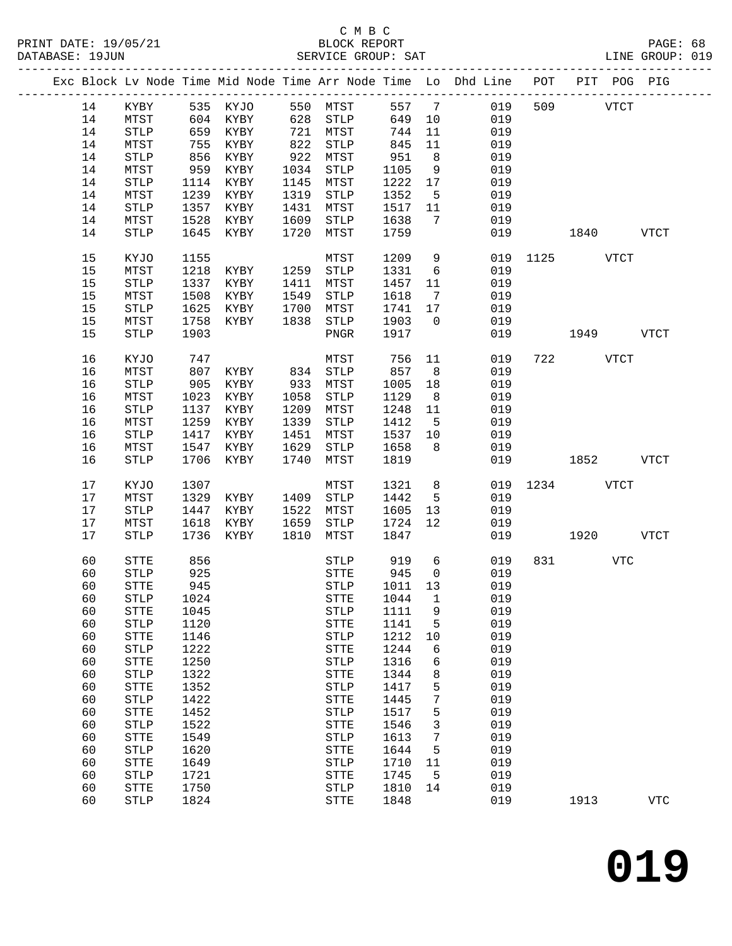|    |                       |      |          |      |                       |          |                 | Exc Block Lv Node Time Mid Node Time Arr Node Time Lo Dhd Line POT |               |          |      | PIT POG PIG |
|----|-----------------------|------|----------|------|-----------------------|----------|-----------------|--------------------------------------------------------------------|---------------|----------|------|-------------|
| 14 | KYBY                  |      | 535 KYJO |      | 550 MTST              | 557 7    |                 | 019                                                                |               | 509      | VTCT |             |
| 14 | MTST                  |      | 604 KYBY |      | 628 STLP              | 649      | 10              | 019                                                                |               |          |      |             |
| 14 | ${\tt STLP}$          | 659  | KYBY     |      | 721 MTST              | 744      | 11              | 019                                                                |               |          |      |             |
| 14 | MTST                  | 755  | KYBY     |      | 822 STLP              | 845      | 11              | 019                                                                |               |          |      |             |
| 14 | STLP                  | 856  | KYBY     | 922  | MTST                  | 951      | 8 <sup>8</sup>  | 019                                                                |               |          |      |             |
| 14 | MTST                  | 959  | KYBY     | 1034 | STLP                  | 1105     | 9               | 019                                                                |               |          |      |             |
| 14 | ${\tt STLP}$          | 1114 | KYBY     | 1145 | MTST                  | 1222     | 17              | 019                                                                |               |          |      |             |
| 14 | MTST                  | 1239 | KYBY     | 1319 | STLP                  | 1352     | $5^{\circ}$     | 019                                                                |               |          |      |             |
| 14 | STLP                  | 1357 | KYBY     | 1431 | MTST                  | 1517     | 11              | 019                                                                |               |          |      |             |
| 14 | MTST                  | 1528 | KYBY     | 1609 | STLP                  | 1638     | $\overline{7}$  | 019                                                                |               |          |      |             |
| 14 | <b>STLP</b>           | 1645 | KYBY     | 1720 | MTST                  | 1759     |                 | 019                                                                |               | 1840     |      | VTCT        |
|    |                       |      |          |      |                       |          |                 |                                                                    |               |          |      |             |
| 15 | KYJO                  | 1155 |          |      | MTST                  | 1209     | 9               |                                                                    | 019 1125 VTCT |          |      |             |
| 15 | MTST                  | 1218 | KYBY     |      | 1259 STLP             | 1331     | $6\overline{6}$ | 019                                                                |               |          |      |             |
| 15 | $\operatorname{STLP}$ | 1337 | KYBY     | 1411 | MTST                  | 1457     | 11              | 019                                                                |               |          |      |             |
| 15 | ${\tt MTST}$          | 1508 | KYBY     | 1549 | STLP                  | 1618     | $\overline{7}$  | 019                                                                |               |          |      |             |
| 15 | STLP                  | 1625 | KYBY     | 1700 | MTST                  | 1741     | 17              | 019                                                                |               |          |      |             |
| 15 | MTST                  | 1758 | KYBY     | 1838 | STLP                  | 1903     | $\overline{0}$  | 019                                                                |               |          |      |             |
| 15 | <b>STLP</b>           | 1903 |          |      | PNGR                  | 1917     |                 | 019                                                                |               | 1949     |      | <b>VTCT</b> |
| 16 |                       |      |          |      |                       |          | 11              | 019                                                                |               | 722 VTCT |      |             |
|    | KYJO                  | 747  |          |      | MTST                  | 756      |                 |                                                                    |               |          |      |             |
| 16 | MTST                  | 807  | KYBY     |      | 834 STLP              | 857      | 8 <sup>8</sup>  | 019                                                                |               |          |      |             |
| 16 | $\operatorname{STLP}$ | 905  | KYBY     | 933  | MTST                  | 1005     | 18              | 019                                                                |               |          |      |             |
| 16 | MTST                  | 1023 | KYBY     | 1058 | STLP                  | 1129     | 8 <sup>8</sup>  | 019                                                                |               |          |      |             |
| 16 | STLP                  | 1137 | KYBY     | 1209 | MTST                  | 1248     | 11              | 019                                                                |               |          |      |             |
| 16 | MTST                  | 1259 | KYBY     | 1339 | STLP                  | 1412     | $-5$            | 019                                                                |               |          |      |             |
| 16 | STLP                  | 1417 | KYBY     | 1451 | MTST                  | 1537     | 10              | 019                                                                |               |          |      |             |
| 16 | ${\tt MTST}$          | 1547 | KYBY     | 1629 | STLP                  | 1658     | 8               | 019                                                                |               |          |      |             |
| 16 | <b>STLP</b>           | 1706 | KYBY     | 1740 | MTST                  | 1819     |                 | 019                                                                |               | 1852     |      | VTCT        |
| 17 | KYJO                  | 1307 |          |      | MTST                  | 1321     | 8 <sup>8</sup>  |                                                                    | 019 1234 VTCT |          |      |             |
| 17 | MTST                  | 1329 | KYBY     | 1409 | STLP                  | 1442     | $5^{\circ}$     | 019                                                                |               |          |      |             |
| 17 | $\operatorname{STLP}$ | 1447 | KYBY     | 1522 | MTST                  | 1605     | 13              | 019                                                                |               |          |      |             |
| 17 | MTST                  | 1618 | KYBY     | 1659 | STLP                  | 1724     | 12              | 019                                                                |               |          |      |             |
| 17 | <b>STLP</b>           | 1736 | KYBY     | 1810 | MTST                  | 1847     |                 | 019                                                                |               | 1920     |      | <b>VTCT</b> |
| 60 | STTE                  | 856  |          |      |                       | STLP 919 | 6               | 019                                                                |               | 831      | VTC  |             |
| 60 | STLP                  | 925  |          |      | STTE                  | 945      | $\overline{0}$  | 019                                                                |               |          |      |             |
| 60 | <b>STTE</b>           | 945  |          |      | <b>STLP</b>           | 1011 13  |                 | 019                                                                |               |          |      |             |
| 60 | STLP 1024             |      |          |      | STTE 1044 1           |          |                 | 019                                                                |               |          |      |             |
| 60 | STTE                  | 1045 |          |      | STLP                  | 1111     | 9               | 019                                                                |               |          |      |             |
| 60 | <b>STLP</b>           | 1120 |          |      | ${\tt STTE}$          | 1141     | 5               | 019                                                                |               |          |      |             |
| 60 | ${\tt STTE}$          | 1146 |          |      | STLP                  | 1212     | 10              | 019                                                                |               |          |      |             |
| 60 | STLP                  | 1222 |          |      | ${\tt STTE}$          | 1244     | 6               | 019                                                                |               |          |      |             |
| 60 | ${\tt STTE}$          | 1250 |          |      | STLP                  | 1316     | 6               | 019                                                                |               |          |      |             |
| 60 | STLP                  | 1322 |          |      | ${\tt STTE}$          | 1344     | 8               | 019                                                                |               |          |      |             |
| 60 | ${\tt STTE}$          | 1352 |          |      | STLP                  | 1417     | 5               | 019                                                                |               |          |      |             |
| 60 | <b>STLP</b>           | 1422 |          |      | ${\tt STTE}$          | 1445     | 7               | 019                                                                |               |          |      |             |
| 60 | ${\tt STTE}$          | 1452 |          |      | $\operatorname{STLP}$ | 1517     | 5               | 019                                                                |               |          |      |             |
| 60 | <b>STLP</b>           | 1522 |          |      | STTE                  | 1546     | 3               | 019                                                                |               |          |      |             |
| 60 | <b>STTE</b>           | 1549 |          |      | STLP                  | 1613     | 7               | 019                                                                |               |          |      |             |
| 60 | STLP                  | 1620 |          |      | <b>STTE</b>           | 1644     | 5               | 019                                                                |               |          |      |             |
| 60 | ${\tt STTE}$          | 1649 |          |      | $\operatorname{STLP}$ | 1710     | 11              | 019                                                                |               |          |      |             |
| 60 | <b>STLP</b>           | 1721 |          |      | <b>STTE</b>           | 1745     | 5               | 019                                                                |               |          |      |             |
| 60 | <b>STTE</b>           | 1750 |          |      | $\operatorname{STLP}$ | 1810     | 14              | 019                                                                |               |          |      |             |
| 60 | <b>STLP</b>           | 1824 |          |      | <b>STTE</b>           | 1848     |                 | 019                                                                |               | 1913     |      | <b>VTC</b>  |
|    |                       |      |          |      |                       |          |                 |                                                                    |               |          |      |             |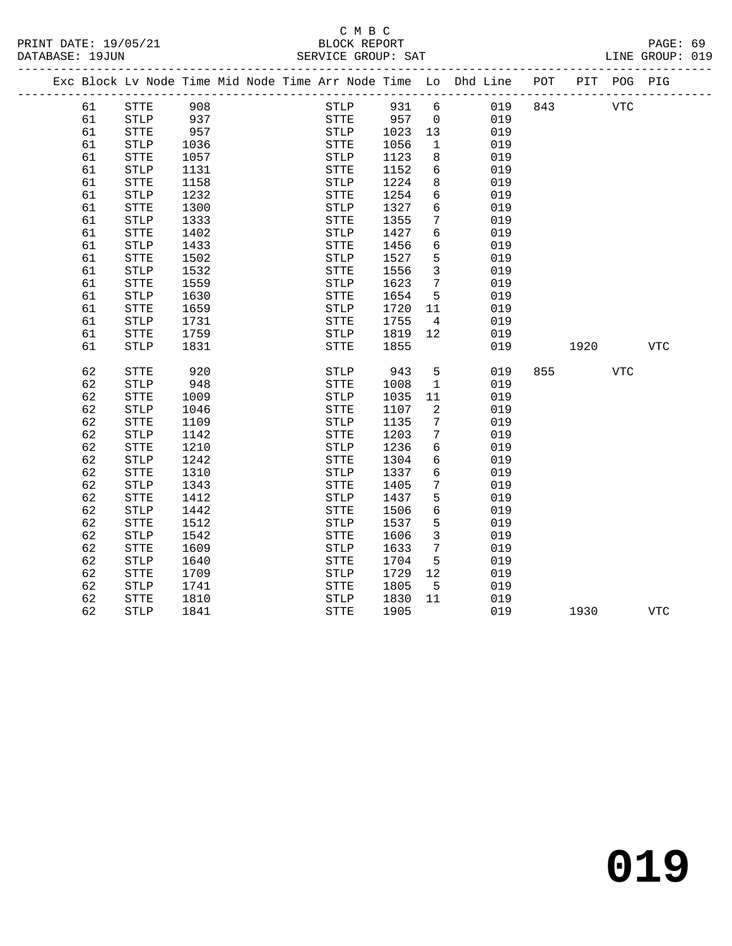|  |    | Exc Block Lv Node Time Mid Node Time Arr Node Time Lo Dhd Line |      |  |              |      |                 |     | POT |      | PIT POG PIG |            |
|--|----|----------------------------------------------------------------|------|--|--------------|------|-----------------|-----|-----|------|-------------|------------|
|  | 61 | ${\tt STTE}$                                                   | 908  |  | STLP         | 931  | 6               | 019 | 843 |      | <b>VTC</b>  |            |
|  | 61 | STLP                                                           | 937  |  | <b>STTE</b>  | 957  | $\overline{0}$  | 019 |     |      |             |            |
|  | 61 | ${\tt STTE}$                                                   | 957  |  | STLP         | 1023 | 13              | 019 |     |      |             |            |
|  | 61 | <b>STLP</b>                                                    | 1036 |  | ${\tt STTE}$ | 1056 | $\mathbf{1}$    | 019 |     |      |             |            |
|  | 61 | STTE                                                           | 1057 |  | <b>STLP</b>  | 1123 | 8               | 019 |     |      |             |            |
|  | 61 | STLP                                                           | 1131 |  | ${\tt STTE}$ | 1152 | 6               | 019 |     |      |             |            |
|  | 61 | STTE                                                           | 1158 |  | STLP         | 1224 | 8               | 019 |     |      |             |            |
|  | 61 | STLP                                                           | 1232 |  | <b>STTE</b>  | 1254 | 6               | 019 |     |      |             |            |
|  | 61 | STTE                                                           | 1300 |  | STLP         | 1327 | 6               | 019 |     |      |             |            |
|  | 61 | $\operatorname{STLP}$                                          | 1333 |  | STTE         | 1355 | 7               | 019 |     |      |             |            |
|  | 61 | STTE                                                           | 1402 |  | STLP         | 1427 | 6               | 019 |     |      |             |            |
|  | 61 | <b>STLP</b>                                                    | 1433 |  | STTE         | 1456 | 6               | 019 |     |      |             |            |
|  | 61 | STTE                                                           | 1502 |  | <b>STLP</b>  | 1527 | 5               | 019 |     |      |             |            |
|  | 61 | STLP                                                           | 1532 |  | ${\tt STTE}$ | 1556 | $\overline{3}$  | 019 |     |      |             |            |
|  | 61 | <b>STTE</b>                                                    | 1559 |  | <b>STLP</b>  | 1623 | $7\phantom{.0}$ | 019 |     |      |             |            |
|  | 61 | <b>STLP</b>                                                    | 1630 |  | <b>STTE</b>  | 1654 | 5               | 019 |     |      |             |            |
|  | 61 | STTE                                                           | 1659 |  | <b>STLP</b>  | 1720 | 11              | 019 |     |      |             |            |
|  | 61 | <b>STLP</b>                                                    | 1731 |  | <b>STTE</b>  | 1755 | $\overline{4}$  | 019 |     |      |             |            |
|  | 61 | STTE                                                           | 1759 |  | STLP         | 1819 | 12              | 019 |     |      |             |            |
|  | 61 | <b>STLP</b>                                                    | 1831 |  | STTE         | 1855 |                 | 019 |     | 1920 |             | VTC        |
|  |    |                                                                |      |  |              |      |                 |     |     |      |             |            |
|  | 62 | STTE                                                           | 920  |  | STLP         | 943  | 5               | 019 | 855 |      | <b>VTC</b>  |            |
|  | 62 | $\operatorname{STLP}$                                          | 948  |  | STTE         | 1008 | $\mathbf{1}$    | 019 |     |      |             |            |
|  | 62 | <b>STTE</b>                                                    | 1009 |  | <b>STLP</b>  | 1035 | 11              | 019 |     |      |             |            |
|  | 62 | <b>STLP</b>                                                    | 1046 |  | <b>STTE</b>  | 1107 | 2               | 019 |     |      |             |            |
|  | 62 | <b>STTE</b>                                                    | 1109 |  | <b>STLP</b>  | 1135 | $7\phantom{.0}$ | 019 |     |      |             |            |
|  | 62 | <b>STLP</b>                                                    | 1142 |  | <b>STTE</b>  | 1203 | 7               | 019 |     |      |             |            |
|  | 62 | STTE                                                           | 1210 |  | STLP         | 1236 | 6               | 019 |     |      |             |            |
|  | 62 | <b>STLP</b>                                                    | 1242 |  | STTE         | 1304 | 6               | 019 |     |      |             |            |
|  | 62 | STTE                                                           | 1310 |  | STLP         | 1337 | 6               | 019 |     |      |             |            |
|  | 62 | STLP                                                           | 1343 |  | STTE         | 1405 | 7               | 019 |     |      |             |            |
|  | 62 | STTE                                                           | 1412 |  | STLP         | 1437 | 5               | 019 |     |      |             |            |
|  | 62 | STLP                                                           | 1442 |  | STTE         | 1506 | $6\overline{6}$ | 019 |     |      |             |            |
|  | 62 | <b>STTE</b>                                                    | 1512 |  | <b>STLP</b>  | 1537 | 5               | 019 |     |      |             |            |
|  | 62 | STLP                                                           | 1542 |  | <b>STTE</b>  | 1606 | 3               | 019 |     |      |             |            |
|  | 62 | <b>STTE</b>                                                    | 1609 |  | <b>STLP</b>  | 1633 | $7\phantom{.0}$ | 019 |     |      |             |            |
|  | 62 | <b>STLP</b>                                                    | 1640 |  | <b>STTE</b>  | 1704 | 5               | 019 |     |      |             |            |
|  | 62 | STTE                                                           | 1709 |  | STLP         | 1729 | 12              | 019 |     |      |             |            |
|  | 62 | $\operatorname{STLP}$                                          | 1741 |  | ${\tt STTE}$ | 1805 | $5^{\circ}$     | 019 |     |      |             |            |
|  | 62 | STTE                                                           | 1810 |  | STLP         | 1830 | 11              | 019 |     |      |             |            |
|  | 62 | <b>STLP</b>                                                    | 1841 |  | <b>STTE</b>  | 1905 |                 | 019 |     | 1930 |             | <b>VTC</b> |
|  |    |                                                                |      |  |              |      |                 |     |     |      |             |            |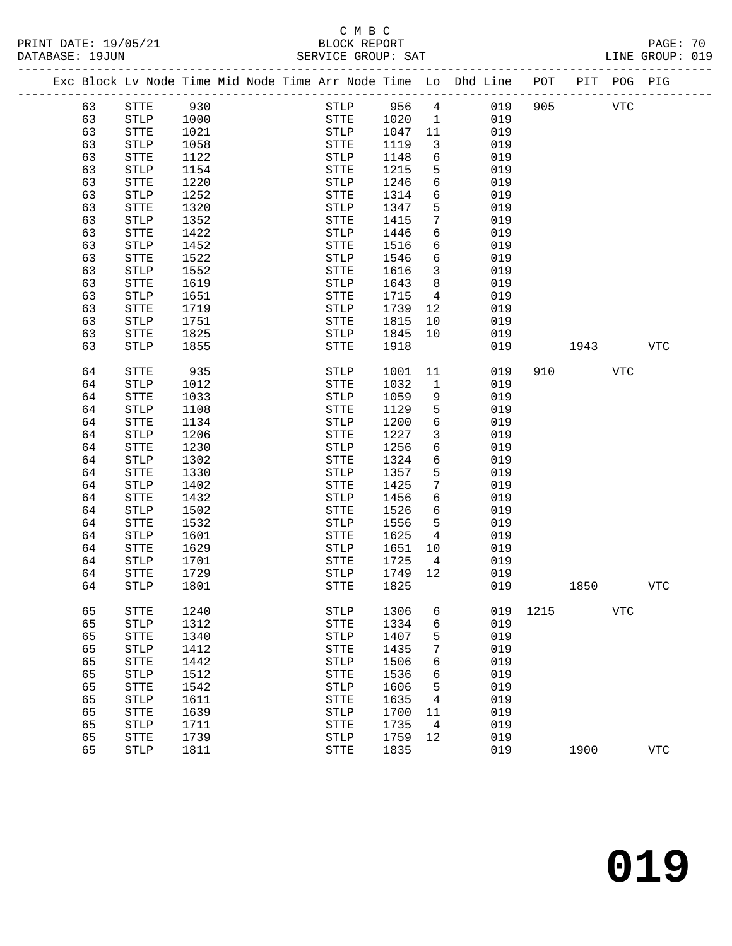#### C M B C<br>BLOCK REPORT SERVICE GROUP: SAT

|  |    | Exc Block Lv Node Time Mid Node Time Arr Node Time Lo Dhd Line POT |      |  |              |      |                 |     |      |      | PIT POG PIG |            |
|--|----|--------------------------------------------------------------------|------|--|--------------|------|-----------------|-----|------|------|-------------|------------|
|  | 63 | ${\tt STTE}$                                                       | 930  |  | ${\tt STLP}$ | 956  | $4\overline{ }$ | 019 | 905  |      | <b>VTC</b>  |            |
|  | 63 | <b>STLP</b>                                                        | 1000 |  | STTE         | 1020 | $\mathbf{1}$    | 019 |      |      |             |            |
|  | 63 | STTE                                                               | 1021 |  | ${\tt STLP}$ | 1047 | 11              | 019 |      |      |             |            |
|  | 63 | <b>STLP</b>                                                        | 1058 |  | STTE         | 1119 | 3               | 019 |      |      |             |            |
|  | 63 | STTE                                                               | 1122 |  | <b>STLP</b>  | 1148 | 6               | 019 |      |      |             |            |
|  | 63 | <b>STLP</b>                                                        | 1154 |  | STTE         | 1215 | 5               | 019 |      |      |             |            |
|  | 63 | STTE                                                               | 1220 |  | STLP         | 1246 | 6               | 019 |      |      |             |            |
|  | 63 | <b>STLP</b>                                                        | 1252 |  | STTE         | 1314 | 6               | 019 |      |      |             |            |
|  | 63 | STTE                                                               | 1320 |  | <b>STLP</b>  | 1347 | 5               | 019 |      |      |             |            |
|  | 63 | STLP                                                               | 1352 |  | STTE         | 1415 | 7               | 019 |      |      |             |            |
|  | 63 | STTE                                                               | 1422 |  | STLP         | 1446 | 6               | 019 |      |      |             |            |
|  | 63 | STLP                                                               | 1452 |  | STTE         | 1516 | 6               | 019 |      |      |             |            |
|  | 63 | STTE                                                               | 1522 |  | <b>STLP</b>  | 1546 | 6               | 019 |      |      |             |            |
|  | 63 | STLP                                                               | 1552 |  | STTE         | 1616 | 3               | 019 |      |      |             |            |
|  | 63 | STTE                                                               | 1619 |  | STLP         | 1643 | 8               | 019 |      |      |             |            |
|  | 63 | <b>STLP</b>                                                        | 1651 |  | STTE         | 1715 | 4               | 019 |      |      |             |            |
|  | 63 | STTE                                                               | 1719 |  | <b>STLP</b>  | 1739 | 12              | 019 |      |      |             |            |
|  | 63 | STLP                                                               | 1751 |  | STTE         | 1815 | 10              | 019 |      |      |             |            |
|  | 63 | STTE                                                               | 1825 |  | STLP         | 1845 | 10              | 019 |      |      |             |            |
|  | 63 | STLP                                                               | 1855 |  | STTE         | 1918 |                 | 019 |      | 1943 |             | VTC        |
|  |    |                                                                    |      |  |              |      |                 |     |      |      |             |            |
|  | 64 | STTE                                                               | 935  |  | STLP         | 1001 | 11              | 019 | 910  |      | <b>VTC</b>  |            |
|  | 64 | STLP                                                               | 1012 |  | STTE         | 1032 | 1               | 019 |      |      |             |            |
|  | 64 | STTE                                                               | 1033 |  | STLP         | 1059 | 9               | 019 |      |      |             |            |
|  | 64 | <b>STLP</b>                                                        | 1108 |  | STTE         | 1129 | 5               | 019 |      |      |             |            |
|  | 64 | STTE                                                               | 1134 |  | STLP         | 1200 | 6               | 019 |      |      |             |            |
|  | 64 | <b>STLP</b>                                                        | 1206 |  | STTE         | 1227 | 3               | 019 |      |      |             |            |
|  | 64 | STTE                                                               | 1230 |  | STLP         | 1256 | 6               | 019 |      |      |             |            |
|  | 64 | <b>STLP</b>                                                        | 1302 |  | STTE         | 1324 | 6               | 019 |      |      |             |            |
|  | 64 | STTE                                                               | 1330 |  | STLP         | 1357 | 5               | 019 |      |      |             |            |
|  | 64 | STLP                                                               | 1402 |  | STTE         | 1425 | 7               | 019 |      |      |             |            |
|  | 64 | STTE                                                               | 1432 |  | STLP         | 1456 | 6               | 019 |      |      |             |            |
|  | 64 | <b>STLP</b>                                                        | 1502 |  | STTE         | 1526 | 6               | 019 |      |      |             |            |
|  | 64 | STTE                                                               | 1532 |  | <b>STLP</b>  | 1556 | 5               | 019 |      |      |             |            |
|  | 64 | STLP                                                               | 1601 |  | STTE         | 1625 | 4               | 019 |      |      |             |            |
|  | 64 | STTE                                                               | 1629 |  | STLP         | 1651 | 10              | 019 |      |      |             |            |
|  | 64 | <b>STLP</b>                                                        | 1701 |  | STTE         | 1725 | $\overline{4}$  | 019 |      |      |             |            |
|  | 64 | STTE                                                               | 1729 |  | <b>STLP</b>  | 1749 | 12              | 019 |      |      |             |            |
|  | 64 | STLP                                                               | 1801 |  | STTE         | 1825 |                 | 019 |      | 1850 |             | <b>VTC</b> |
|  |    |                                                                    |      |  |              |      |                 |     |      |      |             |            |
|  | 65 | STTE                                                               | 1240 |  | <b>STLP</b>  | 1306 | 6               | 019 | 1215 |      | <b>VTC</b>  |            |
|  | 65 | <b>STLP</b>                                                        | 1312 |  | STTE         | 1334 | б               | 019 |      |      |             |            |
|  | 65 | <b>STTE</b>                                                        | 1340 |  | <b>STLP</b>  | 1407 | 5               | 019 |      |      |             |            |
|  | 65 | <b>STLP</b>                                                        | 1412 |  | <b>STTE</b>  | 1435 | 7               | 019 |      |      |             |            |
|  | 65 | ${\tt STTE}$                                                       | 1442 |  | ${\tt STLP}$ | 1506 | 6               | 019 |      |      |             |            |
|  | 65 | ${\tt STLP}$                                                       | 1512 |  | <b>STTE</b>  | 1536 | 6               | 019 |      |      |             |            |
|  | 65 | ${\tt STTE}$                                                       | 1542 |  | STLP         | 1606 | 5               | 019 |      |      |             |            |
|  | 65 | ${\tt STLP}$                                                       | 1611 |  | STTE         | 1635 | 4               | 019 |      |      |             |            |
|  | 65 | ${\tt STTE}$                                                       | 1639 |  | ${\tt STLP}$ | 1700 | 11              | 019 |      |      |             |            |
|  | 65 | <b>STLP</b>                                                        | 1711 |  | STTE         | 1735 | 4               | 019 |      |      |             |            |
|  | 65 | <b>STTE</b>                                                        | 1739 |  | STLP         | 1759 | 12              | 019 |      |      |             |            |

65 STLP 1811 STTE 1835 019 1900 VTC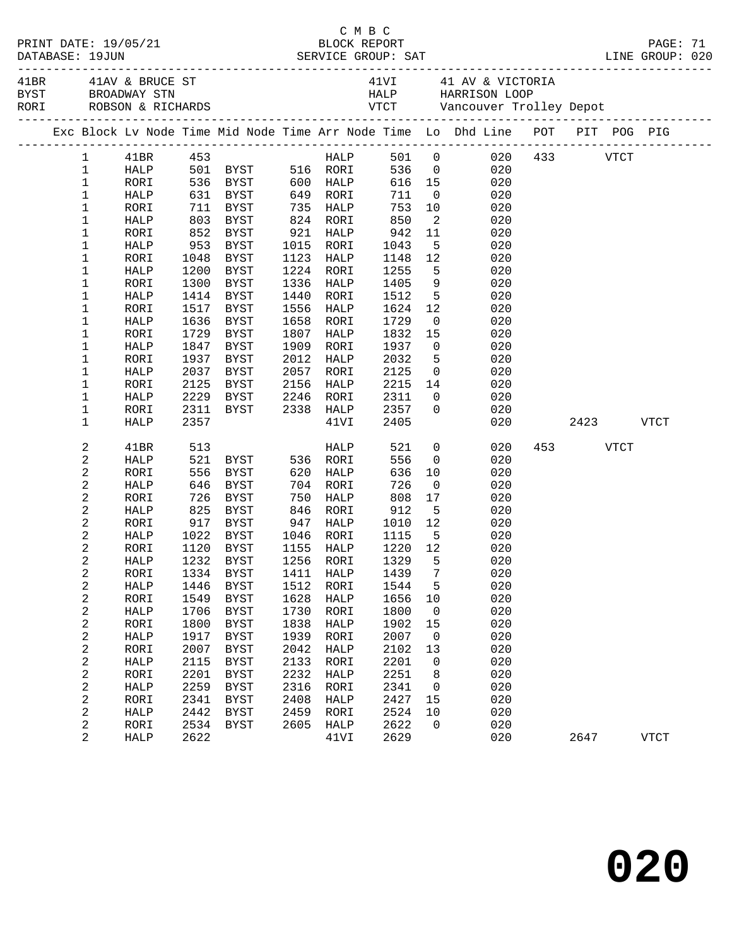| DATABASE: 19JUN |                                           |              |      |                                            | C M B C<br>PRINT DATE: 19/05/21 BLOCK REPORT<br>DATABASE: 19JUN SERVICE GROUP: SAT LINE GROUP: 020 |                        |                                                                       |                |                                                                                |  |           |             |  |
|-----------------|-------------------------------------------|--------------|------|--------------------------------------------|----------------------------------------------------------------------------------------------------|------------------------|-----------------------------------------------------------------------|----------------|--------------------------------------------------------------------------------|--|-----------|-------------|--|
|                 |                                           |              |      |                                            |                                                                                                    |                        |                                                                       |                |                                                                                |  |           |             |  |
|                 |                                           |              |      |                                            |                                                                                                    |                        |                                                                       |                | Exc Block Lv Node Time Mid Node Time Arr Node Time Lo Dhd Line POT PIT POG PIG |  |           |             |  |
|                 |                                           | 1 41BR 453   |      |                                            |                                                                                                    |                        |                                                                       |                | HALP 501 0 020 433 VTCT                                                        |  |           |             |  |
|                 | $\mathbf 1$                               |              |      | HALP 501 BYST 516 RORI 536 0               |                                                                                                    |                        |                                                                       |                | 020                                                                            |  |           |             |  |
|                 | $\mathbf{1}$                              | RORI         |      |                                            |                                                                                                    |                        |                                                                       |                | 616 15<br>020                                                                  |  |           |             |  |
|                 | $\mathbf 1$                               | HALP         |      |                                            |                                                                                                    |                        |                                                                       |                | 020                                                                            |  |           |             |  |
|                 | $\mathbf 1$                               | RORI         |      |                                            |                                                                                                    |                        |                                                                       |                | 10<br>020                                                                      |  |           |             |  |
|                 | $\mathbf 1$                               | HALP         |      | 803 BYST 824 RORI                          |                                                                                                    |                        | 850                                                                   |                | $\overline{2}$<br>020                                                          |  |           |             |  |
|                 | $\mathbf 1$                               | RORI         |      | 852 BYST                                   |                                                                                                    | 921 HALP               | 942<br>1043<br>1148                                                   | 11             | 020                                                                            |  |           |             |  |
|                 | $\mathbf 1$                               | HALP         |      | 953 BYST                                   |                                                                                                    | 1015 RORI              |                                                                       | 5 <sub>5</sub> | 020                                                                            |  |           |             |  |
|                 | $\mathbf 1$                               | RORI         |      | 1048 BYST                                  |                                                                                                    | 1123 HALP              | 1148                                                                  | 12             | 020<br>5 <sub>1</sub>                                                          |  |           |             |  |
|                 | $\mathbf 1$                               | HALP         |      | 1200 BYST                                  |                                                                                                    | 1224 RORI<br>1336 HALP | 1255                                                                  |                | 020                                                                            |  |           |             |  |
|                 | $\mathbf 1$<br>$\mathbf 1$                | RORI         | 1300 | BYST<br>1414 BYST                          |                                                                                                    | 1440 RORI              | 1405<br>1512                                                          |                | 9<br>020<br>$\begin{array}{c}\n5 \\ 7\n\end{array}$<br>020                     |  |           |             |  |
|                 | $\mathbf 1$                               | HALP         |      |                                            |                                                                                                    | 1556 HALP              | 1624 12                                                               |                |                                                                                |  |           |             |  |
|                 | 1                                         | RORI<br>HALP | 1636 | 1517 BYST<br>BYST                          |                                                                                                    | 1658 RORI              | 1729                                                                  |                | 020<br>$\overline{0}$<br>020                                                   |  |           |             |  |
|                 | $\mathbf 1$                               | RORI         | 1729 | BYST                                       | 1807                                                                                               | HALP                   | 1832 15                                                               |                | 020                                                                            |  |           |             |  |
|                 | $\mathbf 1$                               | HALP         | 1847 | BYST                                       |                                                                                                    | 1909 RORI              | 1937                                                                  |                | $\overline{0}$<br>020                                                          |  |           |             |  |
|                 | $\mathbf 1$                               | RORI         |      | 1937 BYST                                  |                                                                                                    | 2012 HALP              | 2032                                                                  | 5 <sub>5</sub> | 020                                                                            |  |           |             |  |
|                 | 1                                         | HALP         |      | 2037 BYST                                  |                                                                                                    | 2057 RORI              | 2125                                                                  |                | $\overline{0}$<br>020                                                          |  |           |             |  |
|                 | $\mathbf 1$                               | RORI         | 2125 | BYST                                       | 2156                                                                                               | HALP                   | 2215                                                                  |                | 14<br>020                                                                      |  |           |             |  |
|                 | $\mathbf 1$                               | HALP         |      |                                            |                                                                                                    |                        | 2311                                                                  |                | $\overline{0}$<br>020                                                          |  |           |             |  |
|                 | $\mathbf 1$                               | RORI         |      | 2229 BYST 2246 RORI<br>2311 BYST 2338 HALP |                                                                                                    |                        | 2357                                                                  | $\overline{0}$ | 020                                                                            |  |           |             |  |
|                 | $\mathbf 1$                               | HALP         | 2357 |                                            |                                                                                                    | 41VI                   | 2405                                                                  |                | 020                                                                            |  | 2423 VTCT |             |  |
|                 | 2                                         | 41BR         |      |                                            |                                                                                                    | HALP                   | 521<br>556                                                            | $\overline{0}$ | 020                                                                            |  | 453 VTCT  |             |  |
|                 | $\sqrt{2}$                                | HALP         |      |                                            |                                                                                                    |                        | 556                                                                   | $\overline{0}$ | 020                                                                            |  |           |             |  |
|                 | 2                                         | RORI         | 556  | BYST                                       |                                                                                                    | 620 HALP               | 636                                                                   | 10             | 020                                                                            |  |           |             |  |
|                 | $\sqrt{2}$                                | HALP         |      | 646 BYST                                   |                                                                                                    | 704 RORI               | 726                                                                   | $\overline{0}$ | 020                                                                            |  |           |             |  |
|                 | 2                                         | RORI         |      | 726 BYST                                   | 750                                                                                                | HALP                   | 808                                                                   | 17             | 020                                                                            |  |           |             |  |
|                 | $\sqrt{2}$                                | HALP         |      | 825 BYST                                   |                                                                                                    | 846 RORI               |                                                                       |                | 020                                                                            |  |           |             |  |
|                 | 2                                         | RORI         |      | 917 BYST 947 HALP                          |                                                                                                    |                        | $\begin{array}{cc}\n 808 & 17 \\  912 & 5 \\  1010 & 12\n\end{array}$ |                | 020                                                                            |  |           |             |  |
|                 | 2                                         | HALP         |      | 1022 BYST 1046 RORI                        |                                                                                                    |                        | 1115 5                                                                |                | 020                                                                            |  |           |             |  |
|                 | 2                                         | RORI         |      | 1120 BYST                                  |                                                                                                    | 1155 HALP              | 1220 12                                                               |                | 020                                                                            |  |           |             |  |
|                 | 2                                         |              |      | HALP 1232 BYST 1256 RORI 1329 5            |                                                                                                    |                        |                                                                       |                | 020                                                                            |  |           |             |  |
|                 | 2                                         | RORI         | 1334 | <b>BYST</b>                                | 1411                                                                                               | HALP                   | 1439                                                                  | 7              | 020                                                                            |  |           |             |  |
|                 | 2                                         | HALP         | 1446 | <b>BYST</b>                                | 1512                                                                                               | RORI                   | 1544                                                                  | 5              | 020                                                                            |  |           |             |  |
|                 | $\overline{\mathbf{c}}$                   | RORI         | 1549 | <b>BYST</b>                                | 1628                                                                                               | HALP                   | 1656                                                                  | 10             | 020                                                                            |  |           |             |  |
|                 | $\overline{\mathbf{c}}$                   | HALP         | 1706 | <b>BYST</b>                                | 1730                                                                                               | RORI                   | 1800                                                                  | 0              | 020                                                                            |  |           |             |  |
|                 | 2                                         | RORI         | 1800 | <b>BYST</b>                                | 1838                                                                                               | HALP                   | 1902                                                                  | 15             | 020                                                                            |  |           |             |  |
|                 | 2                                         | <b>HALP</b>  | 1917 | <b>BYST</b>                                | 1939                                                                                               | RORI                   | 2007                                                                  | 0              | 020                                                                            |  |           |             |  |
|                 | $\overline{\mathbf{c}}$                   | RORI         | 2007 | <b>BYST</b>                                | 2042                                                                                               | HALP                   | 2102                                                                  | 13             | 020                                                                            |  |           |             |  |
|                 | 2                                         | HALP         | 2115 | <b>BYST</b>                                | 2133                                                                                               | RORI                   | 2201                                                                  | 0              | 020                                                                            |  |           |             |  |
|                 | $\overline{\mathbf{c}}$                   | RORI         | 2201 | <b>BYST</b>                                | 2232                                                                                               | HALP                   | 2251                                                                  | 8              | 020                                                                            |  |           |             |  |
|                 | 2                                         | HALP         | 2259 | <b>BYST</b>                                | 2316                                                                                               | RORI                   | 2341                                                                  | 0              | 020                                                                            |  |           |             |  |
|                 | 2                                         | RORI         | 2341 | <b>BYST</b>                                | 2408                                                                                               | HALP                   | 2427                                                                  | 15             | 020                                                                            |  |           |             |  |
|                 | 2                                         | HALP         | 2442 | <b>BYST</b>                                | 2459                                                                                               | RORI                   | 2524                                                                  | $10$           | 020                                                                            |  |           |             |  |
|                 | $\overline{\mathbf{c}}$<br>$\overline{a}$ | RORI         | 2534 | <b>BYST</b>                                | 2605                                                                                               | HALP                   | 2622                                                                  | 0              | 020                                                                            |  |           |             |  |
|                 |                                           | <b>HALP</b>  | 2622 |                                            |                                                                                                    | 41VI                   | 2629                                                                  |                | 020                                                                            |  | 2647      | <b>VTCT</b> |  |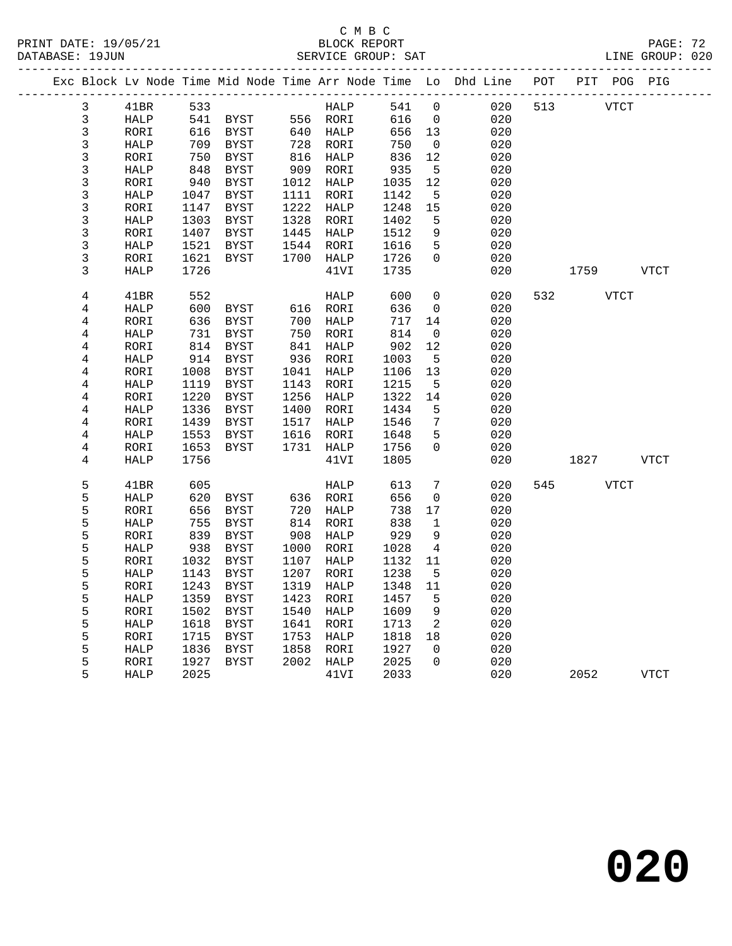|                         |             |      |             |      |          |      |                 | Exc Block Lv Node Time Mid Node Time Arr Node Time Lo Dhd Line | POT |      |             | PIT POG PIG |
|-------------------------|-------------|------|-------------|------|----------|------|-----------------|----------------------------------------------------------------|-----|------|-------------|-------------|
| 3                       | 41BR        | 533  |             |      | HALP     | 541  | $\Omega$        | 020                                                            | 513 |      | VTCT        |             |
| $\mathsf{3}$            | HALP        | 541  | BYST        |      | 556 RORI | 616  | $\mathbf 0$     | 020                                                            |     |      |             |             |
| 3                       | RORI        | 616  | BYST        | 640  | HALP     | 656  | 13              | 020                                                            |     |      |             |             |
| 3                       | HALP        | 709  | BYST        | 728  | RORI     | 750  | $\overline{0}$  | 020                                                            |     |      |             |             |
| 3                       | RORI        | 750  | BYST        | 816  | HALP     | 836  | 12              | 020                                                            |     |      |             |             |
| 3                       | HALP        | 848  | BYST        | 909  | RORI     | 935  | 5               | 020                                                            |     |      |             |             |
| 3                       | RORI        | 940  | BYST        | 1012 | HALP     | 1035 | 12              | 020                                                            |     |      |             |             |
| 3                       | HALP        | 1047 | BYST        | 1111 | RORI     | 1142 | 5               | 020                                                            |     |      |             |             |
| 3                       | RORI        | 1147 | BYST        | 1222 | HALP     | 1248 | 15              | 020                                                            |     |      |             |             |
| 3                       | HALP        | 1303 | BYST        | 1328 | RORI     | 1402 | 5               | 020                                                            |     |      |             |             |
| 3                       | RORI        | 1407 | BYST        | 1445 | HALP     | 1512 | 9               | 020                                                            |     |      |             |             |
| 3                       | HALP        | 1521 | BYST        | 1544 | RORI     | 1616 | $5\phantom{.0}$ | 020                                                            |     |      |             |             |
| 3                       | RORI        | 1621 | <b>BYST</b> | 1700 | HALP     | 1726 | $\Omega$        | 020                                                            |     |      |             |             |
| 3                       | HALP        | 1726 |             |      | 41VI     | 1735 |                 | 020                                                            |     | 1759 |             | VTCT        |
| 4                       | 41BR        | 552  |             |      | HALP     | 600  | 0               | 020                                                            | 532 |      | <b>VTCT</b> |             |
| 4                       | HALP        | 600  | BYST        | 616  | RORI     | 636  | $\mathbf 0$     | 020                                                            |     |      |             |             |
| 4                       | RORI        | 636  | BYST        | 700  | HALP     | 717  | 14              | 020                                                            |     |      |             |             |
| $\overline{4}$          | HALP        | 731  | BYST        | 750  | RORI     | 814  | 0               | 020                                                            |     |      |             |             |
| 4                       | RORI        | 814  | BYST        | 841  | HALP     | 902  | 12              | 020                                                            |     |      |             |             |
| $\,4$                   | HALP        | 914  | BYST        | 936  | RORI     | 1003 | 5               | 020                                                            |     |      |             |             |
| 4                       | RORI        | 1008 | BYST        | 1041 | HALP     | 1106 | 13              | 020                                                            |     |      |             |             |
| $\overline{\mathbf{4}}$ | HALP        | 1119 | <b>BYST</b> | 1143 | RORI     | 1215 | 5               | 020                                                            |     |      |             |             |
| 4                       | RORI        | 1220 | <b>BYST</b> | 1256 | HALP     | 1322 | 14              | 020                                                            |     |      |             |             |
| $\,4$                   | HALP        | 1336 | BYST        | 1400 | RORI     | 1434 | 5               | 020                                                            |     |      |             |             |
| 4                       | RORI        | 1439 | BYST        | 1517 | HALP     | 1546 | 7               | 020                                                            |     |      |             |             |
| $\overline{4}$          | HALP        | 1553 | BYST        | 1616 | RORI     | 1648 | 5               | 020                                                            |     |      |             |             |
| 4                       | RORI        | 1653 | BYST        | 1731 | HALP     | 1756 | $\Omega$        | 020                                                            |     |      |             |             |
| 4                       | <b>HALP</b> | 1756 |             |      | 41VI     | 1805 |                 | 020                                                            |     | 1827 |             | VTCT        |
| 5                       | 41BR        | 605  |             |      | HALP     | 613  | 7               | 020                                                            | 545 |      | <b>VTCT</b> |             |
| 5                       | HALP        | 620  | BYST        | 636  | RORI     | 656  | 0               | 020                                                            |     |      |             |             |
| 5                       | RORI        | 656  | BYST        | 720  | HALP     | 738  | 17              | 020                                                            |     |      |             |             |
| 5                       | HALP        | 755  | BYST        | 814  | RORI     | 838  | $\mathbf{1}$    | 020                                                            |     |      |             |             |
| 5                       | RORI        | 839  | BYST        | 908  | HALP     | 929  | 9               | 020                                                            |     |      |             |             |
| 5                       | HALP        | 938  | BYST        | 1000 | RORI     | 1028 | 4               | 020                                                            |     |      |             |             |
| 5                       | RORI        | 1032 | <b>BYST</b> | 1107 | HALP     | 1132 | 11              | 020                                                            |     |      |             |             |
| 5                       | HALP        | 1143 | <b>BYST</b> | 1207 | RORI     | 1238 | 5               | 020                                                            |     |      |             |             |
| 5                       | RORI        | 1243 | BYST        | 1319 | HALP     | 1348 | 11              | 020                                                            |     |      |             |             |
| 5                       | <b>HALP</b> | 1359 | BYST        | 1423 | RORI     | 1457 | 5               | 020                                                            |     |      |             |             |
| 5                       | RORI        | 1502 | BYST        | 1540 | HALP     | 1609 | 9               | 020                                                            |     |      |             |             |
| 5                       | HALP        | 1618 | <b>BYST</b> | 1641 | RORI     | 1713 | 2               | 020                                                            |     |      |             |             |
| 5                       | RORI        | 1715 | BYST        | 1753 | HALP     | 1818 | 18              | 020                                                            |     |      |             |             |
| 5                       | HALP        | 1836 | BYST        | 1858 | RORI     | 1927 | $\Omega$        | 020                                                            |     |      |             |             |
| 5                       | RORI        | 1927 | <b>BYST</b> | 2002 | HALP     | 2025 | $\Omega$        | 020                                                            |     |      |             |             |
| 5                       | <b>HALP</b> | 2025 |             |      | 41VI     | 2033 |                 | 020                                                            |     | 2052 |             | <b>VTCT</b> |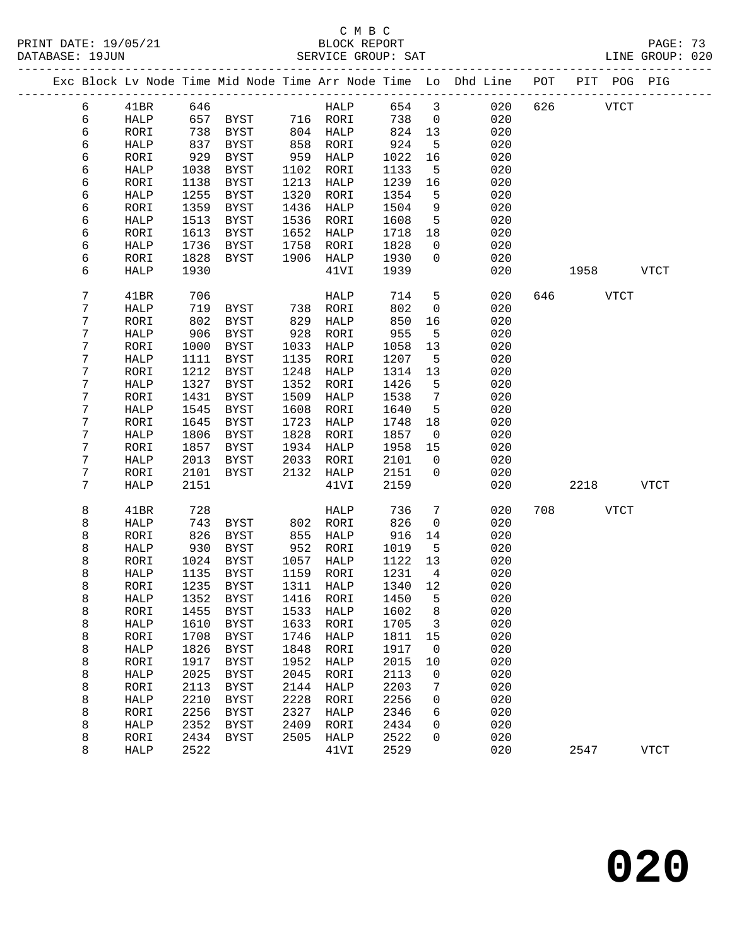#### C M B C<br>BLOCK REPORT PRINT DATE: 19/05/21 BLOCK REPORT BATABASE: 19JUN

PAGE: 73<br>LINE GROUP: 020

|  |   |             |      |             |      |             |      |                         | -----------------------                                            |     |      |             |              |  |
|--|---|-------------|------|-------------|------|-------------|------|-------------------------|--------------------------------------------------------------------|-----|------|-------------|--------------|--|
|  |   |             |      |             |      |             |      |                         | Exc Block Lv Node Time Mid Node Time Arr Node Time Lo Dhd Line POT |     |      |             | PIT POG PIG  |  |
|  | 6 | 41BR        | 646  |             |      | HALP        | 654  | $\overline{\mathbf{3}}$ | 020                                                                | 626 |      | <b>VTCT</b> |              |  |
|  | 6 | HALP        | 657  | BYST        |      | 716 RORI    | 738  | $\overline{0}$          | 020                                                                |     |      |             |              |  |
|  | 6 | RORI        | 738  | BYST        |      | 804 HALP    | 824  | 13                      | 020                                                                |     |      |             |              |  |
|  | 6 | HALP        | 837  | BYST        | 858  | RORI        | 924  | 5                       | 020                                                                |     |      |             |              |  |
|  | 6 | RORI        | 929  | BYST        | 959  | HALP        | 1022 | 16                      | 020                                                                |     |      |             |              |  |
|  | 6 | HALP        | 1038 | BYST        | 1102 | RORI        | 1133 | 5                       | 020                                                                |     |      |             |              |  |
|  | 6 | RORI        | 1138 | BYST        | 1213 | HALP        | 1239 | 16                      | 020                                                                |     |      |             |              |  |
|  | 6 | HALP        | 1255 | BYST        | 1320 | RORI        | 1354 | 5                       | 020                                                                |     |      |             |              |  |
|  | 6 | RORI        | 1359 | BYST        | 1436 | HALP        | 1504 | 9                       | 020                                                                |     |      |             |              |  |
|  | 6 | HALP        | 1513 | BYST        | 1536 | RORI        | 1608 | 5                       | 020                                                                |     |      |             |              |  |
|  | 6 | RORI        | 1613 | BYST        | 1652 | HALP        | 1718 | 18                      | 020                                                                |     |      |             |              |  |
|  | 6 | HALP        | 1736 | BYST        | 1758 | RORI        | 1828 | $\overline{0}$          | 020                                                                |     |      |             |              |  |
|  | 6 | RORI        | 1828 | BYST        | 1906 | HALP        | 1930 | $\mathbf 0$             | 020                                                                |     |      |             |              |  |
|  | 6 | HALP        | 1930 |             |      | 41VI        | 1939 |                         | 020                                                                |     | 1958 |             | <b>VTCT</b>  |  |
|  | 7 | 41BR        | 706  |             |      | HALP        | 714  | 5                       | 020                                                                | 646 |      | <b>VTCT</b> |              |  |
|  | 7 | HALP        | 719  | BYST        | 738  | RORI        | 802  | $\mathsf{O}$            | 020                                                                |     |      |             |              |  |
|  | 7 | RORI        | 802  | BYST        | 829  | HALP        | 850  | 16                      | 020                                                                |     |      |             |              |  |
|  | 7 | HALP        | 906  | BYST        | 928  | RORI        | 955  | 5                       | 020                                                                |     |      |             |              |  |
|  | 7 | RORI        | 1000 | BYST        | 1033 | HALP        | 1058 | 13                      | 020                                                                |     |      |             |              |  |
|  | 7 | HALP        | 1111 | BYST        | 1135 | RORI        | 1207 | 5                       | 020                                                                |     |      |             |              |  |
|  | 7 | RORI        | 1212 | BYST        | 1248 | HALP        | 1314 | 13                      | 020                                                                |     |      |             |              |  |
|  | 7 | HALP        | 1327 | BYST        | 1352 | RORI        | 1426 | 5                       | 020                                                                |     |      |             |              |  |
|  | 7 | RORI        | 1431 | BYST        | 1509 | HALP        | 1538 | 7                       | 020                                                                |     |      |             |              |  |
|  | 7 | HALP        | 1545 | BYST        | 1608 | RORI        | 1640 | 5                       | 020                                                                |     |      |             |              |  |
|  | 7 | RORI        | 1645 | BYST        | 1723 | HALP        | 1748 | 18                      | 020                                                                |     |      |             |              |  |
|  | 7 | <b>HALP</b> | 1806 | BYST        | 1828 | RORI        | 1857 | $\overline{0}$          | 020                                                                |     |      |             |              |  |
|  | 7 | RORI        | 1857 | BYST        | 1934 | HALP        | 1958 | 15                      | 020                                                                |     |      |             |              |  |
|  | 7 | HALP        | 2013 | BYST        | 2033 | RORI        | 2101 | $\overline{0}$          | 020                                                                |     |      |             |              |  |
|  | 7 | RORI        | 2101 | BYST        | 2132 | HALP        | 2151 | $\mathbf 0$             | 020                                                                |     |      |             |              |  |
|  | 7 | <b>HALP</b> | 2151 |             |      | 41VI        | 2159 |                         | 020                                                                |     | 2218 |             | <b>VTCT</b>  |  |
|  | 8 | 41BR        | 728  |             |      | HALP        | 736  | 7                       | 020                                                                | 708 |      | VTCT        |              |  |
|  | 8 | HALP        | 743  | BYST        | 802  | RORI        | 826  | $\mathbf{0}$            | 020                                                                |     |      |             |              |  |
|  | 8 | RORI        | 826  | BYST        | 855  | HALP        | 916  | 14                      | 020                                                                |     |      |             |              |  |
|  | 8 | HALP        | 930  | BYST        | 952  | RORI        | 1019 | 5                       | 020                                                                |     |      |             |              |  |
|  | 8 | RORI        | 1024 | BYST        | 1057 | HALP        | 1122 | 13                      | 020                                                                |     |      |             |              |  |
|  | 8 | HALP        | 1135 | BYST        | 1159 | RORI        | 1231 | $\overline{4}$          | 020                                                                |     |      |             |              |  |
|  | 8 | RORI        | 1235 | BYST        | 1311 | HALP        | 1340 | 12                      | 020                                                                |     |      |             |              |  |
|  | 8 | <b>HALP</b> | 1352 | <b>BYST</b> | 1416 | RORI        | 1450 | 5                       | 020                                                                |     |      |             |              |  |
|  | 8 | RORI        | 1455 | <b>BYST</b> | 1533 | <b>HALP</b> | 1602 | 8                       | 020                                                                |     |      |             |              |  |
|  | 8 | HALP        | 1610 | <b>BYST</b> | 1633 | RORI        | 1705 | 3                       | 020                                                                |     |      |             |              |  |
|  | 8 | RORI        | 1708 | <b>BYST</b> | 1746 | HALP        | 1811 | 15                      | 020                                                                |     |      |             |              |  |
|  | 8 | HALP        | 1826 | <b>BYST</b> | 1848 | RORI        | 1917 | 0                       | 020                                                                |     |      |             |              |  |
|  | 8 | RORI        | 1917 | <b>BYST</b> | 1952 | HALP        | 2015 | 10                      | 020                                                                |     |      |             |              |  |
|  | 8 | HALP        | 2025 | <b>BYST</b> | 2045 | RORI        | 2113 | 0                       | 020                                                                |     |      |             |              |  |
|  | 8 | RORI        | 2113 | <b>BYST</b> | 2144 | <b>HALP</b> | 2203 | 7                       | 020                                                                |     |      |             |              |  |
|  | 8 | HALP        | 2210 | <b>BYST</b> | 2228 | <b>RORI</b> | 2256 | 0                       | 020                                                                |     |      |             |              |  |
|  | 8 | RORI        | 2256 | <b>BYST</b> | 2327 | <b>HALP</b> | 2346 | 6                       | 020                                                                |     |      |             |              |  |
|  | 8 | HALP        | 2352 | <b>BYST</b> | 2409 | RORI        | 2434 | 0                       | 020                                                                |     |      |             |              |  |
|  | 8 | RORI        | 2434 | <b>BYST</b> | 2505 | HALP        | 2522 | 0                       | 020                                                                |     |      |             |              |  |
|  | 8 | HALP        | 2522 |             |      | 41VI        | 2529 |                         | 020                                                                |     | 2547 |             | ${\tt VTCT}$ |  |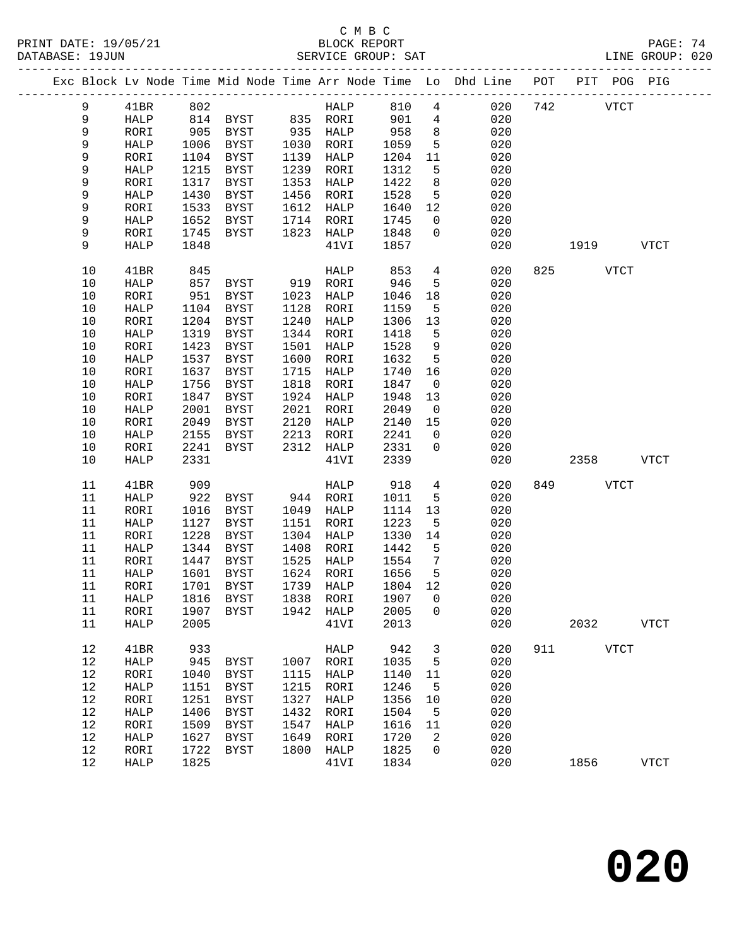#### C M B C<br>BLOCK REPORT SERVICE GROUP: SAT

PRINT DATE: 19/05/21 BLOCK REPORT PAGE: 74

|         |             |      |                   |      |                  |         |                 | Exc Block Lv Node Time Mid Node Time Arr Node Time Lo Dhd Line POT PIT POG PIG |     |             |              |
|---------|-------------|------|-------------------|------|------------------|---------|-----------------|--------------------------------------------------------------------------------|-----|-------------|--------------|
| 9       | 41BR        | 802  |                   |      | HALP 810         |         | 4               | 020                                                                            | 742 | <b>VTCT</b> |              |
| 9       | HALP        |      | 814 BYST 835 RORI |      |                  | 901     | $4\overline{ }$ | 020                                                                            |     |             |              |
| 9       | RORI        | 905  | BYST              |      | 935 HALP         | 958     | 8 <sup>8</sup>  | 020                                                                            |     |             |              |
| 9       | HALP        | 1006 | BYST              | 1030 | RORI             | 1059    | 5               | 020                                                                            |     |             |              |
| 9       | RORI        | 1104 | BYST              |      | 1139 HALP        | 1204    | 11              | 020                                                                            |     |             |              |
| 9       | HALP        | 1215 | BYST              | 1239 | RORI             | 1312    | 5               | 020                                                                            |     |             |              |
| 9       | RORI        | 1317 | <b>BYST</b>       | 1353 | HALP             | 1422    | 8               | 020                                                                            |     |             |              |
| 9       | HALP        | 1430 | BYST              |      | 1456 RORI        | 1528    | $5^{\circ}$     | 020                                                                            |     |             |              |
| 9       | RORI        | 1533 | BYST              |      | 1612 HALP        | 1640    | 12              | 020                                                                            |     |             |              |
| 9       | HALP        | 1652 | BYST              |      | 1714 RORI        | 1745    | $\overline{0}$  | 020                                                                            |     |             |              |
| 9       | RORI        | 1745 | BYST              | 1823 | HALP             | 1848    | $\overline{0}$  | 020                                                                            |     |             |              |
| 9       | <b>HALP</b> | 1848 |                   |      | 41VI             | 1857    |                 | 020                                                                            |     | 1919        | VTCT         |
|         |             |      |                   |      |                  |         |                 |                                                                                |     |             |              |
| 10      | 41BR        | 845  |                   |      | HALP             | 853     | $4\overline{ }$ | 020                                                                            |     | 825 VTCT    |              |
| 10      | HALP        | 857  | BYST              | 919  | RORI             | 946     | $-5$            | 020                                                                            |     |             |              |
| 10      | RORI        | 951  | BYST              | 1023 | HALP             | 1046    | 18              | 020                                                                            |     |             |              |
| 10      | HALP        | 1104 | BYST              | 1128 | RORI             | 1159    | $-5$            | 020                                                                            |     |             |              |
| 10      | RORI        | 1204 | BYST              |      | 1240 HALP        | 1306    | 13              | 020                                                                            |     |             |              |
| 10      | HALP        | 1319 | BYST              |      | 1344 RORI        | 1418    | $-5$            | 020                                                                            |     |             |              |
| 10      | RORI        | 1423 | BYST              | 1501 | HALP             | 1528    | 9               | 020                                                                            |     |             |              |
| $10$    | HALP        | 1537 | BYST              | 1600 | RORI             | 1632    | $5^{\circ}$     | 020                                                                            |     |             |              |
| $10$    | RORI        | 1637 | BYST              | 1715 | HALP             | 1740    | 16              | 020                                                                            |     |             |              |
| $10$    | HALP        | 1756 | <b>BYST</b>       | 1818 | RORI             | 1847    | $\overline{0}$  | 020                                                                            |     |             |              |
| 10      | RORI        | 1847 | BYST              |      | 1924 HALP        | 1948    | 13              | 020                                                                            |     |             |              |
| 10      | HALP        | 2001 | BYST              | 2021 | RORI             | 2049    | $\overline{0}$  | 020                                                                            |     |             |              |
| $10$    | RORI        | 2049 | BYST              |      | 2120 HALP        | 2140    | 15              | 020                                                                            |     |             |              |
| 10      | HALP        | 2155 | BYST              | 2213 | RORI             | 2241    | $\overline{0}$  | 020                                                                            |     |             |              |
| 10      | RORI        | 2241 | <b>BYST</b>       |      | 2312 HALP        | 2331    | $\mathbf 0$     | 020                                                                            |     |             |              |
| 10      | HALP        | 2331 |                   |      | 41VI             | 2339    |                 | 020                                                                            |     | 2358        | VTCT         |
|         |             |      |                   |      |                  |         |                 |                                                                                |     |             |              |
| 11      | 41BR        | 909  |                   |      | HALP             | 918     | $4\overline{ }$ | 020                                                                            | 849 | VTCT        |              |
| 11      | HALP        | 922  | BYST              |      | 944 RORI         | 1011    | 5               | 020                                                                            |     |             |              |
| 11      | RORI        | 1016 | BYST              | 1049 | HALP             | 1114    | 13              | 020                                                                            |     |             |              |
| 11      | HALP        | 1127 | BYST              | 1151 | RORI             | 1223    | $-5$            | 020                                                                            |     |             |              |
| 11      | RORI        | 1228 | BYST              | 1304 | HALP             | 1330    | 14              | 020                                                                            |     |             |              |
| 11      | HALP        | 1344 | BYST              | 1408 | RORI             | 1442    | $-5$            | 020                                                                            |     |             |              |
| 11      | RORI        | 1447 | BYST              | 1525 | HALP             | 1554    | $\overline{7}$  | 020                                                                            |     |             |              |
| 11      | HALP        | 1601 | BYST              |      | 1624 RORI        | 1656    | $5^{\circ}$     | 020                                                                            |     |             |              |
| 11      | RORI        |      | 1701 BYST         |      | 1739 HALP        | 1804 12 |                 | 020                                                                            |     |             |              |
| 11 HALP |             |      | 1816 BYST         |      | 1838 RORI 1907 0 |         |                 | 020                                                                            |     |             |              |
| 11      | RORI        | 1907 | BYST              |      | 1942 HALP        | 2005    | $\mathbf 0$     | 020                                                                            |     |             |              |
| 11      | HALP        | 2005 |                   |      | 41VI             | 2013    |                 | 020                                                                            |     | 2032        | <b>VTCT</b>  |
| 12      | 41BR        | 933  |                   |      | HALP             | 942     | 3               | 020                                                                            |     | 911 VTCT    |              |
| 12      | HALP        | 945  | BYST              | 1007 | RORI             | 1035    | 5               | 020                                                                            |     |             |              |
| 12      | RORI        | 1040 | BYST              | 1115 | HALP             | 1140    | 11              | 020                                                                            |     |             |              |
| 12      | HALP        | 1151 | BYST              | 1215 | RORI             | 1246    | $-5$            | 020                                                                            |     |             |              |
| 12      | RORI        | 1251 | <b>BYST</b>       | 1327 | HALP             | 1356    | 10              | 020                                                                            |     |             |              |
| 12      | HALP        | 1406 | BYST              | 1432 | RORI             | 1504    | 5               | 020                                                                            |     |             |              |
| 12      | RORI        | 1509 | <b>BYST</b>       | 1547 | HALP             | 1616    | 11              | 020                                                                            |     |             |              |
| 12      | HALP        | 1627 | BYST              | 1649 | RORI             | 1720    | 2               | 020                                                                            |     |             |              |
| 12      | RORI        | 1722 | BYST              | 1800 | HALP             | 1825    | $\mathbf{0}$    | 020                                                                            |     |             |              |
| 12      | HALP        | 1825 |                   |      | 41VI             | 1834    |                 | 020                                                                            |     | 1856        | ${\tt VTCT}$ |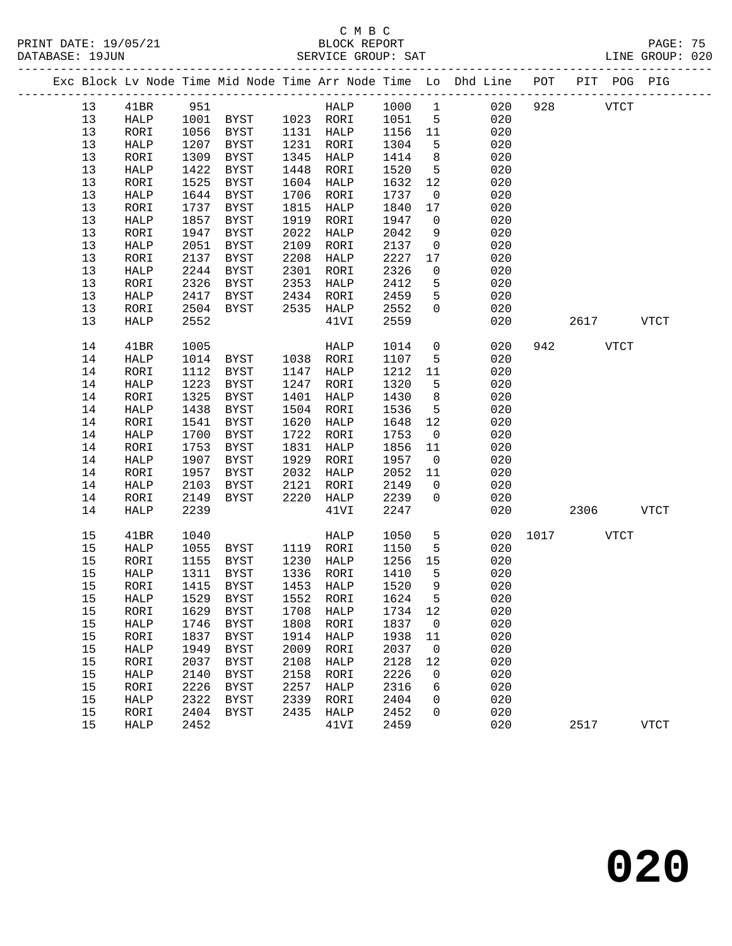#### C M B C<br>BLOCK REPORT SERVICE GROUP: SAT

|      |              |      |                                            |      |              |         |                 | Exc Block Lv Node Time Mid Node Time Arr Node Time Lo Dhd Line POT |           | PIT POG PIG |  |
|------|--------------|------|--------------------------------------------|------|--------------|---------|-----------------|--------------------------------------------------------------------|-----------|-------------|--|
| 13   | 41BR         | 951  |                                            |      | HALP         | 1000 1  |                 | 020                                                                | 928       | <b>VTCT</b> |  |
| 13   | HALP         |      | 1001 BYST 1023 RORI<br>1056 BYST 1131 HALP |      |              | 1051 5  |                 | 020                                                                |           |             |  |
| 13   | RORI         | 1056 | BYST                                       |      | 1131 HALP    | 1156 11 |                 | 020                                                                |           |             |  |
| 13   | ${\tt HALP}$ | 1207 | BYST                                       | 1231 | RORI         | 1304    | $5^{\circ}$     | 020                                                                |           |             |  |
| 13   | RORI         | 1309 | <b>BYST</b>                                | 1345 | HALP         | 1414    | 8 <sup>8</sup>  | 020                                                                |           |             |  |
| 13   | HALP         | 1422 | <b>BYST</b>                                | 1448 | RORI         | 1520    | $5^{\circ}$     | 020                                                                |           |             |  |
| 13   | RORI         | 1525 | <b>BYST</b>                                | 1604 | HALP         | 1632    | 12              | 020                                                                |           |             |  |
| 13   | HALP         | 1644 | BYST                                       | 1706 | RORI         | 1737    | $\overline{0}$  | 020                                                                |           |             |  |
| 13   | RORI         | 1737 | <b>BYST</b>                                | 1815 | <b>HALP</b>  | 1840    | 17              | 020                                                                |           |             |  |
| 13   | HALP         | 1857 | BYST                                       | 1919 | RORI         | 1947    | $\overline{0}$  | 020                                                                |           |             |  |
| 13   | RORI         | 1947 | <b>BYST</b>                                | 2022 | HALP         | 2042    | 9               | 020                                                                |           |             |  |
| 13   | HALP         | 2051 | $_{\rm BYST}$                              | 2109 | RORI         | 2137    | $\overline{0}$  | 020                                                                |           |             |  |
| 13   | RORI         | 2137 | <b>BYST</b>                                | 2208 | HALP         | 2227    | 17              | 020                                                                |           |             |  |
| 13   | HALP         | 2244 | <b>BYST</b>                                | 2301 | RORI         | 2326    | $\overline{0}$  | 020                                                                |           |             |  |
| 13   | RORI         | 2326 | <b>BYST</b>                                | 2353 | HALP         | 2412    | 5               | 020                                                                |           |             |  |
| 13   | HALP         | 2417 | <b>BYST</b>                                | 2434 | RORI         | 2459    | 5 <sup>5</sup>  | 020                                                                |           |             |  |
| 13   | RORI         | 2504 | BYST                                       | 2535 | HALP         | 2552    | $\overline{0}$  | 020                                                                |           |             |  |
| 13   | HALP         | 2552 |                                            |      | 41VI         | 2559    |                 | 020                                                                |           | 2617 VTCT   |  |
|      |              |      |                                            |      |              |         |                 |                                                                    |           |             |  |
| 14   | 41BR         | 1005 |                                            |      | HALP         | 1014    | $\mathsf{O}$    | 020                                                                | 942       | <b>VTCT</b> |  |
| 14   | HALP         | 1014 | BYST                                       | 1038 | RORI         | 1107    | 5               | 020                                                                |           |             |  |
| 14   | RORI         | 1112 | <b>BYST</b>                                | 1147 | HALP         | 1212    | 11              | 020                                                                |           |             |  |
| 14   | HALP         | 1223 | <b>BYST</b>                                | 1247 | RORI         | 1320    | 5 <sub>5</sub>  | 020                                                                |           |             |  |
| 14   | RORI         | 1325 | <b>BYST</b>                                | 1401 | HALP         | 1430    | 8               | 020                                                                |           |             |  |
| 14   | HALP         | 1438 | <b>BYST</b>                                | 1504 | RORI         | 1536    | $5\overline{)}$ | 020                                                                |           |             |  |
| 14   | RORI         | 1541 | BYST                                       | 1620 | HALP         | 1648    | 12              | 020                                                                |           |             |  |
| 14   | <b>HALP</b>  | 1700 | BYST                                       | 1722 | RORI         | 1753    | $\overline{0}$  | 020                                                                |           |             |  |
| 14   | RORI         | 1753 | BYST                                       | 1831 | HALP         | 1856    | 11              | 020                                                                |           |             |  |
| 14   | HALP         | 1907 | BYST                                       | 1929 | RORI         | 1957    | $\overline{0}$  | 020                                                                |           |             |  |
| 14   | RORI         | 1957 | BYST                                       | 2032 | HALP         | 2052    | 11              | 020                                                                |           |             |  |
| 14   | HALP         | 2103 | <b>BYST</b>                                | 2121 | RORI         | 2149    | $\overline{0}$  | 020                                                                |           |             |  |
| 14   | RORI         | 2149 | $_{\rm BYST}$                              | 2220 | ${\tt HALP}$ | 2239    | $\mathbf 0$     | 020                                                                |           |             |  |
| 14   | HALP         | 2239 |                                            |      | 41VI         | 2247    |                 | 020                                                                |           | 2306 VTCT   |  |
|      |              |      |                                            |      |              |         |                 |                                                                    |           |             |  |
| 15   | 41BR         | 1040 |                                            |      | <b>HALP</b>  | 1050    | 5               | 020                                                                | 1017 VTCT |             |  |
| 15   | HALP         | 1055 | BYST                                       | 1119 | RORI         | 1150    | 5 <sup>5</sup>  | 020                                                                |           |             |  |
| 15   | RORI         | 1155 | BYST                                       | 1230 | HALP         | 1256    | 15              | 020                                                                |           |             |  |
| 15   | HALP         | 1311 | BYST                                       | 1336 | RORI         | 1410    | 5               | 020                                                                |           |             |  |
| 15   | RORI         | 1415 | BYST                                       | 1453 | HALP         | 1520    | 9               | 020                                                                |           |             |  |
| 15   | HALP         | 1529 | <b>BYST</b>                                | 1552 | RORI         | 1624    | $5\overline{)}$ | 020                                                                |           |             |  |
| 15   | RORI         | 1629 | <b>BYST</b>                                | 1708 | HALP         | 1734    | 12              | 020                                                                |           |             |  |
| 15   | HALP         | 1746 | <b>BYST</b>                                | 1808 | RORI         | 1837    | $\overline{0}$  | 020                                                                |           |             |  |
| 15   | RORI         | 1837 | <b>BYST</b>                                | 1914 | HALP         | 1938    | 11              | 020                                                                |           |             |  |
| $15$ | HALP         | 1949 | BYST                                       | 2009 | RORI         | 2037    | $\overline{0}$  | 020                                                                |           |             |  |
| 15   | RORI         | 2037 | BYST                                       | 2108 | HALP         | 2128    | 12              | 020                                                                |           |             |  |
|      |              |      |                                            |      |              |         |                 |                                                                    |           |             |  |

 15 HALP 2140 BYST 2158 RORI 2226 0 020 15 RORI 2226 BYST 2257 HALP 2316 6 020 15 HALP 2322 BYST 2339 RORI 2404 0 020 15 RORI 2404 BYST 2435 HALP 2452 0 020

15 HALP 2452 41VI 2459 020 2517 VTCT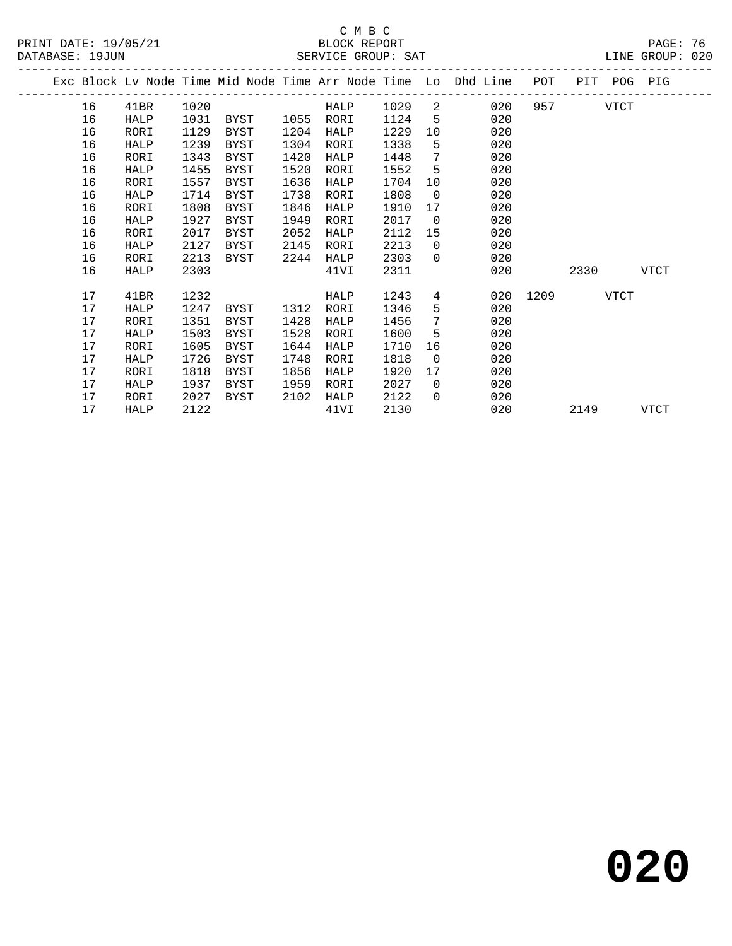|  |    |      |      |             |      |      |      |                 | Exc Block Lv Node Time Mid Node Time Arr Node Time Lo Dhd Line | POT      |          | PIT POG PIG |             |  |
|--|----|------|------|-------------|------|------|------|-----------------|----------------------------------------------------------------|----------|----------|-------------|-------------|--|
|  | 16 | 41BR | 1020 |             |      | HALP | 1029 | 2               | 020                                                            |          | 957 — 10 | VTCT        |             |  |
|  | 16 | HALP | 1031 | BYST        | 1055 | RORI | 1124 | -5              | 020                                                            |          |          |             |             |  |
|  | 16 | RORI | 1129 | BYST        | 1204 | HALP | 1229 | 10 <sup>°</sup> | 020                                                            |          |          |             |             |  |
|  | 16 | HALP | 1239 | BYST        | 1304 | RORI | 1338 | 5               | 020                                                            |          |          |             |             |  |
|  | 16 | RORI | 1343 | BYST        | 1420 | HALP | 1448 | 7               | 020                                                            |          |          |             |             |  |
|  | 16 | HALP | 1455 | BYST        | 1520 | RORI | 1552 | 5               | 020                                                            |          |          |             |             |  |
|  | 16 | RORI | 1557 | BYST        | 1636 | HALP | 1704 | 10              | 020                                                            |          |          |             |             |  |
|  | 16 | HALP | 1714 | BYST        | 1738 | RORI | 1808 | $\mathbf{0}$    | 020                                                            |          |          |             |             |  |
|  | 16 | RORI | 1808 | BYST        | 1846 | HALP | 1910 | 17              | 020                                                            |          |          |             |             |  |
|  | 16 | HALP | 1927 | BYST        | 1949 | RORI | 2017 | $\overline{0}$  | 020                                                            |          |          |             |             |  |
|  | 16 | RORI | 2017 | BYST        | 2052 | HALP | 2112 | 15              | 020                                                            |          |          |             |             |  |
|  | 16 | HALP | 2127 | BYST        | 2145 | RORI | 2213 | $\Omega$        | 020                                                            |          |          |             |             |  |
|  | 16 | RORI | 2213 | BYST        | 2244 | HALP | 2303 | $\Omega$        | 020                                                            |          |          |             |             |  |
|  | 16 | HALP | 2303 |             |      | 41VI | 2311 |                 | 020                                                            |          | 2330     |             | <b>VTCT</b> |  |
|  | 17 | 41BR | 1232 |             |      | HALP | 1243 | 4               |                                                                | 020 1209 |          | <b>VTCT</b> |             |  |
|  | 17 | HALP | 1247 | BYST        | 1312 | RORI | 1346 | 5               | 020                                                            |          |          |             |             |  |
|  | 17 | RORI | 1351 | BYST        | 1428 | HALP | 1456 | 7               | 020                                                            |          |          |             |             |  |
|  | 17 | HALP | 1503 | BYST        | 1528 | RORI | 1600 | 5               | 020                                                            |          |          |             |             |  |
|  | 17 | RORI | 1605 | BYST        | 1644 | HALP | 1710 | 16              | 020                                                            |          |          |             |             |  |
|  | 17 | HALP | 1726 | <b>BYST</b> | 1748 | RORI | 1818 | $\Omega$        | 020                                                            |          |          |             |             |  |
|  | 17 | RORI | 1818 | BYST        | 1856 | HALP | 1920 | 17              | 020                                                            |          |          |             |             |  |
|  | 17 | HALP | 1937 | BYST        | 1959 | RORI | 2027 | $\mathbf 0$     | 020                                                            |          |          |             |             |  |
|  | 17 | RORI | 2027 | BYST        | 2102 | HALP | 2122 | $\Omega$        | 020                                                            |          |          |             |             |  |
|  | 17 | HALP | 2122 |             |      | 41VI | 2130 |                 | 020                                                            |          | 2149     |             | VTCT        |  |
|  |    |      |      |             |      |      |      |                 |                                                                |          |          |             |             |  |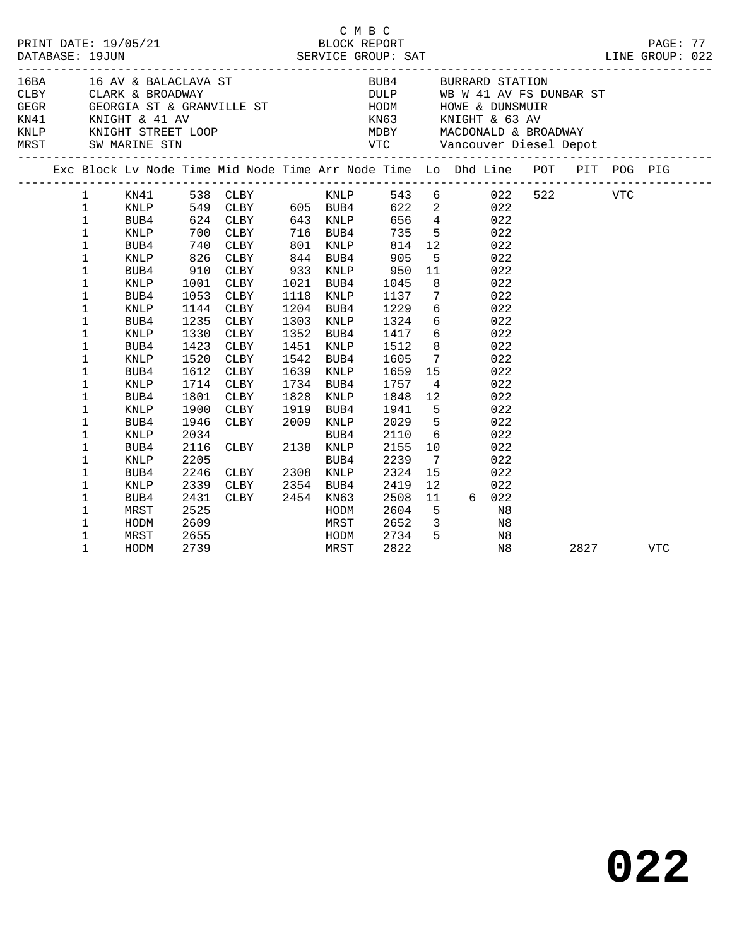|                                                                                                                                                                         | DATABASE: 19JUN                                                                                                                                                                                                                                                        | PRINT DATE: 19/05/21                                                                                                                                                        |                                                                                      |                                                                                                                                                                                                                                                                             |                      | CMBC                                                                                                                                                                     |                                                                                                                                                                   |                                                                                                                                                          | PRINT DATE: 19/05/21<br>BLOCK REPORT BLOCK PRESS TO BLOCK PRESS PART<br>DATABASE: 19JUN SERVICE GROUP: SAT LINE GROUP: 022                                                                                                                                                                      |          |  |  |
|-------------------------------------------------------------------------------------------------------------------------------------------------------------------------|------------------------------------------------------------------------------------------------------------------------------------------------------------------------------------------------------------------------------------------------------------------------|-----------------------------------------------------------------------------------------------------------------------------------------------------------------------------|--------------------------------------------------------------------------------------|-----------------------------------------------------------------------------------------------------------------------------------------------------------------------------------------------------------------------------------------------------------------------------|----------------------|--------------------------------------------------------------------------------------------------------------------------------------------------------------------------|-------------------------------------------------------------------------------------------------------------------------------------------------------------------|----------------------------------------------------------------------------------------------------------------------------------------------------------|-------------------------------------------------------------------------------------------------------------------------------------------------------------------------------------------------------------------------------------------------------------------------------------------------|----------|--|--|
| 16BA 16 AV & BALACLAVA ST<br>CLBY CLARK & BROADWAY DULP WB W 41 AV FS DUNBAR ST GEGR GEORGIA ST & GRANVILLE ST HODM HOWE & DUNSMUIR KN41 KNIGHT & 41 AV<br>$\mathbf{1}$ |                                                                                                                                                                                                                                                                        |                                                                                                                                                                             |                                                                                      |                                                                                                                                                                                                                                                                             |                      |                                                                                                                                                                          |                                                                                                                                                                   |                                                                                                                                                          | BUB4 BURRARD STATION                                                                                                                                                                                                                                                                            |          |  |  |
|                                                                                                                                                                         |                                                                                                                                                                                                                                                                        |                                                                                                                                                                             |                                                                                      |                                                                                                                                                                                                                                                                             |                      |                                                                                                                                                                          |                                                                                                                                                                   |                                                                                                                                                          |                                                                                                                                                                                                                                                                                                 |          |  |  |
|                                                                                                                                                                         | $\mathbf{1}$<br>$\mathbf 1$<br>$\mathbf 1$<br>$\mathbf 1$<br>$\mathbf 1$<br>1<br>1<br>$\mathbf 1$<br>$\mathbf 1$<br>$\mathbf 1$<br>$\mathbf 1$<br>$\mathbf 1$<br>$\mathbf 1$<br>1<br>1<br>1<br>1<br>$\mathbf 1$<br>$\mathbf 1$<br>$\mathbf 1$<br>1<br>$\mathbf 1$<br>1 | KNLP<br>BUB4<br>KNLP<br>BUB4<br>KNLP<br>BUB4<br>KNLP<br>BUB4<br>KNLP<br>BUB4<br>KNLP<br>BUB4<br>KNLP<br>BUB4<br>KNLP<br>BUB4<br>KNLP<br>BUB4<br><b>KNLP</b><br>BUB4<br>KNLP | 1330<br>1423<br>1520<br>1801<br>1900<br>1946<br>2034<br>2116<br>2205<br>2246<br>2339 | 700 CLBY 716 BUB4<br>740 CLBY<br>826 CLBY<br>910 CLBY<br>1001 CLBY<br>1053 CLBY<br>1144 CLBY<br>1235 CLBY<br>CLBY<br>CLBY<br>CLBY<br>1612 CLBY<br>1714 CLBY<br>CLBY<br>CLBY<br>CLBY 1919 BUB4<br>CLBY 2009 KNLP<br>BUB4<br>CLBY<br>CLBY 2138 KNLP<br>CLBY 2308 KNLP<br>CLBY | 1451<br>1542<br>1828 | 801 KNLP<br>844 BUB4<br>933 KNLP<br>1021 BUB4<br>1118 KNLP<br>1204 BUB4<br>1303 KNLP<br>1352 BUB4<br>KNLP<br>BUB4<br>1639 KNLP<br>1734 BUB4<br>KNLP<br>BUB4<br>2354 BUB4 | 814<br>905<br>950<br>1045<br>1137<br>1229<br>1324<br>1417<br>1512<br>1605<br>1659<br>1757<br>1848<br>1941<br>2029<br>2029<br>2110<br>2155<br>2239<br>2324<br>2419 | 5 <sub>5</sub><br>11<br>8 <sup>8</sup><br>$7\overline{ }$<br>$\overline{4}$<br>12<br>$5^{\circ}$<br>$5^{\circ}$<br>6<br>10<br>$\overline{7}$<br>15<br>12 | 735 5 022<br>$12 \qquad 022$<br>022<br>022<br>022<br>022<br>$\begin{array}{c} 6 \\ 6 \end{array}$<br>022<br>022<br>6 <sup>6</sup><br>022<br>8 <sub>1</sub><br>022<br>$\frac{7}{15}$<br>022<br>022<br>022<br>022<br>$\begin{array}{c} 022 \\ 022 \end{array}$<br>022<br>022<br>022<br>022<br>022 |          |  |  |
|                                                                                                                                                                         | $\mathbf 1$<br>1<br>$\mathbf 1$<br>1<br>$\mathbf 1$                                                                                                                                                                                                                    | BUB4<br>MRST<br>HODM<br>MRST<br>HODM                                                                                                                                        | 2431<br>2525<br>2609<br>2655<br>2739                                                 | CLBY 2454 KN63<br>MRST<br>HODM<br>MRST                                                                                                                                                                                                                                      |                      | HODM                                                                                                                                                                     | 2508<br>2604<br>2652<br>2734<br>2822                                                                                                                              | 11<br>$5^{\circ}$                                                                                                                                        | 6 022<br>N8<br>$\begin{array}{ccc} 3 & \hspace{1.5cm} & \text{N8} \\ 5 & \hspace{1.5cm} & \text{N8} \end{array}$<br>N8                                                                                                                                                                          | 2827 VTC |  |  |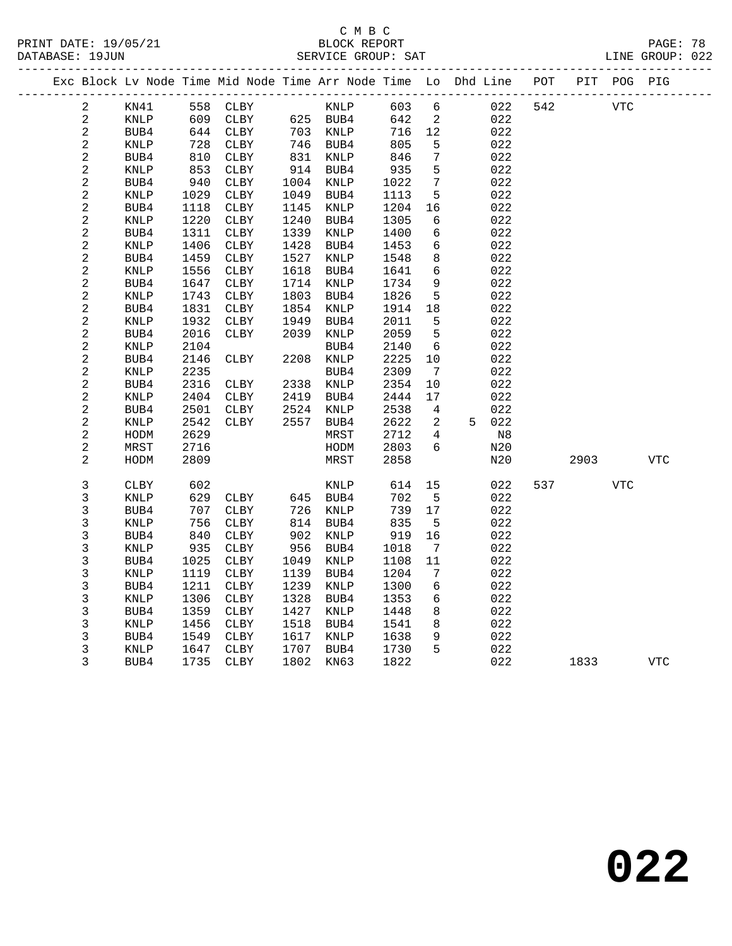|  |                |             |      | Exc Block Lv Node Time Mid Node Time Arr Node Time Lo Dhd Line |      |             |      |                          |   |     | POT |      | PIT POG PIG |            |
|--|----------------|-------------|------|----------------------------------------------------------------|------|-------------|------|--------------------------|---|-----|-----|------|-------------|------------|
|  | 2              | KN41        | 558  | CLBY                                                           |      | KNLP        | 603  | $6\overline{6}$          |   | 022 | 542 |      | <b>VTC</b>  |            |
|  | $\overline{a}$ | KNLP        | 609  | CLBY                                                           |      | 625 BUB4    | 642  | $\overline{\phantom{a}}$ |   | 022 |     |      |             |            |
|  | 2              | BUB4        | 644  | CLBY                                                           |      | 703 KNLP    | 716  | 12                       |   | 022 |     |      |             |            |
|  | $\mathbf{2}$   | KNLP        | 728  | ${\tt CLBY}$                                                   |      | 746 BUB4    | 805  | 5                        |   | 022 |     |      |             |            |
|  | $\sqrt{2}$     | BUB4        | 810  | CLBY                                                           | 831  | KNLP        | 846  | $\overline{7}$           |   | 022 |     |      |             |            |
|  | $\sqrt{2}$     | KNLP        | 853  | CLBY                                                           | 914  | BUB4        | 935  | 5                        |   | 022 |     |      |             |            |
|  | $\sqrt{2}$     | BUB4        | 940  | CLBY                                                           | 1004 | KNLP        | 1022 | $7\phantom{.0}$          |   | 022 |     |      |             |            |
|  | $\mathbf{2}$   | KNLP        | 1029 | CLBY                                                           | 1049 | BUB4        | 1113 | 5                        |   | 022 |     |      |             |            |
|  | $\sqrt{2}$     | BUB4        | 1118 | CLBY                                                           | 1145 | KNLP        | 1204 | 16                       |   | 022 |     |      |             |            |
|  | $\sqrt{2}$     | <b>KNLP</b> | 1220 | CLBY                                                           | 1240 | BUB4        | 1305 | 6                        |   | 022 |     |      |             |            |
|  | $\sqrt{2}$     | BUB4        | 1311 | CLBY                                                           | 1339 | KNLP        | 1400 | 6                        |   | 022 |     |      |             |            |
|  | $\overline{a}$ | <b>KNLP</b> | 1406 | CLBY                                                           | 1428 | BUB4        | 1453 | 6                        |   | 022 |     |      |             |            |
|  | $\sqrt{2}$     | BUB4        | 1459 | ${\tt CLBY}$                                                   | 1527 | KNLP        | 1548 | 8                        |   | 022 |     |      |             |            |
|  | $\sqrt{2}$     | <b>KNLP</b> | 1556 | CLBY                                                           | 1618 | BUB4        | 1641 | 6                        |   | 022 |     |      |             |            |
|  | $\sqrt{2}$     | BUB4        | 1647 | CLBY                                                           | 1714 | KNLP        | 1734 | $\overline{9}$           |   | 022 |     |      |             |            |
|  | $\sqrt{2}$     | KNLP        | 1743 | CLBY                                                           | 1803 | BUB4        | 1826 | 5                        |   | 022 |     |      |             |            |
|  | $\sqrt{2}$     | BUB4        | 1831 | CLBY                                                           | 1854 | KNLP        | 1914 | 18                       |   | 022 |     |      |             |            |
|  | $\sqrt{2}$     | KNLP        | 1932 | CLBY                                                           | 1949 | BUB4        | 2011 | 5                        |   | 022 |     |      |             |            |
|  | $\sqrt{2}$     | BUB4        | 2016 | CLBY                                                           | 2039 | KNLP        | 2059 | 5                        |   | 022 |     |      |             |            |
|  | $\sqrt{2}$     | KNLP        | 2104 |                                                                |      | BUB4        | 2140 | 6                        |   | 022 |     |      |             |            |
|  | $\sqrt{2}$     | BUB4        | 2146 | CLBY                                                           | 2208 | KNLP        | 2225 | 10                       |   | 022 |     |      |             |            |
|  | $\sqrt{2}$     | <b>KNLP</b> | 2235 |                                                                |      | BUB4        | 2309 | $\overline{7}$           |   | 022 |     |      |             |            |
|  | $\sqrt{2}$     | BUB4        | 2316 | CLBY                                                           | 2338 | KNLP        | 2354 | 10                       |   | 022 |     |      |             |            |
|  | $\sqrt{2}$     | <b>KNLP</b> | 2404 | ${\tt CLBY}$                                                   | 2419 | BUB4        | 2444 | 17                       |   | 022 |     |      |             |            |
|  | $\sqrt{2}$     | BUB4        | 2501 | CLBY                                                           | 2524 | KNLP        | 2538 | 4                        |   | 022 |     |      |             |            |
|  | $\mathbf{2}$   | KNLP        | 2542 | CLBY                                                           | 2557 | BUB4        | 2622 | 2                        | 5 | 022 |     |      |             |            |
|  | $\sqrt{2}$     | HODM        | 2629 |                                                                |      | MRST        | 2712 | 4                        |   | N8  |     |      |             |            |
|  | $\sqrt{2}$     | MRST        | 2716 |                                                                |      | HODM        | 2803 | 6                        |   | N20 |     |      |             |            |
|  | 2              | HODM        | 2809 |                                                                |      | MRST        | 2858 |                          |   | N20 |     | 2903 |             | <b>VTC</b> |
|  |                |             |      |                                                                |      |             |      |                          |   |     |     |      |             |            |
|  | 3              | <b>CLBY</b> | 602  |                                                                |      | KNLP        | 614  | 15                       |   | 022 | 537 |      | <b>VTC</b>  |            |
|  | $\mathfrak{Z}$ | KNLP        | 629  | CLBY                                                           | 645  | BUB4        | 702  | $5^{\circ}$              |   | 022 |     |      |             |            |
|  | 3              | BUB4        | 707  | CLBY                                                           | 726  | KNLP        | 739  | 17                       |   | 022 |     |      |             |            |
|  | 3              | <b>KNLP</b> | 756  | CLBY                                                           | 814  | BUB4        | 835  | 5                        |   | 022 |     |      |             |            |
|  | 3              | BUB4        | 840  | CLBY                                                           | 902  | <b>KNLP</b> | 919  | 16                       |   | 022 |     |      |             |            |
|  | 3              | KNLP        | 935  | CLBY                                                           | 956  | BUB4        | 1018 | $\overline{7}$           |   | 022 |     |      |             |            |
|  | 3              | BUB4        | 1025 | CLBY                                                           | 1049 | KNLP        | 1108 | 11                       |   | 022 |     |      |             |            |
|  | 3              | KNLP        | 1119 | CLBY                                                           | 1139 | BUB4        | 1204 | 7                        |   | 022 |     |      |             |            |
|  | $\mathsf 3$    | BUB4        | 1211 | CLBY                                                           | 1239 | KNLP        | 1300 | 6                        |   | 022 |     |      |             |            |
|  | 3              | KNLP        | 1306 | ${\tt CLBY}$                                                   | 1328 | BUB4        | 1353 | 6                        |   | 022 |     |      |             |            |
|  | $\mathfrak{Z}$ | BUB4        | 1359 | CLBY                                                           | 1427 | KNLP        | 1448 | 8                        |   | 022 |     |      |             |            |
|  | 3              | KNLP        | 1456 | CLBY                                                           | 1518 | BUB4        | 1541 | 8                        |   | 022 |     |      |             |            |
|  | 3              | BUB4        | 1549 | ${\tt CLBY}$                                                   | 1617 | KNLP        | 1638 | 9                        |   | 022 |     |      |             |            |
|  | $\mathsf 3$    | <b>KNLP</b> | 1647 | CLBY                                                           | 1707 | BUB4        | 1730 | 5                        |   | 022 |     |      |             |            |
|  | 3              | BUB4        | 1735 | ${\tt CLBY}$                                                   | 1802 | KN63        | 1822 |                          |   | 022 |     | 1833 |             | <b>VTC</b> |
|  |                |             |      |                                                                |      |             |      |                          |   |     |     |      |             |            |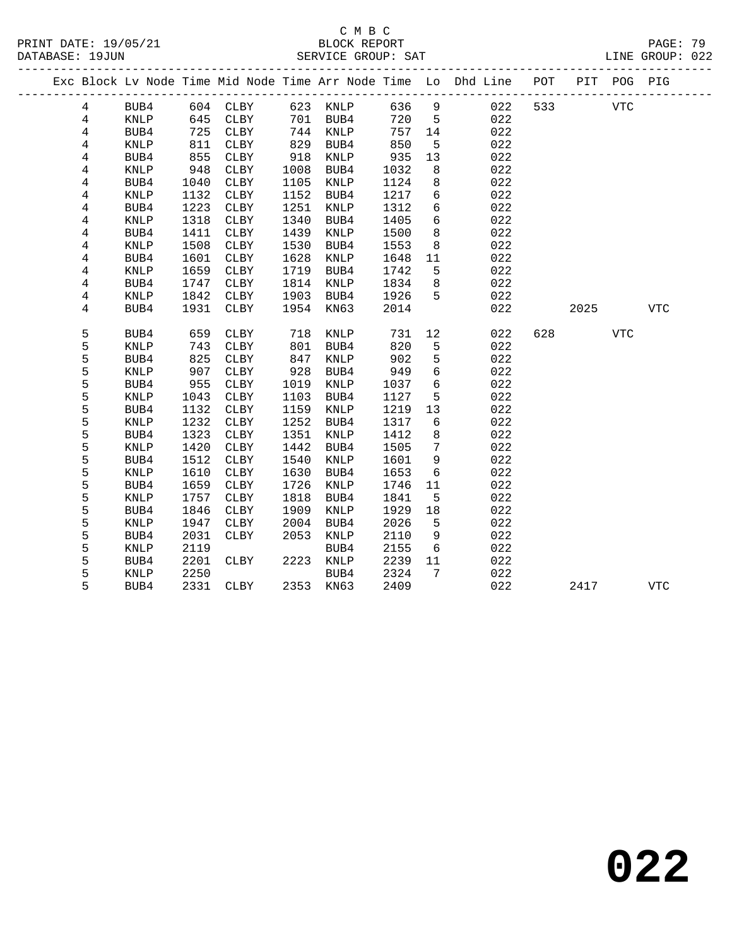## C M B C<br>BLOCK REPORT

LINE GROUP: 022

|  |                |              |            |              |             |                 |            |                     | Exc Block Lv Node Time Mid Node Time Arr Node Time Lo Dhd Line POT |     |      | PIT POG PIG |              |
|--|----------------|--------------|------------|--------------|-------------|-----------------|------------|---------------------|--------------------------------------------------------------------|-----|------|-------------|--------------|
|  | $\overline{4}$ | BUB4         | 604        | <b>CLBY</b>  |             | 623 KNLP        | 636        | 9                   | 022                                                                | 533 |      | <b>VTC</b>  |              |
|  | $\overline{4}$ | KNLP         | 645        | CLBY         | 701         | BUB4            | 720        | 5                   | 022                                                                |     |      |             |              |
|  | $\overline{4}$ | BUB4         | 725        | CLBY         | 744         | KNLP            | 757        | 14                  | 022                                                                |     |      |             |              |
|  | 4              | KNLP         | 811        | CLBY         | 829         | BUB4            | 850        | 5                   | 022                                                                |     |      |             |              |
|  | 4              | BUB4         | 855        | CLBY         | 918         | KNLP            | 935        | 13                  | 022                                                                |     |      |             |              |
|  | 4              | KNLP         | 948        | CLBY         | 1008        | BUB4            | 1032       | 8                   | 022                                                                |     |      |             |              |
|  | $\overline{4}$ | BUB4         | 1040       | CLBY         | 1105        | KNLP            | 1124       | 8                   | 022                                                                |     |      |             |              |
|  | 4              | <b>KNLP</b>  | 1132       | CLBY         | 1152        | BUB4            | 1217       | $\sqrt{6}$          | 022                                                                |     |      |             |              |
|  | 4              | BUB4         | 1223       | CLBY         | 1251        | $\texttt{KNLP}$ | 1312       | 6                   | 022                                                                |     |      |             |              |
|  | 4              | <b>KNLP</b>  | 1318       | CLBY         | 1340        | BUB4            | 1405       | 6                   | 022                                                                |     |      |             |              |
|  | 4              | BUB4         | 1411       | CLBY         | 1439        | KNLP            | 1500       | 8                   | 022                                                                |     |      |             |              |
|  | 4              | KNLP         | 1508       | CLBY         | 1530        | BUB4            | 1553       | 8                   | 022                                                                |     |      |             |              |
|  | 4              | BUB4         | 1601       | CLBY         | 1628        | KNLP            | 1648       | 11                  | 022                                                                |     |      |             |              |
|  | 4              | KNLP         | 1659       | CLBY         | 1719        | BUB4            | 1742       | 5                   | 022                                                                |     |      |             |              |
|  | 4              | BUB4         | 1747       | ${\tt CLBY}$ | 1814        | KNLP            | 1834       | 8                   | 022                                                                |     |      |             |              |
|  | $\overline{4}$ | <b>KNLP</b>  | 1842       | CLBY         | 1903        | BUB4            | 1926       | 5                   | 022                                                                |     |      |             |              |
|  | 4              | BUB4         | 1931       | CLBY         | 1954        | KN63            | 2014       |                     | 022                                                                |     | 2025 |             | $_{\rm VTC}$ |
|  |                |              |            |              |             |                 |            |                     |                                                                    |     |      |             |              |
|  | 5              | BUB4         | 659        | CLBY         | 718         | KNLP            | 731        | 12                  | 022                                                                | 628 |      | <b>VTC</b>  |              |
|  | 5<br>5         | <b>KNLP</b>  | 743        | CLBY         | 801         | BUB4            | 820        | 5                   | 022                                                                |     |      |             |              |
|  | 5              | BUB4         | 825<br>907 | CLBY         | 847         | KNLP            | 902<br>949 | $\overline{5}$<br>6 | 022<br>022                                                         |     |      |             |              |
|  | 5              | KNLP<br>BUB4 | 955        | CLBY<br>CLBY | 928<br>1019 | BUB4<br>KNLP    | 1037       | 6                   | 022                                                                |     |      |             |              |
|  | 5              | <b>KNLP</b>  | 1043       | CLBY         | 1103        | BUB4            | 1127       | 5                   | 022                                                                |     |      |             |              |
|  | 5              | BUB4         | 1132       | CLBY         | 1159        | KNLP            | 1219       | 13                  | 022                                                                |     |      |             |              |
|  | 5              | <b>KNLP</b>  | 1232       | CLBY         | 1252        | BUB4            | 1317       | 6                   | 022                                                                |     |      |             |              |
|  | 5              | BUB4         | 1323       | CLBY         | 1351        | KNLP            | 1412       | 8                   | 022                                                                |     |      |             |              |
|  | 5              | KNLP         | 1420       | CLBY         | 1442        | BUB4            | 1505       | $7\phantom{.0}$     | 022                                                                |     |      |             |              |
|  | 5              | BUB4         | 1512       | CLBY         | 1540        | KNLP            | 1601       | 9                   | 022                                                                |     |      |             |              |
|  | 5              | KNLP         | 1610       | CLBY         | 1630        | BUB4            | 1653       | 6                   | 022                                                                |     |      |             |              |
|  | 5              | BUB4         | 1659       | CLBY         | 1726        | KNLP            | 1746       | 11                  | 022                                                                |     |      |             |              |
|  | 5              | <b>KNLP</b>  | 1757       | CLBY         | 1818        | BUB4            | 1841       | 5                   | 022                                                                |     |      |             |              |
|  | 5              | BUB4         | 1846       | ${\tt CLBY}$ | 1909        | KNLP            | 1929       | 18                  | 022                                                                |     |      |             |              |
|  | 5              | KNLP         | 1947       | CLBY         | 2004        | BUB4            | 2026       | 5                   | 022                                                                |     |      |             |              |
|  | 5              | BUB4         | 2031       | CLBY         | 2053        | KNLP            | 2110       | 9                   | 022                                                                |     |      |             |              |
|  | 5              | <b>KNLP</b>  | 2119       |              |             | BUB4            | 2155       | 6                   | 022                                                                |     |      |             |              |
|  | 5              | BUB4         | 2201       | CLBY         | 2223        | KNLP            | 2239       | 11                  | 022                                                                |     |      |             |              |
|  | 5              | KNLP         | 2250       |              |             | BUB4            | 2324       | $7\phantom{.0}$     | 022                                                                |     |      |             |              |
|  | 5              | BUB4         | 2331       | CLBY         |             | 2353 KN63       | 2409       |                     | 022                                                                |     | 2417 |             | <b>VTC</b>   |
|  |                |              |            |              |             |                 |            |                     |                                                                    |     |      |             |              |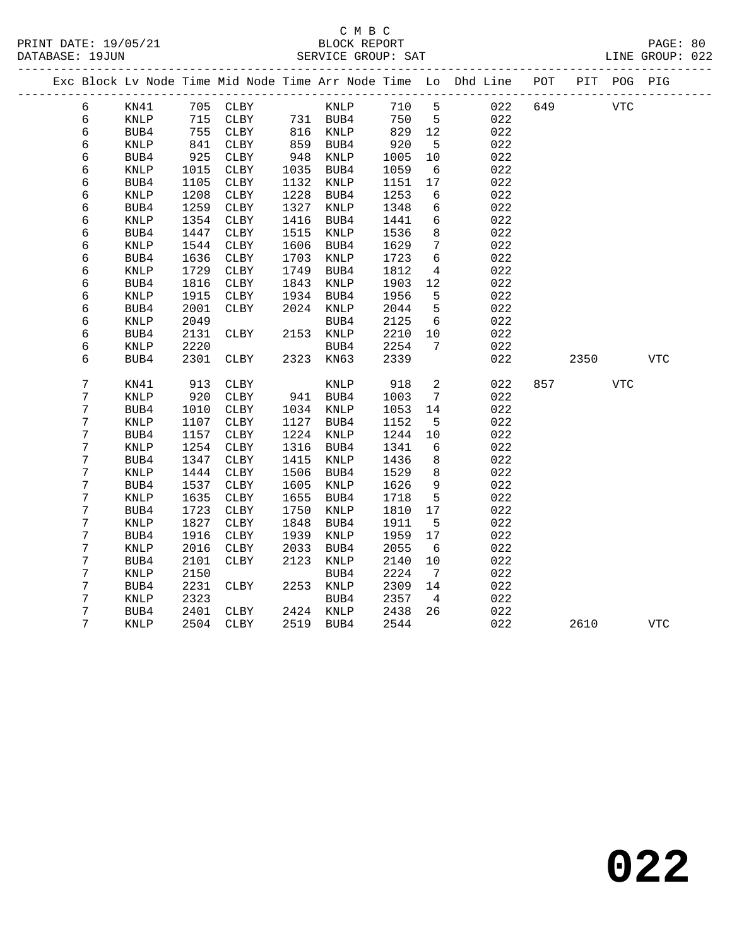|  |                  |                 |              | Exc Block Lv Node Time Mid Node Time Arr Node Time Lo Dhd Line |              |              |      |              |                 |            | POT |      | PIT POG PIG |            |
|--|------------------|-----------------|--------------|----------------------------------------------------------------|--------------|--------------|------|--------------|-----------------|------------|-----|------|-------------|------------|
|  | 6                | KN41            |              | 705 CLBY                                                       |              |              | KNLP | 710          | $5^{\circ}$     | 022        | 649 |      | <b>VTC</b>  |            |
|  | 6                | KNLP            | 715          | CLBY                                                           | 731 BUB4     |              |      | 750          | $5^{\circ}$     | 022        |     |      |             |            |
|  | 6                | BUB4            | 755          | CLBY                                                           |              | 816 KNLP     |      | 829          | 12              | 022        |     |      |             |            |
|  | 6                | KNLP            | 841          | CLBY                                                           | 859 BUB4     |              |      | 920          | $5^{\circ}$     | 022        |     |      |             |            |
|  | 6                | BUB4            | 925          | CLBY                                                           | 948          | KNLP         |      | 1005         | 10              | 022        |     |      |             |            |
|  | 6                | $\texttt{KNLP}$ | 1015         | CLBY                                                           | 1035         | BUB4         |      | 1059         | 6               | 022        |     |      |             |            |
|  | 6                | BUB4            | 1105         | CLBY                                                           | 1132         | KNLP         |      | 1151         | 17              | 022        |     |      |             |            |
|  | 6                | KNLP            | 1208         | CLBY                                                           | 1228         | BUB4         |      | 1253         | 6               | 022        |     |      |             |            |
|  | б                | BUB4            | 1259         | CLBY                                                           | 1327         | KNLP         |      | 1348         | 6               | 022        |     |      |             |            |
|  | 6                | KNLP            | 1354         | CLBY                                                           | 1416         | BUB4         |      | 1441         | 6               | 022        |     |      |             |            |
|  | 6                | BUB4            | 1447         | CLBY                                                           | 1515         | KNLP         |      | 1536         | $\,8\,$         | 022        |     |      |             |            |
|  | 6                | KNLP            | 1544         | CLBY                                                           | 1606         | BUB4         |      | 1629         | $7\phantom{.0}$ | 022        |     |      |             |            |
|  | 6                | BUB4            | 1636         | CLBY                                                           | 1703         | KNLP         |      | 1723         | 6               | 022        |     |      |             |            |
|  | 6                | KNLP            | 1729         | CLBY                                                           | 1749         | BUB4         |      | 1812         | $\overline{4}$  | 022        |     |      |             |            |
|  | б                | BUB4            | 1816         | CLBY                                                           | 1843         | KNLP         |      | 1903         | 12              | 022        |     |      |             |            |
|  | 6                | KNLP            | 1915         | CLBY                                                           | 1934         | BUB4         |      | 1956         | 5               | 022        |     |      |             |            |
|  | б                | BUB4            | 2001         | CLBY                                                           | 2024         | KNLP         |      | 2044         | 5               | 022        |     |      |             |            |
|  | б                | KNLP            | 2049         |                                                                |              | BUB4         |      | 2125         | $6\overline{6}$ | 022        |     |      |             |            |
|  | 6                | BUB4            | 2131         | CLBY                                                           | 2153 KNLP    |              |      | 2210         | 10              | 022        |     |      |             |            |
|  | 6                | KNLP            | 2220         |                                                                |              | BUB4         |      | 2254         | 7               | 022        |     |      |             |            |
|  | 6                | BUB4            | 2301         | CLBY                                                           | 2323 KN63    |              |      | 2339         |                 | 022        |     | 2350 |             | <b>VTC</b> |
|  |                  |                 |              |                                                                |              |              |      |              |                 |            |     |      |             |            |
|  | $\boldsymbol{7}$ | KN41            | 913          | CLBY                                                           |              | KNLP         |      | 918          | $\overline{a}$  | 022        |     | 857  | <b>VTC</b>  |            |
|  | $\overline{7}$   | <b>KNLP</b>     | 920          | CLBY                                                           | 941 BUB4     |              |      | 1003         | $7\phantom{.0}$ | 022        |     |      |             |            |
|  | 7                | BUB4            | 1010         | CLBY                                                           | 1034         | KNLP         |      | 1053         | 14              | 022        |     |      |             |            |
|  | 7                | $\texttt{KNLP}$ | 1107         | CLBY                                                           | 1127         | BUB4         |      | 1152         | 5               | 022        |     |      |             |            |
|  | $\overline{7}$   | BUB4            | 1157         | CLBY                                                           | 1224         | KNLP         |      | 1244         | 10              | 022        |     |      |             |            |
|  | 7                | $\texttt{KNLP}$ | 1254         | CLBY                                                           | 1316         | BUB4         |      | 1341         | 6               | 022        |     |      |             |            |
|  | 7<br>7           | BUB4            | 1347         | CLBY                                                           | 1415<br>1506 | KNLP         |      | 1436         | 8<br>$\,8\,$    | 022<br>022 |     |      |             |            |
|  |                  | KNLP            | 1444         | CLBY                                                           |              | BUB4         |      | 1529         | 9               | 022        |     |      |             |            |
|  | 7<br>7           | BUB4            | 1537<br>1635 | CLBY                                                           | 1605<br>1655 | KNLP         |      | 1626         | 5               | 022        |     |      |             |            |
|  | 7                | KNLP<br>BUB4    | 1723         | CLBY<br>CLBY                                                   | 1750         | BUB4<br>KNLP |      | 1718<br>1810 | $17$            | 022        |     |      |             |            |
|  | 7                | $\texttt{KNLP}$ | 1827         | CLBY                                                           | 1848         | BUB4         |      | 1911         | $5^{\circ}$     | 022        |     |      |             |            |
|  | $\boldsymbol{7}$ | BUB4            | 1916         | CLBY                                                           | 1939         | KNLP         |      | 1959         | 17              | 022        |     |      |             |            |
|  | 7                | KNLP            | 2016         | CLBY                                                           | 2033         | BUB4         |      | 2055         | $6\overline{6}$ | 022        |     |      |             |            |
|  | 7                | BUB4            | 2101         | CLBY                                                           | 2123         | KNLP         |      | 2140         | 10              | 022        |     |      |             |            |
|  | 7                | KNLP            | 2150         |                                                                |              | BUB4         |      | 2224         | $\overline{7}$  | 022        |     |      |             |            |
|  | 7                | BUB4            | 2231         | CLBY                                                           | 2253         | KNLP         |      | 2309         | 14              | 022        |     |      |             |            |
|  | 7                | $\texttt{KNLP}$ | 2323         |                                                                |              | BUB4         |      | 2357         | $\overline{4}$  | 022        |     |      |             |            |
|  | 7                | BUB4            | 2401         | CLBY                                                           | 2424 KNLP    |              |      | 2438         | 26              | 022        |     |      |             |            |
|  | 7                | KNLP            |              | 2504 CLBY                                                      | 2519 BUB4    |              |      | 2544         |                 | 022        |     | 2610 |             | <b>VTC</b> |
|  |                  |                 |              |                                                                |              |              |      |              |                 |            |     |      |             |            |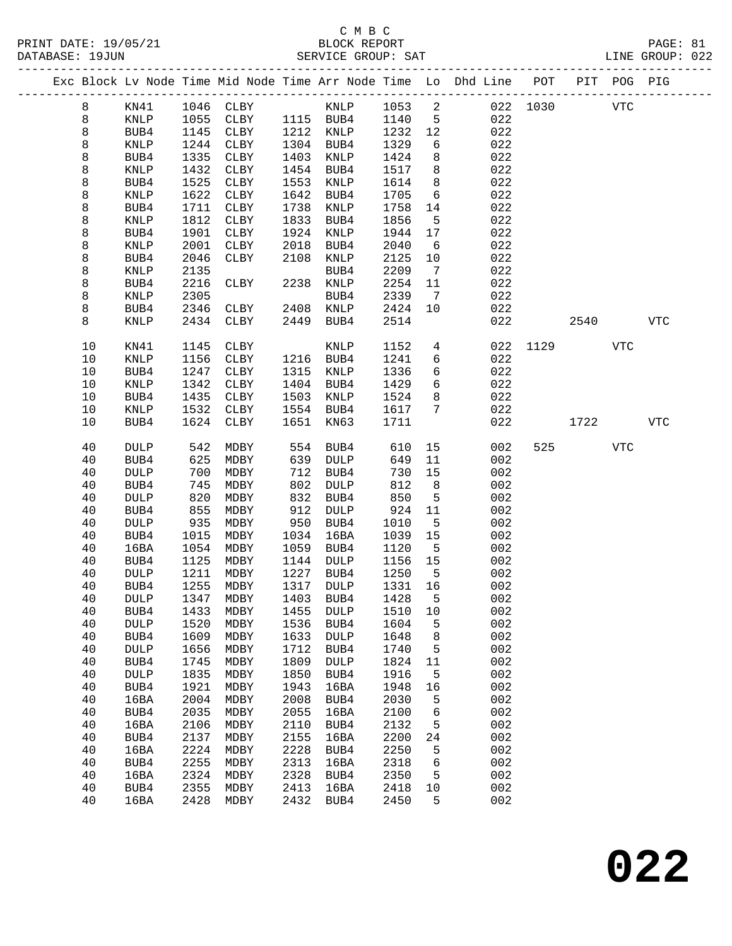PRINT DATE: 19/05/21 BLOCK REPORT BATABASE: 19JUN

### C M B C<br>BLOCK REPORT

PAGE: 81<br>LINE GROUP: 022

|  |          |                 |              |              |              |              |              |                          | Exc Block Lv Node Time Mid Node Time Arr Node Time Lo Dhd Line POT |          |      | PIT POG PIG |            |
|--|----------|-----------------|--------------|--------------|--------------|--------------|--------------|--------------------------|--------------------------------------------------------------------|----------|------|-------------|------------|
|  | 8        | KN41            | 1046         | CLBY         |              | KNLP         | 1053         | $\overline{\phantom{a}}$ |                                                                    | 022 1030 |      | <b>VTC</b>  |            |
|  | 8        | KNLP            | 1055         | CLBY         |              | 1115 BUB4    | 1140         | $5^{\circ}$              | 022                                                                |          |      |             |            |
|  | 8        | BUB4            | 1145         | CLBY         | 1212         | KNLP         | 1232         | 12                       | 022                                                                |          |      |             |            |
|  | 8        | KNLP            | 1244         | CLBY         | 1304         | BUB4         | 1329         | 6                        | 022                                                                |          |      |             |            |
|  | 8        | BUB4            | 1335         | CLBY         | 1403         | KNLP         | 1424         | 8                        | 022                                                                |          |      |             |            |
|  | 8        | KNLP            | 1432         | CLBY         | 1454         | BUB4         | 1517         | 8                        | 022                                                                |          |      |             |            |
|  | 8        | BUB4            | 1525         | CLBY         | 1553         | KNLP         | 1614         | 8                        | 022                                                                |          |      |             |            |
|  | 8        | KNLP            | 1622         | CLBY         | 1642         | BUB4         | 1705         | 6                        | 022                                                                |          |      |             |            |
|  | 8        | BUB4            | 1711         | CLBY         | 1738         | KNLP         | 1758         | 14                       | 022                                                                |          |      |             |            |
|  | 8        | KNLP            | 1812         | ${\tt CLBY}$ | 1833         | BUB4         | 1856         | 5                        | 022                                                                |          |      |             |            |
|  | 8        | BUB4            | 1901         | CLBY         | 1924         | KNLP         | 1944         | 17                       | 022                                                                |          |      |             |            |
|  | 8        | KNLP            | 2001         | CLBY         | 2018         | BUB4         | 2040         | 6                        | 022                                                                |          |      |             |            |
|  | 8        | BUB4            | 2046         | CLBY         | 2108         | KNLP         | 2125         | 10                       | 022                                                                |          |      |             |            |
|  | 8        | KNLP            | 2135         |              |              | BUB4         | 2209         | $\overline{7}$           | 022                                                                |          |      |             |            |
|  | 8<br>8   | BUB4<br>KNLP    | 2216<br>2305 | CLBY         | 2238         | KNLP<br>BUB4 | 2254<br>2339 | 11<br>7                  | 022<br>022                                                         |          |      |             |            |
|  | 8        | BUB4            | 2346         | CLBY         | 2408         | KNLP         | 2424         | 10                       | 022                                                                |          |      |             |            |
|  | 8        | <b>KNLP</b>     | 2434         | CLBY         | 2449         | BUB4         | 2514         |                          | 022                                                                |          | 2540 |             | <b>VTC</b> |
|  |          |                 |              |              |              |              |              |                          |                                                                    |          |      |             |            |
|  | 10       | KN41            | 1145         | CLBY         |              | KNLP         | 1152         | $\overline{4}$           | 022                                                                | 1129     |      | VTC         |            |
|  | 10       | <b>KNLP</b>     | 1156         | CLBY         |              | 1216 BUB4    | 1241         | 6                        | 022                                                                |          |      |             |            |
|  | 10       | BUB4            | 1247         | CLBY         | 1315         | KNLP         | 1336         | 6                        | 022                                                                |          |      |             |            |
|  | 10       | KNLP            | 1342         | CLBY         | 1404         | BUB4         | 1429         | 6                        | 022                                                                |          |      |             |            |
|  | 10       | BUB4            | 1435         | CLBY         | 1503         | KNLP         | 1524         | 8                        | 022                                                                |          |      |             |            |
|  | 10<br>10 | KNLP            | 1532<br>1624 | CLBY         | 1554<br>1651 | BUB4         | 1617<br>1711 | 7                        | 022<br>022                                                         |          | 1722 |             | <b>VTC</b> |
|  |          | BUB4            |              | CLBY         |              | KN63         |              |                          |                                                                    |          |      |             |            |
|  | 40       | <b>DULP</b>     | 542          | MDBY         | 554          | BUB4         | 610          | 15                       | 002                                                                | 525      |      | <b>VTC</b>  |            |
|  | 40       | BUB4            | 625          | MDBY         | 639          | DULP         | 649          | 11                       | 002                                                                |          |      |             |            |
|  | 40       | <b>DULP</b>     | 700          | MDBY         | 712          | BUB4         | 730          | 15                       | 002                                                                |          |      |             |            |
|  | 40       | BUB4            | 745          | MDBY         | 802          | DULP         | 812          | 8                        | 002                                                                |          |      |             |            |
|  | 40       | <b>DULP</b>     | 820          | MDBY         | 832          | BUB4         | 850          | 5                        | 002                                                                |          |      |             |            |
|  | 40       | BUB4            | 855          | MDBY         | 912          | DULP         | 924          | 11                       | 002                                                                |          |      |             |            |
|  | 40       | <b>DULP</b>     | 935          | MDBY         | 950          | BUB4         | 1010         | 5                        | 002                                                                |          |      |             |            |
|  | 40       | BUB4            | 1015         | MDBY         | 1034         | 16BA         | 1039         | 15                       | 002                                                                |          |      |             |            |
|  | 40<br>40 | 16BA<br>BUB4    | 1054<br>1125 | MDBY<br>MDBY | 1059<br>1144 | BUB4<br>DULP | 1120<br>1156 | 5<br>15                  | 002<br>002                                                         |          |      |             |            |
|  | 40       | DULP            | 1211         | MDBY         | 1227         | BUB4         | 1250         | $5^{\circ}$              | 002                                                                |          |      |             |            |
|  | 40       | BUB4            | 1255         | MDBY         | 1317         | DULP         | 1331 16      |                          | 002                                                                |          |      |             |            |
|  | 40       | <b>DULP</b>     | 1347         | MDBY         | 1403         | BUB4         | 1428         | 5                        | 002                                                                |          |      |             |            |
|  | 40       | BUB4            | 1433         | MDBY         | 1455         | <b>DULP</b>  | 1510         | 10                       | 002                                                                |          |      |             |            |
|  | 40       | <b>DULP</b>     | 1520         | MDBY         | 1536         | BUB4         | 1604         | 5                        | 002                                                                |          |      |             |            |
|  | 40       | BUB4            | 1609         | MDBY         | 1633         | <b>DULP</b>  | 1648         | 8                        | 002                                                                |          |      |             |            |
|  | 40       | <b>DULP</b>     | 1656         | MDBY         | 1712         | BUB4         | 1740         | 5                        | 002                                                                |          |      |             |            |
|  | 40       | BUB4            | 1745         | MDBY         | 1809         | <b>DULP</b>  | 1824         | 11                       | 002                                                                |          |      |             |            |
|  | 40       | $\texttt{DULP}$ | 1835         | MDBY         | 1850         | BUB4         | 1916         | 5                        | 002                                                                |          |      |             |            |
|  | 40       | BUB4            | 1921         | MDBY         | 1943         | 16BA         | 1948         | 16                       | 002                                                                |          |      |             |            |
|  | 40       | 16BA            | 2004         | MDBY         | 2008         | BUB4         | 2030         | 5                        | 002                                                                |          |      |             |            |
|  | 40       | BUB4            | 2035         | MDBY         | 2055         | 16BA         | 2100         | 6                        | 002                                                                |          |      |             |            |
|  | 40       | 16BA            | 2106         | MDBY         | 2110         | BUB4         | 2132         | 5                        | 002                                                                |          |      |             |            |
|  | 40       | BUB4            | 2137         | MDBY         | 2155         | 16BA         | 2200         | 24                       | 002                                                                |          |      |             |            |
|  | 40       | 16BA            | 2224         | MDBY         | 2228         | BUB4         | 2250         | 5                        | 002                                                                |          |      |             |            |
|  | 40       | BUB4            | 2255         | MDBY         | 2313         | 16BA         | 2318         | 6                        | 002                                                                |          |      |             |            |
|  | 40<br>40 | 16BA            | 2324<br>2355 | MDBY         | 2328<br>2413 | BUB4<br>16BA | 2350         | 5<br>$10$                | 002<br>002                                                         |          |      |             |            |
|  | 40       | BUB4<br>16BA    | 2428         | MDBY<br>MDBY | 2432         | BUB4         | 2418<br>2450 | 5                        | 002                                                                |          |      |             |            |
|  |          |                 |              |              |              |              |              |                          |                                                                    |          |      |             |            |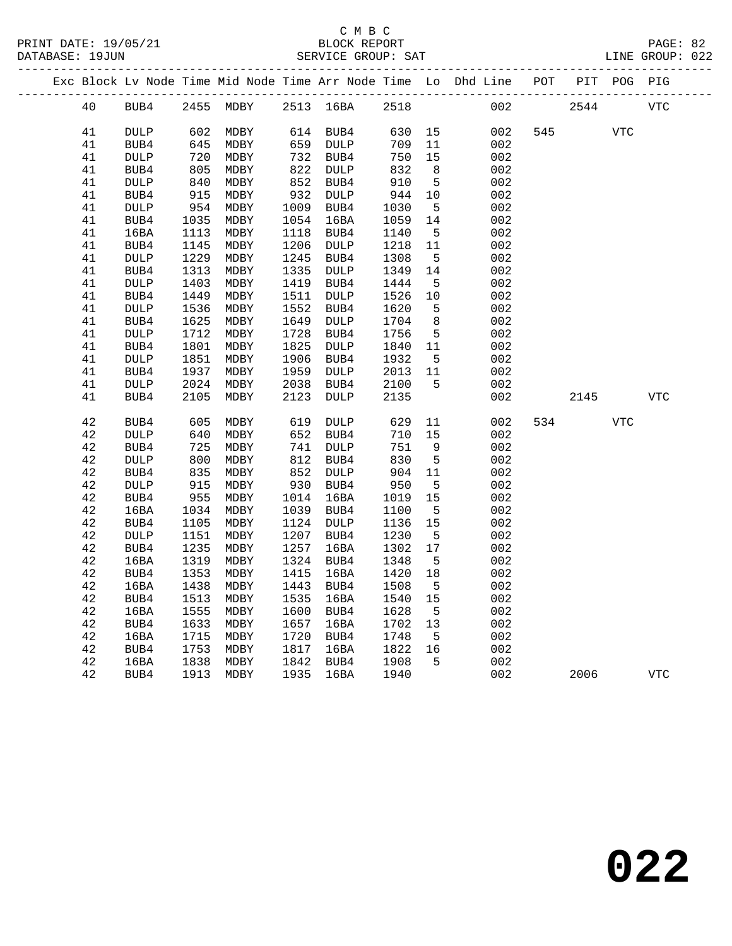|  |        |             |      |           |      |             |      |                 | Exc Block Lv Node Time Mid Node Time Arr Node Time Lo Dhd Line POT |     |      | PIT POG PIG |            |
|--|--------|-------------|------|-----------|------|-------------|------|-----------------|--------------------------------------------------------------------|-----|------|-------------|------------|
|  | 40     | BUB4        |      | 2455 MDBY |      | 2513 16BA   | 2518 |                 | 002                                                                |     | 2544 |             | <b>VTC</b> |
|  | 41     | <b>DULP</b> | 602  | MDBY      | 614  | BUB4        | 630  | 15              | 002                                                                | 545 |      | <b>VTC</b>  |            |
|  | 41     | BUB4        | 645  | MDBY      | 659  | DULP        | 709  | 11              | 002                                                                |     |      |             |            |
|  | 41     | <b>DULP</b> | 720  | MDBY      | 732  | BUB4        | 750  | 15              | 002                                                                |     |      |             |            |
|  | 41     | BUB4        | 805  | MDBY      | 822  | <b>DULP</b> | 832  | 8               | 002                                                                |     |      |             |            |
|  | 41     | <b>DULP</b> | 840  | MDBY      | 852  | BUB4        | 910  | 5               | 002                                                                |     |      |             |            |
|  | 41     | BUB4        | 915  | MDBY      | 932  | DULP        | 944  | 10              | 002                                                                |     |      |             |            |
|  | 41     | DULP        | 954  | MDBY      | 1009 | BUB4        | 1030 | $5^{\circ}$     | 002                                                                |     |      |             |            |
|  | 41     | BUB4        | 1035 | MDBY      | 1054 | 16BA        | 1059 | 14              | 002                                                                |     |      |             |            |
|  | 41     | 16BA        | 1113 | MDBY      | 1118 | BUB4        | 1140 | 5               | 002                                                                |     |      |             |            |
|  | 41     | BUB4        | 1145 | MDBY      | 1206 | DULP        | 1218 | 11              | 002                                                                |     |      |             |            |
|  | 41     | DULP        | 1229 | MDBY      | 1245 | BUB4        | 1308 | $5^{\circ}$     | 002                                                                |     |      |             |            |
|  | 41     | BUB4        | 1313 | MDBY      | 1335 | DULP        | 1349 | 14              | 002                                                                |     |      |             |            |
|  | 41     | <b>DULP</b> | 1403 | MDBY      | 1419 | BUB4        | 1444 | 5               | 002                                                                |     |      |             |            |
|  | 41     | BUB4        | 1449 | MDBY      | 1511 | DULP        | 1526 | 10              | 002                                                                |     |      |             |            |
|  | 41     | <b>DULP</b> | 1536 | MDBY      | 1552 | BUB4        | 1620 | 5               | 002                                                                |     |      |             |            |
|  | 41     | BUB4        | 1625 | MDBY      | 1649 | DULP        | 1704 | 8               | 002                                                                |     |      |             |            |
|  | 41     | <b>DULP</b> | 1712 | MDBY      | 1728 | BUB4        | 1756 | 5               | 002                                                                |     |      |             |            |
|  | 41     | BUB4        | 1801 | MDBY      | 1825 | DULP        | 1840 | 11              | 002                                                                |     |      |             |            |
|  | 41     | <b>DULP</b> | 1851 | MDBY      | 1906 | BUB4        | 1932 | 5               | 002                                                                |     |      |             |            |
|  | 41     | BUB4        | 1937 | MDBY      | 1959 | DULP        | 2013 | 11              | 002                                                                |     |      |             |            |
|  | 41     | <b>DULP</b> | 2024 | MDBY      | 2038 | BUB4        | 2100 | 5               | 002                                                                |     |      |             |            |
|  | 41     | BUB4        | 2105 | MDBY      | 2123 | DULP        | 2135 |                 | 002                                                                |     | 2145 |             | <b>VTC</b> |
|  | 42     | BUB4        | 605  | MDBY      | 619  | <b>DULP</b> | 629  | 11              | 002                                                                | 534 |      | <b>VTC</b>  |            |
|  | 42     | <b>DULP</b> | 640  | MDBY      | 652  | BUB4        | 710  | 15              | 002                                                                |     |      |             |            |
|  | 42     | BUB4        | 725  | MDBY      | 741  | DULP        | 751  | 9               | 002                                                                |     |      |             |            |
|  | 42     | <b>DULP</b> | 800  | MDBY      | 812  | BUB4        | 830  | $5^{\circ}$     | 002                                                                |     |      |             |            |
|  | 42     | BUB4        | 835  | MDBY      | 852  | DULP        | 904  | 11              | 002                                                                |     |      |             |            |
|  | $4\,2$ | DULP        | 915  | MDBY      | 930  | BUB4        | 950  | $5\overline{5}$ | 002                                                                |     |      |             |            |
|  | $4\,2$ | BUB4        | 955  | MDBY      |      | 1014 16BA   | 1019 | 15              | 002                                                                |     |      |             |            |
|  | 42     | 16BA        | 1034 | MDBY      | 1039 | BUB4        | 1100 | 5               | 002                                                                |     |      |             |            |
|  | 42     | BUB4        | 1105 | MDBY      |      | 1124 DULP   | 1136 | 15              | 002                                                                |     |      |             |            |
|  | 42     | <b>DULP</b> | 1151 | MDBY      | 1207 | BUB4        | 1230 | $5^{\circ}$     | 002                                                                |     |      |             |            |
|  | 42     | BUB4        | 1235 | MDBY      | 1257 | 16BA        | 1302 | 17              | 002                                                                |     |      |             |            |
|  | 42     | 16BA        | 1319 | MDBY      | 1324 | BUB4        | 1348 | 5               | 002                                                                |     |      |             |            |
|  | 42     | BUB4        | 1353 | MDBY      | 1415 | 16BA        | 1420 | 18              | 002                                                                |     |      |             |            |
|  | 42     | 16BA        | 1438 | MDBY      | 1443 | BUB4        | 1508 | 5               | 002                                                                |     |      |             |            |
|  | $4\,2$ | BUB4        | 1513 | MDBY      | 1535 | 16BA        | 1540 | 15              | 002                                                                |     |      |             |            |
|  | 42     | 16BA        | 1555 | MDBY      | 1600 | BUB4        | 1628 | 5               | 002                                                                |     |      |             |            |
|  | 42     | BUB4        | 1633 | MDBY      | 1657 | 16BA        | 1702 | 13              | 002                                                                |     |      |             |            |
|  | 42     | 16BA        | 1715 | MDBY      | 1720 | BUB4        | 1748 | 5               | 002                                                                |     |      |             |            |
|  | 42     | BUB4        | 1753 | MDBY      | 1817 | 16BA        | 1822 | 16              | 002                                                                |     |      |             |            |
|  | 42     | 16BA        | 1838 | MDBY      | 1842 | BUB4        | 1908 | 5               | 002                                                                |     |      |             |            |
|  | 42     | BUB4        | 1913 | MDBY      | 1935 | 16BA        | 1940 |                 | 002                                                                |     | 2006 |             | <b>VTC</b> |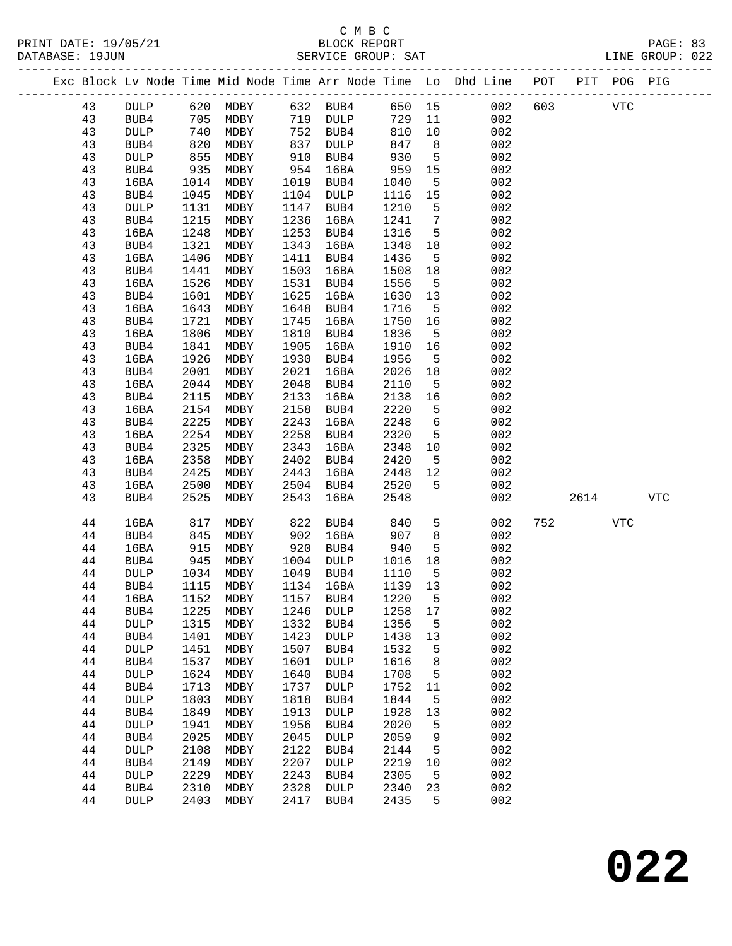### C M B C

------------------------------------------------------------------------------------------------- Exc Block Lv Node Time Mid Node Time Arr Node Time Lo Dhd Line POT PIT POG PIG -------------------------------------------------------------------------------------------------

43 DULP 620 MDBY 632 BUB4 650 15 002 603 VTC

 43 BUB4 705 MDBY 719 DULP 729 11 002 43 DULP 740 MDBY 752 BUB4 810 10 002 43 BUB4 820 MDBY 837 DULP 847 8 002

PRINT DATE: 19/05/21 BLOCK REPORT PAGE: 83

DATABASE: 19JUN SERVICE GROUP: SAT LINE GROUP: 022

| 43 | DULP                                                                                                                             | 855                                                                                                                                                                                 | MDBY                                                                                                                                                                         | 910                                                                                                                                                                  | BUB4                                                                                                                                                                                 | 930                                                                                                                                                                          | 5                                                                                                                                                                    | 002                                                                                                                                              |                                                                                                                                                        |      |            |            |
|----|----------------------------------------------------------------------------------------------------------------------------------|-------------------------------------------------------------------------------------------------------------------------------------------------------------------------------------|------------------------------------------------------------------------------------------------------------------------------------------------------------------------------|----------------------------------------------------------------------------------------------------------------------------------------------------------------------|--------------------------------------------------------------------------------------------------------------------------------------------------------------------------------------|------------------------------------------------------------------------------------------------------------------------------------------------------------------------------|----------------------------------------------------------------------------------------------------------------------------------------------------------------------|--------------------------------------------------------------------------------------------------------------------------------------------------|--------------------------------------------------------------------------------------------------------------------------------------------------------|------|------------|------------|
| 43 | BUB4                                                                                                                             | 935                                                                                                                                                                                 | MDBY                                                                                                                                                                         | 954                                                                                                                                                                  | 16BA                                                                                                                                                                                 | 959                                                                                                                                                                          | 15                                                                                                                                                                   | 002                                                                                                                                              |                                                                                                                                                        |      |            |            |
| 43 | 16BA                                                                                                                             | 1014                                                                                                                                                                                | MDBY                                                                                                                                                                         | 1019                                                                                                                                                                 | BUB4                                                                                                                                                                                 | 1040                                                                                                                                                                         | 5                                                                                                                                                                    | 002                                                                                                                                              |                                                                                                                                                        |      |            |            |
| 43 | BUB4                                                                                                                             | 1045                                                                                                                                                                                | MDBY                                                                                                                                                                         | 1104                                                                                                                                                                 | <b>DULP</b>                                                                                                                                                                          | 1116                                                                                                                                                                         |                                                                                                                                                                      | 002                                                                                                                                              |                                                                                                                                                        |      |            |            |
|    |                                                                                                                                  |                                                                                                                                                                                     |                                                                                                                                                                              |                                                                                                                                                                      |                                                                                                                                                                                      |                                                                                                                                                                              |                                                                                                                                                                      |                                                                                                                                                  |                                                                                                                                                        |      |            |            |
|    |                                                                                                                                  |                                                                                                                                                                                     | MDBY                                                                                                                                                                         |                                                                                                                                                                      |                                                                                                                                                                                      | 1241                                                                                                                                                                         |                                                                                                                                                                      | 002                                                                                                                                              |                                                                                                                                                        |      |            |            |
|    |                                                                                                                                  |                                                                                                                                                                                     |                                                                                                                                                                              |                                                                                                                                                                      |                                                                                                                                                                                      |                                                                                                                                                                              |                                                                                                                                                                      |                                                                                                                                                  |                                                                                                                                                        |      |            |            |
|    |                                                                                                                                  |                                                                                                                                                                                     |                                                                                                                                                                              |                                                                                                                                                                      |                                                                                                                                                                                      |                                                                                                                                                                              |                                                                                                                                                                      |                                                                                                                                                  |                                                                                                                                                        |      |            |            |
|    |                                                                                                                                  |                                                                                                                                                                                     |                                                                                                                                                                              |                                                                                                                                                                      |                                                                                                                                                                                      |                                                                                                                                                                              |                                                                                                                                                                      |                                                                                                                                                  |                                                                                                                                                        |      |            |            |
|    |                                                                                                                                  |                                                                                                                                                                                     |                                                                                                                                                                              |                                                                                                                                                                      |                                                                                                                                                                                      |                                                                                                                                                                              |                                                                                                                                                                      |                                                                                                                                                  |                                                                                                                                                        |      |            |            |
|    |                                                                                                                                  |                                                                                                                                                                                     |                                                                                                                                                                              |                                                                                                                                                                      |                                                                                                                                                                                      |                                                                                                                                                                              |                                                                                                                                                                      |                                                                                                                                                  |                                                                                                                                                        |      |            |            |
|    |                                                                                                                                  |                                                                                                                                                                                     |                                                                                                                                                                              |                                                                                                                                                                      |                                                                                                                                                                                      |                                                                                                                                                                              |                                                                                                                                                                      |                                                                                                                                                  |                                                                                                                                                        |      |            |            |
|    |                                                                                                                                  |                                                                                                                                                                                     |                                                                                                                                                                              |                                                                                                                                                                      |                                                                                                                                                                                      |                                                                                                                                                                              |                                                                                                                                                                      |                                                                                                                                                  |                                                                                                                                                        |      |            |            |
|    |                                                                                                                                  |                                                                                                                                                                                     |                                                                                                                                                                              |                                                                                                                                                                      |                                                                                                                                                                                      |                                                                                                                                                                              |                                                                                                                                                                      |                                                                                                                                                  |                                                                                                                                                        |      |            |            |
|    |                                                                                                                                  |                                                                                                                                                                                     |                                                                                                                                                                              |                                                                                                                                                                      |                                                                                                                                                                                      |                                                                                                                                                                              |                                                                                                                                                                      |                                                                                                                                                  |                                                                                                                                                        |      |            |            |
|    |                                                                                                                                  |                                                                                                                                                                                     |                                                                                                                                                                              |                                                                                                                                                                      |                                                                                                                                                                                      |                                                                                                                                                                              |                                                                                                                                                                      |                                                                                                                                                  |                                                                                                                                                        |      |            |            |
|    |                                                                                                                                  |                                                                                                                                                                                     |                                                                                                                                                                              |                                                                                                                                                                      |                                                                                                                                                                                      |                                                                                                                                                                              |                                                                                                                                                                      |                                                                                                                                                  |                                                                                                                                                        |      |            |            |
|    |                                                                                                                                  |                                                                                                                                                                                     |                                                                                                                                                                              |                                                                                                                                                                      |                                                                                                                                                                                      |                                                                                                                                                                              |                                                                                                                                                                      |                                                                                                                                                  |                                                                                                                                                        |      |            |            |
|    |                                                                                                                                  |                                                                                                                                                                                     |                                                                                                                                                                              |                                                                                                                                                                      |                                                                                                                                                                                      |                                                                                                                                                                              |                                                                                                                                                                      |                                                                                                                                                  |                                                                                                                                                        |      |            |            |
|    |                                                                                                                                  |                                                                                                                                                                                     |                                                                                                                                                                              |                                                                                                                                                                      |                                                                                                                                                                                      |                                                                                                                                                                              |                                                                                                                                                                      |                                                                                                                                                  |                                                                                                                                                        |      |            |            |
|    |                                                                                                                                  |                                                                                                                                                                                     |                                                                                                                                                                              |                                                                                                                                                                      |                                                                                                                                                                                      |                                                                                                                                                                              |                                                                                                                                                                      |                                                                                                                                                  |                                                                                                                                                        |      |            |            |
|    |                                                                                                                                  |                                                                                                                                                                                     |                                                                                                                                                                              |                                                                                                                                                                      |                                                                                                                                                                                      |                                                                                                                                                                              |                                                                                                                                                                      |                                                                                                                                                  |                                                                                                                                                        |      |            |            |
|    |                                                                                                                                  |                                                                                                                                                                                     |                                                                                                                                                                              |                                                                                                                                                                      |                                                                                                                                                                                      |                                                                                                                                                                              |                                                                                                                                                                      |                                                                                                                                                  |                                                                                                                                                        |      |            |            |
|    |                                                                                                                                  |                                                                                                                                                                                     |                                                                                                                                                                              |                                                                                                                                                                      |                                                                                                                                                                                      |                                                                                                                                                                              |                                                                                                                                                                      |                                                                                                                                                  |                                                                                                                                                        |      |            |            |
|    |                                                                                                                                  |                                                                                                                                                                                     |                                                                                                                                                                              |                                                                                                                                                                      |                                                                                                                                                                                      |                                                                                                                                                                              |                                                                                                                                                                      |                                                                                                                                                  |                                                                                                                                                        |      |            |            |
|    |                                                                                                                                  |                                                                                                                                                                                     |                                                                                                                                                                              |                                                                                                                                                                      |                                                                                                                                                                                      |                                                                                                                                                                              |                                                                                                                                                                      |                                                                                                                                                  |                                                                                                                                                        |      |            |            |
|    |                                                                                                                                  |                                                                                                                                                                                     |                                                                                                                                                                              |                                                                                                                                                                      |                                                                                                                                                                                      |                                                                                                                                                                              |                                                                                                                                                                      |                                                                                                                                                  |                                                                                                                                                        |      |            |            |
|    |                                                                                                                                  |                                                                                                                                                                                     |                                                                                                                                                                              |                                                                                                                                                                      |                                                                                                                                                                                      |                                                                                                                                                                              |                                                                                                                                                                      |                                                                                                                                                  |                                                                                                                                                        |      |            |            |
| 43 | 16BA                                                                                                                             | 2500                                                                                                                                                                                | MDBY                                                                                                                                                                         |                                                                                                                                                                      | BUB4                                                                                                                                                                                 | 2520                                                                                                                                                                         |                                                                                                                                                                      |                                                                                                                                                  |                                                                                                                                                        |      |            |            |
| 43 | BUB4                                                                                                                             | 2525                                                                                                                                                                                | MDBY                                                                                                                                                                         | 2543                                                                                                                                                                 | 16BA                                                                                                                                                                                 | 2548                                                                                                                                                                         |                                                                                                                                                                      | 002                                                                                                                                              |                                                                                                                                                        | 2614 |            | <b>VTC</b> |
|    |                                                                                                                                  |                                                                                                                                                                                     |                                                                                                                                                                              |                                                                                                                                                                      |                                                                                                                                                                                      |                                                                                                                                                                              |                                                                                                                                                                      |                                                                                                                                                  |                                                                                                                                                        |      |            |            |
| 44 | 16BA                                                                                                                             | 817                                                                                                                                                                                 | MDBY                                                                                                                                                                         | 822                                                                                                                                                                  | BUB4                                                                                                                                                                                 | 840                                                                                                                                                                          | 5                                                                                                                                                                    | 002                                                                                                                                              | 752                                                                                                                                                    |      | <b>VTC</b> |            |
| 44 | BUB4                                                                                                                             | 845                                                                                                                                                                                 | MDBY                                                                                                                                                                         | 902                                                                                                                                                                  | 16BA                                                                                                                                                                                 | 907                                                                                                                                                                          | 8                                                                                                                                                                    | 002                                                                                                                                              |                                                                                                                                                        |      |            |            |
| 44 | 16BA                                                                                                                             | 915                                                                                                                                                                                 | MDBY                                                                                                                                                                         | 920                                                                                                                                                                  | BUB4                                                                                                                                                                                 | 940                                                                                                                                                                          | 5                                                                                                                                                                    | 002                                                                                                                                              |                                                                                                                                                        |      |            |            |
| 44 | BUB4                                                                                                                             | 945                                                                                                                                                                                 | MDBY                                                                                                                                                                         | 1004                                                                                                                                                                 | $\texttt{DULP}$                                                                                                                                                                      | 1016                                                                                                                                                                         | 18                                                                                                                                                                   | 002                                                                                                                                              |                                                                                                                                                        |      |            |            |
| 44 | DULP                                                                                                                             | 1034                                                                                                                                                                                | MDBY                                                                                                                                                                         | 1049                                                                                                                                                                 | BUB4                                                                                                                                                                                 | 1110                                                                                                                                                                         | 5                                                                                                                                                                    | 002                                                                                                                                              |                                                                                                                                                        |      |            |            |
| 44 | BUB4                                                                                                                             | 1115                                                                                                                                                                                | MDBY                                                                                                                                                                         | 1134                                                                                                                                                                 | 16BA                                                                                                                                                                                 | 1139                                                                                                                                                                         | 13                                                                                                                                                                   | 002                                                                                                                                              |                                                                                                                                                        |      |            |            |
| 44 | 16BA                                                                                                                             | 1152                                                                                                                                                                                | MDBY                                                                                                                                                                         | 1157                                                                                                                                                                 | BUB4                                                                                                                                                                                 | 1220                                                                                                                                                                         | 5                                                                                                                                                                    | 002                                                                                                                                              |                                                                                                                                                        |      |            |            |
| 44 | BUB4                                                                                                                             | 1225                                                                                                                                                                                | MDBY                                                                                                                                                                         | 1246                                                                                                                                                                 | <b>DULP</b>                                                                                                                                                                          | 1258                                                                                                                                                                         | 17                                                                                                                                                                   | 002                                                                                                                                              |                                                                                                                                                        |      |            |            |
| 44 | <b>DULP</b>                                                                                                                      | 1315                                                                                                                                                                                | MDBY                                                                                                                                                                         | 1332                                                                                                                                                                 | BUB4                                                                                                                                                                                 | 1356                                                                                                                                                                         | 5                                                                                                                                                                    | 002                                                                                                                                              |                                                                                                                                                        |      |            |            |
| 44 | BUB4                                                                                                                             | 1401                                                                                                                                                                                | <b>MDBY</b>                                                                                                                                                                  | 1423                                                                                                                                                                 | <b>DULP</b>                                                                                                                                                                          | 1438                                                                                                                                                                         | 13                                                                                                                                                                   | 002                                                                                                                                              |                                                                                                                                                        |      |            |            |
| 44 | <b>DULP</b>                                                                                                                      | 1451                                                                                                                                                                                | MDBY                                                                                                                                                                         | 1507                                                                                                                                                                 | BUB4                                                                                                                                                                                 | 1532                                                                                                                                                                         | 5                                                                                                                                                                    | 002                                                                                                                                              |                                                                                                                                                        |      |            |            |
| 44 | BUB4                                                                                                                             | 1537                                                                                                                                                                                | MDBY                                                                                                                                                                         | 1601                                                                                                                                                                 | <b>DULP</b>                                                                                                                                                                          | 1616                                                                                                                                                                         | $\,8\,$                                                                                                                                                              | 002                                                                                                                                              |                                                                                                                                                        |      |            |            |
| 44 | <b>DULP</b>                                                                                                                      | 1624                                                                                                                                                                                | MDBY                                                                                                                                                                         | 1640                                                                                                                                                                 | BUB4                                                                                                                                                                                 | 1708                                                                                                                                                                         | 5                                                                                                                                                                    | 002                                                                                                                                              |                                                                                                                                                        |      |            |            |
| 44 | BUB4                                                                                                                             | 1713 MDBY                                                                                                                                                                           |                                                                                                                                                                              | 1737 DULP                                                                                                                                                            |                                                                                                                                                                                      | 1752 11                                                                                                                                                                      |                                                                                                                                                                      | 002                                                                                                                                              |                                                                                                                                                        |      |            |            |
| 44 | DULP                                                                                                                             | 1803                                                                                                                                                                                | MDBY                                                                                                                                                                         | 1818                                                                                                                                                                 | BUB4                                                                                                                                                                                 | 1844                                                                                                                                                                         | 5                                                                                                                                                                    | 002                                                                                                                                              |                                                                                                                                                        |      |            |            |
| 44 | BUB4                                                                                                                             | 1849                                                                                                                                                                                | MDBY                                                                                                                                                                         | 1913                                                                                                                                                                 | DULP                                                                                                                                                                                 | 1928                                                                                                                                                                         | 13                                                                                                                                                                   | 002                                                                                                                                              |                                                                                                                                                        |      |            |            |
| 44 | <b>DULP</b>                                                                                                                      | 1941                                                                                                                                                                                | MDBY                                                                                                                                                                         | 1956                                                                                                                                                                 | BUB4                                                                                                                                                                                 | 2020                                                                                                                                                                         | 5                                                                                                                                                                    | 002                                                                                                                                              |                                                                                                                                                        |      |            |            |
| 44 | BUB4                                                                                                                             | 2025                                                                                                                                                                                | MDBY                                                                                                                                                                         | 2045                                                                                                                                                                 | <b>DULP</b>                                                                                                                                                                          | 2059                                                                                                                                                                         | 9                                                                                                                                                                    | 002                                                                                                                                              |                                                                                                                                                        |      |            |            |
| 44 | <b>DULP</b>                                                                                                                      | 2108                                                                                                                                                                                | MDBY                                                                                                                                                                         | 2122                                                                                                                                                                 | BUB4                                                                                                                                                                                 | 2144                                                                                                                                                                         | 5                                                                                                                                                                    | 002                                                                                                                                              |                                                                                                                                                        |      |            |            |
| 44 | BUB4                                                                                                                             | 2149                                                                                                                                                                                | MDBY                                                                                                                                                                         | 2207                                                                                                                                                                 | <b>DULP</b>                                                                                                                                                                          | 2219                                                                                                                                                                         | 10                                                                                                                                                                   | 002                                                                                                                                              |                                                                                                                                                        |      |            |            |
| 44 | <b>DULP</b>                                                                                                                      | 2229                                                                                                                                                                                | MDBY                                                                                                                                                                         | 2243                                                                                                                                                                 | BUB4                                                                                                                                                                                 | 2305                                                                                                                                                                         | $-5$                                                                                                                                                                 | 002                                                                                                                                              |                                                                                                                                                        |      |            |            |
| 44 | BUB4                                                                                                                             | 2310                                                                                                                                                                                | MDBY                                                                                                                                                                         | 2328                                                                                                                                                                 | DULP                                                                                                                                                                                 | 2340                                                                                                                                                                         | 23                                                                                                                                                                   | 002                                                                                                                                              |                                                                                                                                                        |      |            |            |
| 44 | <b>DULP</b>                                                                                                                      | 2403                                                                                                                                                                                | MDBY                                                                                                                                                                         | 2417                                                                                                                                                                 | BUB4                                                                                                                                                                                 | 2435                                                                                                                                                                         | 5                                                                                                                                                                    | 002                                                                                                                                              |                                                                                                                                                        |      |            |            |
|    |                                                                                                                                  |                                                                                                                                                                                     |                                                                                                                                                                              |                                                                                                                                                                      |                                                                                                                                                                                      |                                                                                                                                                                              |                                                                                                                                                                      |                                                                                                                                                  |                                                                                                                                                        |      |            |            |
|    | 43<br>43<br>43<br>43<br>43<br>43<br>43<br>43<br>43<br>43<br>43<br>43<br>43<br>43<br>43<br>43<br>43<br>43<br>43<br>43<br>43<br>43 | <b>DULP</b><br>BUB4<br>16BA<br>BUB4<br>16BA<br>BUB4<br>16BA<br>BUB4<br>16BA<br>BUB4<br>16BA<br>BUB4<br>16BA<br>BUB4<br>16BA<br>BUB4<br>16BA<br>BUB4<br>16BA<br>BUB4<br>16BA<br>BUB4 | 1131<br>1215<br>1248<br>1321<br>1406<br>1441<br>1526<br>1601<br>1643<br>1721<br>1806<br>1841<br>1926<br>2001<br>2044<br>2115<br>2154<br>2225<br>2254<br>2325<br>2358<br>2425 | MDBY<br>MDBY<br>MDBY<br>MDBY<br>MDBY<br>MDBY<br>MDBY<br>MDBY<br>MDBY<br>MDBY<br>MDBY<br>MDBY<br>MDBY<br>MDBY<br>MDBY<br>MDBY<br>MDBY<br>MDBY<br>MDBY<br>MDBY<br>MDBY | 1147<br>1236<br>1253<br>1343<br>1411<br>1503<br>1531<br>1625<br>1648<br>1745<br>1810<br>1905<br>1930<br>2021<br>2048<br>2133<br>2158<br>2243<br>2258<br>2343<br>2402<br>2443<br>2504 | BUB4<br>16BA<br>BUB4<br>16BA<br>BUB4<br>16BA<br>BUB4<br>16BA<br>BUB4<br>16BA<br>BUB4<br>16BA<br>BUB4<br>16BA<br>BUB4<br>16BA<br>BUB4<br>16BA<br>BUB4<br>16BA<br>BUB4<br>16BA | 1210<br>1316<br>1348<br>1436<br>1508<br>1556<br>1630<br>1716<br>1750<br>1836<br>1910<br>1956<br>2026<br>2110<br>2138<br>2220<br>2248<br>2320<br>2348<br>2420<br>2448 | 15<br>5<br>$7\phantom{.0}$<br>5<br>$18\,$<br>5<br>18<br>5<br>13<br>5<br>16<br>5<br>16<br>5<br>18<br>5<br>16<br>5<br>6<br>5<br>10<br>5<br>12<br>5 | 002<br>002<br>002<br>002<br>002<br>002<br>002<br>002<br>002<br>002<br>002<br>002<br>002<br>002<br>002<br>002<br>002<br>002<br>002<br>002<br>002<br>002 |      |            |            |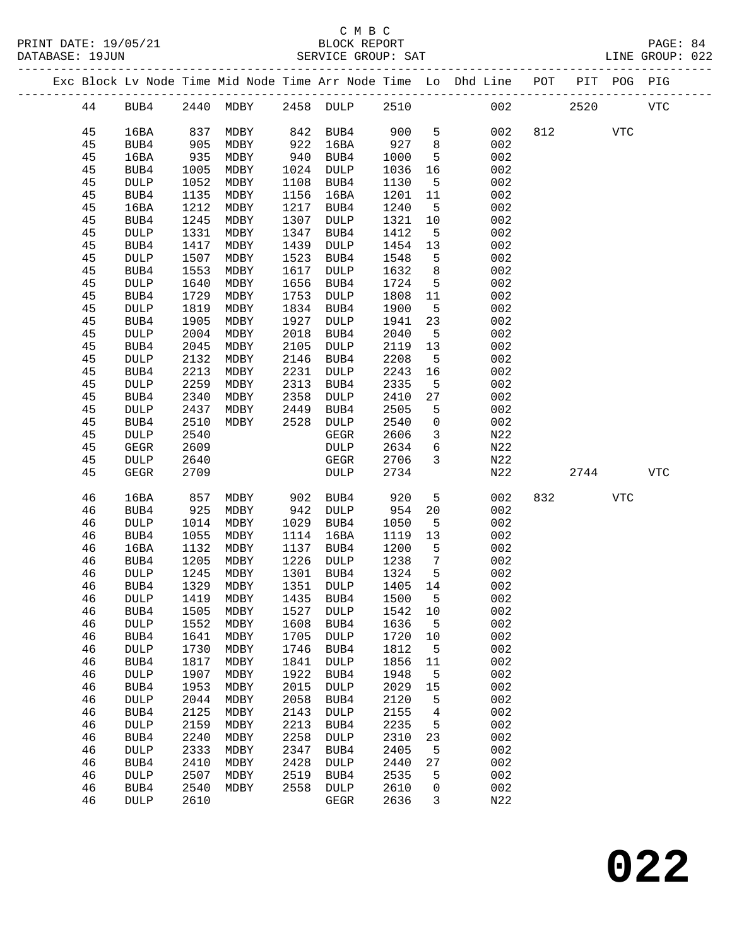|  |    |                            |              |                            |      |                     |         |                 | Exc Block Lv Node Time Mid Node Time Arr Node Time Lo Dhd Line POT PIT POG PIG |     |      |            |            |
|--|----|----------------------------|--------------|----------------------------|------|---------------------|---------|-----------------|--------------------------------------------------------------------------------|-----|------|------------|------------|
|  | 44 | BUB4                       |              | 2440 MDBY 2458 DULP 2510   |      |                     |         |                 | 002                                                                            |     | 2520 |            | <b>VTC</b> |
|  | 45 | 16BA                       | 837          | MDBY                       |      | 842 BUB4            | 900     | 5               | 002                                                                            |     | 812  | <b>VTC</b> |            |
|  | 45 | BUB4                       | 905          | MDBY                       | 922  | 16BA                | 927     | 8               | 002                                                                            |     |      |            |            |
|  | 45 | 16BA                       | 935          | MDBY                       | 940  | BUB4                | 1000    | $5\overline{5}$ | 002                                                                            |     |      |            |            |
|  | 45 | BUB4                       | 1005         | MDBY                       | 1024 | DULP                | 1036    | 16              | 002                                                                            |     |      |            |            |
|  | 45 | <b>DULP</b>                | 1052         | MDBY                       | 1108 | BUB4                | 1130    | $5^{\circ}$     | 002                                                                            |     |      |            |            |
|  | 45 | BUB4                       | 1135         | MDBY                       | 1156 | 16BA                | 1201    | 11              | 002                                                                            |     |      |            |            |
|  | 45 | 16BA                       | 1212         | MDBY                       | 1217 | BUB4                | 1240    | $-5$            | 002                                                                            |     |      |            |            |
|  | 45 | BUB4                       | 1245         | MDBY                       | 1307 | DULP                | 1321    | 10              | 002                                                                            |     |      |            |            |
|  | 45 | DULP                       | 1331         | MDBY                       | 1347 | BUB4                | 1412    | $5^{\circ}$     | 002                                                                            |     |      |            |            |
|  | 45 | BUB4                       | 1417         | MDBY                       | 1439 | DULP                | 1454    | 13              | 002                                                                            |     |      |            |            |
|  | 45 | <b>DULP</b>                | 1507         | MDBY                       | 1523 | BUB4                | 1548    | 5               | 002                                                                            |     |      |            |            |
|  | 45 | BUB4                       | 1553         | MDBY                       | 1617 | DULP                | 1632    | 8               | 002                                                                            |     |      |            |            |
|  | 45 | <b>DULP</b>                | 1640         | MDBY                       | 1656 | BUB4                | 1724    | $5^{\circ}$     | 002                                                                            |     |      |            |            |
|  | 45 | BUB4                       | 1729         | MDBY                       | 1753 | DULP                | 1808    | 11              | 002                                                                            |     |      |            |            |
|  | 45 | <b>DULP</b>                | 1819         | MDBY                       | 1834 | BUB4                | 1900    | $5^{\circ}$     | 002                                                                            |     |      |            |            |
|  | 45 | BUB4                       | 1905         | MDBY                       | 1927 | DULP                | 1941    | 23              | 002                                                                            |     |      |            |            |
|  | 45 | <b>DULP</b>                | 2004         | MDBY                       | 2018 | BUB4                | 2040    | $5^{\circ}$     | 002                                                                            |     |      |            |            |
|  | 45 | BUB4                       | 2045         | MDBY                       | 2105 | DULP                | 2119    | 13              | 002                                                                            |     |      |            |            |
|  | 45 |                            | 2132         |                            | 2146 |                     | 2208    | $5\overline{)}$ | 002                                                                            |     |      |            |            |
|  | 45 | <b>DULP</b>                | 2213         | MDBY                       | 2231 | BUB4                | 2243    | 16              | 002                                                                            |     |      |            |            |
|  | 45 | BUB4<br><b>DULP</b>        | 2259         | MDBY<br>MDBY               | 2313 | DULP<br>BUB4        | 2335    | 5               | 002                                                                            |     |      |            |            |
|  | 45 | BUB4                       | 2340         | MDBY                       | 2358 | DULP                | 2410    | 27              | 002                                                                            |     |      |            |            |
|  | 45 |                            | 2437         |                            | 2449 |                     | 2505    | 5               | 002                                                                            |     |      |            |            |
|  | 45 | <b>DULP</b>                | 2510         | MDBY                       | 2528 | BUB4                | 2540    | $\mathsf{O}$    | 002                                                                            |     |      |            |            |
|  | 45 | BUB4                       | 2540         | MDBY                       |      | DULP<br>GEGR        | 2606    | $\overline{3}$  | N22                                                                            |     |      |            |            |
|  | 45 | <b>DULP</b><br><b>GEGR</b> | 2609         |                            |      | DULP                | 2634    | 6               | N22                                                                            |     |      |            |            |
|  | 45 |                            |              |                            |      |                     | 2706    | $\mathbf{3}$    |                                                                                |     |      |            |            |
|  | 45 | <b>DULP</b><br><b>GEGR</b> | 2640<br>2709 |                            |      | GEGR<br><b>DULP</b> | 2734    |                 | N22<br>N22                                                                     |     | 2744 |            | <b>VTC</b> |
|  |    |                            |              |                            |      |                     |         |                 |                                                                                |     |      |            |            |
|  | 46 | 16BA                       | 857          | MDBY                       | 902  | BUB4                | 920     | 5               | 002                                                                            | 832 |      | VTC        |            |
|  | 46 | BUB4                       | 925          | MDBY                       | 942  | DULP                | 954     | 20              | 002                                                                            |     |      |            |            |
|  | 46 | <b>DULP</b>                | 1014         | MDBY                       | 1029 | BUB4                | 1050    | 5               | 002                                                                            |     |      |            |            |
|  | 46 | BUB4                       | 1055         | MDBY                       | 1114 | 16BA                | 1119    | 13              | 002                                                                            |     |      |            |            |
|  | 46 | 16BA                       | 1132         | MDBY                       | 1137 | BUB4                | 1200    | $-5$            | 002                                                                            |     |      |            |            |
|  | 46 | BUB4                       | 1205         | MDBY                       | 1226 | DULP                | 1238    | $7\overline{ }$ | 002                                                                            |     |      |            |            |
|  | 46 | <b>DULP</b>                | 1245         | MDBY                       | 1301 | BUB4                | 1324    | $5^{\circ}$     | 002                                                                            |     |      |            |            |
|  | 46 | BUB4                       | 1329         | MDBY                       |      | 1351 DULP           | 1405 14 |                 | 002                                                                            |     |      |            |            |
|  | 46 | <b>DULP</b>                |              | 1419 MDBY 1435 BUB4 1500 5 |      |                     |         |                 | 002                                                                            |     |      |            |            |
|  | 46 | BUB4                       | 1505         | MDBY                       | 1527 | DULP                | 1542    | 10              | 002                                                                            |     |      |            |            |
|  | 46 | DULP                       | 1552         | MDBY                       | 1608 | BUB4                | 1636    | $5^{\circ}$     | 002                                                                            |     |      |            |            |
|  | 46 | BUB4                       | 1641         | MDBY                       | 1705 | <b>DULP</b>         | 1720    | 10              | 002                                                                            |     |      |            |            |
|  | 46 | DULP                       | 1730         | MDBY                       | 1746 | BUB4                | 1812    | 5               | 002                                                                            |     |      |            |            |
|  | 46 | BUB4                       | 1817         | MDBY                       | 1841 | DULP                | 1856    | 11              | 002                                                                            |     |      |            |            |
|  | 46 | DULP                       | 1907         | MDBY                       | 1922 | BUB4                | 1948    | 5               | 002                                                                            |     |      |            |            |
|  | 46 | BUB4                       | 1953         | MDBY                       | 2015 | <b>DULP</b>         | 2029    | 15              | 002                                                                            |     |      |            |            |
|  | 46 | DULP                       | 2044         | MDBY                       | 2058 | BUB4                | 2120    | 5               | 002                                                                            |     |      |            |            |
|  | 46 | BUB4                       | 2125         | MDBY                       | 2143 | DULP                | 2155    | 4               | 002                                                                            |     |      |            |            |
|  | 46 | DULP                       | 2159         | MDBY                       | 2213 | BUB4                | 2235    | 5               | 002                                                                            |     |      |            |            |
|  | 46 | BUB4                       | 2240         | MDBY                       | 2258 | <b>DULP</b>         | 2310    | 23              | 002                                                                            |     |      |            |            |
|  | 46 | DULP                       | 2333         | MDBY                       | 2347 | BUB4                | 2405    | 5               | 002                                                                            |     |      |            |            |
|  | 46 | BUB4                       | 2410         | MDBY                       | 2428 | <b>DULP</b>         | 2440    | 27              | 002                                                                            |     |      |            |            |
|  | 46 | <b>DULP</b>                | 2507         | MDBY                       | 2519 | BUB4                | 2535    | 5               | 002                                                                            |     |      |            |            |
|  | 46 | BUB4                       | 2540         | MDBY                       | 2558 | <b>DULP</b>         | 2610    | 0               | 002                                                                            |     |      |            |            |
|  | 46 | DULP                       | 2610         |                            |      | GEGR                | 2636    | $\mathbf{3}$    | N22                                                                            |     |      |            |            |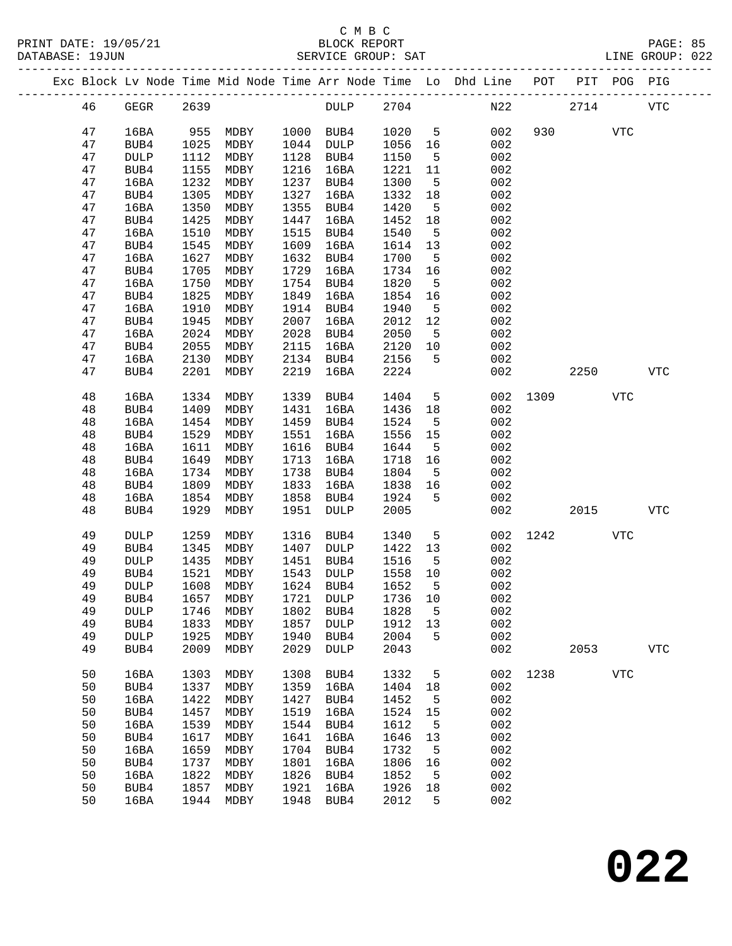|  |    |                 |      |                                  |      |             |      |                 | Exc Block Lv Node Time Mid Node Time Arr Node Time Lo Dhd Line POT |      |                 | PIT POG PIG |             |
|--|----|-----------------|------|----------------------------------|------|-------------|------|-----------------|--------------------------------------------------------------------|------|-----------------|-------------|-------------|
|  | 46 | GEGR            | 2639 |                                  |      | <b>DULP</b> | 2704 |                 |                                                                    | N22  | 2714            |             | ${\tt VTC}$ |
|  | 47 | 16BA            |      | 955 MDBY                         |      | 1000 BUB4   | 1020 | 5 <sup>5</sup>  | 002                                                                |      | 930 000         | VTC         |             |
|  | 47 | BUB4            | 1025 | MDBY                             |      | 1044 DULP   | 1056 | 16              | 002                                                                |      |                 |             |             |
|  | 47 | $\texttt{DULP}$ | 1112 | MDBY                             | 1128 | BUB4        | 1150 | $5^{\circ}$     | 002                                                                |      |                 |             |             |
|  | 47 | BUB4            | 1155 | MDBY                             | 1216 | 16BA        | 1221 | 11              | 002                                                                |      |                 |             |             |
|  | 47 | 16BA            | 1232 | MDBY                             | 1237 | BUB4        | 1300 | $5^{\circ}$     | 002                                                                |      |                 |             |             |
|  |    |                 |      |                                  | 1327 |             |      |                 | 002                                                                |      |                 |             |             |
|  | 47 | BUB4            | 1305 | MDBY                             |      | 16BA        | 1332 | 18              |                                                                    |      |                 |             |             |
|  | 47 | 16BA            | 1350 | MDBY                             | 1355 | BUB4        | 1420 | $5^{\circ}$     | 002                                                                |      |                 |             |             |
|  | 47 | BUB4            | 1425 | MDBY                             | 1447 | 16BA        | 1452 | 18              | 002                                                                |      |                 |             |             |
|  | 47 | 16BA            | 1510 | MDBY                             | 1515 | BUB4        | 1540 | $5^{\circ}$     | 002                                                                |      |                 |             |             |
|  | 47 | BUB4            | 1545 | MDBY                             | 1609 | 16BA        | 1614 | 13              | 002                                                                |      |                 |             |             |
|  | 47 | 16BA            | 1627 | MDBY                             | 1632 | BUB4        | 1700 | 5               | 002                                                                |      |                 |             |             |
|  | 47 | BUB4            | 1705 | MDBY                             | 1729 | 16BA        | 1734 | 16              | 002                                                                |      |                 |             |             |
|  | 47 | 16BA            | 1750 | MDBY                             | 1754 | BUB4        | 1820 | $5\overline{5}$ | 002                                                                |      |                 |             |             |
|  | 47 | BUB4            | 1825 | MDBY                             | 1849 | 16BA        | 1854 | 16              | 002                                                                |      |                 |             |             |
|  | 47 | 16BA            | 1910 | MDBY                             | 1914 | BUB4        | 1940 | 5               | 002                                                                |      |                 |             |             |
|  | 47 | BUB4            | 1945 | MDBY                             | 2007 | 16BA        | 2012 | 12              | 002                                                                |      |                 |             |             |
|  | 47 | 16BA            | 2024 | MDBY                             | 2028 | BUB4        | 2050 | $5^{\circ}$     | 002                                                                |      |                 |             |             |
|  | 47 | BUB4            | 2055 | MDBY                             | 2115 | 16BA        | 2120 | 10              | 002                                                                |      |                 |             |             |
|  | 47 | 16BA            | 2130 | MDBY                             | 2134 | BUB4        | 2156 | 5               | 002                                                                |      |                 |             |             |
|  | 47 | BUB4            | 2201 | MDBY                             | 2219 | 16BA        | 2224 |                 | 002                                                                |      | 2250 and $\sim$ |             | <b>VTC</b>  |
|  |    |                 |      |                                  |      |             |      |                 |                                                                    |      |                 |             |             |
|  | 48 | 16BA            | 1334 | MDBY                             | 1339 | BUB4        | 1404 | $5\overline{)}$ | 002                                                                | 1309 |                 | <b>VTC</b>  |             |
|  | 48 | BUB4            | 1409 | MDBY                             | 1431 | 16BA        | 1436 | 18              | 002                                                                |      |                 |             |             |
|  | 48 | 16BA            | 1454 | MDBY                             | 1459 | BUB4        | 1524 | $5^{\circ}$     | 002                                                                |      |                 |             |             |
|  | 48 | BUB4            | 1529 | MDBY                             | 1551 | 16BA        | 1556 | 15              | 002                                                                |      |                 |             |             |
|  | 48 | 16BA            | 1611 | MDBY                             | 1616 | BUB4        | 1644 | $5^{\circ}$     | 002                                                                |      |                 |             |             |
|  | 48 | BUB4            | 1649 | MDBY                             | 1713 | 16BA        | 1718 | 16              | 002                                                                |      |                 |             |             |
|  | 48 | 16BA            | 1734 | MDBY                             | 1738 | BUB4        | 1804 | $5^{\circ}$     | 002                                                                |      |                 |             |             |
|  | 48 | BUB4            | 1809 | MDBY                             | 1833 | 16BA        | 1838 | 16              | 002                                                                |      |                 |             |             |
|  | 48 |                 | 1854 |                                  | 1858 |             |      | 5               | 002                                                                |      |                 |             |             |
|  |    | 16BA            |      | MDBY                             |      | BUB4        | 1924 |                 |                                                                    |      |                 |             |             |
|  | 48 | BUB4            | 1929 | MDBY                             | 1951 | DULP        | 2005 |                 | 002                                                                |      | 2015            |             | <b>VTC</b>  |
|  | 49 | <b>DULP</b>     | 1259 | MDBY                             | 1316 | BUB4        | 1340 | $5^{\circ}$     | 002                                                                | 1242 |                 | VTC         |             |
|  | 49 | BUB4            | 1345 | MDBY                             | 1407 | DULP        | 1422 | 13              | 002                                                                |      |                 |             |             |
|  | 49 | <b>DULP</b>     | 1435 | MDBY                             | 1451 | BUB4        | 1516 | $5^{\circ}$     | 002                                                                |      |                 |             |             |
|  | 49 | BUB4            | 1521 | MDBY                             | 1543 | DULP        | 1558 | 10              | 002                                                                |      |                 |             |             |
|  | 49 | <b>DULP</b>     | 1608 | MDBY                             |      | 1624 BUB4   | 1652 | $5^{\circ}$     | 002                                                                |      |                 |             |             |
|  | 49 |                 |      | BUB4 1657 MDBY 1721 DULP 1736 10 |      |             |      |                 | 002                                                                |      |                 |             |             |
|  |    | <b>DULP</b>     |      | MDBY                             |      | BUB4        |      |                 | 002                                                                |      |                 |             |             |
|  | 49 |                 | 1746 |                                  | 1802 |             | 1828 | 5               |                                                                    |      |                 |             |             |
|  | 49 | BUB4            | 1833 | MDBY                             | 1857 | <b>DULP</b> | 1912 | 13              | 002                                                                |      |                 |             |             |
|  | 49 | <b>DULP</b>     | 1925 | MDBY                             | 1940 | BUB4        | 2004 | 5               | 002                                                                |      |                 |             |             |
|  | 49 | BUB4            | 2009 | MDBY                             | 2029 | <b>DULP</b> | 2043 |                 | 002                                                                |      | 2053            |             | ${\tt VTC}$ |
|  | 50 | 16BA            | 1303 | MDBY                             | 1308 | BUB4        | 1332 | 5               | 002                                                                | 1238 |                 | <b>VTC</b>  |             |
|  | 50 | BUB4            | 1337 | MDBY                             | 1359 | 16BA        | 1404 | 18              | 002                                                                |      |                 |             |             |
|  | 50 | 16BA            | 1422 | MDBY                             | 1427 | BUB4        | 1452 | 5               | 002                                                                |      |                 |             |             |
|  | 50 | BUB4            | 1457 | MDBY                             | 1519 | 16BA        | 1524 | 15              | 002                                                                |      |                 |             |             |
|  | 50 | 16BA            | 1539 | MDBY                             | 1544 | BUB4        | 1612 | 5               | 002                                                                |      |                 |             |             |
|  | 50 | BUB4            | 1617 | MDBY                             | 1641 | 16BA        | 1646 | 13              | 002                                                                |      |                 |             |             |
|  | 50 | 16BA            | 1659 | MDBY                             | 1704 | BUB4        | 1732 | 5               | 002                                                                |      |                 |             |             |
|  | 50 | BUB4            | 1737 | MDBY                             | 1801 | 16BA        | 1806 | 16              | 002                                                                |      |                 |             |             |
|  | 50 | 16BA            | 1822 | MDBY                             | 1826 | BUB4        | 1852 | 5               | 002                                                                |      |                 |             |             |
|  | 50 | BUB4            | 1857 | MDBY                             | 1921 | 16BA        | 1926 | 18              | 002                                                                |      |                 |             |             |
|  | 50 | 16BA            | 1944 | MDBY                             | 1948 | BUB4        | 2012 | 5               | 002                                                                |      |                 |             |             |
|  |    |                 |      |                                  |      |             |      |                 |                                                                    |      |                 |             |             |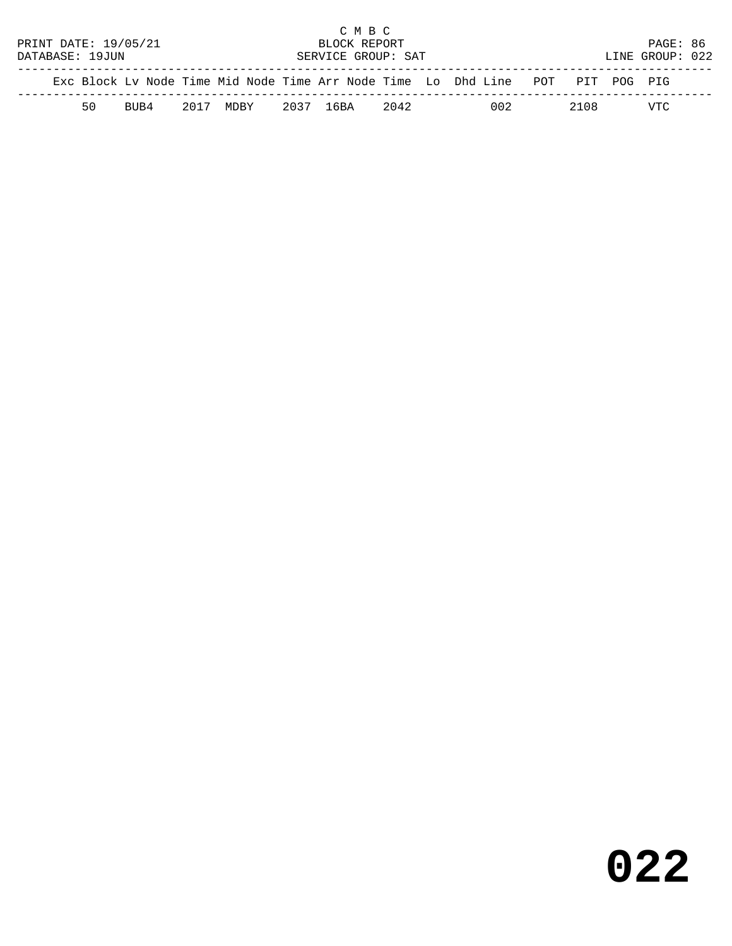|                                                                                |  |    |                      |  |                     |  |              | C M B C |                    |  |     |       |                 |  |
|--------------------------------------------------------------------------------|--|----|----------------------|--|---------------------|--|--------------|---------|--------------------|--|-----|-------|-----------------|--|
|                                                                                |  |    | PRINT DATE: 19/05/21 |  |                     |  | BLOCK REPORT |         |                    |  |     |       | PAGE: 86        |  |
| DATABASE: 19JUN                                                                |  |    |                      |  |                     |  |              |         | SERVICE GROUP: SAT |  |     |       | LINE GROUP: 022 |  |
|                                                                                |  |    |                      |  |                     |  |              |         |                    |  |     |       |                 |  |
| Exc Block Ly Node Time Mid Node Time Arr Node Time Lo Dhd Line POT PIT POG PIG |  |    |                      |  |                     |  |              |         |                    |  |     |       |                 |  |
|                                                                                |  | 50 | BUB4                 |  | 2017 MDBY 2037 16BA |  |              |         | 2042               |  | 002 | 2.108 | VTC             |  |
|                                                                                |  |    |                      |  |                     |  |              |         |                    |  |     |       |                 |  |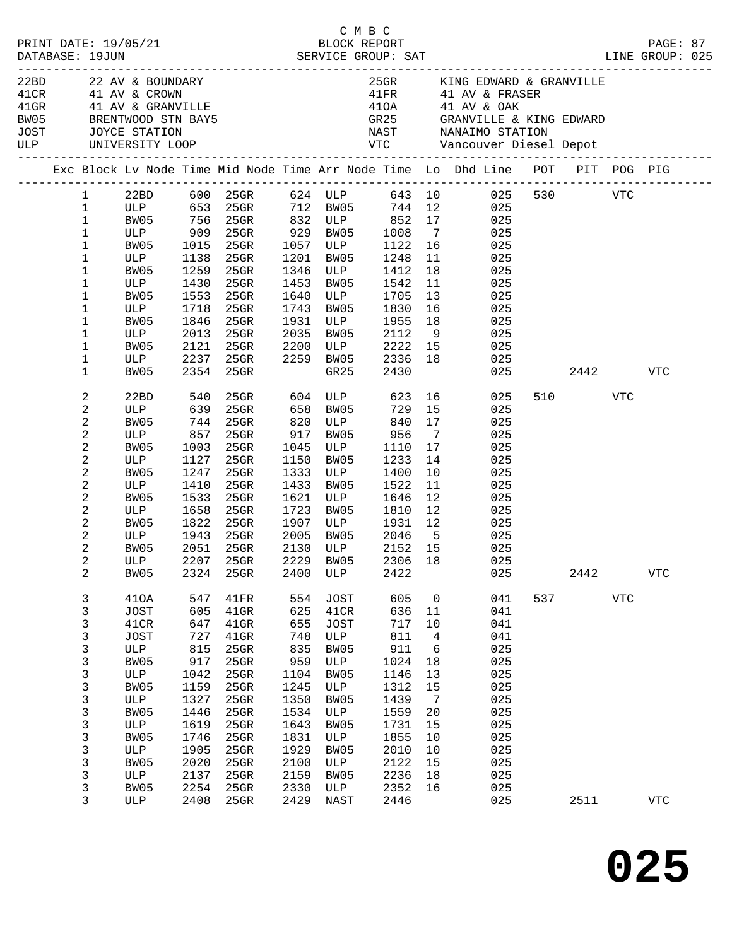|                                  |                        |             |              |                                                                                                                        |              |                     | смвс                                 |                      |                                                                                                          |                          |            |                |  |
|----------------------------------|------------------------|-------------|--------------|------------------------------------------------------------------------------------------------------------------------|--------------|---------------------|--------------------------------------|----------------------|----------------------------------------------------------------------------------------------------------|--------------------------|------------|----------------|--|
|                                  |                        |             |              |                                                                                                                        |              |                     |                                      |                      |                                                                                                          |                          |            |                |  |
|                                  |                        |             |              | 22BD 22 AV & BOUNDARY<br>41CR 41 AV & CROWN<br>41GR 41 AV & GRANVILLE<br>BW05 BRENTWOOD STN BAY5<br>JOST JOYCE STATION |              |                     |                                      |                      | 25GR KING EDWARD & GRANVILLE                                                                             |                          |            |                |  |
|                                  |                        |             |              |                                                                                                                        |              |                     |                                      |                      | 41FR 41 AV & FRASER                                                                                      |                          |            |                |  |
|                                  |                        |             |              |                                                                                                                        |              |                     |                                      |                      | 410A 41 AV & OAK                                                                                         |                          |            |                |  |
|                                  |                        |             |              |                                                                                                                        |              |                     |                                      |                      |                                                                                                          |                          |            |                |  |
|                                  |                        |             |              |                                                                                                                        |              |                     |                                      |                      |                                                                                                          |                          |            |                |  |
|                                  |                        |             |              |                                                                                                                        |              |                     |                                      |                      | Exc Block Lv Node Time Mid Node Time Arr Node Time Lo Dhd Line POT PIT POG PIG                           |                          |            |                |  |
|                                  | $1 \quad \blacksquare$ |             |              |                                                                                                                        |              |                     |                                      |                      | 22BD 600 25GR 624 ULP 643 10 025 530 VTC                                                                 |                          |            |                |  |
| $\mathbf{1}$                     |                        |             |              |                                                                                                                        |              |                     |                                      |                      | ULP 653 25GR 712 BW05 744 12 025<br>BW05 756 25GR 832 ULP 852 17 025<br>ULP 909 25GR 929 BW05 1008 7 025 |                          |            |                |  |
| $\mathbf{1}$                     |                        |             |              |                                                                                                                        |              |                     |                                      |                      |                                                                                                          |                          |            |                |  |
| $\mathbf{1}$                     |                        |             |              |                                                                                                                        |              |                     |                                      |                      |                                                                                                          |                          |            |                |  |
| 1                                |                        | BW05        | 1015         | 25GR 1057 ULP 1122 16                                                                                                  |              |                     |                                      |                      | 025                                                                                                      |                          |            |                |  |
| 1                                |                        | ULP         | 1138         | 25GR                                                                                                                   | 1201         |                     | BW05 1248                            | 11                   | 025                                                                                                      |                          |            |                |  |
| 1                                |                        | BW05<br>ULP | 1259<br>1430 | 25GR                                                                                                                   |              |                     | 1346 ULP 1412<br>1453 BW05 1542      | 18<br>11             | 025                                                                                                      |                          |            |                |  |
| $\mathbf 1$<br>1                 |                        | BW05        | 1553         | 25GR<br>25GR                                                                                                           | 1640         |                     | ULP 1705                             | 13                   | 025<br>025                                                                                               |                          |            |                |  |
| $\mathbf 1$                      |                        | ULP         | 1718         | $25$ GR                                                                                                                | 1743         |                     | BW05 1830                            | 16                   | 025                                                                                                      |                          |            |                |  |
| 1                                |                        | BW05        | 1846         | $25$ GR                                                                                                                | 1931         |                     | 1955                                 | 18                   | 025                                                                                                      |                          |            |                |  |
| $\mathbf 1$                      |                        | ULP         | 2013         | 25GR                                                                                                                   | 2035         | ULP<br>RW05<br>BW05 | 2112                                 | 9                    | 025                                                                                                      |                          |            |                |  |
| 1                                |                        | BW05        |              | 2121 25GR                                                                                                              | 2200         |                     |                                      |                      | ULP 2222 15 025                                                                                          |                          |            |                |  |
| 1                                |                        | <b>ULP</b>  |              | 2237 25GR                                                                                                              |              |                     | 2259 BW05 2336                       | 18                   | 025                                                                                                      |                          |            |                |  |
| 1                                |                        | BW05        | 2354         | 25GR                                                                                                                   |              | GR25                | 2430                                 |                      |                                                                                                          | 025 2442                 |            | VTC            |  |
| 2                                |                        | 22BD        | 540          |                                                                                                                        |              |                     | 25GR 604 ULP 623 16                  |                      | 025                                                                                                      | 510 VTC                  |            |                |  |
| $\sqrt{2}$                       |                        | ULP         | 639          | 25GR 658 BW05 729                                                                                                      |              |                     |                                      | 15                   | 025                                                                                                      |                          |            |                |  |
| $\boldsymbol{2}$                 |                        | BW05        | 744          | 25GR                                                                                                                   | 820          | ULP                 | 840                                  | 17                   | 025                                                                                                      |                          |            |                |  |
| $\sqrt{2}$                       |                        | ULP         | 857          | 25GR                                                                                                                   | 917          |                     | BW05 956<br>ULP 1110                 | $7\overline{ }$      | 025                                                                                                      |                          |            |                |  |
| $\sqrt{2}$                       |                        | BW05        | 1003         | 25GR                                                                                                                   | 1045         |                     |                                      | 17                   | 025                                                                                                      |                          |            |                |  |
| $\overline{c}$                   |                        | ULP         | 1127         | 25GR                                                                                                                   | 1150         | BW05                | 1233                                 | 14                   | 025                                                                                                      |                          |            |                |  |
| $\boldsymbol{2}$                 |                        | BW05        | 1247         | 25GR                                                                                                                   | 1333         | ULP                 | 1400                                 | 10                   | 025                                                                                                      |                          |            |                |  |
| $\sqrt{2}$                       |                        | ULP         | 1410         | 25GR                                                                                                                   | 1433         | BW05<br>ULP         | 1522                                 | 11                   | 025                                                                                                      |                          |            |                |  |
| $\overline{c}$<br>$\overline{c}$ |                        | BW05<br>ULP | 1533<br>1658 | 25GR                                                                                                                   | 1621<br>1723 |                     | 1646<br>1810                         | 12<br>12             | 025                                                                                                      |                          |            |                |  |
|                                  |                        |             | 1822         | 25GR<br>$25$ GR                                                                                                        |              | BW05                | 1907 ULP 1931 12                     |                      | 025                                                                                                      |                          |            |                |  |
| 2<br>$\boldsymbol{2}$            |                        | BW05<br>ULP | 1943         | $25$ GR                                                                                                                |              |                     |                                      |                      | 025<br>025                                                                                               |                          |            |                |  |
| $\sqrt{2}$                       |                        | BW05        |              | 2051 25GR                                                                                                              | 2005         |                     | 2005 BW05 2046 5<br>2130 ULP 2152 15 |                      | 025                                                                                                      |                          |            |                |  |
| $\sqrt{2}$                       |                        |             |              |                                                                                                                        |              |                     |                                      |                      | ULP 2207 25GR 2229 BW05 2306 18 025                                                                      |                          |            |                |  |
| 2                                |                        | BW05        | 2324         | 25GR                                                                                                                   | 2400         | ULP                 | 2422                                 |                      | 025                                                                                                      | 2442                     |            | ${\hbox{VTC}}$ |  |
| 3                                |                        | 410A        | 547          | 41FR                                                                                                                   | 554          | JOST                | 605                                  | $\mathbf 0$          | 041                                                                                                      | 537 and $\overline{537}$ | <b>VTC</b> |                |  |
| 3                                |                        | JOST        | 605          | $41$ GR                                                                                                                | 625          | 41CR                | 636                                  | 11                   | 041                                                                                                      |                          |            |                |  |
| 3                                |                        | 41CR        | 647          | $41$ GR                                                                                                                | 655          | JOST                | 717                                  | 10                   | 041                                                                                                      |                          |            |                |  |
| 3                                |                        | <b>JOST</b> | 727          | $41$ GR                                                                                                                | 748          | ULP                 | 811                                  | 4                    | 041                                                                                                      |                          |            |                |  |
| 3                                |                        | ULP         | 815          | 25GR                                                                                                                   | 835          | BW05                | 911                                  | $6\overline{6}$      | 025                                                                                                      |                          |            |                |  |
| 3                                |                        | BW05        | 917          | 25GR                                                                                                                   | 959          | ULP                 | 1024                                 | 18                   | 025                                                                                                      |                          |            |                |  |
| 3                                |                        | ULP         | 1042         | $25$ GR                                                                                                                | 1104         | BW05                | 1146                                 | 13                   | 025                                                                                                      |                          |            |                |  |
| 3                                |                        | BW05        | 1159         | $25$ GR                                                                                                                | 1245         | ULP                 | 1312                                 | 15                   | 025                                                                                                      |                          |            |                |  |
| 3                                |                        | ULP         | 1327<br>1446 | $25$ GR<br>25GR                                                                                                        | 1350<br>1534 | BW05                | 1439<br>1559                         | $\overline{7}$<br>20 | 025<br>025                                                                                               |                          |            |                |  |
| 3<br>3                           |                        | BW05<br>ULP | 1619         | $25$ GR                                                                                                                | 1643         | ULP<br>BW05         | 1731                                 | 15                   | 025                                                                                                      |                          |            |                |  |
| 3                                |                        | BW05        | 1746         | 25GR                                                                                                                   | 1831         | ULP                 | 1855                                 | 10                   | 025                                                                                                      |                          |            |                |  |
| $\mathsf 3$                      |                        | ULP         | 1905         | $25$ GR                                                                                                                | 1929         | BW05                | 2010                                 | 10                   | 025                                                                                                      |                          |            |                |  |
| 3                                |                        | BW05        | 2020         | 25GR                                                                                                                   | 2100         | ULP                 | 2122                                 | 15                   | 025                                                                                                      |                          |            |                |  |
| 3                                |                        | ULP         | 2137         | $25$ GR                                                                                                                | 2159         | BW05                | 2236                                 | 18                   | 025                                                                                                      |                          |            |                |  |
| 3                                |                        | BW05        | 2254         | $25$ GR                                                                                                                | 2330         | ULP                 | 2352                                 | 16                   | 025                                                                                                      |                          |            |                |  |
| 3                                |                        | ULP         | 2408         | $25$ GR                                                                                                                | 2429         | NAST                | 2446                                 |                      | 025                                                                                                      | 2511                     |            | <b>VTC</b>     |  |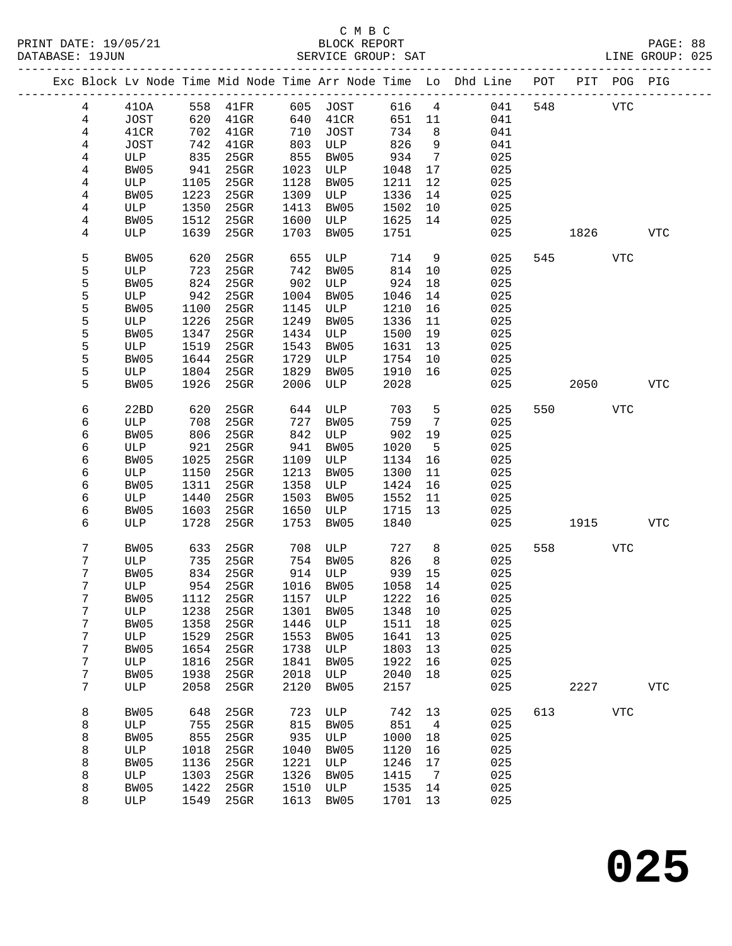|                 |              |      | Exc Block Lv Node Time Mid Node Time Arr Node Time Lo Dhd Line POT PIT POG PIG |      |              |         |                 |     |     |      |            |            |
|-----------------|--------------|------|--------------------------------------------------------------------------------|------|--------------|---------|-----------------|-----|-----|------|------------|------------|
| $4\overline{ }$ | 410A         | 558  | 41FR                                                                           | 605  | JOST         | 616     | $\overline{4}$  | 041 | 548 |      | <b>VTC</b> |            |
| $\overline{4}$  | JOST         | 620  | $41$ GR                                                                        | 640  | 41CR         | 651     | 11              | 041 |     |      |            |            |
| $\overline{4}$  | 41CR         | 702  | $41$ GR                                                                        | 710  | JOST         | 734     | 8               | 041 |     |      |            |            |
| 4               | JOST         | 742  | $41$ GR                                                                        | 803  | ULP          | 826     | 9               | 041 |     |      |            |            |
| 4               | ULP          | 835  | 25GR                                                                           | 855  | BW05         | 934     | $7\overline{ }$ | 025 |     |      |            |            |
| 4               | BW05         | 941  | 25GR                                                                           | 1023 | ULP          | 1048    | 17              | 025 |     |      |            |            |
| 4               | ULP          | 1105 | 25GR                                                                           | 1128 | BW05         | 1211    | 12              | 025 |     |      |            |            |
| 4               | BW05         | 1223 | 25GR                                                                           | 1309 | ULP          | 1336    | 14              | 025 |     |      |            |            |
| 4               | ULP          | 1350 | $25$ GR                                                                        | 1413 | BW05         | 1502    | 10              | 025 |     |      |            |            |
| 4               | BW05         | 1512 | 25GR                                                                           | 1600 | ULP          | 1625    | 14              | 025 |     |      |            |            |
| 4               | ULP          | 1639 | 25GR                                                                           | 1703 | BW05         | 1751    |                 | 025 |     | 1826 |            | <b>VTC</b> |
|                 |              |      |                                                                                |      |              |         |                 |     |     |      |            |            |
| 5               | BW05         | 620  | 25GR                                                                           | 655  | ULP          | 714     | 9               | 025 | 545 |      | <b>VTC</b> |            |
| 5               | ULP          | 723  | $25$ GR                                                                        | 742  | BW05         | 814     | $10 \,$         | 025 |     |      |            |            |
| 5               | BW05         | 824  | 25GR                                                                           | 902  | ULP          | 924     | 18              | 025 |     |      |            |            |
| 5               | ULP          | 942  | 25GR                                                                           | 1004 | BW05         | 1046    | 14              | 025 |     |      |            |            |
| 5               | BW05         | 1100 | 25GR                                                                           | 1145 | ULP          | 1210    | 16              | 025 |     |      |            |            |
| 5               | ULP          | 1226 | 25GR                                                                           | 1249 | BW05         | 1336    | 11              | 025 |     |      |            |            |
| 5               | BW05         | 1347 | 25GR                                                                           | 1434 | ULP          | 1500    | 19              | 025 |     |      |            |            |
| 5               | ULP          | 1519 | 25GR                                                                           | 1543 | BW05         | 1631    | 13              | 025 |     |      |            |            |
| 5               | BW05         | 1644 | 25GR                                                                           | 1729 | ULP          | 1754    | 10              | 025 |     |      |            |            |
| 5               | ULP          | 1804 | 25GR                                                                           | 1829 | BW05         | 1910    | 16              | 025 |     |      |            |            |
| 5               | BW05         | 1926 | 25GR                                                                           | 2006 | ULP          | 2028    |                 | 025 |     | 2050 |            | <b>VTC</b> |
|                 |              |      |                                                                                |      |              |         |                 |     |     |      |            |            |
| 6               | 22BD         | 620  | 25GR                                                                           | 644  | ULP          | 703     | 5               | 025 | 550 |      | <b>VTC</b> |            |
| б               | ULP          | 708  | 25GR                                                                           | 727  | BW05         | 759     | $\overline{7}$  | 025 |     |      |            |            |
| 6               | BW05         | 806  | 25GR                                                                           | 842  | ULP          | 902     | 19              | 025 |     |      |            |            |
| 6               | ULP          | 921  | 25GR                                                                           | 941  | BW05         | 1020    | $5\overline{5}$ | 025 |     |      |            |            |
| 6               | BW05         | 1025 | 25GR                                                                           | 1109 | ULP          | 1134    | 16              | 025 |     |      |            |            |
| 6               | ULP          | 1150 | 25GR                                                                           | 1213 | BW05         | 1300    | 11              | 025 |     |      |            |            |
| 6               | BW05         | 1311 | 25GR                                                                           | 1358 | ULP          | 1424    | 16              | 025 |     |      |            |            |
| 6               | ULP          | 1440 | 25GR                                                                           | 1503 | BW05         | 1552    | 11              | 025 |     |      |            |            |
| 6               | BW05         | 1603 | 25GR                                                                           | 1650 | ULP          | 1715    | 13              | 025 |     |      |            |            |
| 6               | ULP          | 1728 | 25GR                                                                           | 1753 | BW05         | 1840    |                 | 025 |     | 1915 |            | <b>VTC</b> |
|                 |              |      |                                                                                |      |              |         |                 |     |     |      |            |            |
| 7               | BW05         | 633  | 25GR                                                                           | 708  | ULP          | 727     | 8               | 025 | 558 |      | <b>VTC</b> |            |
| 7               | ULP          | 735  | $25$ GR                                                                        |      | 754 BW05     | 826     | 8               | 025 |     |      |            |            |
| 7               | BW05         | 834  | $25$ GR                                                                        |      | 914 ULP      | 939     | 15              | 025 |     |      |            |            |
| 7               | ULP          |      | 954 25GR                                                                       |      | 1016 BW05    | 1058    | 14              | 025 |     |      |            |            |
| 7               | BW05         |      | 1112 25GR                                                                      |      | 1157 ULP     | 1222 16 |                 | 025 |     |      |            |            |
| 7               | ULP          | 1238 | 25GR                                                                           | 1301 | BW05         | 1348    | 10              | 025 |     |      |            |            |
| 7               | BW05         | 1358 | $25$ GR                                                                        | 1446 | $_{\rm ULP}$ | 1511    | 18              | 025 |     |      |            |            |
| 7               | ULP          | 1529 | $25$ GR                                                                        | 1553 | BW05         | 1641    | 13              | 025 |     |      |            |            |
| 7               | BW05         | 1654 | 25GR                                                                           | 1738 | ULP          | 1803    | 13              | 025 |     |      |            |            |
| 7               | $_{\rm ULP}$ | 1816 | $25$ GR                                                                        | 1841 | BW05         | 1922    | 16              | 025 |     |      |            |            |
| 7               | BW05         | 1938 | 25GR                                                                           | 2018 | $_{\rm ULP}$ | 2040    | 18              | 025 |     |      |            |            |
| 7               | ULP          | 2058 | 25GR                                                                           | 2120 | BW05         | 2157    |                 | 025 |     | 2227 |            | <b>VTC</b> |
|                 |              |      |                                                                                |      |              |         |                 |     |     |      |            |            |
| 8               | BW05         | 648  | 25GR                                                                           | 723  | ULP          | 742     | 13              | 025 | 613 |      | <b>VTC</b> |            |
| 8               | ULP          | 755  | 25GR                                                                           | 815  | BW05         | 851     | 4               | 025 |     |      |            |            |
| 8               | BW05         | 855  | $25$ GR                                                                        | 935  | ULP          | 1000    | 18              | 025 |     |      |            |            |
| 8               | ULP          | 1018 | 25GR                                                                           | 1040 | BW05         | 1120    | 16              | 025 |     |      |            |            |
| 8               | BW05         | 1136 | 25GR                                                                           | 1221 | $_{\rm ULP}$ | 1246    | 17              | 025 |     |      |            |            |
| 8               | ULP          | 1303 | 25GR                                                                           | 1326 | BW05         | 1415    | $\overline{7}$  | 025 |     |      |            |            |
| 8               | BW05         | 1422 | 25GR                                                                           | 1510 | ULP          | 1535    | 14              | 025 |     |      |            |            |
| 8               | ULP          | 1549 | 25GR                                                                           | 1613 | BW05         | 1701    | 13              | 025 |     |      |            |            |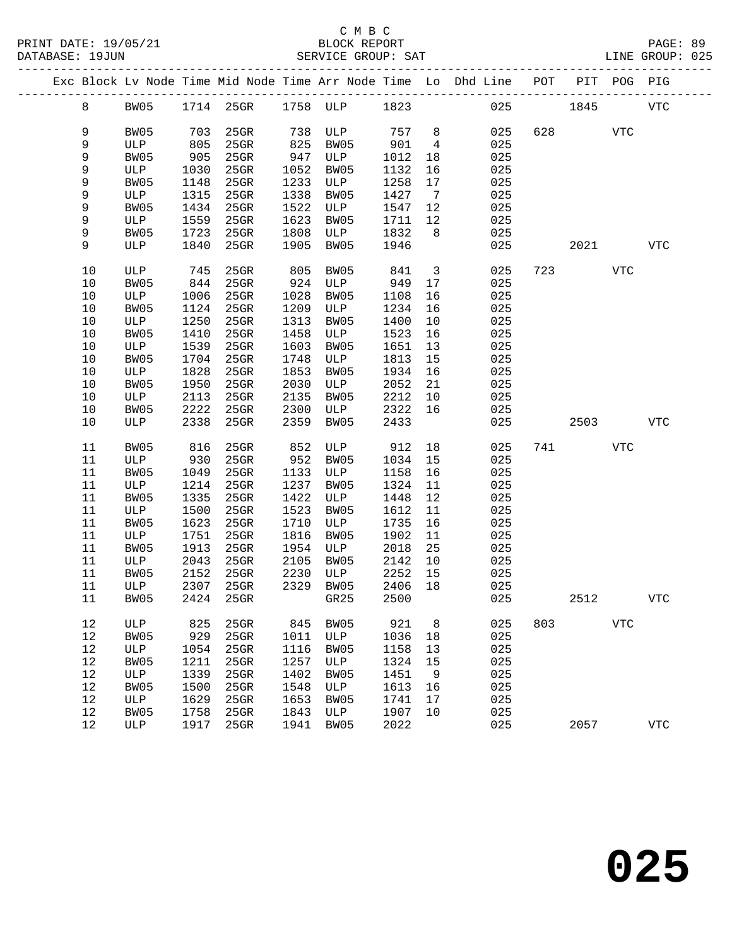|  |          |             |              | Exc Block Lv Node Time Mid Node Time Arr Node Time Lo Dhd Line POT |              |             |              |                         |            |     |      | PIT POG PIG |              |
|--|----------|-------------|--------------|--------------------------------------------------------------------|--------------|-------------|--------------|-------------------------|------------|-----|------|-------------|--------------|
|  | 8        | BW05        |              | 1714 25GR 1758 ULP 1823                                            |              |             |              |                         | 025        |     | 1845 |             | <b>VTC</b>   |
|  | 9        | BW05        | 703          | $25$ GR                                                            | 738          | ULP         | 757          | 8                       | 025        | 628 |      | <b>VTC</b>  |              |
|  | 9        | ULP         | 805          | $25$ GR                                                            | 825          | BW05        | 901          | $\overline{4}$          | 025        |     |      |             |              |
|  | 9        | BW05        | 905          | 25GR                                                               | 947          | ULP         | 1012         | 18                      | 025        |     |      |             |              |
|  | 9        | ULP         | 1030         | 25GR                                                               | 1052         | BW05        | 1132         | 16                      | 025        |     |      |             |              |
|  | 9        | BW05        | 1148         | 25GR                                                               | 1233         | ULP         | 1258         | 17                      | 025        |     |      |             |              |
|  | 9        | ULP         | 1315         | $25$ GR                                                            | 1338         | BW05        | 1427         | $\overline{7}$          | 025        |     |      |             |              |
|  | 9        | BW05        | 1434         | $25$ GR                                                            | 1522         | ULP         | 1547         | 12                      | 025        |     |      |             |              |
|  | 9        | ULP         | 1559         | 25GR                                                               | 1623         | BW05        | 1711         | 12                      | 025        |     |      |             |              |
|  | 9        | BW05        | 1723         | $25$ GR                                                            | 1808         | ULP         | 1832         | 8 <sup>8</sup>          | 025        |     |      |             |              |
|  | 9        | ULP         | 1840         | 25GR                                                               | 1905         | BW05        | 1946         |                         | 025        |     | 2021 |             | <b>VTC</b>   |
|  | 10       | ULP         | 745          | 25GR                                                               | 805          | BW05        | 841          | $\overline{\mathbf{3}}$ | 025        | 723 |      | VTC         |              |
|  | 10       | BW05        | 844          | 25GR                                                               | 924          | ULP         | 949          | 17                      | 025        |     |      |             |              |
|  | 10       | ULP         | 1006         | 25GR                                                               | 1028         | BW05        | 1108         | 16                      | 025        |     |      |             |              |
|  | 10       | BW05        | 1124         | 25GR                                                               | 1209         | ULP         | 1234         | 16                      | 025        |     |      |             |              |
|  | 10       | ULP         | 1250         | $25$ GR                                                            | 1313         | BW05        | 1400         | 10                      | 025        |     |      |             |              |
|  | 10       | BW05        | 1410         | 25GR                                                               | 1458         | ULP         | 1523         | 16                      | 025        |     |      |             |              |
|  | 10       | ULP         | 1539         | 25GR                                                               | 1603         | BW05        | 1651         | 13                      | 025        |     |      |             |              |
|  | 10       | BW05        | 1704         | 25GR                                                               | 1748         | ULP         | 1813         | 15                      | 025        |     |      |             |              |
|  | 10       | ULP         | 1828         | 25GR                                                               | 1853         | BW05        | 1934         | 16                      | 025        |     |      |             |              |
|  | 10       | BW05        | 1950         | 25GR                                                               | 2030         | ULP         | 2052         | 21                      | 025        |     |      |             |              |
|  | 10       | ULP         | 2113         | 25GR                                                               | 2135         | BW05        | 2212         | 10                      | 025        |     |      |             |              |
|  | 10       | BW05        | 2222         | 25GR                                                               | 2300         | ULP         | 2322         | 16                      | 025        |     |      |             |              |
|  | 10       | ULP         | 2338         | 25GR                                                               | 2359         | BW05        | 2433         |                         | 025        |     | 2503 |             | <b>VTC</b>   |
|  | 11       | BW05        | 816          | 25GR                                                               | 852          | ULP         | 912          | 18                      | 025        | 741 |      | <b>VTC</b>  |              |
|  | 11       | ULP         | 930          | $25$ GR                                                            | 952          | BW05        | 1034         | 15                      | 025        |     |      |             |              |
|  | 11       | BW05        | 1049         | 25GR                                                               | 1133         | ULP         | 1158         | 16                      | 025        |     |      |             |              |
|  | 11       | ULP         | 1214         | 25GR                                                               | 1237         | BW05        | 1324         | 11                      | 025        |     |      |             |              |
|  | 11       | BW05        | 1335         | 25GR                                                               | 1422         | ULP         | 1448         | 12                      | 025        |     |      |             |              |
|  | 11       | ULP         | 1500         | 25GR                                                               | 1523         | BW05        | 1612         | 11                      | 025        |     |      |             |              |
|  | 11       | BW05        | 1623         | 25GR                                                               | 1710         | ULP         | 1735         | 16                      | 025        |     |      |             |              |
|  | 11       | ULP         | 1751         | 25GR                                                               | 1816         | BW05        | 1902         | 11                      | 025        |     |      |             |              |
|  | 11       | BW05        | 1913         | $25$ GR                                                            | 1954         | ULP         | 2018         | 25                      | 025        |     |      |             |              |
|  | 11<br>11 | ULP         | 2043<br>2152 | $25$ GR<br>$25$ GR                                                 | 2105<br>2230 | BW05        | 2142<br>2252 | 10                      | 025<br>025 |     |      |             |              |
|  | 11       | BW05<br>ULP | 2307         | $25$ GR                                                            | 2329         | ULP<br>BW05 | 2406         | 15<br>18                | 025        |     |      |             |              |
|  | 11       | BW05        |              | 2424 25GR GR25                                                     |              |             | 2500         |                         | 025        |     | 2512 |             | $_{\rm VTC}$ |
|  |          |             |              |                                                                    |              |             |              |                         |            |     |      |             |              |
|  | 12       | ULP         | 825          | 25GR                                                               | 845          | BW05        | 921          | 8                       | 025        | 803 |      | <b>VTC</b>  |              |
|  | 12       | BW05        | 929          | 25GR                                                               | 1011         | ULP         | 1036         | 18                      | 025        |     |      |             |              |
|  | 12       | ULP         | 1054         | 25GR                                                               | 1116         | BW05        | 1158         | 13                      | 025        |     |      |             |              |
|  | 12       | BW05        | 1211         | 25GR                                                               | 1257         | ULP         | 1324         | 15                      | 025        |     |      |             |              |
|  | 12       | ULP         | 1339         | 25GR                                                               | 1402         | BW05        | 1451         | 9                       | 025        |     |      |             |              |
|  | 12       | BW05        | 1500         | 25GR                                                               | 1548         | ULP         | 1613         | 16                      | 025        |     |      |             |              |
|  | 12       | ULP         | 1629         | $25$ GR                                                            | 1653         | BW05        | 1741         | 17                      | 025        |     |      |             |              |
|  | 12       | BW05        | 1758         | 25GR                                                               | 1843         | ULP         | 1907         | 10                      | 025        |     |      |             |              |
|  | 12       | ULP         | 1917         | 25GR                                                               | 1941         | BW05        | 2022         |                         | 025        |     | 2057 |             | <b>VTC</b>   |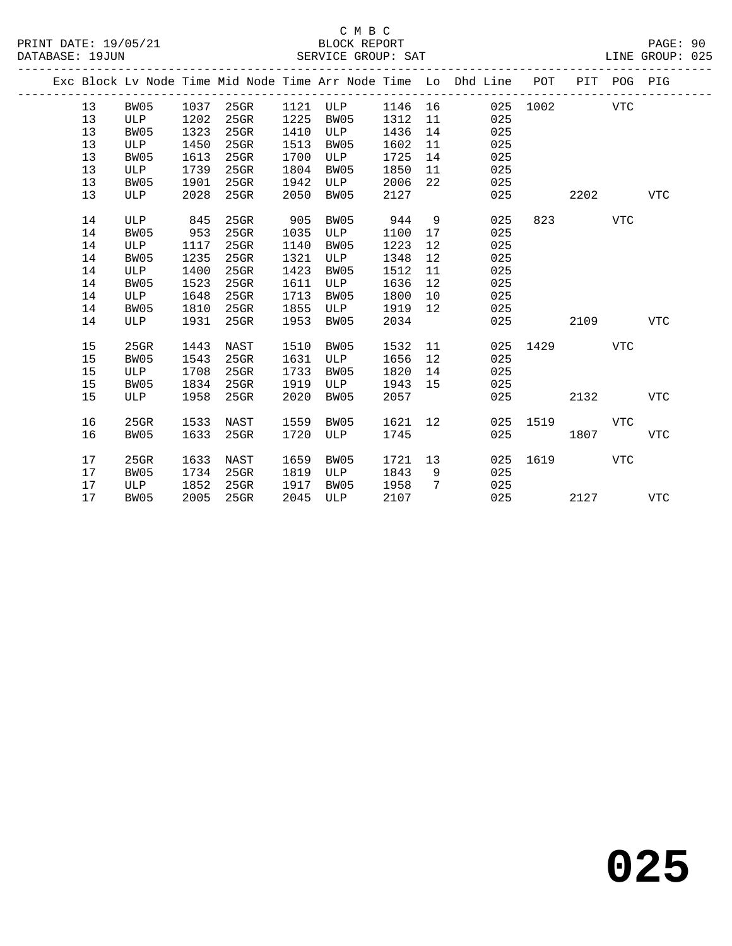|  |    |            |      |         |      | Exc Block Lv Node Time Mid Node Time Arr Node Time Lo Dhd Line |      |    |     | POT  | PIT  | POG PIG    |            |
|--|----|------------|------|---------|------|----------------------------------------------------------------|------|----|-----|------|------|------------|------------|
|  | 13 | BW05       | 1037 | $25$ GR | 1121 | ULP                                                            | 1146 | 16 | 025 | 1002 |      | <b>VTC</b> |            |
|  | 13 | <b>ULP</b> | 1202 | 25GR    | 1225 | BW05                                                           | 1312 | 11 | 025 |      |      |            |            |
|  | 13 | BW05       | 1323 | 25GR    | 1410 | ULP                                                            | 1436 | 14 | 025 |      |      |            |            |
|  | 13 | ULP        | 1450 | 25GR    | 1513 | BW05                                                           | 1602 | 11 | 025 |      |      |            |            |
|  | 13 | BW05       | 1613 | 25GR    | 1700 | ULP                                                            | 1725 | 14 | 025 |      |      |            |            |
|  | 13 | ULP        | 1739 | $25$ GR | 1804 | BW05                                                           | 1850 | 11 | 025 |      |      |            |            |
|  | 13 | BW05       | 1901 | $25$ GR | 1942 | ULP                                                            | 2006 | 22 | 025 |      |      |            |            |
|  | 13 | ULP        | 2028 | $25$ GR | 2050 | BW05                                                           | 2127 |    | 025 |      | 2202 |            | <b>VTC</b> |
|  |    |            |      |         |      |                                                                |      |    |     |      |      |            |            |
|  | 14 | ULP        | 845  | $25$ GR | 905  | BW05                                                           | 944  | 9  | 025 | 823  |      | <b>VTC</b> |            |
|  | 14 | BW05       | 953  | 25GR    | 1035 | ULP                                                            | 1100 | 17 | 025 |      |      |            |            |
|  | 14 | ULP        | 1117 | 25GR    | 1140 | BW05                                                           | 1223 | 12 | 025 |      |      |            |            |
|  | 14 | BW05       | 1235 | $25$ GR | 1321 | ULP                                                            | 1348 | 12 | 025 |      |      |            |            |
|  | 14 | ULP        | 1400 | 25GR    | 1423 | BW05                                                           | 1512 | 11 | 025 |      |      |            |            |
|  | 14 | BW05       | 1523 | $25$ GR | 1611 | ULP                                                            | 1636 | 12 | 025 |      |      |            |            |
|  | 14 | ULP        | 1648 | 25GR    | 1713 | BW05                                                           | 1800 | 10 | 025 |      |      |            |            |
|  | 14 | BW05       | 1810 | 25GR    | 1855 | ULP                                                            | 1919 | 12 | 025 |      |      |            |            |
|  | 14 | ULP        | 1931 | 25GR    | 1953 | BW05                                                           | 2034 |    | 025 |      | 2109 |            | <b>VTC</b> |
|  |    |            |      |         |      |                                                                |      |    |     |      |      |            |            |
|  | 15 | 25GR       | 1443 | NAST    | 1510 | BW05                                                           | 1532 | 11 | 025 | 1429 |      | <b>VTC</b> |            |
|  | 15 | BW05       | 1543 | 25GR    | 1631 | ULP                                                            | 1656 | 12 | 025 |      |      |            |            |
|  | 15 | <b>ULP</b> | 1708 | 25GR    | 1733 | BW05                                                           | 1820 | 14 | 025 |      |      |            |            |
|  | 15 | BW05       | 1834 | $25$ GR | 1919 | ULP                                                            | 1943 | 15 | 025 |      |      |            |            |
|  | 15 | ULP        | 1958 | 25GR    | 2020 | BW05                                                           | 2057 |    | 025 |      | 2132 |            | <b>VTC</b> |
|  |    |            |      |         |      |                                                                |      |    |     |      |      |            |            |
|  | 16 | 25GR       | 1533 | NAST    | 1559 | BW05                                                           | 1621 | 12 | 025 | 1519 |      | <b>VTC</b> |            |
|  | 16 | BW05       | 1633 | 25GR    | 1720 | ULP                                                            | 1745 |    | 025 |      | 1807 |            | VTC        |
|  |    |            |      |         |      |                                                                |      |    |     |      |      |            |            |
|  | 17 | 25GR       | 1633 | NAST    | 1659 | BW05                                                           | 1721 | 13 | 025 | 1619 |      | <b>VTC</b> |            |
|  | 17 | BW05       | 1734 | $25$ GR | 1819 | ULP                                                            | 1843 | 9  | 025 |      |      |            |            |
|  | 17 | ULP        | 1852 | $25$ GR | 1917 | BW05                                                           | 1958 | 7  | 025 |      |      |            |            |
|  | 17 | BW05       | 2005 | 25GR    | 2045 | <b>ULP</b>                                                     | 2107 |    | 025 |      | 2127 |            | <b>VTC</b> |
|  |    |            |      |         |      |                                                                |      |    |     |      |      |            |            |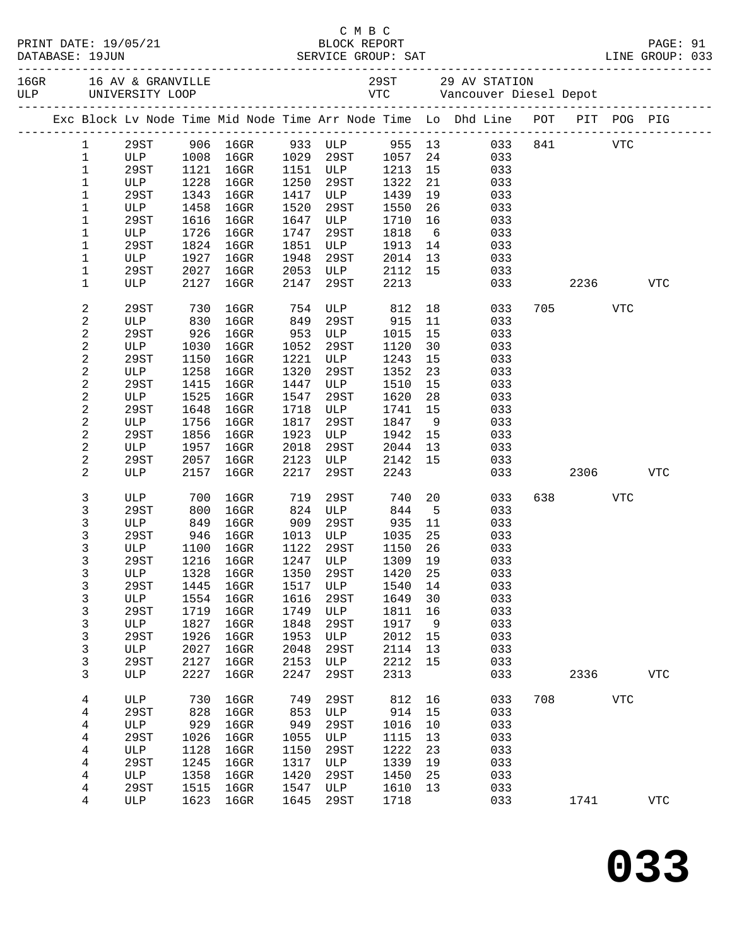|                         |             |            |                                 |      |                                 |         |             | C M B C<br>PRINT DATE: 19/05/21 BLOCK REPORT<br>DATABASE: 19JUN SERVICE GROUP: SAT LINE GROUP: 033 |     |       |            |                |  |
|-------------------------|-------------|------------|---------------------------------|------|---------------------------------|---------|-------------|----------------------------------------------------------------------------------------------------|-----|-------|------------|----------------|--|
|                         |             |            |                                 |      |                                 |         |             |                                                                                                    |     |       |            |                |  |
|                         |             |            |                                 |      |                                 |         |             | Exc Block Lv Node Time Mid Node Time Arr Node Time Lo Dhd Line POT PIT POG PIG                     |     |       |            |                |  |
| $\mathbf{1}$            | 29ST        |            |                                 |      |                                 |         |             | 906 16GR 933 ULP 955 13 033 841 VTC                                                                |     |       |            |                |  |
| $\mathbf{1}$            | ULP         | 1008       | $16$ GR                         |      | 1029 29ST                       | 1057    | 24          | 033                                                                                                |     |       |            |                |  |
| $1\,$                   | 29ST        |            | 1121 16GR                       |      | 1151 ULP 1213                   |         | 15          | 033                                                                                                |     |       |            |                |  |
| 1                       | ULP         | 1228       | $16$ GR                         |      | 1250 29ST 1322<br>1417 ULP 1439 |         | 21          | 033                                                                                                |     |       |            |                |  |
| 1                       | 29ST        | 1343       | $16$ GR                         |      |                                 |         | 19          | 033                                                                                                |     |       |            |                |  |
| $\mathbf 1$             | ULP         | 1458       | $16$ GR                         | 1520 | 29ST                            | 1550    | 26          | 033                                                                                                |     |       |            |                |  |
| 1                       | 29ST        | 1616       | $16$ GR                         | 1647 | ULP 1710                        |         | 16          | 033                                                                                                |     |       |            |                |  |
| 1                       | ULP         | 1726       | $16$ GR                         | 1747 | 29ST                            | 1818    | 6           | 033                                                                                                |     |       |            |                |  |
| 1                       | 29ST        | 1824       | $16$ GR                         | 1851 | ULP                             | 1913    | 14          | 033                                                                                                |     |       |            |                |  |
| 1                       | ULP         | 1927       | $16$ GR                         | 1948 | 29ST                            | 2014    |             | 13<br>033                                                                                          |     |       |            |                |  |
| $\mathbf 1$             | 29ST        | 2027       | $16$ GR                         | 2053 | <b>ULP</b>                      |         |             | 2112 15<br>033                                                                                     |     |       |            |                |  |
| 1                       | ULP         | 2127       | $16$ GR                         | 2147 | 29ST                            | 2213    |             | 033                                                                                                |     |       | 2236       | <b>VTC</b>     |  |
| $\boldsymbol{2}$        | 29ST        | 730        | 16GR                            | 754  | ULP 812                         |         |             | 18<br>033                                                                                          |     | 705   | VTC        |                |  |
| $\overline{c}$          | ULP         | 830        | 16GR                            | 849  | 29ST                            | 915     | 11          | 033                                                                                                |     |       |            |                |  |
| $\boldsymbol{2}$        | 29ST        | 926        | $16$ GR                         | 953  | ULP                             | 1015    | 15          | 033                                                                                                |     |       |            |                |  |
| $\sqrt{2}$              | ULP         | 1030       | 16GR                            | 1052 | 29ST                            | 1120    | 30          | 033                                                                                                |     |       |            |                |  |
| $\overline{\mathbf{c}}$ | 29ST        | 1150       | $16$ GR                         | 1221 | ULP                             | 1243    | 15          | 033                                                                                                |     |       |            |                |  |
| $\sqrt{2}$              | ULP         | 1258       | $16$ GR                         | 1320 | 29ST                            | 1352    | 23          | 033                                                                                                |     |       |            |                |  |
| $\sqrt{2}$              | 29ST        | 1415       | $16$ GR                         | 1447 | ULP                             | 1510    | 15          | 033                                                                                                |     |       |            |                |  |
| $\sqrt{2}$              | ULP         | 1525       | $16$ GR                         | 1547 | 29ST                            | 1620    | 28          | 033                                                                                                |     |       |            |                |  |
| $\overline{\mathbf{c}}$ | 29ST        | 1648       | 16GR                            | 1718 | ULP                             | 1741    | 15          | 033                                                                                                |     |       |            |                |  |
| $\overline{c}$          | ULP         | 1756       | 16GR                            | 1817 | 29ST                            | 1847    | 9           | 033                                                                                                |     |       |            |                |  |
| $\boldsymbol{2}$        | 29ST        | 1856       | $16$ GR                         | 1923 | ULP                             | 1942    | 15          | 033                                                                                                |     |       |            |                |  |
| $\overline{c}$          | ULP         | 1957       | $16$ GR                         | 2018 | 29ST                            | 2044    | 13          | 033                                                                                                |     |       |            |                |  |
| $\mathbf 2$             | 29ST        | 2057       | 16GR                            | 2123 | ULP                             | 2142    | 15          | 033                                                                                                |     |       |            |                |  |
| 2                       | ULP         | 2157       | 16GR                            | 2217 | 29ST                            | 2243    |             | 033                                                                                                |     |       | 2306       | <b>VTC</b>     |  |
| 3                       | ULP         |            | 16GR                            | 719  | 29ST                            | 740     | 20          | 033                                                                                                |     | 638 8 | VTC        |                |  |
| 3                       | 29ST        | 700<br>800 | $16$ GR                         | 824  | ULP                             | 844     | $5^{\circ}$ | 033                                                                                                |     |       |            |                |  |
| 3                       | ULP         | 849        | 16GR 909 29ST                   |      |                                 | 935     | 11          | 033                                                                                                |     |       |            |                |  |
| 3                       | 29ST        |            | 946 16GR                        |      | 1013 ULP 1035                   |         | 25          | 033                                                                                                |     |       |            |                |  |
| 3                       | ULP         | 1100       | $16$ GR                         |      | 1122 29ST                       | 1150 26 |             | 033                                                                                                |     |       |            |                |  |
| 3                       |             |            | 29ST 1216 16GR 1247 ULP 1309 19 |      |                                 |         |             | 033                                                                                                |     |       |            |                |  |
| 3                       | ULP         | 1328       | $16$ GR                         | 1350 | 29ST                            | 1420    | 25          | 033                                                                                                |     |       |            |                |  |
| 3                       | 29ST        | 1445       | 16GR                            | 1517 | ULP                             | 1540    | 14          | 033                                                                                                |     |       |            |                |  |
| 3                       | ULP         | 1554       | 16GR                            | 1616 | 29ST                            | 1649    | 30          | 033                                                                                                |     |       |            |                |  |
| 3                       | <b>29ST</b> | 1719       | 16GR                            | 1749 | ULP                             | 1811    | 16          | 033                                                                                                |     |       |            |                |  |
| 3                       | ULP         | 1827       | 16GR                            | 1848 | 29ST                            | 1917    | 9           | 033                                                                                                |     |       |            |                |  |
| 3                       | 29ST        | 1926       | 16GR                            | 1953 | ULP                             | 2012    | 15          | 033                                                                                                |     |       |            |                |  |
| 3                       | ULP         | 2027       | $16$ GR                         | 2048 | 29ST                            | 2114    | 13          | 033                                                                                                |     |       |            |                |  |
| 3                       | 29ST        | 2127       | $16$ GR                         | 2153 | ULP                             | 2212    | 15          | 033                                                                                                |     |       |            |                |  |
| 3                       | ULP         | 2227       | $16$ GR                         | 2247 | 29ST                            | 2313    |             | 033                                                                                                |     | 2336  |            | <b>VTC</b>     |  |
|                         |             | 730        |                                 |      |                                 |         |             |                                                                                                    | 708 |       |            |                |  |
| 4                       | ULP         |            | $16$ GR                         | 749  | 29ST                            | 812     | 16          | 033                                                                                                |     |       | <b>VTC</b> |                |  |
| 4                       | 29ST        | 828        | 16GR                            | 853  | ULP                             | 914     | 15          | 033                                                                                                |     |       |            |                |  |
| 4                       | ULP         | 929        | 16GR                            | 949  | 29ST                            | 1016    | 10          | 033                                                                                                |     |       |            |                |  |
| 4                       | 29ST        | 1026       | $16$ GR                         | 1055 | ULP                             | 1115    | 13          | 033                                                                                                |     |       |            |                |  |
| 4                       | ULP         | 1128       | 16GR                            | 1150 | 29ST                            | 1222    | 23          | 033                                                                                                |     |       |            |                |  |
| 4                       | 29ST        | 1245       | 16GR                            | 1317 | ULP                             | 1339    | 19          | 033                                                                                                |     |       |            |                |  |
| 4                       | ULP         | 1358       | $16$ GR                         | 1420 | 29ST                            | 1450    | 25          | 033                                                                                                |     |       |            |                |  |
| 4                       | 29ST        | 1515       | $16$ GR                         | 1547 | ULP                             | 1610    | 13          | 033                                                                                                |     |       |            |                |  |
| 4                       | ULP         | 1623       | 16GR                            | 1645 | 29ST                            | 1718    |             | 033                                                                                                |     | 1741  |            | ${\hbox{VTC}}$ |  |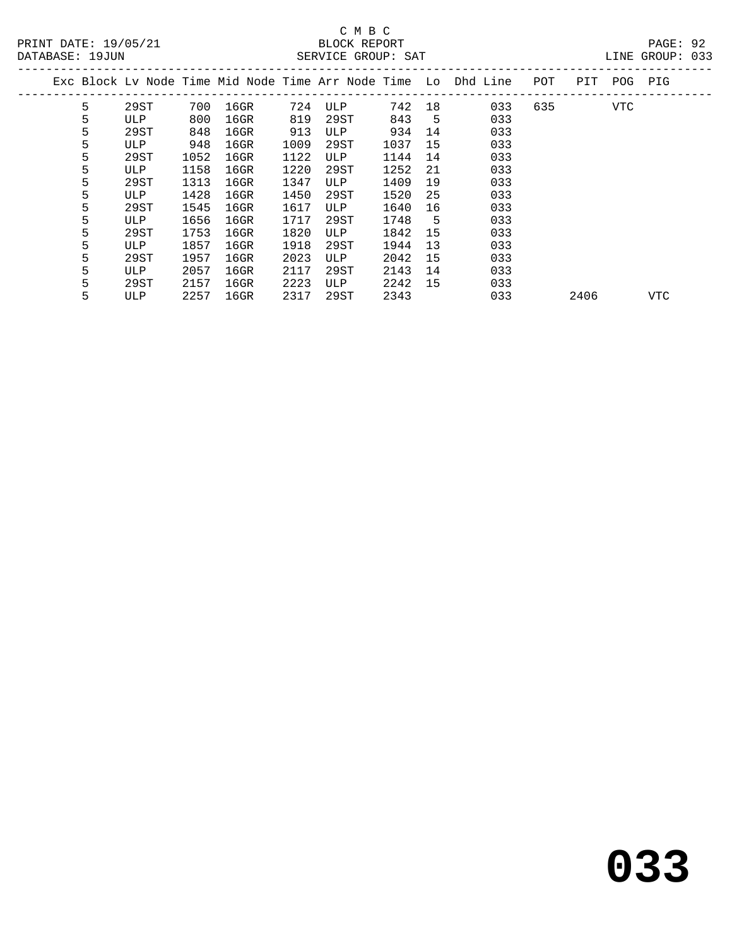PRINT DATE: 19/05/21 BLOCK REPORT<br>
DATABASE: 19JUN

# C M B C<br>BLOCK REPORT

PAGE: 92<br>LINE GROUP: 033

| DAIADAOE · IJUUN |   |      |      |         |      | DERVICE GROUP. DAI |      |    |                                                                |     |      |     | nting Qiyone. And |  |
|------------------|---|------|------|---------|------|--------------------|------|----|----------------------------------------------------------------|-----|------|-----|-------------------|--|
|                  |   |      |      |         |      |                    |      |    | Exc Block Lv Node Time Mid Node Time Arr Node Time Lo Dhd Line | POT | PIT  | POG | PIG               |  |
|                  | 5 | 29ST | 700  | $16$ GR | 724  | ULP                | 742  | 18 | 033                                                            | 635 |      | VTC |                   |  |
|                  | 5 | ULP  | 800  | $16$ GR | 819  | 29ST               | 843  | 5  | 033                                                            |     |      |     |                   |  |
|                  | 5 | 29ST | 848  | $16$ GR | 913  | ULP                | 934  | 14 | 033                                                            |     |      |     |                   |  |
|                  | 5 | ULP  | 948  | $16$ GR | 1009 | 29ST               | 1037 | 15 | 033                                                            |     |      |     |                   |  |
|                  | 5 | 29ST | 1052 | $16$ GR | 1122 | ULP                | 1144 | 14 | 033                                                            |     |      |     |                   |  |
|                  | 5 | ULP  | 1158 | $16$ GR | 1220 | 29ST               | 1252 | 21 | 033                                                            |     |      |     |                   |  |
|                  | 5 | 29ST | 1313 | $16$ GR | 1347 | ULP                | 1409 | 19 | 033                                                            |     |      |     |                   |  |
|                  | 5 | ULP  | 1428 | $16$ GR | 1450 | 29ST               | 1520 | 25 | 033                                                            |     |      |     |                   |  |
|                  | 5 | 29ST | 1545 | $16$ GR | 1617 | ULP                | 1640 | 16 | 033                                                            |     |      |     |                   |  |
|                  | 5 | ULP  | 1656 | $16$ GR | 1717 | 29ST               | 1748 | 5  | 033                                                            |     |      |     |                   |  |
|                  | 5 | 29ST | 1753 | $16$ GR | 1820 | ULP                | 1842 | 15 | 033                                                            |     |      |     |                   |  |
|                  | 5 | ULP  | 1857 | $16$ GR | 1918 | 29ST               | 1944 | 13 | 033                                                            |     |      |     |                   |  |
|                  | 5 | 29ST | 1957 | $16$ GR | 2023 | ULP                | 2042 | 15 | 033                                                            |     |      |     |                   |  |
|                  | 5 | ULP  | 2057 | $16$ GR | 2117 | 29ST               | 2143 | 14 | 033                                                            |     |      |     |                   |  |
|                  | 5 | 29ST | 2157 | $16$ GR | 2223 | ULP                | 2242 | 15 | 033                                                            |     |      |     |                   |  |
|                  | 5 | ULP  | 2257 | 16GR    | 2317 | 29ST               | 2343 |    | 033                                                            |     | 2406 |     | VTC               |  |
|                  |   |      |      |         |      |                    |      |    |                                                                |     |      |     |                   |  |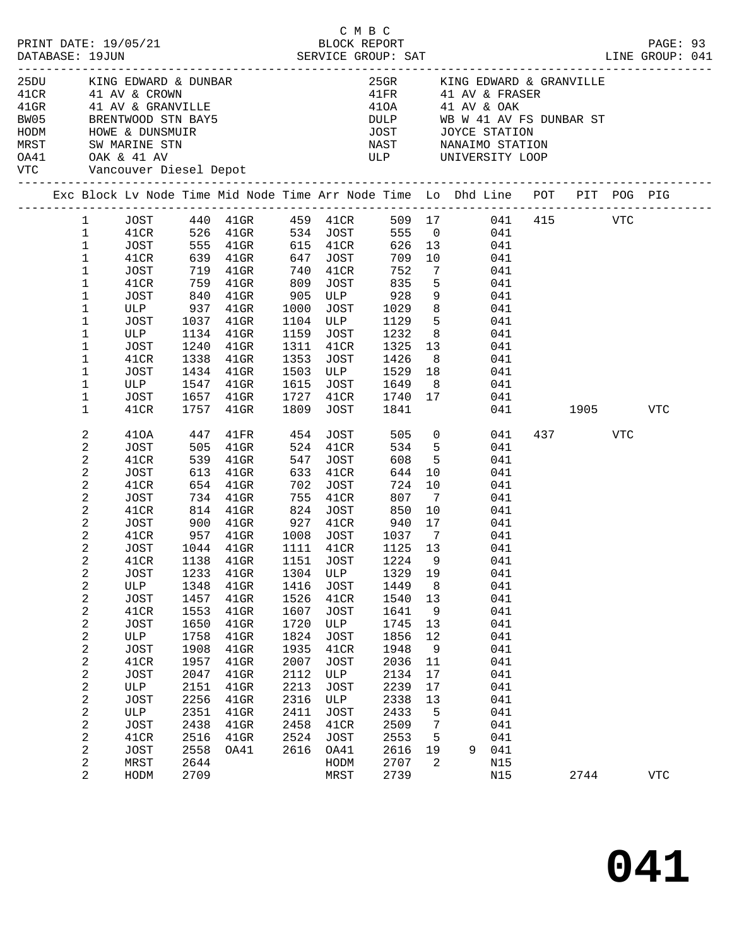| PRINT DATE: 19/05/21<br>DATABASE: 19JUN                                                                                                                                                                                                |                  | 5/21 BLOCK REPORT SERVICE GROUP: SAT |              |                                                                                                                                                                                                        | C M B C |                      |                                                                                                                                                                                                                                                                             |                |                          |     | PAGE: 93<br>LINE GROUP: 041 |         |     |  |
|----------------------------------------------------------------------------------------------------------------------------------------------------------------------------------------------------------------------------------------|------------------|--------------------------------------|--------------|--------------------------------------------------------------------------------------------------------------------------------------------------------------------------------------------------------|---------|----------------------|-----------------------------------------------------------------------------------------------------------------------------------------------------------------------------------------------------------------------------------------------------------------------------|----------------|--------------------------|-----|-----------------------------|---------|-----|--|
| 25DU KING EDWARD & DUNBAR<br>41CR              41   AV  &  CROWN<br>41GR              41   AV  &  GRANVILLE<br>BW05 BRENTWOOD STN BAY5<br>HODM HOWE & DUNSMUIR<br>MRST SW MARINE STN<br>0A41 OAK & 41 AV<br>VTC Vancouver Diesel Depot |                  |                                      |              |                                                                                                                                                                                                        |         |                      | 25GR KING EDWARD & GRANVILLE<br>$\begin{array}{lll} \texttt{41FR} & \texttt{41 AV} & \texttt{& FRASER} \\ \texttt{41OA} & \texttt{41 AV} & \texttt{6 OAK} \end{array}$<br>DULP WB W 41 AV FS DUNBAR ST<br>JOST JOYCE STATION<br>NAST NANAIMO STATION<br>ULP UNIVERSITY LOOP |                |                          |     |                             |         |     |  |
|                                                                                                                                                                                                                                        |                  |                                      |              | Exc Block Lv Node Time Mid Node Time Arr Node Time Lo Dhd Line POT PIT POG PIG                                                                                                                         |         |                      |                                                                                                                                                                                                                                                                             |                |                          |     |                             |         |     |  |
|                                                                                                                                                                                                                                        |                  |                                      |              |                                                                                                                                                                                                        |         |                      |                                                                                                                                                                                                                                                                             |                |                          |     |                             |         |     |  |
|                                                                                                                                                                                                                                        |                  |                                      |              | 1 JOST 440 41GR 459 41CR 509 17 041 415 VTC                                                                                                                                                            |         |                      |                                                                                                                                                                                                                                                                             |                |                          |     |                             |         |     |  |
|                                                                                                                                                                                                                                        |                  |                                      |              | 1   41CR   526   41GR   534   JOST   555   0   041                                                                                                                                                     |         |                      |                                                                                                                                                                                                                                                                             |                |                          |     |                             |         |     |  |
|                                                                                                                                                                                                                                        | $\mathbf{1}$     | JOST                                 |              | 555    41GR              615      41CR<br>639     41GR               647     JOST                                                                                                                      |         |                      |                                                                                                                                                                                                                                                                             |                | 626 13 041<br>709 10 041 |     |                             |         |     |  |
|                                                                                                                                                                                                                                        | $\mathbf{1}$     | 41CR                                 |              |                                                                                                                                                                                                        |         |                      | 709 10                                                                                                                                                                                                                                                                      |                |                          | 041 |                             |         |     |  |
|                                                                                                                                                                                                                                        | $\mathbf{1}$     | JOST                                 |              | 719 41GR                                                                                                                                                                                               |         | 740 41CR             | 752                                                                                                                                                                                                                                                                         |                | 7 041                    |     |                             |         |     |  |
|                                                                                                                                                                                                                                        | $\mathbf 1$      | 41CR                                 | 759          | $41$ GR                                                                                                                                                                                                |         |                      | 809 JOST 835                                                                                                                                                                                                                                                                | 5 <sub>5</sub> | 041                      |     |                             |         |     |  |
|                                                                                                                                                                                                                                        | $\mathbf 1$      |                                      |              | $\begin{tabular}{cccccc} JOST & 840 & 41GR & 905 & ULP & 928 & 9 & 041 \\ \text{ULP} & 937 & 41GR & 1000 & JOST & 1029 & 8 & 041 \\ JOST & 1037 & 41GR & 1104 & ULP & 1129 & 5 & 041 \\ \end{tabular}$ |         |                      |                                                                                                                                                                                                                                                                             |                | 041                      |     |                             |         |     |  |
|                                                                                                                                                                                                                                        | $\mathbf 1$      |                                      |              |                                                                                                                                                                                                        |         |                      |                                                                                                                                                                                                                                                                             |                |                          |     |                             |         |     |  |
|                                                                                                                                                                                                                                        | $\mathbf 1$      |                                      | 1037         |                                                                                                                                                                                                        |         |                      |                                                                                                                                                                                                                                                                             |                |                          |     |                             |         |     |  |
|                                                                                                                                                                                                                                        | $\mathbf 1$      | ULP 1134 41GR                        |              |                                                                                                                                                                                                        |         |                      | 1159 JOST 1232 8 041                                                                                                                                                                                                                                                        |                |                          |     |                             |         |     |  |
|                                                                                                                                                                                                                                        | $\mathbf 1$      | JOST                                 | 1240         | $41$ GR                                                                                                                                                                                                | 1311    |                      | 41CR 1325 13 041<br>JOST 1426 8 041<br>ULP 1529 18 041                                                                                                                                                                                                                      |                | 1325 13 041              |     |                             |         |     |  |
|                                                                                                                                                                                                                                        | $\mathbf 1$      | 41CR                                 | 1338<br>1434 | $41$ GR                                                                                                                                                                                                | 1353    |                      |                                                                                                                                                                                                                                                                             |                |                          |     |                             |         |     |  |
|                                                                                                                                                                                                                                        | $\mathbf{1}$     | JOST                                 |              | 41GR                                                                                                                                                                                                   | 1503    |                      |                                                                                                                                                                                                                                                                             |                |                          |     |                             |         |     |  |
|                                                                                                                                                                                                                                        | $\mathbf 1$      | ULP 1547 41GR                        |              |                                                                                                                                                                                                        |         |                      | 1615 JOST 1649 8 041                                                                                                                                                                                                                                                        |                |                          |     |                             |         |     |  |
|                                                                                                                                                                                                                                        | $\mathbf 1$      | JOST                                 | 1657         | $41$ GR                                                                                                                                                                                                |         |                      | 1727 41CR 1740 17 041                                                                                                                                                                                                                                                       |                |                          |     |                             |         |     |  |
|                                                                                                                                                                                                                                        | $\mathbf 1$      | 41CR                                 |              | 1757 41GR                                                                                                                                                                                              | 1809    | JOST                 | 1841                                                                                                                                                                                                                                                                        |                |                          |     | 041                         | 1905    | VTC |  |
|                                                                                                                                                                                                                                        | 2                | 410A                                 | 447          | 41FR 454 JOST 505 0 041                                                                                                                                                                                |         |                      |                                                                                                                                                                                                                                                                             |                |                          |     |                             | 437 VTC |     |  |
|                                                                                                                                                                                                                                        | 2                | JOST                                 | 505          | 41GR                                                                                                                                                                                                   |         | 524 41CR             |                                                                                                                                                                                                                                                                             |                | 534 5 041                |     |                             |         |     |  |
|                                                                                                                                                                                                                                        | 2                | 41CR                                 |              | 41GR                                                                                                                                                                                                   |         |                      | 608                                                                                                                                                                                                                                                                         | 5 <sup>5</sup> |                          | 041 |                             |         |     |  |
|                                                                                                                                                                                                                                        | 2                | JOST                                 | 539<br>613   | 41GR                                                                                                                                                                                                   |         | 547 JOST<br>633 41CR | 644                                                                                                                                                                                                                                                                         | 10             | 041                      |     |                             |         |     |  |
|                                                                                                                                                                                                                                        | 2                | 41CR                                 | 654          | 41GR                                                                                                                                                                                                   |         | 702 JOST             | 724 10                                                                                                                                                                                                                                                                      |                | 041                      |     |                             |         |     |  |
|                                                                                                                                                                                                                                        | 2                | JOST                                 |              | 734 41GR 755 41CR 807 7<br>814 41GR 824 JOST 850 10<br>900 41GR 927 41CR 940 17<br>957 41GR 1008 JOST 1037 7                                                                                           |         |                      |                                                                                                                                                                                                                                                                             |                |                          | 041 |                             |         |     |  |
|                                                                                                                                                                                                                                        | $\overline{c}$   | 41CR                                 |              |                                                                                                                                                                                                        |         |                      |                                                                                                                                                                                                                                                                             |                | 041                      |     |                             |         |     |  |
|                                                                                                                                                                                                                                        | 2                | JOST                                 |              |                                                                                                                                                                                                        |         |                      |                                                                                                                                                                                                                                                                             |                |                          | 041 |                             |         |     |  |
|                                                                                                                                                                                                                                        | $\mathbf{2}$     | 41CR                                 |              |                                                                                                                                                                                                        |         |                      |                                                                                                                                                                                                                                                                             |                | 041                      |     |                             |         |     |  |
|                                                                                                                                                                                                                                        | $\overline{2}$   | JOST                                 |              | 1044 41GR                                                                                                                                                                                              |         | 1111 41CR            | 1125 13                                                                                                                                                                                                                                                                     |                | 041                      |     |                             |         |     |  |
|                                                                                                                                                                                                                                        | $\overline{a}$   | 41CR                                 |              | 1138  41GR  1151  JOST  1224  9                                                                                                                                                                        |         |                      |                                                                                                                                                                                                                                                                             |                |                          | 041 |                             |         |     |  |
|                                                                                                                                                                                                                                        | 2                | <b>JOST</b>                          | 1233         | $41$ GR                                                                                                                                                                                                | 1304    | ULP                  | 1329                                                                                                                                                                                                                                                                        | 19             |                          | 041 |                             |         |     |  |
|                                                                                                                                                                                                                                        | 2                | ULP                                  | 1348         | $41$ GR                                                                                                                                                                                                | 1416    | JOST                 | 1449                                                                                                                                                                                                                                                                        | 8              |                          | 041 |                             |         |     |  |
|                                                                                                                                                                                                                                        | $\boldsymbol{2}$ | <b>JOST</b>                          | 1457         | $41$ GR                                                                                                                                                                                                | 1526    | 41CR                 | 1540                                                                                                                                                                                                                                                                        | 13             |                          | 041 |                             |         |     |  |
|                                                                                                                                                                                                                                        | 2                | 41CR                                 | 1553         | $41$ GR                                                                                                                                                                                                | 1607    | JOST                 | 1641                                                                                                                                                                                                                                                                        | 9              |                          | 041 |                             |         |     |  |
|                                                                                                                                                                                                                                        | $\boldsymbol{2}$ | <b>JOST</b>                          | 1650         | $41$ GR                                                                                                                                                                                                | 1720    | ULP                  | 1745                                                                                                                                                                                                                                                                        | 13             |                          | 041 |                             |         |     |  |
|                                                                                                                                                                                                                                        | 2                | ULP                                  | 1758         | $41$ GR                                                                                                                                                                                                | 1824    | JOST                 | 1856                                                                                                                                                                                                                                                                        | 12             |                          | 041 |                             |         |     |  |
|                                                                                                                                                                                                                                        | $\boldsymbol{2}$ | <b>JOST</b>                          | 1908         | $41$ GR                                                                                                                                                                                                | 1935    | 41CR                 | 1948                                                                                                                                                                                                                                                                        | 9              |                          | 041 |                             |         |     |  |
|                                                                                                                                                                                                                                        | $\boldsymbol{2}$ | 41CR                                 | 1957         | $41$ GR                                                                                                                                                                                                | 2007    | JOST                 | 2036                                                                                                                                                                                                                                                                        | 11             |                          | 041 |                             |         |     |  |
|                                                                                                                                                                                                                                        | $\mathbf{2}$     | <b>JOST</b>                          | 2047         | $41$ GR                                                                                                                                                                                                | 2112    | ULP                  | 2134                                                                                                                                                                                                                                                                        | 17             |                          | 041 |                             |         |     |  |
|                                                                                                                                                                                                                                        | 2                | ULP                                  | 2151         | $41$ GR                                                                                                                                                                                                | 2213    | JOST                 | 2239                                                                                                                                                                                                                                                                        | $17$           |                          | 041 |                             |         |     |  |
|                                                                                                                                                                                                                                        | $\mathbf{2}$     | <b>JOST</b>                          | 2256         | $41$ GR                                                                                                                                                                                                | 2316    | ULP                  | 2338                                                                                                                                                                                                                                                                        | 13             |                          | 041 |                             |         |     |  |
|                                                                                                                                                                                                                                        | 2                | ULP                                  | 2351         | $41$ GR                                                                                                                                                                                                | 2411    | JOST                 | 2433                                                                                                                                                                                                                                                                        | 5              |                          | 041 |                             |         |     |  |
|                                                                                                                                                                                                                                        | $\mathbf{2}$     | <b>JOST</b>                          | 2438         | $41$ GR                                                                                                                                                                                                | 2458    | 41CR                 | 2509                                                                                                                                                                                                                                                                        | 7              |                          | 041 |                             |         |     |  |
|                                                                                                                                                                                                                                        | 2                | 41CR                                 | 2516         | $41$ GR                                                                                                                                                                                                | 2524    | JOST                 | 2553                                                                                                                                                                                                                                                                        | 5              |                          | 041 |                             |         |     |  |
|                                                                                                                                                                                                                                        | $\mathbf{2}$     | <b>JOST</b>                          | 2558         | OA41                                                                                                                                                                                                   | 2616    | OA41                 | 2616                                                                                                                                                                                                                                                                        | 19             | 9                        | 041 |                             |         |     |  |
|                                                                                                                                                                                                                                        |                  |                                      |              |                                                                                                                                                                                                        |         |                      |                                                                                                                                                                                                                                                                             | 2              |                          |     |                             |         |     |  |
|                                                                                                                                                                                                                                        | 2                | MRST                                 | 2644         |                                                                                                                                                                                                        |         | HODM                 | 2707                                                                                                                                                                                                                                                                        |                |                          | N15 |                             |         |     |  |
|                                                                                                                                                                                                                                        | 2                | HODM                                 | 2709         |                                                                                                                                                                                                        |         | MRST                 | 2739                                                                                                                                                                                                                                                                        |                |                          | N15 |                             | 2744    | VTC |  |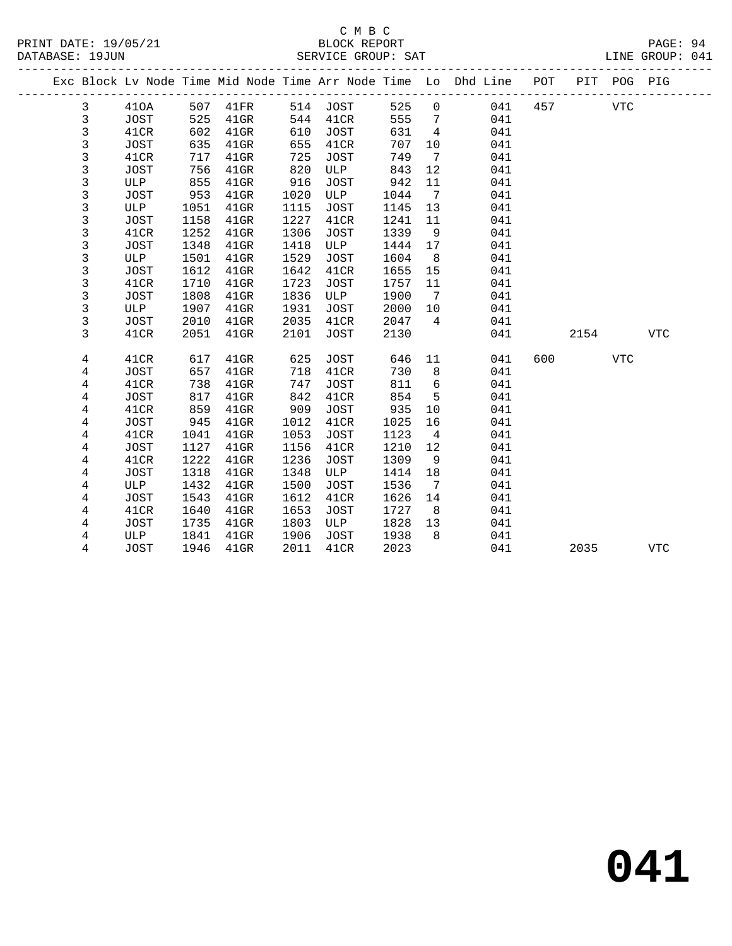#### C M B C<br>BLOCK REPORT SERVICE GROUP: SAT

|  |                |                     |            |                    |            |              |            |                | Exc Block Lv Node Time Mid Node Time Arr Node Time Lo Dhd Line | POT | PIT  | POG PIG    |            |
|--|----------------|---------------------|------------|--------------------|------------|--------------|------------|----------------|----------------------------------------------------------------|-----|------|------------|------------|
|  | 3              | 410A                | 507        | 41FR               | 514        | JOST         | 525        | $\mathbf 0$    | 041                                                            | 457 |      | <b>VTC</b> |            |
|  | 3              | <b>JOST</b>         | 525        | $41$ GR            | 544        | 41CR         | 555        | 7              | 041                                                            |     |      |            |            |
|  | 3              | 41CR                | 602        | $41$ GR            | 610        | <b>JOST</b>  | 631        | 4              | 041                                                            |     |      |            |            |
|  | 3              | <b>JOST</b>         | 635        | $41$ GR            | 655        | 41CR         | 707        | 10             | 041                                                            |     |      |            |            |
|  | 3              | 41CR                | 717        | $41$ GR            | 725        | <b>JOST</b>  | 749        | 7              | 041                                                            |     |      |            |            |
|  | 3              | <b>JOST</b>         | 756        | $41$ GR            | 820        | ULP          | 843        | 12             | 041                                                            |     |      |            |            |
|  | 3              | ULP                 | 855        | $41$ GR            | 916        | JOST         | 942        | 11             | 041                                                            |     |      |            |            |
|  | 3              | <b>JOST</b>         | 953        | $41$ GR            | 1020       | ULP          | 1044       | 7              | 041                                                            |     |      |            |            |
|  | 3              | ULP                 | 1051       | $41$ GR            | 1115       | <b>JOST</b>  | 1145       | 13             | 041                                                            |     |      |            |            |
|  | 3              | <b>JOST</b>         | 1158       | $41$ GR            | 1227       | 41CR         | 1241       | 11             | 041                                                            |     |      |            |            |
|  | 3              | 41CR                | 1252       | $41$ GR            | 1306       | <b>JOST</b>  | 1339       | 9              | 041                                                            |     |      |            |            |
|  | 3              | <b>JOST</b>         | 1348       | 41GR               | 1418       | ULP          | 1444       | 17             | 041                                                            |     |      |            |            |
|  | 3              | ULP                 | 1501       | $41$ GR            | 1529       | <b>JOST</b>  | 1604       | 8              | 041                                                            |     |      |            |            |
|  | 3              | <b>JOST</b>         | 1612       | $41$ GR            | 1642       | 41CR         | 1655       | 15             | 041                                                            |     |      |            |            |
|  | 3              | 41CR                | 1710       | $41$ GR            | 1723       | <b>JOST</b>  | 1757       | 11             | 041                                                            |     |      |            |            |
|  | 3              | <b>JOST</b>         | 1808       | $41$ GR            | 1836       | ULP          | 1900       | 7              | 041                                                            |     |      |            |            |
|  | 3              | ULP                 | 1907       | $41$ GR            | 1931       | <b>JOST</b>  | 2000       | 10             | 041                                                            |     |      |            |            |
|  | 3              | <b>JOST</b>         | 2010       | $41$ GR            | 2035       | 41CR         | 2047       | $\overline{4}$ | 041                                                            |     |      |            |            |
|  | 3              | 41CR                | 2051       | $41$ GR            | 2101       | JOST         | 2130       |                | 041                                                            |     | 2154 |            | <b>VTC</b> |
|  |                |                     |            |                    |            |              |            |                |                                                                |     |      |            |            |
|  | 4              | 41CR                | 617        | $41$ GR            | 625        | JOST         | 646        | 11             | 041                                                            | 600 |      | <b>VTC</b> |            |
|  | $\overline{4}$ | <b>JOST</b>         | 657        | $41$ GR            | 718        | 41CR         | 730        | 8              | 041<br>041                                                     |     |      |            |            |
|  | 4              | 41CR                | 738<br>817 | 41GR               | 747<br>842 | JOST<br>41CR | 811<br>854 | 6<br>5         | 041                                                            |     |      |            |            |
|  | 4<br>4         | <b>JOST</b><br>41CR | 859        | $41$ GR            | 909        |              | 935        |                | 041                                                            |     |      |            |            |
|  | 4              | <b>JOST</b>         | 945        | $41$ GR<br>$41$ GR | 1012       | JOST<br>41CR | 1025       | 10<br>16       | 041                                                            |     |      |            |            |
|  | 4              | 41CR                | 1041       | $41$ GR            | 1053       | <b>JOST</b>  | 1123       | 4              | 041                                                            |     |      |            |            |
|  |                | JOST                | 1127       | 41GR               | 1156       | 41CR         | 1210       | 12             | 041                                                            |     |      |            |            |
|  | 4<br>4         | 41CR                | 1222       | $41$ GR            | 1236       | <b>JOST</b>  | 1309       | 9              | 041                                                            |     |      |            |            |
|  | 4              | JOST                | 1318       | $41$ GR            | 1348       | ULP          | 1414       | 18             | 041                                                            |     |      |            |            |
|  | 4              | ULP                 | 1432       | $41$ GR            | 1500       | <b>JOST</b>  | 1536       | 7              | 041                                                            |     |      |            |            |
|  | 4              | <b>JOST</b>         | 1543       | $41$ GR            | 1612       | 41CR         | 1626       | 14             | 041                                                            |     |      |            |            |
|  | 4              | 41CR                | 1640       | $41$ GR            | 1653       | <b>JOST</b>  | 1727       | 8              | 041                                                            |     |      |            |            |
|  |                |                     |            |                    |            |              |            |                |                                                                |     |      |            |            |

4 JOST 1946 41GR 2011 41CR 2023 041 2035 VTC

 4 JOST 1735 41GR 1803 ULP 1828 13 041 4 ULP 1841 41GR 1906 JOST 1938 8 041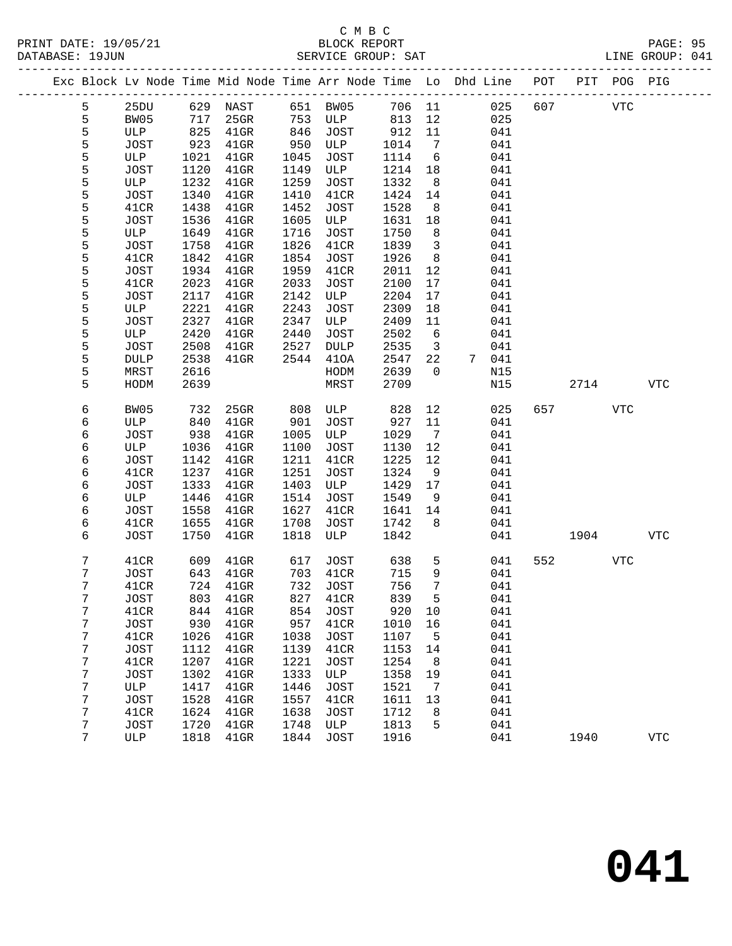|        |             |              |                    |              |                     |              |                         | Exc Block Lv Node Time Mid Node Time Arr Node Time Lo Dhd Line POT PIT POG PIG |     |            |            |            |
|--------|-------------|--------------|--------------------|--------------|---------------------|--------------|-------------------------|--------------------------------------------------------------------------------|-----|------------|------------|------------|
| 5      | 25DU        |              | 629 NAST 651 BW05  |              |                     |              |                         | 706 11<br>025                                                                  | 607 | <b>VTC</b> |            |            |
| 5      | BW05        | 717          | 25GR               | 753          | ULP                 | 813          | 12                      | 025                                                                            |     |            |            |            |
| 5      | ULP         | 825          | $41$ GR            | 846          | JOST                | 912          | 11                      | 041                                                                            |     |            |            |            |
| 5      | JOST        | 923          | $41$ GR            | 950          | ULP                 | 1014         | $\overline{7}$          | 041                                                                            |     |            |            |            |
| 5      | ULP         | 1021         | $41$ GR            | 1045         | JOST                | 1114         | 6                       | 041                                                                            |     |            |            |            |
| 5      | JOST        | 1120         | $41$ GR            | 1149         | ULP                 | 1214         | 18                      | 041                                                                            |     |            |            |            |
| 5      | ULP         | 1232         | $41$ GR            | 1259         | JOST                | 1332         | 8 <sup>8</sup>          | 041                                                                            |     |            |            |            |
| 5      | JOST        | 1340         | $41$ GR            | 1410         | 41CR                | 1424         | 14                      | 041                                                                            |     |            |            |            |
| 5      | 41CR        | 1438         | $41$ GR            | 1452         | JOST                | 1528         | 8 <sup>8</sup>          | 041                                                                            |     |            |            |            |
| 5      | JOST        | 1536         | $41$ GR            | 1605         | ULP                 | 1631         | 18                      | 041                                                                            |     |            |            |            |
| 5      | ULP         | 1649         | $41$ GR            | 1716         | JOST                | 1750         | 8 <sup>8</sup>          | 041                                                                            |     |            |            |            |
| 5      | JOST        | 1758         | $41$ GR            | 1826         | 41CR                | 1839         | $\overline{\mathbf{3}}$ | 041                                                                            |     |            |            |            |
| 5      | 41CR        | 1842         | $41$ GR            | 1854         | JOST                | 1926         | 8                       | 041                                                                            |     |            |            |            |
| 5      | JOST        | 1934         | $41$ GR            | 1959         | 41CR                | 2011         | 12                      | 041                                                                            |     |            |            |            |
| 5      | 41CR        | 2023         | $41$ GR            | 2033         | JOST                | 2100         | 17                      | 041                                                                            |     |            |            |            |
| 5      | JOST        | 2117         | $41$ GR            | 2142         | ULP                 | 2204         | 17                      | 041                                                                            |     |            |            |            |
| 5      | ULP         | 2221         | $41$ GR            | 2243         | JOST                | 2309         | 18                      | 041                                                                            |     |            |            |            |
| 5      | JOST        | 2327         | $41$ GR            | 2347         | ULP                 | 2409         | 11                      | 041                                                                            |     |            |            |            |
| 5      | ULP         | 2420         | $41$ GR            | 2440         | JOST                | 2502         | $6\overline{6}$         | 041                                                                            |     |            |            |            |
| 5      | JOST        | 2508         | $41$ GR            | 2527         | DULP                | 2535         | $\overline{\mathbf{3}}$ | 041                                                                            |     |            |            |            |
| 5      | <b>DULP</b> | 2538         | $41$ GR            | 2544         | 410A                | 2547         | 22                      | 7 041                                                                          |     |            |            |            |
| 5      | MRST        | 2616         |                    |              | HODM                | 2639         | $\overline{0}$          | N15                                                                            |     |            |            |            |
| 5      | HODM        | 2639         |                    |              | MRST                | 2709         |                         | N15                                                                            |     | 2714       |            | <b>VTC</b> |
| 6      | BW05        | 732          | 25GR               | 808          | ULP                 | 828          | 12                      | 025                                                                            |     | 657 — 100  | VTC        |            |
| 6      | ULP         | 840          | $41$ GR            | 901          | JOST                | 927          | 11                      | 041                                                                            |     |            |            |            |
| 6      | JOST        | 938          | $41$ GR            | 1005         | ULP                 | 1029         | $7\overline{ }$         | 041                                                                            |     |            |            |            |
| 6      | ULP         | 1036         | $41$ GR            | 1100         | JOST                | 1130         | 12                      | 041                                                                            |     |            |            |            |
| 6      | JOST        | 1142         | $41$ GR            | 1211         | 41CR                | 1225         | 12                      | 041                                                                            |     |            |            |            |
| 6      | 41CR        | 1237         | $41$ GR            | 1251         | JOST                | 1324         | 9                       | 041                                                                            |     |            |            |            |
| 6      | JOST        | 1333         | $41$ GR            | 1403         | ULP                 | 1429         | 17                      | 041                                                                            |     |            |            |            |
| 6      | ULP         | 1446         | $41$ GR            | 1514         | JOST                | 1549         | 9                       | 041                                                                            |     |            |            |            |
| 6      | JOST        | 1558         | $41$ GR            | 1627         | 41CR                | 1641         | 14                      | 041                                                                            |     |            |            |            |
| 6      | 41CR        | 1655         | 41GR               | 1708         | JOST                | 1742         | 8 <sup>8</sup>          | 041                                                                            |     |            |            |            |
| 6      | JOST        | 1750         | $41$ GR            | 1818         | ULP                 | 1842         |                         | 041                                                                            |     | 1904       |            | VTC        |
| 7      | 41CR        | 609          | $41$ GR            | 617          | JOST                | 638          | 5                       | 041                                                                            | 552 |            | <b>VTC</b> |            |
| 7      | JOST        | 643          | 41GR               | 703          | 41CR                | 715          | 9                       | 041                                                                            |     |            |            |            |
| 7      | 41CR        |              | 724 41GR           |              | 732 JOST            | 756          | 7                       | 041                                                                            |     |            |            |            |
| 7      | JOST        |              | 803 41GR           |              | 827 41CR            | 839          | 5                       | 041                                                                            |     |            |            |            |
| 7      | 41CR        | 844          | $41$ GR            | 854          | JOST                | 920          | 10                      | 041                                                                            |     |            |            |            |
| 7      | JOST        | 930          | $41$ GR            | 957          | 41CR                | 1010         | 16                      | 041                                                                            |     |            |            |            |
| 7      | 41CR        | 1026         | $41$ GR            | 1038         | JOST                | 1107         | $-5$                    | 041                                                                            |     |            |            |            |
| 7      | JOST        | 1112         | $41$ GR            | 1139         | 41CR                | 1153         | 14                      | 041                                                                            |     |            |            |            |
| 7      | 41CR        | 1207         | $41$ GR            | 1221         | JOST                | 1254         | 8                       | 041                                                                            |     |            |            |            |
| 7<br>7 | JOST        | 1302         | $41$ GR            | 1333<br>1446 | ULP                 | 1358<br>1521 | 19                      | 041<br>041                                                                     |     |            |            |            |
| 7      | ULP<br>JOST | 1417<br>1528 | $41$ GR<br>$41$ GR | 1557         | <b>JOST</b><br>41CR | 1611         | $\overline{7}$<br>13    | 041                                                                            |     |            |            |            |
| 7      | 41CR        | 1624         | $41$ GR            | 1638         | <b>JOST</b>         | 1712         | 8                       | 041                                                                            |     |            |            |            |
| 7      | <b>JOST</b> | 1720         | $41$ GR            | 1748         | ULP                 | 1813         | 5                       | 041                                                                            |     |            |            |            |
| 7      | ULP         | 1818         | $41$ GR            | 1844         | JOST                | 1916         |                         | 041                                                                            |     | 1940       |            | <b>VTC</b> |
|        |             |              |                    |              |                     |              |                         |                                                                                |     |            |            |            |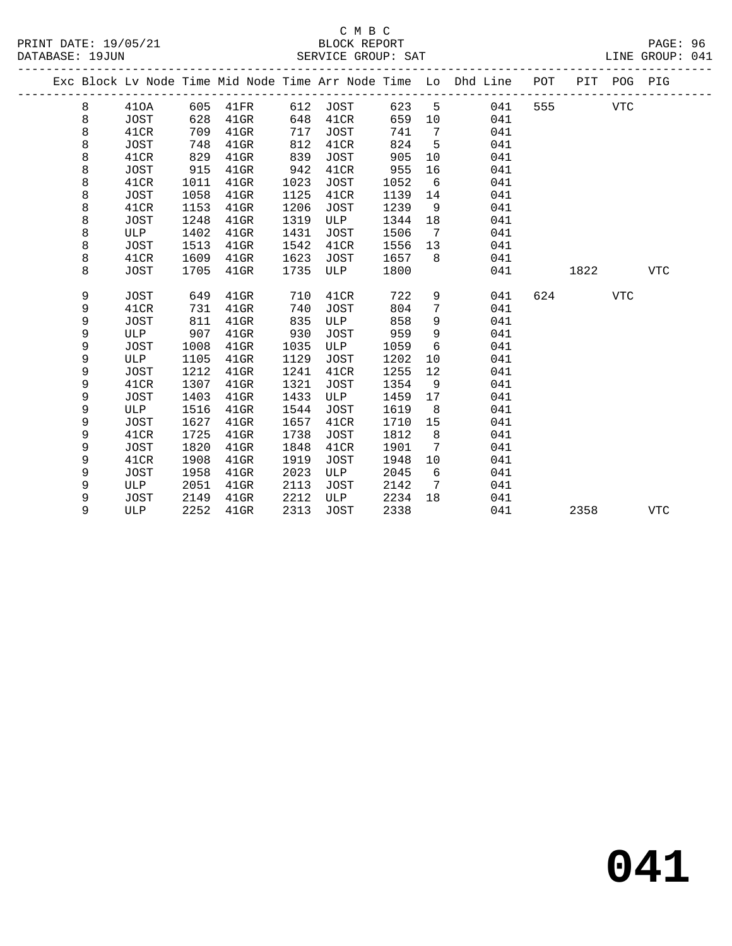|  |   |      |      |          |      |             |      |                              | Exc Block Lv Node Time Mid Node Time Arr Node Time Lo Dhd Line POT |     |      | PIT POG PIG |            |
|--|---|------|------|----------|------|-------------|------|------------------------------|--------------------------------------------------------------------|-----|------|-------------|------------|
|  | 8 | 410A |      | 605 41FR |      | 612 JOST    | 623  | $5^{\circ}$                  | 041                                                                | 555 |      | <b>VTC</b>  |            |
|  | 8 | JOST | 628  | $41$ GR  | 648  | 41CR        | 659  | 10                           | 041                                                                |     |      |             |            |
|  | 8 | 41CR | 709  | $41$ GR  | 717  | JOST        | 741  | $\overline{7}$               | 041                                                                |     |      |             |            |
|  | 8 | JOST | 748  | $41$ GR  | 812  | 41CR        | 824  | $-5$                         | 041                                                                |     |      |             |            |
|  | 8 | 41CR | 829  | 41GR     | 839  | JOST        | 905  | 10                           | 041                                                                |     |      |             |            |
|  | 8 | JOST | 915  | $41$ GR  | 942  | 41CR        | 955  | 16                           | 041                                                                |     |      |             |            |
|  | 8 | 41CR | 1011 | $41$ GR  | 1023 | JOST        | 1052 | 6                            | 041                                                                |     |      |             |            |
|  | 8 | JOST | 1058 | $41$ GR  | 1125 | 41CR        | 1139 | 14                           | 041                                                                |     |      |             |            |
|  | 8 | 41CR | 1153 | $41$ GR  | 1206 | JOST        | 1239 | 9                            | 041                                                                |     |      |             |            |
|  | 8 | JOST | 1248 | $41$ GR  | 1319 | ULP         | 1344 | 18                           | 041                                                                |     |      |             |            |
|  | 8 | ULP  | 1402 | $41$ GR  | 1431 | JOST        | 1506 | $\overline{7}$               | 041                                                                |     |      |             |            |
|  | 8 | JOST | 1513 | $41$ GR  | 1542 | 41CR        | 1556 | 13                           | 041                                                                |     |      |             |            |
|  | 8 | 41CR | 1609 | $41$ GR  | 1623 | JOST        | 1657 | 8                            | 041                                                                |     |      |             |            |
|  | 8 | JOST | 1705 | $41$ GR  | 1735 | ULP         | 1800 |                              | 041                                                                |     | 1822 |             | <b>VTC</b> |
|  |   |      |      |          |      |             |      |                              |                                                                    |     |      |             |            |
|  | 9 | JOST | 649  | $41$ GR  | 710  | 41CR        | 722  | 9                            | 041                                                                | 624 |      | <b>VTC</b>  |            |
|  | 9 | 41CR | 731  | $41$ GR  | 740  | JOST        | 804  | 7                            | 041                                                                |     |      |             |            |
|  | 9 | JOST | 811  | $41$ GR  | 835  | ULP         | 858  | 9                            | 041                                                                |     |      |             |            |
|  | 9 | ULP  | 907  | $41$ GR  | 930  | JOST        | 959  | 9                            | 041                                                                |     |      |             |            |
|  | 9 | JOST | 1008 | $41$ GR  | 1035 | ULP         | 1059 | 6                            | 041                                                                |     |      |             |            |
|  | 9 | ULP  | 1105 | $41$ GR  | 1129 | JOST        | 1202 | 10                           | 041                                                                |     |      |             |            |
|  | 9 | JOST | 1212 | $41$ GR  | 1241 | 41CR        | 1255 | 12                           | 041                                                                |     |      |             |            |
|  | 9 | 41CR | 1307 | $41$ GR  | 1321 | JOST        | 1354 | 9                            | 041                                                                |     |      |             |            |
|  | 9 | JOST | 1403 | $41$ GR  | 1433 | ULP         | 1459 | 17                           | 041                                                                |     |      |             |            |
|  | 9 | ULP  | 1516 | $41$ GR  | 1544 | JOST        | 1619 | 8                            | 041                                                                |     |      |             |            |
|  | 9 | JOST | 1627 | $41$ GR  | 1657 | 41CR        | 1710 | 15                           | 041                                                                |     |      |             |            |
|  | 9 | 41CR | 1725 | $41$ GR  | 1738 | JOST        | 1812 | 8                            | 041                                                                |     |      |             |            |
|  | 9 | JOST | 1820 | $41$ GR  | 1848 | 41CR        | 1901 | $7\phantom{.0}\phantom{.0}7$ | 041                                                                |     |      |             |            |
|  | 9 | 41CR | 1908 | $41$ GR  | 1919 | JOST        | 1948 | 10                           | 041                                                                |     |      |             |            |
|  | 9 | JOST | 1958 | $41$ GR  | 2023 | ULP         | 2045 | 6                            | 041                                                                |     |      |             |            |
|  | 9 | ULP  | 2051 | $41$ GR  | 2113 | <b>JOST</b> | 2142 | $\overline{7}$               | 041                                                                |     |      |             |            |
|  | 9 | JOST | 2149 | $41$ GR  | 2212 | ULP         | 2234 | 18                           | 041                                                                |     |      |             |            |
|  | 9 | ULP  | 2252 | $41$ GR  | 2313 | JOST        | 2338 |                              | 041                                                                |     | 2358 |             | <b>VTC</b> |
|  |   |      |      |          |      |             |      |                              |                                                                    |     |      |             |            |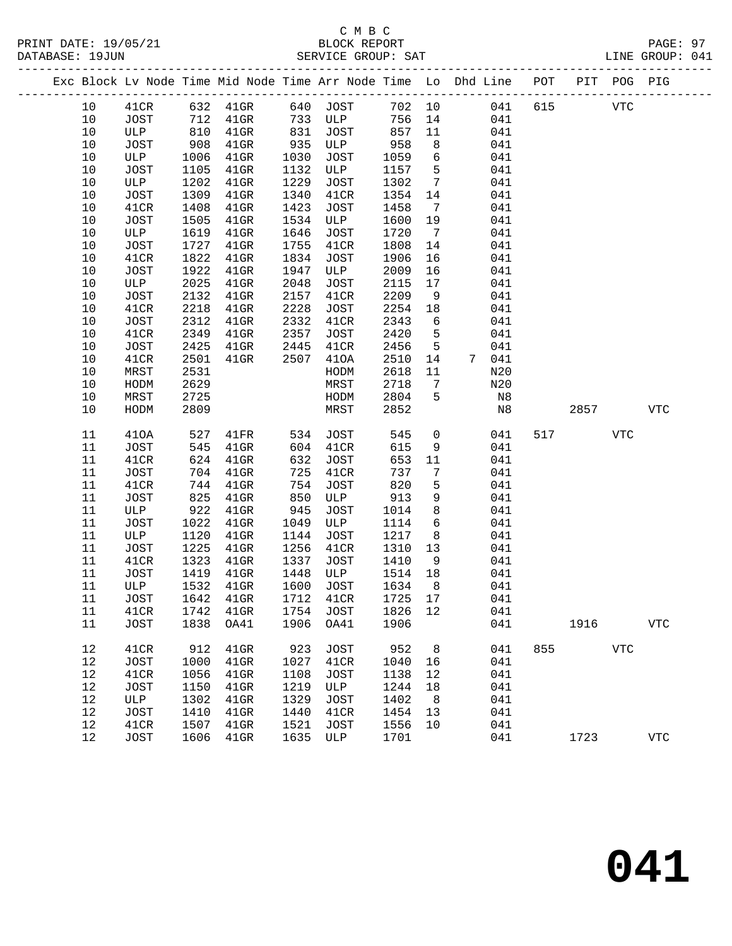|  |          |              |              |                             |              |                    |              |                 | Exc Block Lv Node Time Mid Node Time Arr Node Time Lo Dhd Line POT PIT POG PIG |            |            |            |
|--|----------|--------------|--------------|-----------------------------|--------------|--------------------|--------------|-----------------|--------------------------------------------------------------------------------|------------|------------|------------|
|  | 10       | 41CR         |              | 632 41GR 640 JOST           |              |                    | 702 10       |                 | 041 615                                                                        | <b>VTC</b> |            |            |
|  | 10       | JOST         | 712          | $41$ GR                     |              | 733 ULP            | 756          | 14              | 041                                                                            |            |            |            |
|  | 10       | ULP          | 810          | $41$ GR                     | 831          | JOST               | 857          | 11              | 041                                                                            |            |            |            |
|  | 10       | JOST         | 908          | $41$ GR                     | 935          | ULP                | 958          | 8               | 041                                                                            |            |            |            |
|  | 10       | ULP          | 1006         | $41$ GR                     | 1030         | JOST               | 1059         | $6\overline{6}$ | 041                                                                            |            |            |            |
|  | 10       | JOST         | 1105         | $41$ GR                     | 1132         | ULP                | 1157         | $5^{\circ}$     | 041                                                                            |            |            |            |
|  | 10       | ULP          | 1202         | $41$ GR                     | 1229         | JOST               | 1302         | $7\overline{ }$ | 041                                                                            |            |            |            |
|  | 10       | JOST         | 1309         | $41$ GR                     | 1340         | 41CR               | 1354         | 14              | 041                                                                            |            |            |            |
|  | 10       | 41CR         | 1408         | $41$ GR                     | 1423         | JOST               | 1458         | $\overline{7}$  | 041                                                                            |            |            |            |
|  | 10       | JOST         | 1505         | $41$ GR                     | 1534         | ULP                | 1600         | 19              | 041                                                                            |            |            |            |
|  | 10       | ULP          | 1619         | $41$ GR                     | 1646         | JOST               | 1720         | $\overline{7}$  | 041                                                                            |            |            |            |
|  | 10       | JOST         | 1727         | $41$ GR                     | 1755         | 41CR               | 1808         | 14              | 041                                                                            |            |            |            |
|  | 10       | 41CR         | 1822         | $41$ GR                     | 1834         | JOST               | 1906         | 16              | 041                                                                            |            |            |            |
|  | 10       | JOST         | 1922         | $41$ GR                     | 1947         | ULP                | 2009         | 16              | 041                                                                            |            |            |            |
|  | 10       | ULP          | 2025         | $41$ GR                     | 2048         | JOST               | 2115         | 17              | 041                                                                            |            |            |            |
|  | 10       | JOST         | 2132         | $41$ GR                     | 2157         | 41CR               | 2209         | 9               | 041                                                                            |            |            |            |
|  | 10       | 41CR         | 2218         | $41$ GR                     | 2228         | JOST               | 2254         | 18              | 041                                                                            |            |            |            |
|  | 10       | JOST         | 2312         | $41$ GR                     | 2332         | 41CR               | 2343         | 6               | 041                                                                            |            |            |            |
|  | 10       | 41CR         | 2349         | $41$ GR                     | 2357         | JOST               | 2420         | $5^{\circ}$     | 041                                                                            |            |            |            |
|  | 10       | JOST         | 2425         | $41$ GR                     | 2445         | 41CR               | 2456         | $5\phantom{.0}$ | 041                                                                            |            |            |            |
|  | 10       | 41CR         | 2501         | $41$ GR                     | 2507         | 410A               | 2510         | 14              | 7 041                                                                          |            |            |            |
|  | 10       | MRST         | 2531         |                             |              | HODM               | 2618         | 11              | N20                                                                            |            |            |            |
|  | 10       | HODM         | 2629         |                             |              | MRST               | 2718         | $\overline{7}$  | N20                                                                            |            |            |            |
|  | 10       | MRST         | 2725         |                             |              | HODM               | 2804         | 5               | N8                                                                             |            |            |            |
|  | 10       | HODM         | 2809         |                             |              | MRST               | 2852         |                 | N8                                                                             | 2857       |            | <b>VTC</b> |
|  | 11       | 410A         | 527          | $41\mathrm{FR}$             | 534          | JOST               | 545          | $\overline{0}$  | 041                                                                            | 517        | <b>VTC</b> |            |
|  | 11       | JOST         | 545          | $41$ GR                     | 604          | 41CR               | 615          | 9               | 041                                                                            |            |            |            |
|  | 11       | 41CR         | 624          | $41$ GR                     | 632          | JOST               | 653          | 11              | 041                                                                            |            |            |            |
|  | 11       | JOST         | 704          | $41$ GR                     | 725          | 41CR               | 737          | $7\phantom{.0}$ | 041                                                                            |            |            |            |
|  | 11       | 41CR         | 744          | $41$ GR                     | 754          | JOST               | 820          | 5               | 041                                                                            |            |            |            |
|  | 11       | JOST         | 825          | $41$ GR                     | 850          | ULP                | 913          | 9               | 041                                                                            |            |            |            |
|  | 11       | ULP          | 922          | $41$ GR                     | 945          | JOST               | 1014         | 8               | 041                                                                            |            |            |            |
|  | 11       | JOST         | 1022         | $41$ GR                     | 1049         | ULP                | 1114         | $6\overline{6}$ | 041                                                                            |            |            |            |
|  | 11       | ULP          | 1120         | $41$ GR                     | 1144         | JOST               | 1217         | 8               | 041                                                                            |            |            |            |
|  | 11       | JOST         | 1225         | $41$ GR                     | 1256         | 41CR               | 1310         | 13              | 041                                                                            |            |            |            |
|  | 11       | 41CR         | 1323         | $41$ GR                     | 1337         | JOST               | 1410         | 9               | 041                                                                            |            |            |            |
|  | 11       | JOST         | 1419         | 41GR                        | 1448         | ULP                | 1514         | 18              | 041                                                                            |            |            |            |
|  | 11       | ULP          | 1532         | $41$ GR                     | 1600         | JOST               | 1634         | 8 <sup>8</sup>  | 041                                                                            |            |            |            |
|  | 11       | JOST         |              | 1642 41GR 1712 41CR 1725 17 |              |                    |              |                 | 041                                                                            |            |            |            |
|  | 11       | 41CR         | 1742         | $41$ GR                     | 1754         | JOST               | 1826 12      |                 | 041                                                                            |            |            |            |
|  | 11       | JOST         | 1838         | OA41                        | 1906         | OA41               | 1906         |                 | 041                                                                            | 1916       |            | <b>VTC</b> |
|  |          |              |              |                             |              |                    |              |                 |                                                                                |            |            |            |
|  | 12       | 41CR         | 912          | $41$ GR                     | 923          | <b>JOST</b>        | 952          | 8               | 041                                                                            | 855 700    | <b>VTC</b> |            |
|  | 12       | JOST         | 1000         | $41$ GR                     | 1027         | 41CR               | 1040         | 16              | 041                                                                            |            |            |            |
|  | 12       | 41CR         | 1056         | $41$ GR                     | 1108         | <b>JOST</b>        | 1138         | 12              | 041                                                                            |            |            |            |
|  | 12       | JOST         | 1150         | $41$ GR                     | 1219         | ULP                | 1244         | 18              | 041                                                                            |            |            |            |
|  | 12       | ULP          | 1302         | $41$ GR                     | 1329         | <b>JOST</b>        | 1402         | 8               | 041                                                                            |            |            |            |
|  | 12<br>12 | JOST         | 1410         | $41$ GR                     | 1440         | 41CR               | 1454         | 13<br>10        | 041<br>041                                                                     |            |            |            |
|  | 12       | 41CR<br>JOST | 1507<br>1606 | $41$ GR<br>$41$ GR          | 1521<br>1635 | <b>JOST</b><br>ULP | 1556<br>1701 |                 | 041                                                                            | 1723       |            | <b>VTC</b> |
|  |          |              |              |                             |              |                    |              |                 |                                                                                |            |            |            |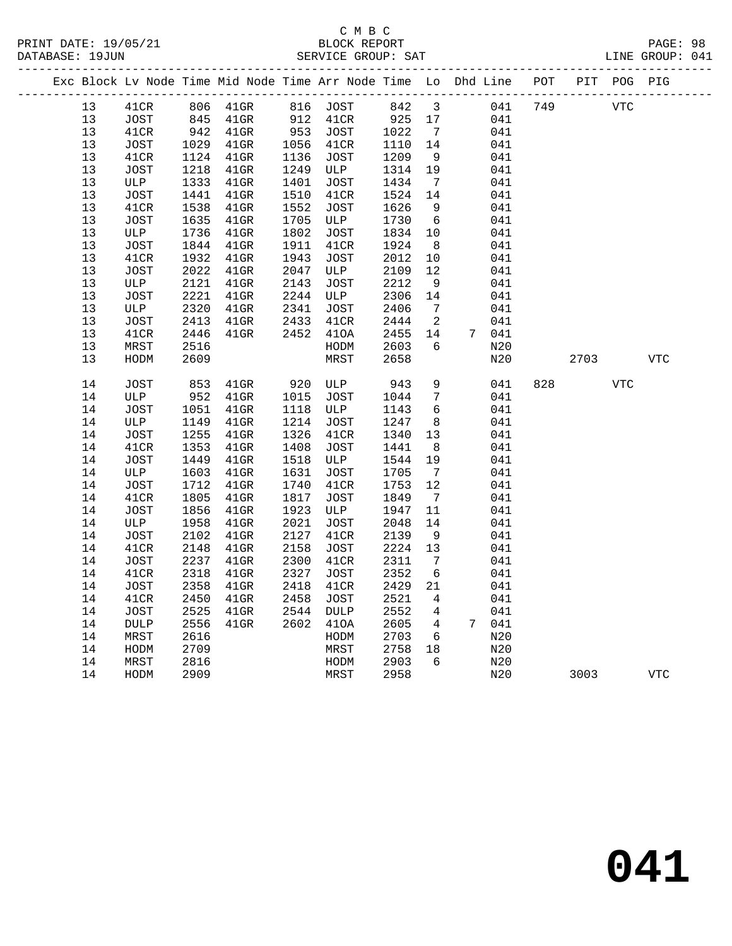|                 |                     |              |           |      |              |              |                         |       | Exc Block Lv Node Time Mid Node Time Arr Node Time Lo Dhd Line POT PIT POG PIG |      |            |            |
|-----------------|---------------------|--------------|-----------|------|--------------|--------------|-------------------------|-------|--------------------------------------------------------------------------------|------|------------|------------|
| 13 <sup>°</sup> | 41CR                | 806          | $41$ GR   |      | 816 JOST     | 842          | $\overline{\mathbf{3}}$ |       | 749<br>041                                                                     |      | <b>VTC</b> |            |
| 13              | JOST                |              | 845 41GR  |      | 912 41CR     | 925          | 17                      |       | 041                                                                            |      |            |            |
| 13              | 41CR                |              | 942 41GR  |      | 953 JOST     | 1022         | $7\overline{ }$         |       | 041                                                                            |      |            |            |
| 13              | JOST                |              | 1029 41GR |      | 1056 41CR    | 1110         | 14                      |       | 041                                                                            |      |            |            |
| 13              | 41CR                | 1124         | 41GR      | 1136 | JOST         | 1209         | 9                       |       | 041                                                                            |      |            |            |
| 13              | JOST                | 1218         | 41GR      | 1249 | ULP          | 1314         | 19                      |       | 041                                                                            |      |            |            |
| 13              | ULP                 | 1333         | $41$ GR   | 1401 | JOST         | 1434         | $7\overline{ }$         |       | 041                                                                            |      |            |            |
| 13              | JOST                | 1441         | $41$ GR   | 1510 | 41CR         | 1524         | 14                      |       | 041                                                                            |      |            |            |
| 13              | 41CR                | 1538         | $41$ GR   | 1552 | JOST         | 1626         | 9                       |       | 041                                                                            |      |            |            |
| 13              | <b>JOST</b>         | 1635         | $41$ GR   | 1705 | ULP          | 1730         | 6                       |       | 041                                                                            |      |            |            |
| 13              | ULP                 | 1736         | $41$ GR   | 1802 | JOST         | 1834         | 10                      |       | 041                                                                            |      |            |            |
| 13              | JOST                | 1844         | $41$ GR   | 1911 | 41CR         | 1924         | 8 <sup>8</sup>          |       | 041                                                                            |      |            |            |
| 13              | 41CR                | 1932         | $41$ GR   | 1943 | JOST         | 2012         | 10                      |       | 041                                                                            |      |            |            |
| 13              | JOST                | 2022         | $41$ GR   | 2047 | ULP          | 2109         | 12                      |       | 041                                                                            |      |            |            |
| 13              | ULP                 | 2121         | $41$ GR   | 2143 | JOST         | 2212         | 9                       |       | 041                                                                            |      |            |            |
| 13              | <b>JOST</b>         | 2221         | $41$ GR   | 2244 | ULP          | 2306         | 14                      |       | 041                                                                            |      |            |            |
| 13              | ULP                 | 2320         | $41$ GR   | 2341 | JOST         | 2406         | $\overline{7}$          |       | 041                                                                            |      |            |            |
| 13              | <b>JOST</b>         | 2413         | $41$ GR   | 2433 | 41CR         | 2444         | $\overline{2}$          |       | 041                                                                            |      |            |            |
| 13              | 41CR                | 2446         | 41GR      | 2452 | 410A         | 2455         | 14                      | 7 041 |                                                                                |      |            |            |
| 13              | MRST                | 2516         |           |      | HODM         | 2603         | 6                       |       | N20<br>N20                                                                     |      |            | <b>VTC</b> |
| 13              | HODM                | 2609         |           |      | MRST         | 2658         |                         |       |                                                                                | 2703 |            |            |
| 14              | JOST                | 853          | $41$ GR   | 920  | ULP          | 943          | 9                       |       | 041<br>828                                                                     |      | <b>VTC</b> |            |
| 14              | ULP                 |              | 952 41GR  | 1015 | JOST         | 1044         | $\overline{7}$          |       | 041                                                                            |      |            |            |
| 14              | JOST                | 1051         | $41$ GR   | 1118 | ULP          | 1143         | 6                       |       | 041                                                                            |      |            |            |
| 14              | ULP                 | 1149         | 41GR      | 1214 | JOST         | 1247         | 8 <sup>8</sup>          |       | 041                                                                            |      |            |            |
| 14              | JOST                | 1255         | $41$ GR   | 1326 | 41CR         | 1340         | 13                      |       | 041                                                                            |      |            |            |
| 14              | 41CR                | 1353         | $41$ GR   | 1408 | JOST         | 1441         | 8 <sup>8</sup>          |       | 041                                                                            |      |            |            |
| 14              | JOST                | 1449         | $41$ GR   | 1518 | ULP          | 1544         | 19                      |       | 041                                                                            |      |            |            |
| 14              | ULP                 | 1603         | $41$ GR   | 1631 | JOST         | 1705         | $\overline{7}$          |       | 041                                                                            |      |            |            |
| 14              | JOST                | 1712         | $41$ GR   | 1740 | 41CR         | 1753         | 12                      |       | 041                                                                            |      |            |            |
| 14              | 41CR                | 1805         | $41$ GR   | 1817 | JOST         | 1849         | $\overline{7}$          |       | 041                                                                            |      |            |            |
| 14              | JOST                | 1856         | $41$ GR   | 1923 | ULP          | 1947         | 11                      |       | 041                                                                            |      |            |            |
| 14              | ULP                 | 1958         | $41$ GR   | 2021 | JOST         | 2048         | 14                      |       | 041                                                                            |      |            |            |
| 14              | JOST                | 2102         | $41$ GR   | 2127 | 41CR         | 2139         | 9                       |       | 041                                                                            |      |            |            |
| 14              | 41CR                | 2148         | $41$ GR   | 2158 | JOST         | 2224         | 13                      |       | 041                                                                            |      |            |            |
| 14              | JOST                | 2237         | $41$ GR   | 2300 | 41CR         | 2311         | $\overline{7}$          |       | 041                                                                            |      |            |            |
| 14              | 41CR                | 2318         | $41$ GR   | 2327 | JOST         | 2352         | $6\overline{6}$         |       | 041                                                                            |      |            |            |
| 14              | JOST                | 2358         | $41$ GR   | 2418 | 41CR         | 2429         | 21                      |       | 041                                                                            |      |            |            |
| 14<br>14        | 41CR                | 2450         | $41$ GR   | 2458 | JOST         | 2521         | $\overline{4}$          |       | 041                                                                            |      |            |            |
|                 | JOST                | 2525         | $41$ GR   | 2544 | DULP         | 2552         | 4                       |       | 041                                                                            |      |            |            |
| 14<br>14        | <b>DULP</b><br>MRST | 2556<br>2616 | $41$ GR   | 2602 | 410A<br>HODM | 2605<br>2703 | $\overline{4}$<br>6     | 7 041 | N20                                                                            |      |            |            |
| 14              | HODM                | 2709         |           |      | MRST         | 2758         | 18                      |       | N20                                                                            |      |            |            |
| 14              | MRST                | 2816         |           |      | HODM         | 2903         | 6                       |       | N20                                                                            |      |            |            |
| 14              | HODM                | 2909         |           |      | MRST         | 2958         |                         |       | N20                                                                            | 3003 |            | <b>VTC</b> |
|                 |                     |              |           |      |              |              |                         |       |                                                                                |      |            |            |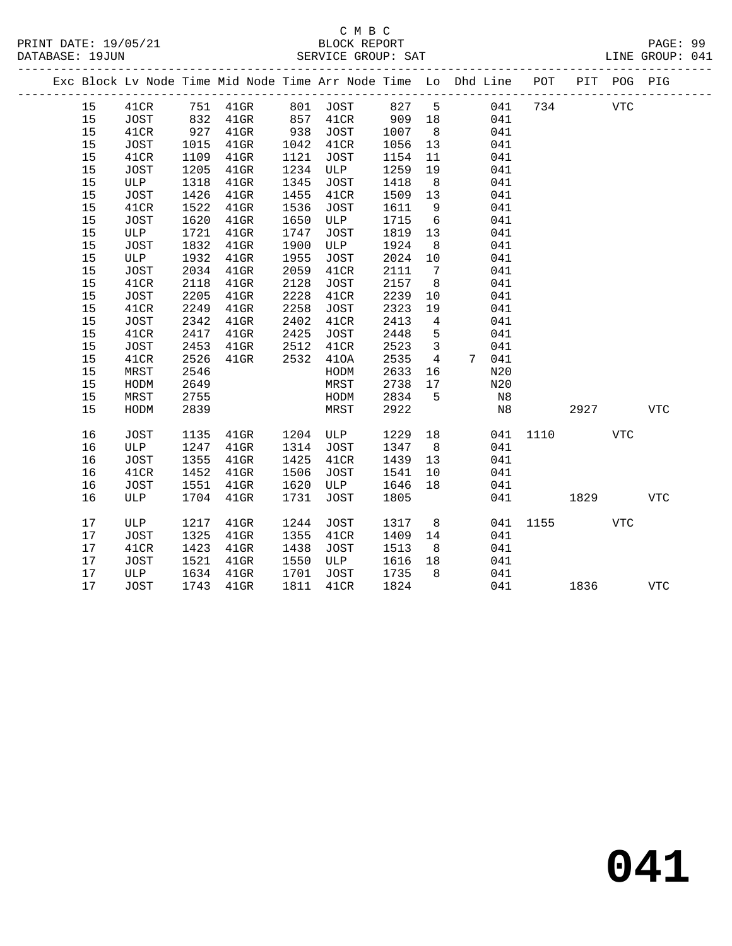#### C M B C<br>BLOCK REPORT DATABASE: 19JUN SERVICE GROUP: SAT

|  |          |             |              |                    |              | Exc Block Lv Node Time Mid Node Time Arr Node Time Lo Dhd Line |              |                 |   |            | POT  |      | PIT POG PIG |            |
|--|----------|-------------|--------------|--------------------|--------------|----------------------------------------------------------------|--------------|-----------------|---|------------|------|------|-------------|------------|
|  | 15       | 41CR        | 751          | $41$ GR            | 801          | JOST                                                           | 827          | 5               |   | 041        | 734  |      | <b>VTC</b>  |            |
|  | 15       | <b>JOST</b> | 832          | $41$ GR            | 857          | 41CR                                                           | 909          | 18              |   | 041        |      |      |             |            |
|  | 15       | 41CR        | 927          | $41$ GR            | 938          | JOST                                                           | 1007         | 8               |   | 041        |      |      |             |            |
|  | 15       | JOST        | 1015         | $41$ GR            | 1042         | 41CR                                                           | 1056         | 13              |   | 041        |      |      |             |            |
|  | 15       | 41CR        | 1109         | $41$ GR            | 1121         | JOST                                                           | 1154         | 11              |   | 041        |      |      |             |            |
|  | 15       | <b>JOST</b> | 1205         | $41$ GR            | 1234         | ULP                                                            | 1259         | 19              |   | 041        |      |      |             |            |
|  | 15       | ULP         | 1318         | $41$ GR            | 1345         | <b>JOST</b>                                                    | 1418         | 8               |   | 041        |      |      |             |            |
|  | 15       | JOST        | 1426         | 41GR               | 1455         | 41CR                                                           | 1509         | 13              |   | 041        |      |      |             |            |
|  | 15       | 41CR        | 1522         | 41GR               | 1536         | <b>JOST</b>                                                    | 1611         | 9               |   | 041        |      |      |             |            |
|  | 15       | JOST        | 1620         | $41$ GR            | 1650         | ULP                                                            | 1715         | 6               |   | 041        |      |      |             |            |
|  | 15       | ULP         | 1721         | $41$ GR            | 1747         | <b>JOST</b>                                                    | 1819         | 13              |   | 041        |      |      |             |            |
|  | 15       | JOST        | 1832         | $41$ GR            | 1900         | ULP                                                            | 1924         | 8               |   | 041        |      |      |             |            |
|  | 15       | ULP         | 1932         | $41$ GR            | 1955         | <b>JOST</b>                                                    | 2024         | 10              |   | 041        |      |      |             |            |
|  | 15       | JOST        | 2034         | 41GR               | 2059         | 41CR                                                           | 2111         | $7\phantom{.0}$ |   | 041        |      |      |             |            |
|  | 15       | 41CR        | 2118         | $41$ GR            | 2128         | <b>JOST</b>                                                    | 2157         | 8               |   | 041        |      |      |             |            |
|  | 15       | JOST        | 2205         | $41$ GR            | 2228         | 41CR                                                           | 2239         | 10              |   | 041        |      |      |             |            |
|  | 15       | 41CR        | 2249         | $41$ GR            | 2258         | JOST                                                           | 2323         | 19              |   | 041        |      |      |             |            |
|  | 15       | <b>JOST</b> | 2342         | $41$ GR            | 2402         | 41CR                                                           | 2413         | 4               |   | 041        |      |      |             |            |
|  | 15       | 41CR        | 2417         | $41$ GR            | 2425         | JOST                                                           | 2448         | 5               |   | 041        |      |      |             |            |
|  | 15       | <b>JOST</b> | 2453         | $41$ GR            | 2512         | 41CR                                                           | 2523         | 3               |   | 041        |      |      |             |            |
|  | 15       | 41CR        | 2526         | $41$ GR            | 2532         | 410A                                                           | 2535         | 4               | 7 | 041        |      |      |             |            |
|  | 15       | MRST        | 2546         |                    |              | HODM                                                           | 2633         | 16              |   | N20        |      |      |             |            |
|  | 15       | HODM        | 2649         |                    |              | MRST                                                           | 2738         | 17              |   | N20        |      |      |             |            |
|  | 15       | MRST        | 2755         |                    |              | HODM                                                           | 2834         | 5               |   | N8         |      |      |             |            |
|  | 15       | HODM        | 2839         |                    |              | MRST                                                           | 2922         |                 |   | N8         |      | 2927 |             | <b>VTC</b> |
|  |          |             |              |                    |              |                                                                |              |                 |   |            |      |      |             |            |
|  | 16<br>16 | JOST<br>ULP | 1135<br>1247 | $41$ GR<br>$41$ GR | 1204<br>1314 | ULP<br><b>JOST</b>                                             | 1229<br>1347 | 18<br>8         |   | 041<br>041 | 1110 |      | VTC         |            |
|  | 16       | <b>JOST</b> | 1355         | $41$ GR            | 1425         | 41CR                                                           | 1439         | 13              |   | 041        |      |      |             |            |
|  | 16       | 41CR        | 1452         | $41$ GR            | 1506         | JOST                                                           | 1541         | 10              |   | 041        |      |      |             |            |
|  | 16       | JOST        | 1551         | $41$ GR            | 1620         | ULP                                                            | 1646         | 18              |   | 041        |      |      |             |            |
|  | 16       | ULP         | 1704         | $41$ GR            | 1731         | <b>JOST</b>                                                    | 1805         |                 |   | 041        |      | 1829 |             | <b>VTC</b> |
|  |          |             |              |                    |              |                                                                |              |                 |   |            |      |      |             |            |

17 ULP 1217 41GR 1244 JOST 1317 8 041 1155 VTC<br>17 JOST 1325 41GR 1355 41CR 1409 14 041<br>17 41CR 1423 41GR 1438 JOST 1513 8 041<br>17 JOST 1521 41GR 1550 ULP 1616 18 041<br>17 ULP 1634 41GR 1701 JOST 1735 8 041<br>17 JOST 1743 41GR 1

17 JOST 1743 41GR 1811 41CR 1824 041 1836 VTC

 17 JOST 1325 41GR 1355 41CR 1409 14 041 17 41CR 1423 41GR 1438 JOST 1513 8 041 17 JOST 1521 41GR 1550 ULP 1616 18 041 17 ULP 1634 41GR 1701 JOST 1735 8 041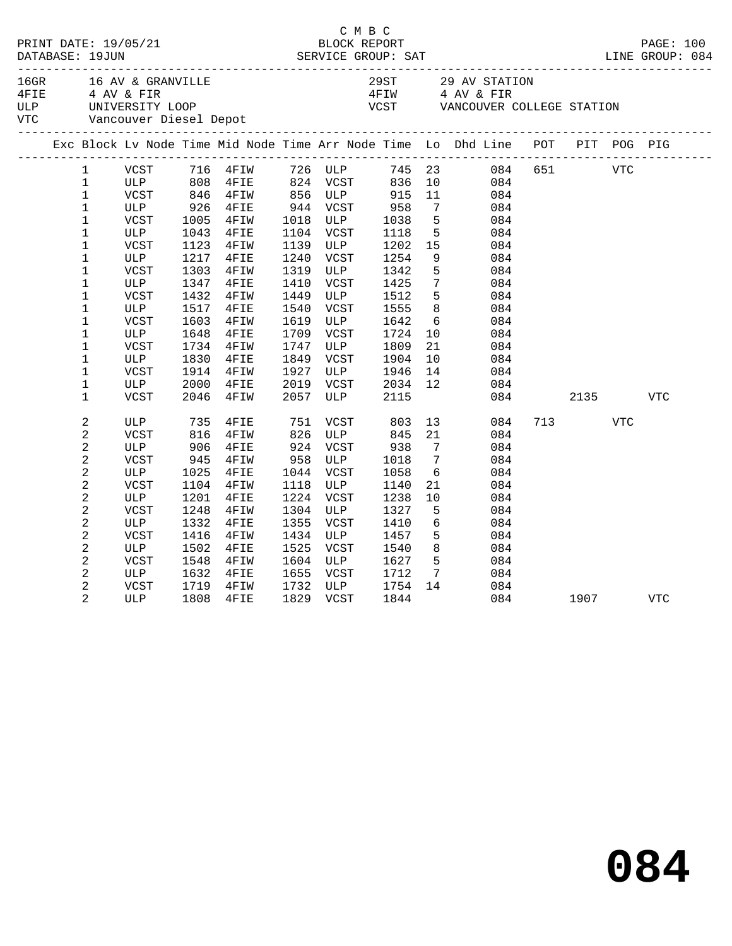| DATABASE: 19JUN                                                                                                                                                                                                                                                                 |                                                                                                                                           |                                                                                                                     |                                                                                                                                                                                        |                                                                                                                  |                                                                                                                 |                                                                                                                                           |                                                                                                                                                        |                                                                                                                                                                 |  |     |                    |            |  |
|---------------------------------------------------------------------------------------------------------------------------------------------------------------------------------------------------------------------------------------------------------------------------------|-------------------------------------------------------------------------------------------------------------------------------------------|---------------------------------------------------------------------------------------------------------------------|----------------------------------------------------------------------------------------------------------------------------------------------------------------------------------------|------------------------------------------------------------------------------------------------------------------|-----------------------------------------------------------------------------------------------------------------|-------------------------------------------------------------------------------------------------------------------------------------------|--------------------------------------------------------------------------------------------------------------------------------------------------------|-----------------------------------------------------------------------------------------------------------------------------------------------------------------|--|-----|--------------------|------------|--|
|                                                                                                                                                                                                                                                                                 |                                                                                                                                           |                                                                                                                     | 16GR 16 AV & GRANVILLE 29 AV STATION<br>4 AV & FIR 4 AV & FIR 4 AV & FIR 4 AV & FIR 4 AV & FIR 4 AV & FIR 4 AV & FIR 4 AV & FIR 5 ULP 5 UNIVERSITY LOOP COST VANCOUVER COLLEGE STATION |                                                                                                                  |                                                                                                                 |                                                                                                                                           |                                                                                                                                                        |                                                                                                                                                                 |  |     |                    |            |  |
|                                                                                                                                                                                                                                                                                 |                                                                                                                                           |                                                                                                                     |                                                                                                                                                                                        |                                                                                                                  |                                                                                                                 |                                                                                                                                           |                                                                                                                                                        | Exc Block Lv Node Time Mid Node Time Arr Node Time Lo Dhd Line POT PIT POG PIG                                                                                  |  |     |                    |            |  |
| $\mathbf{1}$<br>$\mathbf{1}$<br>$\mathbf{1}$<br>$\mathbf{1}$<br>$\mathbf 1$<br>$\mathbf 1$<br>$\mathbf{1}$<br>$\mathbf 1$<br>$\mathbf 1$<br>$\mathbf 1$<br>$\mathbf 1$<br>$\mathbf 1$<br>$\mathbf 1$<br>$\mathbf 1$<br>$\mathbf 1$<br>$\mathbf 1$<br>$\mathbf 1$<br>$\mathbf 1$ | ULP<br>VCST<br>ULP<br>VCST<br>ULP<br>VCST<br>ULP<br>VCST<br>ULP<br><b>VCST</b><br>ULP<br>VCST<br>ULP<br>VCST<br>ULP<br><b>VCST</b><br>ULP | 926<br>1005<br>1043<br>1123<br>1217<br>1303<br>1347<br>1432<br>1517<br>1603<br>1648<br>1734<br>1830<br>1914<br>2000 | 808 4FIE<br>846 4FIW<br>4FIE<br>4FIW<br>4FIE<br>4FIW<br>4FIE<br>4FIW<br>4FIE<br>4FIW<br>4FIE<br>4FIW<br>4FIE<br>4FIW<br>4FIE<br>4FIW<br>4FIE                                           | 1018<br>1139<br>1240<br>1319<br>1410<br>1449<br>1540<br>1619<br>1709<br>1747<br>1849<br>1927<br>2019             | 944 VCST<br>1104 VCST<br>ULP<br>VCST<br>ULP<br>VCST<br>ULP<br>VCST<br>ULP<br>VCST<br>ULP<br>VCST<br>ULP<br>VCST | VCST 958<br>ULP 1038<br>VCST 1118<br>1118<br>1202<br>1254<br>1342<br>1425<br>1512<br>1555<br>1642<br>1724<br>1809<br>1904<br>1946<br>2034 | 10<br>11<br>$7\overline{ }$<br>$5^{\circ}$<br>$5^{\circ}$<br>15<br>9<br>5<br>$7\overline{ }$<br>5 <sup>5</sup><br>8<br>6<br>10<br>21<br>10<br>14<br>12 | VCST 716 4FIW 726 ULP 745 23 084 651 VTC<br>084<br>084<br>084<br>084<br>084<br>084<br>084<br>084<br>084<br>084<br>084<br>084<br>084<br>084<br>084<br>084<br>084 |  |     |                    |            |  |
| $\mathbf 1$<br>$\mathbf{2}$<br>2<br>$\sqrt{2}$<br>$\overline{c}$<br>$\overline{a}$<br>$\sqrt{2}$<br>$\overline{a}$<br>$\overline{\mathbf{c}}$<br>$\sqrt{2}$<br>2<br>$\overline{a}$<br>2<br>2<br>2                                                                               | VCST<br>ULP<br><b>VCST</b><br>ULP<br><b>VCST</b><br>ULP<br>VCST<br>ULP<br>VCST<br>ULP<br><b>VCST</b><br>ULP<br>VCST<br>ULP<br>VCST        | 2046<br>735<br>816<br>906<br>945<br>1025<br>1104<br>1201<br>1248<br>1332<br>1416<br>1502<br>1548<br>1632<br>1719    | 4FIW<br>4FIE<br>4FIW<br>4FIE<br>4FIW<br>4FIE<br>4FIW<br>4FIE<br>4FIW<br>4FIE<br>4FIW<br>4FIE<br>4FIW<br>4FIE<br>4FIW                                                                   | 2057<br>751<br>826<br>924<br>958<br>1044<br>1118<br>1224<br>1304<br>1355<br>1434<br>1525<br>1604<br>1655<br>1732 | ULP<br>VCST<br>ULP<br>VCST<br>ULP<br>VCST<br>ULP<br>VCST<br>ULP<br>VCST<br>ULP<br>VCST<br>ULP<br>VCST<br>ULP    | 2115<br>803<br>845<br>938<br>1018<br>1058<br>1140<br>1238<br>1327<br>1410<br>1457<br>1540<br>1627<br>1712<br>1754                         | 21<br>7<br>$7\phantom{.0}$<br>6<br>21<br>10 <sub>1</sub><br>5<br>6<br>5<br>8<br>$5^{\circ}$<br>$7\overline{ }$                                         | 084<br>13<br>084<br>084<br>084<br>084<br>084<br>084<br>084<br>084<br>084<br>084<br>084<br>084<br>084<br>14<br>084                                               |  | 713 | 2135<br><b>VTC</b> | VTC        |  |
| 2                                                                                                                                                                                                                                                                               | ULP                                                                                                                                       | 1808                                                                                                                | 4FIE                                                                                                                                                                                   |                                                                                                                  | 1829 VCST                                                                                                       | 1844                                                                                                                                      |                                                                                                                                                        | 084                                                                                                                                                             |  |     | 1907 - 1907        | <b>VTC</b> |  |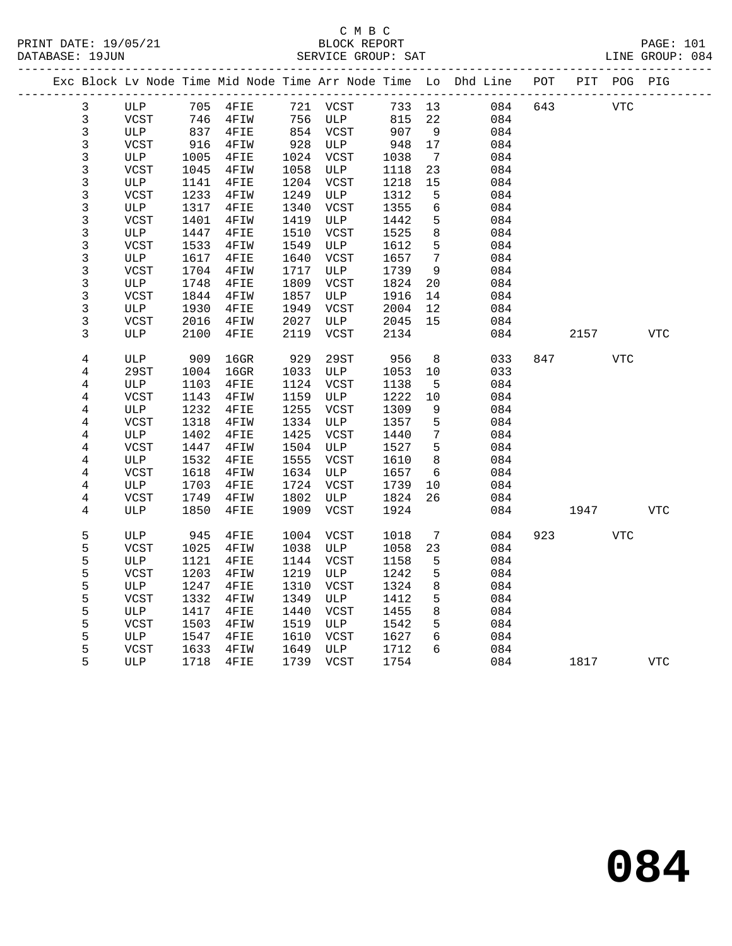#### C M B C<br>BLOCK REPORT PRINT DATE: 19/05/21 BLOCK REPORT PAGE: 101 SERVICE GROUP: SAT

|  |                |              |      |          |      |             |        |                 | Exc Block Lv Node Time Mid Node Time Arr Node Time Lo Dhd Line POT PIT POG PIG |     |            |            |            |
|--|----------------|--------------|------|----------|------|-------------|--------|-----------------|--------------------------------------------------------------------------------|-----|------------|------------|------------|
|  | 3              | ULP          |      | 705 4FIE |      | 721 VCST    | 733 13 |                 | 084                                                                            | 643 | <b>VTC</b> |            |            |
|  | $\mathsf{3}$   | VCST         | 746  | 4FIW     | 756  | ULP         | 815    | 22              | 084                                                                            |     |            |            |            |
|  | $\mathsf{3}$   | ULP          |      | 837 4FIE | 854  | VCST        | 907    | 9               | 084                                                                            |     |            |            |            |
|  | $\mathfrak{Z}$ | VCST         | 916  | 4FIW     | 928  | ULP         | 948    | 17              | 084                                                                            |     |            |            |            |
|  | $\mathsf{3}$   | ULP          | 1005 | 4FIE     | 1024 | VCST        | 1038   | 7               | 084                                                                            |     |            |            |            |
|  | $\mathsf{3}$   | <b>VCST</b>  | 1045 | 4FIW     | 1058 | ULP         | 1118   | 23              | 084                                                                            |     |            |            |            |
|  | $\mathsf 3$    | ULP          | 1141 | 4FIE     | 1204 | VCST        | 1218   | 15              | 084                                                                            |     |            |            |            |
|  | $\mathfrak{Z}$ | VCST         | 1233 | 4FIW     | 1249 | ULP         | 1312   | 5               | 084                                                                            |     |            |            |            |
|  | $\mathsf 3$    | ULP          | 1317 | 4FIE     | 1340 | VCST        | 1355   | 6               | 084                                                                            |     |            |            |            |
|  | $\mathsf{3}$   | <b>VCST</b>  | 1401 | 4FIW     | 1419 | ULP         | 1442   | 5               | 084                                                                            |     |            |            |            |
|  | $\mathbf{3}$   | ULP          | 1447 | 4FIE     | 1510 | VCST        | 1525   | $\,8\,$         | 084                                                                            |     |            |            |            |
|  | $\mathbf{3}$   | VCST         | 1533 | 4FIW     | 1549 | ULP         | 1612   | 5               | 084                                                                            |     |            |            |            |
|  | $\mathsf{3}$   | ULP          | 1617 | 4FIE     | 1640 | VCST        | 1657   | $7\phantom{.0}$ | 084                                                                            |     |            |            |            |
|  | $\mathsf 3$    | <b>VCST</b>  | 1704 | 4FIW     | 1717 | ULP         | 1739   | 9               | 084                                                                            |     |            |            |            |
|  | $\mathsf{3}$   | ULP          | 1748 | 4FIE     | 1809 | VCST        | 1824   | 20              | 084                                                                            |     |            |            |            |
|  | $\mathsf 3$    | <b>VCST</b>  | 1844 | 4FIW     | 1857 | ULP         | 1916   | 14              | 084                                                                            |     |            |            |            |
|  | $\mathsf{3}$   | ULP          | 1930 | 4FIE     | 1949 | VCST        | 2004   | 12              | 084                                                                            |     |            |            |            |
|  | 3              | VCST         | 2016 | 4FIW     | 2027 | ULP         | 2045   | 15              | 084                                                                            |     |            |            |            |
|  | 3              | ULP          | 2100 | 4FIE     | 2119 | VCST        | 2134   |                 | 084                                                                            |     | 2157       |            | <b>VTC</b> |
|  | 4              | ULP          | 909  | $16$ GR  | 929  | <b>29ST</b> | 956    | 8               | 033                                                                            |     | 847        | <b>VTC</b> |            |
|  | 4              | 29ST         | 1004 | $16$ GR  | 1033 | ULP         | 1053   | 10              | 033                                                                            |     |            |            |            |
|  | 4              | ULP          | 1103 | 4FIE     | 1124 | VCST        | 1138   | 5               | 084                                                                            |     |            |            |            |
|  | 4              | <b>VCST</b>  | 1143 | 4FIW     | 1159 | ULP         | 1222   | 10              | 084                                                                            |     |            |            |            |
|  | $\overline{4}$ | ULP          | 1232 | 4FIE     | 1255 | VCST        | 1309   | 9               | 084                                                                            |     |            |            |            |
|  | 4              | VCST         | 1318 | 4FIW     | 1334 | ULP         | 1357   | 5               | 084                                                                            |     |            |            |            |
|  | $\,4$          | ULP          | 1402 | 4FIE     | 1425 | VCST        | 1440   | $7\phantom{.0}$ | 084                                                                            |     |            |            |            |
|  | 4              | <b>VCST</b>  | 1447 | 4FIW     | 1504 | ULP         | 1527   | 5               | 084                                                                            |     |            |            |            |
|  | 4              | $_{\rm ULP}$ | 1532 | 4FIE     | 1555 | VCST        | 1610   | 8               | 084                                                                            |     |            |            |            |
|  | 4              | <b>VCST</b>  | 1618 | 4FIW     | 1634 | ULP         | 1657   | 6               | 084                                                                            |     |            |            |            |
|  | 4              | ULP          | 1703 | 4FIE     | 1724 | VCST        | 1739   | 10              | 084                                                                            |     |            |            |            |
|  | $\overline{4}$ | <b>VCST</b>  | 1749 | 4FIW     | 1802 | ULP         | 1824   | 26              | 084                                                                            |     |            |            |            |
|  | 4              | ULP          | 1850 | 4FIE     | 1909 | VCST        | 1924   |                 | 084                                                                            |     | 1947       |            | <b>VTC</b> |
|  | 5              | ULP          | 945  | 4FIE     | 1004 | VCST        | 1018   | 7               | 084                                                                            |     | 923        | <b>VTC</b> |            |
|  | 5              | VCST         | 1025 | 4FIW     | 1038 | ULP         | 1058   | 23              | 084                                                                            |     |            |            |            |
|  | 5              | ULP          | 1121 | 4FIE     | 1144 | VCST        | 1158   | 5               | 084                                                                            |     |            |            |            |
|  | 5              | <b>VCST</b>  | 1203 | 4FIW     | 1219 | ULP         | 1242   | 5               | 084                                                                            |     |            |            |            |
|  | 5              | ULP          | 1247 | 4FIE     | 1310 | VCST        | 1324   | 8               | 084                                                                            |     |            |            |            |
|  | 5              | <b>VCST</b>  | 1332 | 4FIW     | 1349 | ULP         | 1412   | 5               | 084                                                                            |     |            |            |            |
|  | 5              | ULP          | 1417 | 4FIE     | 1440 | VCST        | 1455   | 8               | 084                                                                            |     |            |            |            |
|  | 5              | <b>VCST</b>  | 1503 | 4FIW     | 1519 | ULP         | 1542   | 5               | 084                                                                            |     |            |            |            |
|  | 5              | ULP          | 1547 | 4FIE     | 1610 | VCST        | 1627   | 6               | 084                                                                            |     |            |            |            |
|  | 5              | <b>VCST</b>  | 1633 | 4FIW     | 1649 | ULP         | 1712   | 6               | 084                                                                            |     |            |            |            |
|  | 5              | ULP          | 1718 | 4FIE     | 1739 | VCST        | 1754   |                 | 084                                                                            |     | 1817       |            | <b>VTC</b> |